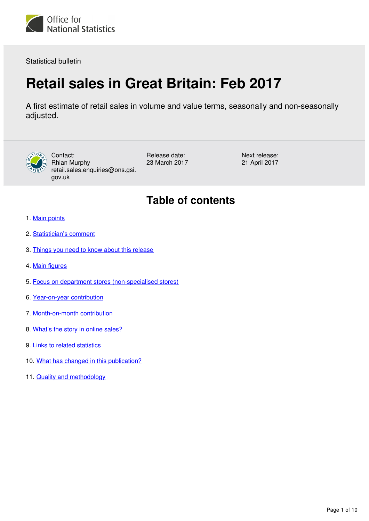

Statistical bulletin

# **Retail sales in Great Britain: Feb 2017**

A first estimate of retail sales in volume and value terms, seasonally and non-seasonally adjusted.



Contact: Rhian Murphy retail.sales.enquiries@ons.gsi. gov.uk

Release date: 23 March 2017 Next release: 21 April 2017

### **Table of contents**

- 1. [Main points](#page-1-0)
- 2. [Statistician's comment](#page-1-1)
- 3. [Things you need to know about this release](#page-1-2)
- 4. [Main figures](#page-1-3)
- 5. [Focus on department stores \(non-specialised stores\)](#page-3-0)
- 6. [Year-on-year contribution](#page-4-0)
- 7. [Month-on-month contribution](#page-6-0)
- 8. [What's the story in online sales?](#page-7-0)
- 9. [Links to related statistics](#page-8-0)
- 10. [What has changed in this publication?](#page-8-1)
- 11. [Quality and methodology](#page-9-0)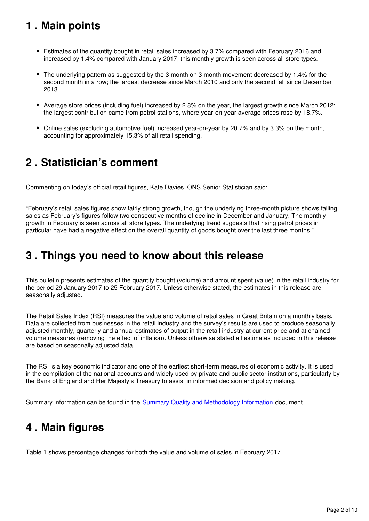### <span id="page-1-0"></span>**1 . Main points**

- Estimates of the quantity bought in retail sales increased by 3.7% compared with February 2016 and increased by 1.4% compared with January 2017; this monthly growth is seen across all store types.
- The underlying pattern as suggested by the 3 month on 3 month movement decreased by 1.4% for the second month in a row; the largest decrease since March 2010 and only the second fall since December 2013.
- Average store prices (including fuel) increased by 2.8% on the year, the largest growth since March 2012; the largest contribution came from petrol stations, where year-on-year average prices rose by 18.7%.
- Online sales (excluding automotive fuel) increased year-on-year by 20.7% and by 3.3% on the month, accounting for approximately 15.3% of all retail spending.

### <span id="page-1-1"></span>**2 . Statistician's comment**

Commenting on today's official retail figures, Kate Davies, ONS Senior Statistician said:

"February's retail sales figures show fairly strong growth, though the underlying three-month picture shows falling sales as February's figures follow two consecutive months of decline in December and January. The monthly growth in February is seen across all store types. The underlying trend suggests that rising petrol prices in particular have had a negative effect on the overall quantity of goods bought over the last three months."

### <span id="page-1-2"></span>**3 . Things you need to know about this release**

This bulletin presents estimates of the quantity bought (volume) and amount spent (value) in the retail industry for the period 29 January 2017 to 25 February 2017. Unless otherwise stated, the estimates in this release are seasonally adjusted.

The Retail Sales Index (RSI) measures the value and volume of retail sales in Great Britain on a monthly basis. Data are collected from businesses in the retail industry and the survey's results are used to produce seasonally adjusted monthly, quarterly and annual estimates of output in the retail industry at current price and at chained volume measures (removing the effect of inflation). Unless otherwise stated all estimates included in this release are based on seasonally adjusted data.

The RSI is a key economic indicator and one of the earliest short-term measures of economic activity. It is used in the compilation of the national accounts and widely used by private and public sector institutions, particularly by the Bank of England and Her Majesty's Treasury to assist in informed decision and policy making.

Summary information can be found in the **[Summary Quality and Methodology Information](https://www.ons.gov.uk/businessindustryandtrade/retailindustry/qmis/retailsalesindexqmi)** document.

### <span id="page-1-3"></span>**4 . Main figures**

Table 1 shows percentage changes for both the value and volume of sales in February 2017.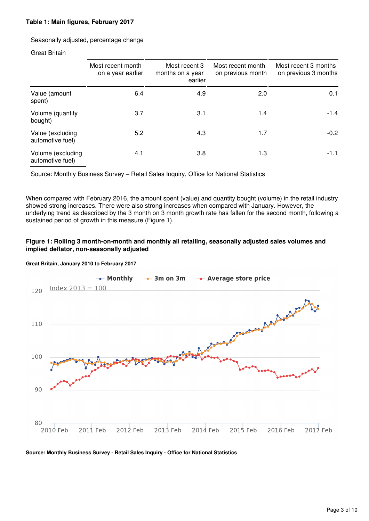#### **Table 1: Main figures, February 2017**

Seasonally adjusted, percentage change

#### Great Britain

|                                       | Most recent month<br>on a year earlier | Most recent 3<br>months on a year<br>earlier | Most recent month<br>on previous month | Most recent 3 months<br>on previous 3 months |
|---------------------------------------|----------------------------------------|----------------------------------------------|----------------------------------------|----------------------------------------------|
| Value (amount<br>spent)               | 6.4                                    | 4.9                                          | 2.0                                    | 0.1                                          |
| Volume (quantity<br>bought)           | 3.7                                    | 3.1                                          | 1.4                                    | $-1.4$                                       |
| Value (excluding<br>automotive fuel)  | 5.2                                    | 4.3                                          | 1.7                                    | $-0.2$                                       |
| Volume (excluding<br>automotive fuel) | 4.1                                    | 3.8                                          | 1.3                                    | $-1.1$                                       |

Source: Monthly Business Survey – Retail Sales Inquiry, Office for National Statistics

When compared with February 2016, the amount spent (value) and quantity bought (volume) in the retail industry showed strong increases. There were also strong increases when compared with January. However, the underlying trend as described by the 3 month on 3 month growth rate has fallen for the second month, following a sustained period of growth in this measure (Figure 1).

#### **Figure 1: Rolling 3 month-on-month and monthly all retailing, seasonally adjusted sales volumes and implied deflator, non-seasonally adjusted**

#### **Great Britain, January 2010 to February 2017**



**Source: Monthly Business Survey - Retail Sales Inquiry - Office for National Statistics**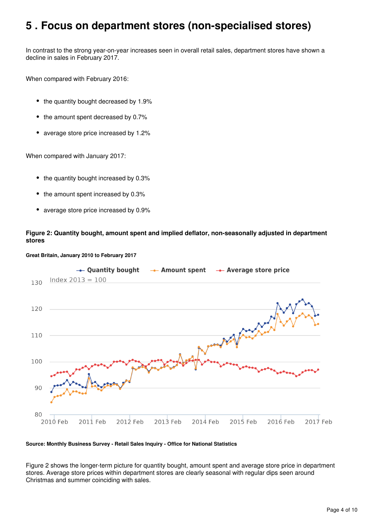### <span id="page-3-0"></span>**5 . Focus on department stores (non-specialised stores)**

In contrast to the strong year-on-year increases seen in overall retail sales, department stores have shown a decline in sales in February 2017.

When compared with February 2016:

- the quantity bought decreased by 1.9%
- $\bullet$  the amount spent decreased by 0.7%
- average store price increased by 1.2%

When compared with January 2017:

- the quantity bought increased by 0.3%
- the amount spent increased by 0.3%
- average store price increased by 0.9%

#### **Figure 2: Quantity bought, amount spent and implied deflator, non-seasonally adjusted in department stores**

#### **Great Britain, January 2010 to February 2017**



#### **Source: Monthly Business Survey - Retail Sales Inquiry - Office for National Statistics**

Figure 2 shows the longer-term picture for quantity bought, amount spent and average store price in department stores. Average store prices within department stores are clearly seasonal with regular dips seen around Christmas and summer coinciding with sales.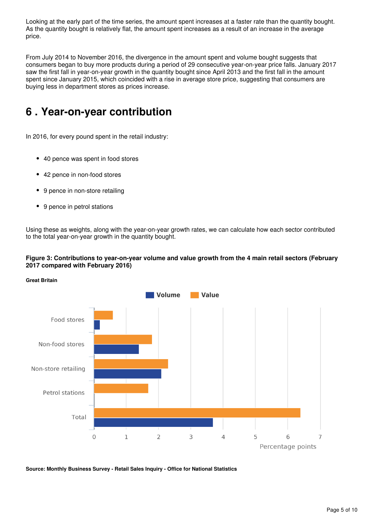Looking at the early part of the time series, the amount spent increases at a faster rate than the quantity bought. As the quantity bought is relatively flat, the amount spent increases as a result of an increase in the average price.

From July 2014 to November 2016, the divergence in the amount spent and volume bought suggests that consumers began to buy more products during a period of 29 consecutive year-on-year price falls. January 2017 saw the first fall in year-on-year growth in the quantity bought since April 2013 and the first fall in the amount spent since January 2015, which coincided with a rise in average store price, suggesting that consumers are buying less in department stores as prices increase.

### <span id="page-4-0"></span>**6 . Year-on-year contribution**

In 2016, for every pound spent in the retail industry:

- 40 pence was spent in food stores
- 42 pence in non-food stores
- 9 pence in non-store retailing
- 9 pence in petrol stations

Using these as weights, along with the year-on-year growth rates, we can calculate how each sector contributed to the total year-on-year growth in the quantity bought.

#### **Figure 3: Contributions to year-on-year volume and value growth from the 4 main retail sectors (February 2017 compared with February 2016)**



**Great Britain**

**Source: Monthly Business Survey - Retail Sales Inquiry - Office for National Statistics**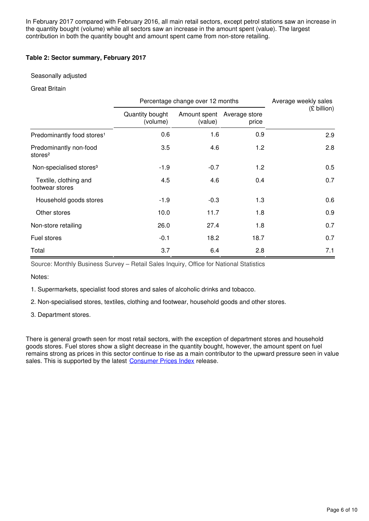In February 2017 compared with February 2016, all main retail sectors, except petrol stations saw an increase in the quantity bought (volume) while all sectors saw an increase in the amount spent (value). The largest contribution in both the quantity bought and amount spent came from non-store retailing.

#### **Table 2: Sector summary, February 2017**

#### Seasonally adjusted

#### Great Britain

|                                               |                             | Percentage change over 12 months |                        | Average weekly sales |
|-----------------------------------------------|-----------------------------|----------------------------------|------------------------|----------------------|
|                                               | Quantity bought<br>(volume) | Amount spent<br>(value)          | Average store<br>price | $(E\text{ billion})$ |
| Predominantly food stores <sup>1</sup>        | 0.6                         | 1.6                              | 0.9                    | 2.9                  |
| Predominantly non-food<br>stores <sup>2</sup> | 3.5                         | 4.6                              | 1.2                    | 2.8                  |
| Non-specialised stores <sup>3</sup>           | $-1.9$                      | $-0.7$                           | 1.2                    | 0.5                  |
| Textile, clothing and<br>footwear stores      | 4.5                         | 4.6                              | 0.4                    | 0.7                  |
| Household goods stores                        | $-1.9$                      | $-0.3$                           | 1.3                    | 0.6                  |
| Other stores                                  | 10.0                        | 11.7                             | 1.8                    | 0.9                  |
| Non-store retailing                           | 26.0                        | 27.4                             | 1.8                    | 0.7                  |
| Fuel stores                                   | $-0.1$                      | 18.2                             | 18.7                   | 0.7                  |
| Total                                         | 3.7                         | 6.4                              | 2.8                    | 7.1                  |

Source: Monthly Business Survey – Retail Sales Inquiry, Office for National Statistics

Notes:

1. Supermarkets, specialist food stores and sales of alcoholic drinks and tobacco.

2. Non-specialised stores, textiles, clothing and footwear, household goods and other stores.

3. Department stores.

There is general growth seen for most retail sectors, with the exception of department stores and household goods stores. Fuel stores show a slight decrease in the quantity bought, however, the amount spent on fuel remains strong as prices in this sector continue to rise as a main contributor to the upward pressure seen in value sales. This is supported by the latest Consumer Prices Index release.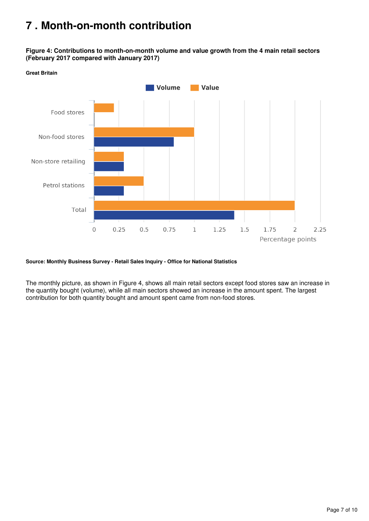### <span id="page-6-0"></span>**7 . Month-on-month contribution**

**Figure 4: Contributions to month-on-month volume and value growth from the 4 main retail sectors (February 2017 compared with January 2017)**



**Source: Monthly Business Survey - Retail Sales Inquiry - Office for National Statistics**

The monthly picture, as shown in Figure 4, shows all main retail sectors except food stores saw an increase in the quantity bought (volume), while all main sectors showed an increase in the amount spent. The largest contribution for both quantity bought and amount spent came from non-food stores.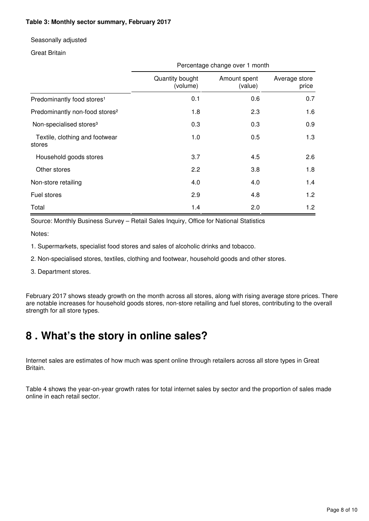#### **Table 3: Monthly sector summary, February 2017**

#### Seasonally adjusted

Great Britain

|                                            |                             | Percentage change over 1 month |                        |
|--------------------------------------------|-----------------------------|--------------------------------|------------------------|
|                                            | Quantity bought<br>(volume) | Amount spent<br>(value)        | Average store<br>price |
| Predominantly food stores <sup>1</sup>     | 0.1                         | 0.6                            | 0.7                    |
| Predominantly non-food stores <sup>2</sup> | 1.8                         | 2.3                            | 1.6                    |
| Non-specialised stores <sup>3</sup>        | 0.3                         | 0.3                            | 0.9                    |
| Textile, clothing and footwear<br>stores   | 1.0                         | 0.5                            | 1.3                    |
| Household goods stores                     | 3.7                         | 4.5                            | 2.6                    |
| Other stores                               | 2.2                         | 3.8                            | 1.8                    |
| Non-store retailing                        | 4.0                         | 4.0                            | 1.4                    |
| Fuel stores                                | 2.9                         | 4.8                            | 1.2                    |
| Total                                      | 1.4                         | 2.0                            | 1.2                    |

Source: Monthly Business Survey – Retail Sales Inquiry, Office for National Statistics

Notes:

1. Supermarkets, specialist food stores and sales of alcoholic drinks and tobacco.

- 2. Non-specialised stores, textiles, clothing and footwear, household goods and other stores.
- 3. Department stores.

February 2017 shows steady growth on the month across all stores, along with rising average store prices. There are notable increases for household goods stores, non-store retailing and fuel stores, contributing to the overall strength for all store types.

### <span id="page-7-0"></span>**8 . What's the story in online sales?**

Internet sales are estimates of how much was spent online through retailers across all store types in Great Britain.

Table 4 shows the year-on-year growth rates for total internet sales by sector and the proportion of sales made online in each retail sector.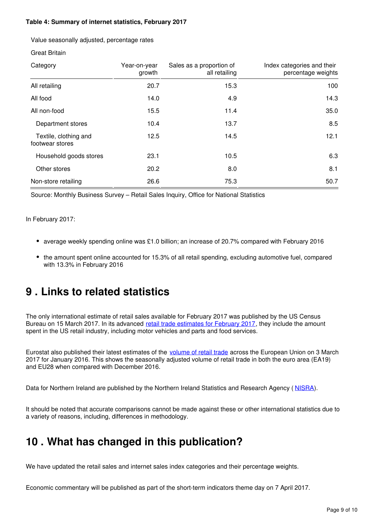#### **Table 4: Summary of internet statistics, February 2017**

Value seasonally adjusted, percentage rates

Great Britain

| Category                                 | Year-on-year<br>growth | Sales as a proportion of<br>all retailing | Index categories and their<br>percentage weights |
|------------------------------------------|------------------------|-------------------------------------------|--------------------------------------------------|
| All retailing                            | 20.7                   | 15.3                                      | 100                                              |
| All food                                 | 14.0                   | 4.9                                       | 14.3                                             |
| All non-food                             | 15.5                   | 11.4                                      | 35.0                                             |
| Department stores                        | 10.4                   | 13.7                                      | 8.5                                              |
| Textile, clothing and<br>footwear stores | 12.5                   | 14.5                                      | 12.1                                             |
| Household goods stores                   | 23.1                   | 10.5                                      | 6.3                                              |
| Other stores                             | 20.2                   | 8.0                                       | 8.1                                              |
| Non-store retailing                      | 26.6                   | 75.3                                      | 50.7                                             |

Source: Monthly Business Survey – Retail Sales Inquiry, Office for National Statistics

In February 2017:

- average weekly spending online was £1.0 billion; an increase of 20.7% compared with February 2016
- the amount spent online accounted for 15.3% of all retail spending, excluding automotive fuel, compared with 13.3% in February 2016

### <span id="page-8-0"></span>**9 . Links to related statistics**

The only international estimate of retail sales available for February 2017 was published by the US Census Bureau on 15 March 2017. In its advanced [retail trade estimates for February 2017,](https://www.census.gov/retail/marts/www/marts_current.pdf) they include the amount spent in the US retail industry, including motor vehicles and parts and food services.

Eurostat also published their latest estimates of the [volume of retail trade](http://ec.europa.eu/eurostat/documents/2995521/7888946/4-03032017-AP-EN.pdf/b6d4b8cc-0a56-4cf6-aec3-a2d02ecbd21d) across the European Union on 3 March 2017 for January 2016. This shows the seasonally adjusted volume of retail trade in both the euro area (EA19) and EU28 when compared with December 2016.

Data for Northern Ireland are published by the Northern Ireland Statistics and Research Agency (NISRA).

It should be noted that accurate comparisons cannot be made against these or other international statistics due to a variety of reasons, including, differences in methodology.

### <span id="page-8-1"></span>**10 . What has changed in this publication?**

We have updated the retail sales and internet sales index categories and their percentage weights.

Economic commentary will be published as part of the short-term indicators theme day on 7 April 2017.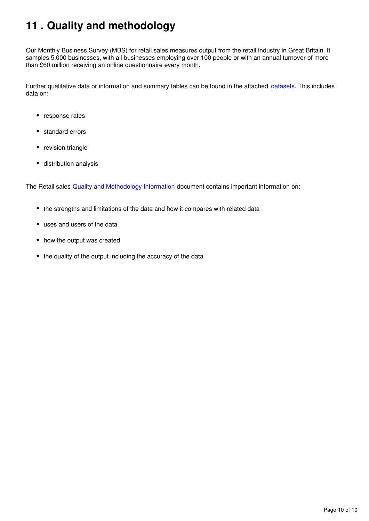## <span id="page-9-0"></span>**11 . Quality and methodology**

Our Monthly Business Survey (MBS) for retail sales measures output from the retail industry in Great Britain. It samples 5,000 businesses, with all businesses employing over 100 people or with an annual turnover of more than £60 million receiving an online questionnaire every month.

Further qualitative data or information and summary tables can be found in the attached datasets[.](https://www.ons.gov.uk/businessindustryandtrade/retailindustry/datasets/retailsalessummarytables) This includes data on:

- response rates
- standard errors
- revision triangle
- distribution analysis

The Retail sales **Quality and Methodology Information** document contains important information on:

- the strengths and limitations of the data and how it compares with related data
- uses and users of the data
- how the output was created
- the quality of the output including the accuracy of the data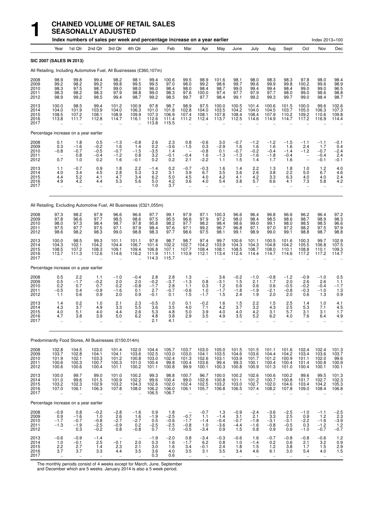**1**

|                                      |                                                                      |                                                        | Index numbers of sales per week and percentage increase on a year earlier |                                           |                                               |                                           |                                          |                                                                  |                                                     |                                          |                                          |                                              |                                           |                                                          |                                                                          | Index 2013=100                              |                                                          |
|--------------------------------------|----------------------------------------------------------------------|--------------------------------------------------------|---------------------------------------------------------------------------|-------------------------------------------|-----------------------------------------------|-------------------------------------------|------------------------------------------|------------------------------------------------------------------|-----------------------------------------------------|------------------------------------------|------------------------------------------|----------------------------------------------|-------------------------------------------|----------------------------------------------------------|--------------------------------------------------------------------------|---------------------------------------------|----------------------------------------------------------|
|                                      | Year                                                                 | 1st Qtr                                                | 2nd Qtr                                                                   | 3rd Qtr                                   | 4th Qtr                                       | Jan                                       | Feb                                      | Mar                                                              | Apr                                                 | May                                      | June                                     | July                                         | Aug                                       | Sept                                                     | Oct                                                                      | Nov                                         | Dec                                                      |
|                                      | SIC 2007 (SALES IN 2013)                                             |                                                        |                                                                           |                                           |                                               |                                           |                                          |                                                                  |                                                     |                                          |                                          |                                              |                                           |                                                          |                                                                          |                                             |                                                          |
|                                      | All Retailing, Including Automotive Fuel, All Businesses (£360,107m) |                                                        |                                                                           |                                           |                                               |                                           |                                          |                                                                  |                                                     |                                          |                                          |                                              |                                           |                                                          |                                                                          |                                             |                                                          |
| 2008<br>2009<br>2010<br>2011<br>2012 | 98.9<br>99.2<br>98.3<br>98.3<br>98.9                                 | 99.8<br>98.2<br>97.5<br>98.2<br>99.2                   | 99.4<br>99.2<br>98.7<br>98.3<br>98.5                                      | 98.2<br>99.8<br>99.0<br>97.9<br>99.4      | 98.1<br>99.5<br>98.0<br>98.8<br>98.7          | 99.4<br>99.5<br>96.0<br>99.0<br>99.2      | 100.6<br>97.0<br>98.4<br>98.3<br>98.5    | 99.5<br>98.0<br>98.0<br>97.6<br>99.7                             | 98.9<br>99.2<br>98.4<br>100.0<br>97.7               | 101.6<br>98.6<br>98.7<br>97.4<br>98.4    | 98.1<br>99.7<br>99.0<br>97.7<br>99.1     | 98.0<br>99.6<br>99.4<br>97.9<br>99.2         | 98.3<br>99.9<br>99.4<br>97.7<br>99.3      | 98.3<br>99.8<br>98.4<br>98.0<br>99.7                     | 97.8<br>100.2<br>99.0<br>99.0<br>99.0                                    | 98.0<br>99.6<br>99.0<br>98.6<br>98.4        | 98.4<br>98.9<br>96.5<br>98.8<br>98.7                     |
| 2013<br>2014<br>2015<br>2016<br>2017 | 100.0<br>104.0<br>108.5<br>113.8                                     | 98.5<br>101.9<br>107.2<br>111.7                        | 99.4<br>103.9<br>108.1<br>112.8                                           | 101.2<br>104.0<br>108.9<br>114.7          | 100.9<br>106.3<br>109.9<br>116.1              | 97.8<br>101.0<br>107.3<br>112.6<br>113.8  | 98.7<br>101.8<br>106.9<br>111.4<br>115.5 | 98.9<br>102.8<br>107.4<br>111.2                                  | 97.5<br>104.0<br>108.1<br>112.4                     | 100.0<br>103.5<br>107.8<br>113.7         | 100.5<br>104.2<br>108.4<br>112.5         | 101.4<br>104.0<br>108.4<br>114.6             | 100.6<br>104.5<br>107.9<br>114.9          | 101.5<br>103.7<br>110.2<br>114.7                         | 100.0<br>105.0<br>109.2<br>117.2                                         | 99.6<br>106.3<br>110.6<br>116.9             | 102.6<br>107.3<br>109.8<br>114.4                         |
|                                      | Percentage increase on a year earlier                                |                                                        |                                                                           |                                           |                                               |                                           |                                          |                                                                  |                                                     |                                          |                                          |                                              |                                           |                                                          |                                                                          |                                             |                                                          |
| 2008<br>2009<br>2010<br>2011<br>2012 | 0.1<br>0.3<br>$-0.8$<br>0.7                                          | 1.8<br>$-1.6$<br>$-0.7$<br>0.8<br>1.0                  | 0.5<br>$-0.2$<br>$-0.5$<br>-0.4<br>0.2                                    | $-1.3$<br>1.6<br>$-0.7$<br>$-1.2$<br>1.6  | $-0.8$<br>1.4<br>$-1.5$<br>0.8<br>$-0.1$      | 2.6<br>0.2<br>$-3.5$<br>3.2<br>0.2        | 2.3<br>$-3.6$<br>1.4<br>$-0.1$<br>0.2    | 0.8<br>$-1.5$<br>$-0.4$<br>2.1                                   | $-0.6$<br>0.3<br>$-0.8$<br>1.6<br>$-2.2$            | 3.0<br>$-2.9$<br>0.1<br>$-1.3$<br>1.1    | $-0.7$<br>1.6<br>$-0.7$<br>$-1.3$<br>1.5 | $-1.2$<br>1.6<br>$-0.2$<br>$-1.6$<br>1.4     | $-1.2$<br>1.6<br>$-0.4$<br>$-1.8$<br>1.7  | $-1.5$<br>1.6<br>$-1.4$<br>$-0.4$<br>1.6                 | $-1.1$<br>2.4<br>$-1.2$<br>$\qquad \qquad -$<br>$\overline{\phantom{0}}$ | $-1.1$<br>1.7<br>$-0.7$<br>$-0.4$<br>$-0.1$ | $-0.1$<br>0.4<br>-2.4<br>2.4<br>$-0.1$                   |
| 2013<br>2014<br>2015<br>2016<br>2017 | 1.1<br>4.0<br>4.4<br>4.9<br>$\ddot{\phantom{a}}$                     | $-0.7$<br>3.4<br>5.2<br>4.2<br>ä.                      | 0.9<br>4.5<br>4.1<br>4.4<br>$\ddotsc$                                     | 1.8<br>2.8<br>4.7<br>5.3<br>ä.            | 2.2<br>5.3<br>3.4<br>5.6<br>$\ddotsc$         | $-1.4$<br>3.2<br>6.2<br>5.0<br>1.0        | 0.2<br>3.1<br>5.0<br>4.2<br>3.7          | $-0.7$<br>3.9<br>4.5<br>3.6<br>ä.                                | $-0.3$<br>6.7<br>4.0<br>4.0<br>$\ddot{\phantom{a}}$ | 1.6<br>3.5<br>4.2<br>5.4<br>$\ddotsc$    | 1.4<br>3.6<br>4.1<br>3.8<br>Ω.           | 2.2<br>2.6<br>$\frac{4.2}{5.7}$<br>$\ddotsc$ | 1.3<br>3.8<br>3.3<br>6.6<br>ä.            | 1.8<br>2.2<br>6.3<br>4.1<br>$\ddotsc$                    | 1.0<br>5.0<br>4.0<br>7.3<br>$\ddot{\phantom{a}}$                         | 1.2<br>6.7<br>4.0<br>5.8<br>$\ddotsc$       | 4.0<br>4.6<br>2.4<br>4.2<br>$\ddot{\phantom{0}}$         |
|                                      | All Retailing, Excluding Automotive Fuel, All Businesses (£321,055m) |                                                        |                                                                           |                                           |                                               |                                           |                                          |                                                                  |                                                     |                                          |                                          |                                              |                                           |                                                          |                                                                          |                                             |                                                          |
| 2008<br>2009<br>2010<br>2011<br>2012 | 97.3<br>97.8<br>98.0<br>97.5<br>98.6                                 | 98.2<br>96.6<br>97.3<br>97.7<br>98.2                   | 97.9<br>97.7<br>98.4<br>97.5<br>98.3                                      | 96.6<br>98.5<br>98.7<br>97.1<br>99.0      | 96.6<br>98.6<br>97.8<br>97.9<br>98.8          | 97.7<br>97.5<br>95.8<br>98.4<br>98.3      | 99.1<br>95.5<br>98.2<br>97.6<br>97.7     | 97.9<br>96.6<br>97.7<br>97.1<br>98.6                             | 97.1<br>97.9<br>98.2<br>99.2<br>97.5                | 100.3<br>97.2<br>98.4<br>96.7<br>98.1    | 96.6<br>98.0<br>98.6<br>96.8<br>99.1     | 96.4<br>98.4<br>99.0<br>97.1<br>98.9         | 96.8<br>98.5<br>99.1<br>97.0<br>99.0      | 96.6<br>98.6<br>98.0<br>97.2<br>99.1                     | 96.2<br>98.7<br>98.5<br>98.2<br>98.8                                     | 96.4<br>98.9<br>98.5<br>97.5<br>98.7        | 97.2<br>98.3<br>96.6<br>97.9<br>98.8                     |
| 2013<br>2014<br>2015<br>2016<br>2017 | 100.0<br>104.3<br>108.5<br>113.7                                     | 98.5<br>102.1<br>107.2<br>111.3<br>ä.                  | 99.3<br>104.2<br>108.3<br>112.6                                           | 101.1<br>104.4<br>109.1<br>114.6          | 101.1<br>106.7<br>109.4<br>116.2              | 97.8<br>101.4<br>106.8<br>111.9<br>114.3  | 98.7<br>102.2<br>107.1<br>111.1<br>115.7 | 98.7<br>102.7<br>107.7<br>110.9                                  | 97.4<br>104.2<br>108.4<br>112.1                     | 99.7<br>103.9<br>108.1<br>113.4          | 100.6<br>104.3<br>108.5<br>112.4         | 101.1<br>104.3<br>108.7<br>114.4             | 100.5<br>104.8<br>108.0<br>114.7          | 101.6<br>104.2<br>110.1<br>114.6                         | 100.3<br>105.5<br>108.8<br>117.2                                         | 99.7<br>106.8<br>110.1<br>117.2             | 102.9<br>107.5<br>109.3<br>114.7                         |
|                                      | Percentage increase on a year earlier                                |                                                        |                                                                           |                                           |                                               |                                           |                                          |                                                                  |                                                     |                                          |                                          |                                              |                                           |                                                          |                                                                          |                                             |                                                          |
| 2008<br>2009<br>2010<br>2011<br>2012 | 0.5<br>0.5<br>0.2<br>$-0.5$<br>1.1                                   | $2.2 - 1.7$<br>0.7<br>0.4<br>0.6                       | 1.1<br>$-0.2$<br>0.7<br>$-0.9$<br>0.9                                     | $-1.0$<br>2.0<br>0.2<br>$-1.6$<br>2.0     | $-0.4$<br>2.0<br>$-0.8$<br>0.1<br>0.9         | 2.8<br>$-0.2$<br>$-1.7$<br>2.7<br>$-0.1$  | 2.8<br>$-3.7$<br>2.8<br>$-0.7$<br>0.1    | 1.3<br>$-1.3$<br>1.1<br>$-0.6$<br>1.5                            | 0.8<br>0.3<br>1.0<br>$-1.7$                         | 3.6<br>$-3.1$<br>1.2<br>$-1.7$<br>1.5    | $-0.2$<br>1.5<br>0.6<br>$-1.8$<br>2.4    | $-1.0$<br>2.1<br>0.6<br>$-1.9$<br>1.9        | $-0.8$<br>1.7<br>0.6<br>$-2.1$<br>2.0     | $-1.2$<br>2.0<br>$-0.5$<br>$-0.8$<br>2.0                 | $-0.9$<br>2.6<br>$-0.2$<br>$-0.3$<br>0.6                                 | $-1.0$<br>2.6<br>$-0.4$<br>$-1.0$<br>1.3    | 0.5<br>1.1<br>$-1.7$<br>1.3<br>0.9                       |
| 2013<br>2014<br>2015<br>2016<br>2017 | 1.4<br>4.3<br>4.0<br>4.7<br>$\ddotsc$                                | 0.2<br>3.7<br>5.1<br>3.8<br>                           | 1.0<br>4.9<br>4.0<br>3.9<br>$\cdot$                                       | 2.1<br>3.3<br>4.4<br>5.0<br>$\ddotsc$     | 2.3<br>5.5<br>2.6<br>6.2<br>$\ddotsc$         | $-0.5$<br>3.6<br>5.3<br>4.8<br>2.1        | 1.0<br>3.5<br>4.8<br>3.8<br>4.1          | 0.1<br>4.0<br>5.0<br>2.9<br>$\ddotsc$                            | $-0.2$<br>7.1<br>3.9<br>3.5                         | 1.6<br>4.2<br>4.0<br>4.9                 | 1.5<br>3.7<br>4.0<br>3.5                 | 2.2<br>3.2<br>4.2<br>5.2                     | 1.5<br>4.3<br>3.1<br>6.2<br>$\ddotsc$     | 2.5<br>2.5<br>5.7<br>4.0<br>$\ldots$                     | 1.4<br>5.3<br>3.1<br>7.6<br>$\ddotsc$                                    | 1.0<br>7.1<br>3.1<br>6.4<br>$\ddotsc$       | 4.1<br>4.5<br>1.7<br>4.9                                 |
|                                      | Predominantly Food Stores, All Businesses (£150,014m)                |                                                        |                                                                           |                                           |                                               |                                           |                                          |                                                                  |                                                     |                                          |                                          |                                              |                                           |                                                          |                                                                          |                                             |                                                          |
| 2008<br>2009<br>2010<br>2011<br>2012 | 102.8<br>103.7<br>101.9<br>100.6<br>100.6                            | 104.5<br>102.8<br>102.1<br>100.3<br>100.6              | 103.0<br>104.1<br>103.3<br>100.7<br>100.4                                 | 101.4<br>104.1<br>101.2<br>100.3<br>101.1 | 102.0<br>103.6<br>100.8<br>101.0<br>100.2     | 104.4<br>102.5<br>103.0<br>100.4<br>101.1 | 105.7<br>103.0<br>102.4<br>99.8<br>100.8 | 103.7<br>103.0<br>101.3<br>100.4<br>99.9                         | 103.0<br>104.1<br>102.6<br>103.6<br>100.1           | 105.0<br>103.5<br>103.1<br>99.4<br>100.3 | 101.5<br>104.6<br>103.9<br>99.3<br>100.8 | 101.5<br>103.6<br>101.7<br>100.1<br>100.9    | 101.1<br>104.4<br>101.2<br>100.4<br>101.3 | 101.6<br>104.2<br>100.9<br>100.4<br>101.0                | 102.4<br>103.4<br>101.1<br>101.4<br>100.4                                | 102.4<br>103.6<br>102.0<br>100.8<br>100.1   | 101.3<br>103.7<br>99.6<br>100.9<br>100.1                 |
| 2013<br>2014<br>2015<br>2016<br>2017 | 100.0<br>101.0<br>103.2<br>107.0<br>$\ddot{\phantom{a}}$             | 99.7<br>99.6<br>102.3<br>106.1<br>$\ddot{\phantom{1}}$ | 99.0<br>101.5<br>102.9<br>106.3<br>$\ddotsc$                              | 101.0<br>100.9<br>103.2<br>107.8<br>à.    | 100.2<br>102.2<br>104.3<br>108.0<br>$\ddotsc$ | 99.3<br>99.6<br>102.6<br>106.2<br>106.5   | 98.8<br>100.4<br>102.0<br>106.0<br>106.7 | 100.7<br>99.0<br>102.4<br>106.1<br>$\ddot{\phantom{a}}$          | 96.7<br>102.6<br>102.5<br>105.7                     | 100.0<br>100.8<br>103.2<br>106.8         | 100.2<br>101.1<br>103.0<br>106.5         | 102.6<br>101.2<br>102.7<br>107.4             | 100.6<br>100.7<br>102.0<br>108.2<br>ä,    | 100.2<br>100.8<br>104.6<br>107.8<br>$\ddot{\phantom{a}}$ | 99.6<br>101.7<br>103.4<br>109.0<br>$\ddotsc$                             | 99.5<br>102.7<br>104.2<br>108.4             | 101.3<br>102.3<br>105.3<br>106.8<br>$\ddot{\phantom{a}}$ |
|                                      | Percentage increase on a year earlier                                |                                                        |                                                                           |                                           |                                               |                                           |                                          |                                                                  |                                                     |                                          |                                          |                                              |                                           |                                                          |                                                                          |                                             |                                                          |
| 2008<br>2009<br>2010<br>2011<br>2012 | $-0.9$<br>0.9<br>$-1.7$<br>$-1.3$<br>$\overline{\phantom{a}}$        | 0.8<br>$-1.6$<br>$-0.7$<br>$-1.9$<br>0.3               | $-0.2$<br>1.0<br>$-0.8$<br>$-2.5$<br>$-0.2$                               | $-2.8$<br>2.6<br>$-2.7$<br>$-0.9$<br>0.8  | $-1.6$<br>1.6<br>$-2.7$<br>0.2<br>$-0.8$      | 0.9<br>$-1.9$<br>0.5<br>$-2.5$<br>0.7     | 1.8<br>$-2.5$<br>$-0.6$<br>$-2.5$<br>1.0 | $\overline{\phantom{a}}$<br>$-0.7$<br>$-1.7$<br>$-0.8$<br>$-0.5$ | $-0.7$<br>1.1<br>$-1.4$<br>1.0<br>$-3.4$            | 1.3<br>$-1.4$<br>$-0.4$<br>$-3.6$<br>0.9 | $-0.9$<br>3.1<br>$-0.7$<br>$-4.4$<br>1.5 | $-2.4$<br>2.1<br>$-1.8$<br>$-1.6$<br>0.8     | $-3.6$<br>3.3<br>$-3.1$<br>$-0.8$<br>0.9  | $-2.5$<br>2.5<br>$-3.1$<br>$-0.5$<br>0.6                 | $-1.0$<br>0.9<br>$-2.2$<br>0.3<br>$-1.0$                                 | $-1.1$<br>1.2<br>$-1.6$<br>$-1.2$<br>$-0.7$ | $-2.5$<br>2.3<br>$-3.9$<br>1.2<br>$-0.7$                 |
| 2013<br>2014<br>2015<br>2016<br>2017 | $-0.6$<br>1.0<br>$\frac{2.2}{3.7}$                                   | $-0.9$<br>$-0.1$<br>2.7<br>3.7                         | $-1.4$<br>2.5<br>1.4<br>3.3                                               | $-0.1$<br>2.3<br>4.4                      | 2.0<br>2.1<br>3.5                             | $-1.9$<br>0.3<br>3.0<br>3.6<br>0.3        | $-2.0$<br>1.6<br>1.6<br>4.0<br>0.6       | 0.8<br>$-1.7$<br>3.4<br>3.5                                      | $-3.4$<br>6.2<br>$-0.1$<br>3.1                      | $-0.3$<br>0.8<br>2.4<br>3.5              | $-0.6$<br>1.0<br>1.8<br>3.4              | 1.6<br>$-1.4$<br>1.5<br>4.6                  | $-0.7$<br>0.2<br>1.2<br>6.1               | $-0.8$<br>0.6<br>3.8<br>3.0                              | $-0.8$<br>2.1<br>1.7<br>5.4                                              | $-0.6$<br>3.2<br>1.5<br>4.0                 | 1.2<br>0.9<br>2.9<br>1.5                                 |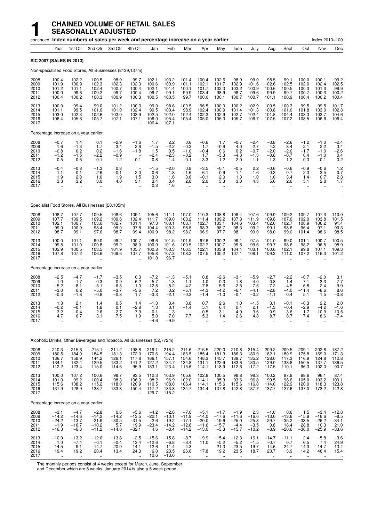|                                      |                                                          |                                                         | <b>CHAINED VOLUME OF RETAIL SALES</b><br><b>SEASONALLY ADJUSTED</b>                 |                                                           |                                                               |                                               |                                                   |                                                                          |                                                        |                                                         |                                                           |                                                        |                                                     |                                                        |                                                     |                                                         |                                                         |
|--------------------------------------|----------------------------------------------------------|---------------------------------------------------------|-------------------------------------------------------------------------------------|-----------------------------------------------------------|---------------------------------------------------------------|-----------------------------------------------|---------------------------------------------------|--------------------------------------------------------------------------|--------------------------------------------------------|---------------------------------------------------------|-----------------------------------------------------------|--------------------------------------------------------|-----------------------------------------------------|--------------------------------------------------------|-----------------------------------------------------|---------------------------------------------------------|---------------------------------------------------------|
|                                      |                                                          |                                                         | continued Index numbers of sales per week and percentage increase on a year earlier |                                                           |                                                               |                                               |                                                   |                                                                          |                                                        |                                                         |                                                           |                                                        |                                                     |                                                        |                                                     | Index 2013=100                                          |                                                         |
|                                      | Year                                                     | 1st Qtr                                                 | 2nd Qtr                                                                             | 3rd Qtr                                                   | 4th Qtr                                                       | Jan                                           | Feb                                               | Mar                                                                      | Apr                                                    | May                                                     | June                                                      | July                                                   | Aug                                                 | Sept                                                   | Oct                                                 | Nov                                                     | Dec                                                     |
| SIC 2007 (SALES IN 2013)             |                                                          |                                                         |                                                                                     |                                                           |                                                               |                                               |                                                   |                                                                          |                                                        |                                                         |                                                           |                                                        |                                                     |                                                        |                                                     |                                                         |                                                         |
| 2008                                 | 100.4                                                    | 102.2                                                   | Non-specialised Food Stores, All Businesses (£139,137m)<br>100.5                    | 98.9                                                      | 99.7                                                          | 102.1                                         | 103.2                                             | 101.4                                                                    | 100.4                                                  | 102.6                                                   | 98.9                                                      | 99.0                                                   | 98.5                                                | 99.1                                                   | 100.0                                               | 100.1                                                   | 99.2                                                    |
| 2009<br>2010<br>2011<br>2012         | 101.9<br>101.2<br>100.0<br>100.4                         | 100.9<br>101.1<br>99.6<br>100.2                         | 102.3<br>102.4<br>100.2<br>100.3                                                    | 102.3<br>100.7<br>99.7<br>100.9                           | 102.3<br>100.4<br>100.4<br>100.3                              | 100.6<br>102.1<br>99.7<br>100.5               | 100.9<br>101.4<br>99.1<br>100.5                   | 101.1<br>100.1<br>99.9<br>99.7                                           | 102.1<br>101.7<br>103.4<br>100.0                       | 101.7<br>102.3<br>98.9<br>100.1                         | 102.9<br>103.2<br>98.7<br>100.7                           | 101.6<br>100.9<br>99.6<br>100.7                        | 102.6<br>100.6<br>99.9<br>101.1                     | 102.5<br>100.5<br>99.7<br>100.9                        | 102.0<br>100.3<br>100.7<br>100.4                    | 102.4<br>101.3<br>100.3<br>100.2                        | 102.5<br>99.9<br>100.2<br>100.4                         |
| 2013<br>2014<br>2015<br>2016<br>2017 | 100.0<br>101.1<br>103.0<br>106.4                         | 99.4<br>99.5<br>102.3<br>105.6                          | 99.0<br>101.6<br>102.6<br>105.7                                                     | 101.2<br>101.0<br>103.0<br>107.1                          | 100.3<br>102.4<br>103.9<br>107.1                              | 99.0<br>99.5<br>102.5<br>106.0<br>106.4       | 98.6<br>100.4<br>102.0<br>105.4<br>107.1          | 100.5<br>98.9<br>102.4<br>105.4                                          | 96.5<br>102.4<br>102.3<br>105.0                        | 100.0<br>100.9<br>102.9<br>106.3                        | 100.2<br>101.4<br>102.7<br>105.7                          | 102.9<br>101.3<br>102.4<br>106.7                       | 100.5<br>100.8<br>101.8<br>107.5                    | 100.3<br>101.0<br>104.4<br>107.2                       | 99.5<br>101.8<br>103.3<br>108.5                     | 99.5<br>103.0<br>103.7<br>106.6                         | 101.7<br>102.3<br>104.6<br>106.4                        |
|                                      |                                                          | Percentage increase on a year earlier                   |                                                                                     |                                                           |                                                               |                                               |                                                   |                                                                          |                                                        |                                                         |                                                           |                                                        |                                                     |                                                        |                                                     |                                                         |                                                         |
| 2008<br>2009<br>2010<br>2011<br>2012 | $-0.7$<br>1.6<br>$-0.8$<br>$-1.2$<br>0.5                 | 1.4<br>$-1.3$<br>0.2<br>$-1.5$<br>0.6                   | 0.1<br>1.7<br>0.2<br>$-2.2$<br>0.1                                                  | $-2.9$<br>3.4<br>$-1.6$<br>$-0.9$<br>1.2                  | $-1.6$<br>2.6<br>$-1.8$<br>$\overline{\phantom{a}}$<br>$-0.1$ | 1.7<br>$-1.5$<br>1.5<br>$-2.4$<br>0.8         | 2.2<br>$-2.2$<br>0.5<br>$-2.3$<br>1.4             | 0.6<br>$-0.3$<br>$-1.0$<br>$-0.2$<br>$-0.1$                              | $-0.6$<br>1.7<br>$-0.4$<br>1.7<br>$-3.3$               | 1.7<br>$-0.9$<br>0.6<br>$-3.3$<br>1.2                   | $-0.7$<br>4.0<br>0.2<br>$-4.3$<br>2.0                     | $-2.4$<br>2.7<br>$-0.7$<br>$-1.3$<br>1.1               | $-3.8$<br>4.2<br>$-2.0$<br>$-0.8$<br>1.3            | $-2.6$<br>3.4<br>$-2.0$<br>$-0.7$<br>1.2               | $-1.2$<br>2.1<br>$-1.7$<br>0.4<br>$-0.3$            | $-1.0$<br>2.2<br>$-1.0$<br>$-1.0$<br>$-0.1$             | $-2.4$<br>3.4<br>$-2.6$<br>0.4<br>0.2                   |
| 2013<br>2014<br>2015<br>2016<br>2017 | $-0.4$<br>1.1<br>1.9<br>3.3<br>$\ddot{\phantom{1}}$      | $-0.8$<br>0.1<br>2.8<br>3.2<br>$\ddot{\phantom{a}}$     | -1.3<br>2.6<br>1.0<br>3.0<br>ä,                                                     | 0.3<br>$-0.1$<br>1.9<br>4.0<br>$\ddot{\phantom{1}}$       | 2.0<br>1.5<br>3.1<br>$\ddot{\phantom{1}}$                     | $-1.5$<br>0.6<br>3.0<br>3.4<br>0.3            | $-2.0$<br>1.8<br>1.6<br>3.4<br>1.6                | 0.8<br>$-1.6$<br>3.6<br>2.8<br>$\ddot{\phantom{1}}$                      | $-3.5$<br>6.1<br>$-0.1$<br>2.6<br>$\ddot{\phantom{a}}$ | $-0.1$<br>0.9<br>2.0<br>3.3<br>$\ddot{\phantom{1}}$     | $-0.5$<br>1.1<br>1.3<br>3.0<br>$\ddot{\phantom{a}}$       | 2.2<br>$-1.6$<br>1.0<br>4.3<br>ä,                      | $-0.6$<br>0.3<br>1.0<br>5.6<br>$\ddot{\phantom{1}}$ | $-0.6$<br>0.7<br>3.4<br>2.6<br>$\ddot{\phantom{a}}$    | $-0.9$<br>2.3<br>1.4<br>5.1<br>$\ddot{\phantom{1}}$ | $-0.6$<br>3.5<br>0.7<br>2.8<br>$\ddotsc$                | 1.2<br>0.7<br>2.3<br>1.7<br>ä.                          |
|                                      |                                                          |                                                         | Specialist Food Stores, All Businesses (£8,105m)                                    |                                                           |                                                               |                                               |                                                   |                                                                          |                                                        |                                                         |                                                           |                                                        |                                                     |                                                        |                                                     |                                                         |                                                         |
| 2008<br>2009<br>2010<br>2011<br>2012 | 108.7<br>107.7<br>102.1<br>99.0<br>98.7                  | 107.7<br>109.5<br>100.7<br>100.9<br>99.1                | 109.5<br>109.2<br>103.6<br>98.4<br>97.6                                             | 108.6<br>109.6<br>102.7<br>99.0<br>98.7                   | 109.1<br>102.4<br>101.4<br>97.8<br>99.4                       | 105.6<br>111.7<br>97.3<br>104.4<br>100.9      | 111.1<br>109.0<br>100.1<br>100.3<br>98.2          | 107.0<br>108.2<br>103.7<br>98.5<br>98.2                                  | 110.3<br>111.4<br>102.7<br>98.3<br>96.9                | 108.8<br>109.2<br>103.1<br>98.7<br>97.7                 | 109.4<br>107.3<br>104.6<br>98.3<br>98.1                   | 107.6<br>111.9<br>103.4<br>99.2<br>99.0                | 109.0<br>109.8<br>102.0<br>99.1<br>98.0             | 109.2<br>107.6<br>102.7<br>98.6<br>99.0                | 109.7<br>102.0<br>108.9<br>96.4<br>101.4            | 107.3<br>103.8<br>106.2<br>97.1<br>98.6                 | 110.0<br>101.5<br>91.4<br>99.3<br>98.5                  |
| 2013<br>2014<br>2015<br>2016<br>2017 | 100.0<br>99.8<br>102.9<br>107.8<br>$\ddot{\phantom{a}}$  | 101.1<br>101.0<br>100.5<br>107.2                        | 99.0<br>100.8<br>103.5<br>106.6<br>$\ddot{\phantom{a}}$                             | 99.2<br>99.2<br>101.9<br>109.6                            | 100.7<br>98.0<br>105.7<br>107.7                               | 99.6<br>100.9<br>100.8<br>105.8<br>101.0      | 101.5<br>101.6<br>100.3<br>107.3<br>96.7          | 101.9<br>100.5<br>100.5<br>108.2                                         | 97.6<br>102.7<br>102.1<br>107.5                        | 100.2<br>100.7<br>103.8<br>105.2                        | 99.1<br>99.5<br>104.4<br>107.1                            | 97.5<br>99.6<br>103.1<br>108.1                         | 101.0<br>99.7<br>100.6<br>109.3                     | 99.0<br>98.6<br>102.1<br>111.0                         | 101.1<br>98.2<br>99.8<br>107.2                      | 100.7<br>96.5<br>107.1<br>116.3                         | 100.5<br>98.9<br>109.3<br>101.2                         |
|                                      |                                                          | Percentage increase on a year earlier                   |                                                                                     |                                                           |                                                               |                                               |                                                   |                                                                          |                                                        |                                                         |                                                           |                                                        |                                                     |                                                        |                                                     |                                                         |                                                         |
| 2008<br>2009<br>2010<br>2011<br>2012 | $-2.5$<br>$-1.0$<br>$-5.2$<br>$-3.0$<br>$-0.3$           | $-4.7$<br>1.7<br>$-8.1$<br>0.2<br>$-1.8$                | $-1.7$<br>$-0.3$<br>$-5.1$<br>$-5.0$<br>$-0.8$                                      | $-3.5$<br>0.9<br>$-6.3$<br>$-3.7$<br>$-0.3$               | 0.3<br>$-6.2$<br>$-1.0$<br>$-3.6$<br>1.7                      | $-7.2$<br>5.7<br>$-12.8$<br>7.2<br>$-3.3$     | $-1.3$<br>$-1.8$<br>$-8.2$<br>0.2<br>$-2.1$       | $-5.1$<br>1.1<br>$-4.2$<br>$-5.1$<br>$-0.3$                              | 0.8<br>1.0<br>$-7.8$<br>$-4.3$<br>$-1.4$               | $-2.6$<br>0.3<br>$-5.6$<br>$-4.2$<br>$-1.0$             | $-3.1$<br>$-1.8$<br>$-2.5$<br>$-6.1$<br>$-0.1$            | $-5.9$<br>4.0<br>$-7.5$<br>$-4.1$<br>$-0.2$            | $-2.7$<br>0.8<br>$-7.2$<br>$-2.8$<br>$-1.1$         | $-2.2$<br>$-1.4$<br>$-4.5$<br>$-4.0$<br>0.4            | $-0.7$<br>$-7.1$<br>6.8<br>$-11.4$<br>5.1           | $-2.0$<br>$-3.3$<br>2.4<br>$-8.6$<br>1.5                | 3.1<br>$-7.7$<br>$-9.9$<br>8.6<br>$-0.8$                |
| 2013<br>2014<br>2015<br>2016<br>2017 | 1.3<br>$-0.2$<br>3.2<br>4.7<br>$\ddotsc$                 | 2.1<br>$-0.1$<br>$-0.4$<br>6.7<br>$\ddot{\phantom{1}}$  | 1.4<br>1.8<br>2.6<br>3.1<br>$\ddotsc$                                               | 0.5<br>0.1<br>2.7<br>7.5<br>$\ddotsc$                     | 1.4<br>$-2.8$<br>7.9<br>1.9<br>$\ddotsc$                      | $-1.3$<br>1.3<br>$-0.1$<br>5.0<br>$-4.6$      | 3.4<br>0.1<br>$-1.3$<br>7.0<br>$-9.9$             | 3.8<br>$-1.4$<br>$\overline{\phantom{a}}$<br>7.7<br>$\ddot{\phantom{a}}$ | 0.7<br>5.1<br>$-0.5$<br>5.3<br>$\ddotsc$               | 2.6<br>0.4<br>3.1<br>1.4<br>$\ddotsc$                   | 1.0<br>0.4<br>4.9<br>2.6<br>$\ddotsc$                     | $-1.5$<br>2.1<br>3.6<br>4.8<br>$\ddotsc$               | 3.1<br>$-1.3$<br>0.9<br>8.7<br>$\ddotsc$            | $-0.1$<br>$-0.4$<br>3.6<br>8.7<br>$\ddotsc$            | $-0.3$<br>$-2.9$<br>1.7<br>7.4<br>$\ddotsc$         | 2.2<br>$-4.2$<br>10.9<br>8.6<br>$\ddotsc$               | 2.0<br>$-1.6$<br>10.5<br>$-7.4$                         |
|                                      |                                                          |                                                         | Alcoholic Drinks, Other Beverages and Tobacco, All Businesses (£2,772m)             |                                                           |                                                               |                                               |                                                   |                                                                          |                                                        |                                                         |                                                           |                                                        |                                                     |                                                        |                                                     |                                                         |                                                         |
| 2008<br>2009<br>2010<br>2011<br>2012 | 210.3<br>180.5<br>136.7<br>134.1<br>112.2                | 215.6<br>184.0<br>158.9<br>132.4<br>123.4               | 215.1<br>184.5<br>144.2<br>129.5<br>115.0                                           | 211.2<br>181.3<br>126.1<br>133.2<br>114.6                 | 198.8<br>172.0<br>117.8<br>141.2<br>95.9                      | 219.1<br>170.6<br>166.1<br>127.2<br>133.1     | 216.2<br>194.4<br>157.1<br>134.7<br>123.4         | 211.6<br>186.5<br>154.6<br>134.8<br>115.6                                | 215.5<br>185.4<br>148.3<br>131.1<br>114.1              | 220.0<br>181.3<br>145.7<br>122.9<br>118.9               | 210.8<br>186.3<br>139.7<br>133.6<br>112.6                 | 215.4<br>180.9<br>135.2<br>130.5<br>117.2              | 209.2<br>182.1<br>128.0<br>129.0<br>117.5           | 209.5<br>180.9<br>117.3<br>138.8<br>110.1              | 209.1<br>175.8<br>116.9<br>150.5<br>96.3            | 202.8<br>169.0<br>124.8<br>137.7<br>102.0               | 187.2<br>171.3<br>112.8<br>136.5<br>90.7                |
| 2013<br>2014<br>2015<br>2016<br>2017 | 100.0<br>101.0<br>115.6<br>137.9<br>à.                   | 107.2<br>99.2<br>108.2<br>128.9<br>$\ddot{\phantom{1}}$ | 100.6<br>100.4<br>115.2<br>138.7<br>.,                                              | 98.7<br>98.3<br>118.0<br>133.8<br>à.                      | 93.5<br>106.0<br>120.9<br>150.4<br>$\ddotsc$                  | 112.3<br>98.2<br>110.5<br>117.2<br>129.7      | 103.9<br>96.9<br>108.0<br>133.3<br>115.2          | 105.6<br>102.0<br>106.4<br>134.7<br>$\ddotsc$                            | 102.8<br>114.1<br>114.1<br>134.4<br>ä,                 | 100.5<br>95.3<br>115.6<br>137.8<br>$\ddot{\phantom{a}}$ | 98.8<br>93.6<br>115.6<br>142.8<br>$\ddot{\phantom{1}}$    | 98.3<br>96.8<br>116.0<br>137.7<br>$\ddot{\phantom{a}}$ | 100.2<br>99.5<br>114.0<br>137.7<br>$\ddotsc$        | 97.9<br>98.6<br>122.9<br>127.6<br>$\ddot{\phantom{a}}$ | 98.6<br>105.0<br>120.0<br>137.0<br>$\ddotsc$        | 96.1<br>103.2<br>118.3<br>173.2<br>$\ddot{\phantom{a}}$ | 87.4<br>109.1<br>123.8<br>142.8<br>$\ddot{\phantom{1}}$ |
|                                      |                                                          | Percentage increase on a year earlier                   |                                                                                     |                                                           |                                                               |                                               |                                                   |                                                                          |                                                        |                                                         |                                                           |                                                        |                                                     |                                                        |                                                     |                                                         |                                                         |
| 2008<br>2009<br>2010<br>2011<br>2012 | $-3.1$<br>$-14.2$<br>$-24.2$<br>$-1.9$<br>$-16.3$        | $-4.7$<br>$-14.6$<br>$-13.7$<br>$-16.7$<br>$-6.8$       | $-2.8$<br>$-14.2$<br>$-21.9$<br>$-10.2$<br>$-11.2$                                  | 0.6<br>$-14.2$<br>$-30.5$<br>5.7<br>$-14.0$               | $-5.6$<br>$-13.5$<br>$-31.5$<br>19.9<br>$-32.1$               | $-4.2$<br>$-22.1$<br>$-2.6$<br>$-23.4$<br>4.6 | $-2.6$<br>$-10.1$<br>$-19.2$<br>$-14.2$<br>$-8.4$ | $-7.0$<br>$-11.9$<br>$-17.1$<br>$-12.8$<br>$-14.2$                       | $-5.1$<br>$-14.0$<br>$-20.0$<br>$-11.6$<br>$-13.0$     | $-1.7$<br>-17.6<br>$-19.6$<br>$-15.7$<br>$-3.3$         | $-1.9$<br>$-11.6$<br>$-25.0$<br>$-4.4$<br>$-15.7$         | 2.3<br>$-16.0$<br>$-25.3$<br>$-3.5$<br>$-10.2$         | $-1.0$<br>$-13.0$<br>$-29.7$<br>0.8<br>$-8.9$       | 0.6<br>$-13.6$<br>$-35.2$<br>18.4<br>$-20.6$           | 1.5<br>$-15.9$<br>$-33.5$<br>28.8<br>$-36.0$        | $-3.4$<br>$-16.6$<br>$-26.2$<br>10.3<br>$-25.9$         | $-12.8$<br>$-8.5$<br>$-34.1$<br>21.0<br>$-33.6$         |
| 2013<br>2014<br>2015<br>2016<br>2017 | $-10.9$<br>$1.0$<br>14.5<br>19.4<br>$\ddot{\phantom{a}}$ | $-13.2$<br>$-7.4$<br>9.1<br>19.2<br>$\ddotsc$           | $-12.6$<br>$-0.1$<br>14.7<br>20.4<br>$\ddotsc$                                      | $-13.8$<br>$-0.4$<br>20.0<br>13.4<br>$\ddot{\phantom{a}}$ | $-2.5$<br>13.4<br>14.1<br>24.3<br>$\ddotsc$                   | $-15.6$<br>$-12.6$<br>12.6<br>6.0<br>10.6     | $-15.8$<br>$-6.8$<br>11.4<br>23.5<br>$-13.6$      | $-8.7$<br>$-3.4$<br>4.3<br>26.6<br>$\ddot{\phantom{1}}$                  | $-9.9$<br>11.0<br>17.8<br>$\ddot{\phantom{1}}$         | $-15.4$<br>$-5.2$<br>21.3<br>19.2<br>$\ddotsc$          | $-12.3$<br>$-5.\overline{2}$<br>23.5<br>23.5<br>$\ddotsc$ | $-16.1$<br>$-1.5$<br>19.7<br>18.7<br>$\ddotsc$         | $-14.7$<br>$-0.7$<br>14.6<br>20.7<br>$\ddotsc$      | $-11.1$<br>0.7<br>24.7<br>3.9<br>$\ddotsc$             | 2.4<br>6.5<br>14.3<br>14.2<br>$\ddotsc$             | $-5.8$<br>7.4<br>14.7<br>46.4<br>$\ddotsc$              | $-3.6$<br>24.9<br>13.4<br>15.4                          |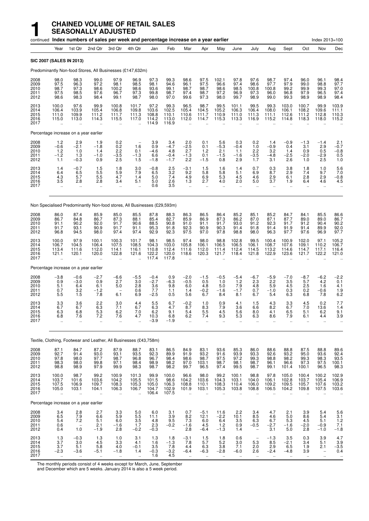**1**

|                                      |                                                          |                                                                 | continued Index numbers of sales per week and percentage increase on a year earlier |                                                          |                                                          |                                          |                                                           |                                                         |                                                     |                                                  |                                                  |                                                  |                                             |                                                               |                                                  | Index 2013=100                                             |                                                 |
|--------------------------------------|----------------------------------------------------------|-----------------------------------------------------------------|-------------------------------------------------------------------------------------|----------------------------------------------------------|----------------------------------------------------------|------------------------------------------|-----------------------------------------------------------|---------------------------------------------------------|-----------------------------------------------------|--------------------------------------------------|--------------------------------------------------|--------------------------------------------------|---------------------------------------------|---------------------------------------------------------------|--------------------------------------------------|------------------------------------------------------------|-------------------------------------------------|
|                                      | Year                                                     | 1st Qtr                                                         | 2nd Qtr                                                                             | 3rd Qtr                                                  | 4th Qtr                                                  | Jan                                      | Feb                                                       | Mar                                                     | Apr                                                 | May                                              | June                                             | July                                             | Aug                                         | Sept                                                          | Oct                                              | Nov                                                        | Dec                                             |
|                                      | <b>SIC 2007 (SALES IN 2013)</b>                          |                                                                 |                                                                                     |                                                          |                                                          |                                          |                                                           |                                                         |                                                     |                                                  |                                                  |                                                  |                                             |                                                               |                                                  |                                                            |                                                 |
|                                      |                                                          |                                                                 | Predominantly Non-food Stores, All Businesses (£147,632m)                           |                                                          |                                                          |                                          |                                                           |                                                         |                                                     |                                                  |                                                  |                                                  |                                             |                                                               |                                                  |                                                            |                                                 |
| 2008<br>2009<br>2010<br>2011<br>2012 | 98.0<br>97.5<br>98.7<br>97.5<br>98.6                     | 98.3<br>96.3<br>97.3<br>98.5<br>98.3                            | 99.0<br>97.2<br>98.6<br>97.6<br>98.4                                                | 97.9<br>98.1<br>100.2<br>96.7<br>99.1                    | 96.9<br>98.5<br>98.6<br>97.3<br>98.7                     | 97.3<br>98.1<br>93.6<br>99.8<br>98.0     | 99.3<br>94.6<br>99.1<br>98.7<br>97.0                      | 98.6<br>96.1<br>98.7<br>97.4<br>99.6                    | 97.5<br>97.5<br>98.7<br>98.7<br>97.3                | 102.1<br>96.6<br>98.6<br>97.2<br>98.0            | 97.8<br>97.4<br>98.5<br>96.9<br>99.7             | 97.6<br>98.6<br>100.8<br>97.3<br>98.9            | 98.7<br>97.7<br>100.8<br>96.0<br>99.0       | 97.4<br>97.9<br>99.2<br>96.8<br>99.3                          | 96.0<br>99.0<br>99.9<br>97.9<br>98.9             | 96.1<br>98.8<br>99.3<br>96.5<br>98.9                       | 98.4<br>97.7<br>97.0<br>97.4<br>98.4            |
| 2013<br>2014<br>2015<br>2016<br>2017 | 100.0<br>106.4<br>111.0<br>115.0<br>$\ddotsc$            | 97.6<br>103.9<br>109.9<br>113.0<br>$\mathbf{r}$                 | 99.9<br>105.4<br>111.2<br>114.3<br>$\ddot{\phantom{a}}$                             | 100.8<br>106.8<br>111.7<br>115.5<br>$\ddot{\phantom{a}}$ | 101.7<br>109.8<br>111.3<br>117.0                         | 97.2<br>103.6<br>108.8<br>114.2<br>114.9 | 99.3<br>102.5<br>110.1<br>113.0<br>116.9                  | 96.5<br>105.4<br>110.6<br>112.0                         | 98.7<br>104.5<br>111.7<br>114.7                     | 99.5<br>105.2<br>110.9<br>115.3                  | 101.1<br>106.3<br>111.0<br>113.3                 | 99.5<br>106.4<br>111.3<br>116.9                  | 99.3<br>108.0<br>111.1<br>115.2             | 103.0<br>106.1<br>112.6<br>114.8                              | 100.7<br>108.2<br>111.2<br>118.3                 | 99.9<br>109.6<br>112.8<br>118.0                            | 103.9<br>111.1<br>110.3<br>115.2                |
|                                      |                                                          | Percentage increase on a year earlier                           |                                                                                     |                                                          |                                                          |                                          |                                                           |                                                         |                                                     |                                                  |                                                  |                                                  |                                             |                                                               |                                                  |                                                            |                                                 |
| 2008<br>2009<br>2010<br>2011<br>2012 | 1.2<br>$-0.6$<br>$1.2 - 1.2$<br>1.1                      | 2.9<br>$-2.1$<br>1.0<br>1.3<br>$-0.3$                           | 1.9<br>$-1.8$<br>1.4<br>$-1.0$<br>0.9                                               | 0.2<br>0.2<br>$^{2.2}_{-3.5}$<br>2.5                     | 1.6<br>0.1<br>$-1.3$<br>1.5                              | 3.9<br>0.9<br>$-4.6$<br>6.6<br>$-1.8$    | 3.4<br>$-4.7$<br>4.8<br>$-0.4$<br>$-1.7$                  | 2.0<br>$-2.5$<br>2.7<br>$-1.3$<br>2.2                   | 0.1<br>0.1<br>1.2<br>0.1<br>$-1.5$                  | 5.6<br>$-5.3$<br>2.1<br>$-1.5$<br>0.8            | 0.3<br>$-0.4$<br>1.1<br>$-1.6$<br>2.9            | 0.2<br>1.0<br>$\frac{2.2}{-3.5}$<br>1.7          | 1.4<br>$-0.9$<br>3.2<br>$-4.8$<br>3.1       | $-0.9$<br>0.4<br>1.4<br>$-2.5$<br>2.6                         | $-1.3$<br>3.1<br>0.9<br>$-2.0$<br>1.0            | $-1.4$<br>2.9<br>0.5<br>$-2.9$<br>2.5                      | 2.1<br>$-0.7$<br>$-0.8$<br>0.5<br>1.0           |
| 2013<br>2014<br>2015<br>2016<br>2017 | 1.4<br>6.4<br>4.3<br>$3.\overline{5}$<br>                | $-0.7$<br>6.5<br>5.7<br>2.8<br>$\ddot{\phantom{a}}$             | 1.5<br>5.5<br>5.5<br>2.8<br>$\ddot{\phantom{a}}$                                    | 1.8<br>5.9<br>4.7<br>3.4<br>$\ddotsc$                    | 3.0<br>7.9<br>1.4<br>5.1<br>$\ddotsc$                    | $-0.8$<br>6.5<br>5.0<br>5.0<br>0.6       | 2.5<br>3.2<br>7.4<br>2.6<br>3.5                           | $-3.1$<br>9.2<br>4.9<br>$1.\overline{3}$<br>$\ddotsc$   | 1.5<br>5.8<br>6.9<br>2.7<br>$\ddot{\phantom{a}}$    | 1.6<br>5.8<br>5.3<br>4.0<br>$\ddot{\phantom{0}}$ | 1.4<br>5.1<br>4.5<br>2.0<br>$\ddot{\phantom{a}}$ | 0.7<br>6.9<br>4.6<br>5.0<br>$\ddot{\phantom{a}}$ | 0.3<br>8.7<br>2.9<br>3.7<br>$\ddotsc$       | 3.8<br>2.9<br>6.1<br>1.9<br>$\ddot{\phantom{a}}$              | 1.8<br>7.4<br>2.8<br>6.4<br>$\ddot{\phantom{0}}$ | 1.0<br>9.7<br>2.9<br>4.6<br>                               | 5.6<br>7.0<br>$-0.8$<br>4.5                     |
|                                      |                                                          |                                                                 | Non Specialised Predominantly Non-food stores, All Businesses (£29,593m)            |                                                          |                                                          |                                          |                                                           |                                                         |                                                     |                                                  |                                                  |                                                  |                                             |                                                               |                                                  |                                                            |                                                 |
| 2008<br>2009<br>2010<br>2011<br>2012 | 86.0<br>86.7<br>91.1<br>91.7<br>96.8                     | 87.4<br>84.8<br>90.2<br>93.1<br>94.5                            | 85.9<br>86.7<br>92.0<br>90.9<br>98.0                                                | 85.0<br>87.3<br>91.7<br>91.7<br>97.4                     | 85.5<br>88.1<br>90.6<br>91.1<br>97.4                     | 87.8<br>85.4<br>88.5<br>95.3<br>92.9     | 88.3<br>82.7<br>90.8<br>91.8<br>92.3                      | 86.3<br>85.9<br>91.0<br>92.3<br>97.5                    | 86.5<br>86.9<br>91.1<br>90.9<br>97.0                | 86.4<br>87.3<br>91.7<br>90.3<br>97.8             | 85.2<br>86.2<br>93.0<br>91.4<br>98.8             | 85.1<br>87.0<br>91.2<br>91.8<br>98.0             | 85.2<br>87.1<br>92.3<br>91.4<br>96.3        | 84.7<br>87.7<br>91.7<br>91.9<br>97.7                          | 84.1<br>89.0<br>91.2<br>91.4<br>97.6             | 85.5<br>89.0<br>90.4<br>89.9<br>96.9                       | 86.6<br>86.7<br>90.2<br>92.0<br>97.7            |
| 2013<br>2014<br>2015<br>2016<br>2017 | 100.0<br>106.7<br>113.4<br>121.1<br>$\ddot{\phantom{a}}$ | 97.9<br>104.5<br>111.6<br>120.1<br>ä,                           | 100.1<br>106.4<br>112.0<br>120.0<br>$\ddot{\phantom{a}}$                            | 100.3<br>107.5<br>114.1<br>122.8<br>$\ddot{\phantom{a}}$ | 101.7<br>108.5<br>116.1<br>121.6<br>$\ddot{\phantom{a}}$ | 98.1<br>104.3<br>110.8<br>122.2<br>117.4 | 98.5<br>103.0<br>112.4<br>120.0<br>117.8                  | 97.4<br>105.8<br>111.6<br>118.6<br>$\ddot{\phantom{a}}$ | 98.0<br>106.1<br>112.0<br>120.3                     | 98.8<br>106.5<br>111.4<br>121.7                  | 102.8<br>106.5<br>112.4<br>118.4                 | 99.5<br>106.1<br>114.5<br>121.8                  | 100.4<br>108.7<br>113.2<br>122.9            | 100.9<br>107.6<br>114.6<br>123.6                              | 102.0<br>109.1<br>114.7<br>121.7                 | 97.1<br>110.2<br>117.1<br>122.2                            | 105.2<br>106.7<br>116.4<br>121.0                |
|                                      |                                                          | Percentage increase on a year earlier                           |                                                                                     |                                                          |                                                          |                                          |                                                           |                                                         |                                                     |                                                  |                                                  |                                                  |                                             |                                                               |                                                  |                                                            |                                                 |
| 2008<br>2009<br>2010<br>2011<br>2012 | $-3.8$<br>0.9<br>5.1<br>0.7<br>5.5                       | $-0.6$<br>$-3.0$<br>6.4<br>3.2<br>1.5                           | $-2.7$<br>0.9<br>6.1<br>$-1.2$<br>7.8                                               | $-6.6$<br>2.7<br>5.0<br>6.1                              | $-5.5$<br>3.0<br>2.8<br>0.6<br>6.9                       | $-0.4$<br>$-2.7$<br>3.6<br>7.7<br>$-2.5$ | $0.9 - 6.3$<br>9.8<br>1.1<br>0.5                          | $-2.0$<br>$-0.5$<br>6.0<br>1.4<br>5.6                   | $^{-1.5}_{0.5}$<br>4.8<br>$-0.2$<br>6.7             | $-0.5$<br>1.0<br>5.0<br>$-1.6$<br>8.4            | $-5.4$<br>1.2<br>7.9<br>$-1.7$<br>8.1            | $-6.7$<br>2.3<br>4.8<br>0.7<br>6.7               | $-5.9$<br>2.2<br>5.9<br>$-1.0$<br>5.4       | $-7.0$<br>3.5<br>4.5<br>0.3<br>6.3                            | $-8.7$<br>5.7<br>2.5<br>0.2<br>6.8               | $-6.2$<br>4.2<br>1.6<br>$-0.6$<br>7.8                      | $^{-2.2}_{0.1}$<br>4.1<br>1.9<br>6.2            |
| 2013<br>2014<br>2015<br>2016<br>2017 | 3.3<br>6.7<br>6.3<br>6.8<br>.,                           | 3.6<br>6.7<br>6.8<br>$7.6\,$<br>$\ldots$                        | 2.2<br>6.3<br>5.3<br>7.2<br>$\ddotsc$                                               | 3.0<br>7.1<br>6.2<br>7.6<br>$\ddot{\phantom{a}}$         | 4.4<br>6.7<br>7.0<br>4.7                                 | 5.5<br>6.3<br>6.2<br>10.3<br>$-3.9$      | 6.7<br>4.7<br>9.1<br>6.8<br>$-1.9$                        | $-0.2$<br>8.7<br>5.4<br>6.2                             | 1.0<br>8.3<br>5.5<br>7.4<br>ä.                      | 0.9<br>7.9<br>4.5<br>9.3                         | 4.1<br>3.6<br>5.6<br>5.3                         | 1.5<br>6.6<br>8.0<br>6.3                         | 4.3<br>8.2<br>4.1<br>8.6                    | 3.3<br>6.7<br>6.5<br>7.9                                      | 4.5<br>7.0<br>5.1<br>6.1                         | 0.2<br>13.6<br>6.2<br>4.4                                  | 7.7<br>1.4<br>9.1<br>3.9                        |
|                                      |                                                          |                                                                 | Textile, Clothing, Footwear and Leather, All Businesses (£43,758m)                  |                                                          |                                                          |                                          |                                                           |                                                         |                                                     |                                                  |                                                  |                                                  |                                             |                                                               |                                                  |                                                            |                                                 |
| 2008<br>2009<br>2010<br>2011<br>2012 | 87.1<br>92.7<br>97.8<br>98.3<br>98.8                     | 84.7<br>91.4<br>98.0<br>98.0<br>98.9                            | 87.2<br>93.0<br>97.7<br>99.8<br>97.9                                                | 87.9<br>93.1<br>98.7<br>97.1<br>99.9                     | 88.7<br>93.5<br>96.8<br>98.4<br>98.3                     | 83.1<br>92.3<br>96.7<br>98.9<br>98.7     | 86.5<br>89.9<br>98.4<br>98.2<br>98.2                      | 84.9<br>91.9<br>98.6<br>97.0<br>99.7                    | 83.1<br>93.2<br>98.7<br>103.1<br>96.5               | 93.6<br>91.6<br>97.5<br>98.7<br>97.4             | 85.3<br>93.9<br>97.2<br>98.1<br>99.5             | 86.0<br>93.3<br>99.3<br>98.7<br>98.7             | 88.6<br>92.6<br>98.8<br>96.1<br>99.1        | 88.8<br>93.2<br>98.2<br>96.6<br>101.4                         | 87.5<br>95.0<br>99.3<br>97.3<br>100.1            | 88.8<br>93.6<br>98.3<br>97.5<br>96.5                       | 89.6<br>$\frac{92.4}{93.5}$<br>100.1<br>98.3    |
| 2013<br>2014<br>2015<br>2016<br>2017 | 100.0<br>103.7<br>107.5<br>105.0<br>$\ddot{\phantom{a}}$ | 98.7<br>101.6<br>106.9<br>103.1<br>$\ddotsc$                    | 99.2<br>103.6<br>109.7<br>104.1<br>.,                                               | 100.9<br>104.2<br>108.3<br>106.3<br>$\ddot{\phantom{a}}$ | 101.3<br>105.5<br>105.3<br>106.7<br>÷.                   | 99.9<br>101.5<br>105.0<br>104.7<br>106.4 | 100.0<br>98.6<br>106.3<br>102.9<br>107.5                  | 96.6<br>104.2<br>108.8<br>101.9<br>$\ddotsc$            | 98.0<br>103.6<br>110.1<br>103.1                     | 99.2<br>104.3<br>108.3<br>105.3                  | 100.1<br>103.1<br>110.4<br>103.8                 | 98.8<br>104.0<br>106.0<br>108.8                  | 97.8<br>106.1<br>109.2<br>106.5             | 105.0<br>102.8<br>109.5<br>104.2                              | 100.4<br>103.7<br>105.7<br>109.8                 | 100.2<br>105.4<br>107.6<br>107.5                           | 102.9<br>106.9<br>103.2<br>103.6                |
|                                      |                                                          | Percentage increase on a year earlier                           |                                                                                     |                                                          |                                                          |                                          |                                                           |                                                         |                                                     |                                                  |                                                  |                                                  |                                             |                                                               |                                                  |                                                            |                                                 |
| 2008<br>2009<br>2010<br>2011<br>2012 | 3.4<br>6.5<br>5.4<br>0.6<br>0.4                          | $\frac{2.8}{7.9}$<br>$7.2\,$<br>$\overline{\phantom{a}}$<br>1.0 | 2.7<br>6.6<br>5.1<br>2.1<br>$-1.9$                                                  | 3.3<br>5.9<br>$6.0\,$<br>$-1.6$<br>2.8                   | 5.0<br>5.5<br>$\frac{3.5}{1.7}$<br>$-0.2$                | 6.0<br>11.1<br>4.8<br>2.3<br>$-0.3$      | 3.1<br>3.9<br>$^{9.5}_{-0.2}$<br>$\overline{\phantom{a}}$ | 0.7<br>8.2<br>7.3<br>$-1.6$<br>2.8                      | $-5.1$<br>12.1<br>$6.0\,$<br>4.5<br>$-6.4$          | 11.6<br>$-2.2$<br>6.4<br>1.2<br>$-1.3$           | 2.2<br>10.1<br>3.5<br>0.9<br>1.4                 | 3.4<br>8.5<br>6.3<br>$-0.5$                      | 4.7<br>4.6<br>6.7<br>$-2.7$<br>3.1          | 2.1<br>5.0<br>5.3<br>$-1.6$<br>5.0                            | 3.9<br>8.6<br>4.5<br>$-2.0$<br>2.8               | 5.4<br>5.4<br>5.1<br>$-0.9$<br>$-1.0$                      | 5.6<br>3.1<br>$\overline{1.2}$<br>7.1<br>$-1.8$ |
| 2013<br>2014<br>2015<br>2016<br>2017 | 1.3<br>3.7<br>3.7<br>$-\bar{2}.3$<br>$\ldots$            | $-0.3$<br>3.0<br>5.1<br>$-3.6$<br>$\ddot{\phantom{1}}$          | 1.3<br>4.5<br>5.8<br>-5.1<br>$\ddot{\phantom{1}}$                                   | 1.0<br>3.3<br>4.0<br>$-1.8$<br>$\ddotsc$                 | 3.1<br>4.1<br>$-0.1$<br>1.4<br>$\ddotsc$                 | 1.3<br>1.6<br>3.5<br>$-0.3$<br>1.6       | 1.8<br>$-1.3$<br>7.8<br>$-3.2$<br>4.5                     | -3.1<br>7.8<br>4.4<br>$-6.4$<br>$\ddotsc$               | 1.5<br>5.7<br>6.3<br>$-6.3$<br>$\ddot{\phantom{1}}$ | 1.8<br>5.2<br>$3.8\,$<br>$-2.8$<br>$\ddotsc$     | 0.6<br>3.0<br>7.1<br>$-6.0$<br>$\ddotsc$         | 5.3<br>2.0<br>2.6<br>$\ddot{\phantom{1}}$        | $-1.3$<br>8.5<br>2.9<br>$-2.4$<br>$\ddotsc$ | 3.5<br>$-2.1$<br>6.5<br>$-4.8$<br>$\mathcal{L}_{\mathcal{A}}$ | 0.3<br>3.4<br>1.9<br>3.9<br>$\ddot{\phantom{1}}$ | 3.9<br>5.1<br>2.1<br>$\qquad \qquad -$<br>$\bullet\bullet$ | 4.7<br>$3.9 - 3.5$<br>0.4<br>$\cdot$            |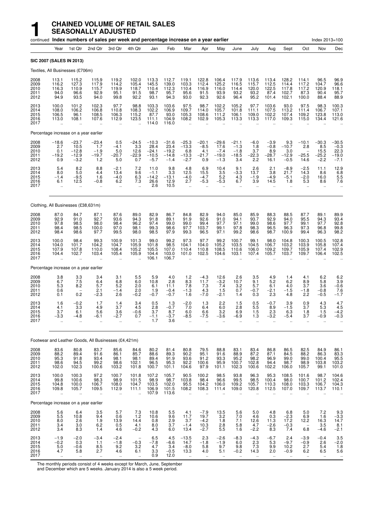**1**

| continued Index numbers of sales per week and percentage increase on a year earlier |                                                                |                                                             |                                                          |                                                         |                                                        |                                                 |                                                 |                                                           |                                                         |                                                                 |                                                        |                                                      |                                                      |                                                         |                                             | Index 2013=100                            |                                              |
|-------------------------------------------------------------------------------------|----------------------------------------------------------------|-------------------------------------------------------------|----------------------------------------------------------|---------------------------------------------------------|--------------------------------------------------------|-------------------------------------------------|-------------------------------------------------|-----------------------------------------------------------|---------------------------------------------------------|-----------------------------------------------------------------|--------------------------------------------------------|------------------------------------------------------|------------------------------------------------------|---------------------------------------------------------|---------------------------------------------|-------------------------------------------|----------------------------------------------|
|                                                                                     | Year                                                           | 1st Qtr                                                     | 2nd Qtr                                                  | 3rd Qtr                                                 | 4th Qtr                                                | Jan                                             | Feb                                             | Mar                                                       | Apr                                                     | May                                                             | June                                                   | July                                                 | Aug                                                  | Sept                                                    | Oct                                         | Nov                                       | Dec                                          |
| <b>SIC 2007 (SALES IN 2013)</b>                                                     |                                                                |                                                             |                                                          |                                                         |                                                        |                                                 |                                                 |                                                           |                                                         |                                                                 |                                                        |                                                      |                                                      |                                                         |                                             |                                           |                                              |
| Textiles, All Businesses (£706m)                                                    |                                                                |                                                             |                                                          |                                                         |                                                        |                                                 |                                                 |                                                           |                                                         |                                                                 |                                                        |                                                      |                                                      |                                                         |                                             |                                           |                                              |
| 2008<br>2009<br>2010<br>2011<br>2012                                                | 113.1<br>116.2<br>116.3<br>94.0<br>94.9                        | 115.2<br>127.3<br>110.9<br>96.6<br>93.5                     | 115.9<br>117.9<br>115.7<br>92.9<br>94.0                  | 119.2<br>114.2<br>119.9<br>95.1<br>99.8                 | 102.0<br>105.4<br>118.7<br>91.5<br>92.2                | 113.3<br>145.5<br>110.4<br>98.7<br>93.1         | 112.7<br>139.0<br>112.3<br>95.7<br>94.3         | 119.1<br>103.3<br>110.4<br>95.6<br>93.0                   | 122.8<br>112.4<br>116.9<br>91.5<br>92.3                 | 106.4<br>125.2<br>116.0<br>93.9<br>92.6                         | 117.9<br>116.5<br>114.4<br>93.2<br>96.4                | 113.6<br>115.7<br>120.0<br>93.2<br>95.2              | 113.4<br>112.5<br>122.5<br>87.4<br>101.4             | 128.2<br>114.4<br>117.8<br>102.7<br>102.1               | 114.1<br>117.2<br>117.2<br>87.3<br>100.0    | 96.5<br>104.7<br>120.9<br>90.4<br>88.4    | 96.9<br>96.6<br>118.1<br>95.7<br>88.9        |
| 2013<br>2014<br>2015<br>2016<br>2017                                                | 100.0<br>108.0<br>106.5<br>113.0<br>$\ddotsc$                  | 101.2<br>106.2<br>96.1<br>108.1<br>ä,                       | 102.3<br>106.8<br>108.5<br>107.6<br>$\ddot{\phantom{a}}$ | 97.7<br>110.8<br>106.3<br>112.9<br>$\ddot{\phantom{a}}$ | 98.8<br>108.3<br>115.2<br>123.5                        | 103.3<br>102.2<br>87.7<br>111.1<br>114.0        | 103.6<br>106.9<br>93.0<br>104.9<br>116.0        | 97.5<br>109.7<br>105.3<br>108.2                           | 98.7<br>114.0<br>108.6<br>102.9                         | 102.2<br>105.7<br>111.2<br>105.3                                | 105.2<br>101.8<br>106.1<br>113.3                       | 97.7<br>111.1<br>109.0<br>113.3                      | 103.6<br>107.5<br>102.2<br>117.0                     | 93.0<br>113.2<br>107.4<br>109.3                         | 97.5<br>111.4<br>109.2<br>115.0             | 98.3<br>106.7<br>123.8<br>134.4           | 100.3<br>107.1<br>113.0<br>121.6             |
|                                                                                     |                                                                | Percentage increase on a year earlier                       |                                                          |                                                         |                                                        |                                                 |                                                 |                                                           |                                                         |                                                                 |                                                        |                                                      |                                                      |                                                         |                                             |                                           |                                              |
| 2008<br>2009<br>2010<br>2011<br>2012                                                | $-18.6$<br>2.7<br>0.1<br>$-19.2$<br>0.9                        | $-23.7$<br>10.5<br>$-12.8$<br>$-12.9$<br>$-3.2$             | $-23.4$<br>1.7<br>$-1.9$<br>$-19.7$<br>1.2               | 0.5<br>$-4.1$<br>5.0<br>–20.7<br>5.0                    | $-24.5$<br>3.3<br>12.6<br>$-22.9$<br>0.7               | $-10.3$<br>28.4<br>$-24.1$<br>$-10.5$<br>$-5.7$ | $-31.6$<br>23.4<br>$-19.2$<br>$-14.8$<br>$-1.4$ | $-25.3$<br>$-13.3$<br>6.8<br>$-13.3$<br>$-2.7$            | $-20.1$<br>$-8.5$<br>4.1<br>$-21.7$<br>0.9              | $-29.6$<br>17.6<br>$-7.4$<br>$-19.0$<br>$-1.3$                  | $-21.1$<br>$-1.3$<br>$-1.8$<br>$-18.5$<br>3.4          | $-6.0$<br>1.8<br>3.7<br>-22.3<br>2.2                 | $-3.9$<br>$-0.8$<br>8.9<br>$-28.7$<br>16.1           | 9.3<br>$-10.7$<br>3.0<br>–12.9<br>$-0.5$                | $-10.1$<br>2.8<br>$-25.5$<br>14.6           | $-30.3$<br>8.5<br>15.5<br>-25.2<br>$-2.2$ | -30.5<br>$-0.3$<br>22.3<br>$-19.0$<br>$-7.1$ |
| 2013<br>2014<br>2015<br>2016<br>2017                                                | 5.4<br>8.0<br>$-1.4$<br>6.1<br>$\ddot{\phantom{a}}$            | 8.2<br>5.0<br>$-9.5$<br>12.5<br>$\ddot{\phantom{1}}$        | 8.8<br>4.4<br>1.6<br>$-0.8$<br>ä.                        | $-2.1$<br>13.4<br>$-4.0$<br>6.2<br>$\ddot{\phantom{a}}$ | 7.2<br>9.6<br>6.3<br>7.3<br>$\ddot{\phantom{a}}$       | 11.0<br>$-1.1$<br>$-14.2$<br>26.6<br>2.6        | 9.8<br>3.3<br>$-13.1$<br>12.9<br>10.5           | 4.8<br>12.5<br>$-4.0$<br>2.7<br>÷.                        | 6.9<br>15.5<br>$-4.7$<br>$-5.3$<br>$\ddot{\phantom{a}}$ | 10.4<br>3.5<br>5.2<br>$-5.3$<br>$\ddot{\phantom{a}}$            | 9.1<br>$-3.3$<br>4.3<br>6.7<br>$\ddot{\phantom{a}}$    | 2.6<br>13.7<br>$-1.9$<br>3.9<br>$\ddot{\phantom{a}}$ | 2.1<br>3.8<br>$-4.9$<br>14.5<br>$\ddot{\phantom{a}}$ | $-8.9$<br>21.7<br>$-5.1$<br>1.8<br>ä.                   | $-2.5$<br>14.3<br>$-2.0$<br>5.3<br>÷.       | 11.1<br>8.6<br>16.0<br>8.6<br>ä,          | 12.9<br>6.8<br>5.5<br>7.6<br>ä.              |
| Clothing, All Businesses (£38,631m)                                                 |                                                                |                                                             |                                                          |                                                         |                                                        |                                                 |                                                 |                                                           |                                                         |                                                                 |                                                        |                                                      |                                                      |                                                         |                                             |                                           |                                              |
| 2008<br>2009<br>2010<br>2011<br>2012                                                | 87.0<br>92.9<br>97.8<br>98.4<br>98.4                           | 84.7<br>91.0<br>98.5<br>98.5<br>98.6                        | 87.1<br>92.7<br>98.0<br>100.0<br>97.7                    | 87.6<br>93.6<br>98.4<br>97.0<br>99.5                    | 89.0<br>94.3<br>96.2<br>98.1<br>98.0                   | 82.9<br>91.8<br>97.4<br>99.3<br>98.5            | 86.7<br>89.1<br>99.0<br>98.6<br>97.9            | 84.8<br>91.9<br>99.0<br>97.7<br>99.3                      | 82.9<br>92.6<br>99.4<br>103.7<br>96.5                   | 94.0<br>91.0<br>97.7<br>99.1<br>97.1                            | 85.0<br>94.1<br>97.1<br>97.8<br>99.2                   | 85.9<br>93.7<br>99.0<br>98.3<br>98.6                 | 88.3<br>92.9<br>98.6<br>96.5<br>98.7                 | 88.5<br>94.0<br>97.7<br>96.3<br>100.9                   | 87.7<br>95.5<br>99.1<br>97.3<br>99.4        | 89.1<br>94.3<br>97.7<br>96.8<br>96.3      | 89.9<br>93.4<br>92.8<br>99.8<br>98.2         |
| 2013<br>2014<br>2015<br>2016<br>2017                                                | 100.0<br>104.0<br>107.9<br>104.4<br>$\ddotsc$                  | 98.4<br>101.7<br>107.8<br>102.7<br>$\mathbf{r}$             | 99.3<br>104.2<br>110.0<br>103.4<br>$\ddot{\phantom{a}}$  | 100.9<br>104.7<br>108.4<br>105.4                        | 101.3<br>105.9<br>105.2<br>105.9                       | 99.0<br>101.8<br>105.5<br>104.4<br>106.1        | 99.2<br>98.5<br>107.0<br>103.0<br>106.7         | 97.3<br>104.1<br>110.4<br>101.0                           | 97.7<br>104.0<br>110.8<br>102.5                         | 99.2<br>105.2<br>108.5<br>104.6                                 | 100.7<br>103.5<br>110.6<br>103.1                       | 99.1<br>104.5<br>106.0<br>107.4                      | 98.0<br>106.7<br>109.2<br>105.7                      | 104.8<br>103.2<br>109.7<br>103.7                        | 100.3<br>103.9<br>105.9<br>109.7            | 100.5<br>105.8<br>107.4<br>106.4          | 102.8<br>107.4<br>102.9<br>102.5             |
| Percentage increase on a year earlier                                               |                                                                |                                                             |                                                          |                                                         |                                                        |                                                 |                                                 |                                                           |                                                         |                                                                 |                                                        |                                                      |                                                      |                                                         |                                             |                                           |                                              |
| 2008<br>2009<br>2010<br>2011<br>2012                                                | $\begin{array}{c} 3.8 \\ 6.7 \end{array}$<br>5.3<br>0.6<br>0.1 | $\frac{3.3}{7.5}$<br>8.2<br>$\overline{\phantom{m}}$<br>0.2 | 3.4<br>6.4<br>5.7<br>2.1<br>$-2.3$                       | 3.1<br>6.8<br>5.2<br>$-1.4$<br>2.6                      | 5.5<br>6.0<br>2.0<br>2.0<br>$-0.2$                     | 5.9<br>10.8<br>6.1<br>1.9<br>$-0.7$             | 4.0<br>2.8<br>11.1<br>$-0.4$<br>$-0.7$          | 1.2<br>8.3<br>7.8<br>$-1.3$<br>1.6                        | $-4.3$<br>11.7<br>7.3<br>4.3<br>$-7.0$                  | 12.6<br>$-3.2$<br>7.4<br>1.5<br>$-2.1$                          | 2.6<br>10.7<br>3.2<br>0.7<br>1.4                       | 3.5<br>9.1<br>5.7<br>$-0.7$<br>0.3                   | 4.9<br>5.2<br>6.1<br>$-2.1$<br>2.3                   | 1.4<br>6.2<br>4.0<br>$-1.5$<br>4.8                      | 4.1<br>8.9<br>3.7<br>$-1.8$<br>2.2          | 6.2<br>5.8<br>3.6<br>$-0.8$<br>$-0.5$     | 6.2<br>3.9<br>$-0.6$<br>7.6<br>$-1.7$        |
| 2013<br>2014<br>2015<br>2016<br>2017                                                | 1.6<br>4.1<br>3.7<br>$-3.3$<br>$\ddotsc$                       | $-0.2$<br>3.3<br>6.1<br>$-4.8$<br>$\mathbf{r}$              | 1.7<br>4.9<br>5.6<br>$-6.1$<br>$\ddot{\phantom{a}}$      | 1.4<br>3.7<br>3.6<br>$-2.7$                             | 3.4<br>4.5<br>$-0.6$<br>0.7                            | 0.5<br>2.8<br>3.7<br>$-1.1$<br>1.7              | 1.3<br>$-0.7$<br>8.7<br>$-3.7$<br>3.6           | $-2.0$<br>7.0<br>6.0<br>$-8.5$                            | 1.3<br>6.4<br>6.6<br>$-7.5$                             | 2.2<br>6.0<br>3.2<br>$-3.6$<br>$\ddotsc$                        | 1.5<br>2.8<br>6.9<br>-6.9                              | 0.5<br>5.5<br>1.5<br>1.3<br>ä.                       | $-0.7$<br>8.9<br>2.3<br>$-3.2$<br>ä.                 | 3.9<br>$-1.5$<br>6.3<br>-5.4<br>$\ddot{\phantom{a}}$    | 0.9<br>3.7<br>1.8<br>3.7<br>ä.              | 4.3<br>5.3<br>1.5<br>$-0.9$<br>ä.         | 4.7<br>4.5<br>$-4.2$<br>$-0.3$               |
| Footwear and Leather Goods, All Businesses (£4,421m)                                |                                                                |                                                             |                                                          |                                                         |                                                        |                                                 |                                                 |                                                           |                                                         |                                                                 |                                                        |                                                      |                                                      |                                                         |                                             |                                           |                                              |
| 2008<br>2009<br>2010<br>2011<br>2012                                                | 83.6<br>88.2<br>95.3<br>98.6<br>102.0                          | 80.8<br>89.4<br>91.8<br>94.5<br>102.3                       | 83.7<br>91.6<br>93.4<br>99.2<br>100.6                    | 85.6<br>86.1<br>98.1<br>98.6<br>103.2                   | 84.6<br>85.7<br>98.1<br>102.1<br>101.8                 | 80.2<br>88.6<br>89.4<br>96.5<br>100.7           | 81.4<br>89.3<br>91.9<br>95.3<br>101.1           | 80.8<br>90.2<br>93.6<br>92.2<br>104.6                     | 79.5<br>95.1<br>91.2<br>100.6<br>97.9                   | 88.8<br>91.6<br>93.3<br>95.9<br>101.1                           | 83.1<br>88.9<br>95.2<br>100.7<br>102.3                 | 83.4<br>87.2<br>98.2<br>102.8<br>100.6               | 86.8<br>87.1<br>96.9<br>94.4<br>102.2                | 86.5<br>84.5<br>99.0<br>98.7<br>106.0                   | 82.5<br>88.2<br>99.0<br>98.9<br>105.7       | 84.9<br>86.3<br>100.4<br>103.8<br>99.1    | 86.1<br>$83.3$<br>95.5<br>103.2<br>101.0     |
| 2013<br>2014<br>2015<br>2016<br>2017                                                | 100.0<br>99.8<br>104.8<br>109.8<br>$\ddotsc$                   | 100.3<br>100.6<br>100.0<br>105.7<br>$\ddotsc$               | 97.2<br>98.3<br>106.7<br>109.5<br>                       | 100.7<br>98.9<br>108.0<br>112.9<br>$\ddotsc$            | 101.8<br>101.5<br>104.7<br>111.1<br>ä,                 | 107.2<br>98.9<br>103.5<br>106.9<br>107.9        | 105.7<br>98.7<br>102.0<br>101.5<br>113.6        | 90.5<br>103.8<br>95.5<br>108.2<br>$\ddot{\phantom{a}}$    | 100.2<br>98.4<br>104.2<br>108.3                         | 98.5<br>96.6<br>106.0<br>111.4                                  | 93.8<br>99.5<br>109.2<br>109.0                         | 96.3<br>98.5<br>105.7<br>120.8                       | 95.3<br>100.4<br>110.3<br>112.5                      | 108.5<br>98.0<br>108.0<br>107.0                         | 101.6<br>100.7<br>103.3<br>109.7            | 98.7<br>101.2<br>106.7<br>113.7           | 104.6<br>102.4<br>104.3<br>110.1             |
| Percentage increase on a year earlier                                               |                                                                |                                                             |                                                          |                                                         |                                                        |                                                 |                                                 |                                                           |                                                         |                                                                 |                                                        |                                                      |                                                      |                                                         |                                             |                                           |                                              |
| 2008<br>2009<br>2010<br>2011<br>2012                                                | $\begin{array}{c} 5.6 \\ 5.5 \end{array}$<br>8.0<br>3.4<br>3.4 | 6.4<br>10.8<br>2.6<br>3.0<br>8.3                            | 3.5<br>9.4<br>1.9<br>6.2<br>1.4                          | 5.7<br>0.6<br>$\substack{13.9 \\ 0.5}$<br>4.6           | 7.3<br>1.2<br>14.4<br>4.1<br>$-0.2$                    | 10.8<br>10.6<br>0.8<br>8.0<br>4.3               | 5.5<br>9.6<br>$\frac{2.9}{3.7}$<br>6.0          | 4.1<br>11.7<br>3.7<br>$-1.4$<br>13.4                      | $-7.9$<br>19.7<br>$-4.2$<br>10.3<br>$-2.7$              | $\begin{array}{c} 13.5 \\ 3.2 \end{array}$<br>1.8<br>2.8<br>5.5 | $\frac{5.6}{7.0}$<br>7.1<br>5.8<br>1.6                 | 5.0<br>4.6<br>12.6<br>4.7<br>$-2.2$                  | 4.8<br>0.3<br>11.3<br>$-2.6$<br>8.3                  | 6.8<br>$-2.3$<br>17.2<br>$-0.3$<br>7.4                  | 5.0<br>6.9<br>12.2<br>6.8                   | 7.2<br>1.6<br>16.3<br>3.5<br>$-4.6$       | $\frac{9.3}{-3.3}$<br>14.7<br>8.1<br>$-2.1$  |
| 2013<br>2014<br>2015<br>2016<br>2017                                                | $-1.9$<br>$-0.2$<br>5.0<br>4.7<br>$\ddot{\phantom{a}}$         | $-2.0$<br>0.3<br>$-0.6$<br>5.8<br>$\ddot{\phantom{1}}$      | $-3.4$<br>1.1<br>8.5<br>2.7<br>$\bar{\Omega}$            | $-2.4$<br>$-1.8$<br>9.2<br>4.6<br>$\ddot{\phantom{a}}$  | $\overline{\phantom{0}}$<br>$-0.3$<br>3.2<br>6.1<br>à. | 6.5<br>$-7.8$<br>4.7<br>$3.3\,$<br>0.9          | 4.5<br>$-6.6$<br>3.4<br>$-0.5$<br>12.0          | $-13.5$<br>14.7<br>$-8.0$<br>13.3<br>$\ddot{\phantom{1}}$ | 2.3<br>$-1.8$<br>5.8<br>4.0<br>$\ddotsc$                | $-2.6$<br>$-1.9$<br>9.7<br>5.1<br>$\ddotsc$                     | $-8.3$<br>6.0<br>9.8<br>$-0.2$<br>$\ddot{\phantom{1}}$ | $-4.3$<br>2.3<br>7.3<br>14.3<br>ä,                   | $-6.7$<br>5.3<br>9.9<br>2.0<br>$\ddot{\phantom{1}}$  | 2.4<br>$-9.7$<br>10.2<br>$-0.9$<br>$\ddot{\phantom{a}}$ | $-3.9$<br>$-0.9$<br>2.7<br>6.2<br>$\ddotsc$ | $-0.4$<br>2.6<br>5.4<br>6.5<br>$\ddotsc$  | $3.5 - 2.0$<br>1.8<br>5.6<br>$\cdot$         |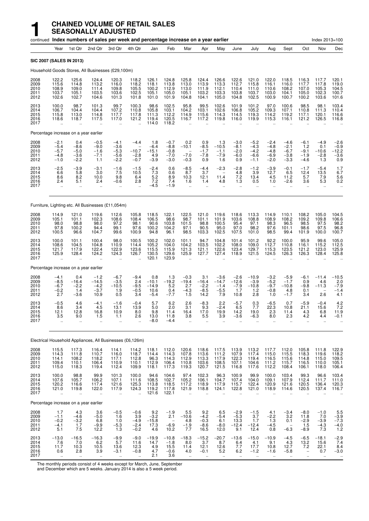**1**

|                                      |                                                          |                                                  | continued Index numbers of sales per week and percentage increase on a year earlier |                                                          |                                                                   |                                             |                                                |                                                      |                                            |                                                                |                                                     |                                                |                                                |                                                     |                                                                    | Index 2013=100                                         |                                                  |
|--------------------------------------|----------------------------------------------------------|--------------------------------------------------|-------------------------------------------------------------------------------------|----------------------------------------------------------|-------------------------------------------------------------------|---------------------------------------------|------------------------------------------------|------------------------------------------------------|--------------------------------------------|----------------------------------------------------------------|-----------------------------------------------------|------------------------------------------------|------------------------------------------------|-----------------------------------------------------|--------------------------------------------------------------------|--------------------------------------------------------|--------------------------------------------------|
|                                      | Year                                                     | 1st Qtr                                          | 2nd Qtr                                                                             | 3rd Qtr                                                  | 4th Qtr                                                           | Jan                                         | Feb                                            | Mar                                                  | Apr                                        | May                                                            | June                                                | July                                           | Aug                                            | Sept                                                | Oct                                                                | Nov                                                    | Dec                                              |
|                                      | SIC 2007 (SALES IN 2013)                                 |                                                  |                                                                                     |                                                          |                                                                   |                                             |                                                |                                                      |                                            |                                                                |                                                     |                                                |                                                |                                                     |                                                                    |                                                        |                                                  |
|                                      |                                                          |                                                  | Household Goods Stores, All Businesses (£29,100m)                                   |                                                          |                                                                   |                                             |                                                |                                                      |                                            |                                                                |                                                     |                                                |                                                |                                                     |                                                                    |                                                        |                                                  |
| 2008<br>2009<br>2010<br>2011<br>2012 | 122.2<br>115.6<br>108.9<br>103.7<br>102.6                | 125.6<br>114.8<br>109.0<br>105.1<br>102.7        | 124.4<br>113.2<br>111.4<br>103.5<br>104.6                                           | 120.3<br>116.0<br>109.8<br>103.6<br>101.3                | 118.2<br>118.2<br>105.5<br>102.5<br>101.8                         | 126.1<br>118.1<br>100.2<br>105.1<br>101.0   | 124.8<br>113.8<br>112.9<br>105.0<br>101.9      | 125.8<br>113.0<br>113.0<br>105.1<br>104.8            | 124.4<br>113.9<br>111.9<br>103.2<br>104.1  | 126.6<br>113.3<br>112.1<br>103.3<br>105.0                      | 122.6<br>112.7<br>110.4<br>103.8<br>104.8           | 121.0<br>115.8<br>111.0<br>103.7<br>102.5      | 122.0<br>116.1<br>110.6<br>103.0<br>100.9      | 118.5<br>116.0<br>108.2<br>104.1<br>100.7           | 116.3<br>117.7<br>107.0<br>105.0<br>100.2                          | 117.7<br>117.8<br>105.3<br>102.3<br>103.6              | 120.1<br>119.0<br>104.5<br>100.7<br>101.6        |
| 2013<br>2014<br>2015<br>2016<br>2017 | 100.0<br>106.7<br>115.8<br>118.6<br>$\ddot{\phantom{1}}$ | 98.7<br>104.4<br>113.0<br>118.7<br>$\mathbf{r}$  | 101.3<br>104.4<br>114.8<br>117.5<br>$\ddot{\phantom{a}}$                            | 99.7<br>107.2<br>117.7<br>117.0<br>$\ddot{\phantom{a}}$  | 100.3<br>110.8<br>117.8<br>121.2<br>$\ddot{\phantom{a}}$          | 98.6<br>105.8<br>111.3<br>119.4<br>114.0    | 102.5<br>103.1<br>112.2<br>120.5<br>118.2      | 95.8<br>104.2<br>114.9<br>116.7                      | 99.5<br>103.1<br>115.6<br>117.2            | 102.6<br>102.6<br>114.3<br>119.8                               | 101.9<br>106.8<br>114.5<br>116.0                    | 101.2<br>105.2<br>119.3<br>119.9               | 97.0<br>109.3<br>114.2<br>115.3                | 100.6<br>107.1<br>119.2<br>116.1                    | 98.5<br>110.8<br>117.1<br>121.2                                    | 98.1<br>111.3<br>120.1<br>126.5                        | 103.4<br>110.4<br>116.6<br>116.8                 |
|                                      |                                                          | Percentage increase on a year earlier            |                                                                                     |                                                          |                                                                   |                                             |                                                |                                                      |                                            |                                                                |                                                     |                                                |                                                |                                                     |                                                                    |                                                        |                                                  |
| 2008<br>2009<br>2010<br>2011<br>2012 | $-2.1$<br>$-5.4$<br>$-5.7$<br>$-4.8$<br>$-1.0$           | 0.4<br>$-8.6$<br>$-5.0$<br>$-3.6$<br>$-2.2$      | $-0.5$<br>$-9.0$<br>$-1.6$<br>$-7.1$<br>1.1                                         | $-4.1$<br>$-3.6$<br>$-5.3$<br>$-5.6$<br>$-2.2$           | $-4.4$<br>$\overline{\phantom{a}}$<br>$-10.7$<br>$-2.8$<br>$-0.7$ | 1.8<br>$-6.4$<br>$-15.1$<br>4.9<br>$-3.9$   | $-0.7$<br>$-8.8$<br>$-0.8$<br>$-7.0$<br>$-3.0$ | 0.2<br>$-10.1$<br>$-7.0$<br>$-0.3$                   | 0.9<br>$-8.5$<br>$-1.7$<br>$-7.8$<br>0.9   | 1.3<br>$-10.5$<br>$-1.1$<br>$-7.9$<br>1.6                      | $-3.0$<br>$-8.1$<br>$-2.0$<br>$-6.0$<br>0.9         | $-5.2$<br>$-4.3$<br>$-4.2$<br>$-6.6$<br>$-1.1$ | $-2.4$<br>$-4.8$<br>$-4.8$<br>$-6.9$<br>$-2.0$ | $-4.6$<br>$-2.1$<br>$-6.7$<br>$-3.8$<br>$-3.3$      | $-6.1$<br>1.2<br>$-9.1$<br>$-1.9$<br>$-4.6$                        | $-4.9$<br>0.1<br>$-10.6$<br>$-2.8$<br>1.3              | $-2.6$<br>$-0.9$<br>$-12.2$<br>$-3.6$<br>0.9     |
| 2013<br>2014<br>2015<br>2016<br>2017 | $-2.5$<br>6.6<br>8.6<br>2.4<br>$\ddot{\phantom{1}}$      | $-3.9$<br>5.8<br>8.2<br>5.1<br>$\ddotsc$         | $-3.1$<br>3.0<br>10.0<br>2.4<br>$\ddot{\phantom{a}}$                                | $-1.6$<br>7.5<br>9.8<br>$-0.6$<br>$\ddot{\phantom{a}}$   | $-1.5$<br>10.5<br>6.4<br>2.8<br>$\ddot{\phantom{a}}$              | $-2.4$<br>7.3<br>5.2<br>7.2<br>-4.5         | 0.6<br>0.6<br>8.9<br>7.4<br>$-1.9$             | $-8.5$<br>8.7<br>10.3<br>1.6<br>$\ddot{\phantom{a}}$ | $-4.4$<br>3.7<br>12.1<br>1.4<br>$\ddotsc$  | $-2.3$<br>$\overline{\phantom{a}}$<br>11.4<br>4.8<br>$\ddotsc$ | $-2.8$<br>4.8<br>7.2<br>1.3<br>$\ddot{\phantom{a}}$ | $-1.2$<br>3.9<br>13.4<br>0.5<br>$\ddotsc$      | $-3.9$<br>12.7<br>4.5<br>1.0<br>$\ddotsc$      | $-0.1$<br>6.5<br>11.2<br>-2.6<br>$\ddotsc$          | $-1.7$<br>12.4<br>5.7<br>3.6<br>$\ddotsc$                          | $-5.4$<br>13.5<br>7.9<br>5.3<br>$\ddotsc$              | 1.7<br>6.7<br>5.6<br>0.2<br>$\cdot$ .            |
|                                      |                                                          |                                                  | Furniture, Lighting etc. All Businesses (£11,054m)                                  |                                                          |                                                                   |                                             |                                                |                                                      |                                            |                                                                |                                                     |                                                |                                                |                                                     |                                                                    |                                                        |                                                  |
| 2008<br>2009<br>2010<br>2011<br>2012 | 114.9<br>105.1<br>98.0<br>97.8<br>100.5                  | 121.0<br>101.1<br>98.8<br>100.2<br>96.6          | 119.6<br>102.3<br>98.0<br>94.4<br>104.7                                             | 112.6<br>108.6<br>97.2<br>99.1<br>99.6                   | 105.8<br>108.4<br>98.1<br>97.6<br>100.9                           | 118.5<br>106.5<br>90.6<br>100.2<br>94.8     | 122.1<br>98.6<br>103.8<br>104.2<br>96.1        | 122.5<br>98.7<br>101.5<br>97.1<br>98.5               | 121.0<br>101.1<br>98.8<br>90.5<br>103.3    | 119.6<br>101.9<br>100.5<br>95.0<br>102.5                       | 118.6<br>103.6<br>95.4<br>97.0<br>107.5             | 113.3<br>108.8<br>97.1<br>98.2<br>101.0        | 114.9<br>108.9<br>98.3<br>97.6<br>98.5         | 110.1<br>108.2<br>96.5<br>101.1<br>99.4             | 108.2<br>109.2<br>98.5<br>98.6<br>101.9                            | 105.0<br>109.8<br>97.5<br>97.5<br>100.0                | 104.5<br>106.6<br>98.2<br>96.8<br>100.7          |
| 2013<br>2014<br>2015<br>2016<br>2017 | 100.0<br>108.6<br>121.7<br>125.9<br>$\ddot{\phantom{1}}$ | 101.1<br>104.5<br>117.9<br>128.4<br>$\mathbf{r}$ | 100.4<br>104.8<br>122.4<br>124.2<br>$\ddot{\phantom{a}}$                            | 98.0<br>110.9<br>122.9<br>124.3<br>$\ddotsc$             | 100.5<br>114.4<br>123.6<br>126.7<br>$\ddot{\phantom{a}}$          | 100.2<br>105.2<br>115.5<br>130.5<br>120.1   | 102.0<br>104.0<br>115.9<br>129.6<br>123.9      | 101.1<br>104.2<br>121.3<br>125.9<br>÷.               | 94.7<br>103.5<br>121.1<br>127.7            | 104.8<br>102.2<br>122.6<br>127.4                               | 101.4<br>108.0<br>123.4<br>118.9                    | 101.2<br>109.0<br>129.7<br>121.5               | 92.2<br>112.7<br>115.3<br>124.5                | 100.0<br>110.8<br>123.5<br>126.3                    | 95.9<br>116.1<br>121.2<br>126.3                                    | 99.6<br>115.2<br>123.0<br>128.4                        | 105.0<br>112.5<br>125.9<br>125.8                 |
|                                      |                                                          | Percentage increase on a year earlier            |                                                                                     |                                                          |                                                                   |                                             |                                                |                                                      |                                            |                                                                |                                                     |                                                |                                                |                                                     |                                                                    |                                                        |                                                  |
| 2008<br>2009<br>2010<br>2011<br>2012 | $-4.1$<br>$-8.5$<br>$-6.7$<br>$-0.2$<br>2.7              | 0.4<br>$-16.4$<br>$-2.2$<br>1.4<br>$-3.6$        | $-1.2$<br>$-14.5$<br>$-4.2$<br>$-3.7$<br>10.9                                       | $-6.7$<br>$-3.5$<br>$-10.5$<br>1.9<br>0.5                | $-9.4$<br>2.4<br>$-9.5$<br>$-0.5$<br>3.4                          | 0.8<br>$-10.1$<br>$-14.9$<br>10.6<br>$-5.4$ | 1.3<br>$-19.2$<br>5.2<br>0.4<br>$-7.7$         | $-0.3$<br>$-19.4$<br>2.7<br>$-4.3$<br>1.5            | 3.1<br>$-16.4$<br>$-2.2$<br>$-8.5$<br>14.2 | $-3.6$<br>$-14.7$<br>$-1.4$<br>$-5.5$<br>7.9                   | $-2.6$<br>$-12.6$<br>$-7.9$<br>1.7<br>10.8          | $-10.9$<br>$-3.9$<br>$-10.8$<br>1.2<br>2.8     | $-3.2$<br>$-5.2$<br>$-9.7$<br>$-0.8$<br>1.0    | $-5.9$<br>$-1.7$<br>$-10.8$<br>4.8<br>$-1.7$        | $-6.1$<br>0.9<br>$-9.8$<br>0.1<br>3.4                              | $-11.4$<br>4.6<br>$-11.3$<br>2.6                       | $-10.5$<br>2.0<br>$-7.9$<br>$-1.4$<br>4.1        |
| 2013<br>2014<br>2015<br>2016<br>2017 | $-0.5$<br>8.6<br>12.1<br>3.5<br>÷.                       | 4.6<br>3.4<br>12.8<br>9.0                        | $-4.1$<br>4.5<br>16.8<br>1.5<br>.,                                                  | $-1.6$<br>13.1<br>10.9<br>1.1<br>$\ddotsc$               | $-0.4$<br>13.9<br>8.0<br>2.6                                      | 5.7<br>5.0<br>9.8<br>13.0<br>$-8.0$         | 6.2<br>2.0<br>11.4<br>11.8<br>$-4.4$           | 2.6<br>3.1<br>16.4<br>3.8                            | $-8.3$<br>9.3<br>17.0<br>5.5               | 2.2<br>$-2.4$<br>19.9<br>3.9                                   | $-5.7$<br>6.5<br>14.2<br>$-3.6$                     | 0.3<br>7.7<br>19.0<br>$-6.3$                   | $-6.5$<br>22.3<br>2.3<br>8.0                   | 0.7<br>10.8<br>11.4<br>2.3                          | $-5.9$<br>21.1<br>4.3<br>4.2<br>ä.                                 | $-0.4$<br>15.6<br>6.8<br>4.4                           | 4.2<br>7.2<br>11.9<br>$-0.1$                     |
|                                      |                                                          |                                                  | Electrical Household Appliances, All Businesses (£6,126m)                           |                                                          |                                                                   |                                             |                                                |                                                      |                                            |                                                                |                                                     |                                                |                                                |                                                     |                                                                    |                                                        |                                                  |
| 2008<br>2009<br>2010<br>2011<br>2012 | 115.5<br>114.3<br>114.1<br>109.4<br>115.0                | 117.3<br>111.8<br>108.2<br>110.1<br>118.3        | 116.4<br>110.7<br>118.2<br>106.4<br>119.4                                           | 114.1<br>116.0<br>117.1<br>110.9<br>112.4                | 114.2<br>118.7<br>112.8<br>110.1<br>109.9                         | 118.1<br>114.4<br>96.3<br>112.9<br>118.1    | 112.0<br>114.3<br>114.3<br>106.4<br>117.3      | 120.6<br>107.8<br>112.9<br>110.8<br>119.3            | 118.6<br>113.6<br>113.3<br>103.6<br>120.7  | 117.5<br>111.2<br>117.9<br>108.5<br>121.5                      | 113.9<br>107.9<br>122.3<br>107.1<br>116.8           | 113.2<br>117.4<br>119.4<br>104.6<br>117.6      | 117.7<br>115.0<br>116.5<br>111.2<br>112.2      | 112.0<br>115.5<br>115.6<br>115.7<br>108.4           | 105.8<br>118.3<br>114.8<br>116.5<br>106.1                          | 111.8<br>119.6<br>115.0<br>110.0<br>118.0              | 122.9<br>118.2<br>105.1<br>106.4                 |
| 2013<br>2014<br>2015<br>2016<br>2017 | 100.0<br>107.6<br>120.2<br>121.0<br>$\ddotsc$            | 98.8<br>105.7<br>116.6<br>119.8<br>$\ddotsc$     | 99.9<br>106.2<br>117.4<br>122.0<br>.,                                               | 101.3<br>107.1<br>121.6<br>117.9<br>$\ddot{\phantom{a}}$ | 100.0<br>111.6<br>125.3<br>124.3<br>÷.                            | 94.6<br>108.5<br>113.8<br>119.2<br>121.6    | 104.6<br>102.7<br>118.5<br>117.8<br>122.1      | 97.4<br>105.2<br>117.2<br>121.9                      | 102.3<br>106.1<br>118.9<br>118.8           | 96.3<br>104.7<br>117.9<br>124.1                                | 100.9<br>107.4<br>115.7<br>122.8                    | 99.9<br>104.0<br>122.4<br>121.0                | 100.0<br>109.1<br>120.9<br>118.9               | 103.4<br>107.9<br>121.6<br>114.6                    | 99.3<br>112.4<br>120.5<br>120.5                                    | 96.6<br>111.7<br>136.4<br>137.4                        | 103.4<br>111.0<br>120.3<br>116.7                 |
|                                      |                                                          | Percentage increase on a year earlier            |                                                                                     |                                                          |                                                                   |                                             |                                                |                                                      |                                            |                                                                |                                                     |                                                |                                                |                                                     |                                                                    |                                                        |                                                  |
| 2008<br>2009<br>2010<br>2011<br>2012 | 1.7<br>$-1.1$<br>$-0.2$<br>$-4.1$<br>5.1                 | 4.3<br>$-4.6$<br>$-3.2$<br>1.7<br>7.5            | 3.6<br>$-5.0$<br>6.8<br>$-9.9$<br>12.2                                              | $-0.5$<br>1.6<br>1.0<br>$-5.3$<br>1.3                    | $-0.6$<br>3.9<br>$-4.9$<br>$-2.4$<br>$-0.2$                       | 9.2<br>$-3.2$<br>$-15.8$<br>17.3<br>4.6     | $-1.9$<br>2.1<br>$-6.9$<br>10.2                | 5.5<br>$-10.6$<br>4.8<br>$-1.9$<br>7.7               | 9.2<br>$-4.2$<br>$-0.3$<br>$-8.6$<br>16.5  | 6.5<br>$-5.4$<br>6.1<br>$-8.0$<br>12.0                         | $-2.9$<br>$-5.3$<br>13.3<br>$-12.4$<br>9.1          | $-1.5$<br>3.7<br>1.7<br>$-12.4$<br>12.4        | 4.1<br>$-2.2$<br>$1.3$<br>$-4.5$<br>0.8        | $-3.4$<br>3.2<br>0.1<br>$\qquad \qquad -$<br>$-6.3$ | $-8.0$<br>11.8<br>$-2.9$<br>1.5<br>$-8.9$                          | $-1.0$<br>7.0<br>$-3.9$<br>$-4.3$<br>7.3               | 5.5<br>$-3.9$<br>$-7.3$<br>$-4.0$<br>1.2         |
| 2013<br>2014<br>2015<br>2016<br>2017 | $-13.0$<br>7.6<br>11.7<br>0.6                            | $-16.5$<br>7.0<br>10.3<br>2.8                    | $-16.3$<br>6.2<br>10.5<br>3.9<br>$\ddot{\phantom{a}}$                               | $-9.9$<br>5.7<br>13.6<br>$-3.1$                          | $-9.0$<br>11.6<br>12.3<br>$-0.8$                                  | $-19.9$<br>14.7<br>4.9<br>4.7<br>2.1        | $-10.8$<br>$-1.8$<br>15.5<br>$-0.6$<br>3.6     | $-18.3$<br>8.0<br>11.4<br>4.0<br>$\mathbf{u}$        | $-15.2$<br>3.7<br>12.1<br>$-0.1$           | $-20.7$<br>8.7<br>12.6<br>5.2                                  | $-13.6$<br>6.4<br>7.7<br>6.2                        | $-15.0$<br>4.1<br>17.7<br>$-1.2$               | $-10.9$<br>9.1<br>10.8<br>$-1.6$               | $-4.5$<br>4.3<br>12.7<br>$-5.8$                     | $-6.5$<br>13.2<br>7.2<br>$\qquad \qquad -$<br>$\ddot{\phantom{a}}$ | $-18.1$<br>15.6<br>22.1<br>0.7<br>$\ddot{\phantom{1}}$ | $-2.9$<br>7.4<br>$8.4 - 3.0$<br>$\bullet\bullet$ |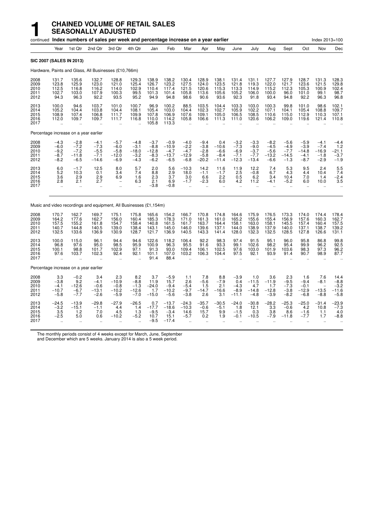**1**

|                                       |                                                |                                                      | continued Index numbers of sales per week and percentage increase on a year earlier |                                                       |                                                 |                                                 |                                                  |                                                          |                                                         |                                                      |                                                   |                                                 |                                                 |                                                 |                                                 | Index 2013=100                                                 |                                             |
|---------------------------------------|------------------------------------------------|------------------------------------------------------|-------------------------------------------------------------------------------------|-------------------------------------------------------|-------------------------------------------------|-------------------------------------------------|--------------------------------------------------|----------------------------------------------------------|---------------------------------------------------------|------------------------------------------------------|---------------------------------------------------|-------------------------------------------------|-------------------------------------------------|-------------------------------------------------|-------------------------------------------------|----------------------------------------------------------------|---------------------------------------------|
|                                       | Year                                           | 1st Qtr                                              | 2nd Qtr                                                                             | 3rd Qtr                                               | 4th Qtr                                         | Jan                                             | Feb                                              | Mar                                                      | Apr                                                     | May                                                  | June                                              | July                                            | Aug                                             | Sept                                            | Oct                                             | Nov                                                            | Dec                                         |
| SIC 2007 (SALES IN 2013)              |                                                |                                                      |                                                                                     |                                                       |                                                 |                                                 |                                                  |                                                          |                                                         |                                                      |                                                   |                                                 |                                                 |                                                 |                                                 |                                                                |                                             |
|                                       |                                                |                                                      | Hardware, Paints and Glass, All Businesses (£10,766m)                               |                                                       |                                                 |                                                 |                                                  |                                                          |                                                         |                                                      |                                                   |                                                 |                                                 |                                                 |                                                 |                                                                |                                             |
| 2008<br>2009<br>2010<br>2011<br>2012  | 131.7<br>123.8<br>112.5<br>102.7<br>94.3       | 135.6<br>125.9<br>116.8<br>103.0<br>96.3             | 132.7<br>123.0<br>116.2<br>107.9<br>92.2                                            | 128.8<br>121.0<br>114.0<br>100.3<br>93.5              | 129.3<br>125.4<br>102.9<br>99.5<br>95.2         | 138.9<br>126.7<br>110.4<br>101.3<br>94.9        | 138.2<br>123.2<br>117.4<br>101.4<br>94.8         | 130.4<br>127.5<br>121.5<br>105.8<br>98.6                 | 128.9<br>124.0<br>120.6<br>113.6<br>90.6                | 138.1<br>123.5<br>115.3<br>105.6<br>93.6             | 131.4<br>121.8<br>113.3<br>105.2<br>92.3          | 131.1<br>119.3<br>114.9<br>106.0<br>91.8        | 127.7<br>122.0<br>115.2<br>100.0<br>93.4        | 127.9<br>121.7<br>112.3<br>96.0<br>94.8         | 128.7<br>123.6<br>105.3<br>101.0<br>92.2        | 131.3<br>121.5<br>100.9<br>99.1<br>96.3                        | 128.3<br>129.8<br>102.4<br>98.7<br>96.8     |
| 2013<br>2014<br>2015<br>2016<br>2017  | 100.0<br>105.2<br>108.9<br>112.0               | 94.6<br>104.4<br>107.4<br>109.7                      | 103.7<br>103.8<br>106.8<br>109.7                                                    | 101.0<br>104.4<br>111.7<br>111.7                      | 100.7<br>108.1<br>109.9<br>116.8                | 96.9<br>105.4<br>107.8<br>110.0<br>105.8        | 100.2<br>103.0<br>106.9<br>114.2<br>113.3        | 88.5<br>104.4<br>107.6<br>105.8                          | 103.5<br>102.3<br>109.1<br>106.6                        | 104.4<br>102.7<br>105.0<br>111.3                     | 103.3<br>105.9<br>106.5<br>111.0                  | 103.0<br>102.2<br>108.5<br>120.6                | 100.3<br>107.1<br>110.6<br>106.2                | 99.8<br>104.1<br>115.0<br>109.0                 | 101.0<br>105.4<br>112.9<br>119.6                | 98.6<br>108.8<br>110.3<br>121.4                                | 102.1<br>109.7<br>107.1<br>110.8            |
| Percentage increase on a year earlier |                                                |                                                      |                                                                                     |                                                       |                                                 |                                                 |                                                  |                                                          |                                                         |                                                      |                                                   |                                                 |                                                 |                                                 |                                                 |                                                                |                                             |
| 2008<br>2009<br>2010<br>2011<br>2012  | $-4.3$<br>$-6.0$<br>$-9.2$<br>$-8.7$<br>$-8.2$ | $-2.8$<br>$-7.2$<br>$-7.2$<br>$-11.8$<br>$-6.5$      | -4.1<br>$-7.3$<br>$-5.5$<br>$-7.1$<br>$-14.6$                                       | -5.7<br>$-6.0$<br>$-5.8$<br>$-12.0$<br>$-6.9$         | $-4.8$<br>$-3.1$<br>$-18.0$<br>$-3.2$<br>$-4.3$ | $-3.7$<br>$-8.8$<br>$-12.8$<br>$-8.3$<br>$-6.2$ | $-0.9$<br>$-10.9$<br>$-4.7$<br>$-13.7$<br>$-6.5$ | $-4.0$<br>$-2.2$<br>$-4.7$<br>$-12.9$<br>$-6.8$          | $-9.4$<br>$-3.8$<br>$-2.8$<br>$-5.8$<br>$-20.2$         | 0.4<br>$-10.6$<br>$-6.6$<br>$-8.4$<br>$-11.4$        | $-3.2$<br>$-7.3$<br>$-6.9$<br>$-7.1$<br>$-12.3$   | $-3.3$<br>$-9.0$<br>$-3.7$<br>$-7.7$<br>$-13.4$ | $-8.2$<br>$-4.5$<br>$-5.6$<br>$-13.2$<br>$-6.6$ | $-5.6$<br>$-4.9$<br>$-7.7$<br>$-14.5$<br>$-1.3$ | $-5.9$<br>$-3.9$<br>$-14.8$<br>$-4.1$<br>$-8.7$ | $-4.1$<br>$-7.4$<br>$-16.9$<br>$-1.8$<br>$-2.9$                | -4.4<br>1.2<br>$-21.1$<br>$-3.7$<br>$-1.9$  |
| 2013<br>2014<br>2015<br>2016<br>2017  | 6.0<br>5.2<br>3.6<br>2.8<br>$\ddotsc$          | $-1.7$<br>10.3<br>2.9<br>2.1<br>$\ddot{\phantom{a}}$ | 12.5<br>0.1<br>2.9<br>2.7                                                           | 8.0<br>3.4<br>6.9<br>ä,                               | 5.7<br>7.4<br>1.6<br>6.3                        | 2.0<br>8.8<br>2.3<br>2.1<br>$-3.8$              | 5.6<br>2.9<br>3.7<br>6.9<br>$-0.8$               | $-10.3$<br>18.0<br>3.0<br>$-1.7$<br>$\ddot{\phantom{a}}$ | 14.2<br>$-1.1$<br>6.6<br>$-2.3$<br>$\ddot{\phantom{a}}$ | 11.6<br>$-1.7$<br>2.2<br>6.0<br>$\ddot{\phantom{a}}$ | 11.9<br>2.5<br>0.5<br>4.2<br>$\ddot{\phantom{a}}$ | 12.2<br>$-0.8$<br>6.2<br>11.2                   | 7.4<br>6.7<br>3.4<br>$-4.1$                     | 5.3<br>4.3<br>10.4<br>$-5.2$                    | 9.5<br>4.4<br>7.0<br>6.0<br>$\ddotsc$           | 2.4<br>10.4<br>1.4<br>10.0<br>$\ddotsc$                        | 5.5<br>7.4<br>$-2.4$<br>3.5                 |
|                                       |                                                |                                                      | Music and video recordings and equipment, All Businesses (£1,154m)                  |                                                       |                                                 |                                                 |                                                  |                                                          |                                                         |                                                      |                                                   |                                                 |                                                 |                                                 |                                                 |                                                                |                                             |
| 2008<br>2009<br>2010<br>2011<br>2012  | 170.7<br>164.2<br>157.5<br>140.7<br>132.5      | 162.7<br>177.6<br>155.2<br>144.8<br>133.6            | 169.7<br>162.7<br>161.8<br>140.5<br>136.9                                           | 175.1<br>156.0<br>154.7<br>139.0<br>130.9             | 175.8<br>160.4<br>158.4<br>138.4<br>128.7       | 165.6<br>185.3<br>140.8<br>143.1<br>121.7       | 154.2<br>178.3<br>161.5<br>145.0<br>136.9        | 166.7<br>171.0<br>161.7<br>146.0<br>140.5                | 170.8<br>161.3<br>163.7<br>139.6<br>143.3               | 174.8<br>161.0<br>164.4<br>137.1<br>141.4            | 164.6<br>165.2<br>158.1<br>144.0<br>128.0         | 175.9<br>155.6<br>163.0<br>138.9<br>132.3       | 176.5<br>155.4<br>158.1<br>137.9<br>132.5       | 173.3<br>156.9<br>145.5<br>140.0<br>128.5       | 174.0<br>157.6<br>157.4<br>137.1<br>127.8       | 174.4<br>160.3<br>160.4<br>138.7<br>126.6                      | 178.4<br>162.7<br>157.5<br>139.2<br>131.1   |
| 2013<br>2014<br>2015<br>2016<br>2017  | 100.0<br>96.8<br>100.1<br>97.6<br>$\sim$       | 115.0<br>97.6<br>98.8<br>103.7<br>ä.                 | 96.1<br>95.0<br>101.7<br>102.3                                                      | 94.4<br>98.5<br>102.9<br>92.4<br>$\ddot{\phantom{a}}$ | 94.6<br>95.9<br>97.1<br>92.1                    | 122.6<br>100.9<br>91.3<br>101.1<br>91.4         | 118.2<br>96.3<br>93.0<br>107.0<br>88.4           | 106.4<br>95.5<br>109.4<br>103.2                          | 92.2<br>91.6<br>106.1<br>106.3                          | 98.3<br>93.3<br>102.5<br>104.4                       | 97.4<br>99.1<br>97.6<br>97.5                      | 91.5<br>102.6<br>103.0<br>92.1                  | 95.1<br>98.2<br>101.9<br>93.9                   | 96.0<br>95.4<br>103.6<br>91.4                   | 95.8<br>99.9<br>98.3<br>90.7                    | 86.8<br>96.2<br>97.3<br>98.9                                   | 99.8<br>92.5<br>96.2<br>87.7                |
| Percentage increase on a year earlier |                                                |                                                      |                                                                                     |                                                       |                                                 |                                                 |                                                  |                                                          |                                                         |                                                      |                                                   |                                                 |                                                 |                                                 |                                                 |                                                                |                                             |
| 2008<br>2009<br>2010<br>2011<br>2012  | 3.3<br>$-3.8$<br>$-4.1$<br>$-10.7$<br>$-5.8$   | $-0.2$<br>9.2<br>$-12.6$<br>$-6.7$<br>$-7.7$         | 3.4<br>$-4.1$<br>$-0.6$<br>$-13.1$<br>$-2.6$                                        | 2.3<br>$-10.9$<br>$-0.8$<br>$-10.2$<br>$-5.9$         | 8.2<br>$-8.8$<br>$-1.3$<br>$-12.6$<br>$-7.0$    | 3.7<br>11.9<br>$-24.0$<br>1.7<br>$-15.0$        | $-5.9$<br>15.7<br>$-9.4$<br>$-10.2$<br>$-5.6$    | 1.1<br>2.6<br>$-5.4$<br>$-9.7$<br>$-3.8$                 | 7.8<br>$-5.6$<br>1.5<br>$-14.7$<br>2.6                  | 8.8<br>$-7.9$<br>2.1<br>$-16.6$<br>3.1               | $-3.9$<br>0.4<br>$-4.3$<br>$-8.9$<br>$-11.1$      | 1.0<br>$-11.5$<br>4.7<br>$-14.8$<br>$-4.8$      | 3.6<br>$-11.9$<br>1.7<br>$-12.8$<br>$-3.9$      | 2.3<br>$-9.5$<br>$-7.3$<br>$-3.8$<br>$-8.2$     | 1.6<br>$-9.4$<br>$-0.1$<br>$-12.9$<br>$-6.8$    | 7.6<br>$-8.1$<br>$\overline{\phantom{0}}$<br>$-13.5$<br>$-8.8$ | 14.4<br>$-8.8$<br>$-3.2$<br>-11.6<br>$-5.8$ |
| 2013<br>2014<br>2015<br>2016<br>2017  | $-24.5$<br>$-3.2$<br>3.5<br>-2.5               | $-13.9$<br>$-15.1$<br>1.2<br>5.0                     | $-29.8$<br>$-1.1$<br>7.0<br>0.6                                                     | $-27.9$<br>4.4<br>4.5<br>$-10.2$                      | $-26.5$<br>1.4<br>1.3<br>$-5.2$                 | 0.7<br>$-17.7$<br>$-9.5$<br>10.7<br>$-9.5$      | $-13.7$<br>$-18.6$<br>$-3.4$<br>15.1<br>$-17.4$  | $-24.3$<br>$-10.3$<br>14.6<br>$-5.7$                     | $-35.7$<br>$-0.6$<br>15.7<br>0.2                        | $-30.5$<br>$-5.1$<br>9.9<br>1.9                      | $-24.0$<br>1.8<br>$-1.5$<br>$-0.1$                | $-30.8$<br>12.1<br>0.3<br>$-10.5$               | $-28.2$<br>3.3<br>3.8<br>$-7.9$                 | $-25.3$<br>$-0.6$<br>8.6<br>$-11.8$             | $-25.0$<br>4.2<br>$-1.6$<br>$-7.7$              | $-31.4$<br>10.8<br>1.1<br>1.7                                  | -23.9<br>$-7.3$<br>4.0<br>$-8.8$            |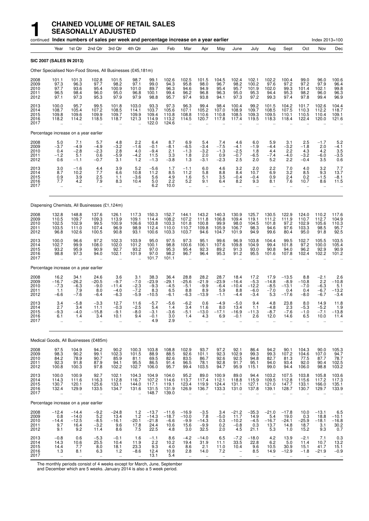**1**

|                                       |                                                          |                                               | continued Index numbers of sales per week and percentage increase on a year earlier |                                                          |                                                         |                                               |                                             |                                                       |                                                       |                                            |                                                       |                                             |                                            |                                                  |                                                   | Index 2013=100                            |                                          |
|---------------------------------------|----------------------------------------------------------|-----------------------------------------------|-------------------------------------------------------------------------------------|----------------------------------------------------------|---------------------------------------------------------|-----------------------------------------------|---------------------------------------------|-------------------------------------------------------|-------------------------------------------------------|--------------------------------------------|-------------------------------------------------------|---------------------------------------------|--------------------------------------------|--------------------------------------------------|---------------------------------------------------|-------------------------------------------|------------------------------------------|
|                                       | Year                                                     | 1st Qtr                                       | 2nd Qtr                                                                             | 3rd Qtr                                                  | 4th Qtr                                                 | Jan                                           | Feb                                         | Mar                                                   | Apr                                                   | May                                        | June                                                  | July                                        | Aug                                        | Sept                                             | Oct                                               | Nov                                       | Dec                                      |
| SIC 2007 (SALES IN 2013)              |                                                          |                                               |                                                                                     |                                                          |                                                         |                                               |                                             |                                                       |                                                       |                                            |                                                       |                                             |                                            |                                                  |                                                   |                                           |                                          |
|                                       |                                                          |                                               | Other Specialised Non-Food Stores, All Businesses (£45,181m)                        |                                                          |                                                         |                                               |                                             |                                                       |                                                       |                                            |                                                       |                                             |                                            |                                                  |                                                   |                                           |                                          |
| 2008<br>2009<br>2010<br>2011<br>2012  | 101.1<br>97.3<br>97.7<br>96.5<br>97.1                    | 101.3<br>96.3<br>93.6<br>98.4<br>97.3         | 102.8<br>97.7<br>95.4<br>96.0<br>95.3                                               | 101.5<br>98.2<br>100.9<br>95.0<br>97.9                   | 98.7<br>97.1<br>101.0<br>96.8<br>97.9                   | 99.1<br>99.0<br>89.7<br>100.1<br>98.8         | 102.6<br>94.3<br>96.3<br>99.4<br>95.7       | 102.5<br>95.8<br>94.6<br>96.2<br>97.4                 | 101.5<br>98.0<br>94.9<br>96.8<br>93.8                 | 104.5<br>96.7<br>95.4<br>96.3<br>94.1      | 102.4<br>98.2<br>95.7<br>95.0<br>97.3                 | 102.1<br>100.2<br>101.9<br>95.3<br>97.2     | 102.2<br>97.6<br>102.0<br>94.4<br>99.3     | 100.4<br>97.2<br>99.3<br>95.3<br>97.4            | 99.0<br>97.2<br>101.4<br>98.2<br>97.8             | 96.0<br>97.9<br>102.1<br>96.0<br>99.4     | 100.6<br>96.4<br>99.8<br>96.3<br>96.9    |
| 2013<br>2014<br>2015<br>2016<br>2017  | 100.0<br>108.7<br>109.8<br>118.2<br>ă,                   | 95.7<br>105.4<br>109.6<br>114.2<br>ä.         | 99.5<br>107.2<br>109.9<br>118.5                                                     | 101.8<br>108.5<br>109.7<br>118.7                         | 103.0<br>114.1<br>109.9<br>121.3                        | 93.3<br>103.7<br>109.4<br>114.9<br>122.0      | 97.3<br>105.6<br>110.8<br>113.2<br>124.6    | 96.3<br>107.1<br>108.8<br>114.5                       | 99.4<br>105.2<br>110.6<br>120.7                       | 98.4<br>107.0<br>110.8<br>117.8            | 100.4<br>108.9<br>108.5<br>117.4                      | 99.2<br>109.7<br>109.3<br>119.5             | 101.5<br>108.5<br>109.5<br>118.3           | 104.2<br>107.5<br>110.1<br>118.4                 | 101.7<br>110.3<br>110.5<br>122.4                  | 102.6<br>112.2<br>110.4<br>120.0          | 104.4<br>118.7<br>109.1<br>121.6         |
| Percentage increase on a year earlier |                                                          |                                               |                                                                                     |                                                          |                                                         |                                               |                                             |                                                       |                                                       |                                            |                                                       |                                             |                                            |                                                  |                                                   |                                           |                                          |
| 2008<br>2009<br>2010<br>2011<br>2012  | 5.0<br>$-3.7$<br>0.4<br>$-1.2$<br>0.6                    | 7.1<br>$-4.9$<br>$-2.8$<br>5.1<br>$-1.1$      | 5.7<br>-4.9<br>$-2.3$<br>0.6<br>$-0.7$                                              | 4.8<br>$-3.2$<br>2.8<br>$-5.9$<br>3.1                    | 2.2<br>$-1.6$<br>4.0<br>$-4.2$<br>1.2                   | 6.4<br>$-0.1$<br>$-9.4$<br>11.5<br>$-1.3$     | 8.7<br>$-8.1$<br>2.1<br>3.3<br>$-3.8$       | 6.9<br>$-6.5$<br>$-1.3$<br>1.8<br>1.3                 | 5.4<br>$-3.4$<br>$-3.2$<br>2.0<br>$-3.1$              | 7.4<br>$-7.5$<br>$-1.3$<br>0.9<br>-2.3     | 4.6<br>$-4.1$<br>$-2.5$<br>$-0.7$<br>2.5              | 6.0<br>$-1.9$<br>1.8<br>$-6.5$<br>2.0       | 5.9<br>$-4.4$<br>4.4<br>$-7.4$<br>5.2      | 3.1<br>$-3.2$<br>2.2<br>$-4.0$<br>2.2            | 2.5<br>$-1.8$<br>4.3<br>$-3.2$<br>-0.4            | $-1.7$<br>2.0<br>4.2<br>$-6.0$<br>3.5     | 5.2<br>$-4.1$<br>3.5<br>$-3.5$<br>0.6    |
| 2013<br>2014<br>2015<br>2016<br>2017  | 3.0<br>8.7<br>0.9<br>7.7<br>ä.                           | $-1.6$<br>10.2<br>3.9<br>4.2<br>ä.            | 4.4<br>7.7<br>2.5<br>7.9<br>ä.                                                      | 3.9<br>6.6<br>1.1<br>8.3<br>$\ddotsc$                    | 5.2<br>10.8<br>$-3.6$<br>10.4<br>$\ddotsc$              | $-5.6$<br>11.2<br>5.6<br>5.0<br>6.2           | 1.7<br>8.5<br>4.9<br>2.2<br>10.0            | $-1.1$<br>11.2<br>1.6<br>5.2<br>$\ddotsc$             | 6.0<br>5.8<br>5.1<br>9.1<br>$\ddot{\phantom{a}}$      | 4.6<br>8.8<br>3.5<br>6.4<br>$\ddotsc$      | 3.2<br>8.4<br>$-0.4$<br>8.2<br>$\ddotsc$              | 2.0<br>10.7<br>$-0.4$<br>9.3                | 2.2<br>6.9<br>0.9<br>8.1<br>$\ddotsc$      | 7.0<br>3.2<br>2.4<br>7.6<br>$\ddot{\phantom{a}}$ | 4.0<br>8.5<br>0.2<br>10.7<br>$\ddot{\phantom{a}}$ | 3.2<br>9.3<br>$-1.5$<br>8.6<br>           | 7.7<br>13.7<br>$-8.1$<br>11.5            |
|                                       |                                                          |                                               | Dispensing Chemists, All Businesses (£1,124m)                                       |                                                          |                                                         |                                               |                                             |                                                       |                                                       |                                            |                                                       |                                             |                                            |                                                  |                                                   |                                           |                                          |
| 2008<br>2009<br>2010<br>2011<br>2012  | 132.8<br>110.5<br>102.5<br>103.5<br>96.8                 | 148.8<br>109.7<br>102.9<br>111.0<br>102.6     | 137.6<br>109.3<br>99.5<br>107.4<br>100.5                                            | 126.1<br>113.9<br>100.9<br>96.9<br>90.8                  | 117.3<br>109.1<br>106.6<br>98.9<br>93.1                 | 150.3<br>114.4<br>103.8<br>112.4<br>100.6     | 152.7<br>108.2<br>103.3<br>110.0<br>103.3   | 144.1<br>107.2<br>101.8<br>110.7<br>103.7             | 143.2<br>111.8<br>100.8<br>109.8<br>94.6              | 140.3<br>106.8<br>99.9<br>105.9<br>104.7   | 130.9<br>109.4<br>98.0<br>106.7<br>101.9              | 125.7<br>119.1<br>104.5<br>98.3<br>94.9     | 130.5<br>111.2<br>101.8<br>94.6<br>99.6    | 122.9<br>111.9<br>97.2<br>97.6<br>80.4           | 124.0<br>110.7<br>102.9<br>103.3<br>95.0          | 110.2<br>112.7<br>105.6<br>98.5<br>91.8   | 117.6<br>104.9<br>110.3<br>95.7<br>92.5  |
| 2013<br>2014<br>2015<br>2016<br>2017  | 100.0<br>102.7<br>93.2<br>98.8<br>$\ddot{\phantom{a}}$   | 96.6<br>99.9<br>95.9<br>97.3<br>$\ddotsc$     | 97.2<br>108.0<br>90.9<br>94.0                                                       | 102.3<br>102.0<br>92.7<br>102.1<br>$\ddot{\phantom{a}}$  | 103.9<br>101.2<br>93.2<br>101.9<br>$\ddot{\phantom{a}}$ | 95.0<br>100.1<br>97.0<br>97.0<br>101.7        | 97.5<br>98.8<br>95.3<br>98.2<br>101.1       | 97.3<br>100.6<br>95.4<br>96.7<br>$\ddot{\phantom{a}}$ | 95.1<br>106.1<br>92.3<br>96.4<br>$\ddot{\phantom{a}}$ | 99.6<br>107.6<br>89.2<br>95.3              | 96.9<br>109.8<br>91.3<br>91.2<br>$\ddot{\phantom{a}}$ | 103.8<br>104.9<br>93.0<br>95.5              | 104.4<br>99.4<br>90.8<br>101.6             | 99.5<br>101.8<br>94.0<br>107.8                   | 102.7<br>97.2<br>96.2<br>102.4                    | 105.5<br>100.0<br>92.9<br>102.2           | 103.5<br>105.4<br>90.9<br>101.2          |
| Percentage increase on a year earlier |                                                          |                                               |                                                                                     |                                                          |                                                         |                                               |                                             |                                                       |                                                       |                                            |                                                       |                                             |                                            |                                                  |                                                   |                                           |                                          |
| 2008<br>2009<br>2010<br>2011<br>2012  | $16.2 - 16.7$<br>$-7.3$<br>1.1<br>$-6.6$                 | 34.1<br>$-26.2$<br>$-6.3$<br>7.9<br>$-7.6$    | 24.6<br>$-20.5$<br>$-9.0$<br>8.0<br>$-6.4$                                          | 3.6<br>$-9.7$<br>$-11.4$<br>$-4.0$<br>$-6.3$             | 3.1<br>$-7.0$<br>$-2.3$<br>$-7.2$<br>$-5.9$             | 38.3<br>$-23.9$<br>$-9.3$<br>8.3<br>$-10.5$   | 36.4<br>$-29.1$<br>$-4.5$<br>6.5<br>$-6.1$  | 28.8<br>$-25.6$<br>$-5.1$<br>8.8<br>$-6.3$            | 28.2<br>$-21.9$<br>$-9.9$<br>8.9<br>$-13.9$           | 28.7<br>$-23.9$<br>$-6.4$<br>5.9<br>$-1.1$ | 18.4<br>$-16.4$<br>$-10.4$<br>8.8<br>$-4.4$           | $17.2 - 5.3$<br>$-12.2$<br>$-6.0$<br>$-3.4$ | 17.9<br>$-14.8$<br>$-8.5$<br>$-7.0$<br>5.3 | $-13.5$<br>$-8.9$<br>$-13.1$<br>0.4<br>$-17.6$   | 8.8<br>$-10.8$<br>$-7.0$<br>0.4<br>$-8.0$         | $-2.1$<br>2.2<br>$-6.3$<br>$-6.7$<br>-6.7 | $-10.8$<br>5.1<br>–13.2<br>$-3.4$        |
| 2013<br>2014<br>2015<br>2016<br>2017  | 3.4<br>2.7<br>$-9.3$<br>6.1<br>$\ddotsc$                 | $-5.8$<br>3.4<br>$-4.0$<br>1.4                | $-3.3$<br>11.1<br>$-15.8$<br>3.4                                                    | 12.7<br>$-0.3$<br>$-9.1$<br>10.1                         | 11.6<br>$-2.5$<br>$-8.0$<br>9.4                         | $-5.7$<br>5.4<br>$-3.1$<br>$-0.1$<br>4.9      | $-5.6$<br>1.4<br>$-3.6$<br>3.0<br>2.9       | $-6.2$<br>3.4<br>-5.1<br>1.4                          | 0.6<br>11.6<br>$-13.0$<br>4.3                         | $-4.9$<br>8.0<br>$-17.1$<br>6.9            | $-5.0$<br>13.4<br>$-16.9$<br>$-0.1$                   | 9.4<br>1.1<br>$-11.3$<br>2.6                | 4.8<br>$-4.8$<br>-8.7<br>12.0              | 23.8<br>2.3<br>$-7.6$<br>14.6                    | 8.0<br>$-5.3$<br>$-1.0$<br>6.5                    | 14.9<br>$-5.2$<br>$-7.1$<br>10.0          | 11.8<br>1.9<br>$-13.8$<br>11.4           |
|                                       |                                                          |                                               | Medical Goods, All Businesses (£485m)                                               |                                                          |                                                         |                                               |                                             |                                                       |                                                       |                                            |                                                       |                                             |                                            |                                                  |                                                   |                                           |                                          |
| 2008<br>2009<br>2010<br>2011<br>2012  | 97.5<br>98.3<br>84.2<br>92.3<br>100.8                    | 104.9<br>90.2<br>78.9<br>91.8<br>100.3        | 94.2<br>99.1<br>90.7<br>87.9<br>97.8                                                | 90.2<br>102.3<br>85.9<br>94.1<br>102.2                   | 100.3<br>101.5<br>81.1<br>95.5<br>102.7                 | 103.8<br>88.9<br>69.5<br>86.5<br>106.0        | 108.8<br>88.5<br>82.6<br>91.4<br>95.7       | 102.9<br>92.6<br>83.5<br>96.5<br>99.4                 | 93.7<br>101.1<br>86.7<br>78.1<br>103.5                | 97.2<br>92.3<br>92.6<br>92.8<br>94.7       | 92.1<br>102.9<br>92.5<br>91.7<br>95.9                 | 86.4<br>99.3<br>94.8<br>95.1<br>115.1       | 94.2<br>99.3<br>82.7<br>94.0<br>99.0       | 90.1<br>107.2<br>81.3<br>93.4<br>94.4            | 104.3<br>104.6<br>77.5<br>92.0<br>106.0           | 90.0<br>107.0<br>87.7<br>90.4<br>98.8     | 105.3<br>94.7<br>78.7<br>102.5<br>103.2  |
| 2013<br>2014<br>2015<br>2016<br>2017  | 100.0<br>114.3<br>130.7<br>132.4<br>$\ddot{\phantom{1}}$ | 100.9<br>111.6<br>120.1<br>129.9<br>$\ddotsc$ | 92.7<br>116.3<br>125.6<br>133.5<br>ä,                                               | 102.1<br>112.8<br>133.1<br>134.7<br>$\ddot{\phantom{a}}$ | 104.3<br>116.7<br>144.0<br>131.6<br>ä,                  | 104.9<br>107.2<br>117.1<br>131.5<br>148.7     | 104.0<br>114.6<br>119.1<br>131.9<br>139.0   | 95.2<br>113.7<br>123.4<br>126.9                       | 89.0<br>117.4<br>119.9<br>136.7                       | 100.9<br>112.1<br>124.4<br>133.3           | 89.0<br>118.8<br>131.1<br>131.0                       | 94.4<br>115.9<br>127.1<br>137.8             | 103.2<br>109.5<br>121.0<br>139.1           | 107.5<br>112.8<br>147.7<br>128.7                 | 103.8<br>115.6<br>133.1<br>130.7                  | 105.8<br>117.2<br>166.0<br>129.7          | 103.6<br>117.3<br>135.1<br>133.9         |
| Percentage increase on a year earlier |                                                          |                                               |                                                                                     |                                                          |                                                         |                                               |                                             |                                                       |                                                       |                                            |                                                       |                                             |                                            |                                                  |                                                   |                                           |                                          |
| 2008<br>2009<br>2010<br>2011<br>2012  | $-12.4$<br>0.8<br>$-14.4$<br>9.7<br>9.1                  | $-14.4$<br>$-14.0$<br>$-12.5$<br>16.4<br>9.2  | $-9.2$<br>5.2<br>$-8.5$<br>$-3.2$<br>11.4                                           | $-24.8$<br>13.4<br>$-16.1$<br>9.6<br>8.6                 | 1.2<br>1.2<br>$-20.1$<br>17.8<br>7.5                    | $-13.7$<br>$-14.3$<br>$-21.8$<br>24.4<br>22.5 | $-11.6$<br>$-18.7$<br>$-6.6$<br>10.6<br>4.8 | $-16.9$<br>$-10.0$<br>$-9.9$<br>15.6<br>3.0           | $-3.5$<br>7.8<br>$-14.3$<br>$-9.9$<br>32.5            | 3.4<br>$-5.0$<br>0.3<br>0.2<br>2.0         | $-21.2$<br>11.7<br>$-10.2$<br>$-0.8$<br>4.5           | $-35.3$<br>14.9<br>$-4.5$<br>0.3<br>21.1    | $-21.0$<br>5.4<br>$-16.7$<br>13.7<br>5.3   | $-17.8$<br>19.0<br>$-24.1$<br>14.8<br>1.0        | 10.0<br>0.3<br>$-25.9$<br>18.7<br>15.2            | $-13.1$<br>18.8<br>$-18.1$<br>3.1<br>9.3  | 6.5<br>$-10.1$<br>$-16.8$<br>30.2<br>0.7 |
| 2013<br>2014<br>2015<br>2016<br>2017  | $-0.8$<br>14.3<br>14.4<br>1.3                            | 0.6<br>10.6<br>7.7<br>8.1                     | $-5.3$<br>25.5<br>8.0<br>6.3                                                        | $-0.1$<br>10.4<br>18.1<br>1.2                            | 1.6<br>11.9<br>23.3<br>$-8.6$                           | $-1.1$<br>2.2<br>9.3<br>12.4<br>13.1          | 8.6<br>10.2<br>4.0<br>10.8<br>5.4           | $-4.2$<br>19.4<br>8.6<br>2.8                          | $-14.0$<br>31.9<br>2.1<br>14.0                        | 6.5<br>11.1<br>11.0<br>7.2                 | $-7.2$<br>33.5<br>10.4<br>$\overline{\phantom{0}}$    | $-18.0$<br>22.8<br>9.6<br>8.5               | 4.2<br>6.2<br>10.5<br>14.9                 | 13.9<br>5.0<br>30.9<br>$-12.9$                   | $-2.1$<br>11.4<br>15.1<br>$-1.8$                  | 7.1<br>10.7<br>41.7<br>$-21.9$            | 0.3<br>13.2<br>15.1<br>$-0.9$            |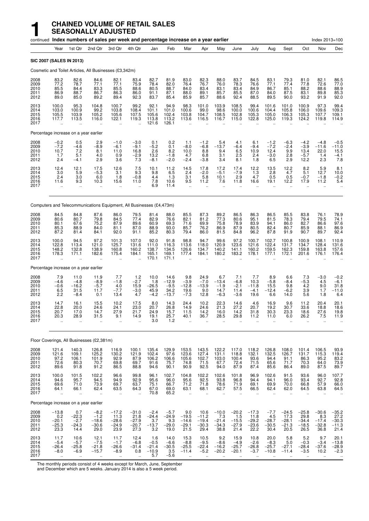**1**

|                                      |                                                       |                                                             | continued Index numbers of sales per week and percentage increase on a year earlier |                                                          |                                                          |                                            |                                              |                                                         |                                                       |                                                         |                                                       |                                                    |                                             |                                                    |                                               | Index 2013=100                                        |                                                 |
|--------------------------------------|-------------------------------------------------------|-------------------------------------------------------------|-------------------------------------------------------------------------------------|----------------------------------------------------------|----------------------------------------------------------|--------------------------------------------|----------------------------------------------|---------------------------------------------------------|-------------------------------------------------------|---------------------------------------------------------|-------------------------------------------------------|----------------------------------------------------|---------------------------------------------|----------------------------------------------------|-----------------------------------------------|-------------------------------------------------------|-------------------------------------------------|
|                                      | Year                                                  | 1st Qtr                                                     | 2nd Qtr                                                                             | 3rd Qtr                                                  | 4th Qtr                                                  | Jan                                        | Feb                                          | Mar                                                     | Apr                                                   | May                                                     | June                                                  | July                                               | Aug                                         | Sept                                               | Oct                                           | Nov                                                   | Dec                                             |
|                                      | <b>SIC 2007 (SALES IN 2013)</b>                       |                                                             |                                                                                     |                                                          |                                                          |                                            |                                              |                                                         |                                                       |                                                         |                                                       |                                                    |                                             |                                                    |                                               |                                                       |                                                 |
|                                      |                                                       |                                                             | Cosmetic and Toilet Articles, All Businesses (£3,342m)                              |                                                          |                                                          |                                            |                                              |                                                         |                                                       |                                                         |                                                       |                                                    |                                             |                                                    |                                               |                                                       |                                                 |
| 2008<br>2009<br>2010<br>2011<br>2012 | 83.2<br>77.2<br>85.5<br>86.9<br>89.0                  | 82.6<br>78.7<br>84.4<br>88.7<br>85.0                        | 84.6<br>77.1<br>83.3<br>86.7<br>89.2                                                | 82.1<br>77.1<br>85.5<br>86.3<br>89.4                     | 83.4<br>75.9<br>88.6<br>86.0<br>92.3                     | 82.7<br>78.4<br>80.5<br>91.1<br>83.7       | 81.9<br>82.0<br>88.7<br>87.1<br>85.4         | 83.0<br>76.4<br>84.0<br>88.0<br>85.9                    | 82.3<br>76.7<br>83.4<br>89.1<br>85.7                  | 88.0<br>76.0<br>83.1<br>85.7<br>88.6                    | 83.7<br>78.3<br>83.4<br>85.5<br>92.4                  | 84.5<br>76.6<br>84.9<br>87.0<br>88.5               | 83.1<br>77.1<br>86.7<br>84.0<br>89.5        | 79.3<br>77.4<br>85.1<br>87.5<br>90.0               | 81.0<br>77.8<br>88.2<br>83.1<br>93.2          | 82.1<br>72.6<br>88.6<br>89.8<br>91.9                  | 86.5<br>77.0<br>88.9<br>85.3<br>92.0            |
| 2013<br>2014<br>2015<br>2016<br>2017 | 100.0<br>103.0<br>105.5<br>117.7<br>$\ddotsc$         | 95.3<br>100.9<br>103.9<br>113.5<br>$\mathbf{r}$             | 104.8<br>99.2<br>105.2<br>116.0<br>ä.                                               | 100.7<br>103.8<br>105.6<br>122.1                         | 99.2<br>108.4<br>107.5<br>119.3                          | 92.1<br>101.1<br>105.6<br>113.8<br>121.6   | 94.9<br>101.0<br>102.4<br>113.2<br>126.1     | 98.3<br>100.6<br>103.8<br>113.6                         | 101.0<br>99.0<br>104.7<br>116.5                       | 103.9<br>98.6<br>108.5<br>116.7                         | 108.5<br>100.0<br>102.8<br>115.0                      | 99.4<br>100.6<br>105.3<br>122.8                    | 101.6<br>104.4<br>105.0<br>125.0            | 101.0<br>105.8<br>106.3<br>119.3                   | 100.9<br>106.0<br>105.3<br>124.2              | 97.3<br>109.6<br>107.7<br>119.8                       | 99.4<br>109.3<br>109.1<br>114.9                 |
|                                      |                                                       | Percentage increase on a year earlier                       |                                                                                     |                                                          |                                                          |                                            |                                              |                                                         |                                                       |                                                         |                                                       |                                                    |                                             |                                                    |                                               |                                                       |                                                 |
| 2008<br>2009<br>2010<br>2011<br>2012 | $-0.2$<br>$-7.2$<br>10.7<br>1.7<br>2.4                | 0.5<br>$-4.6$<br>7.2<br>5.1<br>$-4.1$                       | 2.9<br>-8.9<br>8.1<br>4.0<br>2.9                                                    | $-1.0$<br>$-6.1$<br>11.0<br>0.9<br>3.6                   | $-3.0$<br>$-9.1$<br>16.8<br>$-2.9$<br>7.3                | 0.1<br>$-5.2$<br>2.6<br>13.2<br>$-8.1$     | 0.2<br>0.1<br>8.2<br>$-1.8$<br>$-2.0$        | 1.1<br>$-8.0$<br>10.0<br>4.7<br>$-2.4$                  | $-1.2$<br>$-6.8$<br>8.8<br>6.8<br>$-3.8$              | 5.4<br>$-13.7$<br>9.4<br>3.1<br>3.4                     | 4.1<br>$-6.4$<br>6.5<br>2.5<br>8.1                    | 6.1<br>$-9.4$<br>10.9<br>2.4<br>1.8                | $-1.2$<br>$-7.2$<br>12.4<br>$-3.0$<br>6.5   | $-6.3$<br>$-2.4$<br>9.9<br>2.8<br>2.9              | $-4.2$<br>$-3.9$<br>13.4<br>$-5.7$<br>12.2    | $-4.8$<br>$-11.6$<br>22.0<br>1.4<br>2.3               | $-0.5$<br>$-11.0$<br>$15.5 - 4.1$<br>7.8        |
| 2013<br>2014<br>2015<br>2016<br>2017 | 12.4<br>3.0<br>2.4<br>11.6<br>$\ddot{\phantom{a}}$    | 12.1<br>5.9<br>3.0<br>9.3<br>$\mathbf{r}$                   | 17.5<br>$-5.3$<br>6.0<br>10.3<br>ä.                                                 | 12.6<br>3.1<br>1.8<br>15.6<br>$\ddot{\phantom{a}}$       | 7.5<br>9.3<br>$-0.8$<br>11.0<br>$\ddot{\phantom{a}}$     | 10.1<br>9.8<br>4.4<br>7.8<br>6.9           | 11.2<br>6.5<br>1.3<br>10.6<br>11.4           | 14.5<br>2.4<br>3.1<br>9.5<br>$\ddot{\phantom{a}}$       | 17.8<br>$-2.0$<br>5.8<br>11.2<br>$\ddot{\phantom{a}}$ | 17.2<br>$-5.1$<br>10.1<br>7.6<br>$\ddotsc$              | 17.4<br>$-7.9$<br>2.9<br>11.8<br>$\ddot{\phantom{a}}$ | 12.2<br>1.3<br>4.7<br>16.6<br>$\ddot{\phantom{a}}$ | 13.5<br>2.8<br>0.5<br>19.1<br>÷.            | 12.2<br>4.7<br>0.5<br>12.2<br>$\ddot{\phantom{a}}$ | 8.2<br>5.1<br>$-0.7$<br>17.9<br>$\ddotsc$     | 5.9<br>12.7<br>$-1.8$<br>11.2<br>$\ddot{\phantom{a}}$ | 8.1<br>10.0<br>$-0.2$<br>5.4                    |
|                                      |                                                       |                                                             | Computers and Telecommunications Equipment, All Businesses (£4,473m)                |                                                          |                                                          |                                            |                                              |                                                         |                                                       |                                                         |                                                       |                                                    |                                             |                                                    |                                               |                                                       |                                                 |
| 2008<br>2009<br>2010<br>2011<br>2012 | 84.5<br>80.6<br>80.1<br>85.3<br>87.2                  | 84.8<br>80.7<br>67.6<br>88.9<br>81.4                        | 87.6<br>79.8<br>75.2<br>84.0<br>84.1                                                | 86.0<br>84.5<br>87.9<br>81.1<br>92.0                     | 79.5<br>77.4<br>89.6<br>87.0<br>91.1                     | 81.4<br>82.9<br>60.9<br>88.9<br>85.2       | 88.0<br>76.6<br>69.3<br>93.0<br>80.3         | 85.5<br>82.1<br>71.6<br>85.7<br>79.4                    | 87.3<br>81.2<br>69.9<br>76.2<br>86.0                  | 89.2<br>77.3<br>75.8<br>86.9<br>81.5                    | 86.5<br>80.6<br>78.9<br>87.9<br>84.8                  | 86.3<br>95.1<br>83.9<br>80.5<br>96.2               | 86.5<br>81.5<br>94.1<br>82.4<br>87.8        | 85.5<br>78.3<br>86.0<br>80.7<br>91.9               | 83.8<br>79.4<br>82.7<br>85.9<br>90.7          | 76.1<br>79.5<br>86.6<br>88.1<br>89.7                  | 78.9<br>74.1<br>97.6<br>86.9<br>92.4            |
| 2013<br>2014<br>2015<br>2016<br>2017 | 100.0<br>122.8<br>148.2<br>178.3<br>ă,                | 94.5<br>113.4<br>132.8<br>171.1<br>ä,                       | 97.2<br>121.0<br>138.9<br>182.6<br>ä.                                               | 101.3<br>125.7<br>160.8<br>175.4<br>$\ddot{\phantom{a}}$ | 107.0<br>131.6<br>160.2<br>184.1<br>$\ddot{\phantom{a}}$ | 92.0<br>111.0<br>138.7<br>165.1<br>170.1   | 91.8<br>116.3<br>134.5<br>169.1<br>171.1     | 98.8<br>113.6<br>126.6<br>177.4<br>$\ddot{\phantom{a}}$ | 94.7<br>118.0<br>134.7<br>184.1                       | 99.6<br>120.9<br>140.2<br>180.2<br>$\ddot{\phantom{a}}$ | 97.2<br>123.6<br>141.1<br>183.2                       | 100.7<br>121.6<br>160.2<br>178.1                   | 102.7<br>122.4<br>159.5<br>177.1            | 100.8<br>131.7<br>162.3<br>172.1                   | 100.9<br>134.7<br>159.8<br>201.6              | 108.1<br>128.4<br>163.8<br>176.1                      | 110.9<br>131.6<br>157.6<br>176.4                |
|                                      |                                                       | Percentage increase on a year earlier                       |                                                                                     |                                                          |                                                          |                                            |                                              |                                                         |                                                       |                                                         |                                                       |                                                    |                                             |                                                    |                                               |                                                       |                                                 |
| 2008<br>2009<br>2010<br>2011<br>2012 | 7.9<br>$-4.6$<br>$-0.6$<br>6.5<br>2.2                 | 11.0<br>$-4.8$<br>$-16.2$<br>31.5<br>$-8.4$                 | 11.9<br>$-8.9$<br>$-5.7$<br>11.7<br>0.1                                             | 7.7<br>$-1.8$<br>4.0<br>$-7.7$<br>13.4                   | $1.2 - 2.7$<br>15.9<br>$-3.0$<br>4.7                     | 10.0<br>1.8<br>$-26.5$<br>45.9<br>$-4.2$   | 14.6<br>$-12.9$<br>$-9.5$<br>34.2<br>$-13.7$ | 9.8<br>$-3.9$<br>$-12.8$<br>19.6<br>$-7.3$              | 24.9<br>$-7.0$<br>$-13.9$<br>9.0<br>12.8              | 6.7<br>$-13.4$<br>$-1.9$<br>14.7<br>$-6.3$              | 7.1<br>$-6.8$<br>$-2.1$<br>11.4<br>$-3.6$             | 7.7<br>10.3<br>$-11.8$<br>$-4.1$<br>19.6           | 8.9<br>$-5.8$<br>15.5<br>$-12.4$<br>6.6     | 6.6<br>$-8.4$<br>9.8<br>$-6.2$<br>14.0             | $7.3 - 5.3$<br>4.2<br>3.9<br>5.6              | $-3.0$<br>4.5<br>9.0<br>1.7<br>1.8                    | $-0.2$<br>$-6.1$<br>31.8<br>-11.0<br>6.4        |
| 2013<br>2014<br>2015<br>2016<br>2017 | 14.7<br>22.8<br>20.7<br>20.3                          | 16.1<br>20.0<br>17.0<br>28.9                                | 15.5<br>24.6<br>14.7<br>31.5<br>ä.                                                  | 10.2<br>24.1<br>27.9<br>9.1<br>$\ddotsc$                 | 17.5<br>23.0<br>21.7<br>14.9                             | 8.0<br>20.7<br>24.9<br>19.1<br>3.0         | 14.3<br>26.8<br>15.7<br>25.7<br>1.2          | 24.4<br>14.9<br>11.5<br>40.1                            | 10.2<br>24.6<br>14.2<br>36.7                          | 22.3<br>21.3<br>16.0<br>28.5                            | 14.6<br>27.2<br>14.2<br>29.8                          | 4.6<br>20.7<br>31.8<br>11.2                        | 16.9<br>19.2<br>30.3<br>11.0                | 9.6<br>30.7<br>23.3<br>6.0                         | 11.2<br>33.6<br>18.6<br>26.2                  | 20.4<br>18.8<br>27.6<br>7.5                           | 20.1<br>18.6<br>19.8<br>11.9                    |
|                                      |                                                       |                                                             | Floor Coverings, All Businesses (£2,381m)                                           |                                                          |                                                          |                                            |                                              |                                                         |                                                       |                                                         |                                                       |                                                    |                                             |                                                    |                                               |                                                       |                                                 |
| 2008<br>2009<br>2010<br>2011<br>2012 | 121.4<br>121.6<br>97.2<br>72.6<br>89.6                | 140.3<br>109.1<br>106.1<br>80.3<br>91.8                     | 126.8<br>125.2<br>101.9<br>70.7<br>91.2                                             | 116.9<br>130.2<br>92.9<br>69.8<br>86.5                   | 100.1<br>121.9<br>87.9<br>69.7<br>88.8                   | 135.4<br>102.4<br>106.2<br>91.6<br>94.6    | 129.9<br>97.6<br>106.6<br>75.7<br>90.1       | 153.5<br>123.6<br>105.6<br>74.8<br>90.9                 | 143.5<br>127.4<br>102.7<br>71.5<br>92.5               | 122.2<br>131.1<br>103.0<br>67.7<br>94.0                 | 117.0<br>118.8<br>100.4<br>72.4<br>87.9               | 118.2<br>132.1<br>93.6<br>71.5<br>87.4             | 126.8<br>132.5<br>94.4<br>65.6<br>85.6      | 108.0<br>126.7<br>91.1<br>71.7<br>86.4             | 101.4<br>131.7<br>86.3<br>70.3<br>89.0        | 106.5<br>115.3<br>95.2<br>64.0<br>87.5                | 93.9<br>$\frac{119.4}{83.2}$<br>73.9<br>89.7    |
| 2013<br>2014<br>2015<br>2016<br>2017 | 100.0<br>94.6<br>69.6<br>64.1<br>$\ddot{\phantom{a}}$ | 101.5<br>95.7<br>71.0<br>66.1<br>$\ddotsc$                  | 102.2<br>94.5<br>73.9<br>62.4<br>.,                                                 | 96.6<br>94.9<br>69.7<br>63.5<br>$\ddot{\phantom{a}}$     | 99.8<br>92.9<br>63.7<br>64.3<br>$\ddot{\phantom{a}}$     | 96.1<br>95.6<br>75.1<br>67.0<br>70.8       | 102.7<br>96.0<br>66.7<br>69.0<br>65.2        | 104.8<br>95.6<br>71.2<br>63.1<br>$\ddotsc$              | 102.2<br>92.5<br>71.8<br>68.1                         | 102.6<br>93.8<br>78.6<br>62.7                           | 101.8<br>96.8<br>71.9<br>57.5                         | 96.9<br>94.4<br>69.1<br>66.5                       | 102.6<br>94.1<br>69.9<br>62.4<br>ä.         | 91.5<br>96.0<br>70.0<br>62.0                       | 93.6<br>93.4<br>66.8<br>64.5                  | 96.0<br>92.7<br>57.9<br>63.8                          | 107.7<br>$\frac{92.8}{66.0}$<br>64.5            |
|                                      |                                                       | Percentage increase on a year earlier                       |                                                                                     |                                                          |                                                          |                                            |                                              |                                                         |                                                       |                                                         |                                                       |                                                    |                                             |                                                    |                                               |                                                       |                                                 |
| 2008<br>2009<br>2010<br>2011<br>2012 | $-13.8$<br>0.2<br>$-20.1$<br>$-25.3$<br>23.3          | 0.7<br>$-22.3$<br>$-2.7$<br>$-24.3$<br>14.4                 | $-8.2$<br>$-1.2$<br>$-18.6$<br>$-30.6$<br>29.0                                      | $-17.2$<br>11.3<br>$-28.6$<br>$-24.9$<br>23.9            | $-31.0$<br>21.8<br>$-27.9$<br>$-20.7$<br>27.3            | $-2.4$<br>$-24.4$<br>3.7<br>$-13.7$<br>3.2 | $-5.7$<br>$-24.9$<br>9.3<br>$-29.0$<br>19.0  | 9.0<br>$-19.5$<br>$-14.6$<br>$-29.1$<br>21.5            | 10.6<br>$-11.2$<br>$-19.4$<br>$-30.3$<br>29.4         | $-10.0$<br>7.3<br>$-21.4$<br>$-34.3$<br>38.8            | $-20.2$<br>1.5<br>$-15.5$<br>$-27.9$<br>21.4          | $-17.3$<br>11.8<br>$-29.2$<br>$-23.6$<br>22.2      | $-7.7$<br>4.5<br>$-28.7$<br>$-30.5$<br>30.4 | $-24.5$<br>17.3<br>$-28.1$<br>$-21.3$<br>20.5      | $-25.8$<br>29.8<br>$-34.4$<br>$-18.5$<br>26.5 | $-30.6$<br>8.3<br>$-17.4$<br>$-32.8$<br>36.8          | $-35.2$<br>$27.2$<br>$-30.3$<br>$-11.3$<br>21.4 |
| 2013<br>2014<br>2015<br>2016<br>2017 | 11.7<br>$-5.4$<br>$-26.4$<br>$-8.0$                   | 10.6<br>$-5.7$<br>$-25.8$<br>$-6.9$<br>$\ddot{\phantom{a}}$ | 12.1<br>$-7.5$<br>$-21.8$<br>$-15.7$<br>$\ddot{\phantom{a}}$                        | 11.7<br>$-1.7$<br>$-26.6$<br>$-8.9$                      | 12.4<br>$-6.8$<br>$-31.4$<br>0.8                         | 1.6<br>$-0.5$<br>$-21.4$<br>$-10.9$<br>5.7 | 14.0<br>$-6.6$<br>$-30.5$<br>3.5<br>$-5.6$   | 15.3<br>$-8.8$<br>$-25.5$<br>$-11.4$                    | 10.5<br>$-9.5$<br>$-22.4$<br>$-5.2$                   | 9.2<br>$-8.6$<br>$-16.2$<br>$-20.2$                     | 15.9<br>$-4.9$<br>$-25.7$<br>$-20.1$                  | 10.8<br>$-2.6$<br>$-26.8$<br>$-3.7$                | 20.0<br>$-8.3$<br>$-25.7$<br>$-10.8$        | 5.8<br>5.0<br>$-27.1$<br>$-11.4$                   | 5.2<br>$-0.3$<br>$-28.4$<br>$-3.5$            | 9.7<br>$-3.4$<br>$-37.6$<br>10.2<br>$\ddotsc$         | $20.1 - 13.8 - 28.9 - 2.3$<br>$\sim$            |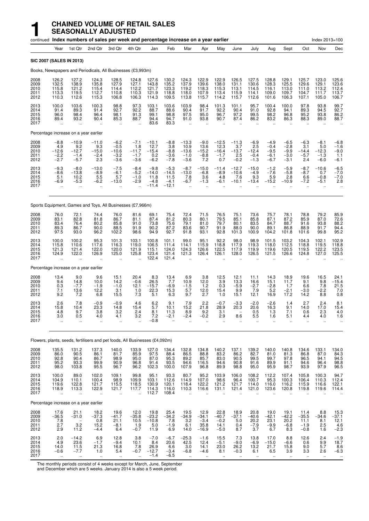|                                       |                                                           |                                                             | <b>CHAINED VOLUME OF RETAIL SALES</b><br><b>SEASONALLY ADJUSTED</b><br>continued Index numbers of sales per week and percentage increase on a year earlier |                                                            |                                              |                                                |                                                           |                                                            |                                                            |                                                          |                                                         |                                                          |                                                         |                                                          |                                                          | Index 2013=100                                             |                                                   |
|---------------------------------------|-----------------------------------------------------------|-------------------------------------------------------------|------------------------------------------------------------------------------------------------------------------------------------------------------------|------------------------------------------------------------|----------------------------------------------|------------------------------------------------|-----------------------------------------------------------|------------------------------------------------------------|------------------------------------------------------------|----------------------------------------------------------|---------------------------------------------------------|----------------------------------------------------------|---------------------------------------------------------|----------------------------------------------------------|----------------------------------------------------------|------------------------------------------------------------|---------------------------------------------------|
|                                       | Year                                                      | 1st Qtr                                                     | 2nd Qtr                                                                                                                                                    | 3rd Qtr                                                    | 4th Qtr                                      | Jan                                            | Feb                                                       | Mar                                                        | Apr                                                        | May                                                      | June                                                    | July                                                     | Aug                                                     | Sept                                                     | Oct                                                      | Nov                                                        | Dec                                               |
| SIC 2007 (SALES IN 2013)              |                                                           |                                                             |                                                                                                                                                            |                                                            |                                              |                                                |                                                           |                                                            |                                                            |                                                          |                                                         |                                                          |                                                         |                                                          |                                                          |                                                            |                                                   |
|                                       |                                                           |                                                             | Books, Newspapers and Periodicals, All Businesses (£3,993m)                                                                                                |                                                            |                                              |                                                |                                                           |                                                            |                                                            |                                                          |                                                         |                                                          |                                                         |                                                          |                                                          |                                                            |                                                   |
| 2008<br>2009<br>2010<br>2011<br>2012  | 126.2<br>132.5<br>115.8<br>113.3<br>110.3                 | 127.2<br>138.9<br>121.2<br>119.5<br>112.6                   | 124.3<br>135.8<br>115.4<br>112.7<br>115.3                                                                                                                  | 128.5<br>127.9<br>114.4<br>110.8<br>106.8                  | 124.8<br>127.1<br>112.2<br>110.3<br>106.3    | 127.6<br>143.8<br>121.7<br>121.9<br>114.3      | 130.2<br>135.2<br>123.3<br>118.8<br>109.5                 | 124.3<br>137.9<br>119.2<br>118.0<br>113.8                  | 122.9<br>139.6<br>118.3<br>107.9<br>115.7                  | 122.9<br>138.0<br>115.3<br>113.4<br>114.2                | 126.5<br>131.1<br>113.1<br>115.9<br>115.7               | 127.5<br>130.6<br>114.5<br>114.1<br>112.6                | 128.8<br>128.3<br>116.1<br>109.0<br>101.6               | 129.1<br>125.5<br>113.0<br>109.7<br>106.3                | 125.7<br>129.6<br>111.0<br>104.7<br>107.1                | 123.0<br>129.1<br>113.2<br>111.7<br>105.0                  | 125.6<br>123.6<br>112.4<br>113.7<br>106.7         |
| 2013<br>2014<br>2015<br>2016<br>2017  | 100.0<br>91.4<br>96.0<br>89.4<br>ă,                       | 103.6<br>89.3<br>98.4<br>93.2                               | 100.3<br>91.4<br>96.4<br>90.4                                                                                                                              | 98.8<br>92.7<br>98.1<br>85.3                               | 97.3<br>92.2<br>91.3<br>88.7                 | 103.1<br>88.7<br>99.1<br>94.4<br>83.6          | 103.6<br>88.6<br>98.8<br>94.7<br>83.3                     | 103.9<br>90.4<br>97.5<br>91.0                              | 98.4<br>91.7<br>95.0<br>93.8                               | 101.3<br>92.2<br>96.7<br>90.7                            | 101.1<br>90.4<br>97.2<br>87.4                           | 95.7<br>91.0<br>99.5<br>86.2                             | 100.4<br>92.8<br>98.2<br>83.2                           | 100.0<br>94.1<br>96.8<br>86.3                            | 97.8<br>89.3<br>95.2<br>88.3                             | 93.8<br>94.5<br>93.8<br>89.0                               | 99.7<br>92.7<br>86.2<br>88.7                      |
| Percentage increase on a year earlier |                                                           |                                                             |                                                                                                                                                            |                                                            |                                              |                                                |                                                           |                                                            |                                                            |                                                          |                                                         |                                                          |                                                         |                                                          |                                                          |                                                            |                                                   |
| 2008<br>2009<br>2010<br>2011<br>2012  | $-8.8$<br>4.9<br>$-12.6$<br>$-2.2$<br>$-2.7$              | $-10.9$<br>9.2<br>$-12.7$<br>$-1.4$<br>$-5.7$               | $-11.0$<br>9.3<br>$-15.0$<br>$-2.4$<br>2.3                                                                                                                 | $-6.2$<br>$-0.5$<br>$-10.6$<br>$-3.2$<br>$-3.6$            | $-7.1$<br>1.8<br>$-11.7$<br>$-1.7$<br>$-3.6$ | $-10.1$<br>12.7<br>$-15.4$<br>0.2<br>$-6.2$    | $-8.8$<br>3.8<br>$-8.8$<br>$-3.6$<br>$-7.8$               | $-13.3$<br>10.9<br>$-13.6$<br>$-1.0$<br>$-3.6$             | $-9.0$<br>13.6<br>$-15.2$<br>$-8.8$<br>7.2                 | $-12.5$<br>12.3<br>$-16.4$<br>$-1.7$<br>0.7              | $-11.3$<br>3.7<br>$-13.7$<br>2.5<br>$-0.2$              | $-6.9$<br>2.5<br>$-12.4$<br>$-0.4$<br>$-1.3$             | $-4.9$<br>$-0.4$<br>$-9.5$<br>$-6.1$<br>$-6.7$          | $-6.5$<br>$-2.8$<br>$-9.9$<br>$-3.0$<br>$-3.1$           | $-6.3$<br>3.1<br>$-14.4$<br>$-5.7$<br>2.4                | $-8.1$<br>5.0<br>$-12.3$<br>$-1.3$<br>$-6.0$               | $-6.8$<br>$-1.6$<br>$-9.0$<br>1.1<br>$-6.1$       |
| 2013<br>2014<br>2015<br>2016<br>2017  | $-9.3$<br>$-8.6$<br>5.1<br>$-6.9$<br>$\ddot{\phantom{0}}$ | $-8.0$<br>$-13.8$<br>10.2<br>$-5.3$<br>$\ddot{\phantom{a}}$ | $-13.0$<br>$-8.9$<br>5.5<br>$-6.2$<br>$\ddot{\phantom{a}}$                                                                                                 | $-7.5$<br>$-6.1$<br>5.7<br>$-13.0$<br>$\ddot{\phantom{a}}$ | $-8.4$<br>$-5.2$<br>$-1.0$<br>$-2.9$         | $-9.8$<br>$-14.0$<br>11.8<br>$-4.8$<br>$-11.4$ | $-5.3$<br>$-14.5$<br>11.5<br>$-4.1$<br>$-12.1$            | $-8.7$<br>$-13.0$<br>7.8<br>$-6.7$<br>$\ddot{\phantom{a}}$ | $-15.0$<br>$-6.8$<br>3.6<br>$-1.3$<br>$\ddot{\phantom{a}}$ | $-11.4$<br>$-8.9$<br>4.8<br>-6.1<br>$\ddot{\phantom{a}}$ | $-12.7$<br>$-10.6$<br>7.6<br>$-10.1$                    | $-15.0$<br>$-4.9$<br>9.3<br>$-13.4$                      | $-1.2$<br>$-7.6$<br>5.9<br>$-15.2$                      | $-5.9$<br>$-5.8$<br>2.8<br>$-10.9$                       | $-8.7$<br>$-8.7$<br>6.6<br>$-7.2$<br>ä,                  | $-10.6$<br>0.7<br>$-0.8$<br>$-5.1$<br>$\ddot{\phantom{a}}$ | $-6.5$<br>$-7.0$<br>$-7.0$<br>2.8<br>ä.           |
|                                       |                                                           |                                                             | Sports Equipment, Games and Toys, All Businesses (£7,966m)                                                                                                 |                                                            |                                              |                                                |                                                           |                                                            |                                                            |                                                          |                                                         |                                                          |                                                         |                                                          |                                                          |                                                            |                                                   |
| 2008<br>2009<br>2010<br>2011<br>2012  | 76.0<br>83.1<br>83.4<br>89.3<br>97.5                      | 72.1<br>82.8<br>76.4<br>86.7<br>93.0                        | 74.4<br>81.8<br>80.2<br>90.0<br>96.2                                                                                                                       | 76.0<br>86.7<br>85.8<br>88.5<br>102.2                      | 81.6<br>81.1<br>91.0<br>91.9<br>98.6         | 69.1<br>87.4<br>73.8<br>90.2<br>94.9           | 75.4<br>81.2<br>75.6<br>87.2<br>92.7                      | 72.4<br>80.3<br>79.1<br>83.6<br>91.8                       | 71.5<br>80.1<br>81.0<br>90.7<br>93.1                       | 76.5<br>79.5<br>79.7<br>91.9<br>92.8                     | 75.1<br>85.1<br>80.1<br>88.0<br>101.3                   | 73.6<br>85.8<br>83.5<br>90.0<br>100.9                    | 75.7<br>87.1<br>84.7<br>89.1<br>104.2                   | 78.1<br>87.2<br>88.7<br>86.8<br>101.8                    | 78.8<br>85.9<br>91.6<br>88.9<br>101.6                    | 79.2<br>87.0<br>93.8<br>91.7<br>99.8                       | 85.9<br>72.6<br>88.2<br>94.4<br>95.2              |
| 2013<br>2014<br>2015<br>2016<br>2017  | 100.0<br>115.8<br>121.3<br>124.9                          | 100.2<br>110.6<br>121.4<br>122.0                            | 95.3<br>117.6<br>122.0<br>126.9                                                                                                                            | 101.3<br>116.3<br>120.0<br>125.0                           | 103.1<br>119.0<br>121.9<br>125.8             | 100.8<br>106.5<br>115.1<br>123.4<br>122.4      | 101.1<br>111.4<br>124.0<br>121.4<br>121.4                 | 99.0<br>114.1<br>124.3<br>121.3                            | 95.1<br>115.9<br>126.6<br>126.4                            | 92.2<br>118.8<br>122.5<br>126.1                          | 98.0<br>117.9<br>117.9<br>128.0                         | 98.9<br>119.3<br>119.9<br>126.5                          | 101.5<br>118.0<br>119.6<br>121.5                        | 103.2<br>112.5<br>120.5<br>126.6                         | 104.3<br>118.8<br>119.5<br>124.8                         | 102.1<br>119.5<br>122.2<br>127.0                           | 102.9<br>118.8<br>123.5<br>125.5                  |
|                                       |                                                           |                                                             | Percentage increase on a year earlier                                                                                                                      |                                                            |                                              |                                                |                                                           |                                                            |                                                            |                                                          |                                                         |                                                          |                                                         |                                                          |                                                          |                                                            |                                                   |
| 2008<br>2009<br>2010<br>2011<br>2012  | 13.4<br>9.4<br>0.3<br>7.1<br>9.2                          | 9.0<br>14.8<br>$-7.7$<br>13.6<br>7.2                        | 9.6<br>10.0<br>$-1.9$<br>12.2<br>6.8                                                                                                                       | 15.1<br>14.2<br>$-1.0$<br>3.1<br>15.5                      | 20.4<br>$-0.6$<br>12.1<br>1.0<br>7.3         | 8.3<br>26.5<br>$-15.7$<br>22.3<br>5.1          | 13.4<br>7.7<br>$-6.9$<br>15.3<br>6.3                      | 6.9<br>10.9<br>$-1.5$<br>5.7<br>9.7                        | 3.8<br>12.0<br>1.2<br>12.0<br>2.7                          | 12.5<br>3.9<br>0.3<br>15.4<br>1.0                        | 12.1<br>13.3<br>$-5.9$<br>9.9<br>15.1                   | 11.1<br>16.6<br>$-2.7$<br>7.9<br>12.1                    | 14.3<br>15.1<br>$-2.8$<br>5.2<br>16.9                   | 18.9<br>11.7<br>1.7<br>$-2.1$<br>17.2                    | 19.6<br>9.1<br>6.6<br>$-3.0$<br>14.2                     | 16.5<br>9.8<br>7.8<br>$-2.2$<br>8.8                        | 24.1<br>$-15.4$<br>21.5<br>7.0<br>0.8             |
| 2013<br>2014<br>2015<br>2016<br>2017  | 2.6<br>15.8<br>4.8<br>3.0<br>$\ddot{\phantom{a}}$         | 7.8<br>10.4<br>9.7<br>0.5<br>$\ddotsc$                      | $-0.9$<br>23.3<br>3.8<br>4.0<br>$\ddotsc$                                                                                                                  | $-0.9$<br>14.8<br>3.2<br>4.1<br>$\ddot{\phantom{1}}$       | 4.6<br>15.4<br>2.4<br>3.2<br>$\ddotsc$       | 6.2<br>5.7<br>8.1<br>7.2<br>$-0.8$             | 9.1<br>10.1<br>11.3<br>$-2.1$<br>$\overline{\phantom{a}}$ | 7.9<br>15.2<br>8.9<br>$-2.4$<br>$\ddotsc$                  | 2.2<br>21.8<br>9.2<br>$-0.2$<br>$\ddotsc$                  | $-0.7$<br>28.9<br>3.1<br>2.9<br>$\ddotsc$                | $-3.3$<br>20.3<br>$\qquad \qquad -$<br>8.6<br>$\cdot$ . | $-2.0$<br>20.6<br>0.5<br>5.5<br>$\ddotsc$                | $-2.6$<br>16.3<br>1.3<br>1.6<br>$\ddotsc$               | 1.4<br>9.1<br>7.1<br>5.1<br>$\cdot$                      | 2.7<br>14.0<br>0.6<br>4.4<br>$\ldots$                    | 2.4<br>17.0<br>2.3<br>4.0<br>$\ddotsc$                     | 8.1<br>15.4<br>4.0<br>1.6<br>$\ddot{\phantom{0}}$ |
|                                       |                                                           |                                                             | Flowers, plants, seeds, fertilisers and pet foods, All Businesses (£4,092m)                                                                                |                                                            |                                              |                                                |                                                           |                                                            |                                                            |                                                          |                                                         |                                                          |                                                         |                                                          |                                                          |                                                            |                                                   |
| 2008<br>2009<br>2010<br>2011<br>2012  | 135.5<br>86.0<br>92.8<br>95.2<br>98.0                     | 131.2<br>90.5<br>90.4<br>93.3<br>103.8                      | 137.3<br>86.1<br>86.7<br>99.9<br>95.5                                                                                                                      | 140.0<br>81.7<br>98.9<br>90.9<br>96.7                      | 133.9<br>85.9<br>95.0<br>96.8<br>96.2        | 127.0<br>97.5<br>87.0<br>91.4<br>102.3         | 134.4<br>88.4<br>95.3<br>93.5<br>100.0                    | 132.8<br>86.5<br>89.2<br>94.6<br>107.9                     | 134.8<br>88.8<br>85.7<br>116.5<br>96.8                     | 140.2<br>83.2<br>83.0<br>94.6<br>89.9                    | 137.1<br>86.2<br>90.5<br>90.8<br>98.8                   | 139.2<br>82.7<br>99.5<br>91.6<br>95.0                    | 140.0<br>81.0<br>99.7<br>89.9<br>95.9                   | 140.8<br>81.3<br>97.8<br>91.1<br>98.7                    | 134.6<br>86.8<br>96.5<br>94.6<br>93.9                    | 133.1<br>87.0<br>94.1<br>96.4<br>97.9                      | 134.0<br>84.3<br>94.5<br>98.8<br>96.5             |
| 2013<br>2014<br>2015<br>2016<br>2017  | 100.0<br>104.9<br>119.6<br>118.9<br>÷.                    | 89.0<br>110.1<br>122.8<br>113.3<br>$\ddot{\phantom{a}}$     | 102.0<br>100.4<br>121.7<br>122.9<br>ă,                                                                                                                     | 109.1<br>98.9<br>115.5<br>121.7<br>à.                      | 99.8<br>109.9<br>118.5<br>117.7<br>÷.        | 95.1<br>103.1<br>130.9<br>114.3<br>112.7       | 93.3<br>112.6<br>120.1<br>116.0<br>108.4                  | 80.7<br>114.9<br>118.4<br>110.3<br>$\ddot{\phantom{a}}$    | 95.2<br>107.0<br>122.2<br>116.6<br>$\ddot{\phantom{a}}$    | 103.9<br>98.6<br>121.2<br>131.1<br>$\ddotsc$             | 106.0<br>96.4<br>121.7<br>121.4<br>$\ddot{\phantom{a}}$ | 108.2<br>100.7<br>114.0<br>121.0<br>$\ddot{\phantom{a}}$ | 112.2<br>95.3<br>116.0<br>123.6<br>$\ddot{\phantom{a}}$ | 107.4<br>100.3<br>116.2<br>120.8<br>$\ddot{\phantom{a}}$ | 105.8<br>106.4<br>115.9<br>119.8<br>$\ddot{\phantom{a}}$ | 100.3<br>110.3<br>116.6<br>119.6<br>$\ddot{\phantom{a}}$   | 94.7<br>112.4<br>122.1<br>114.4                   |
| Percentage increase on a year earlier |                                                           |                                                             |                                                                                                                                                            |                                                            |                                              |                                                |                                                           |                                                            |                                                            |                                                          |                                                         |                                                          |                                                         |                                                          |                                                          |                                                            |                                                   |
| 2008<br>2009<br>2010<br>2011<br>2012  | 17.6<br>$-36.5$<br>7.8<br>2.7<br>2.9                      | 21.1<br>$-31.0$<br>$\overline{\phantom{0}}$<br>3.2<br>11.2  | 18.2<br>$-37.3$<br>0.8<br>15.2<br>$-4.4$                                                                                                                   | 19.6<br>$-41.7$<br>21.1<br>$-8.1$<br>6.4                   | 12.0<br>$-35.8$<br>10.5<br>1.9<br>$-0.7$     | 19.8<br>$-23.2$<br>$-10.8$<br>5.0<br>11.9      | 25.4<br>$-34.2$<br>7.8<br>$-1.9$<br>6.9                   | 19.5<br>$-34.9$<br>3.2<br>6.1<br>14.0                      | 12.9<br>$-34.1$<br>$-3.4$<br>35.8<br>$-16.9$               | 22.8<br>$-40.7$<br>$-0.2$<br>14.1<br>$-5.0$              | 18.9<br>$-37.1$<br>$5.0$<br>0.4<br>8.7                  | 20.8<br>$-40.6$<br>20.2<br>$-7.9$<br>3.7                 | 19.0<br>$-42.1$<br>23.1<br>$-9.9$<br>6.7                | 19.1<br>$-42.2$<br>20.2<br>$-6.8$<br>8.3                 | 11.4<br>$-35.5$<br>11.1<br>$-1.9$<br>$-0.8$              | 8.8<br>$-34.6$<br>8.1<br>2.5<br>1.6                        | $15.3 - 37.1$<br>12.1<br>4.6<br>$-2.3$            |
| 2013<br>2014<br>2015                  | 2.0<br>4.9<br>14.0                                        | $-14.2$<br>23.6<br>11.5                                     | 6.9<br>$-1.7$<br>21.3                                                                                                                                      | 12.8<br>$-9.4$<br>16.8                                     | 3.8<br>10.1<br>7.8                           | $-7.0$<br>8.4<br>26.9                          | $-6.7$<br>20.6<br>6.6                                     | $-25.3$<br>42.5<br>3.0                                     | $-1.6$<br>12.4<br>14.1                                     | 15.5<br>$-5.1$<br>23.0                                   | 7.3<br>$-9.0$<br>26.2                                   | 13.8<br>$-6.9$<br>13.2                                   | 17.0<br>$-15.0$<br>21.7                                 | 8.8<br>$-6.6$<br>15.8                                    | 12.6<br>0.6<br>9.0                                       | 2.4<br>9.9<br>5.7                                          | $-1.9$<br>18.7<br>8.6                             |

2016 −0.6 −7.7 1.0 5.4 −0.7 −12.7 −3.4 −6.8 −4.6 8.1 −0.3 6.1 6.5 3.9 3.3 2.6 −6.3 2017 .. .. .. .. .. −1.4 −6.5 .. .. .. .. .. .. .. .. .. ..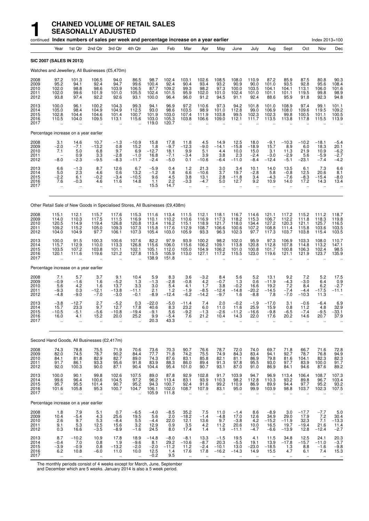**1**

|                                      |                                                            |                                                          | continued Index numbers of sales per week and percentage increase on a year earlier |                                                           |                                                          |                                            |                                               |                                                           |                                                          |                                                   |                                                           |                                                        |                                              |                                                       |                                            | Index 2013=100                                |                                                          |
|--------------------------------------|------------------------------------------------------------|----------------------------------------------------------|-------------------------------------------------------------------------------------|-----------------------------------------------------------|----------------------------------------------------------|--------------------------------------------|-----------------------------------------------|-----------------------------------------------------------|----------------------------------------------------------|---------------------------------------------------|-----------------------------------------------------------|--------------------------------------------------------|----------------------------------------------|-------------------------------------------------------|--------------------------------------------|-----------------------------------------------|----------------------------------------------------------|
|                                      | Year                                                       | 1st Qtr                                                  | 2nd Qtr                                                                             | 3rd Qtr                                                   | 4th Qtr                                                  | Jan                                        | Feb                                           | Mar                                                       | Apr                                                      | May                                               | June                                                      | July                                                   | Aug                                          | Sept                                                  | Oct                                        | Nov                                           | Dec                                                      |
|                                      | <b>SIC 2007 (SALES IN 2013)</b>                            |                                                          |                                                                                     |                                                           |                                                          |                                            |                                               |                                                           |                                                          |                                                   |                                                           |                                                        |                                              |                                                       |                                            |                                               |                                                          |
|                                      |                                                            |                                                          | Watches and Jewellery, All Businesses (£5,470m)                                     |                                                           |                                                          |                                            |                                               |                                                           |                                                          |                                                   |                                                           |                                                        |                                              |                                                       |                                            |                                               |                                                          |
| 2008<br>2009<br>2010<br>2011<br>2012 | 97.2<br>95.2<br>102.0<br>102.0<br>93.8                     | 101.3<br>94.1<br>98.8<br>99.6<br>97.4                    | 106.5<br>92.4<br>98.6<br>101.9<br>92.2                                              | 94.0<br>94.7<br>103.9<br>101.0<br>92.6                    | 86.5<br>99.6<br>106.5<br>105.5<br>93.1                   | 98.7<br>100.4<br>87.7<br>102.4<br>100.0    | 102.4<br>92.4<br>109.2<br>101.5<br>96.4       | 103.1<br>90.4<br>99.3<br>95.9<br>96.0                     | 102.6<br>93.4<br>98.2<br>102.0<br>91.2                   | 108.5<br>93.2<br>97.3<br>101.0<br>94.5            | 108.0<br>90.9<br>100.0<br>102.4<br>91.1                   | 110.9<br>90.0<br>103.5<br>101.0<br>92.4                | 87.2<br>101.0<br>104.1<br>101.1<br>88.6      | 85.9<br>93.5<br>104.1<br>101.1<br>95.9                | 87.5<br>92.8<br>113.1<br>119.5<br>91.8     | 80.8<br>95.6<br>106.0<br>99.8<br>92.3         | 90.3<br>108.4<br>101.6<br>98.9<br>94.8                   |
| 2013<br>2014<br>2015<br>2016<br>2017 | 100.0<br>105.0<br>102.8<br>110.5<br>$\ddot{\phantom{1}}$   | 96.1<br>98.4<br>104.4<br>104.0                           | 100.2<br>104.9<br>104.6<br>109.5<br>$\ddot{\phantom{a}}$                            | 104.3<br>104.9<br>101.4<br>113.1<br>$\ddot{\phantom{a}}$  | 99.3<br>112.5<br>100.7<br>115.6<br>$\ddot{\phantom{a}}$  | 94.1<br>93.0<br>101.9<br>103.0<br>119.0    | 96.9<br>98.6<br>103.0<br>105.3<br>120.7       | 97.2<br>103.5<br>107.4<br>103.8<br>$\ddot{\phantom{a}}$   | 110.6<br>98.9<br>111.9<br>106.6                          | 97.3<br>101.0<br>103.8<br>109.0                   | 94.2<br>112.8<br>99.5<br>112.1                            | 101.8<br>99.0<br>102.3<br>111.7                        | 101.0<br>106.9<br>102.3<br>113.5             | 108.9<br>108.0<br>99.8<br>113.8                       | 97.4<br>109.6<br>100.5<br>117.8            | 99.1<br>119.5<br>101.1<br>115.5               | 101.1<br>109.2<br>100.5<br>113.9                         |
|                                      |                                                            |                                                          | Percentage increase on a year earlier                                               |                                                           |                                                          |                                            |                                               |                                                           |                                                          |                                                   |                                                           |                                                        |                                              |                                                       |                                            |                                               |                                                          |
| 2008<br>2009<br>2010<br>2011<br>2012 | 3.1<br>$-2.0$<br>7.1<br>$\overline{\phantom{m}}$<br>$-8.0$ | 14.6<br>$-7.1$<br>5.0<br>0.9<br>$-2.3$                   | 10.7<br>$-13.2$<br>6.8<br>3.3<br>$-9.5$                                             | $-1.3$<br>0.8<br>9.7<br>$-2.8$<br>$-8.3$                  | $-10.9$<br>15.2<br>6.9<br>$-1.0$<br>$-11.7$              | 15.8<br>1.8<br>$-12.7$<br>16.8<br>$-2.4$   | 17.8<br>$-9.7$<br>18.1<br>$-7.1$<br>$-5.0$    | 11.8<br>$-12.3$<br>9.9<br>$-3.4$<br>0.1                   | 4.5<br>$-9.0$<br>5.1<br>3.9<br>$-10.6$                   | 14.9<br>$-14.1$<br>4.4<br>3.8<br>$-6.4$           | 12.5<br>$-15.8$<br>10.0<br>2.3<br>$-11.0$                 | 18.0<br>$-18.9$<br>15.0<br>$-2.4$<br>$-8.4$            | $-9.1$<br>15.7<br>3.1<br>$-3.0$<br>$-12.4$   | $-10.3$<br>8.9<br>11.3<br>$-2.9$<br>$-5.1$            | $-10.2$<br>6.0<br>21.9<br>5.6<br>$-23.1$   | $-18.1$<br>18.3<br>10.9<br>$-5.9$<br>$-7.4$   | $-5.4$<br>20.1<br>$-6.2$<br>$-2.7$<br>$-4.2$             |
| 2013<br>2014<br>2015<br>2016<br>2017 | 6.6<br>5.0<br>$-2.2$<br>7.6<br>$\mathbf{r}$                | $-1.3$<br>2.3<br>6.1<br>$-0.3$                           | 8.7<br>4.6<br>$-0.2$<br>4.6                                                         | 12.6<br>0.6<br>$-3.4$<br>11.6                             | 6.7<br>13.2<br>$-10.5$<br>14.8<br>$\ddotsc$              | $-5.9$<br>$-1.2$<br>9.6<br>1.1<br>15.5     | 0.4<br>1.8<br>4.5<br>$2.\overline{2}$<br>14.7 | $1.2$<br>6.6<br>3.8<br>$-3.3$<br>$\ddot{\phantom{a}}$     | 21.3<br>$-10.6$<br>13.1<br>$-4.7$                        | 3.0<br>3.7<br>2.8<br>5.0                          | 3.4<br>19.7<br>$-11.8$<br>12.7                            | 10.1<br>$-2.8$<br>3.4<br>9.2                           | 14.0<br>5.8<br>$-4.3$<br>10.9                | 13.5<br>$-0.8$<br>$-7.6$<br>14.0                      | 6.1<br>12.5<br>$-8.3$<br>17.2              | 7.3<br>20.6<br>$-15.4$<br>14.3                | 6.6<br>8.1<br>$-8.0$<br>13.4                             |
|                                      |                                                            |                                                          | Other Retail Sale of New Goods in Specialised Stores, All Businesses (£9,438m)      |                                                           |                                                          |                                            |                                               |                                                           |                                                          |                                                   |                                                           |                                                        |                                              |                                                       |                                            |                                               |                                                          |
| 2008<br>2009<br>2010<br>2011<br>2012 | 115.1<br>114.0<br>120.5<br>109.2<br>104.0                  | 112.1<br>110.3<br>114.9<br>115.2<br>104.9                | 115.7<br>117.5<br>119.4<br>105.0<br>97.7                                            | 117.6<br>111.5<br>126.8<br>109.3<br>106.1                 | 115.3<br>116.9<br>120.8<br>107.3<br>107.3                | 111.6<br>110.1<br>113.4<br>115.8<br>105.4  | 113.4<br>110.2<br>116.2<br>117.6<br>103.0     | 111.5<br>110.6<br>115.1<br>112.9<br>105.9                 | 112.1<br>116.9<br>118.9<br>108.7<br>93.3                 | 118.1<br>117.3<br>121.7<br>106.6<br>96.3          | 116.7<br>118.2<br>118.0<br>100.6<br>102.3                 | 114.6<br>115.3<br>134.4<br>107.2<br>97.7               | 121.1<br>106.7<br>127.2<br>108.8<br>117.3    | 117.2<br>112.2<br>120.3<br>111.4<br>103.7             | 115.2<br>111.8<br>121.1<br>115.8<br>103.8  | 111.2<br>118.3<br>125.7<br>103.6<br>115.4     | 118.7<br>119.8<br>116.5<br>103.5<br>103.5                |
| 2013<br>2014<br>2015<br>2016<br>2017 | 100.0<br>115.7<br>103.5<br>120.1<br>$\ddotsc$              | 91.5<br>112.9<br>107.2<br>111.6<br>$\ddotsc$             | 100.3<br>110.0<br>103.8<br>119.6<br>.,                                              | 100.6<br>113.3<br>101.1<br>121.2<br>$\ddotsc$             | 107.6<br>126.8<br>102.1<br>127.8<br>$\ddotsc$            | 82.2<br>115.6<br>105.1<br>115.5<br>138.9   | 97.9<br>106.0<br>112.0<br>105.9<br>151.8      | 93.9<br>115.6<br>105.0<br>113.0<br>$\ddotsc$              | 100.2<br>106.2<br>104.9<br>127.1                         | 98.2<br>109.1<br>106.2<br>117.2                   | 102.0<br>113.8<br>101.0<br>115.5                          | 95.9<br>120.8<br>100.8<br>123.0                        | 97.3<br>112.8<br>101.7<br>119.6              | 106.9<br>107.8<br>100.8<br>121.1                      | 103.3<br>114.8<br>106.3<br>121.9           | 108.0<br>113.2<br>102.4<br>123.7              | 110.7<br>147.1<br>98.5<br>135.9                          |
|                                      |                                                            |                                                          | Percentage increase on a year earlier                                               |                                                           |                                                          |                                            |                                               |                                                           |                                                          |                                                   |                                                           |                                                        |                                              |                                                       |                                            |                                               |                                                          |
| 2008<br>2009<br>2010<br>2011<br>2012 | $\frac{7.1}{-0.9}$<br>5.6<br>$-9.3$<br>$-4.8$              | 5.7<br>$-1.6$<br>4.2<br>0.3<br>$-9.0$                    | 3.7<br>1.6<br>1.6<br>$-12.1$<br>$-7.0$                                              | $\frac{9.1}{-5.2}$<br>13.7<br>$-13.8$<br>$-3.0$           | 10.4<br>1.3<br>3.3<br>$-11.1$<br>$-0.1$                  | $5.9 - 1.3$<br>3.0<br>2.1<br>$-8.9$        | 8.3<br>$-2.8$<br>5.4<br>1.2<br>$-12.4$        | 3.6<br>$-0.8$<br>4.1<br>$-1.9$<br>$-6.2$                  | -3.2<br>4.2<br>1.7<br>$-8.5$<br>$-14.2$                  | 8.4<br>$-0.7$<br>3.8<br>$-12.4$<br>$-9.7$         | $\frac{5.6}{1.3}$<br>$-0.2$<br>$-14.8$<br>1.6             | 5.2<br>0.6<br>16.6<br>$-20.2$<br>$-8.8$                | 13.1<br>$-11.9$<br>19.2<br>$-14.5$<br>7.8    | 9.2<br>$-4.3$<br>7.2<br>$-7.4$<br>$-7.0$              | 7.2<br>$-3.0$<br>8.4<br>$-4.4$<br>$-10.3$  | 5.2<br>6.4<br>6.2<br>$-17.5$<br>11.3          | $^{17.5}_{0.9}$<br>$-2.7$<br>$-11.1$                     |
| 2013<br>2014<br>2015<br>2016<br>2017 | $-3.8$<br>15.7<br>-10.5<br>16.0<br>$\ddot{\phantom{a}}$    | $-12.7$<br>23.3<br>$-5.1$<br>4.1<br>$\ddot{\phantom{a}}$ | 2.7<br>9.7<br>-5.6<br>15.2<br>ä.                                                    | $-5.2$<br>12.7<br>$-10.8$<br>20.0<br>$\ddot{\phantom{a}}$ | 0.3<br>17.8<br>$-19.4$<br>25.2                           | $-22.0$<br>40.6<br>$-9.1$<br>9.9<br>20.3   | $-5.0$<br>8.3<br>5.6<br>$-5.4$<br>43.3        | $-11.4$<br>23.2<br>$-9.2$<br>7.6                          | 7.4<br>6.0<br>$-1.3$<br>21.2<br>$\ddot{\phantom{a}}$     | 2.0<br>11.0<br>$-2.6$<br>10.4                     | $-0.2$<br>11.6<br>$-11.2$<br>14.3                         | $-1.9$<br>25.9<br>$-16.6$<br>22.0                      | $-17.0$<br>15.9<br>$-9.8$<br>17.6            | 3.1<br>0.8<br>$-6.5$<br>20.2                          | $-0.6$<br>11.2<br>$-7.4$<br>14.6           | $-6.4$<br>4.8<br>$-9.5$<br>20.7               | 6.9<br>32.9<br>-33.1<br>37.9                             |
|                                      |                                                            |                                                          | Second Hand Goods, All Businesses (£2,417m)                                         |                                                           |                                                          |                                            |                                               |                                                           |                                                          |                                                   |                                                           |                                                        |                                              |                                                       |                                            |                                               |                                                          |
| 2008<br>2009<br>2010<br>2011<br>2012 | 74.3<br>82.0<br>84.1<br>91.7<br>92.0                       | 78.8<br>74.5<br>81.8<br>86.1<br>100.3                    | 75.5<br>78.7<br>82.9<br>93.3<br>90.0                                                | 71.9<br>$\frac{90.2}{82.7}$<br>95.6<br>87.1               | 70.6<br>84.4<br>89.0<br>91.8<br>90.4                     | 73.6<br>77.7<br>74.3<br>83.9<br>104.4      | 70.3<br>71.8<br>87.6<br>88.3<br>95.4          | 90.7<br>74.2<br>$83.\overline{1}$<br>86.0<br>101.0        | 76.6<br>75.5<br>85.8<br>89.4<br>90.7                     | 78.7<br>74.9<br>82.1<br>91.3<br>93.1              | 72.0<br>84.3<br>81.1<br>97.8<br>87.0                      | 74.0<br>83.4<br>86.9<br>95.5<br>91.0                   | 69.7<br>94.1<br>79.8<br>93.0<br>86.9         | 71.8<br>92.7<br>81.6<br>97.7<br>84.1                  | 66.7<br>78.7<br>104.1<br>83.9<br>94.6      | 71.6<br>76.8<br>82.3<br>100.0<br>87.6         | 72.8<br>94.9<br>82.3<br>91.7<br>99.2                     |
| 2013<br>2014<br>2015<br>2016<br>2017 | 100.0<br>99.6<br>95.7<br>101.6<br>$\ddot{\phantom{1}}$     | 90.1<br>96.4<br>95.5<br>105.8<br>$\ddot{\phantom{a}}$    | 99.8<br>100.6<br>101.4<br>95.3<br>ä.                                                | 102.6<br>104.5<br>90.7<br>100.7<br>$\ddot{\phantom{a}}$   | 107.5<br>97.2<br>95.2<br>104.7                           | 89.0<br>96.2<br>94.3<br>106.1<br>105.9     | 87.8<br>113.4<br>100.7<br>102.0<br>111.8      | 92.9<br>83.1<br>92.4<br>108.7                             | 102.8<br>93.9<br>91.6<br>107.9<br>ä.                     | 91.7<br>110.3<br>99.2<br>83.1<br>$\ddotsc$        | 103.9<br>98.2<br>110.9<br>95.0<br>$\ddot{\phantom{a}}$    | 94.7<br>112.8<br>86.9<br>99.9                          | 96.9<br>110.3<br>89.9<br>103.9               | 113.4<br>93.2<br>94.4<br>98.8                         | 106.4<br>89.8<br>97.7<br>103.7             | 108.7<br>96.7<br>95.2<br>102.3                | 107.3<br>103.4<br>93.2<br>107.5                          |
|                                      |                                                            |                                                          | Percentage increase on a year earlier                                               |                                                           |                                                          |                                            |                                               |                                                           |                                                          |                                                   |                                                           |                                                        |                                              |                                                       |                                            |                                               |                                                          |
| 2008<br>2009<br>2010<br>2011<br>2012 | 1.8<br>10.4<br>2.6<br>9.1<br>0.3                           | 7.9<br>$-5.4$<br>9.7<br>5.3<br>16.6                      | 5.1<br>4.3<br>5.3<br>12.5<br>$-3.5$                                                 | 0.7<br>25.6<br>$-8.4$<br>15.6<br>$-8.9$                   | $-6.5$<br>19.5<br>$\frac{5.5}{3.2}$<br>$-1.6$            | $-4.0$<br>5.6<br>$-4.4$<br>12.9<br>24.5    | $-8.5$<br>2.0<br>22.0<br>0.9<br>8.0           | 35.2<br>$-18.2$<br>12.1<br>3.5<br>17.4                    | 7.5<br>$-1.4$<br>13.6<br>4.2<br>1.4                      | 11.0<br>$-4.8$<br>9.7<br>11.2<br>1.9              | $-1.4$<br>17.0<br>$-3.8$<br>20.6<br>$-11.1$               | 8.6<br>12.6<br>4.2<br>10.0<br>$-4.7$                   | $-8.9$<br>34.9<br>$-15.2$<br>16.5<br>$-6.6$  | 3.0<br>29.0<br>$-11.9$<br>19.7<br>$-13.9$             | $-17.7$<br>17.9<br>32.3<br>$-19.4$<br>12.8 | $-7.7$<br>7.2<br>7.1<br>21.6<br>$-12.4$       | 5.0<br>30.4<br>$-13.3$<br>11.4<br>$-2.7$                 |
| 2013<br>2014<br>2015<br>2016<br>2017 | 8.7<br>$-0.4$<br>$-3.9$<br>6.2<br>$\ddotsc$                | $-10.2$<br>7.0<br>$-0.9$<br>10.8<br>$\ddotsc$            | 10.9<br>0.8<br>0.8<br>-6.0<br>$\ldots$                                              | 17.8<br>1.9<br>$-13.2$<br>11.0<br>$\ddotsc$               | 18.9<br>$-9.6$<br>$-2.0$<br>10.0<br>$\ddot{\phantom{a}}$ | $-14.8$<br>8.1<br>$-2.0$<br>12.5<br>$-0.2$ | $-8.0$<br>29.2<br>$-11.2$<br>1.4<br>9.5       | $-8.1$<br>$-10.6$<br>11.2<br>17.6<br>$\ddot{\phantom{1}}$ | 13.3<br>$-8.7$<br>$-2.4$<br>17.8<br>$\ddot{\phantom{1}}$ | $-1.5$<br>20.3<br>$-10.1$<br>$-16.2$<br>$\ddotsc$ | 19.5<br>$-5.5$<br>13.0<br>$-14.3$<br>$\ddot{\phantom{a}}$ | 4.1<br>19.1<br>$-23.0$<br>14.9<br>$\ddot{\phantom{1}}$ | 11.5<br>13.9<br>$-18.5$<br>15.5<br>$\ddotsc$ | 34.8<br>$-17.8$<br>1.3<br>4.7<br>$\ddot{\phantom{1}}$ | 12.5<br>$-15.7$<br>8.8<br>6.1<br>$\ddotsc$ | 24.1<br>$-11.0$<br>$-1.6$<br>7.4<br>$\ddotsc$ | 20.3<br>$-3.7$<br>$-9.8$<br>15.3<br>$\ddot{\phantom{1}}$ |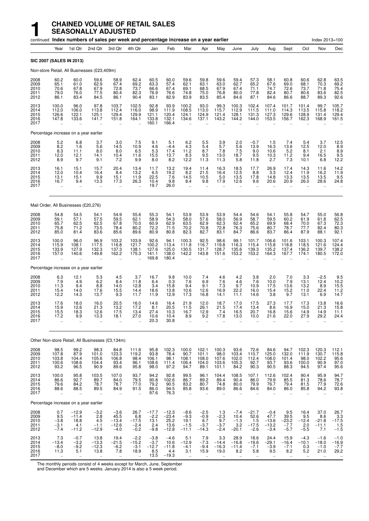**1**

|                                       |                                                       |                                                           | continued Index numbers of sales per week and percentage increase on a year earlier |                                                |                                                      |                                            |                                               |                                                          |                                              |                                                |                                                           |                                                          |                                                |                                                          |                                                         | Index 2013=100                                              |                                                                    |
|---------------------------------------|-------------------------------------------------------|-----------------------------------------------------------|-------------------------------------------------------------------------------------|------------------------------------------------|------------------------------------------------------|--------------------------------------------|-----------------------------------------------|----------------------------------------------------------|----------------------------------------------|------------------------------------------------|-----------------------------------------------------------|----------------------------------------------------------|------------------------------------------------|----------------------------------------------------------|---------------------------------------------------------|-------------------------------------------------------------|--------------------------------------------------------------------|
|                                       | Year                                                  | 1st Qtr                                                   | 2nd Qtr                                                                             | 3rd Qtr                                        | 4th Qtr                                              | Jan                                        | Feb                                           | Mar                                                      | Apr                                          | May                                            | June                                                      | July                                                     | Aug                                            | Sept                                                     | Oct                                                     | Nov                                                         | Dec                                                                |
| <b>SIC 2007 (SALES IN 2013)</b>       |                                                       |                                                           |                                                                                     |                                                |                                                      |                                            |                                               |                                                          |                                              |                                                |                                                           |                                                          |                                                |                                                          |                                                         |                                                             |                                                                    |
|                                       |                                                       |                                                           | Non-store Retail, All Businesses (£23,409m)                                         |                                                |                                                      |                                            |                                               |                                                          |                                              |                                                |                                                           |                                                          |                                                |                                                          |                                                         |                                                             |                                                                    |
| 2008<br>2009<br>2010<br>2011<br>2012  | 60.2<br>65.1<br>70.6<br>79.0<br>86.1                  | 60.0<br>61.0<br>67.8<br>76.0<br>83.4                      | 59.6<br>62.9<br>67.9<br>77.5<br>84.5                                                | 58.9<br>67.4<br>72.8<br>80.4<br>86.1           | 62.4<br>69.2<br>73.7<br>82.3<br>90.4                 | 60.5<br>63.3<br>66.6<br>76.9<br>83.1       | 60.0<br>57.4<br>67.4<br>76.6<br>82.9          | 59.6<br>62.1<br>69.1<br>74.8<br>83.9                     | 59.8<br>63.1<br>68.5<br>75.0<br>83.5         | 59.6<br>63.0<br>67.9<br>76.8<br>85.4           | 59.4<br>62.7<br>67.4<br>80.0<br>84.6                      | 57.3<br>65.2<br>71.1<br>77.8<br>87.1                     | 58.1<br>67.6<br>74.7<br>82.4<br>84.6           | 60.8<br>69.0<br>72.6<br>80.7<br>86.6                     | 60.6<br>68.1<br>73.7<br>80.6<br>88.7                    | 62.8<br>70.3<br>71.8<br>83.6<br>89.3                        | 63.5<br>69.2<br>75.4<br>82.5<br>92.6                               |
| 2013<br>2014<br>2015<br>2016<br>2017  | 100.0<br>112.0<br>126.6<br>147.8                      | 96.0<br>106.0<br>122.1<br>133.6                           | 97.8<br>113.8<br>125.1<br>141.7                                                     | 103.7<br>112.4<br>129.4<br>151.8               | 102.5<br>116.0<br>129.9<br>164.1                     | 92.8<br>98.9<br>121.1<br>133.8<br>160.1    | 93.9<br>111.9<br>120.4<br>132.1<br>166.4      | 100.2<br>108.5<br>124.1<br>134.6                         | 93.0<br>113.0<br>124.9<br>137.1              | 99.3<br>115.7<br>121.4<br>143.2                | 100.3<br>112.9<br>128.1<br>144.2                          | 102.4<br>111.5<br>131.3<br>144.0                         | 107.4<br>111.0<br>127.3<br>153.5               | 101.7<br>114.3<br>129.6<br>156.7                         | 101.4<br>113.5<br>128.9<br>162.3                        | 99.7<br>115.8<br>131.4<br>168.9                             | 105.7<br>118.2<br>129.4<br>161.5                                   |
|                                       |                                                       | Percentage increase on a year earlier                     |                                                                                     |                                                |                                                      |                                            |                                               |                                                          |                                              |                                                |                                                           |                                                          |                                                |                                                          |                                                         |                                                             |                                                                    |
| 2008<br>2009<br>2010<br>2011<br>2012  | 5.2<br>8.2<br>8.3<br>12.0<br>8.9                      | 6.8<br>1.6<br>11.1<br>12.1<br>9.7                         | 3.7<br>5.6<br>8.0<br>14.1<br>9.1                                                    | 3.0<br>14.5<br>8.0<br>10.4<br>7.2              | 7.5<br>10.9<br>6.5<br>11.6<br>9.9                    | 9.1<br>4.6<br>5.3<br>15.5<br>8.0           | 5.1<br>$-4.4$<br>17.4<br>13.7<br>8.2          | 6.2<br>4.3<br>11.2<br>8.3<br>12.2                        | 5.5<br>5.4<br>8.7<br>9.5<br>11.3             | 3.9<br>5.7<br>7.8<br>13.0<br>11.3              | 2.0<br>5.6<br>7.5<br>18.7<br>5.8                          | $-0.7$<br>13.9<br>9.0<br>9.5<br>11.8                     | 1.5<br>16.3<br>10.6<br>10.3<br>2.7             | 7.4<br>13.6<br>5.2<br>11.2<br>7.3                        | 5.4<br>12.5<br>8.1<br>9.4<br>10.1                       | 3.7<br>12.0<br>2.1<br>16.5<br>6.8                           | 12.5<br>8.9<br>$8.9$<br>$9.5$<br>12.2                              |
| 2013<br>2014<br>2015<br>2016<br>2017  | 16.1<br>12.0<br>13.1<br>16.7<br>$\ddot{\phantom{a}}$  | 15.1<br>10.4<br>15.1<br>9.4                               | 15.7<br>16.4<br>9.9<br>13.3<br>$\ddot{\phantom{a}}$                                 | 20.4<br>8.4<br>15.1<br>17.3<br>$\ddotsc$       | 13.4<br>13.2<br>11.9<br>26.3<br>$\ddot{\phantom{1}}$ | 11.7<br>6.5<br>22.5<br>10.4<br>19.7        | 13.2<br>19.2<br>7.6<br>9.8<br>26.0            | 19.4<br>8.2<br>14.5<br>8.4<br>$\ddot{\phantom{a}}$       | 11.4<br>21.5<br>10.5<br>9.8<br>$\mathbf{r}$  | 16.3<br>16.4<br>5.0<br>17.9                    | 18.5<br>12.5<br>13.5<br>12.6                              | 17.7<br>8.8<br>17.8<br>9.6                               | 26.9<br>3.3<br>14.8<br>20.6                    | 17.4<br>12.4<br>13.3<br>20.9                             | 14.3<br>11.9<br>13.5<br>26.0                            | 11.6<br>16.2<br>13.5<br>28.6                                | 14.2<br>11.9<br>9.5<br>24.8                                        |
| Mail Order, All Businesses (£20,276)  |                                                       |                                                           |                                                                                     |                                                |                                                      |                                            |                                               |                                                          |                                              |                                                |                                                           |                                                          |                                                |                                                          |                                                         |                                                             |                                                                    |
| 2008<br>2009<br>2010<br>2011<br>2012  | 54.8<br>59.1<br>65.7<br>75.8<br>85.0                  | 54.5<br>57.1<br>62.5<br>71.2<br>81.4                      | 54.1<br>57.5<br>62.5<br>73.5<br>83.6                                                | 54.9<br>59.5<br>67.8<br>78.4<br>85.6           | 55.6<br>62.1<br>70.0<br>80.2<br>89.6                 | 55.3<br>58.9<br>60.9<br>72.2<br>80.9       | 54.1<br>54.3<br>62.9<br>71.5<br>80.8          | 53.9<br>58.0<br>63.5<br>70.2<br>82.3                     | 53.9<br>57.6<br>62.9<br>70.8<br>82.7         | 53.9<br>58.0<br>62.3<br>72.8<br>83.1           | 54.4<br>56.9<br>62.4<br>76.3<br>84.7                      | 54.6<br>58.7<br>65.2<br>75.6<br>86.6                     | 54.1<br>59.5<br>69.9<br>80.7<br>83.7           | 55.8<br>60.2<br>68.4<br>78.7<br>86.4                     | 54.7<br>61.9<br>70.0<br>77.7<br>87.9                    | 55.0<br>61.8<br>67.3<br>82.4<br>88.1                        | 56.8<br>62.5<br>72.3<br>80.3<br>92.1                               |
| 2013<br>2014<br>2015<br>2016<br>2017  | 100.0<br>115.9<br>133.9<br>157.0<br>ă,                | 96.0<br>108.1<br>127.9<br>140.6                           | 96.9<br>117.5<br>132.3<br>149.8                                                     | 103.2<br>116.8<br>137.3<br>162.2<br>$\ddotsc$  | 103.9<br>121.7<br>138.1<br>175.3<br>$\ddotsc$        | 92.6<br>100.2<br>127.6<br>141.1<br>169.8   | 94.1<br>113.4<br>125.0<br>138.0<br>180.4      | 100.3<br>111.8<br>130.5<br>142.2<br>$\ddot{\phantom{a}}$ | 92.5<br>116.7<br>131.7<br>143.8              | 98.6<br>119.8<br>128.7<br>151.6                | 99.1<br>116.3<br>135.6<br>153.2                           | 101.7<br>115.4<br>139.3<br>153.2                         | 106.6<br>115.8<br>135.2<br>164.3               | 101.6<br>118.8<br>137.4<br>167.7                         | 103.1<br>118.5<br>136.2<br>174.1                        | 100.3<br>121.6<br>139.7<br>180.5                            | 107.4<br>124.4<br>138.2<br>172.0                                   |
| Percentage increase on a year earlier |                                                       |                                                           |                                                                                     |                                                |                                                      |                                            |                                               |                                                          |                                              |                                                |                                                           |                                                          |                                                |                                                          |                                                         |                                                             |                                                                    |
| 2008<br>2009<br>2010<br>2011<br>2012  | 6.3<br>7.9<br>11.3<br>15.4<br>12.2                    | 12.1<br>4.9<br>9.4<br>14.0<br>14.3                        | 5.3<br>6.2<br>8.8<br>17.6<br>13.7                                                   | 4.5<br>8.4<br>14.0<br>15.5<br>9.3              | 3.7<br>11.8<br>12.8<br>14.4<br>11.7                  | 16.7<br>6.4<br>3.4<br>18.6<br>11.9         | 9.8<br>0.3<br>15.8<br>13.8<br>12.9            | 10.0<br>7.6<br>9.4<br>10.6<br>17.3                       | 7.4<br>6.9<br>9.1<br>12.6<br>16.8            | 4.6<br>7.6<br>7.3<br>16.9<br>14.1              | 4.2<br>4.6<br>9.7<br>22.2<br>11.1                         | 3.8<br>7.6<br>10.9<br>16.0<br>14.6                       | 2.0<br>10.0<br>17.5<br>15.4<br>3.8             | 7.0<br>7.9<br>13.6<br>15.2<br>9.7                        | 3.3<br>13.1<br>13.2<br>11.0<br>13.1                     | $-2.5$<br>12.4<br>8.9<br>22.4<br>6.9                        | $\frac{9.5}{10.2}$<br>15.5<br>11.2<br>14.7                         |
| 2013<br>2014<br>2015<br>2016<br>2017  | 17.6<br>15.9<br>15.5<br>17.2<br>$\ddotsc$             | 18.0<br>12.6<br>18.3<br>9.9<br>$\ddot{\phantom{a}}$       | 16.0<br>21.3<br>12.6<br>13.3<br>$\mathbf{r}$                                        | 20.5<br>13.2<br>17.5<br>18.1<br>ä,             | 16.0<br>17.2<br>13.4<br>27.0                         | 14.6<br>8.1<br>27.4<br>10.6<br>20.3        | 16.4<br>20.5<br>10.3<br>10.4<br>30.8          | 21.9<br>11.5<br>16.7<br>8.9<br>$\ddot{\phantom{a}}$      | 12.0<br>26.1<br>12.9<br>9.2                  | 18.7<br>21.5<br>7.4<br>17.8                    | 17.0<br>17.4<br>16.5<br>13.0                              | 17.5<br>13.4<br>20.7<br>10.0                             | 27.3<br>8.6<br>16.8<br>21.6                    | 17.7<br>16.9<br>15.6<br>22.0                             | 17.3<br>15.0<br>14.9<br>27.9                            | 13.8<br>21.3<br>14.9<br>29.2                                | 16.6<br>15.8<br>11.1<br>24.4                                       |
|                                       |                                                       |                                                           | Other Non-store Retail, All Businesses (£3,134m)                                    |                                                |                                                      |                                            |                                               |                                                          |                                              |                                                |                                                           |                                                          |                                                |                                                          |                                                         |                                                             |                                                                    |
| 2008<br>2009<br>2010<br>2011<br>2012  | 98.5<br>107.8<br>103.8<br>100.6<br>93.2               | 99.2<br>87.9<br>104.4<br>108.6<br>96.5                    | 98.3<br>101.0<br>105.6<br>104.4<br>90.9                                             | 84.8<br>123.3<br>106.8<br>93.4<br>89.6         | 111.6<br>119.2<br>98.4<br>96.1<br>95.8               | 95.8<br>93.8<br>106.1<br>108.6<br>98.0     | 102.3<br>78.4<br>98.1<br>111.4<br>97.2        | 100.0<br>90.7<br>108.1<br>106.4<br>94.7                  | 102.1<br>101.1<br>108.0<br>104.0<br>89.1     | 100.3<br>98.0<br>107.6<br>103.6<br>101.1       | 93.6<br>103.4<br>102.0<br>105.3<br>84.2                   | 72.6<br>110.7<br>112.4<br>92.7<br>90.3                   | 84.6<br>125.0<br>108.0<br>93.7<br>90.5         | 94.7<br>132.0<br>101.4<br>93.6<br>88.3                   | 102.3<br>111.9<br>98.0<br>100.0<br>94.5                 | 120.3<br>130.7<br>102.2<br>90.9<br>97.4                     | 112.1<br>115.8<br>95.6<br>97.0<br>95.6                             |
| 2013<br>2014<br>2015<br>2016<br>2017  | 100.0<br>86.6<br>79.6<br>88.6<br>$\ddot{\phantom{a}}$ | 95.8<br>92.7<br>84.2<br>88.5<br>à.                        | 103.5<br>89.7<br>78.7<br>89.5<br>ä.                                                 | 107.0<br>84.0<br>78.7<br>84.9<br>Ġ.            | 93.7<br>79.5<br>77.0<br>91.5<br>÷.                   | 94.2<br>90.8<br>79.2<br>86.0<br>97.6       | 92.8<br>102.6<br>90.5<br>94.5<br>76.3         | 99.5<br>86.7<br>83.2<br>85.8<br>$\ddot{\phantom{a}}$     | 96.1<br>89.2<br>80.7<br>93.6<br>à.           | 104.4<br>89.4<br>74.8<br>89.0<br>$\ddotsc$     | 108.5<br>90.4<br>80.0<br>86.6<br>$\ddot{\phantom{a}}$     | 107.1<br>86.0<br>79.9<br>84.6<br>$\ddot{\phantom{a}}$    | 112.6<br>79.9<br>76.7<br>84.0<br>$\ddotsc$     | 102.4<br>85.5<br>79.4<br>86.0<br>$\ddot{\phantom{a}}$    | 90.4<br>81.3<br>81.5<br>85.8<br>$\ddot{\phantom{1}}$    | 95.9<br>78.6<br>77.9<br>94.2<br>÷.                          | 94.7<br>78.7<br>72.6<br>93.8<br>$\ddotsc$                          |
| Percentage increase on a year earlier |                                                       |                                                           |                                                                                     |                                                |                                                      |                                            |                                               |                                                          |                                              |                                                |                                                           |                                                          |                                                |                                                          |                                                         |                                                             |                                                                    |
| 2008<br>2009<br>2010<br>2011<br>2012  | 0.7<br>9.5<br>$-3.8$<br>$-3.1$<br>$-7.4$              | $-12.9$<br>$-11.4$<br>18.8<br>4.1<br>$-11.2$              | $-3.2$<br>2.8<br>4.5<br>$-1.1$<br>$-12.9$                                           | $-3.6$<br>45.5<br>$-13.4$<br>$-12.6$<br>$-4.0$ | 26.7<br>6.8<br>$-17.5$<br>$-2.4$<br>$-0.2$           | $-17.7$<br>$-2.2$<br>13.1<br>2.4<br>$-9.8$ | $-12.3$<br>$-23.4$<br>25.2<br>13.6<br>$-12.8$ | $-8.6$<br>$-9.3$<br>19.1<br>$-1.5$<br>$-11.1$            | $^{-2.5}_{-0.9}$<br>6.7<br>$-3.7$<br>$-14.3$ | 1.3<br>$-2.3$<br>9.7<br>$-3.7$<br>$-2.4$       | $-7.4$<br>10.4<br>$-1.3$<br>3.2<br>$-20.1$                | $-21.7$<br>52.6<br>1.5<br>$-17.5$<br>$-2.6$              | $-0.4$<br>47.7<br>$-13.6$<br>$-13.2$<br>$-3.4$ | 9.5<br>39.5<br>$-23.2$<br>$-7.7$<br>$-5.7$               | 16.4<br>9.5<br>$-12.4$<br>2.0<br>$-5.5$                 | 37.0<br>8.6<br>$-21.8$<br>$-11.1$<br>7.1                    | 26.7<br>$\begin{array}{r} 3.3 \\ -17.5 \\ 1.5 \\ -1.5 \end{array}$ |
| 2013<br>2014<br>2015<br>2016<br>2017  | 7.3<br>$-13.4$<br>$-8.0$<br>11.3<br>$\ddotsc$         | $-0.7$<br>$-3.2$<br>$-9.2$<br>5.1<br>$\ddot{\phantom{1}}$ | 13.8<br>$-13.3$<br>$-12.3$<br>13.8<br>$\ddotsc$                                     | 19.4<br>-21.5<br>$-6.2$<br>7.8<br>μ,           | $-2.2$<br>$-15.2$<br>$-3.1$<br>18.9                  | $-3.8$<br>$-3.7$<br>$-12.7$<br>8.5<br>13.5 | $-4.6$<br>10.6<br>$-11.8$<br>4.4<br>$-19.3$   | 5.1<br>$-12.9$<br>$-4.1$<br>3.1<br>$\ddotsc$             | 7.9<br>$-7.3$<br>$-9.4$<br>15.9<br>$\ddotsc$ | 3.3<br>$-14.4$<br>$-16.3$<br>19.0<br>$\ddotsc$ | 28.9<br>$-16.8$<br>$-11.4$<br>8.2<br>$\ddot{\phantom{1}}$ | 18.6<br>$-19.6$<br>$-7.1$<br>5.8<br>$\ddot{\phantom{1}}$ | 24.4<br>$-29.1$<br>$-3.9$<br>9.5<br>$\ddotsc$  | 15.9<br>$-16.4$<br>$-7.1$<br>8.2<br>$\ddot{\phantom{1}}$ | $-4.3$<br>$-10.1$<br>0.3<br>5.2<br>$\ddot{\phantom{1}}$ | $-1.6$<br>$-18.0$<br>$-1.0$<br>21.0<br>$\ddot{\phantom{1}}$ | $-1.0$<br>$-16.9$<br>$-7.7$<br>29.2<br>$\cdot\cdot$                |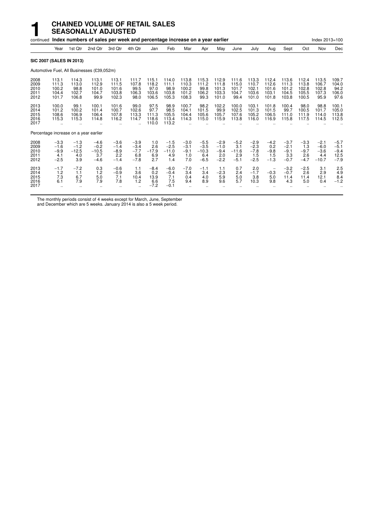|                                      |                                             |                                              | <b>SEASONALLY ADJUSTED</b><br>continued Index numbers of sales per week and percentage increase on a year earlier |                                             |                                             |                                          |                                           |                                           |                                              |                                             |                                           |                                             |                                                  |                                             |                                           | Index 2013=100                               |                                              |
|--------------------------------------|---------------------------------------------|----------------------------------------------|-------------------------------------------------------------------------------------------------------------------|---------------------------------------------|---------------------------------------------|------------------------------------------|-------------------------------------------|-------------------------------------------|----------------------------------------------|---------------------------------------------|-------------------------------------------|---------------------------------------------|--------------------------------------------------|---------------------------------------------|-------------------------------------------|----------------------------------------------|----------------------------------------------|
|                                      | Year                                        | 1st Qtr                                      | 2nd Qtr                                                                                                           | 3rd Qtr                                     | 4th Qtr                                     | Jan                                      | Feb                                       | Mar                                       | Apr                                          | May                                         | June                                      | July                                        | Aug                                              | Sept                                        | Oct                                       | Nov                                          | Dec                                          |
| SIC 2007 (SALES IN 2013)             |                                             |                                              |                                                                                                                   |                                             |                                             |                                          |                                           |                                           |                                              |                                             |                                           |                                             |                                                  |                                             |                                           |                                              |                                              |
|                                      |                                             |                                              | Automotive Fuel, All Businesses (£39,052m)                                                                        |                                             |                                             |                                          |                                           |                                           |                                              |                                             |                                           |                                             |                                                  |                                             |                                           |                                              |                                              |
| 2008<br>2009<br>2010<br>2011<br>2012 | 113.1<br>111.3<br>100.2<br>104.4<br>101.7   | 114.3<br>113.0<br>98.8<br>102.7<br>106.8     | 113.1<br>112.9<br>101.0<br>104.7<br>99.9                                                                          | 113.1<br>111.5<br>101.6<br>103.8<br>102.3   | 111.7<br>107.8<br>99.5<br>106.3<br>98.0     | 115.1<br>118.2<br>97.0<br>103.6<br>106.5 | 114.0<br>111.1<br>98.9<br>103.8<br>105.3  | 113.8<br>110.3<br>100.2<br>101.2<br>108.3 | 115.3<br>111.2<br>99.8<br>106.2<br>99.3      | 112.9<br>111.8<br>101.3<br>103.3<br>101.0   | 111.6<br>115.0<br>101.7<br>104.7<br>99.4  | 113.3<br>110.7<br>102.1<br>103.6<br>101.0   | 112.4<br>112.6<br>101.6<br>103.1<br>101.8        | 113.6<br>111.3<br>101.2<br>104.5<br>103.8   | 112.4<br>113.8<br>102.8<br>105.5<br>100.5 | 113.5<br>106.7<br>102.8<br>107.3<br>95.9     | 109.7<br>104.0<br>94.2<br>106.0<br>97.6      |
| 2013<br>2014<br>2015<br>2016<br>2017 | 100.0<br>101.2<br>108.6<br>115.3            | 99.1<br>100.2<br>106.9<br>115.3<br>$\ddotsc$ | 100.1<br>101.4<br>106.4<br>114.8                                                                                  | 101.6<br>100.7<br>107.8<br>116.2            | 99.0<br>102.6<br>113.3<br>114.7             | 97.5<br>97.7<br>111.3<br>118.6<br>110.0  | 98.9<br>98.5<br>105.5<br>113.4<br>113.2   | 100.7<br>104.1<br>104.4<br>114.3          | 98.2<br>101.5<br>105.6<br>115.0              | 102.2<br>99.9<br>105.7<br>115.9             | 100.0<br>102.5<br>107.6<br>113.8          | 103.1<br>101.3<br>105.2<br>116.0            | 101.8<br>101.5<br>106.5<br>116.9                 | 100.4<br>99.7<br>111.0<br>115.8             | 98.0<br>100.5<br>111.9<br>117.5           | 98.8<br>101.7<br>114.0<br>114.5              | 100.1<br>105.0<br>113.8<br>112.5             |
|                                      |                                             | Percentage increase on a year earlier        |                                                                                                                   |                                             |                                             |                                          |                                           |                                           |                                              |                                             |                                           |                                             |                                                  |                                             |                                           |                                              |                                              |
| 2008<br>2009<br>2010<br>2011<br>2012 | $-3.3$<br>$-1.6$<br>$-9.9$<br>4.1<br>$-2.5$ | $-1.3$<br>$-1.2$<br>$-12.5$<br>4.0<br>3.9    | $-4.6$<br>$-0.2$<br>$-10.5$<br>3.7<br>$-4.6$                                                                      | $-3.6$<br>$-1.4$<br>$-8.9$<br>2.2<br>$-1.4$ | $-3.9$<br>$-3.4$<br>$-7.7$<br>6.8<br>$-7.8$ | 1.0<br>2.6<br>$-17.9$<br>6.9<br>2.7      | $-1.5$<br>$-2.5$<br>$-11.0$<br>4.9<br>1.4 | $-3.0$<br>$-3.1$<br>$-9.1$<br>1.0<br>7.0  | $-5.5$<br>$-3.5$<br>$-10.3$<br>6.4<br>$-6.5$ | $-2.9$<br>$-1.0$<br>$-9.4$<br>2.0<br>$-2.2$ | $-5.2$<br>3.1<br>$-11.6$<br>2.9<br>$-5.1$ | $-2.9$<br>$-2.3$<br>$-7.8$<br>1.5<br>$-2.5$ | $-4.2$<br>0.2<br>$-9.8$<br>1.5<br>$-1.3$         | $-3.7$<br>$-2.1$<br>$-9.1$<br>3.3<br>$-0.7$ | $-3.3$<br>1.3<br>$-9.7$<br>2.6<br>$-4.7$  | $-2.1$<br>$-6.0$<br>$-3.6$<br>4.4<br>$-10.7$ | $-5.7$<br>$-5.1$<br>$-9.4$<br>12.5<br>$-7.9$ |
| 2013<br>2014<br>2015<br>2016<br>2017 | $-1.7$<br>1.2<br>7.3<br>6.1                 | $-7.2$<br>1.1<br>6.7<br>7.9                  | 0.3<br>1.2<br>5.0<br>7.9                                                                                          | $-0.6$<br>$-0.9$<br>7.1<br>7.8              | 1.1<br>3.6<br>10.4<br>1.2                   | $-8.4$<br>0.2<br>13.9<br>6.6<br>$-7.2$   | $-6.0$<br>$-0.4$<br>7.1<br>7.5<br>$-0.1$  | $-7.0$<br>3.4<br>0.4<br>9.4               | $-1.1$<br>3.4<br>4.0<br>8.9                  | 1.1<br>$-2.3$<br>5.9<br>9.6                 | 0.7<br>2.4<br>5.0<br>5.7                  | 2.0<br>$-1.7$<br>3.8<br>10.3                | $\overline{\phantom{m}}$<br>$-0.3$<br>5.0<br>9.8 | $-3.2$<br>$-0.7$<br>11.4<br>4.3             | $-2.5$<br>2.6<br>11.4<br>5.0              | 3.1<br>2.9<br>12.1<br>0.4                    | 2.5<br>4.9<br>8.4<br>$-1.2$                  |

The monthly periods consist of 4 weeks except for March, June, September

and December which are 5 weeks. January 2014 is also a 5 week period.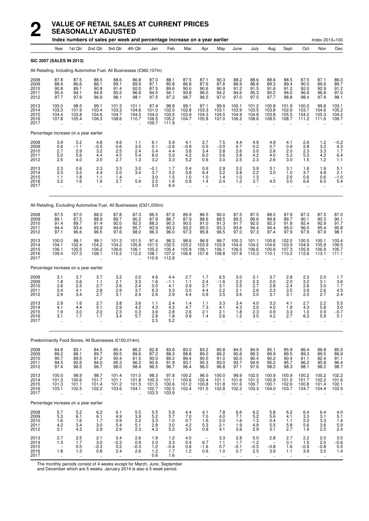**2**

|                                      |                                                      |                                                         | Index numbers of sales per week and percentage increase on a year earlier |                                                          |                                                          |                                          |                                          |                                                    |                                                  |                                                  |                                              |                                       |                                                                       |                                                  |                                       | Index 2013=100                           |                                           |
|--------------------------------------|------------------------------------------------------|---------------------------------------------------------|---------------------------------------------------------------------------|----------------------------------------------------------|----------------------------------------------------------|------------------------------------------|------------------------------------------|----------------------------------------------------|--------------------------------------------------|--------------------------------------------------|----------------------------------------------|---------------------------------------|-----------------------------------------------------------------------|--------------------------------------------------|---------------------------------------|------------------------------------------|-------------------------------------------|
|                                      | Year                                                 | 1st Qtr                                                 | 2nd Qtr                                                                   | 3rd Qtr                                                  | 4th Qtr                                                  | Jan                                      | Feb                                      | Mar                                                | Apr                                              | May                                              | June                                         | July                                  | Aug                                                                   | Sept                                             | Oct                                   | Nov                                      | Dec                                       |
|                                      | <b>SIC 2007 (SALES IN 2013)</b>                      |                                                         |                                                                           |                                                          |                                                          |                                          |                                          |                                                    |                                                  |                                                  |                                              |                                       |                                                                       |                                                  |                                       |                                          |                                           |
|                                      |                                                      |                                                         | All Retailing, Including Automotive Fuel, All Businesses (£360,107m)      |                                                          |                                                          |                                          |                                          |                                                    |                                                  |                                                  |                                              |                                       |                                                                       |                                                  |                                       |                                          |                                           |
| 2008<br>2009<br>2010<br>2011<br>2012 | 87.8<br>88.4<br>90.8<br>95.4<br>97.7                 | 87.5<br>86.6<br>89.1<br>94.1<br>97.9                    | 88.5<br>88.1<br>90.9<br>94.9<br>96.9                                      | 88.6<br>89.1<br>91.4<br>95.5<br>98.1                     | 86.8<br>89.9<br>92.0<br>96.9<br>98.1                     | 87.0<br>87.1<br>87.5<br>94.5<br>97.5     | 88.1<br>85.8<br>89.6<br>94.1<br>97.2     | 87.5<br>86.8<br>90.0<br>93.8<br>98.7               | 87.1<br>87.6<br>90.6<br>96.0<br>96.5             | 90.3<br>87.6<br>90.9<br>94.2<br>97.0             | 88.2<br>88.9<br>91.2<br>94.6<br>97.0         | 88.6<br>88.8<br>91.5<br>95.3<br>97.5  | 88.6<br>89.3<br>91.6<br>95.2<br>97.7                                  | 88.5<br>89.4<br>91.2<br>96.0<br>98.8             | 87.5<br>90.0<br>92.0<br>96.9<br>98.4  | 87.1<br>89.9<br>92.9<br>96.8<br>97.9     | 86.0<br>89.7<br>91.2<br>97.0<br>98.1      |
| 2013<br>2014<br>2015<br>2016<br>2017 | 100.0<br>103.3<br>104.4<br>107.8                     | 98.5<br>101.9<br>103.8<br>105.4                         | 99.1<br>103.4<br>104.6<br>106.3                                           | 101.3<br>103.3<br>104.7<br>108.6                         | 101.1<br>104.6<br>104.5<br>110.7                         | 97.4<br>101.0<br>104.0<br>106.5<br>109.7 | 98.8<br>102.0<br>103.5<br>105.2<br>111.9 | 99.1<br>102.8<br>103.9<br>104.7                    | 97.1<br>103.3<br>104.3<br>105.8                  | 99.9<br>103.1<br>104.5<br>107.0                  | 100.1<br>103.9<br>104.9<br>106.2             | 101.2<br>103.5<br>104.8<br>108.6      | 100.8<br>103.8<br>103.8<br>108.5                                      | 101.9<br>102.9<br>105.5<br>108.7                 | 100.0<br>103.7<br>104.2<br>111.2      | 99.8<br>104.6<br>105.3<br>111.6          | 103.1<br>105.2<br>104.2<br>109.7          |
|                                      | Percentage increase on a year earlier                |                                                         |                                                                           |                                                          |                                                          |                                          |                                          |                                                    |                                                  |                                                  |                                              |                                       |                                                                       |                                                  |                                       |                                          |                                           |
| 2008<br>2009<br>2010<br>2011<br>2012 | 3.9<br>0.6<br>2.7<br>5.0<br>2.5                      | 5.2<br>$-1.1$<br>2.9<br>5.6<br>4.0                      | 4.8<br>-0.5<br>3.2<br>4.4<br>2.0                                          | 4.6<br>0.6<br>$^{2.5}_{4.5}$<br>2.7                      | 1.1<br>3.5<br>2.4<br>5.4<br>1.3                          | 6.1<br>0.1<br>0.4<br>8.0<br>3.2          | 5.9<br>$-2.6$<br>4.4<br>5.0<br>3.3       | 4.1<br>$-0.9$<br>3.8<br>4.2<br>5.2                 | 2.7<br>0.5<br>3.4<br>6.0<br>0.6                  | 7.5<br>$-3.0$<br>3.8<br>3.6<br>3.0               | 4.4<br>0.7<br>2.6<br>3.8<br>2.5              | 4.9<br>0.2<br>3.0<br>4.2<br>2.3       | 4.9<br>0.7<br>2.6<br>4.0<br>2.6                                       | 4.1<br>0.9<br>2.0<br>5.3<br>3.0                  | 2.6<br>2.8<br>2.3<br>5.3<br>1.5       | 1.2<br>3.2<br>3.3<br>4.2<br>1.2          | $-0.2$<br>$\frac{4.3}{1.7}$<br>6.4<br>1.1 |
| 2013<br>2014<br>2015<br>2016<br>2017 | 2.3<br>3.3<br>1.1<br>3.2<br>÷.                       | 0.6<br>3.5<br>1.8<br>1.6<br>$\ddotsc$                   | 2.3<br>4.4<br>1.1<br>1.6<br>$\ddot{\phantom{a}}$                          | 3.3<br>2.0<br>1.4<br>3.7<br>$\ddotsc$                    | 3.0<br>3.4<br>5.9<br>$\ddotsc$                           | $-0.1$<br>3.7<br>3.0<br>2.5<br>3.0       | 1.7<br>3.2<br>1.5<br>1.6<br>6.4          | 0.4<br>3.8<br>1.0<br>0.8<br>$\ddot{\phantom{a}}$   | 0.6<br>6.4<br>1.0<br>1.4<br>$\ddot{\phantom{a}}$ | 2.9<br>3.2<br>1.4<br>2.4<br>$\ddot{\phantom{a}}$ | 3.2<br>3.8<br>1.0<br>1.2<br>$\ddotsc$        | 3.9<br>2.2<br>1.3<br>3.7<br>$\ddotsc$ | 3.1<br>3.0<br>$\overline{\phantom{a}}$<br>4.5<br>$\ddot{\phantom{a}}$ | 3.1<br>1.0<br>2.6<br>3.0<br>$\ddot{\phantom{a}}$ | 1.6<br>3.7<br>0.6<br>6.6<br>$\ddotsc$ | 1.9<br>4.9<br>0.6<br>6.0<br>Ω.           | 5.1<br>2.1<br>$-1.0$<br>5.4               |
|                                      |                                                      |                                                         | All Retailing, Excluding Automotive Fuel, All Businesses (£321,055m)      |                                                          |                                                          |                                          |                                          |                                                    |                                                  |                                                  |                                              |                                       |                                                                       |                                                  |                                       |                                          |                                           |
| 2008<br>2009<br>2010<br>2011<br>2012 | 87.5<br>89.1<br>91.4<br>94.4<br>97.1                 | 87.0<br>87.5<br>89.7<br>93.4<br>96.6                    | 88.0<br>88.9<br>91.4<br>93.9<br>96.5                                      | 87.8<br>89.7<br>92.0<br>94.6<br>97.6                     | 87.3<br>90.2<br>92.3<br>95.7<br>98.0                     | 86.5<br>87.9<br>88.3<br>93.9<br>96.3     | 87.6<br>86.7<br>90.3<br>93.3<br>96.0     | 86.9<br>87.9<br>90.5<br>93.2<br>97.3               | 86.5<br>88.6<br>91.0<br>95.0<br>95.8             | 90.0<br>88.5<br>91.3<br>93.3<br>96.5             | 87.5<br>89.5<br>91.7<br>93.6<br>97.0         | 87.5<br>89.6<br>92.0<br>94.4<br>97.3  | 88.0<br>89.8<br>92.3<br>94.4<br>97.4                                  | 87.9<br>89.7<br>91.8<br>95.0<br>97.9             | 87.3<br>90.1<br>92.4<br>96.0<br>97.9  | 87.5<br>90.3<br>92.9<br>95.4<br>97.9     | 87.0<br>90.1<br>91.7<br>95.8<br>98.1      |
| 2013<br>2014<br>2015<br>2016<br>2017 | 100.0<br>104.1<br>106.1<br>109.4                     | 98.1<br>102.4<br>105.5<br>107.3<br>$\ddot{\phantom{a}}$ | 99.1<br>104.2<br>106.2<br>108.1<br>Ω,                                     | 101.3<br>104.2<br>106.6<br>110.2<br>$\ddot{\phantom{a}}$ | 101.5<br>105.8<br>106.1<br>112.2<br>$\ddot{\phantom{a}}$ | 97.4<br>101.5<br>105.2<br>108.1<br>110.9 | 98.3<br>102.5<br>105.4<br>107.2<br>112.8 | 98.6<br>103.2<br>105.9<br>106.8                    | 96.9<br>103.9<br>106.1<br>107.6                  | 99.7<br>103.9<br>106.1<br>108.8                  | 100.3<br>104.6<br>106.5<br>107.8             | 101.1<br>104.2<br>106.6<br>110.3      | 100.6<br>104.6<br>105.6<br>110.1                                      | 102.0<br>103.9<br>107.3<br>110.2                 | 100.5<br>104.9<br>105.9<br>112.6      | 100.1<br>105.9<br>106.9<br>113.1         | 103.4<br>106.5<br>105.7<br>111.1          |
|                                      | Percentage increase on a year earlier                |                                                         |                                                                           |                                                          |                                                          |                                          |                                          |                                                    |                                                  |                                                  |                                              |                                       |                                                                       |                                                  |                                       |                                          |                                           |
| 2008<br>2009<br>2010<br>2011<br>2012 | 3.1<br>1.8<br>2.6<br>3.4<br>2.9                      | 3.7<br>0.6<br>2.5<br>4.1<br>3.4                         | 3.7<br>1.1<br>2.7<br>2.8<br>2.7                                           | 3.2<br>2.1<br>2.6<br>2.9<br>3.1                          | 2.0<br>3.3<br>2.4<br>3.7<br>2.4                          | 4.6<br>1.6<br>0.5<br>6.3<br>2.6          | 4.4<br>$-1.1$<br>4.1<br>3.3<br>2.9       | 2.7<br>1.1<br>2.9<br>3.0<br>4.4                    | 1.7<br>2.4<br>2.7<br>4.4<br>0.9                  | 6.5<br>$-1.6$<br>3.1<br>2.2<br>3.5               | 3.0<br>2.2<br>2.5<br>2.1<br>3.6              | 3.1<br>2.3<br>2.7<br>2.6<br>3.0       | 3.7<br>2.0<br>2.8<br>2.3<br>3.1                                       | 2.8<br>2.0<br>2.4<br>3.5<br>3.1                  | 2.3<br>3.2<br>2.6<br>3.9<br>2.0       | 2.0<br>3.1<br>3.0<br>2.6<br>2.7          | 1.7<br>3.6<br>1.7<br>4.5<br>2.4           |
| 2013<br>2014<br>2015<br>2016<br>2017 | 2.9<br>4.1<br>1.9<br>3.1<br>÷.                       | 1.6<br>4.4<br>3.0<br>1.7<br>$\ddot{\phantom{1}}$        | 2.7<br>5.1<br>2.0<br>1.7<br>ă,                                            | 3.8<br>2.9<br>2.3<br>3.4<br>à.                           | 3.6<br>4.2<br>0.3<br>5.7<br>$\ddotsc$                    | 1.1<br>4.3<br>3.6<br>2.8<br>2.5          | 2.4<br>4.3<br>2.8<br>1.8<br>5.2          | 1.4<br>4.7<br>2.6<br>0.9<br>$\ddotsc$              | 1.1<br>7.3<br>2.1<br>1.4<br>$\ddot{\phantom{1}}$ | 3.3<br>4.1<br>2.1<br>2.6<br>$\ddotsc$            | 3.4<br>4.3<br>1.8<br>1.2<br>$\ddotsc$        | 4.0<br>3.0<br>2.3<br>3.5<br>$\ddotsc$ | 3.3<br>4.0<br>0.9<br>4.2<br>                                          | 4.1<br>1.9<br>3.3<br>2.7<br>$\ddotsc$            | 2.7<br>4.3<br>1.0<br>6.3<br>$\ddotsc$ | 2.2<br>5.8<br>0.9<br>5.9<br>$\ddotsc$    | 5.5<br>3.0<br>0.7<br>5.1                  |
|                                      |                                                      |                                                         | Predominantly Food Stores, All Businesses (£150,014m)                     |                                                          |                                                          |                                          |                                          |                                                    |                                                  |                                                  |                                              |                                       |                                                                       |                                                  |                                       |                                          |                                           |
| 2008<br>2009<br>2010<br>2011<br>2012 | 84.8<br>89.2<br>90.7<br>94.5<br>97.4                 | 83.1<br>88.1<br>89.5<br>92.6<br>96.5                    | 84.5<br>89.7<br>91.2<br>94.0<br>96.7                                      | 85.4<br>89.5<br>90.4<br>95.3<br>98.0                     | 86.2<br>89.6<br>91.5<br>96.2<br>98.4                     | 82.8<br>87.2<br>90.0<br>92.6<br>96.5     | 83.6<br>88.3<br>89.2<br>91.9<br>96.7     | 83.0<br>88.8<br>89.4<br>93.1<br>96.4               | 83.2<br>89.0<br>90.5<br>95.3<br>96.0             | 85.8<br>89.2<br>91.0<br>93.0<br>96.8             | 84.5<br>90.6<br>92.0<br>93.7<br>97.1         | 84.9<br>89.3<br>90.4<br>94.9<br>97.6  | 85.1<br>89.9<br>90.2<br>95.2<br>98.2                                  | 85.9<br>89.5<br>90.4<br>95.7<br>98.3             | 86.4<br>89.3<br>91.1<br>96.2<br>98.1  | 86.8<br>89.5<br>92.4<br>95.8<br>98.2     | 85.5<br>89.9<br>91.1<br>96.4<br>98.7      |
| 2013<br>2014<br>2015<br>2016<br>2017 | 100.0<br>101.3<br>101.3<br>103.1<br>$\ddotsc$        | 98.9<br>100.6<br>101.1<br>102.5<br>$\ddotsc$            | 98.7<br>101.7<br>101.4<br>102.2<br>μ,                                     | 101.4<br>101.1<br>101.2<br>103.6<br>$\ddotsc$            | 101.0<br>101.8<br>101.5<br>104.1<br>$\ddotsc$            | 98.3<br>100.3<br>101.5<br>102.7<br>103.3 | 97.8<br>101.1<br>100.6<br>102.3<br>103.9 | 100.2<br>100.6<br>101.2<br>102.4<br>$\ddotsc$      | 96.0<br>102.4<br>100.8<br>101.5                  | 100.0<br>101.1<br>101.8<br>102.8                 | 99.9<br>101.6<br>101.6<br>102.2<br>$\ddotsc$ | 102.5<br>101.3<br>100.7<br>103.3      | 100.9<br>100.9<br>100.1<br>104.0                                      | 100.9<br>101.0<br>102.6<br>103.7                 | 100.2<br>101.7<br>100.8<br>104.7      | 100.2<br>102.2<br>101.4<br>104.4         | 102.2<br>101.6<br>102.1<br>103.5          |
|                                      | Percentage increase on a year earlier                |                                                         |                                                                           |                                                          |                                                          |                                          |                                          |                                                    |                                                  |                                                  |                                              |                                       |                                                                       |                                                  |                                       |                                          |                                           |
| 2008<br>2009<br>2010<br>2011<br>2012 | 5.7<br>$5.3\,$<br>1.6<br>4.2<br>3.1                  | 5.2<br>6.1<br>1.6<br>3.4<br>4.3                         | 6.2<br>6.1<br>1.7<br>3.0<br>2.9                                           | 6.1<br>4.9<br>0.9<br>5.4<br>2.9                          | 5.5<br>3.9<br>2.2<br>5.1<br>2.3                          | 5.5<br>5.2<br>3.3<br>2.8<br>4.3          | 5.9<br>5.7<br>1.0<br>3.0<br>5.2          | 4.4<br>7.0<br>0.7<br>4.2<br>3.5                    | 4.1<br>7.0<br>1.6<br>5.3<br>0.8                  | 7.8<br>4.0<br>2.0<br>2.1<br>4.1                  | 6.6<br>7.1<br>1.6<br>1.9<br>3.6              | 6.2<br>5.2<br>1.3<br>4.9<br>2.9       | 5.8<br>5.6<br>0.4<br>5.5<br>3.1                                       | 6.2<br>4.1<br>1.1<br>5.8<br>2.7                  | 6.4<br>3.3<br>2.0<br>5.6<br>1.9       | 6.4<br>3.1<br>3.3<br>3.6<br>2.5          | 4.0<br>5.1<br>1.4<br>$\frac{5.9}{2.4}$    |
| 2013<br>2014<br>2015<br>2016<br>2017 | 2.7<br>1.3<br>$\hspace{0.1mm}-\hspace{0.1mm}$<br>1.8 | 2.5<br>1.7<br>0.5<br>1.3<br>$\ddotsc$                   | 2.1<br>3.0<br>$-0.3$<br>0.8                                               | 3.4<br>$-0.3$<br>0.2<br>2.4                              | 2.6<br>0.9<br>$-0.3$<br>2.6                              | 1.9<br>2.0<br>1.2<br>1.2<br>0.6          | 1.2<br>3.3<br>$-0.4$<br>1.7<br>1.6       | 4.0<br>0.4<br>0.6<br>$1.2$<br>$\ddot{\phantom{a}}$ | 6.7<br>$-1.6$<br>0.6                             | 3.3<br>1.1<br>0.7<br>1.0                         | 2.8<br>1.7<br>$-0.1$<br>0.7                  | 5.0<br>$-1.2$<br>$-0.5$<br>2.5        | 2.8<br>$-0.8$<br>3.9                                                  | 2.7<br>0.1<br>1.6<br>1.1                         | 2.2<br>1.5<br>$-0.9$<br>3.9           | 2.0<br>2.0<br>$-0.8$<br>3.0<br>$\ddotsc$ | 3.5<br>$-0.6$<br>0.5<br>1.4<br>$\sim$     |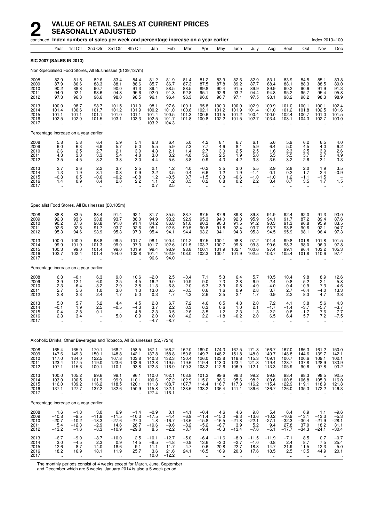**2**

|                                      |                                                       |                                                          | continued Index numbers of sales per week and percentage increase on a year earlier |                                              |                                                     |                                            |                                              |                                                          |                                                          |                                                        |                                                     |                                                           |                                                        |                                                         |                                                        | Index 2013=100                                          |                                                |
|--------------------------------------|-------------------------------------------------------|----------------------------------------------------------|-------------------------------------------------------------------------------------|----------------------------------------------|-----------------------------------------------------|--------------------------------------------|----------------------------------------------|----------------------------------------------------------|----------------------------------------------------------|--------------------------------------------------------|-----------------------------------------------------|-----------------------------------------------------------|--------------------------------------------------------|---------------------------------------------------------|--------------------------------------------------------|---------------------------------------------------------|------------------------------------------------|
|                                      | Year                                                  | 1st Qtr                                                  | 2nd Qtr                                                                             | 3rd Qtr                                      | 4th Qtr                                             | Jan                                        | Feb                                          | Mar                                                      | Apr                                                      | May                                                    | June                                                | July                                                      | Aug                                                    | Sept                                                    | Oct                                                    | Nov                                                     | Dec                                            |
|                                      | <b>SIC 2007 (SALES IN 2013)</b>                       |                                                          |                                                                                     |                                              |                                                     |                                            |                                              |                                                          |                                                          |                                                        |                                                     |                                                           |                                                        |                                                         |                                                        |                                                         |                                                |
|                                      |                                                       |                                                          | Non-Specialised Food Stores, All Businesses (£139,137m)                             |                                              |                                                     |                                            |                                              |                                                          |                                                          |                                                        |                                                     |                                                           |                                                        |                                                         |                                                        |                                                         |                                                |
| 2008<br>2009<br>2010<br>2011<br>2012 | 82.9<br>87.9<br>90.2<br>94.0<br>97.3                  | 81.5<br>86.6<br>88.8<br>92.1<br>96.3                     | 82.6<br>88.3<br>90.7<br>93.6<br>96.6                                                | 83.4<br>88.1<br>90.0<br>94.8<br>98.0         | 84.4<br>88.6<br>91.3<br>95.6<br>98.5                | 81.2<br>85.7<br>89.4<br>92.0<br>96.1       | 81.9<br>86.7<br>88.5<br>91.3<br>96.4         | 81.4<br>87.3<br>88.5<br>92.8<br>96.3                     | 81.2<br>87.5<br>89.8<br>95.1<br>96.0                     | 83.9<br>87.8<br>90.4<br>92.6<br>96.7                   | 82.6<br>89.2<br>91.5<br>93.2<br>97.1                | 82.9<br>87.7<br>89.9<br>94.4<br>97.5                      | 83.1<br>88.4<br>89.9<br>94.8<br>98.1                   | 83.9<br>88.1<br>90.2<br>95.2<br>98.2                    | 84.5<br>88.3<br>90.6<br>95.7<br>98.2                   | 85.1<br>88.5<br>91.9<br>95.4<br>98.3                    | 83.8<br>89.0<br>91.3<br>95.8<br>98.9           |
| 2013<br>2014<br>2015<br>2016<br>2017 | 100.0<br>101.4<br>101.1<br>102.5<br>÷.                | 98.7<br>100.6<br>101.1<br>102.0<br>$\mathbf{r}$          | 98.7<br>101.7<br>101.1<br>101.5<br>Ω.                                               | 101.5<br>101.2<br>101.0<br>103.1             | 101.0<br>101.9<br>101.1<br>103.3                    | 98.1<br>100.2<br>101.4<br>102.5<br>103.2   | 97.6<br>101.0<br>100.5<br>101.7<br>104.3     | 100.1<br>100.6<br>101.3<br>101.8                         | 95.8<br>102.1<br>100.6<br>100.8                          | 100.0<br>101.2<br>101.5<br>102.2                       | 100.0<br>101.9<br>101.2<br>101.5                    | 102.9<br>101.4<br>100.4<br>102.7                          | 100.9<br>101.0<br>100.0<br>103.4                       | 101.0<br>101.2<br>102.4<br>103.1                        | 100.1<br>101.8<br>100.7<br>104.3                       | 100.1<br>102.5<br>101.0<br>102.7                        | 102.4<br>101.6<br>101.5<br>103.0               |
|                                      | Percentage increase on a year earlier                 |                                                          |                                                                                     |                                              |                                                     |                                            |                                              |                                                          |                                                          |                                                        |                                                     |                                                           |                                                        |                                                         |                                                        |                                                         |                                                |
| 2008<br>2009<br>2010<br>2011<br>2012 | 5.8<br>6.0<br>2.6<br>4.3<br>3.5                       | 5.8<br>6.3<br>2.5<br>3.8<br>4.5                          | 6.4<br>6.9<br>2.7<br>3.3<br>3.2                                                     | 5.9<br>5.7<br>2.1<br>5.4<br>3.3              | 5.4<br>5.0<br>3.0<br>4.8<br>3.0                     | 6.3<br>5.5<br>4.3<br>3.0<br>4.4            | 6.4<br>5.9<br>2.1<br>3.2<br>5.6              | 5.0<br>7.3<br>1.4<br>4.8<br>3.8                          | 4.2<br>7.7<br>2.7<br>5.9<br>0.9                          | 8.1<br>4.6<br>3.0<br>2.5<br>4.3                        | 6.7<br>8.1<br>2.5<br>1.9<br>4.2                     | 6.1<br>5.9<br>2.5<br>5.0<br>3.3                           | 5.6<br>6.4<br>1.6<br>5.5<br>3.5                        | 5.9<br>5.0<br>2.3<br>5.5<br>3.2                         | 6.2<br>4.5<br>2.5<br>5.7<br>2.6                        | 6.5<br>4.0<br>3.9<br>3.7<br>3.1                         | 4.0<br>6.2<br>2.6<br>4.9<br>3.3                |
| 2013<br>2014<br>2015<br>2016<br>2017 | 2.7<br>1.3<br>$-0.3$<br>1.4                           | 2.6<br>1.9<br>0.5<br>0.9                                 | 2.2<br>3.1<br>$-0.6$<br>0.4                                                         | 3.7<br>$-0.3$<br>$-0.2$<br>2.0               | 2.5<br>0.9<br>$-0.8$<br>2.2<br>$\ddotsc$            | 2.1<br>2.2<br>1.2<br>1.1<br>0.7            | 1.2<br>3.5<br>$-0.5$<br>1.2<br>2.5           | 4.0<br>0.4<br>0.7<br>0.5<br>$\ddot{\phantom{a}}$         | $-0.2$<br>6.6<br>$-1.5$<br>0.2                           | 3.5<br>1.2<br>0.3<br>0.8                               | 3.0<br>1.9<br>$-0.6$<br>0.2                         | 5.5<br>$-1.4$<br>$-1.0$<br>2.2                            | 2.9<br>0.1<br>$-1.0$<br>3.4                            | 2.8<br>0.2<br>1.2<br>0.7<br>$\ddotsc$                   | 2.0<br>1.7<br>$-1.1$<br>3.5<br>$\ddotsc$               | 1.9<br>2.4<br>$-1.5$<br>1.7<br>$\ddotsc$                | 3.5<br>$-0.9$<br>1.5<br>$\ddot{\phantom{a}}$   |
|                                      |                                                       |                                                          | Specialist Food Stores, All Businesses (£8,105m)                                    |                                              |                                                     |                                            |                                              |                                                          |                                                          |                                                        |                                                     |                                                           |                                                        |                                                         |                                                        |                                                         |                                                |
| 2008<br>2009<br>2010<br>2011<br>2012 | 88.8<br>92.3<br>90.2<br>92.6<br>95.3                  | 83.5<br>93.6<br>87.6<br>92.5<br>94.6                     | 88.4<br>93.8<br>90.8<br>91.7<br>93.9                                                | 91.4<br>93.7<br>91.0<br>93.7<br>95.3         | 92.1<br>88.0<br>91.4<br>92.6<br>97.3                | 81.7<br>94.9<br>84.2<br>95.1<br>95.4       | 85.5<br>93.2<br>86.8<br>92.5<br>94.1         | 83.7<br>92.9<br>91.0<br>90.5<br>94.4                     | 87.5<br>95.3<br>90.3<br>90.8<br>93.2                     | 87.6<br>94.0<br>90.3<br>91.8<br>94.1                   | 89.8<br>92.3<br>91.5<br>92.4<br>94.3                | 89.8<br>95.9<br>91.2<br>93.7<br>95.3                      | 91.9<br>94.1<br>90.3<br>93.7<br>94.5                   | 92.4<br>91.7<br>91.3<br>93.8<br>95.9                    | 92.0<br>87.2<br>96.8<br>90.6<br>98.1                   | 91.3<br>89.4<br>95.9<br>92.1<br>96.4                    | 93.0<br>87.6<br>83.5<br>94.7<br>97.3           |
| 2013<br>2014<br>2015<br>2016<br>2017 | 100.0<br>99.9<br>100.3<br>102.7<br>$\ddotsc$          | 100.0<br>101.9<br>99.0<br>102.4<br>$\ddotsc$             | 98.8<br>101.3<br>101.4<br>101.4                                                     | 99.5<br>99.0<br>99.0<br>104.0                | 101.7<br>97.3<br>101.9<br>102.8                     | 98.1<br>101.7<br>99.4<br>101.4<br>96.6     | 100.4<br>102.6<br>98.9<br>102.9<br>94.0      | 101.2<br>101.5<br>98.8<br>103.0                          | 97.5<br>103.7<br>100.1<br>102.3                          | 100.1<br>100.7<br>101.9<br>100.1                       | 98.8<br>99.8<br>102.1<br>101.9                      | 97.2<br>99.3<br>100.6<br>102.5                            | 101.4<br>99.6<br>97.4<br>103.7                         | 99.8<br>98.3<br>99.1<br>105.4                           | 101.8<br>98.0<br>96.4<br>101.8                         | 101.8<br>96.0<br>103.2<br>110.6                         | 101.5<br>97.8<br>105.3<br>97.4                 |
|                                      | Percentage increase on a year earlier                 |                                                          |                                                                                     |                                              |                                                     |                                            |                                              |                                                          |                                                          |                                                        |                                                     |                                                           |                                                        |                                                         |                                                        |                                                         |                                                |
| 2008<br>2009<br>2010<br>2011<br>2012 | $\frac{6.3}{3.9}$<br>$-2.3$<br>2.7<br>2.8             | $-0.1$<br>12.1<br>$-6.4$<br>5.6<br>2.3                   | 6.3<br>6.0<br>$-3.2$<br>1.0<br>2.4                                                  | 9.0<br>2.5<br>$-2.9$<br>3.0<br>1.7           | 10.6<br>$-4.5$<br>3.8<br>1.3<br>5.0                 | $-2.0$<br>16.2<br>$-11.3$<br>13.0<br>0.3   | 2.5<br>9.0<br>$-6.8$<br>6.5<br>1.7           | $-0.4$<br>10.9<br>$-2.0$<br>$-0.5$<br>4.3                | 7.1<br>9.0<br>$-5.3$<br>0.6<br>2.6                       | 5.3<br>7.3<br>$-3.9$<br>1.6<br>2.5                     | 6.4<br>2.8<br>$-0.8$<br>0.9<br>2.1                  | 5.7<br>6.9<br>$-4.9$<br>2.8<br>1.7                        | 10.5<br>2.4<br>$-4.0$<br>3.7<br>0.9                    | 10.4<br>$-0.8$<br>$-0.4$<br>2.7<br>2.2                  | 9.8<br>$-5.2$<br>10.9<br>$-6.4$<br>8.3                 | 8.9<br>$-2.1$<br>7.3<br>$-4.0$<br>4.7                   | $12.6 - 5.8$<br>$-4.6$<br>13.3<br>2.8          |
| 2013<br>2014<br>2015<br>2016<br>2017 | 5.0<br>$-0.1$<br>0.4<br>2.3<br>$\ddot{\phantom{a}}$   | 5.7<br>1.9<br>-2.8<br>3.4<br>$\ddot{\phantom{a}}$        | 5.2<br>2.5<br>ሰ 1<br>$\ddot{\phantom{a}}$                                           | 4.4<br>$-0.5$<br>5.0<br>$\ddotsc$            | 4.5<br>$-4.3$<br>4.8<br>0.9<br>$\ddot{\phantom{a}}$ | 2.8<br>3.7<br>-2.3<br>2.0<br>$-4.7$        | 6.7<br>2.2<br>-3.5<br>4.0<br>$-8.7$          | 7.2<br>0.3<br>-2.6<br>4.2<br>ä,                          | 4.6<br>6.3<br>-3.5<br>2.2<br>$\mathbf{r}$ .              | 6.5<br>0.6<br>1.2<br>$-1.8$<br>$\ddot{\phantom{a}}$    | 4.8<br>1.0<br>2.3<br>$-0.2$<br>$\ddot{\phantom{a}}$ | 2.0<br>2.1<br>1.3<br>2.0<br>$\ddot{\phantom{1}}$          | 7.2<br>$-1.7$<br>-2.2<br>6.5<br>$\ddot{\phantom{1}}$   | 4.1<br>$-1.4$<br>0.8<br>6.4<br>$\mathbf{r}$             | 3.8<br>$-3.7$<br>$-1.7$<br>5.7<br>$\ddot{\phantom{1}}$ | 5.6<br>-5.7<br>7.6<br>7.2<br>$\ddotsc$                  | 4.3<br>-3.7<br>7.7<br>$-7.5$                   |
|                                      |                                                       |                                                          | Alcoholic Drinks, Other Beverages and Tobacco, All Businesses (£2,772m)             |                                              |                                                     |                                            |                                              |                                                          |                                                          |                                                        |                                                     |                                                           |                                                        |                                                         |                                                        |                                                         |                                                |
| 2008<br>2009<br>2010<br>2011<br>2012 | 165.4<br>147.6<br>117.0<br>123.4<br>107.1             | 165.0<br>149.3<br>134.0<br>117.5<br>115.6                | 170.1<br>150.1<br>122.5<br>119.0<br>109.1                                           | 168.2<br>148.8<br>107.8<br>123.6<br>110.1    | 158.5<br>142.1<br>103.8<br>133.6<br>93.8            | 167.1<br>137.8<br>140.3<br>112.8<br>122.3  | 166.2<br>158.8<br>132.3<br>119.5<br>116.9    | 162.0<br>150.8<br>130.4<br>119.6<br>109.3                | 169.0<br>149.7<br>126.0<br>119.4<br>108.2                | 174.3<br>148.2<br>123.8<br>113.0<br>112.6              | 167.5<br>151.8<br>118.8<br>123.4<br>106.9           | 171.3<br>148.0<br>115.3<br>121.3<br>112.1                 | 166.7<br>149.7<br>109.1<br>119.4<br>113.3              | 167.0<br>148.8<br>100.7<br>128.7<br>105.9               | 166.3<br>144.6<br>100.6<br>137.8<br>90.6               | 161.2<br>139.7<br>109.1<br>128.9<br>97.8                | 150.0<br>142.1<br>102.1<br>133.9<br>93.2       |
| 2013<br>2014<br>2015<br>2016<br>2017 | 100.0<br>103.0<br>116.0<br>137.1<br>$\ddotsc$         | 105.2<br>100.5<br>109.2<br>127.7<br>$\ddot{\phantom{a}}$ | 99.6<br>101.9<br>116.2<br>137.2<br>$\ddotsc$                                        | 99.1<br>99.9<br>118.5<br>132.6<br>ä,         | 96.1<br>110.1<br>120.1<br>150.9<br>÷.               | 110.0<br>100.6<br>111.8<br>115.8<br>127.4  | 102.1<br>97.2<br>108.7<br>132.1<br>116.1     | 103.8<br>102.9<br>107.7<br>133.6<br>$\ddot{\phantom{1}}$ | 101.3<br>115.0<br>114.4<br>133.2<br>$\ddot{\phantom{a}}$ | 99.6<br>96.6<br>116.7<br>136.4<br>$\ddot{\phantom{a}}$ | 98.3<br>95.6<br>117.3<br>141.1                      | 99.2<br>98.2<br>116.2<br>136.6<br>$\ddot{\phantom{1}}$    | 99.8<br>100.6<br>115.4<br>136.7<br>$\ddotsc$           | 98.4<br>100.8<br>122.9<br>126.0<br>$\ddot{\phantom{a}}$ | 98.3<br>106.8<br>119.1<br>135.3<br>$\ddotsc$           | 98.5<br>105.9<br>118.9<br>172.2<br>$\ddot{\phantom{a}}$ | 92.5<br>116.0<br>121.8<br>146.3                |
|                                      | Percentage increase on a year earlier                 |                                                          |                                                                                     |                                              |                                                     |                                            |                                              |                                                          |                                                          |                                                        |                                                     |                                                           |                                                        |                                                         |                                                        |                                                         |                                                |
| 2008<br>2009<br>2010<br>2011<br>2012 | 1.6<br>$-10.8$<br>$-20.7$<br>5.4<br>$-13.2$           | $-1.8$<br>$-9.5$<br>$-10.2$<br>$-12.3$<br>$-1.6$         | 3.0<br>$-11.8$<br>$-18.3$<br>$-2.9$<br>$-8.3$                                       | 6.9<br>$-11.5$<br>$-27.6$<br>14.6<br>$-10.9$ | $-1.4$<br>$-10.3$<br>$-27.0$<br>28.7<br>$-29.8$     | $-0.9$<br>$-17.5$<br>1.8<br>$-19.6$<br>8.5 | 0.1<br>$-4.4$<br>$-16.7$<br>$-9.6$<br>$-2.2$ | $-4.1$<br>$-6.9$<br>$-13.6$<br>$-8.2$<br>$-8.7$          | $-0.4$<br>$-11.4$<br>$-15.8$<br>$-5.2$<br>$-9.4$         | 4.6<br>$-15.0$<br>$-16.5$<br>$-8.7$<br>$-0.3$          | 4.6<br>$-9.3$<br>$-21.8$<br>3.9<br>$-13.4$          | 9.0<br>$-13.6$<br>$-22.1$<br>5.2<br>-7.6                  | 5.4<br>$-10.2$<br>$-27.1$<br>9.4<br>$-5.1$             | 6.4<br>$-10.9$<br>$-32.3$<br>27.8<br>$-17.7$            | 6.9<br>$-13.1$<br>$-30.4$<br>37.0<br>$-34.3$           | 1.1<br>$-13.3$<br>$-21.9$<br>18.2<br>$-24.1$            | $-9.6$<br>$-5.3$<br>$-28.1$<br>31.1<br>$-30.4$ |
| 2013<br>2014<br>2015<br>2016<br>2017 | $-6.7$<br>3.0<br>12.6<br>18.2<br>$\ddot{\phantom{1}}$ | $-9.0$<br>$-4.5$<br>8.7<br>16.9<br>$\ddot{\phantom{a}}$  | $-8.7$<br>2.3<br>14.0<br>18.1<br>$\ddotsc$                                          | $-10.0$<br>0.9<br>18.6<br>11.9<br>$\ddotsc$  | 2.5<br>14.5<br>9.1<br>25.7<br>$\ddotsc$             | $-10.1$<br>$-8.5$<br>11.1<br>3.6<br>10.0   | $-12.7$<br>$-4.8$<br>11.7<br>21.6<br>$-12.2$ | $-5.0$<br>$-0.9$<br>4.7<br>24.1<br>$\ddot{\phantom{1}}$  | $-6.4$<br>13.6<br>$-0.6$<br>16.5<br>$\ddot{\phantom{a}}$ | $-11.6$<br>$-3.0$<br>20.8<br>16.9<br>$\ddotsc$         | $-8.0$<br>$-2.7$<br>22.7<br>20.3<br>$\ddotsc$       | $-11.5$<br>$-1.0$<br>18.3<br>17.6<br>$\ddot{\phantom{a}}$ | $-11.9$<br>0.8<br>14.7<br>18.5<br>$\ddot{\phantom{1}}$ | $-7.1$<br>2.4<br>21.9<br>2.5<br>$\ddot{\phantom{a}}$    | 8.5<br>8.7<br>11.5<br>13.5<br>$\ddot{\phantom{1}}$     | 0.7<br>7.5<br>12.3<br>44.9<br>$\ddotsc$                 | $-0.7$<br>25.4<br>5.0<br>20.1<br>$\sim$        |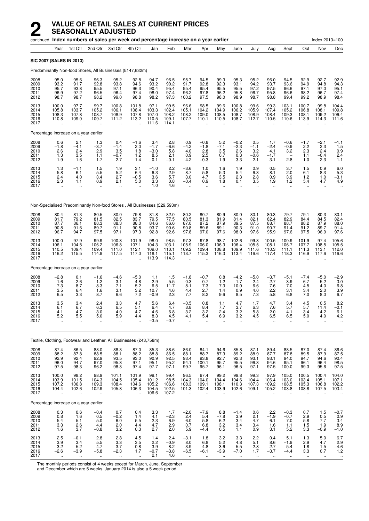**2**

|                                      |                                                          |                                                         | continued Index numbers of sales per week and percentage increase on a year earlier |                                                          |                                                          |                                          |                                          |                                                      |                                                   |                                          |                                          |                                                  |                                                  |                                                     |                                       | Index 2013=100                        |                                                                      |
|--------------------------------------|----------------------------------------------------------|---------------------------------------------------------|-------------------------------------------------------------------------------------|----------------------------------------------------------|----------------------------------------------------------|------------------------------------------|------------------------------------------|------------------------------------------------------|---------------------------------------------------|------------------------------------------|------------------------------------------|--------------------------------------------------|--------------------------------------------------|-----------------------------------------------------|---------------------------------------|---------------------------------------|----------------------------------------------------------------------|
|                                      | Year                                                     | 1st Qtr                                                 | 2nd Qtr                                                                             | 3rd Qtr                                                  | 4th Qtr                                                  | Jan                                      | Feb                                      | Mar                                                  | Apr                                               | May                                      | June                                     | July                                             | Aug                                              | Sept                                                | Oct                                   | Nov                                   | Dec                                                                  |
|                                      | SIC 2007 (SALES IN 2013)                                 |                                                         |                                                                                     |                                                          |                                                          |                                          |                                          |                                                      |                                                   |                                          |                                          |                                                  |                                                  |                                                     |                                       |                                       |                                                                      |
|                                      |                                                          |                                                         | Predominantly Non-food Stores, All Businesses (£147,632m)                           |                                                          |                                                          |                                          |                                          |                                                      |                                                   |                                          |                                          |                                                  |                                                  |                                                     |                                       |                                       |                                                                      |
| 2008<br>2009<br>2010<br>2011<br>2012 | 95.0<br>93.2<br>95.7<br>96.9<br>98.7                     | 95.6<br>91.7<br>93.8<br>97.2<br>98.7                    | 96.3<br>92.8<br>95.5<br>96.5<br>98.2                                                | 95.2<br>93.8<br>97.1<br>96.4<br>99.0                     | 92.8<br>94.6<br>96.3<br>97.4<br>98.8                     | 94.7<br>93.2<br>90.4<br>98.0<br>98.2     | 96.5<br>90.2<br>95.4<br>97.4<br>97.3     | 95.7<br>91.7<br>95.4<br>96.2<br>100.2                | 94.5<br>92.8<br>95.4<br>97.8<br>97.5              | 99.3<br>92.3<br>95.5<br>96.2<br>98.0     | 95.3<br>93.1<br>95.5<br>95.8<br>98.9     | 95.2<br>94.2<br>97.2<br>96.7<br>98.7             | 96.0<br>93.7<br>97.5<br>95.8<br>98.8             | 94.5<br>93.6<br>96.6<br>96.6<br>99.4                | 92.9<br>94.9<br>97.1<br>98.2<br>99.2  | 92.7<br>94.8<br>97.0<br>96.7<br>98.9  | 92.9<br>94.3<br>95.1<br>97.4<br>98.4                                 |
| 2013<br>2014<br>2015<br>2016<br>2017 | 100.0<br>105.8<br>108.3<br>110.8<br>$\ddot{\phantom{1}}$ | 97.7<br>103.7<br>107.8<br>109.0<br>$\ddot{\phantom{a}}$ | 99.7<br>105.2<br>108.7<br>109.7<br>$\ddot{\phantom{a}}$                             | 100.8<br>106.1<br>108.9<br>111.2                         | 101.8<br>108.4<br>107.8<br>113.2                         | 97.1<br>103.3<br>107.0<br>110.5<br>111.6 | 99.5<br>102.4<br>108.2<br>109.1<br>114.1 | 96.6<br>105.1<br>108.2<br>107.7                      | 98.5<br>104.2<br>109.0<br>110.1                   | 99.6<br>104.9<br>108.5<br>110.5          | 100.8<br>106.2<br>108.7<br>108.7         | 99.6<br>105.9<br>108.9<br>112.7                  | 99.3<br>107.4<br>108.4<br>110.5                  | 103.1<br>105.2<br>109.3<br>110.6                    | 100.7<br>106.8<br>108.1<br>113.9      | 99.8<br>108.1<br>109.2<br>114.3       | 104.4<br>109.8<br>106.4<br>111.6                                     |
|                                      |                                                          | Percentage increase on a year earlier                   |                                                                                     |                                                          |                                                          |                                          |                                          |                                                      |                                                   |                                          |                                          |                                                  |                                                  |                                                     |                                       |                                       |                                                                      |
| 2008<br>2009<br>2010<br>2011<br>2012 | 0.6<br>$-1.8$<br>2.6<br>1.3<br>1.9                       | 2.1<br>$-4.1$<br>2.4<br>3.5<br>1.6                      | 1.3<br>-3.7<br>2.9<br>1.1<br>1.7                                                    | 0.4<br>$-1.4$<br>$3.5 - 0.7$<br>2.7                      | $-1.6$<br>2.0<br>1.8<br>$1.2$<br>1.4                     | 3.4<br>$-1.7$<br>$-3.0$<br>8.5<br>0.1    | 2.8<br>$-6.6$<br>5.8<br>2.1<br>$-0.1$    | 0.9<br>$-4.2$<br>4.0<br>0.9<br>4.2                   | $-0.8$<br>$-1.8$<br>2.8<br>2.5<br>-0.3            | 5.2<br>$-7.1$<br>3.5<br>0.7<br>1.9       | $-0.2$<br>$-2.3$<br>2.6<br>0.3<br>3.3    | 0.5<br>$-1.1$<br>3.2<br>$-0.6$<br>2.1            | 1.7<br>$-2.4$<br>4.1<br>$-1.7$<br>3.1            | $-0.6$<br>$-0.9$<br>3.2<br>$\qquad \qquad -$<br>2.8 | $-1.7$<br>2.2<br>2.3<br>1.1<br>1.0    | $-2.1$<br>2.3<br>2.4<br>$-0.4$<br>2.3 | $-1.1$<br>1.5<br>$0.9$<br>2.4<br>1.1                                 |
| 2013<br>2014<br>2015<br>2016<br>2017 | 1.3<br>5.8<br>2.4<br>2.3<br>÷.                           | $-1.1$<br>6.1<br>4.0<br>1.1<br>$\ddotsc$                | 1.5<br>5.5<br>3.4<br>0.9<br>$\ddot{\phantom{a}}$                                    | 1.9<br>5.2<br>2.7<br>2.1<br>$\ddotsc$                    | 3.1<br>6.4<br>$-0.5$<br>5.0<br>$\ddotsc$                 | $-1.0$<br>6.3<br>3.6<br>3.3<br>1.0       | 2.2<br>2.9<br>5.7<br>0.8<br>4.6          | $-3.6$<br>8.7<br>3.0<br>-0.4<br>$\ddot{\phantom{a}}$ | 1.0<br>5.8<br>4.7<br>0.9<br>$\ddotsc$             | 1.6<br>5.3<br>3.5<br>1.8<br>$\ddotsc$    | 1.9<br>5.4<br>2.3<br>0.1<br>$\ddotsc$    | 0.9<br>6.3<br>2.8<br>3.5<br>$\ddotsc$            | 0.5<br>8.1<br>0.9<br>1.9<br>$\ddot{\phantom{0}}$ | 3.7<br>2.0<br>3.9<br>1.2<br>$\ddotsc$               | 1.5<br>6.1<br>1.2<br>5.4<br>$\ddotsc$ | 0.9<br>8.3<br>1.0<br>4.7<br>$\ldots$  | 6.0<br>5.3<br>-3.1<br>4.9                                            |
|                                      |                                                          |                                                         | Non-Specialised Predominantly Non-food Stores, All Businesses (£29,593m)            |                                                          |                                                          |                                          |                                          |                                                      |                                                   |                                          |                                          |                                                  |                                                  |                                                     |                                       |                                       |                                                                      |
| 2008<br>2009<br>2010<br>2011<br>2012 | 80.4<br>81.7<br>87.7<br>90.8<br>96.7                     | 81.3<br>79.2<br>86.1<br>91.6<br>94.7                    | 80.5<br>81.5<br>88.3<br>89.7<br>97.5                                                | 80.0<br>82.5<br>88.3<br>91.1<br>97.1                     | 79.8<br>83.7<br>88.0<br>90.8<br>97.3                     | 81.8<br>79.5<br>84.6<br>93.7<br>92.8     | 82.0<br>77.5<br>86.6<br>90.6<br>92.6     | 80.2<br>80.5<br>87.0<br>90.8<br>97.8                 | 80.7<br>81.3<br>87.2<br>89.6<br>97.0              | 80.9<br>81.9<br>87.9<br>89.1<br>97.6     | 80.0<br>81.4<br>89.5<br>90.3<br>98.0     | 80.1<br>82.1<br>87.5<br>91.0<br>97.6             | 80.3<br>82.4<br>88.7<br>90.7<br>95.9             | 79.7<br>82.9<br>88.7<br>91.4<br>97.6                | 79.1<br>84.4<br>88.2<br>91.2<br>97.5  | 80.3<br>84.5<br>87.9<br>89.7<br>96.9  | 80.1<br>82.4<br>88.0<br>91.4<br>97.6                                 |
| 2013<br>2014<br>2015<br>2016<br>2017 | 100.0<br>106.1<br>110.5<br>116.2<br>$\ddot{\phantom{a}}$ | 97.9<br>104.5<br>109.4<br>115.5<br>$\mathbf{r}$         | 99.9<br>106.2<br>109.4<br>114.9                                                     | 100.3<br>106.8<br>111.0<br>117.5<br>÷.                   | 101.9<br>107.1<br>112.1<br>117.0<br>$\ddot{\phantom{a}}$ | 98.0<br>104.3<br>109.0<br>118.1<br>113.9 | 98.5<br>103.1<br>110.1<br>115.1<br>114.3 | 97.3<br>105.9<br>109.2<br>113.7                      | 97.8<br>106.0<br>109.4<br>115.3                   | 98.7<br>106.3<br>108.8<br>116.3          | 102.6<br>106.4<br>109.9<br>113.4         | 99.3<br>105.5<br>111.6<br>116.6                  | 100.5<br>108.1<br>110.3<br>117.4                 | 100.9<br>106.7<br>111.1<br>118.3                    | 101.9<br>107.7<br>111.3<br>116.9      | 97.4<br>108.5<br>113.1<br>117.6       | 105.6<br>105.5<br>112.0<br>116.6                                     |
|                                      |                                                          | Percentage increase on a year earlier                   |                                                                                     |                                                          |                                                          |                                          |                                          |                                                      |                                                   |                                          |                                          |                                                  |                                                  |                                                     |                                       |                                       |                                                                      |
| 2008<br>2009<br>2010<br>2011<br>2012 | $^{-2.8}_{1.6}$<br>7.3<br>3.5<br>6.5                     | 0.1<br>$-2.6$<br>8.7<br>6.4<br>3.3                      | -1.6<br>1.2<br>8.3<br>1.6<br>8.7                                                    | $-4.6$<br>$3.\overline{1}$<br>7.1<br>3.1<br>6.6          | $-5.0$<br>4.8<br>5.2<br>3.2<br>7.2                       | 1.1<br>$-2.9$<br>6.5<br>10.7<br>$-0.9$   | $1.5 - 5.5$<br>11.7<br>4.6<br>2.3        | $-1.8$<br>0.3<br>8.1<br>4.4<br>7.7                   | -0.7<br>0.7<br>7.3<br>2.7<br>8.2                  | 0.8<br>1.2<br>7.3<br>1.4<br>9.6          | $-4.2$<br>1.7<br>10.0<br>0.9<br>8.5      | $-5.0$<br>2.4<br>6.6<br>4.0<br>7.3               | -3.7<br>2.7<br>7.6<br>2.2<br>5.8                 | -5.1<br>3.9<br>7.0<br>3.1<br>6.8                    | $-7.4$<br>6.7<br>4.5<br>3.4<br>7.0    | $-5.0$<br>5.2<br>4.0<br>2.0<br>8.0    | $\frac{-2.9}{3.0}$<br>6.8<br>$\frac{3.9}{6.7}$                       |
| 2013<br>2014<br>2015<br>2016<br>2017 | 3.5<br>6.1<br>4.1<br>$5.2\,$<br>$\ddot{\phantom{a}}$     | 3.4<br>6.7<br>4.7<br>5.5<br>÷.                          | 2.4<br>6.3<br>3.0<br>5.0<br>Ω,                                                      | 3.3<br>6.5<br>4.0<br>5.9<br>÷.                           | 4.7<br>5.1<br>4.7<br>4.4                                 | 5.6<br>6.4<br>4.6<br>8.3<br>$-3.5$       | 6.4<br>4.7<br>6.8<br>4.5<br>$-0.7$       | $-0.5$<br>8.8<br>3.2<br>4.1                          | 0.8<br>8.4<br>3.2<br>5.4                          | 1.1<br>7.7<br>2.4<br>6.9                 | 4.7<br>3.7<br>3.2<br>3.2                 | 1.7<br>6.3<br>5.8<br>4.5                         | 4.7<br>7.6<br>2.0<br>6.5                         | 3.4<br>5.7<br>4.1<br>6.5                            | 4.5<br>5.7<br>3.4<br>5.0              | 0.5<br>11.4<br>4.2<br>4.0             | 8.2<br>$-0.1$<br>6.1<br>4.2                                          |
|                                      |                                                          |                                                         | Textile, Clothing, Footwear and Leather, All Businesses (£43,758m)                  |                                                          |                                                          |                                          |                                          |                                                      |                                                   |                                          |                                          |                                                  |                                                  |                                                     |                                       |                                       |                                                                      |
| 2008<br>2009<br>2010<br>2011<br>2012 | 87.4<br>88.2<br>92.9<br>96.0<br>97.5                     | 86.5<br>87.8<br>92.4<br>94.7<br>98.3                    | 88.0<br>88.5<br>92.9<br>97.0<br>96.2                                                | 88.3<br>88.1<br>93.5<br>95.3<br>98.3                     | 87.0<br>88.2<br>93.0<br>97.1<br>97.4                     | 85.3<br>88.8<br>90.9<br>95.1<br>97.7     | 88.6<br>86.5<br>92.5<br>95.2<br>97.1     | 86.0<br>88.1<br>93.4<br>94.1<br>99.7                 | 84.1<br>88.7<br>93.8<br>100.1<br>95.7             | 94.6<br>87.3<br>92.7<br>95.7<br>96.1     | 85.8<br>89.2<br>92.3<br>95.5<br>96.5     | 87.1<br>88.9<br>93.1<br>96.3<br>97.1             | 89.4<br>87.7<br>93.1<br>94.6<br>97.5             | 88.5<br>87.8<br>94.0<br>95.1<br>100.0               | 87.0<br>89.5<br>94.7<br>96.1<br>99.3  | 87.4<br>87.9<br>94.6<br>96.4<br>95.6  | 86.6<br>87.5<br>90.4<br>98.5<br>97.5                                 |
| 2013<br>2014<br>2015<br>2016<br>2017 | 100.0<br>103.9<br>107.2<br>104.4<br>$\ddotsc$            | 98.2<br>101.5<br>106.8<br>102.6<br>$\ddotsc$            | 98.9<br>104.3<br>109.3<br>102.9<br>.,                                               | 101.1<br>104.5<br>108.4<br>105.8<br>$\ddot{\phantom{a}}$ | 101.9<br>105.4<br>104.6<br>106.3<br>÷.                   | 99.1<br>101.2<br>105.2<br>104.5<br>106.6 | 99.4<br>98.5<br>106.6<br>102.5<br>107.2  | 96.5<br>104.3<br>108.3<br>101.3<br>$\ddotsc$         | 97.4<br>104.0<br>109.1<br>102.4                   | 99.2<br>104.4<br>108.1<br>103.9          | 99.8<br>104.6<br>110.3<br>102.6          | 99.3<br>104.4<br>107.3<br>109.1                  | 97.9<br>106.4<br>109.2<br>105.2                  | 105.0<br>103.0<br>108.5<br>103.8                    | 100.5<br>103.4<br>105.3<br>108.8      | 100.4<br>105.1<br>106.8<br>107.5      | 104.0<br>107.1<br>102.2<br>103.4                                     |
|                                      |                                                          | Percentage increase on a year earlier                   |                                                                                     |                                                          |                                                          |                                          |                                          |                                                      |                                                   |                                          |                                          |                                                  |                                                  |                                                     |                                       |                                       |                                                                      |
| 2008<br>2009<br>2010<br>2011<br>2012 | 0.3<br>0.8<br>$5.4\,$<br>3.3<br>1.6                      | 0.6<br>1.6<br>5.1<br>2.6<br>3.7                         | $-0.4$<br>0.5<br>5.0<br>4.4<br>$-0.8$                                               | 0.7<br>$-0.2$<br>$6.0\,$<br>2.0<br>3.2                   | 0.4<br>1.4<br>5.5<br>4.4<br>0.3                          | 3.3<br>4.1<br>$^{2.3}_{4.7}$<br>2.7      | 1.7<br>$-2.3$<br>$6.9\,$<br>2.9<br>2.0   | $-2.0$<br>2.4<br>6.0<br>0.7<br>5.9                   | $-7.9$<br>5.4<br>5.8<br>6.8<br>$-4.4$             | 8.8<br>$-7.8$<br>$6.2$<br>$3.2$<br>$0.5$ | $-1.4$<br>3.9<br>3.4<br>3.4<br>1.1       | 0.6<br>2.1<br>4.7<br>3.4<br>0.9                  | 2.2<br>$-1.9$<br>6.1<br>1.6<br>3.1               | $-0.3$<br>$-0.7$<br>7.0<br>1.1<br>5.2               | 0.7<br>2.9<br>5.8<br>1.5<br>3.3       | 1.5<br>0.5<br>7.7<br>1.9<br>$-0.9$    | $-0.7$<br>$\begin{array}{c} 0.9 \\ 3.4 \\ 8.9 \end{array}$<br>$-1.0$ |
| 2013<br>2014<br>2015<br>2016<br>2017 | 2.5<br>3.9<br>3.2<br>$-2.6$<br>$\mathbf{u}$              | $-0.1$<br>3.4<br>5.2<br>$-3.9$<br>$\ddot{\phantom{1}}$  | 2.8<br>$\frac{5.5}{4.7}$<br>-5.8<br>$\ddotsc$                                       | 2.8<br>$\frac{3.3}{3.7}$<br>$-2.3$<br>$\ddotsc$          | 4.5<br>3.5<br>$-0.8$<br>1.7<br>$\ddotsc$                 | 1.4<br>2.2<br>3.9<br>$-0.7$<br>2.1       | 2.4<br>$-0.9$<br>8.2<br>$-3.8$<br>4.6    | $-3.1$<br>8.0<br>3.9<br>$-6.5$<br>$\mathbf{u}$       | 1.8<br>6.8<br>4.8<br>-6.1<br>$\ddot{\phantom{1}}$ | 3.2<br>5.2<br>3.6<br>$-3.9$<br>$\ddotsc$ | 3.3<br>4.8<br>5.5<br>$-7.0$<br>$\ddotsc$ | 2.2<br>5.1<br>2.8<br>1.7<br>$\ddot{\phantom{1}}$ | 0.4<br>8.6<br>2.7<br>$-3.7$<br>$\ddotsc$         | 5.1<br>$-1.9$<br>5.4<br>$-4.4$<br>$\ddotsc$         | 1.3<br>2.9<br>1.8<br>3.3<br>$\ddotsc$ | 5.0<br>4.7<br>1.5<br>0.7<br>$\sim$    | 6.7<br>$2.9 - 4.6 - 1.2$<br>$\mathcal{A}$                            |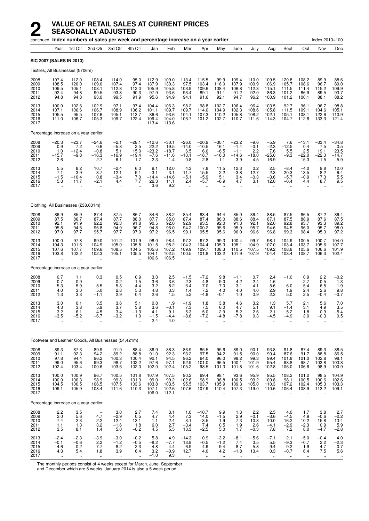**2**

|                                      |                                                     | continued Index numbers of sales per week and percentage increase on a year earlier |                                                             |                                                         |                                                          |                                                |                                              |                                                           |                                             |                                                                   |                                               |                                                  |                                            |                                                         |                                                  | Index 2013=100                           |                                           |
|--------------------------------------|-----------------------------------------------------|-------------------------------------------------------------------------------------|-------------------------------------------------------------|---------------------------------------------------------|----------------------------------------------------------|------------------------------------------------|----------------------------------------------|-----------------------------------------------------------|---------------------------------------------|-------------------------------------------------------------------|-----------------------------------------------|--------------------------------------------------|--------------------------------------------|---------------------------------------------------------|--------------------------------------------------|------------------------------------------|-------------------------------------------|
|                                      | Year                                                | 1st Qtr                                                                             | 2nd Qtr                                                     | 3rd Qtr                                                 | 4th Qtr                                                  | Jan                                            | Feb                                          | Mar                                                       | Apr                                         | May                                                               | June                                          | July                                             | Aug                                        | Sept                                                    | Oct                                              | Nov                                      | Dec                                       |
|                                      | <b>SIC 2007 (SALES IN 2013)</b>                     |                                                                                     |                                                             |                                                         |                                                          |                                                |                                              |                                                           |                                             |                                                                   |                                               |                                                  |                                            |                                                         |                                                  |                                          |                                           |
|                                      |                                                     | Textiles, All Businesses (£706m)                                                    |                                                             |                                                         |                                                          |                                                |                                              |                                                           |                                             |                                                                   |                                               |                                                  |                                            |                                                         |                                                  |                                          |                                           |
| 2008<br>2009<br>2010<br>2011<br>2012 | 107.4<br>108.5<br>109.5<br>92.4<br>94.8             | 112.0<br>120.0<br>105.1<br>94.8<br>94.8                                             | 108.4<br>109.0<br>108.1<br>90.5<br>93.0                     | 114.0<br>107.4<br>112.8<br>93.8<br>99.5                 | 95.0<br>97.4<br>112.0<br>90.3<br>91.9                    | 112.9<br>137.9<br>105.9<br>97.9<br>95.6        | 109.0<br>130.3<br>105.8<br>93.6<br>94.9      | 113.4<br>97.5<br>103.9<br>93.4<br>94.1                    | 115.5<br>103.4<br>109.6<br>89.1<br>91.6     | 99.9<br>116.0<br>108.4<br>91.1<br>92.1                            | 109.4<br>107.9<br>106.8<br>91.2<br>94.7       | 110.0<br>109.9<br>112.3<br>92.0<br>96.2          | 109.5<br>106.9<br>115.1<br>86.3<br>100.9   | 120.8<br>105.7<br>111.5<br>101.2<br>101.2               | 108.2<br>108.6<br>111.4<br>86.9<br>100.1         | 89.9<br>96.7<br>115.2<br>89.5<br>88.1    | 88.6<br>89.0<br>109.9<br>93.7<br>88.2     |
| 2013<br>2014<br>2015<br>2016<br>2017 | 100.0<br>107.1<br>105.5<br>111.0<br>$\ddotsc$       | 102.6<br>106.6<br>95.5<br>106.7<br>$\mathbf{r}$                                     | 102.9<br>106.7<br>107.6<br>105.3<br>$\ddot{\phantom{a}}$    | 97.1<br>108.9<br>105.1<br>109.7<br>$\ddot{\phantom{a}}$ | 97.4<br>106.2<br>113.7<br>122.4<br>$\ddot{\phantom{1}}$  | 104.4<br>101.1<br>86.6<br>109.4<br>113.4       | 106.3<br>109.7<br>93.6<br>104.0<br>113.6     | 98.2<br>109.7<br>104.1<br>106.7                           | 98.8<br>114.0<br>107.3<br>101.2             | 102.7<br>104.9<br>110.2<br>102.7                                  | 106.4<br>102.3<br>105.8<br>110.7              | 96.4<br>108.6<br>108.2<br>111.6                  | 103.5<br>105.8<br>102.1<br>114.3           | 92.7<br>111.5<br>105.1<br>104.7                         | 96.1<br>109.1<br>108.1<br>112.8                  | 96.7<br>104.6<br>122.6<br>133.3          | 98.8<br>105.1<br>110.9<br>121.4           |
|                                      |                                                     | Percentage increase on a year earlier                                               |                                                             |                                                         |                                                          |                                                |                                              |                                                           |                                             |                                                                   |                                               |                                                  |                                            |                                                         |                                                  |                                          |                                           |
| 2008<br>2009<br>2010<br>2011<br>2012 | $-20.3$<br>0.9<br>1.0<br>$-15.7$<br>2.6             | $-23.7$<br>7.2<br>$-12.4$<br>$-9.8$<br>$\overline{\phantom{0}}$                     | $-24.6$<br>0.6<br>$-0.8$<br>$-16.3$<br>2.7                  | $-2.1$<br>$-5.8$<br>5.1<br>$-16.9$<br>6.1               | $-28.1$<br>2.5<br>15.0<br>$-19.4$<br>1.7                 | $-12.6$<br>22.2<br>$-23.2$<br>$-7.6$<br>$-2.3$ | $-30.1$<br>19.5<br>$-18.7$<br>$-11.6$<br>1.4 | $-26.0$<br>$-14.0$<br>6.5<br>$-10.1$<br>0.8               | $-20.9$<br>$-10.5$<br>6.0<br>$-18.7$<br>2.8 | $-30.1$<br>16.1<br>$-6.5$<br>$-16.0$<br>1.1                       | $-23.2$<br>$-1.4$<br>$-1.1$<br>$-14.6$<br>3.9 | $-9.6$<br>$-0.1$<br>2.2<br>$-18.0$<br>4.5        | $-5.9$<br>$-2.3$<br>7.6<br>$-25.0$<br>16.9 | 7.6<br>$-12.5$<br>5.5<br>$-9.3$                         | $-13.1$<br>0.4<br>2.5<br>$-22.0$<br>15.3         | -33.4<br>7.5<br>19.1<br>–22.3<br>$-1.5$  | -34.8<br>0.5<br>23.5<br>$-14.7$<br>$-5.9$ |
| 2013<br>2014<br>2015<br>2016<br>2017 | 5.5<br>7.1<br>$-1.5$<br>5.3<br>$\ddotsc$            | 8.2<br>3.9<br>$-10.4$<br>11.7<br>$\mathbf{r}$                                       | 10.7<br>3.7<br>0.8<br>$-2.1$<br>$\ddot{\phantom{a}}$        | $-2.4$<br>12.1<br>$-3.4$<br>4.4<br>$\ddotsc$            | 6.0<br>9.1<br>7.0<br>7.7<br>$\ddot{\phantom{1}}$         | 9.1<br>$-3.1$<br>$-14.4$<br>26.3<br>3.6        | 12.0<br>3.1<br>$-14.6$<br>11.1<br>9.2        | 4.3<br>11.7<br>-5.1<br>2.4<br>$\ddotsc$                   | 7.8<br>15.5<br>$-5.9$<br>$-5.7$             | 11.5<br>2.2<br>5.1<br>$-6.9$                                      | 12.3<br>$-3.8$<br>3.4<br>4.7                  | 0.2<br>12.7<br>$-0.3$<br>3.1                     | 2.5<br>2.3<br>$-3.6$<br>12.0               | $-8.4$<br>20.3<br>$-5.7$<br>$-0.4$                      | $-4.0$<br>13.5<br>$-0.9$<br>4.4                  | 9.8<br>8.2<br>17.3<br>8.7<br>μ.          | 12.0<br>6.4<br>5.5<br>9.5                 |
|                                      |                                                     | Clothing, All Businesses (£38,631m)                                                 |                                                             |                                                         |                                                          |                                                |                                              |                                                           |                                             |                                                                   |                                               |                                                  |                                            |                                                         |                                                  |                                          |                                           |
| 2008<br>2009<br>2010<br>2011<br>2012 | 86.9<br>87.5<br>92.1<br>95.8<br>97.0                | 85.9<br>86.7<br>91.9<br>94.6<br>97.7                                                | 87.4<br>87.4<br>92.2<br>96.8<br>95.7                        | 87.5<br>87.7<br>92.3<br>94.9<br>97.7                    | 86.7<br>88.0<br>91.8<br>96.7<br>97.0                     | 84.6<br>87.7<br>90.5<br>94.8<br>97.2           | 88.2<br>85.0<br>92.0<br>95.0<br>96.5         | 85.4<br>87.4<br>92.9<br>94.2<br>99.1                      | 83.4<br>87.4<br>93.5<br>100.2<br>95.5       | 94.4<br>86.0<br>92.0<br>95.6<br>95.6                              | 85.0<br>88.6<br>91.3<br>95.0<br>96.0          | 86.4<br>88.4<br>92.1<br>95.7<br>96.6             | 88.5<br>87.1<br>92.0<br>94.6<br>96.8       | 87.5<br>87.5<br>92.8<br>94.5<br>99.3                    | 86.5<br>88.9<br>93.7<br>96.0<br>98.4             | 87.2<br>87.6<br>93.3<br>95.7<br>95.3     | 86.4<br>87.5<br>89.2<br>98.0<br>97.2      |
| 2013<br>2014<br>2015<br>2016<br>2017 | 100.0<br>104.3<br>107.6<br>103.8<br>ă,              | 97.8<br>101.6<br>107.7<br>102.2<br>ä,                                               | 99.0<br>104.9<br>109.6<br>102.3                             | 101.2<br>105.0<br>108.5<br>105.1                        | 101.9<br>105.8<br>104.5<br>105.5                         | 98.0<br>101.5<br>105.6<br>104.1<br>106.6       | 98.4<br>98.2<br>107.2<br>102.5<br>106.5      | 97.2<br>104.3<br>109.9<br>100.5                           | 97.2<br>104.4<br>109.7<br>101.8             | 99.3<br>105.3<br>108.3<br>103.2                                   | 100.4<br>105.1<br>110.5<br>101.9              | 99.7<br>104.9<br>107.5<br>107.9                  | 98.1<br>107.0<br>109.2<br>104.4            | 104.9<br>103.4<br>108.8<br>103.4                        | 100.5<br>103.7<br>105.6<br>108.7                 | 100.7<br>105.6<br>106.6<br>106.3         | 104.0<br>107.7<br>101.9<br>102.4          |
|                                      |                                                     | Percentage increase on a year earlier                                               |                                                             |                                                         |                                                          |                                                |                                              |                                                           |                                             |                                                                   |                                               |                                                  |                                            |                                                         |                                                  |                                          |                                           |
| 2008<br>2009<br>2010<br>2011<br>2012 | 0.7<br>0.7<br>5.3<br>4.0<br>1.3                     | 1.1<br>0.9<br>5.9<br>3.0<br>3.3                                                     | 0.3<br>$\qquad \qquad -$<br>5.5<br>5.0<br>$-1.1$            | 0.5<br>0.2<br>5.3<br>2.8<br>2.9                         | 0.9<br>1.5<br>4.4<br>5.3<br>0.4                          | 3.3<br>3.6<br>3.2<br>4.8<br>2.6                | 2.5<br>-3.6<br>8.2<br>3.3<br>1.5             | $-1.5$<br>2.3<br>6.4<br>1.4<br>5.2                        | $-7.2$<br>4.8<br>7.0<br>7.2<br>-4.8         | 9.8<br>$-9.0$<br>7.0<br>4.0<br>$-0.1$                             | $-1.1$<br>4.2<br>3.1<br>4.0<br>1.0            | 0.7<br>2.4<br>4.1<br>4.0<br>0.9                  | 2.4<br>$-1.6$<br>5.6<br>2.9<br>2.3         | $-1.0$<br>$\overline{\phantom{a}}$<br>6.0<br>1.9<br>5.0 | 0.9<br>2.7<br>5.4<br>2.4<br>2.5                  | 2.2<br>0.5<br>6.5<br>2.6<br>$-0.4$       | $-0.2$<br>1.3<br>1.9<br>9.8<br>$-0.7$     |
| 2013<br>2014<br>2015<br>2016<br>2017 | 3.0<br>4.3<br>3.2<br>$-3.5$<br>$\ddot{\phantom{0}}$ | 0.1<br>3.8<br>6.1<br>$-5.2$<br>$\ldots$                                             | 3.5<br>5.9<br>4.5<br>$-6.7$<br>$\ddot{\phantom{a}}$         | 3.6<br>3.7<br>3.4<br>$-3.2$<br>ä.                       | 5.1<br>3.8<br>$-1.3$<br>1.0<br>$\ddot{\phantom{a}}$      | 0.8<br>3.6<br>4.1<br>$-1.5$<br>2.4             | 1.9<br>-0.1<br>9.1<br>$-4.4$<br>4.0          | -1.9<br>7.3<br>$5.\overline{3}$<br>$-8.6$                 | 1.8<br>7.5<br>5.0<br>$-7.2$                 | 3.8<br>6.0<br>2.9<br>$-4.8$                                       | 4.6<br>4.7<br>5.2<br>$-7.8$                   | 3.2<br>5.1<br>2.6<br>0.3<br>$\ddot{\phantom{a}}$ | 1.3<br>9.1<br>2.1<br>$-4.5$                | 5.7<br>$-1.4$<br>5.2<br>$-4.9$                          | 2.1<br>3.1<br>1.8<br>3.0<br>$\ddot{\phantom{a}}$ | 5.6<br>4.9<br>0.9<br>$-0.3$<br>ä.        | 7.0<br>3.5<br>$-5.4$<br>0.5               |
|                                      |                                                     | Footwear and Leather Goods, All Businesses (£4,421m)                                |                                                             |                                                         |                                                          |                                                |                                              |                                                           |                                             |                                                                   |                                               |                                                  |                                            |                                                         |                                                  |                                          |                                           |
| 2008<br>2009<br>2010<br>2011<br>2012 | 89.3<br>$\frac{91.1}{97.8}$<br>99.0<br>102.4        | 87.3<br>92.3<br>94.4<br>95.6<br>103.4                                               | 89.9<br>94.2<br>96.2<br>99.3<br>100.6                       | 91.9<br>$89.2$<br>100.3<br>98.7<br>103.6                | 88.4<br>88.8<br>100.4<br>102.2<br>102.0                  | 86.9<br>91.0<br>92.1<br>97.6<br>102.0          | 88.3<br>92.3<br>94.5<br>97.1<br>102.4        | 86.9<br>93.2<br>96.2<br>92.9<br>105.2                     | 85.5<br>97.5<br>94.0<br>101.0<br>98.5       | 95.6<br>94.2<br>96.0<br>96.5<br>101.3                             | 89.0<br>91.5<br>98.2<br>100.1<br>101.8        | 90.1<br>90.0<br>99.3<br>101.9<br>101.6           | 93.8<br>90.4<br>99.4<br>95.4<br>102.8      | 91.8<br>87.6<br>101.8<br>98.8<br>106.0                  | 87.4<br>91.7<br>101.0<br>98.7<br>106.6           | 89.3<br>88.8<br>102.8<br>103.8<br>98.9   | 88.5<br>86.5<br>98.1<br>103.8<br>100.9    |
| 2013<br>2014<br>2015<br>2016<br>2017 | 100.0<br>100.0<br>104.5<br>109.1<br>$\ddotsc$       | 100.9<br>100.3<br>100.5<br>105.9<br>$\ddot{\phantom{a}}$                            | 96.7<br>98.9<br>106.5<br>108.4<br>.,                        | 100.5<br>99.3<br>107.5<br>111.6<br>ä,                   | 101.8<br>101.3<br>103.6<br>110.3<br>$\ddot{\phantom{a}}$ | 107.9<br>99.0<br>103.8<br>107.1<br>106.0       | 107.5<br>99.2<br>103.5<br>102.6<br>112.1     | 90.2<br>102.6<br>95.5<br>107.6<br>$\ddot{\phantom{a}}$    | 99.4<br>98.9<br>103.7<br>107.9              | 98.1<br>96.8<br>105.9<br>110.4                                    | 93.6<br>100.5<br>109.3<br>107.3               | 95.9<br>99.2<br>105.0<br>119.0                   | 95.5<br>100.8<br>110.3<br>110.6            | 108.2<br>98.1<br>107.2<br>106.4                         | 101.2<br>100.5<br>102.4<br>108.9                 | 98.5<br>100.6<br>105.3<br>113.2          | 104.9<br>102.6<br>103.3<br>109.1          |
|                                      |                                                     | Percentage increase on a year earlier                                               |                                                             |                                                         |                                                          |                                                |                                              |                                                           |                                             |                                                                   |                                               |                                                  |                                            |                                                         |                                                  |                                          |                                           |
| 2008<br>2009<br>2010<br>2011<br>2012 | 2.2<br>2.0<br>7.4<br>1.1<br>3.5                     | $\begin{array}{c} 3.5 \\ 5.6 \end{array}$<br>$2.3$<br>1.3<br>8.1                    | $\overline{\phantom{a}}$<br>4.7<br>$\frac{2.2}{3.2}$<br>1.4 | 3.0<br>$-2.9$<br>$12.4 - 1.6$<br>5.0                    | 2.7<br>0.5<br>13.1<br>1.8<br>$-0.2$                      | 7.4<br>4.7<br>1.1<br>6.0<br>4.5                | 3.1<br>4.4<br>$^{2.4}_{2.7}$<br>5.5          | 1.0<br>7.3<br>3.1<br>$-3.4$<br>13.3                       | $-10.7$<br>14.0<br>$-3.5$<br>7.4<br>$-2.5$  | 9.9<br>$-1.5$<br>$\begin{array}{c} 1.9 \\ 0.5 \end{array}$<br>5.0 | 1.3<br>2.9<br>7.3<br>1.9<br>1.7               | 2.2<br>$-0.1$<br>10.3<br>2.6<br>$-0.3$           | 2.5<br>$-3.6$<br>10.0<br>$-4.1$<br>7.8     | 4.0<br>$-4.5$<br>16.2<br>$-2.9$<br>7.2                  | 1.7<br>4.9<br>$10.2 - 2.3$<br>8.0                | 3.8<br>$-0.6$<br>15.8<br>0.9<br>$-4.7$   | 2.7<br>$-2.2$<br>13.4<br>5.9<br>$-2.8$    |
| 2013<br>2014<br>2015<br>2016<br>2017 | $-2.4$<br>$-0.1$<br>4.6<br>4.3                      | $-2.3$<br>$-0.6$<br>0.2<br>5.4<br>ä,                                                | $-3.9$<br>2.2<br>7.7<br>1.8                                 | $-3.0$<br>$-1.2$<br>8.2<br>3.9                          | $-0.2$<br>$-0.5$<br>2.3<br>6.4                           | 5.8<br>$-8.2$<br>$\frac{4.8}{3.2}$<br>$-1.0$   | 4.9<br>$-7.7$<br>4.4<br>$-0.9$<br>9.3        | $-14.3$<br>13.8<br>$-6.9$<br>12.7<br>$\ddot{\phantom{1}}$ | 0.9<br>$-0.5$<br>4.9<br>4.0                 | $-3.2$<br>$-1.2$<br>9.4<br>4.2                                    | $-8.1$<br>7.4<br>8.7<br>$-1.8$                | $-5.6$<br>3.5<br>5.8<br>13.4                     | $-7.1$<br>5.5<br>9.4<br>0.3                | 2.1<br>$-9.3$<br>9.2<br>$-0.7$                          | $-5.0$<br>$-0.7$<br>1.9<br>6.4                   | $-0.4$<br>2.2<br>4.7<br>7.5<br>$\ddotsc$ | 4.0<br>$-2.\overline{3}$<br>0.7 5.6       |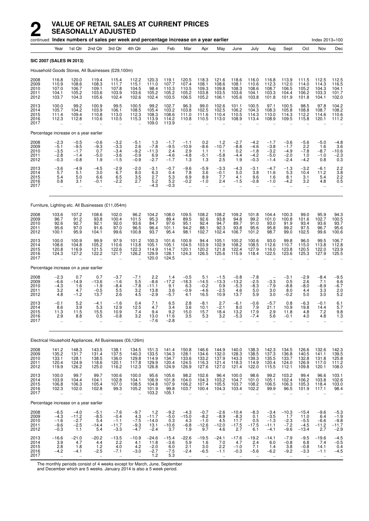**2**

|                                      |                                                          |                                                         | continued Index numbers of sales per week and percentage increase on a year earlier |                                                        |                                                          |                                             |                                             |                                                   |                                                          |                                              |                                                          |                                                         |                                                        |                                                           |                                                           | Index 2013=100                                          |                                                           |
|--------------------------------------|----------------------------------------------------------|---------------------------------------------------------|-------------------------------------------------------------------------------------|--------------------------------------------------------|----------------------------------------------------------|---------------------------------------------|---------------------------------------------|---------------------------------------------------|----------------------------------------------------------|----------------------------------------------|----------------------------------------------------------|---------------------------------------------------------|--------------------------------------------------------|-----------------------------------------------------------|-----------------------------------------------------------|---------------------------------------------------------|-----------------------------------------------------------|
|                                      | Year                                                     | 1st Qtr                                                 | 2nd Qtr                                                                             | 3rd Qtr                                                | 4th Qtr                                                  | Jan                                         | Feb                                         | Mar                                               | Apr                                                      | May                                          | June                                                     | July                                                    | Aug                                                    | Sept                                                      | Oct                                                       | Nov                                                     | Dec                                                       |
|                                      | <b>SIC 2007 (SALES IN 2013)</b>                          |                                                         |                                                                                     |                                                        |                                                          |                                             |                                             |                                                   |                                                          |                                              |                                                          |                                                         |                                                        |                                                           |                                                           |                                                         |                                                           |
|                                      |                                                          |                                                         | Household Goods Stores, All Businesses (£29,100m)                                   |                                                        |                                                          |                                             |                                             |                                                   |                                                          |                                              |                                                          |                                                         |                                                        |                                                           |                                                           |                                                         |                                                           |
| 2008<br>2009<br>2010<br>2011<br>2012 | 116.8<br>110.9<br>107.0<br>104.1<br>103.7                | 120.0<br>108.6<br>106.7<br>105.2<br>104.3               | 119.4<br>108.3<br>109.1<br>103.6<br>105.6                                           | 115.4<br>111.7<br>107.8<br>103.9<br>102.4              | 112.2<br>115.1<br>104.5<br>103.6<br>102.6                | 120.3<br>111.0<br>98.4<br>105.2<br>102.4    | 119.1<br>107.7<br>110.3<br>105.2<br>103.5   | 120.5<br>107.4<br>110.5<br>105.2<br>106.5         | 118.3<br>108.1<br>109.3<br>103.8<br>105.2                | 121.6<br>108.6<br>109.8<br>103.5<br>106.1    | 118.6<br>108.1<br>108.3<br>103.6<br>105.6                | 116.0<br>110.6<br>108.6<br>104.1<br>103.8               | 116.8<br>112.3<br>108.7<br>103.3<br>101.8              | 113.9<br>112.0<br>106.5<br>104.4<br>101.9                 | 111.5<br>114.0<br>105.2<br>106.2<br>101.8                 | 112.5<br>114.3<br>104.3<br>103.3<br>104.1               | 112.5<br>116.5<br>104.1<br>101.7<br>102.0                 |
| 2013<br>2014<br>2015<br>2016<br>2017 | 100.0<br>105.7<br>111.4<br>112.3<br>÷.                   | 99.2<br>104.2<br>109.4<br>112.8<br>$\mathbf{r}$         | 100.9<br>103.9<br>110.8<br>110.6<br>                                                | 99.5<br>106.1<br>113.0<br>110.5<br>÷.                  | 100.5<br>108.5<br>112.3<br>115.3<br>$\ddot{\phantom{a}}$ | 99.2<br>105.4<br>108.3<br>113.9<br>109.0    | 102.7<br>103.2<br>108.6<br>114.2<br>113.9   | 96.3<br>103.8<br>111.0<br>110.8                   | 99.0<br>102.5<br>111.6<br>110.5                          | 102.6<br>102.5<br>110.4<br>113.0             | 101.1<br>106.2<br>110.5<br>108.9                         | 100.5<br>104.3<br>114.3<br>113.4                        | 97.1<br>108.3<br>110.0<br>108.9                        | 100.5<br>105.8<br>114.3<br>109.5                          | 98.5<br>108.8<br>112.2<br>115.8                           | 97.8<br>108.7<br>114.6<br>120.1                         | 104.2<br>108.2<br>110.6<br>111.2                          |
|                                      |                                                          | Percentage increase on a year earlier                   |                                                                                     |                                                        |                                                          |                                             |                                             |                                                   |                                                          |                                              |                                                          |                                                         |                                                        |                                                           |                                                           |                                                         |                                                           |
| 2008<br>2009<br>2010<br>2011<br>2012 | $-2.3$<br>$-5.1$<br>$-3.5$<br>$-2.8$<br>$-0.3$           | $-0.5$<br>$-9.5$<br>$-1.7$<br>$-1.4$<br>$-0.8$          | $-0.6$<br>-9.3<br>0.7<br>$-5.0$<br>1.9                                              | $-3.2$<br>$-3.3$<br>$-3.4$<br>$-3.6$<br>$-1.5$         | $-5.1$<br>2.6<br>$-9.2$<br>$-0.9$<br>$-0.9$              | 1.3<br>$-7.8$<br>$-11.3$<br>6.9<br>$-2.7$   | $-1.7$<br>$-9.5$<br>2.4<br>$-4.6$<br>$-1.7$ | $-1.1$<br>$-10.9$<br>2.9<br>$-4.8$<br>1.3         | 0.2<br>-8.6<br>1.1<br>$-5.1$<br>1.3                      | 1.2<br>$-10.7$<br>1.1<br>$-5.8$<br>2.5       | $-2.7$<br>$-8.8$<br>0.2<br>$-4.4$<br>1.9                 | $-4.2$<br>$-4.6$<br>$-1.8$<br>$-4.2$<br>$-0.3$          | $-1.7$<br>$-3.8$<br>$-3.2$<br>$-5.0$<br>$-1.4$         | $-3.6$<br>$-1.7$<br>$-4.9$<br>$-2.0$<br>$-2.4$            | $-5.6$<br>2.2<br>$-7.8$<br>1.0<br>$-4.2$                  | $-5.0$<br>1.6<br>$-8.7$<br>$-1.0$<br>0.8                | $-4.8$<br>3.6<br>$-10.6$<br>$-2.3$<br>0.3                 |
| 2013<br>2014<br>2015<br>2016<br>2017 | $-3.6$<br>5.7<br>5.4<br>0.8<br>$\ldots$                  | $-4.9$<br>5.1<br>5.0<br>3.1                             | -4.5<br>3.0<br>6.6<br>$-0.1$                                                        | $-2.9$<br>6.7<br>6.5<br>$-2.2$<br>$\ddot{\phantom{a}}$ | $-2.0$<br>8.0<br>3.5<br>2.7                              | $-3.1$<br>6.3<br>2.7<br>5.2<br>$-4.3$       | $-0.7$<br>0.4<br>5.3<br>5.2<br>$-0.3$       | $-9.6$<br>7.8<br>6.9<br>$-0.2$                    | $-5.9$<br>3.6<br>8.9<br>$-1.0$                           | $-3.3$<br>$-0.1$<br>7.7<br>2.4               | $-4.3$<br>5.0<br>4.1<br>$-1.5$                           | $-3.1$<br>3.8<br>9.6<br>$-0.8$                          | $-4.7$<br>11.6<br>1.6<br>$-1.0$                        | $-1.3$<br>5.3<br>8.1<br>$-4.2$                            | $-3.2$<br>10.4<br>3.1<br>3.2<br>$\ddotsc$                 | $-6.1$<br>11.2<br>5.4<br>4.8<br>$\ddotsc$               | 2.2<br>3.8<br>2.2<br>0.5<br>$\cdot$ .                     |
|                                      |                                                          |                                                         | Furniture, Lighting etc. All Businesses (£11,054m)                                  |                                                        |                                                          |                                             |                                             |                                                   |                                                          |                                              |                                                          |                                                         |                                                        |                                                           |                                                           |                                                         |                                                           |
| 2008<br>2009<br>2010<br>2011<br>2012 | 103.6<br>96.7<br>92.6<br>95.6<br>100.1                   | 107.2<br>91.2<br>92.7<br>97.0<br>95.9                   | 108.6<br>93.8<br>92.1<br>91.6<br>104.1                                              | 102.0<br>100.4<br>92.0<br>97.0<br>99.6                 | 96.2<br>101.5<br>93.6<br>96.5<br>100.8                   | 104.2<br>95.3<br>84.7<br>96.4<br>93.7       | 108.0<br>89.4<br>97.6<br>101.1<br>95.4      | 109.5<br>89.5<br>95.1<br>94.2<br>98.1             | 108.2<br>92.6<br>92.4<br>88.1<br>102.7                   | 108.2<br>93.8<br>94.7<br>92.3<br>102.4       | 109.2<br>94.8<br>89.7<br>93.8<br>106.7                   | 101.8<br>99.2<br>91.0<br>95.6<br>101.2                  | 104.4<br>101.0<br>93.0<br>95.8<br>98.7                 | 100.3<br>100.8<br>91.9<br>99.2<br>99.0                    | 99.0<br>101.6<br>93.4<br>97.5<br>102.5                    | 95.9<br>102.7<br>93.6<br>96.7<br>99.6                   | 94.3<br>100.5<br>93.7<br>95.6<br>100.6                    |
| 2013<br>2014<br>2015<br>2016<br>2017 | 100.0<br>108.6<br>120.8<br>124.3                         | 100.9<br>104.8<br>116.9<br>127.2<br>$\ddotsc$           | 99.9<br>105.2<br>121.5<br>122.2                                                     | 97.9<br>110.6<br>122.6<br>121.7<br>$\ddotsc$           | 101.2<br>113.8<br>122.3<br>126.2<br>ä.                   | 100.3<br>105.1<br>114.9<br>129.9<br>120.0   | 101.6<br>105.1<br>114.7<br>128.1<br>124.5   | 100.9<br>104.5<br>120.1<br>124.3                  | 94.4<br>103.9<br>120.2<br>126.5                          | 105.1<br>102.9<br>121.8<br>125.6             | 100.2<br>108.2<br>122.4<br>115.9                         | 100.6<br>108.5<br>127.9<br>118.4                        | 93.0<br>112.6<br>116.0<br>122.5                        | 99.8<br>110.7<br>123.8<br>123.6                           | 96.0<br>115.0<br>120.5<br>125.3                           | 99.5<br>113.8<br>122.0<br>127.9                         | 106.7<br>112.8<br>123.9<br>125.5                          |
|                                      |                                                          | Percentage increase on a year earlier                   |                                                                                     |                                                        |                                                          |                                             |                                             |                                                   |                                                          |                                              |                                                          |                                                         |                                                        |                                                           |                                                           |                                                         |                                                           |
| 2008<br>2009<br>2010<br>2011<br>2012 | $-2.3$<br>$-6.6$<br>$-4.3$<br>3.2<br>4.8                 | 0.7<br>$-14.9$<br>1.6<br>4.7<br>$-1.2$                  | 0.7<br>$-13.6$<br>$-1.9$<br>$-0.5$<br>13.7                                          | $-3.7$<br>$-1.6$<br>$-8.4$<br>5.5<br>2.6               | $-7.1$<br>5.5<br>$-7.8$<br>3.2<br>4.5                    | 2.2<br>$-8.6$<br>$-11.1$<br>13.8<br>$-2.9$  | 1.4<br>$-17.2$<br>9.1<br>3.6<br>-5.7        | $-0.5$<br>$-18.3$<br>6.3<br>$-0.9$<br>4.1         | 5.1<br>$-14.5$<br>$-0.2$<br>$-4.6$<br>16.5               | $-1.5$<br>$-13.3$<br>0.9<br>$-2.5$<br>10.9   | $-0.8$<br>$-13.2$<br>$-5.3$<br>4.6<br>13.7               | $-7.8$<br>$-2.5$<br>$-8.3$<br>5.0<br>5.9                | $-3.3$<br>$-7.9$<br>3.0<br>3.0                         | $-3.1$<br>0.5<br>$-8.8$<br>8.0<br>$-0.2$                  | $-2.9$<br>2.6<br>$-8.0$<br>4.4<br>5.0                     | $-8.4$<br>7.1<br>$-8.9$<br>3.3<br>3.0                   | $-9.5$<br>6.6<br>$-6.7$<br>2.0<br>5.2                     |
| 2013<br>2014<br>2015<br>2016<br>2017 | $-0.1$<br>8.6<br>11.3<br>2.9<br>$\ddot{\phantom{a}}$     | 5.2<br>3.9<br>11.5<br>8.8<br>$\ddot{\phantom{a}}$       | $-4.1$<br>5.3<br>15.5<br>0.5<br>ă,                                                  | $-1.6$<br>12.9<br>10.9<br>$-0.8$<br>à.                 | 0.4<br>12.5<br>7.4<br>3.2<br>$\ddot{\phantom{a}}$        | 7.1<br>4.7<br>9.4<br>13.0<br>$-7.6$         | 6.5<br>3.4<br>9.2<br>11.6<br>$-2.8$         | 2.8<br>3.6<br>15.0<br>3.5<br>$\ddot{\phantom{1}}$ | $-8.1$<br>10.1<br>15.7<br>5.3<br>$\ddot{\phantom{a}}$    | 2.7<br>$-2.1$<br>18.4<br>3.2<br>ä,           | $-6.1$<br>8.0<br>13.2<br>$-5.3$<br>$\ddot{\phantom{a}}$  | $-0.6$<br>7.9<br>17.9<br>$-7.4$<br>$\ddot{\phantom{a}}$ | $-5.7$<br>21.1<br>2.9<br>5.6<br>$\ddot{\phantom{1}}$   | 0.8<br>10.9<br>11.8<br>$-0.1$<br>$\ddot{\phantom{a}}$     | $-6.3$<br>19.8<br>4.8<br>4.0<br>$\ddot{\phantom{1}}$      | $-0.1$<br>14.4<br>7.2<br>4.8<br>$\ddotsc$               | 6.1<br>5.7<br>9.8<br>1.3<br>$\ddotsc$                     |
|                                      |                                                          |                                                         | Electrical Household Appliances, All Businesses (£6,126m)                           |                                                        |                                                          |                                             |                                             |                                                   |                                                          |                                              |                                                          |                                                         |                                                        |                                                           |                                                           |                                                         |                                                           |
| 2008<br>2009<br>2010<br>2011<br>2012 | 141.2<br>135.2<br>133.1<br>120.4<br>119.9                | 148.3<br>131.7<br>128.1<br>124.9<br>126.2               | 143.5<br>131.4<br>138.5<br>118.6<br>125.0                                           | 138.1<br>137.5<br>136.0<br>120.1<br>116.2              | 134.5<br>140.3<br>129.8<br>117.8<br>112.3                | 151.3<br>133.5<br>114.9<br>129.9<br>126.8   | 141.4<br>134.3<br>134.7<br>120.4<br>124.9   | 150.8<br>128.1<br>133.6<br>124.5<br>126.9         | 146.6<br>134.6<br>133.2<br>116.3<br>127.6                | 144.9<br>132.0<br>137.9<br>121.4<br>127.0    | 140.0<br>128.3<br>143.3<br>118.3<br>121.4                | 138.3<br>138.5<br>139.3<br>114.9<br>122.0               | 142.3<br>137.3<br>135.5<br>120.4<br>115.5              | 134.5<br>136.8<br>133.7<br>124.0<br>112.1                 | 126.6<br>140.5<br>132.8<br>126.9<br>109.8                 | 132.6<br>141.1<br>131.8<br>117.0<br>120.1               | 142.3<br>$\frac{139.5}{125.8}$<br>111.2<br>108.0          |
| 2013<br>2014<br>2015<br>2016<br>2017 | 100.0<br>103.9<br>106.8<br>102.3<br>$\ddot{\phantom{1}}$ | 99.7<br>104.4<br>106.3<br>102.0<br>$\ddot{\phantom{1}}$ | 99.7<br>104.1<br>105.4<br>102.8<br>$\ddotsc$                                        | 100.6<br>102.8<br>107.0<br>99.3<br>à.                  | 100.0<br>104.1<br>108.5<br>105.2<br>÷.                   | 95.6<br>106.9<br>104.8<br>101.9<br>103.2    | 105.6<br>101.8<br>107.9<br>99.8<br>105.1    | 98.2<br>104.0<br>106.2<br>103.7<br>÷.             | 102.6<br>104.3<br>107.4<br>100.4<br>$\ddot{\phantom{a}}$ | 96.4<br>103.2<br>105.5<br>104.3              | 100.0<br>104.7<br>103.7<br>103.4<br>$\ddot{\phantom{a}}$ | 98.6<br>101.0<br>108.2<br>102.2<br>ä,                   | 99.2<br>105.1<br>106.5<br>99.9<br>$\ddot{\phantom{1}}$ | 103.2<br>102.4<br>106.3<br>96.5<br>$\ddot{\phantom{a}}$   | 99.4<br>106.2<br>105.3<br>101.9                           | 96.6<br>103.8<br>118.4<br>117.1<br>$\ddot{\phantom{a}}$ | 103.1<br>102.6<br>103.0<br>98.4<br>$\ldots$               |
|                                      |                                                          | Percentage increase on a year earlier                   |                                                                                     |                                                        |                                                          |                                             |                                             |                                                   |                                                          |                                              |                                                          |                                                         |                                                        |                                                           |                                                           |                                                         |                                                           |
| 2008<br>2009<br>2010<br>2011<br>2012 | $-6.5$<br>$-4.3$<br>$-1.6$<br>$-9.6$<br>$-0.3$           | $-4.0$<br>$-11.2$<br>$-2.7$<br>$-2.5$<br>1.1            | $-5.1$<br>$-8.5$<br>5.4<br>-14.4<br>5.4                                             | $-7.6$<br>$-0.4$<br>$-1.1$<br>$-11.7$<br>$-3.3$        | $-9.7$<br>4.3<br>$-7.5$<br>$-9.3$<br>$-4.7$              | 1.2<br>$-11.7$<br>$-14.0$<br>13.1<br>$-2.4$ | $-9.2$<br>$-5.0$<br>0.3<br>$-10.6$<br>3.7   | $-4.3$<br>$-15.0$<br>4.3<br>$-6.8$<br>1.9         | $-0.7$<br>$-8.2$<br>$-1.0$<br>$-12.6$<br>9.7             | $-2.6$<br>$-8.9$<br>4.5<br>$-12.0$<br>4.6    | $-10.4$<br>$-8.3$<br>11.7<br>$-17.5$<br>2.7              | $-8.3$<br>0.1<br>0.5<br>$-17.5$<br>6.1                  | $-3.4$<br>$-3.5$<br>$-1.3$<br>$-11.1$<br>$-4.1$        | $-10.3$<br>1.7<br>$-2.3$<br>$-7.2$<br>$-9.6$              | $-15.4$<br>11.0<br>$-5.5$<br>$-4.5$<br>$-13.4$            | $-9.6$<br>6.4<br>$-6.6$<br>$-11.2$<br>2.7               | $-5.3$<br>$-1.9$<br>$-9.8$<br>$-11.7$<br>$-2.9$           |
| 2013<br>2014<br>2015<br>2016<br>2017 | $-16.6$<br>3.9<br>2.8<br>$-4.2$<br>$\ddot{\phantom{1}}$  | $-21.0$<br>4.7<br>1.8<br>$-4.1$<br>$\ddot{\phantom{a}}$ | $-20.2$<br>4.4<br>1.2<br>$-2.5$<br>ă,                                               | $-13.5$<br>2.2<br>4.0<br>$-7.1$<br>$\ddotsc$           | $-10.9$<br>4.1<br>4.2<br>$-3.0$<br>$\ddot{\phantom{1}}$  | $-24.6$<br>11.8<br>$-2.0$<br>$-2.7$<br>1.2  | $-15.4$<br>$-3.6$<br>$-7.5$<br>5.3          | $-22.6$<br>5.9<br>2.1<br>$-2.4$<br>x.             | $-19.5$<br>1.6<br>3.0<br>$-6.5$<br>à.                    | $-24.1$<br>7.0<br>2.2<br>$-1.1$<br>$\ddotsc$ | $-17.6$<br>4.7<br>$-1.0$<br>$-0.3$<br>$\ddotsc$          | $-19.2$<br>2.4<br>7.1<br>$-5.6$<br>à.                   | $-14.1$<br>6.0<br>1.4<br>$-6.2$<br>$\ddotsc$           | $-7.9$<br>$-0.8$<br>3.8<br>$-9.2$<br>$\ddot{\phantom{1}}$ | $-9.5$<br>6.8<br>$-0.8$<br>$-3.3$<br>$\ddot{\phantom{1}}$ | $-19.6$<br>7.4<br>14.1<br>$-1.1$<br>$\ddotsc$           | $-4.5$<br>$-0.5$<br>0.4<br>$-4.5$<br>$\ddot{\phantom{1}}$ |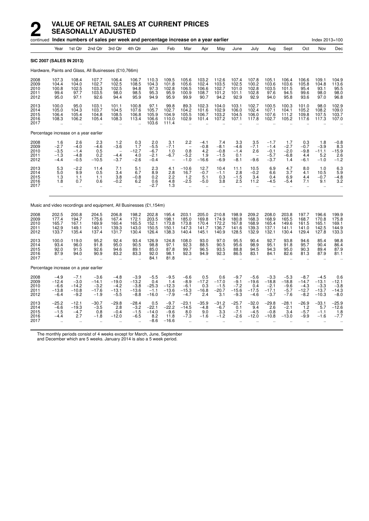**2**

|                                      |                                                       |                                                     | continued Index numbers of sales per week and percentage increase on a year earlier |                                                               |                                                     |                                               |                                                            |                                                          |                                                         |                                                            |                                                      |                                             |                                                  |                                                 |                                                  | Index 2013=100                                       |                                               |
|--------------------------------------|-------------------------------------------------------|-----------------------------------------------------|-------------------------------------------------------------------------------------|---------------------------------------------------------------|-----------------------------------------------------|-----------------------------------------------|------------------------------------------------------------|----------------------------------------------------------|---------------------------------------------------------|------------------------------------------------------------|------------------------------------------------------|---------------------------------------------|--------------------------------------------------|-------------------------------------------------|--------------------------------------------------|------------------------------------------------------|-----------------------------------------------|
|                                      | Year                                                  | 1st Qtr                                             | 2nd Qtr                                                                             | 3rd Qtr                                                       | 4th Otr                                             | Jan                                           | Feb                                                        | Mar                                                      | Apr                                                     | May                                                        | June                                                 | July                                        | Aug                                              | Sept                                            | Oct                                              | Nov                                                  | Dec                                           |
| <b>SIC 2007 (SALES IN 2013)</b>      |                                                       |                                                     |                                                                                     |                                                               |                                                     |                                               |                                                            |                                                          |                                                         |                                                            |                                                      |                                             |                                                  |                                                 |                                                  |                                                      |                                               |
|                                      |                                                       |                                                     | Hardware, Paints and Glass, All Businesses (£10,766m)                               |                                                               |                                                     |                                               |                                                            |                                                          |                                                         |                                                            |                                                      |                                             |                                                  |                                                 |                                                  |                                                      |                                               |
| 2008<br>2009<br>2010<br>2011<br>2012 | 107.3<br>104.4<br>100.8<br>99.4<br>95.0               | 108.4<br>104.0<br>102.5<br>97.7<br>97.1             | 107.7<br>102.7<br>103.3<br>103.5<br>92.6                                            | 106.4<br>102.5<br>102.5<br>98.0<br>94.4                       | 106.7<br>108.5<br>94.8<br>98.5<br>95.9              | 110.3<br>104.3<br>97.3<br>95.3<br>94.9        | 109.5<br>101.8<br>102.8<br>95.9<br>95.9                    | 105.6<br>105.6<br>106.5<br>100.9<br>99.9                 | 103.2<br>102.4<br>106.6<br>108.7<br>90.7                | 112.6<br>103.5<br>102.7<br>101.2<br>94.2                   | 107.4<br>102.5<br>101.0<br>101.1<br>92.9             | 107.8<br>100.2<br>102.8<br>102.8<br>92.9    | 105.1<br>103.6<br>103.5<br>97.6<br>94.0          | 106.4<br>103.6<br>101.5<br>94.5<br>95.8         | 106.6<br>105.8<br>95.4<br>99.6<br>93.6           | 109.1<br>104.8<br>93.1<br>98.0<br>97.0               | 104.9<br>113.6<br>95.5<br>98.0<br>96.8        |
| 2013<br>2014<br>2015<br>2016<br>2017 | 100.0<br>105.0<br>106.4<br>108.3                      | 95.0<br>104.3<br>105.4<br>106.2                     | 103.1<br>103.7<br>104.8<br>105.4                                                    | 101.1<br>104.5<br>108.5<br>108.3                              | 100.8<br>107.6<br>106.8<br>113.4                    | 97.1<br>105.7<br>105.9<br>106.6<br>103.6      | 99.8<br>102.7<br>104.9<br>110.0<br>111.4                   | 89.3<br>104.2<br>105.5<br>102.9                          | 102.3<br>101.6<br>106.7<br>101.4                        | 104.0<br>102.9<br>103.2<br>107.2                           | 103.1<br>106.0<br>104.5<br>107.1                     | 102.7<br>102.4<br>106.0<br>117.8            | 100.5<br>107.1<br>107.6<br>102.7                 | 100.3<br>104.1<br>111.2<br>105.2                | 101.0<br>105.2<br>109.8<br>117.6                 | 98.0<br>108.2<br>107.5<br>117.3                      | 102.9<br>109.0<br>103.7<br>107.0              |
|                                      |                                                       | Percentage increase on a year earlier               |                                                                                     |                                                               |                                                     |                                               |                                                            |                                                          |                                                         |                                                            |                                                      |                                             |                                                  |                                                 |                                                  |                                                      |                                               |
| 2008<br>2009<br>2010<br>2011<br>2012 | 1.6<br>$-2.7$<br>$-3.5$<br>$-1.3$<br>$-4.4$           | 2.6<br>$-4.0$<br>$-1.4$<br>$-4.8$<br>$-0.5$         | 2.3<br>-4.6<br>0.5<br>0.2<br>$-10.5$                                                | 1.2<br>$-3.6$<br>$\overline{\phantom{a}}$<br>$-4.4$<br>$-3.7$ | 0.3<br>1.7<br>$-12.7$<br>4.0<br>$-2.6$              | 2.0<br>$-5.5$<br>$-6.7$<br>$-2.1$<br>$-0.4$   | 3.1<br>$-7.1$<br>1.0<br>$-6.7$<br>$\overline{\phantom{a}}$ | 2.2<br>0.8<br>$-5.2$<br>$-1.0$                           | -4.1<br>$-0.8$<br>4.2<br>1.9<br>$-16.6$                 | 7.4<br>$-8.1$<br>$-0.8$<br>$-1.5$<br>$-6.9$                | 3.3<br>$-4.6$<br>$-1.4$<br>0.1<br>$-8.1$             | 3.5<br>$-7.1$<br>2.6<br>$-9.6$              | $-1.7$<br>$-1.4$<br>$-0.1$<br>$-5.7$<br>$-3.7$   | 1.7<br>$-2.7$<br>$-2.0$<br>$-6.8$<br>1.4        | 0.3<br>$-0.7$<br>$-9.8$<br>4.4<br>-6.1           | 1.8<br>$-3.9$<br>$-11.1$<br>5.2<br>$-1.0$            | $-0.8$<br>8.3<br>$-15.9$<br>2.6<br>$-1.2$     |
| 2013<br>2014<br>2015<br>2016<br>2017 | 5.3<br>5.0<br>1.3<br>1.8<br>ä,                        | $-2.2$<br>9.9<br>1.1<br>0.7<br>$\ddot{\phantom{a}}$ | 11.4<br>0.5<br>1.1<br>0.6<br>$\ddot{\phantom{a}}$                                   | 7.1<br>3.4<br>3.8<br>$-0.2$<br>à.                             | 5.1<br>6.7<br>$-0.8$<br>6.2<br>$\ddot{\phantom{a}}$ | 2.3<br>8.9<br>0.2<br>0.6<br>$-2.7$            | 4.1<br>2.8<br>2.2<br>4.8<br>1.3                            | $-10.6$<br>16.7<br>1.2<br>$-2.5$<br>$\ddot{\phantom{a}}$ | 12.7<br>$-0.7$<br>5.1<br>$-5.0$<br>$\ddot{\phantom{a}}$ | 10.4<br>$-1.1$<br>0.3<br>3.8<br>$\ddotsc$                  | 11.1<br>2.8<br>$-1.5$<br>2.5<br>$\ddot{\phantom{a}}$ | 10.5<br>$-0.2$<br>3.4<br>11.2               | 6.9<br>6.6<br>0.4<br>$-4.5$                      | 4.7<br>3.7<br>6.9<br>$-5.4$                     | 8.0<br>4.1<br>4.4<br>7.1<br>$\ddot{\phantom{a}}$ | 1.0<br>10.5<br>$-0.7$<br>9.1<br>$\ddot{\phantom{a}}$ | 6.3<br>5.9<br>$-4.8$<br>3.2                   |
|                                      |                                                       |                                                     | Music and video recordings and equipment, All Businesses (£1,154m)                  |                                                               |                                                     |                                               |                                                            |                                                          |                                                         |                                                            |                                                      |                                             |                                                  |                                                 |                                                  |                                                      |                                               |
| 2008<br>2009<br>2010<br>2011<br>2012 | 202.5<br>177.4<br>165.7<br>142.9<br>133.7             | 200.8<br>194.7<br>167.1<br>149.1<br>135.4           | 204.5<br>175.6<br>169.9<br>140.1<br>137.4                                           | 206.8<br>167.4<br>160.4<br>139.3<br>131.7                     | 198.2<br>172.1<br>165.5<br>143.0<br>130.4           | 202.8<br>203.5<br>152.1<br>150.5<br>126.4     | 195.4<br>198.1<br>173.8<br>150.1<br>138.3                  | 203.1<br>185.0<br>173.8<br>147.3<br>140.4                | 205.0<br>169.8<br>170.4<br>141.7<br>145.1               | 210.8<br>174.9<br>172.2<br>136.7<br>140.9                  | 198.9<br>180.8<br>167.8<br>141.6<br>128.5            | 209.2<br>168.3<br>168.9<br>139.3<br>132.9   | 208.0<br>168.9<br>165.4<br>137.1<br>132.1        | 203.8<br>165.5<br>149.6<br>141.1<br>130.4       | 197.7<br>168.7<br>161.5<br>141.0<br>129.4        | 196.6<br>170.8<br>165.1<br>142.5<br>127.8            | 199.9<br>175.8<br>169.1<br>144.9<br>133.3     |
| 2013<br>2014<br>2015<br>2016<br>2017 | 100.0<br>93.4<br>92.0<br>87.9<br>$\ddot{\phantom{a}}$ | 119.0<br>96.0<br>91.5<br>94.0<br>ä.                 | 95.2<br>91.8<br>92.6<br>90.9                                                        | 92.4<br>95.0<br>94.6<br>83.2<br>$\ddot{\phantom{a}}$          | 93.4<br>90.5<br>89.1<br>83.3                        | 126.9<br>98.8<br>85.0<br>92.0<br>84.1         | 124.8<br>97.1<br>87.8<br>98.1<br>81.8                      | 108.0<br>92.3<br>99.7<br>92.3                            | 93.0<br>88.5<br>96.5<br>94.9                            | 97.0<br>90.5<br>93.5<br>92.3                               | 95.5<br>95.6<br>88.8<br>86.5                         | 90.4<br>98.9<br>94.5<br>83.1                | 92.7<br>95.1<br>94.3<br>84.1                     | 93.8<br>91.8<br>95.0<br>82.6                    | 94.6<br>95.7<br>90.3<br>81.3                     | 85.4<br>90.4<br>89.4<br>87.9                         | 98.8<br>86.4<br>87.9<br>81.1                  |
|                                      |                                                       | Percentage increase on a year earlier               |                                                                                     |                                                               |                                                     |                                               |                                                            |                                                          |                                                         |                                                            |                                                      |                                             |                                                  |                                                 |                                                  |                                                      |                                               |
| 2008<br>2009<br>2010<br>2011<br>2012 | $-4.9$<br>-12.4<br>$-6.6$<br>$-13.8$<br>$-6.4$        | $-7.1$<br>$-3.0$<br>$-14.2$<br>$-10.8$<br>$-9.2$    | $-3.6$<br>$-14.1$<br>$-3.2$<br>$-17.6$<br>$-1.9$                                    | $-4.8$<br>$-19.0$<br>$-4.2$<br>$-13.1$<br>$-5.5$              | $-3.9$<br>$-13.2$<br>$-3.8$<br>$-13.6$<br>$-8.8$    | $-5.5$<br>0.4<br>$-25.3$<br>$-1.1$<br>$-16.0$ | $-9.5$<br>1.4<br>$-12.3$<br>$-13.6$<br>$-7.9$              | $-6.6$<br>$-8.9$<br>$-6.1$<br>$-15.3$<br>$-4.7$          | $-17.2$<br>0.3<br>$-16.8$<br>2.4                        | 0.6<br>$-17.0$<br>$-1.5$<br>$-20.7$<br>3.1                 | $-9.7 - 9.1$<br>$-7.2$<br>$-15.6$<br>$-9.3$          | $-5.6$<br>-19.6<br>0.4<br>$-17.5$<br>$-4.6$ | $-3.3$<br>$-18.8$<br>$-2.1$<br>$-17.1$<br>$-3.7$ | $-5.3$<br>$-18.8$<br>$-9.6$<br>$-5.7$<br>$-7.6$ | $-8.7$<br>$-14.7$<br>$-4.3$<br>$-12.7$<br>$-8.2$ | $-4.5$<br>$-13.1$<br>$-3.3$<br>$-13.7$<br>$-10.3$    | $0.6$<br>-12.1<br>$-3.8$<br>$-14.3$<br>$-8.0$ |
| 2013<br>2014<br>2015<br>2016<br>2017 | $-25.2$<br>$-6.6$<br>$-1.5$<br>$-4.4$<br>ä.           | $-12.1$<br>$-19.3$<br>$-4.7$<br>2.7                 | $-30.7$<br>$-3.5$<br>0.8<br>$-1.8$                                                  | $-29.8$<br>2.8<br>$-0.4$<br>$-12.0$                           | $-28.4$<br>$-3.2$<br>$-1.5$<br>$-6.5$               | 0.5<br>$-22.1$<br>$-14.0$<br>8.2<br>$-8.6$    | $-9.7$<br>$-22.2$<br>$-9.6$<br>11.8<br>$-16.6$             | $-23.1$<br>$-14.5$<br>8.0<br>$-7.3$                      | $-35.9$<br>$-4.8$<br>9.0<br>$-1.6$                      | $-31.2$<br>$-6.7$<br>3.3<br>$-1.2$<br>$\ddot{\phantom{a}}$ | $-25.7$<br>0.1<br>$-7.1$<br>$-2.6$                   | $-32.0$<br>9.4<br>$-4.5$<br>$-12.0$         | $-29.8$<br>2.6<br>$-0.8$<br>$-10.8$              | $-28.1$<br>$-2.1$<br>3.4<br>$-13.0$             | $-26.9$<br>1.2<br>$-5.7$<br>$-9.9$               | $-33.1$<br>5.7<br>$-1.1$<br>$-1.6$                   | $-25.9$<br>$-12.6$<br>1.8<br>$-7.7$           |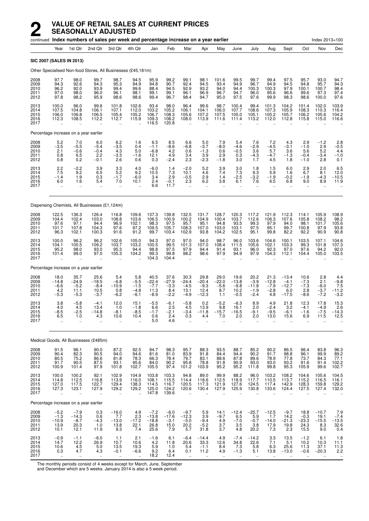**2**

|                                      |                                                         |                                                     | continued Index numbers of sales per week and percentage increase on a year earlier |                                                          |                                                          |                                              |                                            |                                                         |                                                   |                                                  |                                                              |                                                     |                                                     |                                                     |                                                       | Index 2013=100                                      |                                               |
|--------------------------------------|---------------------------------------------------------|-----------------------------------------------------|-------------------------------------------------------------------------------------|----------------------------------------------------------|----------------------------------------------------------|----------------------------------------------|--------------------------------------------|---------------------------------------------------------|---------------------------------------------------|--------------------------------------------------|--------------------------------------------------------------|-----------------------------------------------------|-----------------------------------------------------|-----------------------------------------------------|-------------------------------------------------------|-----------------------------------------------------|-----------------------------------------------|
|                                      | Year                                                    | 1st Qtr                                             | 2nd Qtr                                                                             | 3rd Qtr                                                  | 4th Qtr                                                  | Jan                                          | Feb                                        | Mar                                                     | Apr                                               | May                                              | June                                                         | July                                                | Aug                                                 | Sept                                                | Oct                                                   | Nov                                                 | Dec                                           |
|                                      |                                                         | <b>SIC 2007 (SALES IN 2013)</b>                     |                                                                                     |                                                          |                                                          |                                              |                                            |                                                         |                                                   |                                                  |                                                              |                                                     |                                                     |                                                     |                                                       |                                                     |                                               |
|                                      |                                                         |                                                     | Other Specialised Non-food Stores, All Businesses (£45,181m)                        |                                                          |                                                          |                                              |                                            |                                                         |                                                   |                                                  |                                                              |                                                     |                                                     |                                                     |                                                       |                                                     |                                               |
| 2008<br>2009<br>2010<br>2011<br>2012 | 97.7<br>94.3<br>96.2<br>97.0<br>97.8                    | 98.0<br>92.6<br>92.0<br>98.0<br>98.2                | 99.7<br>94.3<br>93.9<br>96.0<br>95.9                                                | 98.7<br>95.3<br>99.4<br>96.1<br>98.6                     | 94.5<br>94.9<br>99.6<br>98.1<br>98.6                     | 95.9<br>94.8<br>88.4<br>99.1<br>99.4         | 99.2<br>90.7<br>94.5<br>99.1<br>96.7       | 99.1<br>92.4<br>92.9<br>96.1<br>98.4                    | 98.1<br>94.5<br>93.2<br>96.9<br>94.7              | 101.6<br>93.4<br>94.0<br>96.7<br>95.0            | 99.5<br>94.9<br>94.4<br>94.7<br>97.5                         | 99.7<br>96.7<br>100.3<br>96.0<br>97.6               | 99.4<br>94.9<br>100.3<br>95.6<br>99.9               | 97.5<br>94.5<br>97.9<br>96.6<br>98.3                | 95.7<br>94.8<br>100.1<br>99.6<br>98.6                 | 93.0<br>95.7<br>100.7<br>97.3<br>100.0              | 94.7<br>94.3<br>98.4<br>97.4<br>97.6          |
| 2013<br>2014<br>2015<br>2016<br>2017 | 100.0<br>107.5<br>106.0<br>112.3<br>÷.                  | 96.0<br>104.8<br>106.8<br>108.5<br>÷.               | 99.6<br>106.1<br>106.5<br>112.2<br>Ω,                                               | 101.8<br>107.1<br>105.4<br>112.7<br>$\ddot{\phantom{a}}$ | 102.6<br>112.0<br>105.2<br>115.9                         | 93.4<br>103.2<br>106.7<br>109.3<br>116.5     | 98.0<br>105.2<br>108.3<br>108.2<br>120.8   | 96.4<br>106.1<br>105.6<br>108.0                         | 99.6<br>104.1<br>107.2<br>113.9                   | 98.7<br>106.0<br>107.5<br>111.6                  | 100.4<br>107.7<br>105.0<br>111.4                             | 99.4<br>108.6<br>105.1<br>113.2                     | 101.3<br>107.3<br>105.2<br>112.0                    | 104.2<br>105.9<br>105.7<br>112.8                    | 101.4<br>108.3<br>106.2<br>115.8                      | 102.0<br>110.3<br>105.6<br>115.0                    | 103.9<br>116.4<br>104.2<br>116.6              |
|                                      |                                                         | Percentage increase on a year earlier               |                                                                                     |                                                          |                                                          |                                              |                                            |                                                         |                                                   |                                                  |                                                              |                                                     |                                                     |                                                     |                                                       |                                                     |                                               |
| 2008<br>2009<br>2010<br>2011<br>2012 | 5.2<br>$-3.5$<br>2.1<br>0.8<br>0.8                      | 7.0<br>$-5.5$<br>$-0.6$<br>6.5<br>0.2               | 6.0<br>$-5.4$<br>$-0.4$<br>2.2<br>$-0.1$                                            | 6.2<br>$-3.5$<br>4.3<br>$-3.3$<br>2.6                    | 1.6<br>0.4<br>5.0<br>$-1.6$<br>0.6                       | 6.5<br>$-1.1$<br>$-6.8$<br>12.1<br>0.3       | 8.5<br>$-8.6$<br>4.2<br>4.9<br>$-2.4$      | 6.6<br>$-6.8$<br>0.6<br>3.4<br>2.3                      | 5.0<br>$-3.7$<br>$-1.3$<br>3.9<br>$-2.3$          | 7.9<br>$-8.0$<br>0.6<br>2.9<br>$-1.8$            | 5.4<br>$-4.6$<br>$-0.5$<br>0.3<br>3.0                        | 7.6<br>$-2.9$<br>3.6<br>$-4.3$<br>1.7               | 7.2<br>$-4.5$<br>5.7<br>$-4.7$<br>4.5               | 4.3<br>$-3.1$<br>3.6<br>$-1.3$<br>1.8               | 2.9<br>$-1.0$<br>5.6<br>$-0.4$<br>$-1.0$              | $-1.2$<br>2.9<br>5.2<br>-3.4<br>2.8                 | 2.8<br>$-0.5$<br>4.4<br>$-1.0$<br>0.1         |
| 2013<br>2014<br>2015<br>2016<br>2017 | 2.2<br>7.5<br>$-1.4$<br>6.0<br>$\ddot{\phantom{a}}$     | $-2.2$<br>9.2<br>1.9<br>1.6<br>$\ddot{\phantom{a}}$ | 3.9<br>6.5<br>0.3<br>5.4<br>$\ddot{\phantom{a}}$                                    | 3.3<br>5.2<br>$-1.7$<br>7.0<br>$\ddot{\phantom{a}}$      | 4.0<br>9.2<br>$-6.0$<br>10.1<br>$\ddot{\phantom{a}}$     | $-6.0$<br>10.5<br>3.4<br>2.4<br>6.6          | 1.4<br>7.3<br>2.9<br>$-0.1$<br>11.7        | $-2.0$<br>10.1<br>$-0.5$<br>2.3<br>$\ddot{\phantom{a}}$ | 5.2<br>4.6<br>2.9<br>6.2<br>$\ddot{\phantom{a}}$  | 3.9<br>7.4<br>1.4<br>3.8<br>$\ddot{\phantom{a}}$ | 3.0<br>7.3<br>$-2.5$<br>6.1<br>$\ddot{\phantom{a}}$          | 1.8<br>9.3<br>$-3.2$<br>7.6<br>$\ddot{\phantom{a}}$ | 1.5<br>5.9<br>$-1.9$<br>6.5<br>$\ddot{\phantom{a}}$ | 6.0<br>1.6<br>$-0.2$<br>6.8<br>$\ddot{\phantom{a}}$ | 2.9<br>6.7<br>$-1.9$<br>9.0<br>$\ddot{\phantom{a}}$   | 2.0<br>8.1<br>$-4.3$<br>8.9<br>$\ddot{\phantom{a}}$ | 6.5<br>12.0<br>$-10.5$<br>11.9                |
|                                      |                                                         |                                                     | Dispensing Chemists, All Businesses (£1,124m)                                       |                                                          |                                                          |                                              |                                            |                                                         |                                                   |                                                  |                                                              |                                                     |                                                     |                                                     |                                                       |                                                     |                                               |
| 2008<br>2009<br>2010<br>2011<br>2012 | 122.5<br>104.4<br>97.6<br>101.7<br>96.3                 | 136.3<br>102.4<br>97.1<br>107.8<br>102.1            | 126.4<br>103.0<br>94.4<br>104.3<br>100.3                                            | 116.8<br>108.8<br>96.9<br>97.6<br>91.6                   | 109.6<br>103.6<br>102.1<br>97.2<br>91.2                  | 137.3<br>106.5<br>98.3<br>109.5<br>99.7      | 139.8<br>100.9<br>97.5<br>105.7<br>103.4   | 132.5<br>100.2<br>95.7<br>108.3<br>102.9                | 131.7<br>104.9<br>95.1<br>107.0<br>93.8           | 128.7<br>100.4<br>94.8<br>103.0<br>104.2         | 120.3<br>103.7<br>93.5<br>103.1<br>102.5                     | 117.2<br>112.6<br>99.3<br>97.5<br>95.1              | 121.9<br>106.3<br>97.9<br>95.1<br>99.8              | 112.3<br>107.6<br>94.0<br>99.7<br>82.2              | 114.1<br>105.8<br>98.1<br>100.8<br>92.2               | 105.9<br>108.2<br>101.7<br>97.9<br>90.9             | 108.9<br>98.2<br>105.6<br>93.8<br>90.8        |
| 2013<br>2014<br>2015<br>2016<br>2017 | 100.0<br>104.1<br>95.2<br>101.4<br>$\ddot{\phantom{a}}$ | 96.2<br>100.5<br>98.0<br>99.0<br>$\ldots$           | 96.2<br>109.2<br>93.0<br>97.0<br>$\ddot{\phantom{a}}$                               | 102.6<br>103.7<br>95.3<br>105.3                          | 105.0<br>103.2<br>94.4<br>104.2<br>$\ddot{\phantom{a}}$  | 94.3<br>100.5<br>98.8<br>99.3<br>104.3       | 97.0<br>99.5<br>97.5<br>99.8<br>104.4      | 97.0<br>101.3<br>97.9<br>98.2<br>$\ddotsc$              | 94.0<br>107.0<br>94.4<br>98.6                     | 98.7<br>108.4<br>91.4<br>97.9                    | 96.0<br>111.5<br>93.1<br>94.9                                | 103.6<br>105.6<br>96.0<br>97.9                      | 104.6<br>102.1<br>92.3<br>104.3                     | 100.1<br>103.3<br>97.0<br>112.1                     | 103.5<br>99.3<br>97.6<br>104.4                        | 107.1<br>101.8<br>94.2<br>105.0                     | 104.6<br>107.3<br>92.0<br>103.5               |
|                                      |                                                         | Percentage increase on a year earlier               |                                                                                     |                                                          |                                                          |                                              |                                            |                                                         |                                                   |                                                  |                                                              |                                                     |                                                     |                                                     |                                                       |                                                     |                                               |
| 2008<br>2009<br>2010<br>2011<br>2012 | 18.0<br>-14.8<br>$-6.6$<br>4.2<br>$-5.3$                | 35.7<br>$-24.9$<br>$-5.2$<br>11.1<br>$-5.3$         | 25.6<br>$-18.5$<br>$-8.4$<br>10.5<br>$-3.7$                                         | 5.4<br>$-6.8$<br>$-10.9$<br>0.8<br>$-6.2$                | 5.8<br>$-5.5$<br>$-1.5$<br>$-4.8$<br>$-6.1$              | 40.5<br>$-22.4$<br>$-7.7$<br>11.3<br>$-8.9$  | 37.6<br>$-27.9$<br>$-3.3$<br>8.4<br>$-2.2$ | 30.3<br>$-24.4$<br>$-4.5$<br>13.1<br>$-4.9$             | 29.8<br>$-20.4$<br>$-9.3$<br>12.4<br>$-12.3$      | 29.0<br>$-22.0$<br>$-5.6$<br>8.7<br>1.1          | 19.6<br>$-13.8$<br>$-9.8$<br>10.2<br>$-0.5$                  | 20.2<br>$-3.9$<br>$-11.8$<br>$-1.9$<br>$-2.4$       | 21.3<br>$-12.8$<br>$-7.9$<br>$-2.8$<br>4.8          | $-13.4$<br>$-4.1$<br>$-12.7$<br>6.0<br>$-17.5$      | 10.6<br>$-7.3$<br>$-7.3$<br>2.8<br>$-8.6$             | 2.8<br>2.1<br>$-6.0$<br>$-3.7$<br>$-7.2$            | 4.4<br>$-9.8$<br>7.5<br>–11.2<br>$-3.2$       |
| 2013<br>2014<br>2015<br>2016<br>2017 | 3.8<br>4.0<br>-8.5<br>6.5<br>$\ddot{\phantom{a}}$       | $-5.8$<br>4.5<br>$-2.5$<br>1.0<br>$\ddotsc$         | $-4.1$<br>13.4<br>14.8<br>4.3<br>$\ddot{\phantom{a}}$                               | 12.0<br>1.0<br>-8.1<br>10.6<br>$\ddot{\phantom{a}}$      | 15.1<br>$-1.8$<br>$-8.5$<br>10.4<br>$\ddot{\phantom{a}}$ | $-5.5$<br>6.6<br>-1.7<br>0.6<br>5.0          | $-6.1$<br>2.5<br>-2.1<br>2.4<br>4.6        | $-5.8$<br>4.5<br>-3.4<br>0.3<br>$\ddot{\phantom{1}}$    | 0.2<br>13.9<br>11.8<br>4.4<br>ä,                  | $-5.2$<br>9.8<br>15.7<br>7.0<br>$\ddotsc$        | $-6.3$<br>16.1<br>16.5<br>2.0<br>$\ddot{\phantom{a}}$        | 8.9<br>2.0<br>-9.1<br>2.0<br>$\ddot{\phantom{a}}$   | 4.9<br>$-2.4$<br>-9.5<br>13.0<br>$\ddotsc$          | 21.8<br>3.2<br>-6.1<br>15.6<br>$\ddot{\phantom{a}}$ | 12.3<br>$-4.1$<br>-1.6<br>6.9<br>$\ddot{\phantom{1}}$ | 17.8<br>$-4.9$<br>$-7.5$<br>11.5<br>Ω,              | 15.3<br>2.6<br>-14.3<br>12.5<br>$\ddotsc$     |
|                                      |                                                         |                                                     | Medical Goods, All Businesses (£485m)                                               |                                                          |                                                          |                                              |                                            |                                                         |                                                   |                                                  |                                                              |                                                     |                                                     |                                                     |                                                       |                                                     |                                               |
| 2008<br>2009<br>2010<br>2011<br>2012 | 91.5<br>90.4<br>80.5<br>91.7<br>100.9                   | 96.1<br>82.3<br>75.2<br>90.5<br>101.4               | 90.0<br>90.5<br>86.6<br>87.5<br>97.9                                                | 87.2<br>94.0<br>81.8<br>93.1<br>101.8                    | 92.5<br>94.6<br>78.3<br>95.6<br>102.7                    | 94.7<br>81.6<br>66.3<br>84.0<br>105.5        | 98.3<br>81.0<br>78.4<br>90.2<br>97.4       | 95.7<br>83.9<br>79.7<br>95.8<br>101.2                   | 88.3<br>91.8<br>83.1<br>78.8<br>103.9             | 93.5<br>84.4<br>88.6<br>91.8<br>95.2             | 88.7<br>94.4<br>87.8<br>90.9<br>95.2                         | 85.2<br>90.2<br>89.6<br>93.0<br>111.8               | 90.2<br>91.7<br>78.9<br>93.0<br>99.8                | 86.5<br>98.8<br>77.8<br>93.2<br>95.3                | 96.4<br>96.1<br>73.7<br>91.6<br>105.9                 | 83.8<br>99.9<br>84.3<br>91.4<br>99.6                | 96.3<br>$\frac{89.2}{77.1}$<br>102.2<br>102.7 |
| 2013<br>2014<br>2015<br>2016<br>2017 | 100.0<br>114.8<br>127.0<br>127.3<br>$\ddotsc$           | 100.2<br>112.5<br>117.5<br>123.1<br>$\ldots$        | 92.1<br>116.8<br>122.7<br>127.9<br>$\ldots$                                         | 102.9<br>113.9<br>129.4<br>129.2<br>$\ddotsc$            | 104.9<br>116.0<br>138.3<br>129.2<br>$\ddotsc$            | 103.8<br>108.1<br>114.5<br>125.0<br>147.8    | 103.3<br>115.5<br>116.7<br>124.2<br>139.6  | 94.8<br>114.4<br>120.5<br>120.6                         | 89.0<br>118.6<br>117.3<br>130.4                   | 99.9<br>112.5<br>121.9<br>127.9                  | 88.2<br>118.9<br>127.6<br>125.9                              | 96.0<br>117.7<br>124.5<br>130.8                     | 103.2<br>110.5<br>117.4<br>133.6                    | 108.2<br>113.7<br>142.9<br>124.4                    | 104.6<br>115.2<br>128.3<br>127.5                      | 105.6<br>116.5<br>159.8<br>127.4                    | 104.5<br>116.1<br>129.2<br>132.0              |
|                                      |                                                         |                                                     | Percentage increase on a year earlier                                               |                                                          |                                                          |                                              |                                            |                                                         |                                                   |                                                  |                                                              |                                                     |                                                     |                                                     |                                                       |                                                     |                                               |
| 2008<br>2009<br>2010<br>2011<br>2012 | $-5.2$<br>$-1.3$<br>$-10.9$<br>13.9<br>10.1             | $-7.9$<br>$-14.3$<br>$-8.7$<br>20.3<br>12.1         | 0.3<br>0.6<br>$-4.3$<br>1.0<br>11.9                                                 | $-16.0$<br>7.7<br>$-13.0$<br>13.8<br>9.3                 | 4.9<br>2.3<br>$-17.2$<br>22.1<br>7.4                     | $-7.2$<br>$-13.8$<br>$-18.8$<br>26.8<br>25.6 | $-6.0$<br>$-17.6$<br>$-3.1$<br>15.0<br>7.9 | $-9.7$<br>$-12.3$<br>$-5.0$<br>20.2<br>5.7              | 5.9<br>3.9<br>$-9.4$<br>$-5.2$<br>31.8            | 14.1<br>$-9.7$<br>4.9<br>3.7<br>3.7              | $-12.4$<br>6.5<br>$-7.0$<br>3.5<br>4.8                       | $-25.7$<br>5.9<br>$-0.7$<br>3.8<br>20.2             | $-12.5$<br>1.7<br>$-14.0$<br>17.9<br>7.3            | $-9.7$<br>14.2<br>$-21.3$<br>19.8<br>2.3            | 18.8<br>$-0.3$<br>$-23.3$<br>24.3<br>15.5             | $-10.7$<br>19.1<br>$-15.5$<br>8.3<br>9.0            | 7.9<br>$-7.4$<br>$-13.5$<br>32.6<br>0.4       |
| 2013<br>2014<br>2015<br>2016<br>2017 | $-0.9$<br>14.7<br>10.6<br>0.3<br>$\sim$                 | $-1.1$<br>12.2<br>$\frac{4.5}{4.7}$<br>$\ddotsc$    | $-6.0$<br>26.9<br>5.0<br>4.3<br>$\ldots$                                            | 1.1<br>10.7<br>13.5<br>$-0.1$<br>$\ddotsc$               | 2.1<br>10.6<br>19.3<br>$-6.6$<br>$\ddot{\phantom{a}}$    | $-1.6$<br>4.2<br>$\frac{5.9}{9.2}$<br>18.2   | 6.1<br>11.8<br>1.0<br>6.4<br>12.4          | $-6.4$<br>20.6<br>5.4<br>0.1<br>$\mathbf{u}$            | $-14.4$<br>33.3<br>$-1.1$<br>11.2<br>$\mathbf{r}$ | 4.9<br>12.6<br>8.4<br>4.9<br>$\ddotsc$           | $-7.4$<br>34.8<br>$\frac{7.3}{-1.3}$<br>$\ddot{\phantom{1}}$ | $-14.2$<br>22.6<br>$\frac{5.8}{5.1}$                | 3.3<br>7.1<br>6.3<br>13.8                           | 13.5<br>5.1<br>25.6<br>$-13.0$                      | $-1.2$<br>10.2<br>11.3<br>$-0.6$                      | 6.1<br>10.3<br>37.1<br>$-20.3$                      | 1.8<br>11.1<br>11.3<br>2.2<br>$\ddotsc$       |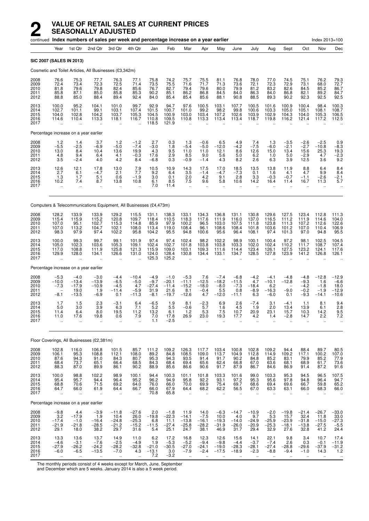**2**

|                                      |                                                          |                                                             | continued Index numbers of sales per week and percentage increase on a year earlier |                                                             |                                                          |                                               |                                                 |                                                          |                                                         |                                                       |                                                       |                                              |                                               |                                               |                                                         | Index 2013=100                                            |                                                           |
|--------------------------------------|----------------------------------------------------------|-------------------------------------------------------------|-------------------------------------------------------------------------------------|-------------------------------------------------------------|----------------------------------------------------------|-----------------------------------------------|-------------------------------------------------|----------------------------------------------------------|---------------------------------------------------------|-------------------------------------------------------|-------------------------------------------------------|----------------------------------------------|-----------------------------------------------|-----------------------------------------------|---------------------------------------------------------|-----------------------------------------------------------|-----------------------------------------------------------|
|                                      | Year                                                     | 1st Qtr                                                     | 2nd Qtr                                                                             | 3rd Qtr                                                     | 4th Qtr                                                  | Jan                                           | Feb                                             | Mar                                                      | Apr                                                     | May                                                   | June                                                  | July                                         | Aug                                           | Sept                                          | Oct                                                     | Nov                                                       | Dec                                                       |
|                                      | SIC 2007 (SALES IN 2013)                                 |                                                             |                                                                                     |                                                             |                                                          |                                               |                                                 |                                                          |                                                         |                                                       |                                                       |                                              |                                               |                                               |                                                         |                                                           |                                                           |
|                                      |                                                          |                                                             | Cosmetic and Toilet Articles, All Businesses (£3,342m)                              |                                                             |                                                          |                                               |                                                 |                                                          |                                                         |                                                       |                                                       |                                              |                                               |                                               |                                                         |                                                           |                                                           |
| 2008<br>2009<br>2010<br>2011<br>2012 | 76.6<br>72.4<br>81.8<br>85.8<br>88.8                     | 75.3<br>73.4<br>79.6<br>87.1<br>85.0                        | 77.7<br>72.3<br>79.8<br>85.0<br>88.4                                                | 76.3<br>72.5<br>82.4<br>85.8<br>89.4                        | 77.1<br>71.4<br>85.6<br>85.3<br>92.4                     | 75.8<br>73.5<br>76.7<br>90.2<br>84.0          | 74.2<br>75.5<br>82.7<br>85.1<br>85.4            | 75.7<br>71.6<br>79.4<br>86.2<br>85.4                     | 75.5<br>71.7<br>79.6<br>86.8<br>85.6                    | 81.1<br>71.3<br>80.0<br>84.5<br>88.1                  | 76.8<br>73.6<br>79.9<br>84.0<br>90.8                  | 78.0<br>72.1<br>81.2<br>86.3<br>88.5         | 77.0<br>72.3<br>83.2<br>84.0<br>89.3          | 74.5<br>72.9<br>82.6<br>86.8<br>90.2          | 75.1<br>73.1<br>84.5<br>82.1<br>92.3                    | 76.2<br>68.0<br>85.2<br>89.2<br>92.5                      | 79.3<br>72.7<br>86.7<br>84.7<br>92.5                      |
| 2013<br>2014<br>2015<br>2016<br>2017 | 100.0<br>102.7<br>104.0<br>114.6<br>$\ddot{\phantom{1}}$ | 95.2<br>101.1<br>102.8<br>110.4<br>$\ddot{\phantom{a}}$     | 104.1<br>99.1<br>104.2<br>113.3<br>$\ddot{\phantom{a}}$                             | 101.0<br>103.1<br>103.7<br>118.1<br>$\ddot{\phantom{a}}$    | 99.7<br>107.4<br>105.3<br>116.7                          | 92.9<br>101.5<br>104.5<br>110.8<br>118.5      | 94.7<br>100.7<br>100.9<br>109.5<br>121.9        | 97.6<br>101.0<br>103.0<br>110.8                          | 100.5<br>99.2<br>103.4<br>113.3                         | 103.1<br>98.2<br>107.2<br>113.4                       | 107.7<br>99.8<br>102.6<br>113.4                       | 100.5<br>100.6<br>103.9<br>118.7             | 101.6<br>103.3<br>102.9<br>119.8              | 100.9<br>105.0<br>104.3<br>116.2              | 100.4<br>105.1<br>104.0<br>121.4                        | 98.4<br>108.1<br>105.3<br>117.2                           | 100.3<br>108.7<br>106.5<br>112.5                          |
|                                      |                                                          | Percentage increase on a year earlier                       |                                                                                     |                                                             |                                                          |                                               |                                                 |                                                          |                                                         |                                                       |                                                       |                                              |                                               |                                               |                                                         |                                                           |                                                           |
| 2008<br>2009<br>2010<br>2011<br>2012 | $1.2$<br>$-5.5$<br>13.0<br>4.8<br>3.5                    | 1.4<br>$-2.5$<br>8.4<br>9.4<br>$-2.4$                       | 3.7<br>-6.9<br>10.4<br>6.4<br>4.0                                                   | $1.2$<br>$-5.0$<br>13.6<br>4.1<br>4.2                       | $-1.2$<br>$-7.4$<br>19.9<br>$-0.3$<br>8.4                | 2.7<br>$-3.0$<br>4.3<br>17.6<br>$-6.8$        | 0.3<br>1.8<br>9.5<br>2.9<br>0.3                 | 1.3<br>$-5.4$<br>11.0<br>8.5<br>$-0.9$                   | $-0.6$<br>$-5.0$<br>11.0<br>9.0<br>$-1.4$               | 6.5<br>$-12.0$<br>12.1<br>5.6<br>4.3                  | 4.9<br>$-4.2$<br>8.6<br>5.0<br>8.2                    | 7.4<br>$-7.5$<br>12.6<br>6.2<br>2.6          | 1.3<br>$-6.0$<br>15.0<br>1.0<br>6.3           | $-3.5$<br>$-2.1$<br>13.4<br>5.0<br>3.9        | $-2.6$<br>$-2.7$<br>15.6<br>$-2.9$<br>12.5              | $-2.5$<br>$-10.8$<br>25.3<br>4.7<br>3.6                   | 0.9<br>$-8.3$<br>$19.3 - 2.3$<br>9.2                      |
| 2013<br>2014<br>2015<br>2016<br>2017 | 12.6<br>2.7<br>1.3<br>10.2<br>$\ddot{\phantom{1}}$       | 12.1<br>6.1<br>1.7<br>7.4<br>$\ddotsc$                      | 17.8<br>-4.7<br>5.1<br>8.7<br>$\ddot{\phantom{a}}$                                  | 13.0<br>2.1<br>0.6<br>13.8<br>$\ddot{\phantom{a}}$          | 7.9<br>7.7<br>$-1.9$<br>10.8<br>$\ddot{\phantom{a}}$     | 10.5<br>9.2<br>3.0<br>6.1<br>7.0              | 10.9<br>6.4<br>0.1<br>8.5<br>11.4               | 14.3<br>3.5<br>2.0<br>7.5<br>$\ddot{\phantom{a}}$        | 17.5<br>$-1.4$<br>4.2<br>9.6<br>$\mathbf{r}$            | 17.0<br>$-4.7$<br>9.1<br>5.8<br>$\ddotsc$             | 18.5<br>$-7.3$<br>2.8<br>10.6<br>$\ddot{\phantom{a}}$ | 13.5<br>0.1<br>3.3<br>14.2<br>ä.             | 13.8<br>1.6<br>$-0.3$<br>16.4<br>$\ddotsc$    | 11.9<br>4.1<br>$-0.7$<br>11.4<br>$\ddotsc$    | 8.8<br>4.7<br>$-1.1$<br>16.7<br>$\ddotsc$               | 6.4<br>9.9<br>$-2.6$<br>11.3<br>$\ddotsc$                 | 8.4<br>8.4<br>$-2.1$<br>5.7                               |
|                                      |                                                          |                                                             | Computers & Telecommunications Equipment, All Businesses (£4,473m)                  |                                                             |                                                          |                                               |                                                 |                                                          |                                                         |                                                       |                                                       |                                              |                                               |                                               |                                                         |                                                           |                                                           |
| 2008<br>2009<br>2010<br>2011<br>2012 | 128.2<br>115.4<br>107.0<br>107.0<br>98.3                 | 133.9<br>115.9<br>95.1<br>113.2<br>97.9                     | 133.9<br>115.2<br>102.7<br>104.7<br>97.4                                            | 129.2<br>120.8<br>115.3<br>102.1<br>102.2                   | 115.5<br>109.7<br>114.8<br>108.0<br>95.8                 | 131.1<br>118.4<br>85.9<br>113.4<br>104.2      | 138.3<br>110.5<br>97.9<br>119.0<br>95.5         | 133.1<br>118.3<br>100.2<br>108.4<br>94.8                 | 134.3<br>117.6<br>96.5<br>96.1<br>100.6                 | 136.8<br>111.9<br>103.0<br>108.6<br>95.6              | 131.1<br>116.0<br>107.5<br>108.4<br>96.4              | 130.8<br>137.0<br>111.8<br>101.8<br>108.1    | 129.6<br>116.5<br>123.8<br>103.6<br>97.4      | 127.5<br>111.2<br>111.3<br>101.2<br>101.3     | 123.4<br>111.9<br>107.2<br>107.0<br>97.0                | 112.8<br>114.6<br>112.6<br>110.4<br>94.8                  | 111.3<br>104.0<br>122.6<br>106.9<br>95.5                  |
| 2013<br>2014<br>2015<br>2016<br>2017 | 100.0<br>105.0<br>117.0<br>129.9<br>$\ddot{\phantom{1}}$ | 99.3<br>102.3<br>108.8<br>128.0<br>$\mathbf{r}$             | 99.7<br>103.6<br>111.9<br>134.1                                                     | 99.1<br>105.3<br>125.8<br>126.6<br>$\ddotsc$                | 101.9<br>109.1<br>121.3<br>131.0<br>$\ddot{\phantom{a}}$ | 97.4<br>102.4<br>115.9<br>124.0<br>125.3      | 97.4<br>102.7<br>109.0<br>128.4<br>125.2        | 102.4<br>101.8<br>103.1<br>130.8<br>$\ddot{\phantom{a}}$ | 98.2<br>103.8<br>109.3<br>134.4<br>$\ddot{\phantom{a}}$ | 102.2<br>103.8<br>111.6<br>133.1                      | 98.9<br>103.3<br>114.4<br>134.7                       | 100.1<br>102.0<br>123.4<br>128.5             | 100.4<br>102.4<br>126.1<br>127.8              | 97.2<br>110.2<br>127.5<br>123.9               | 98.1<br>111.7<br>123.2<br>141.2                         | 102.5<br>108.7<br>124.1<br>126.8                          | 104.5<br>107.4<br>117.6<br>126.1                          |
|                                      |                                                          | Percentage increase on a year earlier                       |                                                                                     |                                                             |                                                          |                                               |                                                 |                                                          |                                                         |                                                       |                                                       |                                              |                                               |                                               |                                                         |                                                           |                                                           |
| 2008<br>2009<br>2010<br>2011<br>2012 | $-5.3$<br>$-10.0$<br>$-7.3$<br>$-8.1$                    | $-4.0$<br>$-13.4$<br>$-17.9$<br>19.0<br>$-13.5$             | $-3.0$<br>$-13.9$<br>$-10.9$<br>1.9<br>$-6.9$                                       | $-4.4$<br>$-6.5$<br>$-4.5$<br>$-11.4$<br>0.1                | $-10.4$<br>$-5.0$<br>4.7<br>$-5.9$<br>$-11.3$            | $-4.9$<br>$-9.7$<br>$-27.4$<br>31.9<br>$-8.1$ | $-1.0$<br>$-20.1$<br>$-11.4$<br>21.6<br>$-19.7$ | $-5.3$<br>$-11.1$<br>$-15.2$<br>8.1<br>$-12.6$           | 7.6<br>$-12.5$<br>$-18.0$<br>$-0.4$<br>4.7              | $-7.4$<br>$-18.2$<br>$-8.0$<br>5.5<br>$-12.0$         | $-6.8$<br>$-11.5$<br>$-7.3$<br>0.8<br>$-11.1$         | $-4.2$<br>4.7<br>$-18.4$<br>$-8.9$<br>6.3    | $-4.1$<br>$-10.1$<br>6.2<br>$-16.3$<br>$-6.0$ | $-4.8$<br>$-12.8$<br>$-9.0$<br>0.1            | $-4.8$<br>$-9.3$<br>$-4.2$<br>$-0.2$<br>$-9.3$          | $-12.8$<br>1.6<br>$-1.8$<br>$-1.9$<br>$-14.1$             | $-12.9$<br>-6.6<br>18.0<br>$-12.9$<br>$-10.6$             |
| 2013<br>2014<br>2015<br>2016<br>2017 | 1.7<br>5.0<br>11.4<br>11.0                               | 1.5<br>3.0<br>6.4<br>17.6                                   | 2.3<br>3.9<br>8.0<br>19.8                                                           | $-3.1$<br>6.3<br>19.5<br>0.6<br>$\ddotsc$                   | 6.4<br>7.1<br>11.2<br>7.9                                | $-6.5$<br>5.2<br>13.2<br>7.0<br>1.1           | 1.9<br>5.5<br>6.1<br>17.8<br>$-2.5$             | 8.1<br>$-0.6$<br>1.2<br>26.9                             | $-2.3$<br>5.7<br>5.3<br>23.0                            | 6.9<br>1.6<br>7.5<br>19.3                             | 2.6<br>4.5<br>10.7<br>17.7                            | $-7.4$<br>1.9<br>20.9<br>4.2                 | 3.1<br>2.0<br>23.1<br>1.4                     | $-4.1$<br>13.4<br>15.7<br>$-2.8$              | 1.1<br>13.9<br>10.3<br>14.7                             | 8.1<br>6.1<br>14.2<br>2.2<br>$\ddot{\phantom{a}}$         | 9.4<br>2.8<br>9.5<br>7.2                                  |
|                                      |                                                          |                                                             | Floor Coverings, All Businesses (£2,381m)                                           |                                                             |                                                          |                                               |                                                 |                                                          |                                                         |                                                       |                                                       |                                              |                                               |                                               |                                                         |                                                           |                                                           |
| 2008<br>2009<br>2010<br>2011<br>2012 | 102.8<br>106.1<br>87.6<br>68.4<br>88.3                   | 116.0<br>95.3<br>94.3<br>73.7<br>87.0                       | 106.8<br>108.8<br>91.0<br>65.1<br>89.9                                              | 101.5<br>112.1<br>84.3<br>66.4<br>86.1                      | 85.7<br>108.0<br>80.7<br>68.5<br>90.2                    | 111.2<br>$89.2$<br>95.3<br>84.3<br>88.9       | 109.2<br>84.8<br>94.3<br>68.4<br>85.6           | 126.3<br>108.5<br>93.5<br>69.4<br>86.6                   | 117.7<br>109.0<br>91.4<br>65.6<br>90.6                  | 103.4<br>113.7<br>91.7<br>62.4<br>91.7                | 100.8<br>104.9<br>90.2<br>66.8<br>87.9                | 102.8<br>112.8<br>84.8<br>67.0<br>86.7       | 109.2<br>114.9<br>85.2<br>63.6<br>84.6        | 94.4<br>109.2<br>83.1<br>68.1<br>86.9         | 88.4<br>117.1<br>79.9<br>68.9<br>91.4                   | 89.7<br>100.2<br>85.2<br>61.7<br>87.2                     | 80.5<br>107.0<br>77.9<br>73.6<br>91.6                     |
| 2013<br>2014<br>2015<br>2016<br>2017 | 100.0<br>95.4<br>68.8<br>64.7<br>$\ddot{\phantom{a}}$    | 98.8<br>95.7<br>70.6<br>66.0<br>$\ddotsc$                   | 102.2<br>94.4<br>71.5<br>61.9<br>                                                   | 98.9<br>96.4<br>69.2<br>64.4<br>$\ddot{\phantom{a}}$        | 100.1<br>95.2<br>64.0<br>66.7<br>$\ddot{\phantom{1}}$    | 94.4<br>96.2<br>76.0<br>66.0<br>70.8          | 100.3<br>94.9<br>66.0<br>67.9<br>65.8           | 101.1<br>95.8<br>70.0<br>64.4<br>$\ddot{\phantom{1}}$    | 101.8<br>92.2<br>69.9<br>68.2<br>$\ddot{\phantom{a}}$   | 103.3<br>93.1<br>75.4<br>62.2<br>$\ddot{\phantom{a}}$ | 101.6<br>97.2<br>69.7<br>56.5                         | 99.0<br>95.3<br>68.6<br>67.0                 | 103.3<br>95.6<br>69.4<br>63.3                 | 95.3<br>97.8<br>69.6<br>63.1<br>$\mathbf{r}$  | 94.5<br>94.8<br>66.7<br>66.0                            | 96.5<br>96.4<br>59.8<br>68.3                              | 107.5<br>94.7<br>65.2<br>66.0                             |
|                                      |                                                          | Percentage increase on a year earlier                       |                                                                                     |                                                             |                                                          |                                               |                                                 |                                                          |                                                         |                                                       |                                                       |                                              |                                               |                                               |                                                         |                                                           |                                                           |
| 2008<br>2009<br>2010<br>2011<br>2012 | $-9.8$<br>3.2<br>$-17.4$<br>$-21.9$<br>29.1              | 4.4<br>$-17.9$<br>$-1.0$<br>$-21.8$<br>18.0                 | $-3.9$<br>1.9<br>$-16.4$<br>$-28.5$<br>38.2                                         | $-11.8$<br>10.4<br>$-24.8$<br>$-21.2$<br>29.7               | $-27.6$<br>26.0<br>$-25.3$<br>$-15.2$<br>31.6            | 2.0<br>$-19.8$<br>6.8<br>$-11.5$<br>5.4       | $-1.8$<br>$-22.3$<br>11.1<br>$-27.4$<br>25.1    | 11.9<br>$-14.1$<br>$-13.8$<br>$-25.8$<br>24.7            | 14.0<br>$-7.5$<br>$-16.1$<br>$-28.2$<br>38.1            | $-6.3$<br>10.0<br>$-19.3$<br>$-31.9$<br>46.9          | $-14.7$<br>4.0<br>$-14.0$<br>$-26.0$<br>31.7          | $-10.9$<br>9.7<br>$-24.9$<br>$-20.9$<br>29.4 | $-2.0$<br>5.3<br>$-25.9$<br>$-25.3$<br>32.9   | $-19.8$<br>15.7<br>$-23.9$<br>$-18.1$<br>27.6 | $-21.4$<br>32.4<br>$-31.8$<br>$-13.8$<br>32.8           | $-26.7$<br>11.8<br>$-15.0$<br>$-27.5$<br>41.2             | $-33.0$<br>$33.0$<br>$-27.3$<br>$-5.5$<br>24.4            |
| 2013<br>2014<br>2015<br>2016<br>2017 | 13.3<br>$-4.6$<br>$-27.9$<br>$-6.0$                      | 13.6<br>$-3.1$<br>$-26.2$<br>$-6.5$<br>$\ddot{\phantom{a}}$ | 13.7<br>$-7.6$<br>$-24.2$<br>$-13.5$<br>$\mathbf{r}$                                | 14.9<br>$-2.5$<br>$-28.2$<br>$-7.0$<br>$\ddot{\phantom{a}}$ | 11.0<br>$-4.9$<br>$-32.8$<br>4.3                         | 6.2<br>1.9<br>$-21.0$<br>$-13.1$<br>7.2       | 17.2<br>$-5.3$<br>$-30.5$<br>3.0<br>$-3.2$      | 16.8<br>$-5.2$<br>$-27.0$<br>$-7.9$                      | 12.3<br>$-9.4$<br>$-24.1$<br>$-2.4$                     | 12.6<br>$-9.8$<br>$-19.0$<br>$-17.5$                  | 15.6<br>$-4.4$<br>$-28.3$<br>$-18.9$                  | 14.1<br>$-3.7$<br>$-28.1$<br>$-2.3$          | 22.1<br>$-7.4$<br>$-27.4$<br>$-8.8$           | 9.8<br>2.6<br>$-28.8$<br>$-9.4$               | 3.4<br>0.3<br>$-29.6$<br>$-1.0$<br>$\ddot{\phantom{a}}$ | 10.7<br>$-0.1$<br>$-37.9$<br>14.3<br>$\ddot{\phantom{1}}$ | 17.4<br>$-11.9$<br>$-31.2$<br>1.2<br>$\ddot{\phantom{1}}$ |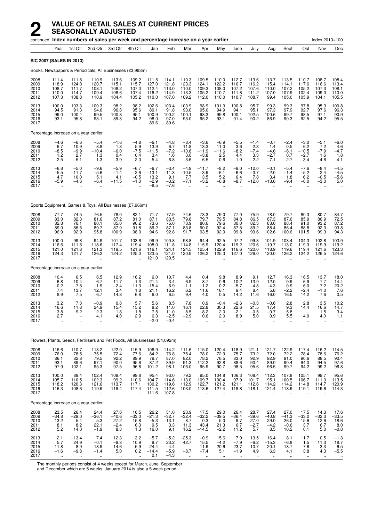**2**

| continued Index numbers of sales per week and percentage increase on a year earlier |                                                          |                                                |                                                                             |                                                          |                                                   |                                               |                                              |                                                         |                                                          |                                                |                                                         |                                                       | Index 2013=100                                         |                                           |                                                           |                                                       |                                           |
|-------------------------------------------------------------------------------------|----------------------------------------------------------|------------------------------------------------|-----------------------------------------------------------------------------|----------------------------------------------------------|---------------------------------------------------|-----------------------------------------------|----------------------------------------------|---------------------------------------------------------|----------------------------------------------------------|------------------------------------------------|---------------------------------------------------------|-------------------------------------------------------|--------------------------------------------------------|-------------------------------------------|-----------------------------------------------------------|-------------------------------------------------------|-------------------------------------------|
|                                                                                     | Year                                                     | 1st Qtr                                        | 2nd Qtr                                                                     | 3rd Qtr                                                  | 4th Qtr                                           | Jan                                           | Feb                                          | Mar                                                     | Apr                                                      | May                                            | June                                                    | July                                                  | Aug                                                    | Sept                                      | Oct                                                       | Nov                                                   | Dec                                       |
| SIC 2007 (SALES IN 2013)                                                            |                                                          |                                                |                                                                             |                                                          |                                                   |                                               |                                              |                                                         |                                                          |                                                |                                                         |                                                       |                                                        |                                           |                                                           |                                                       |                                           |
|                                                                                     |                                                          |                                                | Books, Newspapers & Periodicals, All Businesses (£3,993m)                   |                                                          |                                                   |                                               |                                              |                                                         |                                                          |                                                |                                                         |                                                       |                                                        |                                           |                                                           |                                                       |                                           |
| 2008<br>2009<br>2010<br>2011<br>2012                                                | 111.4<br>118.9<br>108.7<br>110.0<br>107.3                | 111.8<br>124.0<br>111.7<br>114.7<br>108.8      | 110.9<br>120.7<br>108.1<br>109.4<br>110.9                                   | 113.6<br>115.1<br>108.2<br>108.6<br>104.4                | 109.2<br>115.7<br>107.0<br>107.4<br>105.2         | 111.5<br>127.0<br>112.4<br>116.2<br>110.0     | 114.1<br>121.8<br>113.0<br>114.9<br>107.0    | 110.3<br>123.3<br>110.0<br>113.3<br>109.2               | 109.5<br>124.1<br>109.3<br>105.2<br>112.0                | 110.0<br>122.2<br>108.0<br>110.7<br>110.0      | 112.7<br>116.7<br>107.2<br>111.8<br>110.7               | 113.6<br>116.2<br>107.6<br>111.2<br>108.7             | 113.7<br>115.4<br>110.0<br>107.0<br>99.4               | 113.5<br>114.1<br>107.2<br>107.9<br>105.0 | 110.7<br>117.6<br>105.2<br>102.4<br>105.9                 | 108.7<br>116.6<br>107.3<br>109.0<br>104.1             | 108.4<br>113.4<br>108.1<br>110.0<br>105.5 |
| 2013<br>2014<br>2015<br>2016<br>2017                                                | 100.0<br>94.5<br>99.0<br>93.1<br>$\ddot{\phantom{a}}$    | 103.3<br>91.3<br>100.4<br>95.8<br>$\mathbf{r}$ | 100.3<br>94.6<br>99.5<br>93.1<br>$\ddot{\phantom{a}}$                       | 98.2<br>96.8<br>100.8<br>89.3<br>$\ddotsc$               | 98.2<br>95.6<br>95.1<br>94.2<br>$\ddotsc$         | 102.6<br>89.1<br>100.9<br>98.0<br>89.6        | 103.4<br>91.8<br>100.2<br>97.0<br>89.6       | 103.9<br>93.0<br>100.1<br>93.0<br>$\ddot{\phantom{1}}$  | 98.9<br>95.0<br>98.3<br>95.2<br>$\mathbf{a}$             | 101.0<br>94.9<br>99.8<br>93.1                  | 100.8<br>94.1<br>100.1<br>91.4                          | 95.7<br>95.1<br>102.5<br>90.2                         | 99.3<br>97.3<br>100.6<br>86.9                          | 99.3<br>97.9<br>99.7<br>90.3              | 97.8<br>92.7<br>98.5<br>92.5                              | 95.3<br>97.6<br>97.1<br>94.2<br>$\ddot{\phantom{a}}$  | 100.8<br>96.3<br>90.9<br>95.5             |
|                                                                                     |                                                          | Percentage increase on a year earlier          |                                                                             |                                                          |                                                   |                                               |                                              |                                                         |                                                          |                                                |                                                         |                                                       |                                                        |                                           |                                                           |                                                       |                                           |
| 2008<br>2009<br>2010<br>2011<br>2012                                                | $-4.6$<br>6.7<br>$-8.5$<br>1.2<br>$-2.5$                 | $-6.6$<br>10.9<br>$-9.9$<br>2.7<br>$-5.1$      | $-5.4$<br>8.8<br>$-10.4$<br>1.3<br>1.3                                      | $-1.6$<br>1.3<br>$-6.0$<br>0.4<br>$-3.9$                 | $-4.8$<br>5.9<br>$-7.5$<br>0.4<br>$-2.0$          | $-6.1$<br>13.9<br>$-11.5$<br>3.4<br>$-5.4$    | $-4.8$<br>6.7<br>$-7.2$<br>1.6<br>$-6.8$     | $-8.4$<br>11.8<br>$-10.8$<br>3.0<br>$-3.6$              | $-3.6$<br>13.3<br>$-11.9$<br>$-3.8$<br>6.5               | $-6.9$<br>11.0<br>$-11.6$<br>2.5<br>$-0.6$     | $-5.5$<br>3.6<br>$-8.2$<br>4.4<br>$-1.0$                | $-1.4$<br>2.3<br>$-7.4$<br>3.3<br>$-2.2$              | $-0.7$<br>1.4<br>$-4.6$<br>$-2.7$<br>$-7.1$            | $-2.4$<br>0.5<br>$-6.1$<br>0.7<br>$-2.7$  | $-3.0$<br>6.2<br>$-10.5$<br>$-2.7$<br>3.4                 | $-5.1$<br>7.2<br>$-7.9$<br>1.6<br>$-4.6$              | $-6.0$<br>4.6<br>$-4.7$<br>1.8<br>$-4.1$  |
| 2013<br>2014<br>2015<br>2016<br>2017                                                | $-6.8$<br>$-5.5$<br>4.7<br>$-5.9$<br>$\ddotsc$           | $-5.0$<br>$-11.7$<br>10.0<br>$-4.6$            | $-9.6$<br>-5.6<br>5.1<br>-6.4                                               | $-5.9$<br>$-1.4$<br>4.1<br>$-11.5$                       | $-6.7$<br>$-2.6$<br>$-0.5$<br>$-1.0$<br>$\ddotsc$ | $-6.7$<br>$-13.1$<br>13.2<br>$-2.9$<br>$-8.5$ | $-3.4$<br>$-11.3$<br>9.1<br>$-3.2$<br>$-7.6$ | $-4.9$<br>$-10.5$<br>7.7<br>$-7.1$<br>÷.                | $-11.7$<br>$-3.9$<br>3.5<br>$-3.2$<br>$\ddotsc$          | $-8.2$<br>$-6.1$<br>5.2<br>$-6.8$<br>$\ddotsc$ | $-9.0$<br>-6.6<br>6.4<br>-8.7                           | $-12.0$<br>$-0.7$<br>7.8<br>$-12.0$                   | $-0.1$<br>$-2.0$<br>3.4<br>$-13.6$                     | $-5.4$<br>$-1.4$<br>1.8<br>-9.4           | $-7.6$<br>$-5.2$<br>6.2<br>$-6.0$<br>$\ddot{\phantom{a}}$ | $-8.4$<br>2.4<br>$-0.5$<br>$-3.0$<br>$\ddotsc$        | $-4.5$<br>$-4.5$<br>$-5.6$<br>5.0         |
|                                                                                     |                                                          |                                                | Sports Equipment, Games & Toys, All Businesses (£7,966m)                    |                                                          |                                                   |                                               |                                              |                                                         |                                                          |                                                |                                                         |                                                       |                                                        |                                           |                                                           |                                                       |                                           |
| 2008<br>2009<br>2010<br>2011<br>2012                                                | 77.7<br>83.0<br>82.8<br>89.0<br>96.9                     | 74.5<br>82.3<br>76.1<br>86.5<br>92.9           | 76.5<br>81.6<br>80.1<br>89.7<br>95.8                                        | 78.0<br>87.2<br>85.0<br>87.9<br>100.9                    | 82.1<br>81.0<br>90.2<br>91.8<br>98.0              | 71.7<br>87.1<br>73.6<br>89.2<br>94.6          | 77.9<br>80.5<br>75.0<br>87.1<br>92.8         | 74.6<br>79.8<br>78.9<br>83.8<br>91.7                    | 73.3<br>79.7<br>80.6<br>90.0<br>93.5                     | 79.0<br>79.5<br>79.6<br>92.4<br>92.9           | 77.0<br>84.8<br>80.0<br>87.5<br>99.8                    | 75.9<br>86.5<br>82.3<br>89.2<br>99.6                  | 78.0<br>87.3<br>83.6<br>88.4<br>102.6                  | 79.7<br>87.6<br>88.4<br>86.4<br>100.6     | 80.3<br>85.9<br>91.0<br>88.8<br>101.5                     | 80.7<br>86.9<br>93.2<br>92.3<br>99.3                  | 84.7<br>72.5<br>87.2<br>93.8<br>94.3      |
| 2013<br>2014<br>2015<br>2016<br>2017                                                | 100.0<br>116.6<br>121.0<br>124.3<br>$\ddot{\phantom{a}}$ | 99.8<br>111.5<br>121.8<br>121.7<br>$\ddotsc$   | 94.9<br>118.6<br>121.3<br>126.2<br>                                         | 101.7<br>117.4<br>119.5<br>124.2<br>$\ddot{\phantom{a}}$ | 103.6<br>119.4<br>121.6<br>125.0<br>$\ddotsc$     | 99.9<br>108.0<br>116.1<br>123.5<br>121.0      | 100.8<br>111.8<br>124.1<br>121.0<br>120.5    | 98.8<br>114.8<br>124.5<br>120.9<br>$\ddot{\phantom{a}}$ | 94.4<br>115.9<br>125.4<br>126.2<br>$\ddotsc$             | 92.5<br>120.4<br>122.9<br>125.3                | 97.2<br>119.2<br>116.6<br>127.0                         | 99.3<br>120.6<br>120.0<br>126.0                       | 101.9<br>119.7<br>118.9<br>120.0                       | 103.4<br>113.0<br>119.6<br>126.2          | 104.3<br>119.3<br>119.4<br>124.2                          | 102.8<br>119.9<br>121.6<br>126.5                      | 103.9<br>119.2<br>123.3<br>124.6          |
|                                                                                     |                                                          | Percentage increase on a year earlier          |                                                                             |                                                          |                                                   |                                               |                                              |                                                         |                                                          |                                                |                                                         |                                                       |                                                        |                                           |                                                           |                                                       |                                           |
| 2008<br>2009<br>2010<br>2011<br>2012                                                | 10.4<br>6.8<br>$-0.2$<br>7.4<br>8.9                      | 6.5<br>10.4<br>$-7.5$<br>13.7<br>7.5           | $6.5$<br>$6.7$<br>$-1.9$<br>12.1<br>6.7                                     | 12.9<br>11.7<br>$-2.4$<br>3.4<br>14.8                    | 16.2<br>$-1.3$<br>11.3<br>1.8<br>6.8              | 6.0<br>21.4<br>$-15.4$<br>21.1<br>6.0         | 10.7<br>3.4<br>$-6.9$<br>16.2<br>6.5         | 4.4<br>6.9<br>$-1.1$<br>6.2<br>9.4                      | 0.4<br>8.7<br>1.2<br>11.6<br>4.0                         | 9.8<br>0.6<br>0.2<br>16.1<br>0.5               | 8.9<br>10.2<br>-5.7<br>9.4<br>14.2                      | 9.1<br>13.9<br>$-4.8$<br>8.4<br>11.6                  | 12.7<br>12.0<br>$-4.3$<br>5.8<br>16.0                  | 16.3<br>9.9<br>0.9<br>$-2.2$<br>16.5      | 16.5<br>6.9<br>6.0<br>$-2.4$<br>14.2                      | 13.7<br>7.7<br>7.2<br>$-1.0$<br>7.6                   | $18.0 - 14.4$<br>20.2<br>$7.6$<br>$0.5$   |
| 2013<br>2014<br>2015<br>2016<br>2017                                                | 3.2<br>16.6<br>3.8<br>2.7                                | 7.3<br>11.8<br>9.2                             | $-0.9$<br>24.9<br>2.3<br>4.1                                                | 0.8<br>15.4<br>1.8<br>4.0<br>$\ddot{\phantom{a}}$        | 5.7<br>15.2<br>1.8<br>2.9                         | 5.6<br>8.2<br>7.5<br>6.3<br>$-2.0$            | 8.5<br>11.0<br>11.0<br>$-2.5$<br>$-0.4$      | 7.8<br>16.1<br>8.5<br>$-2.9$                            | 0.9<br>22.8<br>8.2<br>0.6                                | $-0.4$<br>30.3<br>2.0<br>2.0                   | $-2.6$<br>22.6<br>-2.1<br>8.9                           | $-0.3$<br>21.5<br>$-0.5$<br>5.0                       | $-0.6$<br>17.4<br>$-0.7$<br>0.9                        | 2.8<br>9.3<br>5.8<br>5.5                  | 2.8<br>14.4<br>4.0                                        | 3.5<br>16.6<br>1.5<br>4.0                             | 10.2<br>14.7<br>3.4<br>1.1                |
|                                                                                     |                                                          |                                                | Flowers, Plants, Seeds, Fertilisers and Pet Foods, All Businesses (£4,092m) |                                                          |                                                   |                                               |                                              |                                                         |                                                          |                                                |                                                         |                                                       |                                                        |                                           |                                                           |                                                       |                                           |
| 2008<br>2009<br>2010<br>2011<br>2012                                                | 116.6<br>76.0<br>86.1<br>93.1<br>97.9                    | 110.7<br>78.5<br>82.8<br>89.6<br>102.1         | 118.2<br>75.5<br>79.5<br>97.1<br>95.3                                       | 122.0<br>72.4<br>92.2<br>90.0<br>97.5                    | 115.9<br>77.6<br>89.9<br>95.6<br>96.8             | 106.9<br>84.2<br>79.7<br>87.2<br>101.2        | 114.2<br>76.8<br>87.0<br>89.9<br>98.1        | 111.6<br>75.4<br>82.0<br>91.3<br>106.0                  | 115.0<br>78.0<br>78.2<br>112.2<br>95.9                   | 120.4<br>72.9<br>76.5<br>92.8<br>90.7          | 118.9<br>75.7<br>83.0<br>88.6<br>98.5                   | 121.1<br>73.2<br>92.9<br>90.4<br>95.6                 | 121.7<br>72.0<br>92.9<br>89.0<br>96.5                  | 122.9<br>72.2<br>91.0<br>90.4<br>99.7     | 117.4<br>78.4<br>90.6<br>94.0<br>94.2                     | 116.2<br>78.6<br>88.5<br>94.5<br>99.2                 | 114.5<br>76.2<br>90.4<br>97.6<br>96.8     |
| 2013<br>2014<br>2015<br>2016<br>2017                                                | 100.0<br>105.7<br>118.2<br>116.3<br>$\ddotsc$            | 88.4<br>110.5<br>120.3<br>108.6<br>$\ddotsc$   | 102.4<br>102.3<br>121.6<br>119.9<br>.,                                      | 109.4<br>99.2<br>113.7<br>119.4<br>$\ddot{\phantom{a}}$  | 99.8<br>110.6<br>117.1<br>117.4                   | 95.4<br>104.7<br>130.2<br>111.5<br>111.6      | 93.0<br>114.6<br>119.6<br>112.6<br>107.8     | 79.2<br>113.0<br>112.9<br>103.0                         | 95.0<br>109.7<br>122.7<br>113.6                          | 104.8<br>100.4<br>121.2<br>127.4               | 106.3<br>97.9<br>121.1<br>118.8                         | 108.4<br>101.7<br>112.6<br>118.1                      | 112.3<br>95.1<br>114.2<br>121.4                        | 107.8<br>100.5<br>114.2<br>118.9          | 105.1<br>106.7<br>114.8<br>119.1                          | 99.7<br>111.0<br>114.7<br>119.6                       | 95.6<br>113.5<br>120.9<br>114.3           |
|                                                                                     |                                                          | Percentage increase on a year earlier          |                                                                             |                                                          |                                                   |                                               |                                              |                                                         |                                                          |                                                |                                                         |                                                       |                                                        |                                           |                                                           |                                                       |                                           |
| 2008<br>2009<br>2010<br>2011<br>2012                                                | 23.5<br>$-34.8$<br>13.2<br>8.1<br>5.2                    | 26.4<br>$-29.0$<br>5.4<br>8.2<br>14.0          | 24.4<br>$-36.1$<br>5.3<br>22.1<br>$-1.9$                                    | 27.6<br>$-40.6$<br>27.2<br>$-2.\overline{4}$<br>8.3      | 16.5<br>$-33.0$<br>15.8<br>6.3<br>1.3             | 26.2<br>$-21.3$<br>$-5.3$<br>9.5<br>16.0      | 31.0<br>$-32.7$<br>13.1<br>3.3<br>9.1        | 23.9<br>$-32.4$<br>8.7<br>11.3<br>16.2                  | 17.5<br>$-32.2$<br>0.3<br>43.4<br>$-14.5$                | 29.0<br>$-39.5$<br>5.0<br>21.3<br>$-2.2$       | 26.4<br>$-36.4$<br>9.7<br>6.7<br>11.2                   | 28.7<br>$-39.6$<br>27.0<br>$-2.7$<br>5.7              | 27.4<br>$-40.8$<br>29.0<br>$-4.2$<br>8.5               | 27.0<br>$-41.3$<br>26.0<br>$-0.6$<br>10.2 | 17.5<br>$-33.2$<br>15.6<br>3.7<br>0.1                     | 14.3<br>$-32.3$<br>12.6<br>6.7<br>5.0                 | 17.6<br>$-33.5$<br>18.6<br>8.0<br>$-0.8$  |
| 2013<br>2014<br>2015<br>2016<br>2017                                                | 2.1<br>5.7<br>11.8<br>$-1.6$<br>$\ddot{\phantom{1}}$     | $-13.4$<br>24.9<br>8.9<br>$-9.8$<br>$\ddotsc$  | 7.4<br>$-0.1$<br>18.9<br>$-1.4$<br>$\ddotsc$                                | 12.3<br>$-9.3$<br>14.6<br>5.0<br>$\ddotsc$               | 3.2<br>10.9<br>5.9<br>0.2<br>$\ddot{\phantom{a}}$ | $-5.7$<br>9.7<br>24.4<br>$-14.4$<br>0.1       | $-5.2$<br>23.2<br>4.4<br>$-5.9$<br>$-4.3$    | $-25.3$<br>42.7<br>$-8.7$<br>$\ddot{\phantom{1}}$       | $-0.9$<br>15.5<br>11.9<br>$-7.4$<br>$\ddot{\phantom{1}}$ | 15.6<br>$-4.2$<br>20.6<br>5.1<br>$\ddotsc$     | 7.9<br>$-7.9$<br>23.7<br>$-1.9$<br>$\ddot{\phantom{1}}$ | 13.5<br>$-6.2$<br>10.7<br>4.9<br>$\ddot{\phantom{1}}$ | 16.4<br>$-15.3$<br>20.1<br>6.3<br>$\ddot{\phantom{1}}$ | 8.1<br>$-6.8$<br>13.7<br>4.1<br>$\ddotsc$ | 11.7<br>1.5<br>7.6<br>3.8<br>$\ddot{\phantom{1}}$         | 0.5<br>11.3<br>$3.3\,$<br>4.3<br>$\ddot{\phantom{1}}$ | $-1.3$<br>18.7<br>$6.5 - 5.5$<br>$\cdot$  |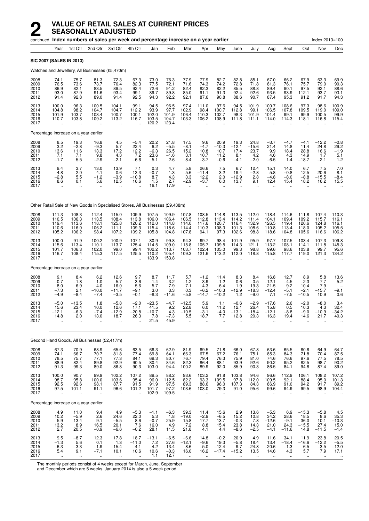**2**

| continued Index numbers of sales per week and percentage increase on a year earlier |                                                           |                                                          |                                                                                |                                                           |                                                         |                                           |                                               |                                              |                                                        |                                                       |                                           |                                                       | Index 2013=100                                        |                                                       |                                            |                                                       |                                                                       |
|-------------------------------------------------------------------------------------|-----------------------------------------------------------|----------------------------------------------------------|--------------------------------------------------------------------------------|-----------------------------------------------------------|---------------------------------------------------------|-------------------------------------------|-----------------------------------------------|----------------------------------------------|--------------------------------------------------------|-------------------------------------------------------|-------------------------------------------|-------------------------------------------------------|-------------------------------------------------------|-------------------------------------------------------|--------------------------------------------|-------------------------------------------------------|-----------------------------------------------------------------------|
|                                                                                     | Year                                                      | 1st Qtr                                                  | 2nd Qtr                                                                        | 3rd Qtr                                                   | 4th Qtr                                                 | Jan                                       | Feb                                           | Mar                                          | Apr                                                    | May                                                   | June                                      | July                                                  | Aug                                                   | Sept                                                  | Oct                                        | Nov                                                   | Dec                                                                   |
|                                                                                     | <b>SIC 2007 (SALES IN 2013)</b>                           |                                                          |                                                                                |                                                           |                                                         |                                           |                                               |                                              |                                                        |                                                       |                                           |                                                       |                                                       |                                                       |                                            |                                                       |                                                                       |
|                                                                                     |                                                           |                                                          | Watches and Jewellery, All Businesses (£5,470m)                                |                                                           |                                                         |                                           |                                               |                                              |                                                        |                                                       |                                           |                                                       |                                                       |                                                       |                                            |                                                       |                                                                       |
| 2008<br>2009<br>2010<br>2011<br>2012                                                | 74.1<br>76.5<br>86.9<br>93.0<br>91.4                      | 75.7<br>73.6<br>82.1<br>87.9<br>92.8                     | 81.3<br>73.7<br>83.5<br>91.6<br>89.0                                           | 72.3<br>76.4<br>89.5<br>93.4<br>91.4                      | 67.3<br>82.3<br>92.4<br>99.1<br>92.5                    | 73.0<br>77.5<br>72.6<br>89.7<br>94.3      | 76.3<br>72.1<br>91.2<br>89.8<br>92.2          | 77.9<br>71.6<br>82.4<br>85.0<br>92.1         | 77.9<br>74.3<br>82.3<br>91.1<br>87.6                   | 82.7<br>74.2<br>82.2<br>91.3<br>90.8                  | 82.8<br>72.8<br>85.5<br>92.4<br>88.6      | 85.1<br>71.8<br>88.8<br>92.6<br>90.7                  | 67.0<br>81.3<br>89.4<br>93.5<br>87.4                  | 66.2<br>76.1<br>90.1<br>93.9<br>95.3                  | 67.9<br>75.7<br>97.5<br>112.1<br>91.2      | 63.3<br>79.0<br>92.1<br>93.7<br>91.7                  | 69.9<br>90.3<br>88.6<br>93.1<br>94.3                                  |
| 2013<br>2014<br>2015<br>2016<br>2017                                                | 100.0<br>104.8<br>101.9<br>110.7<br>$\ddot{\phantom{a}}$  | 96.3<br>98.2<br>103.7<br>103.8                           | 100.5<br>104.7<br>103.4<br>109.2<br>$\ddot{\phantom{a}}$                       | 104.1<br>104.7<br>100.7<br>113.2<br>$\ddot{\phantom{1}}$  | 99.1<br>112.2<br>100.1<br>116.7<br>$\ddot{\phantom{1}}$ | 94.5<br>93.9<br>102.0<br>103.5<br>120.2   | 96.5<br>97.7<br>101.9<br>104.7<br>123.4       | 97.4<br>102.9<br>106.4<br>103.3<br>$\ddotsc$ | 111.0<br>98.4<br>110.3<br>106.2                        | 97.6<br>100.7<br>102.7<br>108.9                       | 94.5<br>112.8<br>98.3<br>111.8            | 101.9<br>99.1<br>101.9<br>111.1                       | 100.7<br>106.5<br>101.4<br>114.0                      | 108.6<br>107.8<br>99.1<br>114.3                       | 97.3<br>109.5<br>99.9<br>118.1             | 98.6<br>119.0<br>100.5<br>116.8                       | 100.9<br>109.0<br>99.9<br>115.4                                       |
|                                                                                     |                                                           | Percentage increase on a year earlier                    |                                                                                |                                                           |                                                         |                                           |                                               |                                              |                                                        |                                                       |                                           |                                                       |                                                       |                                                       |                                            |                                                       |                                                                       |
| 2008<br>2009<br>2010<br>2011<br>2012                                                | 8.5<br>3.2<br>13.6<br>7.1<br>$-1.7$                       | 19.3<br>$-2.8$<br>11.6<br>7.1<br>5.5                     | 16.8<br>$-9.3$<br>13.3<br>9.8<br>$-2.9$                                        | 4.5<br>5.7<br>17.2<br>4.3<br>$-2.1$                       | $-5.4$<br>22.4<br>12.2<br>7.2<br>$-6.6$                 | 20.2<br>6.2<br>$-6.3$<br>23.6<br>5.1      | 21.8<br>$-5.5$<br>26.5<br>$-1.6$<br>2.6       | 17.5<br>$-8.1$<br>15.2<br>3.1<br>8.4         | 9.6<br>$-4.7$<br>10.8<br>10.7<br>$-3.7$                | 20.9<br>$-10.3$<br>10.7<br>11.2<br>$-0.6$             | 19.3<br>$-12.1$<br>17.4<br>8.1<br>$-4.1$  | 24.8<br>$-15.6$<br>23.7<br>4.2<br>$-2.0$              | $-3.7$<br>21.4<br>9.9<br>4.6<br>$-6.5$                | $-4.7$<br>14.8<br>18.4<br>4.3<br>1.4                  | $-4.1$<br>11.4<br>28.8<br>14.9<br>$-18.7$  | $-12.2$<br>24.8<br>16.6<br>1.7<br>$-2.1$              | $-0.8$<br>29.2<br>$-1.9$<br>5.1<br>1.2                                |
| 2013<br>2014<br>2015<br>2016<br>2017                                                | 9.4<br>4.8<br>$-2.8$<br>8.6                               | 3.7<br>2.0<br>5.5<br>0.1                                 | 13.0<br>4.1<br>$-1.2$<br>5.6<br>Ϋ,                                             | 13.9<br>0.6<br>$-3.9$<br>12.5<br>÷.                       | 7.1<br>13.3<br>$-10.8$<br>16.6                          | 0.3<br>$-0.7$<br>8.7<br>1.5<br>16.1       | 4.7<br>1.3<br>4.3<br>2.7<br>17.9              | 5.8<br>5.6<br>3.3<br>$-2.9$<br>$\ddotsc$     | 26.6<br>$-11.4$<br>12.2<br>$-3.7$                      | 7.5<br>3.2<br>2.0<br>6.0<br>$\ddot{\phantom{a}}$      | 6.7<br>19.4<br>$-12.9$<br>13.7            | 12.4<br>$-2.8$<br>2.8<br>9.1<br>$\ddotsc$             | 15.1<br>5.8<br>$-4.8$<br>12.4                         | 14.0<br>$-0.8$<br>$-8.0$<br>15.4                      | 6.7<br>12.5<br>$-8.8$<br>18.2              | 7.5<br>20.6<br>$-15.5$<br>16.2                        | 7.0<br>8.1<br>$-8.4$<br>15.5                                          |
|                                                                                     |                                                           |                                                          | Other Retail Sale of New Goods in Specialised Stores, All Businesses (£9,438m) |                                                           |                                                         |                                           |                                               |                                              |                                                        |                                                       |                                           |                                                       |                                                       |                                                       |                                            |                                                       |                                                                       |
| 2008<br>2009<br>2010<br>2011<br>2012                                                | 111.3<br>110.5<br>119.4<br>110.6<br>105.2                 | 108.3<br>106.3<br>113.6<br>116.0<br>106.2                | 112.4<br>113.5<br>118.1<br>106.2<br>98.4                                       | 115.0<br>108.4<br>125.8<br>111.1<br>107.2                 | 109.9<br>113.8<br>120.2<br>109.3<br>109.2               | 107.5<br>106.0<br>112.0<br>115.4<br>105.8 | 109.9<br>106.4<br>114.8<br>118.6<br>104.8     | 107.8<br>106.5<br>114.0<br>114.4<br>107.8    | 108.5<br>112.8<br>117.6<br>110.3<br>94.1               | 114.8<br>113.4<br>120.7<br>108.3<br>97.3              | 113.5<br>114.2<br>116.4<br>101.3<br>102.6 | 112.0<br>111.4<br>132.9<br>108.6<br>98.8              | 118.4<br>104.1<br>126.5<br>110.8<br>118.6             | 114.6<br>109.4<br>119.4<br>113.4<br>104.8             | 111.8<br>109.2<br>120.6<br>118.0<br>105.6  | 107.4<br>115.7<br>124.8<br>105.2<br>116.6             | 110.3<br>116.1<br>116.1<br>105.5<br>106.2                             |
| 2013<br>2014<br>2015<br>2016<br>2017                                                | 100.0<br>115.6<br>101.7<br>116.7<br>$\ddot{\phantom{a}}$  | 91.9<br>113.4<br>106.3<br>108.4<br>$\ddotsc$             | 100.2<br>110.1<br>102.0<br>115.3<br>ä,                                         | 100.9<br>113.7<br>99.0<br>117.5<br>$\ddot{\phantom{1}}$   | 107.1<br>125.4<br>99.4<br>125.5<br>Ω.                   | 80.9<br>114.5<br>102.2<br>110.2<br>133.9  | 99.8<br>109.0<br>113.7<br>105.4<br>153.8      | 94.3<br>115.8<br>103.7<br>109.3              | 99.7<br>105.7<br>102.4<br>121.6                        | 98.4<br>109.5<br>105.0<br>113.2                       | 101.9<br>114.3<br>99.3<br>112.0           | 95.9<br>121.1<br>98.8<br>118.8                        | 97.7<br>113.2<br>99.6<br>115.8                        | 107.5<br>108.1<br>98.6<br>117.7                       | 103.4<br>114.1<br>103.8<br>119.0           | 107.3<br>111.8<br>99.7<br>121.3                       | 109.8<br>145.3<br>95.6<br>134.2                                       |
|                                                                                     |                                                           | Percentage increase on a year earlier                    |                                                                                |                                                           |                                                         |                                           |                                               |                                              |                                                        |                                                       |                                           |                                                       |                                                       |                                                       |                                            |                                                       |                                                                       |
| 2008<br>2009<br>2010<br>2011<br>2012                                                | 9.1<br>$-0.7$<br>8.0<br>$-7.3$<br>$-4.9$                  | 8.4<br>$-1.8$<br>6.9<br>2.1<br>$-8.4$                    | 6.2<br>1.0<br>4.0<br>$-10.0$<br>$-7.4$                                         | 12.6<br>$-5.7$<br>16.0<br>$-11.7$<br>$-3.5$               | 9.7<br>3.6<br>5.6<br>$-9.1$<br>$-0.1$                   | 8.7<br>$-1.4$<br>5.7<br>3.0<br>$-8.3$     | 11.7<br>$-3.2$<br>7.9<br>3.3<br>$-11.6$       | 5.7<br>$-1.2$<br>7.1<br>0.3<br>$-5.8$        | $-1.2$<br>3.9<br>4.3<br>$-6.2$<br>$-14.7$              | 11.4<br>$-1.2$<br>6.4<br>$-10.3$<br>$-10.2$           | 8.3<br>0.6<br>1.9<br>$-12.9$<br>1.2       | 8.4<br>$-0.5$<br>19.3<br>$-18.3$<br>$-9.0$            | 16.8<br>$-12.1$<br>21.5<br>$-12.4$<br>7.1             | 12.7<br>$-4.5$<br>9.2<br>$-5.1$<br>$-7.5$             | 8.9<br>$-2.3$<br>10.4<br>$-2.1$<br>$-10.5$ | 5.8<br>7.7<br>7.9<br>$-15.7$<br>10.9                  | 13.6<br>5.2<br>-9.1<br>0.6                                            |
| 2013<br>2014<br>2015<br>2016<br>2017                                                | $-5.0$<br>15.6<br>$-12.1$<br>14.8<br>$\ddot{\phantom{a}}$ | $-13.5$<br>23.4<br>$-6.3$<br>2.0<br>$\ddot{\phantom{a}}$ | 1.8<br>10.0<br>$-7.4$<br>13.0<br>ä,                                            | $-5.8$<br>12.6<br>$-12.9$<br>18.7<br>$\ddot{\phantom{a}}$ | $-2.0$<br>17.1<br>$-20.8$<br>26.3                       | $-23.5$<br>41.5<br>$-10.7$<br>7.8<br>21.5 | $-4.7$<br>9.2<br>4.3<br>$-7.3$<br>45.9        | $-12.5$<br>22.8<br>$-10.5$<br>5.5            | 5.9<br>6.0<br>$-3.1$<br>18.7                           | 1.1<br>11.2<br>$-4.0$<br>7.7                          | $-0.6$<br>12.1<br>$-13.1$<br>12.8         | $-2.9$<br>26.4<br>$-18.4$<br>20.3                     | $-17.6$<br>15.8<br>$-12.1$<br>16.3                    | 2.6<br>0.5<br>$-8.8$<br>19.4                          | $-2.0$<br>10.3<br>-9.0<br>14.6             | $-8.0$<br>4.3<br>$-10.9$<br>21.7                      | 3.4<br>32.4<br>$-34.2$<br>40.3                                        |
|                                                                                     |                                                           |                                                          | Second Hand Goods, All Businesses (£2,417m)                                    |                                                           |                                                         |                                           |                                               |                                              |                                                        |                                                       |                                           |                                                       |                                                       |                                                       |                                            |                                                       |                                                                       |
| 2008<br>2009<br>2010<br>2011<br>2012                                                | 67.3<br>$74.1$<br>$78.5$<br>88.9<br>91.3                  | 70.9<br>66.7<br>75.7<br>82.4<br>99.3                     | 68.9<br>70.7<br>77.1<br>89.8<br>89.0                                           | 65.6<br>$\frac{81.8}{77.3}$<br>92.9<br>86.8               | 63.5<br>77.4<br>84.1<br>90.5<br>90.3                    | 66.3<br>69.8<br>69.3<br>80.4<br>103.0     | 62.9<br>64.1<br>80.7<br>84.6<br>94.4          | 81.9<br>66.3<br>76.7<br>82.3<br>100.2        | 69.5<br>67.5<br>79.4<br>86.4<br>89.9                   | 71.8<br>67.2<br>76.3<br>88.1<br>92.0                  | 66.0<br>76.1<br>75.9<br>93.9<br>85.9      | 67.8<br>75.1<br>81.0<br>92.6<br>90.3                  | 63.6<br>85.3<br>74.6<br>90.2<br>86.5                  | 65.5<br>84.3<br>76.6<br>95.2<br>84.1                  | 60.6<br>71.8<br>97.6<br>82.5<br>94.8       | 64.9<br>70.4<br>77.5<br>98.7<br>87.4                  | 64.7<br>87.5<br>78.5<br>90.2<br>89.0                                  |
| 2013<br>2014<br>2015<br>2016<br>2017                                                | 100.0<br>98.7<br>92.5<br>97.5<br>$\ddot{\phantom{a}}$     | 90.7<br>95.8<br>92.6<br>101.1<br>ä,                      | 99.9<br>100.0<br>98.1<br>91.1<br>$\ddot{\phantom{a}}$                          | 102.2<br>103.6<br>87.7<br>96.6<br>$\ddot{\phantom{a}}$    | 107.2<br>95.4<br>91.5<br>101.2<br>$\ddotsc$             | 89.5<br>96.0<br>91.9<br>101.7<br>102.9    | 88.2<br>$\frac{112.5}{97.5}$<br>97.2<br>109.5 | 93.6<br>82.2<br>89.3<br>103.6<br>$\ddotsc$   | 103.2<br>93.3<br>88.6<br>103.0<br>$\ddot{\phantom{a}}$ | 91.8<br>109.5<br>96.0<br>79.3<br>$\ddot{\phantom{a}}$ | 103.8<br>$97.8$<br>107.3<br>91.0<br>à.    | 94.6<br>112.0<br>84.3<br>95.6<br>$\ddot{\phantom{a}}$ | 96.6<br>109.5<br>86.9<br>99.6<br>$\ddot{\phantom{a}}$ | 112.9<br>92.1<br>91.0<br>94.9<br>$\ddot{\phantom{a}}$ | 106.1<br>88.4<br>94.2<br>99.5<br>$\ddotsc$ | 108.2<br>95.0<br>91.7<br>98.9<br>$\ddot{\phantom{a}}$ | 107.2<br>101.3<br>89.2<br>104.4<br>$\mathbf{r}$                       |
|                                                                                     |                                                           | Percentage increase on a year earlier                    |                                                                                |                                                           |                                                         |                                           |                                               |                                              |                                                        |                                                       |                                           |                                                       |                                                       |                                                       |                                            |                                                       |                                                                       |
| 2008<br>2009<br>2010<br>2011<br>2012                                                | 4.9<br>10.2<br>$\frac{5.9}{13.2}$<br>2.7                  | 11.0<br>$-5.9$<br>13.4<br>8.9<br>20.5                    | 9.4<br>2.6<br>9.1<br>16.5<br>$-0.9$                                            | 4.9<br>24.6<br>$\frac{-5.5}{20.1}$<br>$-6.6$              | $-5.3$<br>22.0<br>$\frac{8.6}{7.6}$<br>$-0.2$           | $-1.1$<br>5.3<br>$-0.7$<br>16.0<br>28.1   | $-6.3$<br>1.8<br>25.9<br>4.9<br>11.5          | 39.3<br>$-19.0$<br>$^{15.8}_{7.2}$<br>21.8   | 11.4<br>$-2.9$<br>17.7<br>8.8<br>4.1                   | 15.6<br>$-6.5$<br>13.7<br>15.4<br>4.4                 | 2.9<br>15.2<br>$^{-0.3}_{23.8}$<br>$-8.6$ | 13.6<br>10.8<br>7.8<br>14.3<br>$-2.5$                 | $-5.3$<br>34.2<br>$-12.6$<br>21.0<br>$-4.1$           | 6.9<br>28.6<br>$-9.1$<br>24.3<br>$-11.6$              | $-15.3$<br>18.5<br>$36.0 - 15.5$<br>14.8   | $-5.8$<br>8.6<br>10.1<br>27.4<br>$-11.5$              | $\begin{array}{c} 4.5 \\ 35.3 \end{array}$<br>$-10.3$<br>15.0<br>-1.4 |
| 2013<br>2014<br>2015<br>2016<br>2017                                                | 9.5<br>$-1.3$<br>$-6.3$<br>5.4                            | $-8.7$<br>5.6<br>$-3.3$<br>9.1                           | 12.3<br>0.1<br>$-1.9$<br>$-7.1$                                                | 17.8<br>1.3<br>$-15.4$<br>10.1                            | 18.7<br>$-11.0$<br>$-4.1$<br>10.6                       | $-13.1$<br>7.2<br>$-4.2$<br>10.6<br>1.1   | $-6.5$<br>27.6<br>$-13.4$<br>$-0.3$<br>12.7   | $-6.6$<br>$-12.1$<br>8.6<br>16.0             | 14.8<br>$-9.6$<br>$-5.0$<br>16.2                       | $-0.2$<br>19.3<br>$-12.4$<br>$-17.4$                  | 20.9<br>$-5.8$<br>9.7<br>$-15.2$          | 4.9<br>18.4<br>$-24.8$<br>13.5                        | 11.6<br>13.4<br>$-20.6$<br>14.6                       | 34.1<br>$-18.4$<br>$-1.3$<br>4.3                      | 11.9<br>$-16.6$<br>$6.5$<br>5.7            | 23.8<br>$-12.2$<br>$-3.5$<br>7.9                      | $20.5 - 5.5$<br>$-12.0$<br>17.1                                       |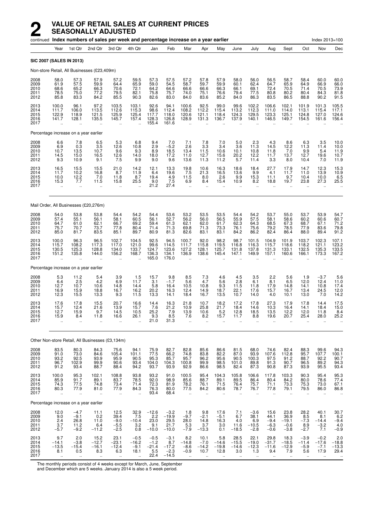**2**

| continued Index numbers of sales per week and percentage increase on a year earlier |                                                                   |                                                         |                                                                  |                                                          |                                                          |                                            |                                               |                                                          |                                                           |                                                           |                                                           |                                                           | Index 2013=100                                      |                                                                  |                                                            |                                                             |                                                                    |
|-------------------------------------------------------------------------------------|-------------------------------------------------------------------|---------------------------------------------------------|------------------------------------------------------------------|----------------------------------------------------------|----------------------------------------------------------|--------------------------------------------|-----------------------------------------------|----------------------------------------------------------|-----------------------------------------------------------|-----------------------------------------------------------|-----------------------------------------------------------|-----------------------------------------------------------|-----------------------------------------------------|------------------------------------------------------------------|------------------------------------------------------------|-------------------------------------------------------------|--------------------------------------------------------------------|
|                                                                                     | Year                                                              | 1st Qtr                                                 | 2nd Qtr                                                          | 3rd Qtr                                                  | 4th Qtr                                                  | Jan                                        | Feb                                           | Mar                                                      | Apr                                                       | May                                                       | June                                                      | July                                                      | Aug                                                 | Sept                                                             | Oct                                                        | Nov                                                         | Dec                                                                |
|                                                                                     | <b>SIC 2007 (SALES IN 2013)</b>                                   |                                                         |                                                                  |                                                          |                                                          |                                            |                                               |                                                          |                                                           |                                                           |                                                           |                                                           |                                                     |                                                                  |                                                            |                                                             |                                                                    |
|                                                                                     |                                                                   |                                                         | Non-store Retail, All Businesses (£23,409m)                      |                                                          |                                                          |                                            |                                               |                                                          |                                                           |                                                           |                                                           |                                                           |                                                     |                                                                  |                                                            |                                                             |                                                                    |
| 2008<br>2009<br>2010<br>2011<br>2012                                                | 58.0<br>61.9<br>68.6<br>78.5<br>85.8                              | 57.3<br>57.5<br>65.2<br>75.0<br>83.3                    | 57.9<br>59.9<br>66.3<br>77.2<br>84.2                             | 57.2<br>64.4<br>70.6<br>79.5<br>85.5                     | 59.5<br>65.9<br>72.1<br>82.1<br>90.3                     | 57.3<br>59.0<br>64.2<br>75.8<br>82.6       | 57.5<br>54.5<br>64.6<br>75.7<br>83.0          | 57.2<br>58.7<br>66.6<br>74.0<br>84.0                     | 57.8<br>59.7<br>66.6<br>75.1<br>83.6                      | 57.9<br>59.9<br>66.3<br>76.6<br>85.2                      | 58.0<br>60.1<br>66.1<br>79.4<br>84.0                      | 56.0<br>62.4<br>69.1<br>77.5<br>86.3                      | 56.5<br>64.7<br>72.4<br>80.8<br>83.5                | 58.7<br>65.9<br>70.5<br>80.2<br>86.5                             | 58.4<br>64.9<br>71.4<br>80.4<br>88.8                       | 60.0<br>66.9<br>70.5<br>84.3<br>90.2                        | 60.0<br>66.0<br>73.9<br>81.8<br>91.5                               |
| 2013<br>2014<br>2015<br>2016<br>2017                                                | 100.0<br>111.7<br>122.9<br>141.7<br>ä.                            | 96.1<br>106.0<br>118.9<br>128.1<br>$\mathbf{r}$         | 97.2<br>113.5<br>121.5<br>135.5<br>$\ddot{\phantom{a}}$          | 103.5<br>112.6<br>125.9<br>145.7<br>$\ddot{\phantom{a}}$ | 103.1<br>115.3<br>125.4<br>157.4                         | 92.6<br>98.6<br>117.7<br>128.3<br>155.4    | 94.1<br>112.4<br>118.0<br>126.8<br>161.6      | 100.6<br>108.2<br>120.6<br>128.9<br>$\ddot{\phantom{a}}$ | 92.5<br>112.2<br>121.1<br>131.3                           | 99.0<br>115.4<br>118.4<br>136.7                           | 99.6<br>113.2<br>124.3<br>137.9                           | 102.2<br>112.3<br>129.5<br>140.1                          | 106.6<br>111.0<br>123.3<br>146.5                    | 102.1<br>114.0<br>125.1<br>149.7                                 | 101.9<br>113.1<br>124.8<br>154.5                           | 101.3<br>115.4<br>127.0<br>161.6                            | 105.5<br>117.1<br>124.6<br>156.4                                   |
|                                                                                     |                                                                   | Percentage increase on a year earlier                   |                                                                  |                                                          |                                                          |                                            |                                               |                                                          |                                                           |                                                           |                                                           |                                                           |                                                     |                                                                  |                                                            |                                                             |                                                                    |
| 2008<br>2009<br>2010<br>2011<br>2012                                                | 6.6<br>6.9<br>10.7<br>14.5<br>9.3                                 | 7.8<br>0.3<br>13.5<br>15.0<br>10.9                      | 6.5<br>3.5<br>10.7<br>16.5<br>9.1                                | 5.3<br>12.6<br>9.6<br>12.6<br>7.5                        | 6.8<br>10.8<br>9.3<br>14.0<br>9.9                        | 9.4<br>2.9<br>8.9<br>18.0<br>9.0           | 7.0<br>$-5.2$<br>18.5<br>17.2<br>9.6          | 7.1<br>2.6<br>13.4<br>11.0<br>13.6                       | 7.8<br>3.3<br>11.5<br>12.7<br>11.3                        | 7.0<br>3.4<br>10.6<br>15.6<br>11.2                        | 5.0<br>3.6<br>10.1<br>20.2<br>5.7                         | 2.3<br>11.3<br>10.8<br>12.2<br>11.4                       | 4.3<br>14.5<br>11.8<br>11.7<br>3.3                  | 8.6<br>12.2<br>7.0<br>13.7<br>8.0                                | 6.3<br>11.3<br>9.9<br>12.7<br>10.4                         | 3.5<br>11.4<br>5.4<br>19.6<br>7.0                           | 10.0<br>10.0<br>11.9<br>10.7<br>11.9                               |
| 2013<br>2014<br>2015<br>2016<br>2017                                                | 16.5<br>11.7<br>10.0<br>15.3<br>$\ddotsc$                         | 15.5<br>10.2<br>$^{12.2}_{7.7}$<br>$\ldots$             | 15.5<br>16.8<br>7.0<br>11.5<br>$\ddot{\phantom{a}}$              | 21.0<br>8.7<br>11.8<br>15.8<br>$\ddotsc$                 | 14.2<br>11.9<br>8.7<br>25.5<br>$\ddotsc$                 | 12.1<br>6.4<br>19.4<br>9.0<br>21.2         | 13.3<br>19.6<br>4.9<br>7.5<br>27.4            | 19.8<br>7.5<br>11.5<br>6.9<br>$\ddotsc$                  | 10.6<br>21.3<br>8.0<br>8.4<br>$\ddot{\phantom{a}}$        | 16.3<br>16.5<br>2.6<br>15.4                               | 18.6<br>13.6<br>9.9<br>10.9                               | 18.4<br>9.9<br>15.3<br>8.2<br>$\ddot{\phantom{a}}$        | 27.7<br>4.1<br>11.1<br>18.8<br>$\ddot{\phantom{a}}$ | 17.9<br>11.7<br>9.7<br>19.7<br>$\ddot{\phantom{a}}$              | 14.7<br>11.0<br>10.4<br>23.8<br>$\ddot{\phantom{a}}$       | 12.3<br>13.9<br>10.0<br>27.3<br>$\ddot{\phantom{0}}$        | 15.3<br>10.9<br>6.5<br>25.5                                        |
|                                                                                     |                                                                   |                                                         | Mail Order, All Businesses (£20,276m)                            |                                                          |                                                          |                                            |                                               |                                                          |                                                           |                                                           |                                                           |                                                           |                                                     |                                                                  |                                                            |                                                             |                                                                    |
| 2008<br>2009<br>2010<br>2011<br>2012                                                | 54.0<br>57.4<br>64.7<br>75.7<br>85.0                              | 53.8<br>55.1<br>61.0<br>70.7<br>81.7                    | 53.8<br>56.1<br>62.1<br>73.7<br>83.5                             | 54.4<br>58.1<br>66.7<br>77.8<br>85.1                     | 54.2<br>60.5<br>69.2<br>80.4<br>89.7                     | 54.4<br>56.1<br>59.4<br>71.4<br>80.9       | 53.6<br>52.7<br>61.3<br>71.3<br>81.3          | 53.2<br>56.2<br>62.1<br>69.8<br>82.6                     | 53.5<br>56.0<br>62.0<br>71.3<br>83.1                      | 53.5<br>56.5<br>61.7<br>73.3<br>83.1                      | 54.4<br>55.9<br>62.3<br>76.1<br>84.2                      | 54.2<br>57.5<br>64.3<br>75.6<br>86.2                      | 53.7<br>58.1<br>68.5<br>79.2<br>82.4                | 55.0<br>58.6<br>67.3<br>78.5<br>86.4                             | 53.7<br>60.2<br>68.7<br>77.9<br>88.0                       | 53.9<br>60.6<br>67.1<br>83.6<br>89.4                        | 54.7<br>60.7<br>71.2<br>79.8<br>91.2                               |
| 2013<br>2014<br>2015<br>2016<br>2017                                                | 100.0<br>115.7<br>130.5<br>151.2<br>$\ddotsc$                     | 96.3<br>108.2<br>125.3<br>135.8<br>ä,                   | 96.5<br>117.3<br>128.8<br>144.0<br>Ω,                            | 102.7<br>117.0<br>134.0<br>156.2<br>$\ddot{\phantom{a}}$ | 104.5<br>121.0<br>133.7<br>168.7<br>$\ddot{\phantom{a}}$ | 92.5<br>99.6<br>124.7<br>136.3<br>165.0    | 94.5<br>114.5<br>123.6<br>134.1<br>176.0      | 100.7<br>111.7<br>127.2<br>136.9<br>$\ddot{\phantom{a}}$ | 92.0<br>115.8<br>128.1<br>138.6<br>$\ddot{\phantom{a}}$   | 98.2<br>119.5<br>125.7<br>145.4                           | 98.7<br>116.8<br>131.8<br>147.1                           | 101.5<br>116.3<br>137.8<br>149.9                          | 104.9<br>115.7<br>131.3<br>157.1                    | 101.9<br>118.6<br>133.1<br>160.6                                 | 103.7<br>118.2<br>132.5<br>166.1                           | 102.3<br>121.1<br>135.3<br>173.3                            | 107.1<br>123.2<br>133.5<br>167.2                                   |
|                                                                                     |                                                                   | Percentage increase on a year earlier                   |                                                                  |                                                          |                                                          |                                            |                                               |                                                          |                                                           |                                                           |                                                           |                                                           |                                                     |                                                                  |                                                            |                                                             |                                                                    |
| 2008<br>2009<br>2010<br>2011<br>2012                                                | $\begin{array}{c} 5.3 \\ 6.4 \end{array}$<br>12.7<br>16.9<br>12.3 | $^{11.2}_{2.5}$<br>10.7<br>15.9<br>15.5                 | 5.4<br>4.2<br>10.6<br>18.8<br>13.3                               | 3.9<br>6.9<br>14.8<br>16.7<br>9.3                        | $1.5$<br>11.7<br>14.4<br>16.2<br>11.5                    | 15.7<br>3.1<br>5.8<br>20.2<br>13.3         | $^{9.8}_{-1.7}$<br>16.4<br>16.3<br>14.1       | $8.5$<br>5.6<br>10.5<br>12.4<br>18.4                     | $7.3$<br>4.7<br>10.8<br>14.9<br>16.7                      | 4.6<br>5.6<br>9.3<br>18.7<br>13.5                         | 4.5<br>$2.\overline{8}$<br>11.5<br>22.1<br>10.7           | 3.5<br>6.1<br>11.8<br>17.6<br>14.0                        | 2.2<br>8.1<br>17.9<br>15.7<br>4.0                   | 5.6<br>6.5<br>14.8<br>16.7<br>10.1                               | 1.9<br>12.0<br>14.1<br>13.4<br>13.0                        | $-3.7$<br>12.4<br>10.8<br>24.5<br>7.0                       | $\begin{array}{c} 5.6 \\ 11.0 \end{array}$<br>17.4<br>12.0<br>14.2 |
| 2013<br>2014<br>2015<br>2016<br>2017                                                | 17.6<br>15.7<br>12.7<br>15.9<br>ă,                                | 17.8<br>12.4<br>15.9<br>8.4<br>$\ddotsc$                | 15.5<br>21.6<br>9.7<br>11.8<br>.,                                | 20.7<br>13.9<br>14.5<br>16.6<br>$\ddotsc$                | 16.6<br>15.7<br>10.5<br>26.1                             | 14.4<br>7.6<br>25.2<br>9.3<br>21.0         | 16.3<br>21.2<br>7.9<br>8.5<br>31.3            | 21.8<br>10.9<br>13.9<br>7.6                              | 10.7<br>25.8<br>10.6<br>8.2<br>ä.                         | 18.2<br>21.7<br>5.2<br>15.7                               | 17.2<br>18.4<br>12.8<br>11.7                              | 17.8<br>14.6<br>18.5<br>8.8                               | 27.3<br>10.3<br>13.5<br>19.6                        | 17.9<br>16.4<br>12.2<br>20.7                                     | 17.8<br>14.1<br>12.0<br>25.4                               | 14.4<br>18.4<br>11.8<br>28.0                                | 17.5<br>15.0<br>8.4<br>25.2                                        |
|                                                                                     |                                                                   |                                                         | Other Non-store Retail, All Businesses (£3,134m)                 |                                                          |                                                          |                                            |                                               |                                                          |                                                           |                                                           |                                                           |                                                           |                                                     |                                                                  |                                                            |                                                             |                                                                    |
| 2008<br>2009<br>2010<br>2011<br>2012                                                | 83.5<br>91.0<br>93.2<br>96.7<br>91.2                              | 80.3<br>$73.0$<br>92.5<br>102.9<br>93.4                 | 84.3<br>84.6<br>93.9<br>99.9<br>88.7                             | 75.6<br>105.4<br>95.9<br>90.6<br>88.4                    | 94.1<br>101.1<br>90.5<br>93.4<br>94.2                    | 75.9<br>77.5<br>95.3<br>104.0<br>93.7      | 82.7<br>66.2<br>85.7<br>104.3<br>93.9         | 82.8<br>74.8<br>95.7<br>100.8<br>92.9                    | 85.6<br>83.8<br>96.2<br>99.9<br>86.6                      | 86.6<br>82.2<br>95.6<br>98.5<br>98.5                      | 81.5<br>87.0<br>90.5<br>101.0<br>82.4                     | 68.0<br>93.9<br>100.3<br>89.8<br>87.3                     | 74.6<br>107.6<br>97.5<br>91.3<br>90.8               | 82.4<br>112.8<br>91.2<br>90.7<br>87.3                            | 88.3<br>95.7<br>88.7<br>96.5<br>93.9                       | 99.6<br>107.7<br>92.2<br>89.2<br>95.5                       | 94.3<br>100.1<br>90.7<br>94.3<br>93.4                              |
| 2013<br>2014<br>2015<br>2016<br>2017                                                | 100.0<br>85.9<br>74.3<br>80.3<br>÷.                               | 95.3<br>91.7<br>77.5<br>77.9<br>$\ddot{\phantom{1}}$    | 102.1<br>89.1<br>74.8<br>81.0<br>.,                              | 108.8<br>83.7<br>73.4<br>77.9<br>$\ddot{\phantom{a}}$    | 93.8<br>78.5<br>71.4<br>84.3<br>$\ddot{\phantom{1}}$     | 93.2<br>92.0<br>72.3<br>76.3<br>93.4       | 91.0<br>98.9<br>81.9<br>80.0<br>68.4          | 100.5<br>85.6<br>78.2<br>77.5<br>ä,                      | 95.4<br>88.7<br>76.1<br>84.2<br>ä,                        | 104.3<br>89.1<br>71.5<br>80.6<br>$\ddotsc$                | 105.8<br>89.5<br>76.4<br>78.7<br>$\ddotsc$                | 106.6<br>86.4<br>75.7<br>76.7<br>ă,                       | 117.8<br>80.4<br>71.1<br>77.8<br>$\ddotsc$          | 103.3<br>84.2<br>73.3<br>79.1<br>$\ddot{\phantom{a}}$            | 90.3<br>80.0<br>75.3<br>79.5<br>ä,                         | 95.4<br>78.6<br>73.0<br>86.0<br>$\ddot{\phantom{a}}$        | 95.3<br>77.4<br>67.1<br>86.8                                       |
|                                                                                     |                                                                   | Percentage increase on a year earlier                   |                                                                  |                                                          |                                                          |                                            |                                               |                                                          |                                                           |                                                           |                                                           |                                                           |                                                     |                                                                  |                                                            |                                                             |                                                                    |
| 2008<br>2009<br>2010<br>2011<br>2012                                                | 12.0<br>9.0<br>2.4<br>3.7<br>$-5.7$                               | $-4.7$<br>$-9.1$<br>26.8<br>11.2<br>$-9.2$              | 11.1<br>0.2<br>11.0<br>6.4<br>$-11.2$                            | 12.5<br>39.4<br>$-9.0$<br>$-5.5$<br>$-2.5$               | 32.9<br>7.5<br>$-10.4$<br>3.2<br>0.8                     | $-12.6$<br>2.2<br>23.0<br>9.1<br>$-10.0$   | $-3.2$<br>$-19.9$<br>29.5<br>21.7<br>$-10.0$  | 1.8<br>$-9.7$<br>28.0<br>5.3<br>$-7.9$                   | 9.8<br>$-2.1$<br>14.8<br>3.7<br>$-13.3$                   | 17.6<br>$-5.1$<br>16.3<br>3.0<br>0.1                      | 7.1<br>6.7<br>4.0<br>11.6<br>$-18.5$                      | $-3.6$<br>38.1<br>6.9<br>$-10.5$<br>$-2.8$                | 15.6<br>44.1<br>$-9.4$<br>$-6.3$<br>$-0.6$          | 23.8<br>36.9<br>$-19.1$<br>$-0.6$<br>$-3.8$                      | 28.2<br>8.5<br>$-7.3$<br>8.9<br>$-2.7$                     | 40.1<br>8.1<br>$-14.4$<br>$-3.2$<br>7.1                     | 30.7<br>6.2<br>$-9.4$<br>4.0<br>$-0.9$                             |
| 2013<br>2014<br>2015<br>2016<br>2017                                                | 9.7<br>$-14.1$<br>$-13.5$<br>8.1<br>$\ldots$                      | 2.0<br>$-3.8$<br>$-15.4$<br>0.5<br>$\ddot{\phantom{1}}$ | 15.2<br>$-12.7$<br>$-16.1$<br>8.3<br>$\mathcal{L}_{\mathcal{A}}$ | 23.1<br>$-23.1$<br>$-12.4$<br>6.3<br>$\ddotsc$           | $-0.5$<br>$-16.2$<br>$-9.1$<br>18.1<br>$\ddotsc$         | $-0.5$<br>$-1.2$<br>$-21.4$<br>5.5<br>22.4 | $-3.1$<br>8.7<br>$-17.2$<br>$-2.3$<br>$-14.5$ | 8.2<br>$-14.8$<br>$-8.6$<br>$-0.9$<br>$\alpha$           | 10.1<br>$-7.0$<br>$-14.2$<br>10.7<br>$\ddot{\phantom{1}}$ | 5.8<br>$-14.6$<br>$-19.8$<br>12.8<br>$\ddot{\phantom{1}}$ | 28.5<br>$-15.5$<br>$-14.6$<br>3.0<br>$\ddot{\phantom{1}}$ | 22.1<br>$-19.0$<br>$-12.3$<br>1.3<br>$\ddot{\phantom{1}}$ | 29.8<br>$-31.7$<br>$-11.6$<br>9.4<br>$\ddotsc$      | 18.3<br>$-18.5$<br>$-12.9$<br>7.9<br>$\mathcal{L}_{\mathcal{A}}$ | $-3.9$<br>$-11.4$<br>$-5.9$<br>5.6<br>$\ddot{\phantom{1}}$ | $-0.2$<br>$-17.6$<br>$-7.1$<br>17.9<br>$\ddot{\phantom{1}}$ | 2.0<br>$-18.8$<br>$-13.3$<br>29.4<br>$\cdot$                       |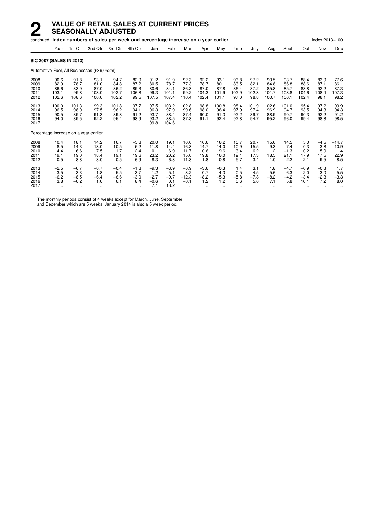|                                       | continued Index numbers of sales per week and percentage increase on a year earlier<br>Index 2013=100 |                                       |                                            |                                          |                                        |                                             |                                           |                                         |                                           |                                          |                                          |                                          |                                         |                                         |                                        |                                        |                                          |
|---------------------------------------|-------------------------------------------------------------------------------------------------------|---------------------------------------|--------------------------------------------|------------------------------------------|----------------------------------------|---------------------------------------------|-------------------------------------------|-----------------------------------------|-------------------------------------------|------------------------------------------|------------------------------------------|------------------------------------------|-----------------------------------------|-----------------------------------------|----------------------------------------|----------------------------------------|------------------------------------------|
|                                       | Year                                                                                                  | 1st Qtr                               | 2nd Qtr                                    | 3rd Qtr                                  | 4th Qtr                                | Jan                                         | Feb                                       | Mar                                     | Apr                                       | May                                      | June                                     | July                                     | Aug                                     | Sept                                    | Oct                                    | Nov                                    | Dec                                      |
| <b>SIC 2007 (SALES IN 2013)</b>       |                                                                                                       |                                       |                                            |                                          |                                        |                                             |                                           |                                         |                                           |                                          |                                          |                                          |                                         |                                         |                                        |                                        |                                          |
|                                       |                                                                                                       |                                       | Automotive Fuel, All Businesses (£39,052m) |                                          |                                        |                                             |                                           |                                         |                                           |                                          |                                          |                                          |                                         |                                         |                                        |                                        |                                          |
| 2008<br>2009<br>2010<br>2011<br>2012  | 90.6<br>82.9<br>86.6<br>103.1<br>102.6                                                                | 91.8<br>78.7<br>83.9<br>99.8<br>108.6 | 93.1<br>81.0<br>87.0<br>103.0<br>100.0     | 94.7<br>84.8<br>86.2<br>102.7<br>102.2   | 82.9<br>87.2<br>89.3<br>106.8<br>99.5  | 91.2<br>80.5<br>80.6<br>99.3<br>107.5       | 91.9<br>78.7<br>84.1<br>101.1<br>107.4    | 92.3<br>77.3<br>86.3<br>99.2<br>110.4   | 92.2<br>78.7<br>87.0<br>104.3<br>102.4    | 93.1<br>80.1<br>87.8<br>101.9<br>101.1   | 93.8<br>83.5<br>86.4<br>102.9<br>97.0    | 97.2<br>82.1<br>87.2<br>102.3<br>98.8    | 93.5<br>84.8<br>85.8<br>101.7<br>100.7  | 93.7<br>86.8<br>85.7<br>103.8<br>106.1  | 88.4<br>88.6<br>88.8<br>104.6<br>102.4 | 83.9<br>87.1<br>92.2<br>108.4<br>98.1  | 77.6<br>86.1<br>87.3<br>107.3<br>98.2    |
| 2013<br>2014<br>2015<br>2016<br>2017  | 100.0<br>96.5<br>90.5<br>94.0                                                                         | 101.3<br>98.0<br>89.7<br>89.5         | 99.3<br>97.5<br>91.3<br>92.2               | 101.8<br>96.2<br>89.8<br>95.4            | 97.7<br>94.1<br>91.2<br>98.9           | 97.5<br>96.3<br>93.7<br>93.2<br>99.8        | 103.2<br>97.9<br>88.4<br>88.5<br>104.6    | 102.8<br>99.6<br>87.4<br>87.3           | 98.8<br>98.0<br>90.0<br>91.1              | 100.8<br>96.4<br>91.3<br>92.4            | 98.4<br>97.9<br>92.2<br>92.8             | 101.9<br>97.4<br>89.7<br>94.7            | 102.6<br>96.9<br>88.9<br>95.2           | 101.0<br>94.7<br>90.7<br>96.0           | 95.4<br>93.5<br>90.3<br>99.4           | 97.2<br>94.3<br>92.2<br>98.8           | 99.9<br>94.3<br>91.2<br>98.5             |
| Percentage increase on a year earlier |                                                                                                       |                                       |                                            |                                          |                                        |                                             |                                           |                                         |                                           |                                          |                                          |                                          |                                         |                                         |                                        |                                        |                                          |
| 2008<br>2009<br>2010<br>2011<br>2012  | 10.4<br>$-8.5$<br>4.4<br>19.1<br>$-0.5$                                                               | 18.1<br>$-14.3$<br>6.6<br>19.0<br>8.8 | 14.2<br>$-13.0$<br>7.5<br>18.4<br>$-3.0$   | 16.7<br>$-10.5$<br>1.7<br>19.1<br>$-0.5$ | $-5.8$<br>5.2<br>2.4<br>19.6<br>$-6.9$ | 20.0<br>$-11.8$<br>0.1<br>23.2<br>8.3       | 19.1<br>$-14.4$<br>6.9<br>20.2<br>6.3     | 16.0<br>$-16.3$<br>11.7<br>15.0<br>11.3 | 10.6<br>$-14.7$<br>10.6<br>19.8<br>$-1.8$ | 16.2<br>$-14.0$<br>9.6<br>16.0<br>$-0.8$ | 15.7<br>$-10.9$<br>3.4<br>19.1<br>$-5.7$ | 20.7<br>$-15.5$<br>6.2<br>17.3<br>$-3.4$ | 15.6<br>$-9.3$<br>1.2<br>18.5<br>$-1.0$ | 14.5<br>$-7.4$<br>$-1.3$<br>21.1<br>2.2 | 5.0<br>0.3<br>0.2<br>17.9<br>$-2.1$    | $-4.5$<br>3.8<br>5.9<br>17.5<br>$-9.5$ | $-14.7$<br>10.9<br>1.4<br>22.9<br>$-8.5$ |
| 2013<br>2014<br>2015<br>2016<br>2017  | $-2.5$<br>$-3.5$<br>$-6.2$<br>3.8                                                                     | $-6.7$<br>$-3.3$<br>$-8.5$<br>$-0.2$  | $-0.7$<br>$-1.8$<br>$-6.4$<br>1.0          | $-0.4$<br>$-5.5$<br>$-6.6$<br>6.1        | $-1.8$<br>$-3.7$<br>$-3.0$<br>8.4      | $-9.3$<br>$-1.2$<br>$-2.7$<br>$-0.6$<br>7.1 | $-3.9$<br>$-5.1$<br>$-9.7$<br>0.1<br>18.2 | $-6.9$<br>$-3.2$<br>$-12.3$<br>$-0.1$   | $-3.6$<br>$-0.7$<br>$-8.2$<br>1.2         | $-0.3$<br>$-4.3$<br>$-5.3$<br>1.2        | 1.4<br>$-0.5$<br>$-5.8$<br>0.6           | 3.1<br>$-4.5$<br>$-7.8$<br>5.6           | 1.8<br>$-5.6$<br>$-8.2$<br>7.1          | $-4.7$<br>$-6.3$<br>$-4.2$<br>5.8       | $-6.9$<br>$-2.0$<br>$-3.4$<br>10.1     | $-0.8$<br>$-3.0$<br>$-2.3$<br>7.2      | 1.7<br>$-5.5$<br>$-3.3$<br>8.0           |

The monthly periods consist of 4 weeks except for March, June, September

and December which are 5 weeks. January 2014 is also a 5 week period.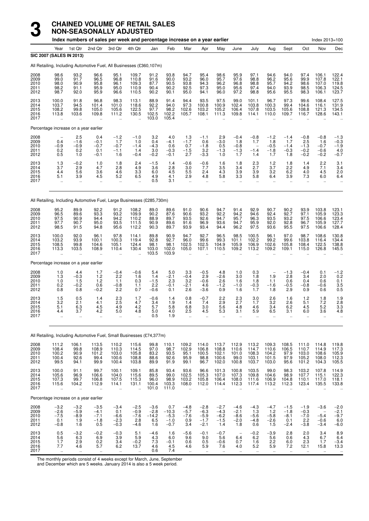**3**

|                                      | Index numbers of sales per week and percentage increase on a year earlier<br>Index 2013=100<br>Year<br>2nd Qtr<br>3rd Qtr<br>4th Qtr<br>Feb<br>Mar<br>June<br>Sept<br>Oct<br>Nov<br>1st Qtr<br>Jan<br>Apr<br>May<br>July<br>Aug |                                                         |                                                                        |                                                         |                                                         |                                           |                                              |                                                           |                                                     |                                             |                                             |                                                            |                                           |                                                      |                                                  |                                                   |                                                                   |
|--------------------------------------|---------------------------------------------------------------------------------------------------------------------------------------------------------------------------------------------------------------------------------|---------------------------------------------------------|------------------------------------------------------------------------|---------------------------------------------------------|---------------------------------------------------------|-------------------------------------------|----------------------------------------------|-----------------------------------------------------------|-----------------------------------------------------|---------------------------------------------|---------------------------------------------|------------------------------------------------------------|-------------------------------------------|------------------------------------------------------|--------------------------------------------------|---------------------------------------------------|-------------------------------------------------------------------|
|                                      |                                                                                                                                                                                                                                 |                                                         |                                                                        |                                                         |                                                         |                                           |                                              |                                                           |                                                     |                                             |                                             |                                                            |                                           |                                                      |                                                  |                                                   | Dec                                                               |
|                                      | SIC 2007 (SALES IN 2013)                                                                                                                                                                                                        |                                                         | All Retailing, Including Automotive Fuel, All Businesses (£360,107m)   |                                                         |                                                         |                                           |                                              |                                                           |                                                     |                                             |                                             |                                                            |                                           |                                                      |                                                  |                                                   |                                                                   |
| 2008<br>2009<br>2010<br>2011<br>2012 | 98.6<br>99.0<br>98.0<br>98.2<br>98.7                                                                                                                                                                                            | 93.2<br>91.7<br>90.9<br>91.1<br>92.0                    | 96.6<br>96.5<br>95.8<br>95.9<br>95.9                                   | 95.1<br>96.8<br>96.1<br>95.0<br>96.6                    | 109.7<br>110.8<br>109.3<br>110.9<br>110.5               | 91.2<br>91.6<br>87.7<br>90.4<br>90.2      | 93.8<br>90.0<br>90.5<br>90.2<br>90.1         | 94.7<br>93.2<br>93.8<br>92.5<br>95.0                      | 95.4<br>96.0<br>94.3<br>97.3<br>94.1                | 98.6<br>95.7<br>96.2<br>95.0<br>96.0        | 95.9<br>97.6<br>96.8<br>95.6<br>97.2        | 97.1<br>98.8<br>98.8<br>97.4<br>98.8                       | 94.6<br>96.2<br>95.7<br>94.0<br>95.6      | 94.0<br>95.6<br>94.2<br>93.9<br>95.5                 | 97.4<br>99.9<br>98.6<br>98.5<br>98.3             | 106.1<br>107.8<br>107.0<br>106.3<br>106.1         | 122.4<br>122.1<br>119.8<br>124.5<br>123.7                         |
| 2013<br>2014<br>2015<br>2016<br>2017 | 100.0<br>103.7<br>108.2<br>113.8<br>ä,                                                                                                                                                                                          | 91.8<br>94.5<br>99.8<br>103.6                           | 96.8<br>101.4<br>105.0<br>109.8                                        | 98.3<br>101.0<br>105.6<br>111.2<br>τ.                   | 113.1<br>118.6<br>122.5<br>130.5                        | 88.9<br>92.2<br>97.7<br>102.5<br>103.0    | 91.4<br>94.0<br>98.2<br>102.2<br>105.4       | 94.4<br>97.3<br>102.6<br>105.7                            | 93.5<br>100.8<br>103.2<br>108.1                     | 97.5<br>100.9<br>105.2<br>111.3             | 99.0<br>102.4<br>106.4<br>109.8             | 101.1<br>103.8<br>107.8<br>114.1                           | 96.7<br>100.3<br>103.5<br>110.0           | 97.3<br>99.4<br>105.6<br>109.7                       | 99.6<br>104.6<br>108.8<br>116.7                  | 108.4<br>116.1<br>121.3<br>128.6                  | 127.5<br>131.9<br>134.5<br>143.1                                  |
|                                      | Percentage increase on a year earlier                                                                                                                                                                                           |                                                         |                                                                        |                                                         |                                                         |                                           |                                              |                                                           |                                                     |                                             |                                             |                                                            |                                           |                                                      |                                                  |                                                   |                                                                   |
| 2008<br>2009<br>2010<br>2011<br>2012 | 0.4<br>$-0.9$<br>0.2<br>0.5                                                                                                                                                                                                     | 2.5<br>$-1.6$<br>$-0.9$<br>0.2<br>1.0                   | 0.4<br>$-0.1$<br>$-0.7$<br>0.1<br>$-0.1$                               | $-1.2$<br>1.7<br>$-0.7$<br>$-1.1$<br>1.6                | $-1.0$<br>1.0<br>$-1.4$<br>1.4<br>$-0.4$                | 3.2<br>0.4<br>$-4.3$<br>3.0<br>$-0.2$     | 4.0<br>$-4.1$<br>0.6<br>$-0.3$<br>$-0.1$     | 1.3<br>$-1.7$<br>0.7<br>$-1.5$<br>2.7                     | $-1.1$<br>0.6<br>$-1.8$<br>3.2<br>$-3.3$            | 2.9<br>$-3.0$<br>0.5<br>$-1.3$<br>1.0       | $-0.4$<br>1.8<br>$-0.8$<br>$-1.3$<br>1.7    | $-0.8$<br>1.7<br>$\overline{\phantom{a}}$<br>$-1.4$<br>1.4 | $-1.2$<br>1.8<br>$-0.5$<br>$-1.8$<br>1.7  | $-1.4$<br>1.7<br>$-1.4$<br>$-0.3$<br>1.8             | $-0.8$<br>2.5<br>$-1.3$<br>$-0.2$<br>$-0.2$      | $-0.8$<br>$1.6 - 0.7$<br>$-0.6$<br>$-0.2$         | $-1.3$<br>$-0.3$<br>$-1.9$<br>4.0<br>$-0.7$                       |
| 2013<br>2014<br>2015<br>2016<br>2017 | 1.3<br>3.7<br>4.4<br>5.1<br>$\ddot{\phantom{a}}$                                                                                                                                                                                | $-0.2$<br>$^{2.9}_{5.6}$<br>3.9<br>$\ddot{\phantom{a}}$ | 1.0<br>4.7<br>3.6<br>4.5<br>$\ddot{\phantom{a}}$                       | 1.8<br>2.8<br>4.6<br>5.2<br>$\ddot{\phantom{a}}$        | 2.4<br>$\frac{4.9}{3.3}$<br>6.5<br>$\ddot{\phantom{a}}$ | $-1.5$<br>3.6<br>6.0<br>4.9<br>0.5        | 1.4<br>2.8<br>$\overline{4.5}$<br>4.1<br>3.1 | $-0.6$<br>3.0<br>5.5<br>2.9<br>$\ddot{\phantom{a}}$       | $-0.6$<br>7.7<br>2.4<br>4.8                         | 1.6<br>$\frac{3.5}{4.3}$<br>5.8             | 1.8<br>3.4<br>3.9<br>3.3                    | 2.3<br>2.7<br>3.9<br>5.8                                   | 1.2<br>3.7<br>3.2<br>6.4                  | 1.8<br>$^{2.2}_{6.2}$<br>3.9<br>$\ddot{\phantom{a}}$ | 1.4<br>4.9<br>4.0<br>7.3<br>$\ddot{\phantom{a}}$ | 2.2<br>7.1<br>4.5<br>6.0<br>$\ddot{\phantom{a}}$  | 3.1<br>$\frac{3.4}{2.0}$<br>6.4                                   |
|                                      |                                                                                                                                                                                                                                 |                                                         | All Retailing, Including Automotive Fuel, Large Businesses (£285,730m) |                                                         |                                                         |                                           |                                              |                                                           |                                                     |                                             |                                             |                                                            |                                           |                                                      |                                                  |                                                   |                                                                   |
| 2008<br>2009<br>2010<br>2011<br>2012 | 95.2<br>96.5<br>97.5<br>97.7<br>98.5                                                                                                                                                                                            | 89.9<br>89.6<br>90.9<br>90.7<br>91.5                    | 92.2<br>93.3<br>94.4<br>95.0<br>94.8                                   | 91.2<br>93.2<br>94.2<br>93.5<br>95.6                    | 108.2<br>109.9<br>110.2<br>111.5<br>112.2               | 89.0<br>90.2<br>88.9<br>90.9<br>90.3      | 89.6<br>87.6<br>89.7<br>89.6<br>89.7         | 91.0<br>90.6<br>93.5<br>91.6<br>93.9                      | 90.6<br>93.2<br>92.6<br>96.9<br>93.4                | 94.7<br>92.2<br>94.7<br>93.6<br>94.4        | 91.4<br>94.2<br>95.7<br>94.7<br>96.2        | 92.9<br>94.6<br>96.3<br>95.9<br>97.5                       | 90.7<br>92.4<br>93.5<br>92.0<br>93.6      | 90.2<br>92.7<br>93.2<br>92.8<br>95.5                 | 93.9<br>97.1<br>97.5<br>96.7<br>97.5             | 103.8<br>105.9<br>106.6<br>105.9<br>106.6         | 123.1<br>123.3<br>123.4<br>127.7<br>128.4                         |
| 2013<br>2014<br>2015<br>2016<br>2017 | 100.0<br>103.2<br>108.5<br>113.3                                                                                                                                                                                                | 92.0<br>93.9<br>99.8<br>103.5<br>ä.                     | 96.1<br>100.1<br>104.6<br>108.9                                        | 97.8<br>100.3<br>105.1<br>110.4<br>$\ddot{\phantom{a}}$ | 114.1<br>119.4<br>124.4<br>130.4                        | 89.8<br>92.8<br>98.1<br>103.0<br>103.5    | 90.9<br>92.7<br>98.1<br>102.0<br>103.9       | 94.7<br>96.0<br>102.5<br>105.0                            | 92.7<br>99.6<br>102.5<br>107.1                      | 96.5<br>99.3<br>104.9<br>110.5              | 98.5<br>101.1<br>105.9<br>109.2             | 100.5<br>102.2<br>106.9<br>113.2                           | 96.1<br>99.2<br>102.6<br>109.2            | 97.0<br>99.6<br>105.8<br>109.1                       | 98.7<br>103.8<br>108.4<br>115.0                  | 108.6<br>116.4<br>122.5<br>126.8                  | 130.8<br>134.4<br>138.8<br>145.5                                  |
|                                      | Percentage increase on a year earlier                                                                                                                                                                                           |                                                         |                                                                        |                                                         |                                                         |                                           |                                              |                                                           |                                                     |                                             |                                             |                                                            |                                           |                                                      |                                                  |                                                   |                                                                   |
| 2008<br>2009<br>2010<br>2011<br>2012 | 1.0<br>1.3<br>1.0<br>0.2<br>0.8                                                                                                                                                                                                 | 4.4<br>$-0.3$<br>1.5<br>$-0.2$<br>0.8                   | 1.7<br>1.2<br>1.2<br>0.6<br>$-0.2$                                     | $-0.4$<br>2.2<br>1.1<br>$-0.8$<br>2.2                   | $-0.6$<br>1.6<br>0.3<br>1.1<br>0.7                      | 5.4<br>1.4<br>$-1.5$<br>2.2<br>$-0.6$     | 5.0<br>$-2.1$<br>2.3<br>$-0.1$<br>0.1        | 3.3<br>$-0.4$<br>3.2<br>$-2.1$<br>2.6                     | $-0.5$<br>2.9<br>$-0.6$<br>4.6<br>$-3.6$            | 4.8<br>$-2.6$<br>2.6<br>$-1.2$<br>0.9       | 1.0<br>3.0<br>1.6<br>$-1.0$<br>1.6          | 0.3<br>1.8<br>1.8<br>$-0.3$<br>1.7                         | 1.9<br>1.1<br>$-1.6$<br>1.8               | $-1.3$<br>2.8<br>0.6<br>$-0.5$<br>2.9                | $-0.4$<br>3.4<br>0.4<br>$-0.8$<br>0.9            | 0.1<br>2.0<br>0.6<br>$-0.6$<br>0.6                | $-1.2$<br>0.2<br>0.1<br>$\begin{array}{c} 3.5 \\ 0.5 \end{array}$ |
| 2013<br>2014<br>2015<br>2016<br>2017 | 1.5<br>3.2<br>5.1<br>4.4                                                                                                                                                                                                        | 0.5<br>2.1<br>6.3<br>3.7                                | 1.4<br>4.1<br>4.5<br>4.2                                               | 2.3<br>2.5<br>4.9<br>5.0                                | 1.7<br>4.7<br>4.2<br>4.8                                | $-0.6$<br>3.4<br>5.7<br>5.0<br>0.5        | 1.4<br>1.9<br>5.8<br>4.0<br>1.9              | 0.8<br>1.4<br>6.8<br>2.5                                  | $-0.7$<br>7.4<br>3.0<br>4.5                         | 2.2<br>2.9<br>5.6<br>5.3                    | 2.3<br>2.7<br>4.8<br>3.1                    | 3.0<br>1.7<br>4.6<br>5.9                                   | 2.6<br>3.2<br>3.4<br>6.5                  | 1.6<br>2.6<br>6.2<br>3.1                             | $1.2$<br>5.1<br>4.5<br>6.0                       | 1.8<br>7.2<br>5.2<br>3.6                          | 1.9<br>$2.\overline{8}$<br>3.3<br>4.8                             |
|                                      |                                                                                                                                                                                                                                 |                                                         | All Retailing, Including Automotive Fuel, Small Businesses (£74,377m)  |                                                         |                                                         |                                           |                                              |                                                           |                                                     |                                             |                                             |                                                            |                                           |                                                      |                                                  |                                                   |                                                                   |
| 2008<br>2009<br>2010<br>2011<br>2012 | 111.2<br>108.4<br>100.2<br>100.4<br>99.5                                                                                                                                                                                        | 106.1<br>99.8<br>90.9<br>92.6<br>94.1                   | 113.5<br>108.9<br>101.2<br>99.4<br>99.9                                | 110.2<br>110.3<br>103.0<br>100.6<br>100.4               | 115.6<br>114.5<br>105.8<br>108.8<br>103.8               | 99.8<br>97.0<br>83.2<br>88.6<br>89.9      | 110.1<br>98.7<br>93.5<br>92.6<br>91.9        | 109.2<br>102.9<br>95.1<br>95.9<br>99.1                    | 114.0<br>106.8<br>100.5<br>98.8<br>96.7             | 113.7<br>108.8<br>102.1<br>100.6<br>102.0   | 112.9<br>110.6<br>101.0<br>99.0<br>100.8    | 113.2<br>114.7<br>108.3<br>103.1<br>103.7                  | 109.3<br>110.6<br>104.2<br>101.5<br>103.0 | 108.5<br>106.5<br>97.9<br>97.9<br>95.6               | 111.0<br>110.7<br>103.0<br>105.2<br>101.2        | 114.8<br>114.9<br>108.6<br>108.0<br>104.3         | 119.8<br>117.3<br>$105.9$<br>$112.3$<br>$105.5$                   |
| 2013<br>2014<br>2015<br>2016<br>2017 | 100.0<br>105.6<br>107.3<br>115.6<br>$\ddotsc$                                                                                                                                                                                   | 91.1<br>96.9<br>99.7<br>104.2<br>$\ldots$               | 99.7<br>106.6<br>106.8<br>112.9<br>$\ddotsc$                           | 100.1<br>104.0<br>107.5<br>114.1<br>$\ddotsc$           | 109.1<br>115.6<br>115.3<br>131.1<br>$\ddotsc$           | 85.8<br>89.5<br>96.0<br>100.4<br>101.0    | 93.4<br>99.0<br>98.9<br>103.3<br>111.0       | $93.6$<br>102.5<br>103.2<br>108.0<br>$\ddot{\phantom{1}}$ | 96.6<br>105.3<br>105.8<br>112.0                     | 101.3<br>107.0<br>106.4<br>114.4            | 100.8<br>107.3<br>108.0<br>112.3            | 103.5<br>109.8<br>111.6<br>117.4                           | 99.0<br>104.6<br>106.9<br>113.2           | 98.3<br>98.9<br>104.8<br>112.3                       | 103.2<br>107.7<br>110.1<br>123.4                 | 107.8<br>115.1<br>117.0<br>135.5                  | 114.9<br>122.3<br>118.1<br>133.8                                  |
|                                      | Percentage increase on a year earlier                                                                                                                                                                                           |                                                         |                                                                        |                                                         |                                                         |                                           |                                              |                                                           |                                                     |                                             |                                             |                                                            |                                           |                                                      |                                                  |                                                   |                                                                   |
| 2008<br>2009<br>2010<br>2011<br>2012 | $-3.2$<br>$-2.6$<br>$-7.5$<br>0.1<br>$-0.8$                                                                                                                                                                                     | $-3.2$<br>$-5.9$<br>$-8.9$<br>1.9<br>1.6                | $-3.5$<br>$-4.1$<br>$-7.1$<br>$-1.8$<br>0.5                            | $-3.4$<br>0.1<br>$-6.6$<br>$-2.3$<br>$-0.3$             | $-2.5$<br>$-0.9$<br>$-7.6$<br>2.8<br>$-4.6$             | $-3.6$<br>$-2.8$<br>$-14.2$<br>6.5<br>1.6 | 0.7<br>$-10.3$<br>$-5.3$<br>$-1.0$<br>$-0.7$ | $-4.8$<br>$-5.7$<br>$-7.6$<br>0.9<br>3.4                  | $-2.8$<br>$-6.3$<br>$-5.9$<br>$-1.7$<br>$-2.1$      | $-2.7$<br>$-4.3$<br>$-6.2$<br>$-1.5$<br>1.4 | $-4.6$<br>$-2.1$<br>$-8.6$<br>$-2.0$<br>1.8 | $-4.3$<br>1.3<br>$-5.6$<br>$-4.8$<br>0.6                   | $-4.7$<br>1.2<br>$-5.8$<br>$-2.6$<br>1.5  | $-1.5$<br>$-1.8$<br>$-8.1$<br>0.1<br>$-2.4$          | $-1.9$<br>$-0.3$<br>$-7.0$<br>2.2<br>$-3.8$      | $-3.6$<br>$-5.4$<br>$-0.6$<br>$-3.4$              | $-2.0$<br>$-2.1$<br>$-9.7$<br>6.0<br>$-6.0$                       |
| 2013<br>2014<br>2015<br>2016<br>2017 | 0.5<br>5.6<br>1.7<br>7.7<br>$\ldots$                                                                                                                                                                                            | $-3.2$<br>6.3<br>2.9<br>4.6<br>$\ldots$                 | $-0.2$<br>6.9<br>0.2<br>5.7<br>$\cdot\cdot$                            | $-0.3$<br>3.9<br>3.4<br>6.2<br>$\sim$                   | 5.1<br>5.9<br>$-0.2$<br>13.7<br>$\ddot{\phantom{a}}$    | $-4.6$<br>4.3<br>7.3<br>4.6<br>0.6        | 1.6<br>6.0<br>$-0.1$<br>4.5<br>7.4           | $-5.6$<br>9.6<br>0.6<br>4.6<br>$\ddot{\phantom{1}}$       | $-0.1$<br>9.0<br>0.5<br>5.9<br>$\ddot{\phantom{1}}$ | $-0.7$<br>5.6<br>$-0.6$<br>7.6<br>$\cdot$ . | 6.4<br>0.7<br>4.0<br>$\ldots$               | $-0.2$<br>6.2<br>1.6<br>5.2<br>$\ldots$                    | $-3.9$<br>5.6<br>2.2<br>5.9<br>$\cdot$    | 2.8<br>0.6<br>6.0<br>7.2<br>$\cdot$                  | 2.0<br>4.3<br>2.3<br>12.1                        | 3.4<br>6.7<br>1.7<br>15.8<br>$\ddot{\phantom{1}}$ | 8.96.4<br>$-3.4$<br>13.3<br>$\bullet\bullet$                      |

The monthly periods consist of 4 weeks except for March, June, September

and December which are 5 weeks. January 2014 is also a 5 week period.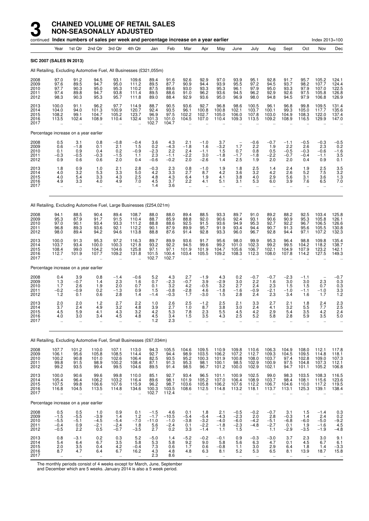**3**

|                                      |                                                  |                                                            | continued Index numbers of sales per week and percentage increase on a year earlier |                                                          |                                                          |                                           |                                           |                                                     |                                                     |                                                        |                                                         |                                                               |                                                     |                                                  |                                                   | Index 2013=100                                    |                                                  |
|--------------------------------------|--------------------------------------------------|------------------------------------------------------------|-------------------------------------------------------------------------------------|----------------------------------------------------------|----------------------------------------------------------|-------------------------------------------|-------------------------------------------|-----------------------------------------------------|-----------------------------------------------------|--------------------------------------------------------|---------------------------------------------------------|---------------------------------------------------------------|-----------------------------------------------------|--------------------------------------------------|---------------------------------------------------|---------------------------------------------------|--------------------------------------------------|
|                                      | Year                                             | 1st Qtr                                                    | 2nd Qtr                                                                             | 3rd Qtr                                                  | 4th Qtr                                                  | Jan                                       | Feb                                       | Mar                                                 | Apr                                                 | May                                                    | June                                                    | July                                                          | Aug                                                 | Sept                                             | Oct                                               | Nov                                               | Dec                                              |
|                                      | <b>SIC 2007 (SALES IN 2013)</b>                  |                                                            |                                                                                     |                                                          |                                                          |                                           |                                           |                                                     |                                                     |                                                        |                                                         |                                                               |                                                     |                                                  |                                                   |                                                   |                                                  |
|                                      |                                                  |                                                            | All Retailing, Excluding Automotive Fuel, All Businesses (£321,055m)                |                                                          |                                                          |                                           |                                           |                                                     |                                                     |                                                        |                                                         |                                                               |                                                     |                                                  |                                                   |                                                   |                                                  |
| 2008<br>2009<br>2010<br>2011<br>2012 | 97.0<br>97.6<br>97.7<br>97.4<br>98.3             | 91.2<br>89.5<br>90.3<br>89.8<br>90.3                       | 94.5<br>94.7<br>95.0<br>94.7<br>95.3                                                | 93.1<br>95.0<br>95.3<br>93.8<br>95.7                     | 109.6<br>111.2<br>110.2<br>111.4<br>111.8                | 89.4<br>89.5<br>87.5<br>89.5<br>89.0      | 91.6<br>87.7<br>89.6<br>88.6<br>88.4      | 92.6<br>90.9<br>93.0<br>91.0<br>92.9                | 92.9<br>94.4<br>93.3<br>96.2<br>93.6                | 97.0<br>93.9<br>95.3<br>93.6<br>95.0                   | 93.9<br>95.5<br>96.1<br>94.5<br>96.9                    | 95.1<br>97.2<br>97.9<br>96.2<br>98.0                          | 92.8<br>94.5<br>95.0<br>92.9<br>94.8                | 91.7<br>93.7<br>93.3<br>92.6<br>94.5             | 95.7<br>98.2<br>97.9<br>97.5<br>97.9              | 105.2<br>107.7<br>107.0<br>105.8<br>106.8         | 124.1<br>124.4<br>122.5<br>126.8<br>126.9        |
| 2013<br>2014<br>2015<br>2016<br>2017 | 100.0<br>104.0<br>108.2<br>113.5<br>$\ddotsc$    | 91.1<br>94.0<br>99.1<br>102.4                              | 96.2<br>101.3<br>104.7<br>108.9<br>$\ddot{\phantom{a}}$                             | 97.7<br>100.9<br>105.2<br>110.4<br>$\ddotsc$             | 114.9<br>120.7<br>123.7<br>132.4                         | 88.7<br>92.4<br>96.9<br>101.3<br>102.7    | 90.5<br>93.5<br>97.5<br>101.0<br>104.7    | 93.6<br>96.1<br>102.2<br>104.5                      | 92.7<br>100.8<br>102.7<br>107.0                     | 96.8<br>100.8<br>105.0<br>110.4                        | 98.6<br>102.1<br>106.0<br>109.3                         | 100.5<br>103.7<br>107.8<br>113.5                              | 96.1<br>100.1<br>103.0<br>109.2                     | 96.8<br>99.3<br>104.9<br>108.9                   | 99.8<br>105.0<br>108.3<br>116.5                   | 109.5<br>117.7<br>122.0<br>129.9                  | 131.4<br>135.6<br>137.4<br>147.0                 |
|                                      | Percentage increase on a year earlier            |                                                            |                                                                                     |                                                          |                                                          |                                           |                                           |                                                     |                                                     |                                                        |                                                         |                                                               |                                                     |                                                  |                                                   |                                                   |                                                  |
| 2008<br>2009<br>2010<br>2011<br>2012 | 0.5<br>0.6<br>0.1<br>$-0.3$<br>0.9               | 3.1<br>$-1.8$<br>0.9<br>$-0.5$<br>0.6                      | 0.8<br>0.1<br>0.4<br>$-0.3$<br>0.6                                                  | $-0.8$<br>2.1<br>0.2<br>$-1.5$<br>2.0                    | $-0.4$<br>1.5<br>$-0.9$<br>1.1<br>0.4                    | 3.6<br>0.2<br>$-2.3$<br>2.3<br>$-0.6$     | 4.3<br>$-4.3$<br>2.2<br>$-1.1$<br>$-0.2$  | 2.1<br>$-1.8$<br>2.4<br>$-2.2$<br>2.0               | $-1.0$<br>1.6<br>$-1.1$<br>3.0<br>$-2.6$            | 3.7<br>$-3.2$<br>1.5<br>$-1.8$<br>1.4                  | $\overline{\phantom{a}}$<br>1.7<br>0.7<br>$-1.7$<br>2.5 | $-0.6$<br>2.2<br>0.8<br>$-1.8$<br>1.9                         | $-0.7$<br>1.9<br>0.5<br>-2.2<br>2.0                 | $-1.1$<br>2.2<br>$-0.5$<br>-0.7<br>2.0           | $-0.5$<br>2.6<br>$-0.3$<br>$-0.4$<br>0.4          | $-0.3$<br>2.3<br>$-0.6$<br>$-1.1$<br>0.9          | $-0.5$<br>0.2<br>$-1.6$<br>3.5<br>0.1            |
| 2013<br>2014<br>2015<br>2016<br>2017 | 1.8<br>4.0<br>4.0<br>4.9<br>$\ddotsc$            | 0.9<br>3.2<br>5.4<br>3.3<br>$\ldots$                       | 1.0<br>5.3<br>3.3<br>4.0<br>$\ddot{\phantom{a}}$                                    | 2.1<br>3.3<br>4.3<br>4.9<br>$\ddotsc$                    | 2.8<br>5.0<br>2.5<br>7.0<br>$\ddot{\phantom{a}}$         | $-0.3$<br>4.2<br>4.8<br>4.5<br>1.4        | 2.3<br>3.3<br>4.3<br>3.7<br>3.6           | 0.8<br>2.7<br>6.4<br>2.2<br>$\ddotsc$               | $-1.0$<br>8.7<br>1.9<br>4.1<br>$\ddotsc$            | 1.9<br>4.2<br>4.1<br>5.1<br>$\ddotsc$                  | 1.8<br>3.6<br>3.8<br>3.1                                | 2.5<br>3.2<br>4.0<br>5.3                                      | 1.4<br>4.2<br>2.9<br>6.0                            | 2.4<br>2.6<br>5.6<br>3.9                         | 1.9<br>5.2<br>3.1<br>7.6                          | 2.5<br>7.5<br>3.6<br>6.5<br>$\ddotsc$             | 3.5<br>3.2<br>1.3<br>7.0<br>$\ddotsc$            |
|                                      |                                                  |                                                            | All Retailing, Excluding Automotive Fuel, Large Businesses (£254,021m)              |                                                          |                                                          |                                           |                                           |                                                     |                                                     |                                                        |                                                         |                                                               |                                                     |                                                  |                                                   |                                                   |                                                  |
| 2008<br>2009<br>2010<br>2011<br>2012 | 94.1<br>95.3<br>97.0<br>96.8<br>98.0             | 88.5<br>87.9<br>90.1<br>89.3<br>89.4                       | 90.4<br>91.7<br>93.4<br>93.6<br>94.2                                                | 89.4<br>91.5<br>93.3<br>92.1<br>94.6                     | 108.7<br>110.4<br>111.2<br>112.2<br>113.8                | 88.0<br>88.7<br>88.8<br>90.1<br>88.8      | 88.0<br>85.9<br>88.6<br>87.9<br>87.6      | 89.4<br>88.8<br>92.5<br>89.9<br>91.4                | 88.5<br>92.0<br>91.5<br>95.7<br>92.8                | 93.3<br>90.6<br>93.6<br>91.9<br>93.3                   | 89.7<br>92.4<br>94.9<br>93.4<br>96.0                    | 91.0<br>93.1<br>95.3<br>94.4<br>96.7                          | 89.2<br>90.6<br>92.7<br>90.7<br>92.8                | 88.2<br>90.9<br>92.2<br>91.3<br>94.4             | 92.5<br>95.3<br>96.7<br>95.6<br>97.1              | 103.4<br>105.8<br>106.5<br>105.5<br>107.2         | 125.8<br>126.1<br>126.6<br>130.8<br>132.3        |
| 2013<br>2014<br>2015<br>2016<br>2017 | 100.0<br>103.7<br>108.4<br>112.7<br>ă,           | 91.3<br>93.4<br>99.0<br>101.9<br>$\ddot{\phantom{a}}$      | 95.3<br>100.0<br>104.2<br>107.7                                                     | 97.2<br>100.3<br>104.6<br>109.2<br>$\ddot{\phantom{a}}$  | 116.3<br>121.8<br>125.8<br>131.8<br>ä,                   | 89.7<br>93.2<br>97.1<br>101.5<br>102.7    | 89.9<br>92.2<br>97.1<br>100.4<br>102.7    | 93.6<br>94.5<br>101.9<br>103.4<br>$\ddotsc$         | 91.7<br>99.6<br>101.9<br>105.5                      | 95.6<br>99.2<br>104.7<br>109.2                         | 98.0<br>101.0<br>105.6<br>108.3                         | 99.9<br>102.3<br>106.7<br>112.3                               | 95.3<br>99.2<br>102.1<br>108.0                      | 96.4<br>99.5<br>104.9<br>107.8                   | 98.8<br>104.2<br>107.9<br>114.2                   | 109.8<br>118.2<br>123.2<br>127.5                  | 135.4<br>138.7<br>142.1<br>149.3                 |
|                                      | Percentage increase on a year earlier            |                                                            |                                                                                     |                                                          |                                                          |                                           |                                           |                                                     |                                                     |                                                        |                                                         |                                                               |                                                     |                                                  |                                                   |                                                   |                                                  |
| 2008<br>2009<br>2010<br>2011<br>2012 | 0.4<br>1.3<br>1.7<br>$-0.2$<br>1.2               | $\frac{3.9}{-0.7}$<br>2.6<br>$-0.9$<br>0.1                 | 0.8<br>1.4<br>1.9<br>0.2<br>0.6                                                     | $-1.4$<br>2.3<br>2.0<br>$-1.3$<br>2.8                    | $-0.6$<br>1.6<br>0.7<br>0.9<br>1.4                       | $5.2$<br>$0.7$<br>0.1<br>1.5<br>$-1.4$    | 4.3<br>$-2.3$<br>3.2<br>$-0.8$<br>$-0.3$  | 2.7<br>$-0.7$<br>4.2<br>$-2.8$<br>1.7               | $-1.9$<br>3.9<br>$-0.5$<br>4.6<br>$-3.0$            | 4.3<br>$-2.9$<br>3.2<br>$-1.8$<br>1.5                  | 0.2<br>3.0<br>2.7<br>$-1.6$<br>2.8                      | $-0.7$<br>2.2<br>2.4<br>$-0.9$<br>2.4                         | $-0.7$<br>1.6<br>2.3<br>$-2.1$<br>2.3               | $-2.3$<br>3.0<br>1.5<br>$-1.0$<br>3.4            | $-1.1$<br>3.0<br>1.5<br>$-1.1$<br>1.6             | 2.3<br>0.7<br>$-1.0$<br>1.7                       | $-0.7$<br>0.3<br>0.3<br>3.3<br>1.2               |
| 2013<br>2014<br>2015<br>2016<br>2017 | 2.0<br>3.7<br>4.5<br>4.0<br>$\ddot{\phantom{a}}$ | 2.0<br>2.4<br>5.9<br>3.0<br>$\ddotsc$                      | 1.2<br>4.9<br>4.1<br>3.4<br>$\ddot{\phantom{a}}$                                    | 2.7<br>3.2<br>4.3<br>4.5<br>$\ddotsc$                    | 2.2<br>4.8<br>3.2<br>4.8<br>$\ddot{\phantom{a}}$         | 1.0<br>3.9<br>4.2<br>4.5<br>1.2           | 2.6<br>2.7<br>5.3<br>3.4<br>2.3           | 2.5<br>1.0<br>7.8<br>1.5<br>$\ddot{\phantom{a}}$    | $-1.2$<br>8.7<br>2.3<br>3.5<br>$\ddot{\phantom{a}}$ | 2.5<br>3.8<br>5.5<br>4.3<br>$\ddotsc$                  | 2.1<br>3.0<br>4.5<br>2.5<br>$\ddotsc$                   | 3.3<br>2.4<br>4.2<br>5.2<br>$\ddot{\phantom{1}}$              | 2.7<br>4.1<br>2.9<br>5.8<br>$\ddot{\phantom{a}}$    | 2.1<br>3.2<br>5.4<br>2.8<br>$\ddot{\phantom{a}}$ | 1.8<br>5.5<br>3.5<br>5.9<br>$\ddot{\phantom{1}}$  | 2.4<br>7.7<br>4.2<br>3.5<br>$\ddotsc$             | 2.3<br>2.5<br>2.4<br>5.0                         |
|                                      |                                                  |                                                            | All Retailing, Excluding Automotive Fuel, Small Businesses (£67,034m)               |                                                          |                                                          |                                           |                                           |                                                     |                                                     |                                                        |                                                         |                                                               |                                                     |                                                  |                                                   |                                                   |                                                  |
| 2008<br>2009<br>2010<br>2011<br>2012 | 107.7<br>106.1<br>100.2<br>99.8<br>99.2          | 101.2<br>95.6<br>90.8<br>91.5<br>93.5                      | 110.0<br>105.8<br>101.0<br>98.9<br>99.4                                             | 107.1<br>108.5<br>102.6<br>100.2<br>99.5                 | 113.0<br>114.4<br>106.4<br>108.4<br>104.6                | 94.3<br>92.7<br>82.5<br>87.1<br>89.5      | 105.5<br>94.4<br>93.5<br>91.3<br>91.4     | 104.6<br>98.9<br>95.2<br>95.3<br>98.5               | 109.5<br>103.5<br>100.3<br>98.1<br>96.7             | 110.9<br>106.2<br>101.9<br>100.1<br>101.2              | 109.8<br>107.2<br>100.8<br>98.5<br>100.0                | 110.6<br>112.7<br>108.0<br>102.9<br>102.9                     | 106.3<br>109.3<br>103.7<br>100.9<br>102.1           | 104.9<br>104.5<br>97.4<br>97.5<br>94.7           | 108.0<br>109.5<br>102.8<br>104.8<br>101.1         | 112.1<br>114.8<br>109.0<br>107.3<br>105.2         | 117.8<br>$\frac{118.1}{107.3}$<br>112.1<br>106.8 |
| 2013<br>2014<br>2015<br>2016<br>2017 | 100.0<br>105.4<br>107.5<br>116.8<br>$\ddotsc$    | 90.6<br>96.4<br>99.8<br>104.5<br>$\ddotsc$                 | 99.6<br>106.2<br>106.6<br>113.5<br>$\ddotsc$                                        | 99.8<br>103.2<br>107.6<br>114.8<br>$\ddotsc$             | 110.0<br>116.4<br>115.9<br>134.6<br>$\ddot{\phantom{1}}$ | 85.1<br>89.6<br>96.2<br>100.3<br>102.7    | 92.7<br>98.1<br>98.7<br>103.5<br>112.4    | 93.4<br>101.9<br>103.6<br>108.6<br>$\ddotsc$        | 96.5<br>105.2<br>105.8<br>112.5<br>$\mathbf{r}$     | 101.1<br>107.0<br>106.2<br>114.8<br>$\ddotsc$          | 100.9<br>106.4<br>107.6<br>113.2<br>$\ddotsc$           | 102.5<br>108.9<br>112.2<br>118.1<br>$\ddotsc$                 | 99.0<br>103.7<br>106.7<br>113.7<br>$\ddotsc$        | 98.3<br>98.4<br>104.6<br>113.1<br>$\ddotsc$      | 103.5<br>108.1<br>110.0<br>125.3<br>$\ddotsc$     | 108.3<br>115.6<br>117.2<br>139.1<br>$\ddotsc$     | 116.5<br>123.6<br>119.5<br>138.4                 |
|                                      | Percentage increase on a year earlier            |                                                            |                                                                                     |                                                          |                                                          |                                           |                                           |                                                     |                                                     |                                                        |                                                         |                                                               |                                                     |                                                  |                                                   |                                                   |                                                  |
| 2008<br>2009<br>2010<br>2011<br>2012 | 0.5<br>$-1.5$<br>$-5.5$<br>$-0.4$<br>$-0.5$      | 0.5<br>$-5.5$<br>$-5.1$<br>0.9<br>2.2                      | 1.0<br>$-3.9$<br>$-4.5$<br>$-2.1$<br>0.5                                            | 0.9<br>1.4<br>$-5.4$<br>$-2.4$<br>$-0.7$                 | 0.1<br>1.2<br>$-7.0$<br>1.8<br>$-3.5$                    | $-1.5$<br>$-1.7$<br>$-11.0$<br>5.6<br>2.7 | 4.6<br>$-10.5$<br>$-1.0$<br>$-2.4$<br>0.2 | 0.1<br>$-5.4$<br>$-3.8$<br>0.1<br>3.3               | 1.8<br>$-5.4$<br>$-3.2$<br>$-2.2$<br>$-1.4$         | 2.1<br>$-4.3$<br>$-4.0$<br>$-1.8$<br>1.1               | $-0.5$<br>$-2.3$<br>$-6.0$<br>$-2.3$<br>1.5             | $-0.2$<br>2.0<br>$-4.2$<br>$-4.8$<br>$\overline{\phantom{a}}$ | $-0.7$<br>2.8<br>$-5.1$<br>$-2.7$<br>1.1            | 3.1<br>$-0.3$<br>$-6.8$<br>0.1<br>$-2.9$         | 1.5<br>1.4<br>$-6.0$<br>1.9<br>$-3.5$             | $-1.4$<br>2.4<br>$-5.0$<br>$-1.6$<br>$-1.9$       | $0.3$<br>$0.2$<br>$-9.2$<br>4.5<br>$-4.8$        |
| 2013<br>2014<br>2015<br>2016<br>2017 | 0.8<br>$5.4\,$<br>$^{2.0}_{8.7}$<br>$\sim$       | $-3.1$<br>6.4<br>$\frac{3.5}{4.7}$<br>$\ddot{\phantom{1}}$ | 0.2<br>6.7<br>0.4<br>6.4<br>$\ddot{\phantom{1}}$                                    | 0.3<br>$3.5\,$<br>$^{4.2}_{6.7}$<br>$\ddot{\phantom{1}}$ | 5.2<br>5.8<br>$-0.4$<br>16.2<br>$\ddotsc$                | $-5.0$<br>5.3<br>$7.3$<br>4.3<br>2.3      | 1.4<br>5.8<br>0.6<br>4.8<br>8.6           | $-5.2$<br>9.2<br>1.7<br>4.8<br>$\ddot{\phantom{1}}$ | $-0.2$<br>9.0<br>0.6<br>6.3<br>$\ddot{\phantom{1}}$ | $-0.1$<br>5.8<br>$-0.8$<br>8.1<br>$\ddot{\phantom{1}}$ | 0.9<br>5.6<br>1.1<br>$5.2$<br>$\ddot{\phantom{1}}$      | $-0.3$<br>6.3<br>3.0<br>5.3<br>$\ddot{\phantom{1}}$           | $-3.0$<br>4.7<br>2.9<br>6.5<br>$\ddot{\phantom{1}}$ | 3.7<br>0.1<br>6.4<br>8.1<br>$\ddot{\phantom{1}}$ | 2.3<br>4.5<br>1.8<br>13.9<br>$\ddot{\phantom{1}}$ | 3.0<br>6.7<br>1.4<br>18.7<br>$\ddot{\phantom{a}}$ | 9.1<br>6.1<br>$-3.3$<br>15.8<br>$\sim$           |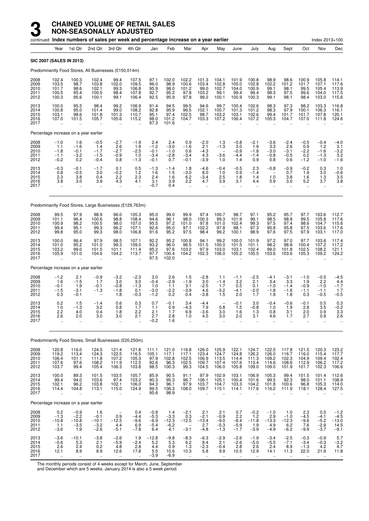**3**

|                                      |                                                         |                                                       | continued Index numbers of sales per week and percentage increase on a year earlier |                                                         |                                                          |                                             |                                           |                                              |                                                       |                                                            |                                                         |                                                 |                                                 |                                                     |                                                            | Index 2013=100                                           |                                                      |
|--------------------------------------|---------------------------------------------------------|-------------------------------------------------------|-------------------------------------------------------------------------------------|---------------------------------------------------------|----------------------------------------------------------|---------------------------------------------|-------------------------------------------|----------------------------------------------|-------------------------------------------------------|------------------------------------------------------------|---------------------------------------------------------|-------------------------------------------------|-------------------------------------------------|-----------------------------------------------------|------------------------------------------------------------|----------------------------------------------------------|------------------------------------------------------|
|                                      | Year                                                    | 1st Qtr                                               | 2nd Qtr                                                                             | 3rd Qtr                                                 | 4th Qtr                                                  | Jan                                         | Feb                                       | Mar                                          | Apr                                                   | May                                                        | June                                                    | July                                            | Aug                                             | Sept                                                | Oct                                                        | Nov                                                      | Dec                                                  |
|                                      | <b>SIC 2007 (SALES IN 2013)</b>                         |                                                       |                                                                                     |                                                         |                                                          |                                             |                                           |                                              |                                                       |                                                            |                                                         |                                                 |                                                 |                                                     |                                                            |                                                          |                                                      |
|                                      |                                                         |                                                       | Predominantly Food Stores, All Businesses (£150,014m)                               |                                                         |                                                          |                                             |                                           |                                              |                                                       |                                                            |                                                         |                                                 |                                                 |                                                     |                                                            |                                                          |                                                      |
| 2008<br>2009<br>2010<br>2011<br>2012 | 102.4<br>103.5<br>101.7<br>100.5<br>100.3               | 100.3<br>98.7<br>98.6<br>95.4<br>95.6                 | 102.4<br>103.8<br>102.1<br>100.5<br>100.1                                           | 99.4<br>102.0<br>99.3<br>98.4<br>99.1                   | 107.5<br>109.5<br>106.8<br>107.8<br>106.4                | 97.1<br>96.0<br>95.9<br>92.7<br>92.5        | 102.0<br>98.9<br>98.0<br>95.2<br>95.9     | 102.2<br>100.6<br>101.2<br>97.8<br>97.8      | 101.3<br>103.4<br>99.0<br>103.2<br>99.2               | 104.1<br>102.8<br>102.7<br>99.1<br>100.1                   | 101.9<br>105.0<br>104.0<br>99.4<br>100.9                | 100.8<br>102.8<br>100.9<br>99.4<br>100.3        | 98.9<br>102.2<br>99.1<br>98.3<br>99.1           | 98.6<br>101.2<br>98.1<br>97.5<br>98.1               | 100.9<br>101.7<br>99.5<br>99.6<br>98.4                     | 105.8<br>107.1<br>105.4<br>104.0<br>103.0                | 114.1<br>117.6<br>113.9<br>117.5<br>115.6            |
| 2013<br>2014<br>2015<br>2016<br>2017 | 100.0<br>100.8<br>103.1<br>107.0<br>$\ddotsc$           | 95.5<br>95.0<br>98.6<br>101.5<br>$\ddot{\phantom{a}}$ | 98.4<br>101.4<br>101.8<br>105.7<br>$\ddot{\phantom{a}}$                             | 99.2<br>99.0<br>101.3<br>105.6<br>$\ddotsc$             | 106.9<br>108.2<br>110.7<br>115.2<br>$\ddot{\phantom{1}}$ | 91.4<br>92.8<br>95.1<br>98.0<br>97.3        | 94.5<br>95.9<br>97.4<br>101.2<br>101.6    | 99.5<br>96.5<br>102.5<br>104.7               | 94.6<br>102.1<br>98.7<br>103.3                        | 99.7<br>100.7<br>103.2<br>107.2                            | 100.4<br>101.3<br>103.1<br>106.4                        | 102.6<br>101.2<br>102.6<br>107.2                | 98.3<br>98.3<br>99.4<br>105.3                   | 97.3<br>97.9<br>101.7<br>104.7                      | 98.2<br>100.1<br>101.7<br>107.0                            | 103.3<br>106.3<br>107.8<br>111.8                         | 116.8<br>116.1<br>120.1<br>124.6                     |
|                                      |                                                         | Percentage increase on a year earlier                 |                                                                                     |                                                         |                                                          |                                             |                                           |                                              |                                                       |                                                            |                                                         |                                                 |                                                 |                                                     |                                                            |                                                          |                                                      |
| 2008<br>2009<br>2010<br>2011<br>2012 | $-1.0$<br>1.1<br>$-1.8$<br>$-1.1$<br>$-0.2$             | 1.6<br>$-1.6$<br>$-0.1$<br>$-3.2$<br>0.2              | $-0.5$<br>1.4<br>$-1.7$<br>$-1.5$<br>$-0.4$                                         | $-2.7$<br>2.6<br>$-2.7$<br>$-0.9$<br>0.8                | $-1.9$<br>1.9<br>$-2.5$<br>1.0<br>$-1.3$                 | 2.4<br>$-1.2$<br>$-0.1$<br>$-3.4$<br>$-0.1$ | 2.4<br>$-3.0$<br>$-1.0$<br>$-2.8$<br>0.7  | 0.9<br>$-1.6$<br>0.6<br>$-3.4$<br>$-0.1$     | $-2.0$<br>2.1<br>$-4.3$<br>$4.\overline{3}$<br>$-3.9$ | 1.3<br>$-1.3$<br>$\overline{\phantom{m}}$<br>$-3.6$<br>1.0 | $-0.8$<br>3.0<br>$-0.9$<br>$-4.4$<br>1.4                | $-2.1$<br>1.9<br>$-1.8$<br>$-1.4$<br>0.9        | $-3.6$<br>3.3<br>$-3.0$<br>$-0.8$<br>0.8        | $-2.4$<br>2.6<br>$-3.1$<br>$-0.5$<br>0.6            | $-0.5$<br>0.9<br>$-2.2$<br>0.2<br>$-1.2$                   | $-0.4$<br>1.2<br>$-1.6$<br>$-1.3$<br>$-1.0$              | $-4.0$<br>3.1<br>$-3.2$<br>3.2<br>$-1.6$             |
| 2013<br>2014<br>2015<br>2016<br>2017 | $-0.3$<br>0.8<br>2.3<br>3.8                             | $-0.1$<br>$-0.5$<br>3.8<br>3.0                        | $-1.7$<br>3.0<br>0.4<br>3.9                                                         | 0.1<br>$-0.2$<br>2.2<br>4.3<br>$\cdot$ .                | 0.5<br>1.2<br>2.3<br>4.1<br>$\ddotsc$                    | $-1.3$<br>1.6<br>2.4<br>3.1<br>-0.7         | $-1.4$<br>1.5<br>1.6<br>3.9<br>0.4        | 1.8<br>$-3.0$<br>6.2<br>2.2<br>$\ddotsc$     | $-4.6$<br>8.0<br>-3.4<br>4.7                          | $-0.4$<br>1.0<br>2.5<br>3.9                                | $-0.5$<br>0.9<br>1.8<br>3.1                             | 2.3<br>$-1.4$<br>1.4<br>4.4                     | $-0.8$<br>1.0<br>5.9                            | $-0.9$<br>0.7<br>3.8<br>3.0<br>$\ddot{\phantom{a}}$ | $-0.2$<br>1.9<br>1.6<br>5.2                                | 0.3<br>3.0<br>$\frac{1.3}{3.7}$<br>$\ddotsc$             | 1.0<br>$-0.6$<br>$\frac{3.5}{3.8}$                   |
|                                      |                                                         |                                                       | Predominantly Food Stores, Large Businesses (£129,763m)                             |                                                         |                                                          |                                             |                                           |                                              |                                                       |                                                            |                                                         |                                                 |                                                 |                                                     |                                                            |                                                          |                                                      |
| 2008<br>2009<br>2010<br>2011<br>2012 | 99.5<br>101.1<br>100.9<br>99.4<br>99.8                  | 97.9<br>96.4<br>98.2<br>95.1<br>95.0                  | 98.9<br>100.6<br>100.5<br>99.3<br>99.3                                              | 96.0<br>98.8<br>98.0<br>96.2<br>98.0                    | 105.3<br>108.4<br>107.0<br>107.1<br>106.8                | 95.0<br>94.6<br>95.5<br>92.6<br>91.6        | 99.0<br>96.1<br>97.2<br>95.0<br>95.2      | 99.9<br>98.0<br>101.0<br>97.1<br>97.5        | 97.4<br>100.3<br>97.8<br>102.2<br>98.4                | 100.7<br>99.3<br>101.0<br>97.8<br>99.2                     | 98.7<br>101.9<br>102.4<br>98.1<br>100.1                 | 97.1<br>99.1<br>99.3<br>97.3<br>98.9            | 95.2<br>98.5<br>97.5<br>95.8<br>97.6            | 95.7<br>98.8<br>97.4<br>95.8<br>97.5                | 97.7<br>99.5<br>98.6<br>97.5<br>97.9                       | 103.6<br>105.8<br>104.7<br>103.6<br>103.1                | 112.7<br>117.6<br>115.6<br>117.6<br>117.0            |
| 2013<br>2014<br>2015<br>2016<br>2017 | 100.0<br>101.0<br>103.2<br>105.9                        | 96.4<br>95.2<br>99.0<br>101.0<br>$\ddotsc$            | 97.9<br>101.0<br>101.5<br>104.6<br>ä,                                               | 98.5<br>99.3<br>101.1<br>104.2<br>$\ddot{\phantom{a}}$  | 107.1<br>109.0<br>111.4<br>113.7<br>$\ddotsc$            | 92.2<br>93.2<br>95.2<br>97.7<br>97.5        | 95.2<br>96.0<br>97.6<br>100.4<br>102.0    | 100.8<br>96.5<br>103.2<br>104.2<br>$\ddotsc$ | 94.1<br>101.5<br>97.9<br>102.3                        | 99.2<br>100.0<br>103.0<br>106.0                            | 100.0<br>101.5<br>103.1<br>105.2                        | 101.9<br>101.1<br>102.4<br>105.5                | 97.2<br>98.2<br>99.0<br>103.6                   | 97.0<br>98.8<br>101.8<br>103.6                      | 97.7<br>100.4<br>102.5<br>105.3                            | 103.6<br>107.2<br>108.2<br>109.2                         | 117.4<br>117.2<br>121.1<br>124.2                     |
|                                      |                                                         | Percentage increase on a year earlier                 |                                                                                     |                                                         |                                                          |                                             |                                           |                                              |                                                       |                                                            |                                                         |                                                 |                                                 |                                                     |                                                            |                                                          |                                                      |
| 2008<br>2009<br>2010<br>2011<br>2012 | $-1.2$<br>1.6<br>$-0.1$<br>$-1.5$<br>0.3                | 2.1<br>$-1.5$<br>1.9<br>$-3.1$<br>$-0.1$              | $-0.9$<br>1.7<br>$-0.1$<br>$-1.3$                                                   | $-3.2$<br>3.0<br>$-0.8$<br>$-1.8$<br>1.8                | $^{-2.3}_{3.0}$<br>$-1.3$<br>0.1<br>$-0.3$               | 3.0<br>$-0.4$<br>1.0<br>$-3.0$<br>$-1.2$    | 2.6<br>$-2.9$<br>1.1<br>$-2.2$<br>0.2     | 1.5<br>$-1.9$<br>3.1<br>$-3.9$<br>0.4        | $^{-2.8}_{3.0}$<br>$-2.5$<br>4.6<br>$-3.8$            | 1.1<br>$-1.4$<br>1.7<br>$-3.2$<br>1.5                      | $-1.1$<br>3.2<br>0.5<br>$-4.1$<br>2.0                   | $-2.5$<br>2.1<br>0.1<br>$-2.0$<br>1.7           | $-4.1$<br>3.4<br>$-1.0$<br>$-1.8$<br>1.9        | $-3.1$<br>3.3<br>$-1.4$<br>$-1.6$<br>1.8            | $-1.0$<br>1.9<br>$-0.9$<br>$-1.1$<br>0.3                   | $-0.5$<br>2.2<br>$-1.0$<br>$-1.1$<br>$-0.5$              | $-4.5$<br>4.4<br>$-1.7$<br>1.7<br>$-0.5$             |
| 2013<br>2014<br>2015<br>2016<br>2017 | 0.2<br>1.0<br>2.2<br>2.6                                | 1.5<br>$-1.3$<br>4.0<br>2.0                           | $-1.4$<br>3.2<br>0.4<br>3.0<br>ă,                                                   | 0.6<br>0.8<br>1.8<br>3.0<br>$\ddot{\phantom{a}}$        | 0.3<br>1.7<br>2.2<br>2.1                                 | 0.7<br>1.1<br>2.1<br>2.7<br>$-0.2$          | $-0.1$<br>0.9<br>1.7<br>2.8<br>1.6        | 3.4<br>$-4.3$<br>6.9<br>1.0<br>$\ddotsc$     | -4.4<br>7.9<br>-3.6<br>4.5<br>$\ddotsc$               | 0.8<br>3.0<br>3.0<br>ä.                                    | $-0.1$<br>1.5<br>1.6<br>2.0<br>ä.                       | 3.0<br>$-0.8$<br>1.3<br>3.1<br>$\ddotsc$        | $-0.4$<br>1.0<br>0.8<br>4.6<br>ä.               | $-0.6$<br>1.9<br>3.1<br>1.7<br>ä.                   | $-0.1$<br>2.8<br>2.0<br>2.7<br>$\ddotsc$                   | 0.5<br>3.5<br>0.9<br>0.9<br>$\ddot{\phantom{a}}$         | 0.3<br>$-0.2$<br>3.3<br>2.6                          |
|                                      |                                                         |                                                       | Predominantly Food Stores, Small Businesses (£20,250m)                              |                                                         |                                                          |                                             |                                           |                                              |                                                       |                                                            |                                                         |                                                 |                                                 |                                                     |                                                            |                                                          |                                                      |
| 2008<br>2009<br>2010<br>2011<br>2012 | 120.8<br>$\frac{119.2}{106.4}$<br>107.6<br>103.7        | 116.0<br>113.4<br>101.1<br>97.6<br>99.4               | 124.5<br>124.3<br>111.8<br>108.2<br>105.4                                           | 121.4<br>122.5<br>107.2<br>111.9<br>106.3               | 121.8<br>116.5<br>105.3<br>112.5<br>103.8                | 111.1<br>105.1<br>97.9<br>92.6<br>98.5      | 121.0<br>117.1<br>102.8<br>96.3<br>100.3  | 116.8<br>117.1<br>102.5<br>102.5<br>99.3     | 126.0<br>$\frac{123.4}{106.9}$<br>109.7<br>104.5      | 125.9<br>124.7<br>113.5<br>107.4<br>106.0                  | 122.1<br>124.8<br>114.4<br>107.6<br>105.8               | 124.7<br>126.2<br>111.3<br>113.4<br>109.0       | 122.5<br>126.0<br>109.2<br>114.6<br>109.0       | 117.8<br>116.7<br>102.3<br>108.6<br>101.9           | 121.5<br>116.0<br>104.9<br>112.9<br>101.7                  | 120.3<br>115.4<br>109.4<br>106.2<br>102.3                | 123.2<br>117.7<br>102.4<br>117.2<br>106.6            |
| 2013<br>2014<br>2015<br>2016<br>2017 | 100.0<br>99.4<br>102.1<br>114.4<br>$\ddot{\phantom{a}}$ | 89.3<br>94.0<br>96.2<br>104.8<br>$\mathbf{r}$ .       | 101.5<br>103.6<br>103.8<br>113.1<br>$\ddot{\phantom{a}}$                            | 103.5<br>97.4<br>102.1<br>115.0<br>$\ddot{\phantom{a}}$ | 105.7<br>103.2<br>106.0<br>124.9<br>$\ddot{\phantom{1}}$ | 85.9<br>90.3<br>94.3<br>99.5<br>95.6        | 90.5<br>95.3<br>96.1<br>106.3<br>98.9     | 91.1<br>96.7<br>97.9<br>108.0                | 97.9<br>106.1<br>103.7<br>109.7                       | 102.9<br>105.1<br>104.7<br>115.1<br>ă,                     | 103.1<br>100.4<br>103.3<br>114.1<br>$\ddotsc$           | 106.9<br>101.6<br>104.2<br>117.6                | 105.3<br>99.5<br>101.8<br>116.2<br>$\ddotsc$    | 99.4<br>92.3<br>100.6<br>111.9                      | 101.5<br>98.0<br>96.8<br>118.1                             | 101.4<br>101.1<br>105.3<br>128.4<br>$\ddot{\phantom{a}}$ | 112.6<br>108.9<br>114.0<br>127.5                     |
|                                      |                                                         | Percentage increase on a year earlier                 |                                                                                     |                                                         |                                                          |                                             |                                           |                                              |                                                       |                                                            |                                                         |                                                 |                                                 |                                                     |                                                            |                                                          |                                                      |
| 2008<br>2009<br>2010<br>2011<br>2012 | 0.2<br>$-1.3$<br>$-10.8$<br>1.1<br>$-3.6$               | $-0.9$<br>$-2.2$<br>$-10.8$<br>$-3.5$<br>1.9          | 1.6<br>$-0.1$<br>$-10.1$<br>$-3.2$<br>$-2.6$                                        | 0.9<br>$-12.5$<br>4.4<br>$-5.1$                         | 0.4<br>$-4.4$<br>$-9.6$<br>6.9<br>$-7.8$                 | $-0.8$<br>$-5.3$<br>$-6.9$<br>$-5.4$<br>6.4 | 1.4<br>$-3.3$<br>$-12.3$<br>$-6.2$<br>4.1 | $-2.1$<br>0.3<br>$-12.5$<br>$-3.1$           | 2.1<br>$-2.1$<br>$-13.4$<br>2.7<br>$-4.8$             | 2.1<br>$-0.9$<br>$-9.0$<br>$-5.3$<br>$-1.3$                | 0.7<br>2.2<br>$-8.4$<br>$-5.9$<br>$-1.7$                | $-0.2$<br>1.2<br>$-11.8$<br>1.9<br>$-3.9$       | $-1.0$<br>2.9<br>$-13.3$<br>4.9<br>$-4.9$       | 1.0<br>$-1.0$<br>$-12.3$<br>6.2<br>$-6.2$           | 2.3<br>$-4.5$<br>$-9.6$<br>7.6<br>$-9.9$                   | 0.5<br>$-4.1$<br>$-5.2$<br>$-2.9$<br>$-3.7$              | $-1.2$<br>$-4.5$<br>$-13.0$<br>14.5<br>$-9.1$        |
| 2013<br>2014<br>2015<br>2016<br>2017 | $-3.6$<br>$-0.6$<br>2.6<br>12.1<br>$\bar{\mathbf{a}}$   | $-10.1$<br>5.3<br>2.4<br>8.9<br>$\ddot{\phantom{a}}$  | $-3.8$<br>2.1<br>0.2<br>8.9<br>$\bar{\Omega}$                                       | $-2.6$<br>$-5.9$<br>4.8<br>12.6<br>$\ddotsc$            | 1.9<br>$-2.4$<br>2.8<br>17.8<br>$\ddotsc$                | $-12.8$<br>5.2<br>4.4<br>5.5<br>$-3.9$      | $-9.8$<br>5.3<br>0.9<br>10.6<br>$-6.9$    | $-8.3$<br>6.2<br>1.3<br>10.3<br>x.           | $-6.3$<br>8.4<br>$-2.3$<br>5.8<br>$\ddotsc$           | $-2.9$<br>2.1<br>$-0.4$<br>9.9<br>$\ddotsc$                | $-2.6$<br>$-2.6$<br>2.8<br>10.5<br>$\ddot{\phantom{1}}$ | $-1.9$<br>$-5.0$<br>2.6<br>12.9<br>$\mathbf{r}$ | $-3.4$<br>$-5.5$<br>2.4<br>14.1<br>$\mathbf{u}$ | $-2.5$<br>$-7.1$<br>8.9<br>11.3<br>$\mathbf{u}$     | $-0.3$<br>$-3.4$<br>$-1.3$<br>22.0<br>$\ddot{\phantom{a}}$ | $-0.9$<br>$-0.3$<br>4.2<br>21.9<br>$\ddotsc$             | 5.7<br>$-3.2$<br>4.7<br>11.8<br>$\ddot{\phantom{1}}$ |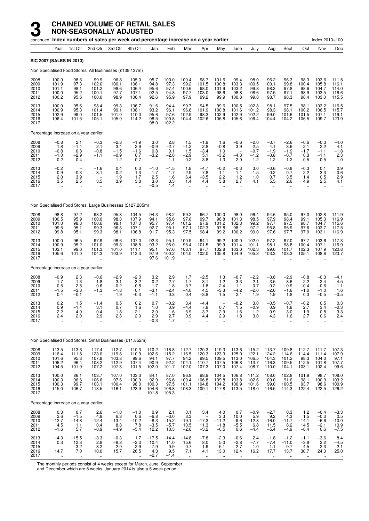**3**

|                                      |                                                                  |                                                                     | continued Index numbers of sales per week and percentage increase on a year earlier |                                                         |                                                          |                                                            |                                            |                                                         |                                                |                                                        |                                                            |                                             |                                                     |                                             |                                             | Index 2013=100                              |                                                |
|--------------------------------------|------------------------------------------------------------------|---------------------------------------------------------------------|-------------------------------------------------------------------------------------|---------------------------------------------------------|----------------------------------------------------------|------------------------------------------------------------|--------------------------------------------|---------------------------------------------------------|------------------------------------------------|--------------------------------------------------------|------------------------------------------------------------|---------------------------------------------|-----------------------------------------------------|---------------------------------------------|---------------------------------------------|---------------------------------------------|------------------------------------------------|
|                                      | Year                                                             | 1st Qtr                                                             | 2nd Qtr                                                                             | 3rd Qtr                                                 | 4th Qtr                                                  | Jan                                                        | Feb                                        | Mar                                                     | Apr                                            | May                                                    | June                                                       | July                                        | Aug                                                 | Sept                                        | Oct                                         | Nov                                         | Dec                                            |
|                                      |                                                                  | <b>SIC 2007 (SALES IN 2013)</b>                                     |                                                                                     |                                                         |                                                          |                                                            |                                            |                                                         |                                                |                                                        |                                                            |                                             |                                                     |                                             |                                             |                                             |                                                |
|                                      |                                                                  |                                                                     | Non Specialised Food Stores, All Businesses (£139,137m)                             |                                                         |                                                          |                                                            |                                            |                                                         |                                                |                                                        |                                                            |                                             |                                                     |                                             |                                             |                                             |                                                |
| 2008<br>2009<br>2010<br>2011<br>2012 | 100.0<br>101.9<br>101.1<br>100.0<br>100.2                        | 98.6<br>97.3<br>98.1<br>95.2<br>95.6                                | 99.9<br>102.0<br>101.2<br>100.1<br>100.0                                            | 96.8<br>100.1<br>98.6<br>97.7<br>98.9                   | 105.0<br>108.1<br>106.4<br>107.1<br>106.4                | 95.7<br>94.8<br>95.6<br>92.5<br>92.6                       | 100.0<br>97.3<br>97.4<br>94.8<br>95.9      | 100.4<br>99.2<br>100.6<br>97.7<br>97.9                  | 98.7<br>101.5<br>98.0<br>103.0<br>99.2         | 101.6<br>100.8<br>101.9<br>98.6<br>99.9                | 99.4<br>103.3<br>103.2<br>98.8<br>100.8                    | 98.0<br>100.5<br>99.8<br>98.6<br>99.8       | 96.2<br>100.1<br>98.3<br>97.5<br>98.7               | 96.3<br>99.8<br>97.8<br>97.1<br>98.3        | 98.3<br>100.4<br>98.6<br>98.9<br>98.4       | 103.6<br>105.8<br>104.7<br>103.5<br>103.0   | 111.5<br>116.1<br>114.0<br>116.6<br>115.5      |
| 2013<br>2014<br>2015<br>2016<br>2017 | 100.0<br>100.9<br>102.9<br>106.4<br>$\ddotsc$                    | 95.6<br>95.3<br>99.0<br>101.5<br>$\ddotsc$                          | 98.4<br>101.4<br>101.5<br>105.1                                                     | 99.3<br>99.1<br>101.0<br>105.0                          | 106.7<br>108.1<br>110.0<br>114.2<br>$\ddot{\phantom{a}}$ | 91.6<br>93.2<br>95.6<br>98.5<br>98.0                       | 94.4<br>96.1<br>97.6<br>100.8<br>102.2     | 99.7<br>96.8<br>102.9<br>104.4                          | 94.5<br>101.9<br>98.3<br>102.6                 | 99.6<br>100.8<br>102.9<br>106.8                        | 100.5<br>101.6<br>102.9<br>105.6                           | 102.8<br>101.2<br>102.2<br>106.4            | 98.1<br>98.3<br>99.0<br>104.4                       | 97.5<br>98.1<br>101.6<br>104.2              | 98.1<br>100.2<br>101.5<br>106.5             | 103.2<br>106.5<br>107.1<br>109.7            | 116.5<br>115.7<br>119.1<br>123.9               |
|                                      |                                                                  | Percentage increase on a year earlier                               |                                                                                     |                                                         |                                                          |                                                            |                                            |                                                         |                                                |                                                        |                                                            |                                             |                                                     |                                             |                                             |                                             |                                                |
| 2008<br>2009<br>2010<br>2011<br>2012 | $-0.8$<br>1.8<br>$-0.8$<br>$-1.0$<br>0.2                         | 2.1<br>$-1.4$<br>0.8<br>$-2.9$<br>0.4                               | $-0.3$<br>2.1<br>$-0.8$<br>$-1.1$<br>$\overline{a}$                                 | $-2.8$<br>3.4<br>$-1.5$<br>$-0.9$<br>1.2                | $-1.9$<br>2.9<br>$-1.6$<br>0.7<br>$-0.7$                 | 3.0<br>$-0.9$<br>0.8<br>$-3.2$<br>$\overline{\phantom{0}}$ | 2.8<br>$-2.7$<br>0.1<br>$-2.6$<br>1.1      | 1.5<br>$-1.2$<br>1.5<br>$-2.9$<br>0.2                   | $-1.9$<br>2.8<br>$-3.4$<br>5.1<br>$-3.8$       | 1.6<br>$-0.8$<br>1.0<br>$-3.2$<br>1.3                  | $-0.6$<br>3.9<br>$\overline{\phantom{a}}$<br>$-4.3$<br>2.0 | $-2.0$<br>2.5<br>$-0.7$<br>$-1.2$<br>1.2    | $-3.7$<br>4.1<br>$-1.9$<br>$-0.8$<br>1.2            | $-2.6$<br>3.6<br>$-1.9$<br>$-0.7$<br>1.2    | $-0.6$<br>2.1<br>$-1.7$<br>0.3<br>$-0.5$    | $-0.3$<br>2.2<br>$-1.1$<br>$-1.1$<br>$-0.5$ | $-4.0$<br>4.1<br>$^{-1.8}_{2.3}$<br>$-1.0$     |
| 2013<br>2014<br>2015<br>2016<br>2017 | $-0.2$<br>0.9<br>2.0<br>$3.\overline{5}$<br>$\ddot{\phantom{0}}$ | $\overline{\phantom{a}}$<br>$-0.3$<br>$\frac{3.9}{2.5}$<br>$\ldots$ | $-1.6$<br>3.1<br>$\qquad \qquad -$<br>3.5<br>$\ldots$                               | 0.4<br>$-0.2$<br>1.9<br>3.9<br>$\ddotsc$                | 0.3<br>1.3<br>1.7<br>3.8<br>$\ddot{\phantom{1}}$         | $-1.0$<br>1.7<br>2.5<br>3.0<br>$-0.5$                      | $-1.5$<br>1.7<br>1.6<br>3.3<br>1.4         | 1.8<br>$-2.9$<br>6.4<br>1.4<br>$\ddotsc$                | $-4.7$<br>7.8<br>$-3.5$<br>4.4<br>$\mathbf{r}$ | $-0.2$<br>1.1<br>2.2<br>3.8<br>$\ddotsc$               | $-0.3$<br>1.1<br>1.2<br>2.7<br>$\ddotsc$                   | 3.0<br>$-1.5$<br>1.0<br>4.1                 | $-0.6$<br>0.2<br>0.7<br>5.5<br>                     | $-0.8$<br>0.7<br>3.5<br>2.6<br>             | $-0.3$<br>2.2<br>1.4<br>4.9                 | 0.1<br>3.3<br>0.5<br>2.5<br>$\ddotsc$       | 0.9<br>$-0.6$<br>2.9<br>4.1                    |
|                                      |                                                                  |                                                                     | Non Specialised Food Stores, Large Businesses (£127,285m)                           |                                                         |                                                          |                                                            |                                            |                                                         |                                                |                                                        |                                                            |                                             |                                                     |                                             |                                             |                                             |                                                |
| 2008<br>2009<br>2010<br>2011<br>2012 | 98.8<br>100.5<br>101.0<br>99.5<br>99.8                           | 97.2<br>95.9<br>98.3<br>95.1<br>95.1                                | 98.2<br>100.0<br>100.6<br>99.3<br>99.3                                              | 95.3<br>98.3<br>98.1<br>96.3<br>98.1                    | 104.5<br>107.9<br>107.0<br>107.1<br>106.8                | 94.3<br>94.1<br>95.7<br>92.7<br>91.7                       | 98.2<br>95.6<br>97.4<br>95.1<br>95.3       | 99.2<br>97.6<br>101.2<br>97.1<br>97.5                   | 96.7<br>99.7<br>97.9<br>102.3<br>98.4          | 100.0<br>98.8<br>101.2<br>97.8<br>99.2                 | 98.0<br>101.3<br>102.3<br>98.1<br>100.2                    | 96.4<br>98.5<br>99.2<br>97.2<br>99.0        | 94.6<br>97.9<br>97.7<br>95.8<br>97.6                | 95.0<br>98.4<br>97.5<br>95.9<br>97.7        | 97.0<br>99.1<br>98.7<br>97.6<br>97.9        | 102.8<br>105.3<br>104.7<br>103.7<br>103.1   | 111.9<br>116.9<br>115.6<br>117.5<br>116.9      |
| 2013<br>2014<br>2015<br>2016<br>2017 | 100.0<br>100.9<br>103.1<br>105.6<br>$\ddot{\phantom{a}}$         | 96.5<br>95.2<br>99.0<br>101.0<br>$\ddot{\phantom{a}}$               | 97.9<br>101.0<br>101.3<br>104.3<br>ä.                                               | 98.6<br>99.3<br>101.0<br>103.9<br>$\ddot{\phantom{a}}$  | 107.0<br>108.8<br>111.1<br>113.3<br>$\ddot{\phantom{a}}$ | 92.3<br>93.2<br>95.1<br>97.9<br>97.6                       | 95.1<br>96.0<br>97.6<br>100.2<br>101.9     | 100.9<br>96.4<br>103.1<br>104.0<br>$\ddot{\phantom{a}}$ | 94.1<br>101.5<br>97.7<br>102.0<br>÷.           | 99.2<br>99.9<br>102.8<br>105.8<br>$\ddot{\phantom{a}}$ | 100.0<br>101.4<br>103.0<br>104.9<br>$\ddotsc$              | 102.0<br>101.1<br>102.3<br>105.3            | 97.2<br>98.1<br>99.0<br>103.3<br>÷.                 | 97.0<br>98.8<br>101.7<br>103.3              | 97.7<br>100.4<br>102.3<br>105.1             | 103.6<br>107.1<br>107.9<br>108.6            | 117.3<br>116.9<br>120.8<br>123.7               |
|                                      |                                                                  | Percentage increase on a year earlier                               |                                                                                     |                                                         |                                                          |                                                            |                                            |                                                         |                                                |                                                        |                                                            |                                             |                                                     |                                             |                                             |                                             |                                                |
| 2008<br>2009<br>2010<br>2011<br>2012 | $-0.9$<br>1.7<br>0.5<br>$-1.5$<br>0.4                            | $^{2.3}_{-1.3}$<br>2.5<br>$-3.3$<br>$-0.1$                          | $-0.6$<br>1.8<br>0.6<br>$-1.3$                                                      | $-2.9$<br>3.1<br>$-0.2$<br>$-1.8$<br>1.9                | $-2.0$<br>3.2<br>$-0.8$<br>0.1<br>$-0.3$                 | $\frac{3.2}{-0.2}$<br>1.7<br>$-3.1$<br>$-1.1$              | $^{2.9}_{-2.7}$<br>1.8<br>$-2.4$<br>0.3    | $\frac{1.7}{-1.7}$<br>3.7<br>$-4.0$<br>0.4              | $-2.5$<br>3.1<br>$-1.8$<br>4.5<br>$-3.8$       | $\frac{1.3}{-1.2}$<br>2.4<br>$-3.3$<br>1.5             | $-0.7$<br>3.3<br>1.1<br>$-4.2$<br>2.1                      | $^{-2.2}_{2.1}$<br>0.7<br>$-2.0$<br>1.9     | $-3.8$<br>3.5<br>$-0.2$<br>$-2.0$<br>1.9            | $-2.9$<br>3.6<br>$-0.9$<br>$-1.6$<br>1.8    | $-0.8$<br>2.2<br>$-0.4$<br>$-1.0$<br>0.3    | $-0.3$<br>2.4<br>$-0.6$<br>$-1.0$<br>$-0.5$ | $-4.1$<br>4.5<br>$-1.1$<br>1.6<br>$-0.5$       |
| 2013<br>2014<br>2015<br>2016<br>2017 | 0.2<br>0.9<br>2.2<br>2.4<br>$\ddotsc$                            | 1.5<br>$-1.4$<br>4.0<br>2.0<br>ä.                                   | $-1.4$<br>3.1<br>0.4<br>2.9<br>$\ddot{\phantom{a}}$                                 | 0.5<br>0.7<br>1.8<br>2.8<br>$\ddotsc$                   | 0.2<br>1.6<br>2.1<br>2.0                                 | 0.7<br>1.0<br>2.0<br>2.9<br>$-0.3$                         | $-0.2$<br>0.9<br>1.6<br>2.7<br>1.7         | 3.4<br>$-4.4$<br>6.9<br>0.9                             | -4.4<br>7.8<br>-3.7<br>4.4<br>$\mathbf{r}$     | 0.7<br>2.9<br>2.9<br>$\ddot{\phantom{a}}$              | $-0.2$<br>1.5<br>1.6<br>1.8<br>$\ddotsc$                   | 3.0<br>$-0.9$<br>1.2<br>3.0<br>$\mathbf{r}$ | $-0.5$<br>0.9<br>0.9<br>4.3<br>$\ddot{\phantom{a}}$ | $-0.7$<br>1.8<br>3.0<br>1.6<br>$\mathbf{r}$ | $-0.2$<br>2.7<br>1.9<br>2.7<br>ä.           | 0.5<br>3.4<br>0.8<br>0.6<br>ä.              | 0.3<br>$-0.3$<br>3.3<br>2.4                    |
|                                      |                                                                  |                                                                     | Non Specialised Food Stores, Small Businesses (£11,852m)                            |                                                         |                                                          |                                                            |                                            |                                                         |                                                |                                                        |                                                            |                                             |                                                     |                                             |                                             |                                             |                                                |
| 2008<br>2009<br>2010<br>2011<br>2012 | 113.5<br>116.4<br>101.6<br>106.2<br>104.5                        | 113.6<br>111.8<br>95.3<br>96.4<br>101.9                             | 117.4<br>123.0<br>107.8<br>108.2<br>107.2                                           | 112.7<br>119.8<br>103.8<br>112.9<br>107.3               | 110.3<br>110.9<br>99.6<br>107.4<br>101.5                 | 110.2<br>102.6<br>94.1<br>90.9<br>102.0                    | 118.8<br>115.2<br>97.7<br>92.2<br>101.7    | 112.7<br>116.5<br>94.2<br>104.1<br>102.0                | 120.3<br>120.3<br>99.5<br>110.7<br>107.3       | 119.3<br>123.3<br>109.5<br>107.5<br>107.0              | 113.6<br>125.0<br>113.0<br>106.8<br>107.4                  | 115.2<br>122.1<br>106.5<br>113.7<br>108.7   | 113.7<br>124.2<br>104.3<br>116.3<br>110.0           | 109.8<br>114.6<br>101.2<br>109.5<br>104.1   | 112.7<br>114.4<br>98.3<br>112.5<br>103.1    | 111.7<br>111.4<br>104.0<br>101.8<br>102.4   | 107.3<br>107.9<br>97.1<br>107.7<br>99.6        |
| 2013<br>2014<br>2015<br>2016<br>2017 | 100.0<br>100.3<br>100.3<br>115.0<br>$\ddotsc$                    | 86.1<br>96.6<br>99.7<br>106.7<br>$\ddot{\phantom{1}}$               | 103.7<br>106.6<br>103.1<br>113.5<br>$\ddotsc$                                       | 107.0<br>97.6<br>100.4<br>116.1<br>$\ddot{\phantom{a}}$ | 103.3<br>100.9<br>98.0<br>123.9                          | 84.1<br>92.9<br>100.3<br>104.6<br>101.8                    | 87.0<br>96.6<br>97.5<br>106.8<br>105.3     | 86.9<br>100.4<br>101.1<br>108.3                         | 98.9<br>106.8<br>104.8<br>109.1                | 104.5<br>109.8<br>104.2<br>117.8                       | 106.8<br>103.8<br>100.9<br>113.5                           | 111.2<br>102.6<br>101.6<br>118.0            | 108.0<br>100.0<br>99.0<br>116.5                     | 102.8<br>91.6<br>100.5<br>114.3             | 101.9<br>98.1<br>93.7<br>122.4<br>$\ddotsc$ | 98.7<br>100.9<br>98.6<br>122.5              | 108.0<br>103.2<br>100.9<br>126.2               |
|                                      |                                                                  | Percentage increase on a year earlier                               |                                                                                     |                                                         |                                                          |                                                            |                                            |                                                         |                                                |                                                        |                                                            |                                             |                                                     |                                             |                                             |                                             |                                                |
| 2008<br>2009<br>2010<br>2011<br>2012 | 0.3<br>2.6<br>$-12.7$<br>4.5<br>$-1.6$                           | 0.7<br>$-1.5$<br>$-14.8$<br>1.1<br>5.7                              | 2.6<br>4.8<br>$-12.4$<br>0.4<br>$-0.9$                                              | $-1.0$<br>6.3<br>$-13.4$<br>8.8<br>$-4.9$               | $-1.0$<br>0.6<br>$-10.2$<br>7.8<br>$-5.4$                | 0.9<br>$-6.8$<br>$-8.3$<br>$-3.5$<br>12.2                  | 2.1<br>$-3.0$<br>$-15.2$<br>$-5.7$<br>10.3 | 0.1<br>3.3<br>$-19.1$<br>10.5<br>$-2.0$                 | 3.4<br>$-17.3$<br>11.3<br>$-3.2$               | 4.0<br>3.3<br>$-11.2$<br>$-1.8$<br>$-0.5$              | 0.7<br>10.0<br>$-9.6$<br>$-5.5$<br>0.6                     | $-0.9$<br>5.9<br>$-12.8$<br>6.8<br>$-4.4$   | $-2.7$<br>9.2<br>$-16.0$<br>11.5<br>$-5.4$          | 0.3<br>4.3<br>$-11.7$<br>8.2<br>$-4.9$      | 1.2<br>1.5<br>$-14.1$<br>14.5<br>$-8.4$     | $-0.4$<br>$-0.3$<br>$-6.6$<br>$-2.1$<br>0.6 | $-3.3$<br>0.5<br>$-10.0$<br>10.9<br>$-7.5$     |
| 2013<br>2014<br>2015<br>2016<br>2017 | $-4.3$<br>0.3<br>$\overline{\phantom{m}}$<br>14.7                | $-15.5$<br>12.3<br>3.2<br>7.0                                       | $-3.3$<br>$2.8$<br>$-3.2$<br>10.0<br>$\ddotsc$                                      | $-0.3$<br>$-8.8$<br>2.9<br>15.7                         | 1.7<br>$-2.3$<br>$-2.9$<br>26.5                          | $-17.5$<br>10.4<br>7.9<br>4.3<br>$-2.7$                    | $-14.4$<br>11.0<br>0.9<br>9.5<br>$-1.4$    | $-14.8$<br>15.6<br>0.7<br>7.1<br>$\ddot{\phantom{a}}$   | $-7.8$<br>8.0<br>$-1.9$<br>4.1                 | $-2.3$<br>5.0<br>$-5.1$<br>13.0                        | $-0.6$<br>$-2.8$<br>$-2.7$<br>12.4                         | 2.4<br>$-7.7$<br>$-1.0$<br>16.2             | $-1.8$<br>$-7.4$<br>$-1.1$<br>17.7                  | $-1.2$<br>$-11.0$<br>9.7<br>13.7            | $-1.1$<br>$-3.8$<br>$-4.5$<br>30.7          | $-3.6$<br>2.2<br>$-2.3$<br>24.3             | 8.4<br>$-4.5$<br>$\frac{-2.1}{25.0}$<br>$\sim$ |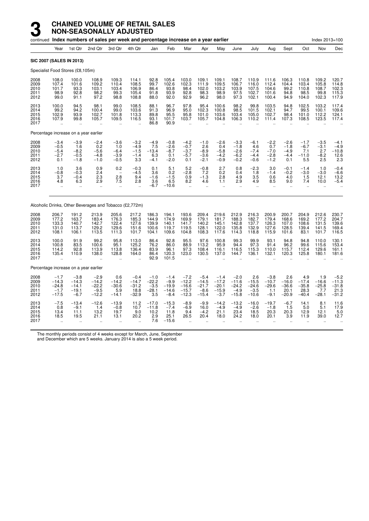**3**

|                                      |                                                          |                                                       | continued Index numbers of sales per week and percentage increase on a year earlier |                                                                       |                                                        |                                             |                                                  |                                                     |                                                   |                                                   |                                                   |                                              |                                               |                                                |                                              | Index 2013=100                                        |                                                 |
|--------------------------------------|----------------------------------------------------------|-------------------------------------------------------|-------------------------------------------------------------------------------------|-----------------------------------------------------------------------|--------------------------------------------------------|---------------------------------------------|--------------------------------------------------|-----------------------------------------------------|---------------------------------------------------|---------------------------------------------------|---------------------------------------------------|----------------------------------------------|-----------------------------------------------|------------------------------------------------|----------------------------------------------|-------------------------------------------------------|-------------------------------------------------|
|                                      | Year                                                     | 1st Qtr                                               | 2nd Qtr                                                                             | 3rd Qtr                                                               | 4th Qtr                                                | Jan                                         | Feb                                              | Mar                                                 | Apr                                               | May                                               | June                                              | July                                         | Aug                                           | Sept                                           | Oct                                          | Nov                                                   | Dec                                             |
| <b>SIC 2007 (SALES IN 2013)</b>      |                                                          |                                                       |                                                                                     |                                                                       |                                                        |                                             |                                                  |                                                     |                                                   |                                                   |                                                   |                                              |                                               |                                                |                                              |                                                       |                                                 |
| Specialist Food Stores (£8,105m)     |                                                          |                                                       |                                                                                     |                                                                       |                                                        |                                             |                                                  |                                                     |                                                   |                                                   |                                                   |                                              |                                               |                                                |                                              |                                                       |                                                 |
| 2008<br>2009<br>2010<br>2011<br>2012 | 108.0<br>107.4<br>101.7<br>98.9<br>99.0                  | 100.0<br>101.6<br>93.3<br>92.8<br>91.1                | 108.9<br>109.2<br>103.1<br>98.2<br>97.2                                             | 109.3<br>110.4<br>103.4<br>99.3<br>98.8                               | 114.1<br>108.5<br>106.9<br>105.4<br>108.8              | 92.8<br>99.7<br>86.4<br>91.8<br>88.0        | 105.4<br>102.6<br>93.8<br>93.9<br>92.0           | 103.0<br>102.3<br>98.4<br>92.8<br>92.9              | 109.1<br>111.9<br>102.0<br>98.3<br>96.2           | 109.1<br>109.5<br>103.2<br>98.9<br>98.0           | 108.7<br>106.7<br>103.9<br>97.5<br>97.3           | 110.9<br>116.0<br>107.5<br>102.7<br>102.1    | 111.6<br>112.4<br>104.6<br>101.6<br>100.4     | 106.3<br>104.4<br>99.2<br>94.8<br>94.9         | 110.8<br>103.4<br>110.8<br>98.5<br>104.0     | 109.2<br>105.8<br>108.7<br>99.8<br>102.3              | 120.7<br>114.8<br>102.3<br>115.3<br>117.9       |
| 2013<br>2014<br>2015<br>2016<br>2017 | 100.0<br>99.2<br>102.9<br>107.9                          | 94.5<br>94.2<br>93.9<br>99.8<br>à.                    | 98.1<br>100.4<br>102.7<br>105.7                                                     | 99.0<br>99.0<br>101.8<br>109.5<br>$\ddot{\phantom{a}}$                | 108.5<br>103.6<br>113.3<br>116.5                       | 88.1<br>91.3<br>89.8<br>93.1<br>86.8        | 96.7<br>96.9<br>95.5<br>101.7<br>90.9            | 97.8<br>95.0<br>95.8<br>103.7                       | 95.4<br>102.3<br>101.0<br>105.7                   | 100.6<br>100.8<br>103.6<br>104.8                  | 98.2<br>98.5<br>103.4<br>106.3                    | 99.8<br>101.5<br>105.0<br>110.2              | 103.5<br>102.1<br>102.7<br>111.4              | 94.8<br>94.7<br>98.4<br>107.3                  | 102.5<br>99.5<br>101.0<br>108.5              | 103.2<br>100.1<br>112.2<br>123.5                      | 117.4<br>109.6<br>124.1<br>117.4                |
|                                      |                                                          | Percentage increase on a year earlier                 |                                                                                     |                                                                       |                                                        |                                             |                                                  |                                                     |                                                   |                                                   |                                                   |                                              |                                               |                                                |                                              |                                                       |                                                 |
| 2008<br>2009<br>2010<br>2011<br>2012 | $-3.4$<br>$-0.5$<br>$-5.4$<br>$-2.7$<br>0.1              | $-3.9$<br>1.6<br>$-8.2$<br>$-0.5$<br>$-1.8$           | $-2.4$<br>0.2<br>$-5.6$<br>$-4.8$<br>$-1.0$                                         | $-3.6$<br>1.0<br>$-6.4$<br>$-3.9$<br>$-0.5$                           | $-3.2$<br>$-4.9$<br>$-1.5$<br>$-1.4$<br>3.3            | $-4.9$<br>7.5<br>$-13.4$<br>6.3<br>$-4.1$   | $-0.8$<br>$-2.6$<br>$-8.7$<br>0.1<br>$-2.0$      | $-4.2$<br>$-0.7$<br>$-3.7$<br>$-5.7$<br>0.1         | $-1.0$<br>2.6<br>$-8.9$<br>$-3.6$<br>$-2.1$       | $-2.6$<br>0.4<br>$-5.8$<br>$-4.2$<br>$-0.9$       | $-3.3$<br>$-1.8$<br>$-2.6$<br>$-6.2$<br>$-0.2$    | $-6.1$<br>4.6<br>$-7.4$<br>$-4.4$<br>$-0.6$  | $-2.2$<br>0.7<br>$-7.0$<br>$-2.8$<br>$-1.2$   | $-2.6$<br>$-1.8$<br>$-4.9$<br>$-4.4$<br>0.1    | $-1.7$<br>$-6.7$<br>7.1<br>$-11.0$<br>5.5    | $-3.5$<br>$-3.1$<br>2.7<br>$-8.2$<br>2.5              | $-4.1$<br>$-4.9$<br>$-10.8$<br>12.6<br>2.3      |
| 2013<br>2014<br>2015<br>2016<br>2017 | 1.0<br>$-0.8$<br>3.7<br>4.8<br>$\ddot{\phantom{a}}$      | 3.6<br>$-0.3$<br>$-0.4$<br>6.3                        | 0.9<br>2.4<br>2.3<br>2.9                                                            | 0.2<br>$\overline{\phantom{0}}$<br>2.8<br>7.5<br>$\ddot{\phantom{a}}$ | $-0.3$<br>$-4.5$<br>9.4<br>2.8<br>$\ddot{\phantom{a}}$ | 0.1<br>3.6<br>$-1.6$<br>3.6<br>$-6.7$       | 5.1<br>0.2<br>$-1.5$<br>6.5<br>$-10.6$           | 5.2<br>$-2.8$<br>0.9<br>8.2<br>$\ddot{\phantom{a}}$ | $-0.8$<br>7.2<br>$-1.3$<br>4.6                    | 2.7<br>0.2<br>2.8<br>1.1                          | 0.8<br>0.4<br>4.9<br>2.9                          | $-2.3$<br>1.8<br>3.5<br>4.9                  | 3.0<br>$-1.4$<br>0.6<br>8.5                   | $-0.1$<br>$-0.2$<br>4.0<br>9.0                 | $-1.4$<br>$-3.0$<br>1.5<br>7.4               | 1.0<br>$-3.0$<br>12.1<br>10.0<br>$\ddot{\phantom{a}}$ | $-0.4$<br>$-6.6$<br>13.2<br>$-5.4$              |
|                                      |                                                          |                                                       | Alcoholic Drinks, Other Beverages and Tobacco (£2,772m)                             |                                                                       |                                                        |                                             |                                                  |                                                     |                                                   |                                                   |                                                   |                                              |                                               |                                                |                                              |                                                       |                                                 |
| 2008<br>2009<br>2010<br>2011<br>2012 | 206.7<br>177.2<br>133.3<br>131.0<br>108.1                | 191.2<br>163.7<br>140.7<br>113.7<br>106.1             | 213.9<br>183.4<br>142.7<br>129.2<br>113.5                                           | 205.6<br>176.3<br>122.4<br>129.6<br>111.3                             | 217.2<br>185.3<br>127.6<br>151.6<br>101.7              | 186.3<br>144.9<br>139.9<br>100.6<br>104.1   | 194.1<br>174.9<br>140.1<br>119.7<br>109.6        | 193.6<br>169.9<br>141.7<br>119.5<br>104.8           | 209.4<br>179.1<br>140.2<br>128.1<br>108.3         | 219.6<br>181.7<br>145.1<br>122.0<br>117.6         | 212.9<br>188.3<br>142.8<br>135.8<br>114.3         | 216.3<br>182.7<br>137.7<br>132.9<br>118.8    | 200.9<br>179.4<br>126.3<br>127.6<br>115.9     | 200.7<br>168.6<br>107.0<br>128.5<br>101.6      | 204.9<br>169.2<br>108.6<br>139.4<br>83.1     | 212.6<br>177.2<br>131.5<br>141.5<br>101.7             | 230.7<br>204.7<br>139.6<br>169.4<br>116.5       |
| 2013<br>2014<br>2015<br>2016<br>2017 | 100.0<br>100.8<br>114.2<br>135.4<br>$\ddot{\phantom{0}}$ | 91.9<br>83.5<br>92.8<br>110.9<br>$\ddot{\phantom{a}}$ | 99.2<br>100.6<br>113.9<br>138.0                                                     | 95.8<br>95.1<br>113.8<br>128.8                                        | 113.0<br>125.2<br>136.4<br>164.0                       | 86.4<br>76.2<br>83.9<br>86.4<br>92.9        | 92.8<br>86.0<br>96.1<br>120.3<br>101.5           | 95.5<br>88.9<br>97.3<br>123.0                       | 97.6<br>113.2<br>108.4<br>130.5                   | 100.8<br>95.9<br>116.1<br>137.0                   | 99.3<br>94.4<br>116.5<br>144.7                    | 99.9<br>97.3<br>115.3<br>136.1               | 93.1<br>91.4<br>110.0<br>132.1                | 94.8<br>96.2<br>115.7<br>120.3                 | 94.8<br>99.6<br>112.4<br>125.8               | 110.0<br>115.6<br>129.6<br>180.1                      | 130.1<br>153.4<br>161.1<br>181.6                |
|                                      |                                                          | Percentage increase on a year earlier                 |                                                                                     |                                                                       |                                                        |                                             |                                                  |                                                     |                                                   |                                                   |                                                   |                                              |                                               |                                                |                                              |                                                       |                                                 |
| 2008<br>2009<br>2010<br>2011<br>2012 | $-1.7$<br>$-14.3$<br>$-24.8$<br>$-1.7$<br>-17.5          | $-3.8$<br>$-14.3$<br>$-14.1$<br>$-19.1$<br>$-6.7$     | $-2.9$<br>$-14.2$<br>$-22.2$<br>$-9.5$<br>$-12.2$                                   | $0.6$<br>-14.2<br>$-30.6$<br>5.9<br>$-14.1$                           | $-0.4$<br>-14.7<br>$-31.2$<br>18.8<br>$-32.9$          | $-1.0$<br>-22.2<br>$-3.5$<br>$-28.1$<br>3.5 | $-1.4$<br>$-9.9$<br>$-19.9$<br>$-14.6$<br>$-8.4$ | $-7.2$<br>-12.2<br>$-16.6$<br>$-15.7$<br>$-12.3$    | $-5.4$<br>$-14.5$<br>$-21.7$<br>$-8.6$<br>$-15.4$ | $-1.4$<br>$-17.2$<br>$-20.1$<br>$-15.9$<br>$-3.7$ | $-2.0$<br>$-11.6$<br>$-24.2$<br>$-4.9$<br>$-15.8$ | $2.6 - 15.5$<br>$-24.6$<br>$-3.5$<br>$-10.6$ | $-3.8$<br>$-10.7$<br>$-29.6$<br>1.1<br>$-9.1$ | $^{2.6}_{-16.0}$<br>$-36.6$<br>20.1<br>$-20.9$ | 4.9<br>$-17.4$<br>$-35.8$<br>28.3<br>$-40.4$ | 1.9<br>$-16.6$<br>$-25.8$<br>7.7<br>$-28.1$           | $-5.2$<br>$-11.3$<br>$-31.8$<br>21.3<br>$-31.2$ |
| 2013<br>2014<br>2015<br>2016<br>2017 | $-7.5$<br>0.8<br>13.4<br>18.5<br>$\ddot{\phantom{a}}$    | $-13.4$<br>$-9.1$<br>11.1<br>19.5                     | $-12.6$<br>1.4<br>13.2<br>21.1                                                      | $-13.9$<br>$-0.8$<br>19.7<br>13.1                                     | 11.2<br>10.7<br>9.0<br>20.2                            | $-17.0$<br>$-11.8$<br>10.2<br>2.9<br>7.6    | $-15.3$<br>$-7.4$<br>11.8<br>25.1<br>$-15.6$     | $-8.9$<br>$-6.9$<br>9.4<br>26.5                     | $-9.9$<br>16.0<br>$-4.2$<br>20.4                  | $-14.2$<br>$-4.9$<br>21.1<br>18.0                 | $-13.2$<br>$-4.9$<br>23.4<br>24.2                 | $-16.0$<br>$-2.6$<br>18.5<br>18.0            | $-19.7$<br>$-1.8$<br>20.3<br>20.1             | $-6.7$<br>1.5<br>20.3<br>3.9                   | 14.1<br>5.0<br>12.9<br>11.9                  | 8.1<br>5.1<br>12.1<br>39.0                            | 11.6<br>17.9<br>5.0<br>12.7                     |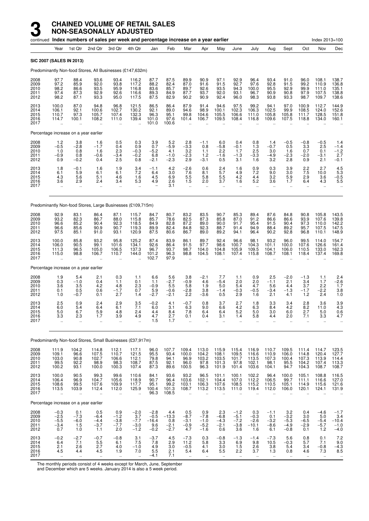**3**

|                                      |                                                                |                                                  | continued Index numbers of sales per week and percentage increase on a year earlier |                                                         |                                                          |                                              |                                               |                                              |                                                        |                                               |                                                  |                                           |                                          |                                             |                                           | Index 2013=100                            |                                                                      |
|--------------------------------------|----------------------------------------------------------------|--------------------------------------------------|-------------------------------------------------------------------------------------|---------------------------------------------------------|----------------------------------------------------------|----------------------------------------------|-----------------------------------------------|----------------------------------------------|--------------------------------------------------------|-----------------------------------------------|--------------------------------------------------|-------------------------------------------|------------------------------------------|---------------------------------------------|-------------------------------------------|-------------------------------------------|----------------------------------------------------------------------|
|                                      | Year                                                           | 1st Qtr                                          | 2nd Qtr                                                                             | 3rd Qtr                                                 | 4th Qtr                                                  | Jan                                          | Feb                                           | Mar                                          | Apr                                                    | May                                           | June                                             | July                                      | Aug                                      | Sept                                        | Oct                                       | Nov                                       | Dec                                                                  |
|                                      |                                                                | <b>SIC 2007 (SALES IN 2013)</b>                  |                                                                                     |                                                         |                                                          |                                              |                                               |                                              |                                                        |                                               |                                                  |                                           |                                          |                                             |                                           |                                           |                                                                      |
|                                      |                                                                |                                                  | Predominantly Non-food Stores, All Businesses (£147,632m)                           |                                                         |                                                          |                                              |                                               |                                              |                                                        |                                               |                                                  |                                           |                                          |                                             |                                           |                                           |                                                                      |
| 2008<br>2009<br>2010<br>2011<br>2012 | 97.7<br>97.2<br>98.2<br>97.4<br>98.2                           | 88.4<br>85.9<br>86.6<br>87.3<br>87.1             | 93.6<br>92.0<br>93.5<br>92.9<br>93.3                                                | 93.4<br>93.8<br>95.9<br>92.6<br>95.0                    | 116.2<br>117.2<br>116.8<br>116.6<br>117.5                | 87.7<br>88.2<br>83.6<br>89.3<br>87.5         | 87.5<br>82.4<br>85.7<br>84.9<br>82.9          | 89.9<br>87.0<br>89.7<br>87.7<br>90.2         | 90.9<br>91.6<br>92.6<br>93.7<br>90.9                   | 97.1<br>91.5<br>93.5<br>92.0<br>92.4          | 92.9<br>92.7<br>94.3<br>93.1<br>96.0             | 96.4<br>97.6<br>100.0<br>96.7<br>98.3     | 93.4<br>92.8<br>95.5<br>90.9<br>93.8     | 91.0<br>91.5<br>92.9<br>90.8<br>93.3        | 96.0<br>99.2<br>99.9<br>97.9<br>98.7      | 108.1<br>110.9<br>111.0<br>107.5<br>109.7 | 138.7<br>136.8<br>135.1<br>138.8<br>138.6                            |
| 2013<br>2014<br>2015<br>2016<br>2017 | 100.0<br>106.1<br>110.7<br>114.7                               | 87.0<br>92.1<br>97.3<br>100.1                    | 94.8<br>100.6<br>105.7<br>108.2<br>Ω.                                               | 96.8<br>102.7<br>107.4<br>111.0<br>$\ddot{\phantom{a}}$ | 121.5<br>130.2<br>132.3<br>139.4<br>$\ddot{\phantom{a}}$ | 86.5<br>92.1<br>96.3<br>101.0<br>101.0       | 86.4<br>89.0<br>95.1<br>97.6<br>100.6         | 87.9<br>94.6<br>99.8<br>101.4                | 91.4<br>98.9<br>104.6<br>106.7                         | 94.6<br>100.1<br>105.5<br>109.5               | 97.5<br>102.3<br>106.6<br>108.4                  | 99.2<br>106.3<br>111.0<br>116.8           | 94.1<br>102.5<br>105.8<br>109.6          | 97.0<br>99.9<br>105.8<br>107.5              | 100.9<br>108.5<br>111.7<br>118.8          | 112.7<br>124.0<br>128.5<br>134.0          | 144.9<br>152.6<br>151.8<br>160.1                                     |
|                                      |                                                                |                                                  | Percentage increase on a year earlier                                               |                                                         |                                                          |                                              |                                               |                                              |                                                        |                                               |                                                  |                                           |                                          |                                             |                                           |                                           |                                                                      |
| 2008<br>2009<br>2010<br>2011<br>2012 | $1.2$<br>$-0.5$<br>1.0<br>$-0.9$<br>0.9                        | 3.8<br>$-2.8$<br>0.8<br>0.8<br>$-0.2$            | 1.6<br>$-1.7$<br>1.6<br>$-0.6$<br>0.4                                               | 0.5<br>0.4<br>2.3<br>$-3.4$<br>2.5                      | 0.3<br>0.9<br>$-0.3$<br>$-0.2$<br>0.8                    | 3.9<br>0.7<br>$-5.2$<br>6.8<br>$-2.1$        | 5.2<br>$-5.9$<br>4.1<br>$-1.0$<br>$-2.3$      | 2.8<br>$-3.3$<br>3.2<br>$-2.3$<br>2.9        | $-1.1$<br>0.8<br>1.1<br>1.2<br>$-3.1$                  | 6.0<br>$-5.8$<br>2.2<br>$-1.6$<br>0.5         | 0.4<br>$-0.1$<br>1.7<br>$-1.3$<br>3.1            | 0.8<br>1.3<br>2.5<br>$-3.3$<br>1.6        | 1.4<br>$-0.7$<br>3.0<br>$-4.9$<br>3.2    | $-0.5$<br>0.5<br>1.6<br>$-2.3$<br>2.8       | $-0.8$<br>3.3<br>0.7<br>$-2.0$<br>0.9     | $-0.5$<br>2.5<br>0.1<br>$-3.1$<br>2.1     | 1.4<br>$-1.4$<br>$-1.2$<br>2.7<br>$-0.1$                             |
| 2013<br>2014<br>2015<br>2016<br>2017 | 1.8<br>6.1<br>4.3<br>3.6<br>÷.                                 | $-0.1$<br>5.9<br>5.6<br>2.9<br>ä.                | 1.6<br>6.1<br>5.1<br>2.4                                                            | 1.9<br>6.1<br>4.6<br>3.4<br>÷.                          | 3.4<br>7.2<br>1.6<br>5.3<br>$\ddotsc$                    | $-1.1$<br>6.4<br>4.5<br>4.9                  | 4.2<br>3.0<br>6.9<br>2.6<br>3.1               | $-2.6$<br>7.6<br>5.5<br>1.5<br>$\ddotsc$     | 0.6<br>8.1<br>5.8<br>2.0<br>$\ddotsc$                  | 2.4<br>5.7<br>5.5<br>3.7                      | 1.6<br>4.9<br>4.2<br>1.6                         | 0.9<br>7.2<br>4.4<br>5.2                  | 0.3<br>9.0<br>3.2<br>3.6                 | 3.9<br>3.0<br>5.9<br>1.7                    | 2.2<br>7.5<br>2.9<br>6.4                  | 2.7<br>10.0<br>3.6<br>4.3                 | 4.5<br>5.3<br>$-0.5$<br>5.5                                          |
|                                      |                                                                |                                                  | Predominantly Non-food Stores, Large Businesses (£109,715m)                         |                                                         |                                                          |                                              |                                               |                                              |                                                        |                                               |                                                  |                                           |                                          |                                             |                                           |                                           |                                                                      |
| 2008<br>2009<br>2010<br>2011<br>2012 | 92.9<br>93.2<br>96.6<br>96.6<br>97.5                           | 83.1<br>82.3<br>85.2<br>85.6<br>85.1             | 86.4<br>86.7<br>90.4<br>90.9<br>91.0                                                | 87.1<br>88.0<br>92.3<br>90.7<br>93.1                    | 115.7<br>115.8<br>118.5<br>119.3<br>120.9                | 84.7<br>85.7<br>84.9<br>89.9<br>87.5         | 80.7<br>78.6<br>82.8<br>82.4<br>80.6          | 83.2<br>82.5<br>87.2<br>84.8<br>86.7         | 83.5<br>87.3<br>89.0<br>92.3<br>89.0                   | 90.7<br>85.8<br>90.0<br>88.7<br>89.2          | 85.3<br>87.0<br>91.7<br>91.4<br>94.1             | 89.4<br>91.2<br>95.4<br>94.9<br>96.4      | 87.6<br>86.6<br>91.5<br>88.4<br>90.2     | 84.8<br>86.6<br>90.4<br>89.2<br>92.8        | 90.8<br>93.9<br>97.3<br>95.7<br>96.8      | 105.8<br>107.6<br>110.0<br>107.5<br>110.1 | 143.5<br>139.8<br>142.2<br>147.5<br>148.9                            |
| 2013<br>2014<br>2015<br>2016<br>2017 | 100.0<br>106.0<br>111.3<br>115.0<br>$\ddot{\phantom{1}}$       | 85.8<br>90.5<br>96.5<br>98.8<br>$\ddotsc$        | 93.2<br>99.1<br>105.0<br>106.7<br>Ω,                                                | 95.8<br>101.6<br>106.5<br>110.7<br>$\ddot{\phantom{1}}$ | 125.2<br>134.1<br>137.3<br>144.0<br>ä.                   | 87.4<br>92.6<br>96.7<br>101.2<br>102.7       | 83.9<br>86.4<br>93.7<br>96.3<br>97.9          | 86.1<br>91.5<br>98.7<br>98.8<br>÷.           | 89.7<br>97.7<br>104.0<br>104.5<br>$\ddot{\phantom{a}}$ | 92.4<br>98.6<br>104.8<br>108.1                | 96.6<br>100.7<br>105.9<br>107.4                  | 98.1<br>104.3<br>109.5<br>115.8           | 93.2<br>101.1<br>104.1<br>108.7          | 96.0<br>100.0<br>106.0<br>108.1             | 99.5<br>107.6<br>110.5<br>118.4           | 114.0<br>126.6<br>133.0<br>137.4          | 154.7<br>161.4<br>162.3<br>169.8                                     |
|                                      |                                                                |                                                  | Percentage increase on a year earlier                                               |                                                         |                                                          |                                              |                                               |                                              |                                                        |                                               |                                                  |                                           |                                          |                                             |                                           |                                           |                                                                      |
| 2008<br>2009<br>2010<br>2011<br>2012 | $\begin{array}{c} 1.9 \\ 0.3 \end{array}$<br>3.6<br>0.1<br>1.0 | 5.4<br>$-1.0$<br>3.5<br>0.5<br>$-0.7$            | 2.1<br>0.4<br>4.2<br>0.6<br>0.1                                                     | $0.3$<br>1.1<br>4.8<br>$-1.7$<br>2.7                    | 1.1<br>0.1<br>2.3<br>0.7<br>1.4                          | 6.6<br>1.1<br>$-0.9$<br>5.9<br>$-2.7$        | $\frac{5.6}{-2.7}$<br>5.5<br>$-0.6$<br>$-2.1$ | $\frac{3.8}{-0.9}$<br>5.8<br>$-2.8$<br>2.2   | $-2.1$<br>4.6<br>1.9<br>3.8<br>$-3.6$                  | 7.7<br>$-5.4$<br>5.0<br>$-1.4$<br>0.5         | 1.1<br>2.0<br>5.4<br>$-0.3$<br>2.9               | 0.9<br>2.0<br>4.7<br>-0.5<br>1.6          | 2.5<br>$-1.1$<br>5.6<br>-3.4<br>2.1      | $-2.0$<br>2.1<br>4.4<br>$-1.3$<br>4.1       | $-1.3$<br>3.4<br>3.7<br>$-1.7$<br>1.2     | 1.1<br>1.7<br>2.2<br>$-2.2$<br>2.4        | $^{2.4}_{-2.6}$<br>1.7<br>3.8<br>1.0                                 |
| 2013<br>2014<br>2015<br>2016<br>2017 | 2.5<br>6.0<br>5.0<br>3.3<br>$\ddot{\phantom{1}}$               | 0.9<br>5.4<br>6.7<br>2.3<br>$\ddot{\phantom{a}}$ | 2.4<br>6.4<br>5.9<br>1.7<br>$\ddotsc$                                               | 2.9<br>6.1<br>4.8<br>3.9<br>$\ddotsc$                   | 3.5<br>7.1<br>2.4<br>4.9<br>$\ddot{\phantom{a}}$         | $-0.2$<br>6.0<br>4.4<br>4.7<br>1.5           | 4.1<br>3.1<br>8.4<br>2.7<br>1.7               | $-0.7$<br>6.3<br>7.8<br>0.1<br>$\ddotsc$     | 0.8<br>9.0<br>6.4<br>0.4<br>ä.                         | 3.7<br>6.6<br>6.4<br>3.1<br>ä.                | 2.7<br>4.2<br>5.2<br>1.4<br>$\ddot{\phantom{a}}$ | 1.8<br>6.3<br>5.0<br>5.8<br>$\mathbf{r}$  | 3.3<br>8.4<br>3.0<br>4.4<br>ä.           | 3.4<br>4.2<br>6.0<br>2.0<br>ä.              | 2.8<br>8.2<br>2.7<br>7.1<br>÷.            | 3.6<br>11.0<br>5.0<br>3.3<br>ä,           | 3.9<br>4.3<br>0.6<br>4.7                                             |
|                                      |                                                                |                                                  | Predominantly Non-food Stores, Small Businesses (£37,917m)                          |                                                         |                                                          |                                              |                                               |                                              |                                                        |                                               |                                                  |                                           |                                          |                                             |                                           |                                           |                                                                      |
| 2008<br>2009<br>2010<br>2011<br>2012 | 111.9<br>109.1<br>103.0<br>99.5<br>100.2                       | 104.2<br>96.6<br>90.8<br>92.2<br>93.1            | 114.8<br>107.5<br>102.7<br>98.9<br>100.0                                            | 112.1<br>110.7<br>106.6<br>98.3<br>100.3                | 117.1<br>121.5<br>112.1<br>108.7<br>107.4                | 96.0<br>95.5<br>79.8<br>87.5<br>87.3         | 107.7<br>93.4<br>94.1<br>92.1<br>89.6         | 109.4<br>100.0<br>96.9<br>96.0<br>100.5      | 113.0<br>104.2<br>103.2<br>97.8<br>96.3                | 115.9<br>108.1<br>103.5<br>101.3<br>101.9     | 115.4<br>109.5<br>101.7<br>97.8<br>101.4         | 116.9<br>116.6<br>113.5<br>102.1<br>103.6 | 110.7<br>110.9<br>107.3<br>98.1<br>104.1 | 109.5<br>106.0<br>100.4<br>95.5<br>94.7     | 111.4<br>114.8<br>107.3<br>104.2<br>104.3 | 114.7<br>120.4<br>113.9<br>107.4<br>108.7 | 123.5<br>127.7<br>114.4<br>113.3<br>108.7                            |
| 2013<br>2014<br>2015<br>2016<br>2017 | 100.0<br>106.4<br>108.6<br>113.5<br>$\ddot{\phantom{1}}$       | 90.5<br>96.9<br>99.5<br>103.9<br>$\ddotsc$       | 99.3<br>104.7<br>107.6<br>112.4<br>$\ddotsc$                                        | 99.6<br>105.6<br>109.9<br>112.0<br>$\ddot{\phantom{1}}$ | 110.6<br>118.9<br>117.7<br>125.9<br>$\ddotsc$            | 84.1<br>90.7<br>95.1<br>100.4<br>96.3        | 93.6<br>96.4<br>99.2<br>101.3<br>108.5        | 93.2<br>103.6<br>103.1<br>108.7<br>$\ddotsc$ | 96.5<br>102.1<br>106.3<br>113.2<br>ä.                  | 101.1<br>104.4<br>107.6<br>113.5<br>$\ddotsc$ | 100.1<br>107.0<br>108.5<br>111.0                 | 102.2<br>112.2<br>115.2<br>119.4          | 96.4<br>106.5<br>110.5<br>112.0          | 100.0<br>99.7<br>105.1<br>106.0             | 105.1<br>111.1<br>114.9<br>120.1          | 108.8<br>116.6<br>115.6<br>124.1          | 116.5<br>127.0<br>121.6<br>131.9                                     |
|                                      |                                                                |                                                  | Percentage increase on a year earlier                                               |                                                         |                                                          |                                              |                                               |                                              |                                                        |                                               |                                                  |                                           |                                          |                                             |                                           |                                           |                                                                      |
| 2008<br>2009<br>2010<br>2011<br>2012 | $-0.3$<br>$-2.5$<br>$-5.5$<br>$-3.4$<br>0.7                    | 0.1<br>$-7.3$<br>$-6.0$<br>1.5<br>1.0            | 0.5<br>$-6.4$<br>$-4.4$<br>$-3.7$<br>1.1                                            | 0.9<br>$-1.2$<br>$-3.8$<br>$-7.7$<br>2.0                | $-2.0$<br>3.7<br>$-7.7$<br>$-3.0$<br>$-1.2$              | $-2.8$<br>$-0.5$<br>$-16.4$<br>9.6<br>$-0.2$ | 4.4<br>$-13.3$<br>0.8<br>$-2.1$<br>$-2.7$     | 0.5<br>$-8.7$<br>$-3.1$<br>$-0.9$<br>4.7     | 0.9<br>$-7.8$<br>$-1.0$<br>$-5.2$<br>$-1.6$            | 2.3<br>$-6.8$<br>$-4.3$<br>$-2.1$<br>0.6      | $-1.2$<br>$-5.1$<br>$-7.2$<br>$-3.8$<br>3.6      | 0.3<br>$-0.3$<br>$-2.6$<br>$-10.1$<br>1.6 | $-1.1$<br>0.1<br>$-3.2$<br>$-8.6$<br>6.1 | 3.2<br>$-3.2$<br>$-5.3$<br>$-4.9$<br>$-0.8$ | 0.4<br>3.0<br>$-6.5$<br>$-2.9$<br>0.1     | $-4.6$<br>5.0<br>$-5.4$<br>-5.7<br>1.2    | $-1.7$<br>3.4<br>$-10.4$<br>$-1.0$<br>$-4.0$                         |
| 2013<br>2014<br>2015<br>2016<br>2017 | $-0.2$<br>6.4<br>2.1<br>4.5                                    | $-2.7$<br>7.1<br>2.6<br>4.4                      | $-0.7$<br>$\frac{5.5}{2.7}$<br>4.5                                                  | $-0.8$<br>6.1<br>4.0<br>1.9                             | 3.1<br>7.5<br>$-1.0$<br>7.0                              | $-3.7$<br>7.8<br>4.9<br>5.5<br>$-4.1$        | 4.5<br>2.9<br>3.0<br>2.1<br>7.1               | $-7.3$<br>11.2<br>$-0.5$<br>5.4              | 0.3<br>5.8<br>4.1<br>6.4                               | $-0.8$<br>3.3<br>3.0<br>5.5                   | $-1.3$<br>6.9<br>1.5<br>2.2                      | $-1.4$<br>9.8<br>$\frac{2.6}{3.7}$        | $-7.3$<br>10.5<br>3.8<br>1.3             | 5.6<br>$-0.3$<br>5.4<br>0.8                 | 0.8<br>5.7<br>3.4<br>4.6                  | 0.1<br>7.1<br>$-0.8$<br>7.3<br>$\ddotsc$  | 7.2<br>$\begin{array}{c} 9.0 \\ -4.3 \\ 8.5 \end{array}$<br>$\cdots$ |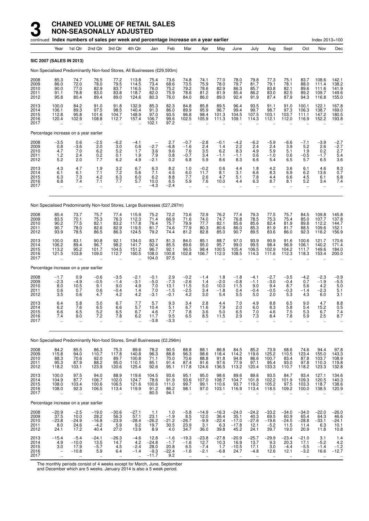**3**

|                                      |                                                  |                                                  | continued Index numbers of sales per week and percentage increase on a year earlier |                                              |                                                  |                                          |                                                |                                                  |                                                      |                                                   |                                                  |                                                    |                                                  |                                            |                                                  | Index 2013=100                                    |                                            |
|--------------------------------------|--------------------------------------------------|--------------------------------------------------|-------------------------------------------------------------------------------------|----------------------------------------------|--------------------------------------------------|------------------------------------------|------------------------------------------------|--------------------------------------------------|------------------------------------------------------|---------------------------------------------------|--------------------------------------------------|----------------------------------------------------|--------------------------------------------------|--------------------------------------------|--------------------------------------------------|---------------------------------------------------|--------------------------------------------|
|                                      | Year                                             | 1st Qtr                                          | 2nd Qtr                                                                             | 3rd Qtr                                      | 4th Qtr                                          | Jan                                      | Feb                                            | Mar                                              | Apr                                                  | May                                               | June                                             | July                                               | Aug                                              | Sept                                       | Oct                                              | Nov                                               | Dec                                        |
|                                      | <b>SIC 2007 (SALES IN 2013)</b>                  |                                                  |                                                                                     |                                              |                                                  |                                          |                                                |                                                  |                                                      |                                                   |                                                  |                                                    |                                                  |                                            |                                                  |                                                   |                                            |
|                                      |                                                  |                                                  | Non Specialised Predominantly Non-food Stores, All Businesses (£29,593m)            |                                              |                                                  |                                          |                                                |                                                  |                                                      |                                                   |                                                  |                                                    |                                                  |                                            |                                                  |                                                   |                                            |
| 2008<br>2009<br>2010<br>2011<br>2012 | 85.3<br>86.0<br>90.0<br>91.1<br>95.8             | 74.7<br>72.0<br>77.0<br>78.8<br>80.4             | 76.5<br>78.0<br>82.9<br>83.0<br>89.4                                                | 77.2<br>79.5<br>83.7<br>83.8<br>89.0         | 113.8<br>114.5<br>116.5<br>118.7<br>124.6        | 75.4<br>73.4<br>76.0<br>82.0<br>80.3     | 73.6<br>68.6<br>75.2<br>75.9<br>76.0           | 74.8<br>73.5<br>79.2<br>78.6<br>84.0             | 74.1<br>75.9<br>78.6<br>81.2<br>86.0                 | 77.0<br>78.0<br>82.9<br>81.9<br>89.0              | 78.0<br>79.7<br>86.3<br>85.4<br>92.4             | 79.8<br>81.7<br>85.7<br>86.2<br>91.9               | 77.3<br>79.1<br>83.8<br>83.0<br>87.4             | 75.1<br>78.1<br>82.1<br>82.5<br>87.9       | 83.7<br>88.0<br>89.6<br>89.2<br>94.3             | 108.6<br>111.4<br>111.6<br>109.7<br>116.8         | 142.1<br>138.2<br>141.9<br>149.6<br>155.0  |
| 2013<br>2014<br>2015<br>2016<br>2017 | 100.0<br>106.1<br>112.8<br>120.4                 | 84.2<br>89.3<br>95.8<br>102.9                    | 91.0<br>97.5<br>101.6<br>108.8                                                      | 91.8<br>98.5<br>104.7<br>112.7               | 132.9<br>140.4<br>148.9<br>157.4                 | 85.3<br>91.3<br>97.0<br>106.7<br>102.1   | 82.3<br>86.0<br>93.5<br>99.6<br>97.2           | 84.8<br>89.9<br>96.8<br>102.5                    | 85.8<br>95.9<br>98.4<br>105.9                        | 89.5<br>96.7<br>101.3<br>111.3                    | 96.4<br>99.4<br>104.5<br>109.1                   | 93.5<br>99.7<br>107.5<br>114.3                     | 91.1<br>98.7<br>103.1<br>112.1                   | 91.0<br>97.3<br>103.7<br>112.0             | 100.1<br>106.3<br>111.1<br>116.9                 | 122.1<br>138.7<br>147.2<br>152.2                  | 167.8<br>169.0<br>180.5<br>193.8           |
|                                      | Percentage increase on a year earlier            |                                                  |                                                                                     |                                              |                                                  |                                          |                                                |                                                  |                                                      |                                                   |                                                  |                                                    |                                                  |                                            |                                                  |                                                   |                                            |
| 2008<br>2009<br>2010<br>2011<br>2012 | $-3.5$<br>0.8<br>4.7<br>1.2<br>5.2               | 0.6<br>$-3.6$<br>7.0<br>2.4<br>2.0               | $-2.5$<br>2.0<br>6.2<br>0.2<br>7.7                                                  | $-6.2$<br>3.0<br>5.2<br>0.1<br>6.2           | $-4.1$<br>0.6<br>1.7<br>1.9<br>4.9               | $-2.7$<br>3.6<br>7.9<br>$-2.1$           | 2.7<br>$-6.8$<br>9.6<br>0.8<br>0.2             | $-0.7$<br>$-1.6$<br>7.6<br>$-0.7$<br>6.8         | $-2.8$<br>2.4<br>3.5<br>3.4<br>5.9                   | $-0.1$<br>1.4<br>6.2<br>$-1.1$<br>8.6             | $-4.2$<br>2.2<br>8.3<br>$-1.1$<br>8.3            | $-6.2$<br>2.4<br>4.9<br>0.6<br>6.6                 | $-5.9$<br>2.4<br>5.9<br>$-1.0$<br>5.4            | $-6.6$<br>3.9<br>5.1<br>0.6<br>6.5         | $-7.1$<br>5.2<br>1.9<br>$-0.5$<br>5.7            | $-3.9$<br>2.6<br>0.2<br>$-1.7$<br>6.5             | $-2.7$<br>$-2.7$<br>2.7<br>5.4<br>3.6      |
| 2013<br>2014<br>2015<br>2016<br>2017 | 4.3<br>6.1<br>6.3<br>6.8<br>$\ddot{\phantom{a}}$ | 4.7<br>6.1<br>7.3<br>7.4<br>$\ddot{\phantom{a}}$ | 1.9<br>7.1<br>4.2<br>7.1<br>$\ddot{\phantom{a}}$                                    | 3.2<br>7.2<br>6.3<br>7.7<br>$\ddotsc$        | 6.7<br>5.6<br>6.0<br>5.7                         | 6.3<br>7.1<br>6.2<br>10.0<br>-4.3        | 8.2<br>4.5<br>8.8<br>6.5<br>$-2.4$             | 1.0<br>6.0<br>7.7<br>5.9<br>$\ddotsc$            | $-0.2$<br>11.7<br>2.6<br>7.6<br>$\ddot{\phantom{a}}$ | 0.6<br>8.1<br>4.7<br>10.0<br>$\ddot{\phantom{a}}$ | 4.4<br>3.1<br>5.1<br>4.4                         | 1.8<br>6.6<br>7.8<br>6.3<br>ä.                     | 4.2<br>8.3<br>4.4<br>8.7<br>$\ddot{\phantom{a}}$ | 3.6<br>6.9<br>6.6<br>8.1<br>$\mathbf{r}$   | 6.1<br>6.2<br>4.5<br>5.2<br>$\ddot{\phantom{a}}$ | 4.6<br>13.6<br>6.1<br>3.4<br>$\ddot{\phantom{a}}$ | 8.3<br>0.7<br>6.8<br>7.4                   |
|                                      |                                                  |                                                  | Non Specialised Predominantly Non-food Stores, Large Businesses (£27,297m)          |                                              |                                                  |                                          |                                                |                                                  |                                                      |                                                   |                                                  |                                                    |                                                  |                                            |                                                  |                                                   |                                            |
| 2008<br>2009<br>2010<br>2011<br>2012 | 85.4<br>83.5<br>90.2<br>90.7<br>93.9             | 73.7<br>70.1<br>77.5<br>78.0<br>78.5             | 75.7<br>75.3<br>82.1<br>82.6<br>86.5                                                | 77.4<br>76.3<br>83.2<br>82.9<br>86.3         | 115.9<br>112.3<br>117.8<br>119.5<br>124.5        | 75.2<br>71.4<br>76.4<br>81.7<br>79.2     | 72.2<br>66.9<br>75.7<br>74.6<br>74.4           | 73.6<br>71.6<br>79.9<br>77.9<br>81.2             | 72.9<br>74.0<br>77.7<br>80.3<br>82.8                 | 76.2<br>74.7<br>82.1<br>80.6<br>85.0              | 77.4<br>76.8<br>85.6<br>86.0<br>90.7             | 79.3<br>78.5<br>85.6<br>85.3<br>89.5               | 77.5<br>75.3<br>82.4<br>81.9<br>83.6             | 75.7<br>75.4<br>81.9<br>81.7<br>86.0       | 84.5<br>85.0<br>89.8<br>88.5<br>92.3             | 109.8<br>107.7<br>112.2<br>109.6<br>116.2         | 145.8<br>137.8<br>144.7<br>152.1<br>156.9  |
| 2013<br>2014<br>2015<br>2016<br>2017 | 100.0<br>106.2<br>113.2<br>121.5                 | 83.1<br>89.4<br>95.2<br>103.8<br>ä.              | 90.8<br>96.7<br>101.7<br>109.0                                                      | 92.1<br>98.2<br>104.5<br>112.7               | 134.0<br>141.7<br>151.2<br>160.5                 | 83.7<br>92.4<br>96.7<br>108.0<br>104.0   | 81.3<br>85.5<br>92.1<br>100.8<br>97.5          | 84.0<br>89.6<br>96.5<br>102.8                    | 85.1<br>95.0<br>98.4<br>106.7                        | 88.7<br>95.7<br>100.5<br>112.0                    | 97.0<br>99.0<br>105.4<br>108.5                   | 93.9<br>99.5<br>106.5<br>114.3                     | 90.9<br>98.4<br>102.9<br>111.6                   | 91.6<br>96.9<br>104.2<br>112.3             | 100.6<br>106.1<br>111.7<br>118.3                 | 121.7<br>140.2<br>149.6<br>153.4                  | 170.6<br>171.4<br>184.0<br>200.0           |
|                                      | Percentage increase on a year earlier            |                                                  |                                                                                     |                                              |                                                  |                                          |                                                |                                                  |                                                      |                                                   |                                                  |                                                    |                                                  |                                            |                                                  |                                                   |                                            |
| 2008<br>2009<br>2010<br>2011<br>2012 | $-1.7$<br>$-2.3$<br>8.0<br>0.6<br>3.5            | 0.9<br>$-4.9$<br>10.5<br>0.7<br>0.6              | $-0.6$<br>$-0.5$<br>9.1<br>0.6<br>4.7                                               | $-3.5$<br>$-1.4$<br>9.0<br>$-0.4$<br>4.2     | $-2.1$<br>$-3.1$<br>4.9<br>1.4<br>4.2            | $-0.1$<br>$-5.0$<br>7.0<br>7.0<br>$-3.1$ | $\frac{2.9}{-7.3}$<br>13.1<br>$-1.5$<br>$-0.1$ | $-0.2$<br>$-2.6$<br>11.5<br>$-2.5$<br>4.2        | $-1.4$<br>1.4<br>5.0<br>3.4<br>3.0                   | 1.8<br>$-2.0$<br>10.0<br>$-1.8$<br>5.4            | $-1.8$<br>$-0.8$<br>11.5<br>0.4<br>5.5           | $-4.1$<br>$-1.1$<br>9.0<br>$-0.4$<br>5.0           | $-2.7$<br>$-3.0$<br>9.4<br>$-0.5$<br>2.0         | $-3.5$<br>$-0.4$<br>8.7<br>$-0.3$<br>5.3   | $-4.2$<br>0.7<br>5.6<br>$-1.4$<br>4.3            | $-2.3$<br>$-1.9$<br>4.2<br>$-2.3$<br>6.0          | $-0.9$<br>$-5.5$<br>5.0<br>5.1<br>3.1      |
| 2013<br>2014<br>2015<br>2016<br>2017 | 6.4<br>6.2<br>6.6<br>7.4<br>ä,                   | 5.8<br>7.6<br>6.5<br>9.0<br>$\ddot{\phantom{a}}$ | 5.0<br>6.5<br>5.2<br>7.2<br>ä,                                                      | 6.7<br>6.6<br>6.5<br>7.8<br>$\ddotsc$        | 7.7<br>5.7<br>6.7<br>6.2<br>$\ddot{\phantom{a}}$ | 5.7<br>10.4<br>4.6<br>$11.7 - 3.8$       | 9.3<br>5.1<br>7.7<br>9.5<br>$-3.3$             | 3.4<br>6.7<br>7.8<br>6.5<br>$\ddot{\phantom{1}}$ | 2.8<br>11.6<br>3.6<br>8.5<br>$\ddot{\phantom{a}}$    | 4.4<br>7.9<br>5.0<br>11.5<br>$\ddot{\phantom{a}}$ | 7.0<br>2.0<br>6.5<br>2.9<br>$\ddot{\phantom{a}}$ | 4.9<br>6.0<br>7.0<br>$7.3$<br>$\ddot{\phantom{a}}$ | 8.8<br>8.3<br>4.6<br>8.4<br>ä,                   | 6.5<br>5.8<br>7.5<br>7.8<br>$\ddotsc$      | 9.0<br>5.4<br>5.3<br>5.9<br>$\ddot{\phantom{1}}$ | 4.7<br>15.2<br>6.7<br>2.5<br>$\ddotsc$            | 8.8<br>0.5<br>7.4<br>8.7                   |
|                                      |                                                  |                                                  | Non Specialised Predominantly Non-food Stores, Small Businesses (£2,296m)           |                                              |                                                  |                                          |                                                |                                                  |                                                      |                                                   |                                                  |                                                    |                                                  |                                            |                                                  |                                                   |                                            |
| 2008<br>2009<br>2010<br>2011<br>2012 | 84.2<br>115.8<br>88.3<br>95.3<br>118.2           | 85.5<br>94.0<br>70.6<br>87.9<br>103.1            | 86.3<br>110.7<br>92.0<br>88.2<br>123.9                                              | 75.3<br>117.8<br>89.7<br>95.0<br>120.6       | 89.6<br>140.8<br>100.8<br>110.1<br>125.4         | 78.2<br>96.3<br>71.1<br>85.1<br>92.6     | 90.5<br>88.8<br>70.0<br>91.4<br>95.1           | 88.8<br>96.3<br>70.6<br>87.4<br>117.8            | 88.1<br>98.6<br>88.8<br>91.6<br>124.6                | 86.8<br>118.4<br>91.8<br>97.6<br>136.5            | 84.5<br>114.2<br>94.8<br>77.9<br>113.2           | 85.2<br>119.6<br>86.6<br>97.1<br>120.4             | 73.9<br>125.2<br>100.7<br>95.4<br>133.3          | 68.6<br>110.5<br>83.4<br>93.0<br>110.7     | 74.6<br>123.4<br>87.8<br>97.8<br>118.2           | 94.4<br>155.0<br>103.7<br>110.3<br>123.3          | 97.8<br>143.3<br>108.9<br>119.8<br>132.8   |
| 2013<br>2014<br>2015<br>2016<br>2017 | 100.0<br>104.9<br>108.0<br>108.0<br>$\ddotsc$    | 97.5<br>87.7<br>103.4<br>92.3<br>$\ddotsc$       | 94.0<br>106.7<br>100.6<br>106.5<br>                                                 | 88.9<br>102.0<br>106.5<br>113.4<br>$\ddotsc$ | 119.6<br>124.7<br>121.6<br>119.9                 | 104.5<br>78.6<br>100.6<br>91.2<br>80.5   | 93.6<br>91.9<br>111.0<br>86.2<br>94.1          | 95.1<br>93.6<br>99.7<br>98.1<br>$\ddotsc$        | 95.0<br>107.0<br>99.1<br>97.0                        | 98.6<br>108.7<br>110.6<br>103.1                   | 89.6<br>104.7<br>93.7<br>116.9                   | 89.6<br>101.8<br>119.2<br>113.4                    | 93.5<br>102.2<br>105.2<br>118.5                  | 84.7<br>101.9<br>97.5<br>109.2             | 93.4<br>109.3<br>103.3<br>100.0                  | 127.1<br>120.5<br>118.7<br>138.5                  | 134.6<br>140.3<br>138.6<br>120.9           |
|                                      | Percentage increase on a year earlier            |                                                  |                                                                                     |                                              |                                                  |                                          |                                                |                                                  |                                                      |                                                   |                                                  |                                                    |                                                  |                                            |                                                  |                                                   |                                            |
| 2008<br>2009<br>2010<br>2011<br>2012 | $-20.9$<br>37.5<br>-23.8<br>8.0<br>24.1          | $-2.5$<br>10.0<br>$-24.9$<br>24.6<br>17.2        | $-19.0$<br>28.2<br>$-16.8$<br>$-4.2$<br>40.4                                        | $-30.6$<br>56.3<br>$-23.9$<br>5.9<br>27.0    | $-27.1$<br>57.1<br>$-28.4$<br>9.2<br>13.9        | 1.1<br>23.1<br>$-26.2$<br>19.7<br>8.9    | 1.0<br>$-1.9$<br>$-21.2$<br>30.5<br>4.0        | $-5.8$<br>8.5<br>$-26.7$<br>23.9<br>34.7         | $-14.9$<br>12.0<br>$-9.9$<br>3.1<br>36.0             | $-16.3$<br>36.4<br>$-22.4$<br>6.3<br>39.8         | $-24.0$<br>35.1<br>$-17.0$<br>$-17.8$<br>45.2    | $-24.2$<br>40.3<br>$-27.6$<br>12.1<br>24.1         | $-33.2$<br>69.5<br>$-19.6$<br>$-5.2$<br>39.7     | $-34.0$<br>60.9<br>$-24.5$<br>11.5<br>19.0 | $-34.0$<br>65.4<br>$-28.8$<br>11.4<br>20.9       | $-22.0$<br>64.3<br>$-33.1$<br>6.3<br>11.8         | $-26.0$<br>46.6<br>$-24.1$<br>10.1<br>10.8 |
| 2013<br>2014<br>2015                 | $-15.4$<br>4.9<br>3.0                            | $-5.4$<br>$-10.0$<br>17.9                        | $-24.1$<br>13.5<br>$-5.7$                                                           | $-26.3$<br>14.7<br>4.5                       | $-4.6$<br>4.2<br>$-2.4$                          | 12.8<br>$-24.8$<br>28.0                  | $-1.6$<br>$-1.7$<br>20.8                       | $-19.3$<br>$-1.6$<br>6.5                         | $-23.8$<br>12.7<br>$-7.4$                            | $-27.8$<br>10.3<br>1.7                            | $-20.9$<br>16.9<br>$-10.5$                       | $-25.7$<br>13.7<br>17.1                            | $-29.9$<br>9.3<br>3.0                            | $-23.4$<br>20.3<br>$-4.4$                  | $-21.0$<br>17.1<br>$-5.5$                        | 3.1<br>$-5.2$<br>$-1.4$                           | 1.4<br>4.2<br>$-1.2$                       |

2016 − −10.8 5.9 6.4 −1.4 −9.3 −22.4 −1.6 −2.1 −6.8 24.7 −4.8 12.6 12.1 −3.2 16.6 −12.7 2017 .. .. .. .. .. −11.7 9.2 .. .. .. .. .. .. .. .. .. ..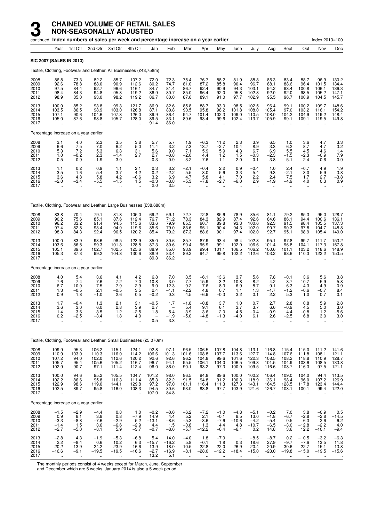**3**

|                                      |                                                   |                                                         | continued Index numbers of sales per week and percentage increase on a year earlier |                                              |                                                          |                                                       |                                                         |                                                        |                                                          |                                               |                                                |                                                           |                                                           |                                                          |                                                              | Index 2013=100                                           |                                              |
|--------------------------------------|---------------------------------------------------|---------------------------------------------------------|-------------------------------------------------------------------------------------|----------------------------------------------|----------------------------------------------------------|-------------------------------------------------------|---------------------------------------------------------|--------------------------------------------------------|----------------------------------------------------------|-----------------------------------------------|------------------------------------------------|-----------------------------------------------------------|-----------------------------------------------------------|----------------------------------------------------------|--------------------------------------------------------------|----------------------------------------------------------|----------------------------------------------|
|                                      | Year                                              | 1st Qtr                                                 | 2nd Qtr                                                                             | 3rd Qtr                                      | 4th Qtr                                                  | Jan                                                   | Feb                                                     | Mar                                                    | Apr                                                      | May                                           | June                                           | July                                                      | Aug                                                       | Sept                                                     | Oct                                                          | Nov                                                      | Dec                                          |
| <b>SIC 2007 (SALES IN 2013)</b>      |                                                   |                                                         |                                                                                     |                                              |                                                          |                                                       |                                                         |                                                        |                                                          |                                               |                                                |                                                           |                                                           |                                                          |                                                              |                                                          |                                              |
|                                      |                                                   |                                                         | Textile, Clothing, Footwear and Leather, All Businesses (£43,758m)                  |                                              |                                                          |                                                       |                                                         |                                                        |                                                          |                                               |                                                |                                                           |                                                           |                                                          |                                                              |                                                          |                                              |
| 2008<br>2009<br>2010<br>2011<br>2012 | 86.8<br>92.6<br>97.5<br>98.4<br>98.9              | 73.3<br>78.8<br>84.4<br>84.3<br>85.0                    | 82.2<br>88.0<br>92.7<br>94.8<br>93.0                                                | 85.7<br>90.9<br>96.6<br>95.3<br>98.2         | 107.2<br>112.6<br>116.1<br>119.2<br>119.2                | 72.0<br>80.2<br>84.7<br>86.9<br>86.7                  | 72.3<br>74.7<br>81.4<br>80.7<br>80.0                    | 75.4<br>81.0<br>86.7<br>85.0<br>87.6                   | 76.7<br>87.2<br>92.4<br>96.4<br>89.1                     | 88.2<br>85.8<br>90.9<br>92.0<br>91.0          | 81.9<br>90.4<br>94.3<br>95.8<br>97.7           | 88.8<br>96.7<br>103.1<br>102.8<br>102.9                   | 85.3<br>88.1<br>94.2<br>92.0<br>95.5                      | 83.4<br>88.6<br>93.4<br>92.0<br>96.7                     | 88.7<br>96.4<br>100.8<br>98.5<br>100.9                       | 96.9<br>101.5<br>106.1<br>105.2<br>104.5                 | 130.2<br>134.4<br>136.3<br>147.1<br>145.7    |
| 2013<br>2014<br>2015<br>2016<br>2017 | 100.0<br>103.5<br>107.1<br>105.0<br>$\ddotsc$     | 85.2<br>86.5<br>90.6<br>87.6                            | 93.8<br>98.9<br>104.6<br>98.8                                                       | 99.3<br>103.0<br>107.3<br>105.7              | 121.7<br>126.8<br>126.0<br>128.0                         | 86.9<br>87.1<br>89.9<br>89.5<br>91.4                  | 82.6<br>80.8<br>86.4<br>83.1<br>86.0                    | 85.8<br>90.5<br>94.7<br>89.6                           | 88.7<br>95.8<br>101.4<br>93.4                            | 93.0<br>98.2<br>102.3<br>99.6                 | 98.5<br>101.8<br>109.0<br>102.4                | 102.5<br>108.0<br>110.5<br>113.7                          | 96.4<br>105.4<br>108.0<br>105.9                           | 99.1<br>97.0<br>104.2<br>99.1                            | 100.2<br>103.2<br>104.9<br>109.1                             | 109.7<br>116.1<br>119.2<br>119.5                         | 148.6<br>154.2<br>148.4<br>149.8             |
|                                      |                                                   | Percentage increase on a year earlier                   |                                                                                     |                                              |                                                          |                                                       |                                                         |                                                        |                                                          |                                               |                                                |                                                           |                                                           |                                                          |                                                              |                                                          |                                              |
| 2008<br>2009<br>2010<br>2011<br>2012 | 3.1<br>6.6<br>5.3<br>1.0<br>0.5                   | 4.0<br>7.5<br>7.2<br>$-0.2$<br>0.9                      | 2.3<br>7.0<br>5.3<br>2.3<br>$-1.9$                                                  | 3.5<br>6.2<br>6.3<br>$-1.4$<br>3.0           | 3.8<br>5.0<br>3.1<br>2.7<br>$\overline{\phantom{a}}$     | 5.7<br>11.4<br>5.6<br>2.7<br>$-0.3$                   | 5.7<br>3.2<br>9.0<br>$-0.8$<br>$-0.9$                   | 1.9<br>7.3<br>7.1<br>$-2.0$<br>3.2                     | $-6.3$<br>13.7<br>5.9<br>4.4<br>$-7.6$                   | 11.2<br>$-2.7$<br>5.9<br>1.2<br>$-1.1$        | 2.3<br>10.4<br>4.3<br>1.5<br>2.0               | 3.9<br>8.9<br>6.7<br>$-0.3$<br>0.1                        | 6.5<br>3.3<br>6.9<br>$-2.3$<br>3.8                        | 1.0<br>6.2<br>5.5<br>$-1.5$<br>5.1                       | 3.6<br>8.7<br>4.5<br>$-2.3$<br>2.4                           | 4.7<br>4.7<br>4.6<br>$-0.9$<br>-0.6                      | 3.3<br>3.2<br>1.4<br>7.9<br>$-0.9$           |
| 2013<br>2014<br>2015<br>2016<br>2017 | 1.1<br>3.5<br>3.6<br>-2.0<br>٠.                   | 0.2<br>1.6<br>4.8<br>$-3.4$<br>$\ddot{\phantom{a}}$     | 0.9<br>5.4<br>5.8<br>$-5.5$<br>$\ddot{\phantom{a}}$                                 | 1.1<br>3.7<br>4.2<br>$-1.5$<br>τ.            | 2.1<br>4.2<br>$-0.6$<br>1.5<br>$\ddot{\phantom{a}}$      | 0.3<br>0.2<br>3.2<br>$-0.3$<br>2.0                    | 3.2<br>$-2.2$<br>6.9<br>$-3.8$<br>3.5                   | $-2.1$<br>5.5<br>4.7<br>$-5.3$<br>$\ddot{\phantom{a}}$ | $-0.4$<br>8.0<br>5.8<br>$-7.8$<br>$\ddot{\phantom{a}}$   | 2.2<br>5.6<br>4.1<br>$-2.7$<br>$\ddotsc$      | 0.9<br>3.3<br>7.0<br>$-6.0$<br>$\ddotsc$       | $-0.4$<br>5.4<br>2.2<br>2.9<br>$\ddot{\phantom{a}}$       | 1.0<br>9.3<br>2.4<br>$-1.9$<br>$\ddot{\phantom{a}}$       | 2.4<br>$-2.1$<br>7.5<br>$-4.9$<br>$\ddot{\phantom{a}}$   | $-0.7$<br>3.0<br>1.7<br>4.0<br>$\ddotsc$                     | 4.9<br>5.9<br>2.7<br>0.3<br>$\ddotsc$                    | 1.9<br>3.8<br>$-3.8$<br>0.9                  |
|                                      |                                                   |                                                         | Textile, Clothing, Footwear and Leather, Large Businesses (£38,688m)                |                                              |                                                          |                                                       |                                                         |                                                        |                                                          |                                               |                                                |                                                           |                                                           |                                                          |                                                              |                                                          |                                              |
| 2008<br>2009<br>2010<br>2011<br>2012 | 83.8<br>90.2<br>96.2<br>97.4<br>98.3              | 70.4<br>75.6<br>83.2<br>82.8<br>84.3                    | 79.1<br>85.1<br>91.4<br>93.4<br>92.4                                                | 81.8<br>87.6<br>94.5<br>94.0<br>96.5         | 105.0<br>112.4<br>115.6<br>119.6<br>120.2                | 69.2<br>76.7<br>83.6<br>85.6<br>85.4                  | 69.1<br>71.2<br>79.9<br>79.0<br>79.2                    | 72.7<br>78.3<br>85.5<br>83.6<br>87.3                   | 72.8<br>84.3<br>90.7<br>95.1<br>88.6                     | 85.6<br>82.9<br>89.8<br>90.4<br>90.1          | 78.9<br>87.4<br>93.3<br>94.3<br>97.4           | 85.6<br>92.6<br>100.6<br>102.0<br>102.0                   | 81.1<br>84.6<br>92.3<br>90.7<br>92.7                      | 79.2<br>86.1<br>91.5<br>90.3<br>95.1                     | 85.3<br>94.4<br>98.4<br>97.8<br>98.9                         | 95.0<br>100.6<br>105.5<br>104.7<br>105.4                 | 128.7<br>136.1<br>137.3<br>148.8<br>149.0    |
| 2013<br>2014<br>2015<br>2016<br>2017 | 100.0<br>103.6<br>105.1<br>105.3<br>ă,            | 83.9<br>86.5<br>89.6<br>87.3<br>ä,                      | 93.6<br>99.3<br>102.7<br>99.2<br>$\ddot{\phantom{a}}$                               | 98.5<br>101.3<br>102.5<br>104.3<br>τ.        | 123.9<br>128.8<br>125.6<br>130.6<br>$\ddot{\phantom{a}}$ | 85.0<br>87.3<br>88.9<br>88.9<br>89.3                  | 80.6<br>80.6<br>85.0<br>83.4<br>86.2                    | 85.7<br>90.4<br>93.9<br>89.2<br>$\ddot{\phantom{1}}$   | 87.9<br>95.9<br>99.4<br>94.7                             | 93.4<br>99.1<br>101.1<br>99.8                 | 98.4<br>102.0<br>106.5<br>102.2                | 102.8<br>106.6<br>106.2<br>112.6                          | 95.1<br>101.4<br>100.6<br>103.2<br>$\ddot{\phantom{a}}$   | 97.8<br>96.8<br>101.1<br>98.6                            | 99.7<br>104.1<br>103.2<br>110.3                              | 111.7<br>117.3<br>118.6<br>122.2<br>$\ddot{\phantom{a}}$ | 153.2<br>157.8<br>148.9<br>153.5             |
|                                      |                                                   | Percentage increase on a year earlier                   |                                                                                     |                                              |                                                          |                                                       |                                                         |                                                        |                                                          |                                               |                                                |                                                           |                                                           |                                                          |                                                              |                                                          |                                              |
| 2008<br>2009<br>2010<br>2011<br>2012 | 4.0<br>7.6<br>6.7<br>1.3<br>0.9                   | 5.4<br>7.4<br>10.0<br>$-0.5$<br>1.8                     | 3.6<br>7.6<br>7.5<br>2.1<br>$-1.0$                                                  | 4.1<br>7.2<br>7.9<br>$-0.5$<br>2.6           | 4.2<br>7.0<br>2.9<br>3.5<br>0.5                          | 6.8<br>10.8<br>9.0<br>2.4<br>$-0.2$                   | 7.0<br>3.0<br>12.3<br>$-1.1$<br>0.3                     | $\frac{3.5}{7.7}$<br>9.2<br>$-2.2$<br>4.5              | $-6.1$<br>15.9<br>7.6<br>4.8<br>$-6.9$                   | 13.6<br>$-3.2$<br>8.3<br>0.7<br>$-0.3$        | 3.7<br>10.8<br>6.9<br>1.1<br>3.2               | 5.6<br>8.2<br>8.7<br>1.3<br>0.1                           | 7.8<br>4.2<br>9.1<br>$-1.7$<br>2.2                        | $-0.1$<br>8.7<br>6.3<br>$-1.2$<br>5.3                    | 3.6<br>10.7<br>4.3<br>$-0.6$<br>1.0                          | 5.6<br>5.9<br>4.9<br>$-0.7$<br>0.7                       | $\frac{3.8}{5.8}$<br>0.9<br>8.4<br>0.1       |
| 2013<br>2014<br>2015<br>2016<br>2017 | 1.7<br>3.6<br>1.4<br>0.2<br>ă,                    | $-0.4$<br>3.0<br>3.6<br>$-2.5$                          | 1.3<br>6.0<br>3.5<br>$-3.4$                                                         | 2.1<br>2.8<br>1.2<br>1.8<br>                 | 3.1<br>3.9<br>$-2.5$<br>4.0                              | $-0.5$<br>2.7<br>1.8<br>0.5                           | 1.7<br>$\overline{\phantom{0}}$<br>5.4<br>$-1.9$<br>3.3 | $-1.8$<br>5.4<br>3.9<br>$-5.0$                         | $-0.8$<br>9.1<br>3.6<br>-4.8                             | 3.7<br>6.1<br>2.0<br>$-1.3$                   | 1.0<br>3.7<br>4.5<br>$-4.0$                    | 0.7<br>3.7<br>$-0.4$<br>6.1                               | 2.7<br>6.6<br>$-0.9$<br>2.6                               | 2.8<br>$-0.9$<br>4.4<br>$-2.5$                           | 0.8<br>4.5<br>-0.8<br>6.8                                    | 5.9<br>5.0<br>1.2<br>3.0                                 | 2.8<br>3.0<br>-5.6<br>3.0                    |
|                                      |                                                   |                                                         | Textile, Clothing, Footwear and Leather, Small Businesses (£5,070m)                 |                                              |                                                          |                                                       |                                                         |                                                        |                                                          |                                               |                                                |                                                           |                                                           |                                                          |                                                              |                                                          |                                              |
| 2008<br>2009<br>2010<br>2011<br>2012 | 109.9<br>110.9<br>107.2<br>105.7<br>102.9         | 95.3<br>103.0<br>94.0<br>95.4<br>90.7                   | 106.2<br>110.3<br>102.0<br>105.6<br>97.1                                            | 115.1<br>116.0<br>112.6<br>105.2<br>111.4    | 124.1<br>114.2<br>120.2<br>116.7<br>112.4                | 92.8<br>106.6<br>92.6<br>96.7<br>96.0                 | 97.1<br>101.3<br>92.6<br>94.1<br>86.0                   | 96.5<br>101.6<br>96.2<br>95.5<br>90.1                  | 106.5<br>108.8<br>104.8<br>106.1<br>93.2                 | 107.8<br>107.7<br>99.6<br>104.0<br>97.3       | 104.8<br>113.6<br>101.6<br>106.5<br>100.0      | 113.1<br>$\frac{127.7}{122.3}$<br>109.3<br>109.5          | 116.8<br>114.8<br>108.5<br>101.5<br>116.6                 | 115.4<br>107.6<br>108.2<br>104.9<br>108.7                | 115.0<br>111.8<br>118.8<br>103.6<br>116.3                    | 111.2<br>108.1<br>110.9<br>108.5<br>97.5                 | 141.6<br>121.1<br>128.7<br>133.8<br>121.1    |
| 2013<br>2014<br>2015<br>2016<br>2017 | 100.0<br>102.2<br>122.9<br>102.5<br>ă,            | 94.6<br>86.6<br>98.6<br>89.7<br>ä,                      | 95.2<br>95.8<br>119.0<br>95.8<br>ä.                                                 | 105.5<br>116.3<br>144.1<br>116.0<br>ä,       | 104.7<br>111.4<br>129.8<br>108.3<br>÷.                   | 101.2<br>85.3<br>97.2<br>94.5<br>107.0                | 98.0<br>82.2<br>97.0<br>80.6<br>84.8                    | 86.5<br>91.5<br>101.1<br>93.0<br>$\ddot{\phantom{1}}$  | 94.8<br>94.8<br>116.4<br>83.8<br>$\ddot{\phantom{1}}$    | 89.6<br>91.2<br>111.3<br>97.7                 | 100.0<br>100.3<br>127.3<br>103.9               | 100.2<br>118.9<br>143.1<br>121.6                          | 106.4<br>136.1<br>164.5<br>126.7                          | 109.0<br>98.4<br>128.5<br>103.1                          | 104.0<br>96.0<br>117.8<br>100.1                              | 94.4<br>107.2<br>123.4<br>99.4                           | 113.5<br>126.9<br>144.4<br>122.0             |
|                                      |                                                   | Percentage increase on a year earlier                   |                                                                                     |                                              |                                                          |                                                       |                                                         |                                                        |                                                          |                                               |                                                |                                                           |                                                           |                                                          |                                                              |                                                          |                                              |
| 2008<br>2009<br>2010<br>2011<br>2012 | $-1.5$<br>$0.9 - 3.3$<br>$-1.4$<br>$-2.7$         | $-2.9$<br>8.1<br>$-8.8$<br>1.5<br>$-5.0$                | $-4.4$<br>3.8<br>$-7.6$<br>3.6<br>$-8.1$                                            | 0.8<br>0.8<br>$-2.9$<br>$-6.6$<br>5.9        | 1.0<br>$-7.9$<br>5.2<br>$-2.9$<br>$-3.\bar{7}$           | $-0.2$<br>14.9<br>$-13.\overline{1}$<br>4.4<br>$-0.7$ | $-0.6$<br>4.4<br>$-8.6$<br>1.5<br>$-8.6$                | $-6.2$<br>5.2<br>$-5.\overline{3}$<br>$-0.8$<br>$-5.7$ | $-7.2$<br>2.1<br>$-3.6$<br>1.3<br>$-12.2$                | $-1.0$<br>$-0.1$<br>$-7.6$<br>4.4<br>$-6.4$   | $-4.8$<br>8.5<br>$-10.6$<br>4.8<br>$-6.1$      | $-5.1$<br>13.0<br>$-4.2$<br>$-10.7$<br>0.2                | $-0.2$<br>$-1.8$<br>$-5.4$<br>$-6.5$<br>14.8              | 7.0<br>$-6.7$<br>0.5<br>$-3.0$<br>3.6                    | 3.8<br>$-2.8$<br>$6.3\,$<br>$-12.8$<br>12.2                  | $-0.9$<br>$-2.8$<br>2.6<br>$-2.2$<br>$-10.1$             | $-14.5$<br>6.2<br>4.0<br>$-9.4$              |
| 2013<br>2014<br>2015<br>2016<br>2017 | $-2.8$<br>$^{2.2}_{20.2}$<br>$-16.6$<br>$\ddotsc$ | 4.3<br>$-8.4$<br>13.9<br>$-9.1$<br>$\ddot{\phantom{1}}$ | $-1.9$<br>0.6<br>24.2<br>$-19.5$<br>$\ddot{\phantom{1}}$                            | $-5.3$<br>10.2<br>23.9<br>-19.5<br>$\ddotsc$ | $-6.8$<br>6.3<br>16.6<br>$-16.6$<br>$\ddotsc$            | 5.4<br>$-15.7$<br>13.9<br>$-2.7$<br>13.2              | 14.0<br>$-16.2$<br>18.0<br>$-16.9$<br>5.1               | $-4.0$<br>5.8<br>10.5<br>$-8.1$<br>$\ddotsc$           | 1.8<br>$-0.1$<br>22.8<br>$-28.0$<br>$\ddot{\phantom{1}}$ | $-7.9$<br>1.8<br>22.0<br>$-12.2$<br>$\ddotsc$ | 0.3<br>26.9<br>$-18.4$<br>$\ddot{\phantom{1}}$ | $-8.5$<br>18.6<br>20.4<br>$-15.0$<br>$\ddot{\phantom{a}}$ | $-8.7$<br>27.9<br>20.9<br>$-23.0$<br>$\ddot{\phantom{a}}$ | 0.2<br>$-9.7$<br>30.6<br>$-19.8$<br>$\ddot{\phantom{a}}$ | $-10.5$<br>$-7.6$<br>22.7<br>$-15.0$<br>$\ddot{\phantom{1}}$ | $-3.2$<br>13.5<br>15.1<br>$-19.5$<br>$\ddotsc$           | $-6.3$<br>11.8<br>$13.8 - 15.6$<br>$\ddotsc$ |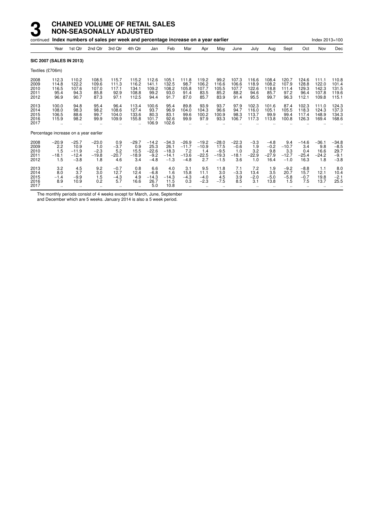**3**

|                                       |                                          |                                                 | continued Index numbers of sales per week and percentage increase on a year earlier |                                              |                                           |                                                |                                                 |                                                |                                             |                                                |                                            |                                           |                                            |                                            |                                          | Index 2013=100                            |                                               |
|---------------------------------------|------------------------------------------|-------------------------------------------------|-------------------------------------------------------------------------------------|----------------------------------------------|-------------------------------------------|------------------------------------------------|-------------------------------------------------|------------------------------------------------|---------------------------------------------|------------------------------------------------|--------------------------------------------|-------------------------------------------|--------------------------------------------|--------------------------------------------|------------------------------------------|-------------------------------------------|-----------------------------------------------|
|                                       | Year                                     | 1st Qtr                                         | 2nd Qtr                                                                             | 3rd Qtr                                      | 4th Qtr                                   | Jan                                            | Feb                                             | Mar                                            | Apr                                         | May                                            | June                                       | July                                      | Aug                                        | Sept                                       | Oct                                      | Nov                                       | Dec                                           |
| <b>SIC 2007 (SALES IN 2013)</b>       |                                          |                                                 |                                                                                     |                                              |                                           |                                                |                                                 |                                                |                                             |                                                |                                            |                                           |                                            |                                            |                                          |                                           |                                               |
| Textiles (£706m)                      |                                          |                                                 |                                                                                     |                                              |                                           |                                                |                                                 |                                                |                                             |                                                |                                            |                                           |                                            |                                            |                                          |                                           |                                               |
| 2008<br>2009<br>2010<br>2011<br>2012  | 112.3<br>114.8<br>116.5<br>95.4<br>96.9  | 110.2<br>122.2<br>107.6<br>94.3<br>90.7         | 108.5<br>109.6<br>107.0<br>85.8<br>87.3                                             | 115.7<br>111.3<br>117.1<br>92.9<br>97.1      | 115.2<br>116.2<br>134.1<br>108.8<br>112.5 | 112.6<br>141.1<br>109.2<br>99.2<br>94.4        | 105.1<br>132.5<br>108.2<br>93.0<br>91.7         | 111.8<br>98.7<br>105.8<br>91.4<br>87.0         | 119.2<br>106.2<br>107.7<br>83.5<br>85.7     | 99.2<br>116.6<br>105.5<br>85.2<br>83.9         | 107.3<br>106.6<br>107.7<br>88.2<br>91.4    | 116.6<br>118.9<br>122.6<br>94.6<br>95.5   | 108.4<br>108.2<br>118.8<br>85.7<br>99.7    | 120.7<br>107.9<br>111.4<br>97.2<br>96.3    | 124.6<br>128.8<br>129.3<br>96.4<br>112.1 | 111.1<br>122.0<br>142.3<br>107.8<br>109.8 | 110.8<br>101.4<br>131.5<br>119.6<br>115.1     |
| 2013<br>2014<br>2015<br>2016<br>2017  | 100.0<br>108.0<br>106.5<br>115.9         | 94.8<br>98.3<br>88.6<br>98.2                    | 95.4<br>98.2<br>99.7<br>99.9                                                        | 96.4<br>108.6<br>104.0<br>109.9              | 113.4<br>127.4<br>133.6<br>155.8          | 100.6<br>93.7<br>80.3<br>101.7<br>106.9        | 95.4<br>96.9<br>83.1<br>92.6<br>102.6           | 89.8<br>104.0<br>99.6<br>99.9                  | 93.9<br>104.3<br>100.2<br>97.9              | 93.7<br>96.6<br>100.9<br>93.3                  | 97.9<br>94.7<br>98.3<br>106.7              | 102.3<br>116.0<br>113.7<br>117.3          | 101.6<br>105.1<br>99.9<br>113.8            | 87.4<br>105.5<br>99.4<br>100.8             | 102.3<br>118.3<br>117.4<br>126.3         | 111.0<br>124.3<br>148.9<br>169.4          | 124.3<br>137.3<br>134.3<br>168.6              |
| Percentage increase on a year earlier |                                          |                                                 |                                                                                     |                                              |                                           |                                                |                                                 |                                                |                                             |                                                |                                            |                                           |                                            |                                            |                                          |                                           |                                               |
| 2008<br>2009<br>2010<br>2011<br>2012  | $-20.9$<br>2.2<br>1.5<br>$-18.1$<br>1.5  | $-25.7$<br>10.9<br>$-11.9$<br>$-12.4$<br>$-3.8$ | $-23.0$<br>1.0<br>$-2.3$<br>$-19.8$<br>1.8                                          | 0.9<br>$-3.7$<br>5.2<br>$-20.7$<br>4.6       | $-29.7$<br>0.9<br>15.5<br>$-18.9$<br>3.4  | $-14.2$<br>25.3<br>$-22.6$<br>$-9.2$<br>$-4.8$ | $-34.3$<br>26.1<br>$-18.3$<br>$-14.1$<br>$-1.3$ | $-26.9$<br>$-11.7$<br>7.2<br>$-13.6$<br>$-4.8$ | $-19.2$<br>$-10.9$<br>1.4<br>$-22.5$<br>2.7 | $-28.0$<br>17.5<br>$-9.5$<br>$-19.3$<br>$-1.5$ | $-22.3$<br>$-0.6$<br>1.0<br>$-18.1$<br>3.6 | $-3.3$<br>1.9<br>3.2<br>$-22.9$<br>1.0    | $-4.8$<br>$-0.2$<br>9.8<br>$-27.9$<br>16.4 | 9.4<br>$-10.7$<br>3.3<br>$-12.7$<br>$-1.0$ | $-14.6$<br>3.4<br>0.4<br>$-25.4$<br>16.3 | $-36.1$<br>9.8<br>16.6<br>$-24.2$<br>1.8  | $-34.8$<br>$-8.5$<br>29.7<br>$-9.1$<br>$-3.8$ |
| 2013<br>2014<br>2015<br>2016<br>2017  | 3.2<br>8.0<br>$-1.4$<br>8.9<br>$\ddotsc$ | 4.5<br>3.7<br>$-9.9$<br>10.9<br>$\ddotsc$       | 9.2<br>3.0<br>1.5<br>0.2                                                            | $-0.7$<br>12.7<br>$-4.3$<br>5.7<br>$\ddotsc$ | 0.8<br>12.4<br>4.9<br>16.6                | 6.6<br>$-6.8$<br>$-14.3$<br>26.7<br>5.0        | 4.0<br>1.6<br>$-14.3$<br>11.5<br>10.8           | 3.1<br>15.8<br>$-4.3$<br>0.3                   | 9.5<br>11.1<br>$-4.0$<br>$-2.3$             | 11.8<br>3.0<br>4.5<br>$-7.5$<br>$\ddotsc$      | 7.1<br>$-3.3$<br>3.9<br>8.5<br>$\ddotsc$   | 7.2<br>13.4<br>$-2.0$<br>3.1<br>$\ddotsc$ | 1.9<br>3.5<br>$-5.0$<br>13.8               | $-9.2$<br>20.7<br>$-5.8$<br>1.5            | $-8.8$<br>15.7<br>$-0.7$<br>7.5          | 1.1<br>12.1<br>19.8<br>13.7               | 8.0<br>10.4<br>$-2.1$<br>25.5                 |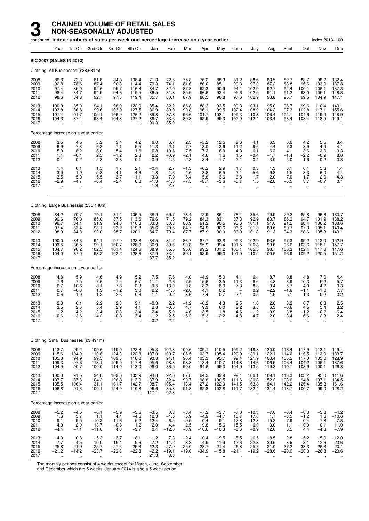**3**

|                                      |                                                     |                                            | continued Index numbers of sales per week and percentage increase on a year earlier |                                                  |                                                     |                                          |                                           |                                                        |                                                       |                                                         |                                             |                                                |                                           |                                           |                                                         | Index 2013=100                                         |                                               |
|--------------------------------------|-----------------------------------------------------|--------------------------------------------|-------------------------------------------------------------------------------------|--------------------------------------------------|-----------------------------------------------------|------------------------------------------|-------------------------------------------|--------------------------------------------------------|-------------------------------------------------------|---------------------------------------------------------|---------------------------------------------|------------------------------------------------|-------------------------------------------|-------------------------------------------|---------------------------------------------------------|--------------------------------------------------------|-----------------------------------------------|
|                                      | Year                                                | 1st Qtr                                    | 2nd Qtr                                                                             | 3rd Qtr                                          | 4th Qtr                                             | Jan                                      | Feb                                       | Mar                                                    | Apr                                                   | May                                                     | June                                        | July                                           | Aug                                       | Sept                                      | Oct                                                     | Nov                                                    | Dec                                           |
|                                      |                                                     | <b>SIC 2007 (SALES IN 2013)</b>            |                                                                                     |                                                  |                                                     |                                          |                                           |                                                        |                                                       |                                                         |                                             |                                                |                                           |                                           |                                                         |                                                        |                                               |
|                                      |                                                     | Clothing, All Businesses (£38,631m)        |                                                                                     |                                                  |                                                     |                                          |                                           |                                                        |                                                       |                                                         |                                             |                                                |                                           |                                           |                                                         |                                                        |                                               |
| 2008<br>2009<br>2010<br>2011<br>2012 | 86.8<br>92.8<br>97.4<br>98.4<br>98.6                | 73.3<br>78.6<br>85.0<br>84.7<br>84.8       | 81.8<br>87.4<br>92.6<br>94.9<br>92.7                                                | 84.8<br>90.8<br>95.7<br>94.6<br>97.3             | 108.4<br>114.4<br>116.3<br>119.5<br>119.4           | 71.3<br>79.3<br>84.7<br>86.5<br>85.7     | 72.6<br>74.1<br>82.0<br>81.3<br>80.1      | 75.8<br>81.6<br>87.8<br>85.9<br>87.9                   | 76.2<br>86.0<br>92.3<br>96.6<br>88.5                  | 88.3<br>85.1<br>90.9<br>92.4<br>90.8                    | 81.2<br>90.3<br>94.1<br>95.6<br>97.6        | 88.6<br>97.0<br>102.9<br>102.5<br>102.9        | 83.5<br>87.2<br>92.7<br>91.1<br>93.8      | 82.7<br>88.8<br>92.4<br>91.2<br>95.7      | 88.7<br>96.6<br>100.1<br>98.0<br>99.5                   | 98.2<br>103.0<br>106.1<br>105.1<br>104.9               | 132.4<br>137.8<br>137.3<br>148.3<br>147.1     |
| 2013<br>2014<br>2015<br>2016<br>2017 | 100.0<br>103.8<br>107.4<br>104.3                    | 85.0<br>86.6<br>91.7<br>87.4               | 94.1<br>99.6<br>105.1<br>98.4                                                       | 98.9<br>103.0<br>106.9<br>104.3                  | 122.0<br>127.5<br>126.2<br>127.2                    | 85.4<br>86.9<br>89.8<br>88.7<br>90.3     | 82.2<br>80.9<br>87.3<br>83.6<br>85.9      | 86.8<br>90.8<br>96.6<br>89.3                           | 88.3<br>96.1<br>101.7<br>92.9                         | 93.5<br>99.5<br>103.1<br>99.3                           | 99.3<br>102.4<br>109.3<br>102.0             | 103.1<br>108.9<br>110.8<br>112.4               | 95.0<br>104.3<br>106.4<br>103.4           | 98.7<br>97.3<br>104.1<br>98.4             | 99.6<br>102.8<br>104.6<br>108.4                         | 110.4<br>117.1<br>119.4<br>118.5                       | 149.1<br>155.6<br>148.9<br>149.1              |
|                                      |                                                     | Percentage increase on a year earlier      |                                                                                     |                                                  |                                                     |                                          |                                           |                                                        |                                                       |                                                         |                                             |                                                |                                           |                                           |                                                         |                                                        |                                               |
| 2008<br>2009<br>2010<br>2011<br>2012 | 3.5<br>6.9<br>5.0<br>1.1<br>0.1                     | 4.5<br>7.3<br>8.2<br>$-0.4$<br>0.2         | 3.2<br>6.8<br>6.0<br>2.5<br>$-2.3$                                                  | 3.4<br>7.1<br>5.4<br>$-1.2$<br>2.8               | $\frac{4.2}{5.5}$<br>1.6<br>2.8<br>$-0.1$           | 6.0<br>11.3<br>6.8<br>2.2<br>$-0.9$      | 6.7<br>2.1<br>10.6<br>$-0.9$<br>$-1.5$    | $2.3$<br>7.7<br>7.5<br>$-2.1$<br>2.3                   | $-5.2$<br>13.0<br>7.3<br>4.6<br>$-8.4$                | 12.5<br>$-3.6$<br>6.9<br>1.6<br>$-1.7$                  | 2.6<br>11.2<br>4.3<br>1.5<br>2.1            | 4.1<br>9.6<br>6.1<br>$-0.4$<br>0.4             | 6.3<br>4.4<br>6.3<br>$-1.7$<br>3.0        | 0.6<br>7.3<br>4.1<br>$-1.4$<br>5.0        | 4.2<br>8.9<br>3.6<br>-2.2<br>1.6                        | 5.5<br>4.9<br>3.0<br>$-0.9$<br>$-0.2$                  | 3.4<br>4.1<br>$-0.3$<br>8.0<br>$-0.8$         |
| 2013<br>2014<br>2015<br>2016<br>2017 | 1.4<br>3.9<br>3.5<br>$-2.9$<br>$\ddot{\phantom{a}}$ | 0.1<br>1.9<br>5.9<br>$-4.7$<br>ä.          | 1.5<br>5.8<br>5.5<br>$-6.4$<br>$\ddot{\phantom{a}}$                                 | 1.7<br>4.1<br>3.7<br>$-2.4$<br>$\ddotsc$         | 2.1<br>4.6<br>$-1.1$<br>0.8<br>$\ddot{\phantom{1}}$ | $-0.4$<br>1.8<br>3.3<br>$-1.3$<br>1.9    | 2.7<br>$-1.6$<br>7.9<br>$-4.3$<br>2.7     | $-1.3$<br>4.6<br>6.4<br>$-7.5$<br>$\ddot{\phantom{a}}$ | $-0.2$<br>8.8<br>5.8<br>$-8.7$                        | 2.9<br>6.5<br>3.6<br>$-3.6$                             | 1.7<br>3.1<br>6.8<br>$-6.7$                 | 0.3<br>5.6<br>1.7<br>1.5<br>$\mathbf{a}$       | 1.3<br>9.8<br>2.0<br>$-2.8$               | 3.1<br>$-1.5$<br>7.0<br>$-5.5$            | 0.1<br>3.3<br>1.7<br>3.7<br>÷.                          | 5.3<br>6.0<br>2.0<br>$-0.7$<br>$\ddot{\phantom{a}}$    | 1.4<br>4.4<br>-4.3<br>0.1                     |
|                                      |                                                     |                                            | Clothing, Large Businesses (£35,140m)                                               |                                                  |                                                     |                                          |                                           |                                                        |                                                       |                                                         |                                             |                                                |                                           |                                           |                                                         |                                                        |                                               |
| 2008<br>2009<br>2010<br>2011<br>2012 | 84.2<br>90.6<br>96.7<br>97.4<br>98.0                | 70.7<br>76.0<br>84.1<br>83.4<br>84.3       | 79.1<br>85.0<br>91.9<br>93.1<br>92.0                                                | 81.4<br>87.5<br>94.3<br>93.2<br>95.7             | 106.5<br>113.6<br>116.3<br>119.8<br>120.1           | 68.9<br>76.6<br>83.8<br>85.6<br>84.7     | 69.7<br>71.5<br>80.8<br>79.6<br>79.4      | 73.4<br>79.2<br>86.9<br>84.7<br>87.7                   | 72.9<br>84.3<br>91.2<br>94.9<br>87.9                  | 86.1<br>83.1<br>90.5<br>90.6<br>90.0                    | 78.4<br>87.3<br>93.6<br>93.6<br>96.9        | 85.6<br>92.9<br>101.1<br>101.3<br>101.8        | 79.9<br>83.7<br>91.6<br>89.6<br>91.3      | 79.2<br>86.2<br>91.2<br>89.7<br>94.3      | 85.8<br>94.7<br>98.4<br>97.3<br>98.6                    | 96.8<br>101.9<br>106.2<br>105.1<br>105.3               | 130.7<br>138.2<br>138.6<br>149.4<br>149.1     |
| 2013<br>2014<br>2015<br>2016<br>2017 | 100.0<br>103.5<br>104.7<br>104.0<br>ă,              | 84.3<br>86.5<br>90.2<br>87.0               | 94.1<br>99.1<br>102.5<br>98.2                                                       | 97.9<br>100.7<br>101.4<br>102.2<br>$\ddotsc$     | 123.8<br>128.9<br>124.6<br>128.8<br>$\ddotsc$       | 84.5<br>86.9<br>88.9<br>87.9<br>87.7     | 81.2<br>80.8<br>85.5<br>83.4<br>85.2      | 86.7<br>90.8<br>95.0<br>89.1                           | 87.7<br>95.9<br>99.2<br>93.9                          | 93.8<br>99.4<br>101.2<br>99.0                           | 99.3<br>101.5<br>106.1<br>101.0             | 102.9<br>106.8<br>105.5<br>110.5               | 93.6<br>99.6<br>98.7<br>100.6             | 97.3<br>96.6<br>100.3<br>96.9             | 99.2<br>103.6<br>102.4<br>109.2                         | 112.0<br>118.1<br>117.8<br>120.5                       | 152.9<br>157.7<br>147.6<br>151.2              |
|                                      |                                                     | Percentage increase on a year earlier      |                                                                                     |                                                  |                                                     |                                          |                                           |                                                        |                                                       |                                                         |                                             |                                                |                                           |                                           |                                                         |                                                        |                                               |
| 2008<br>2009<br>2010<br>2011<br>2012 | 4.8<br>7.6<br>6.7<br>0.7<br>0.6                     | $\frac{5.9}{7.5}$<br>10.6<br>$-0.8$<br>1.0 | 4.6<br>7.6<br>8.1<br>1.3<br>$-1.2$                                                  | $\frac{4.9}{7.5}$<br>7.8<br>$-1.2$<br>2.6        | 5.2<br>6.7<br>2.3<br>3.0<br>0.3                     | 7.5<br>11.1<br>9.5<br>2.2<br>$-1.1$      | 7.6<br>2.6<br>13.0<br>$-1.5$<br>$-0.2$    | 4.0<br>7.9<br>9.8<br>$-2.6$<br>3.6                     | $-4.9$<br>15.6<br>8.3<br>4.1<br>$-7.4$                | 15.0<br>$-3.5$<br>8.9<br>0.2<br>$-0.7$                  | 4.1<br>11.3<br>7.3<br>3.4                   | 6.4<br>8.6<br>8.8<br>0.2<br>0.5                | 8.7<br>4.8<br>9.4<br>$-2.2$<br>1.9        | 0.8<br>8.9<br>5.7<br>$-1.6$<br>5.1        | 4.8<br>10.3<br>4.0<br>$-1.1$<br>1.3                     | 7.0<br>5.2<br>4.2<br>$-1.0$<br>0.2                     | $4.4$<br>5.7<br>0.3<br>7.7<br>$-0.2$          |
| 2013<br>2014<br>2015<br>2016<br>2017 | 2.0<br>3.5<br>1.2<br>$-0.6$                         | 0.1<br>2.6<br>4.2<br>$-3.6$                | 2.2<br>5.4<br>3.4<br>$-4.2$                                                         | 2.3<br>2.9<br>0.8<br>0.8<br>$\ddot{\phantom{0}}$ | 3.1<br>4.1<br>$-3.4$<br>3.4                         | $-0.3$<br>2.8<br>2.4<br>$-1.2$<br>$-0.2$ | 2.2<br>$-0.5$<br>5.9<br>$-2.5$<br>2.2     | $-1.2$<br>4.7<br>4.6<br>$-6.2$                         | $-0.2$<br>9.3<br>3.5<br>$-5.3$                        | 4.3<br>6.0<br>1.8<br>$-2.2$                             | 2.5<br>2.2<br>4.6<br>$-4.8$                 | 1.0<br>3.8<br>$-1.2$<br>4.7                    | 2.6<br>6.3<br>$-0.9$<br>2.0               | 3.2<br>$-0.6$<br>3.8<br>$-3.4$            | 0.7<br>4.5<br>$-1.2$<br>6.6                             | 6.3<br>5.4<br>$-0.2$<br>2.3                            | 2.5<br>3.2<br>$-6.4$<br>2.4                   |
|                                      |                                                     | Clothing, Small Businesses (£3,491m)       |                                                                                     |                                                  |                                                     |                                          |                                           |                                                        |                                                       |                                                         |                                             |                                                |                                           |                                           |                                                         |                                                        |                                               |
| 2008<br>2009<br>2010<br>2011<br>2012 | 113.7<br>115.6<br>105.0<br>109.3<br>104.5           | 99.2<br>104.9<br>94.9<br>97.6<br>90.7      | 109.6<br>110.8<br>99.5<br>113.1<br>100.0                                            | 119.0<br>124.3<br>109.8<br>109.0<br>114.0        | 128.3<br>122.3<br>116.0<br>117.3<br>113.0           | 95.3<br>107.0<br>93.8<br>95.6<br>96.0    | 102.3<br>100.7<br>94.1<br>98.3<br>86.5    | 100.6<br>106.5<br>96.4<br>98.8<br>90.0                 | 109.1<br>103.7<br>103.3<br>113.4<br>94.6              | 110.5<br>105.4<br>95.7<br>110.7<br>99.3                 | 109.2<br>120.9<br>99.4<br>114.8<br>104.9    | 118.8<br>139.1<br>121.9<br>114.6<br>113.5      | 120.0<br>122.1<br>103.4<br>106.5<br>119.3 | 118.4<br>114.2<br>105.2<br>106.4<br>110.1 | 117.9<br>116.5<br>117.0<br>104.2<br>108.9               | 112.1<br>113.9<br>105.0<br>105.1<br>100.1              | 149.4<br>133.7<br>123.9<br>137.6<br>126.8     |
| 2013<br>2014<br>2015<br>2016<br>2017 | 100.0<br>107.7<br>135.5<br>106.8<br>÷.              | 91.5<br>87.3<br>106.4<br>91.3<br>ä,        | 94.8<br>104.3<br>131.1<br>100.1<br>$\ddot{\phantom{a}}$                             | 109.8<br>126.8<br>161.7<br>124.9<br>ä,           | 103.9<br>113.9<br>142.7<br>110.8<br>$\ddotsc$       | 94.8<br>87.9<br>98.7<br>96.6<br>117.1    | 92.8<br>82.4<br>105.4<br>85.3<br>92.3     | 87.8<br>90.7<br>113.4<br>91.8<br>ä.                    | 94.2<br>98.8<br>127.2<br>82.8<br>$\ddot{\phantom{a}}$ | 89.9<br>100.5<br>122.0<br>102.8<br>$\ddot{\phantom{a}}$ | 99.1<br>111.6<br>141.5<br>111.7             | 106.1<br>130.3<br>163.8<br>132.4               | 109.1<br>152.2<br>184.1<br>131.4          | 113.3<br>103.6<br>142.2<br>113.7          | 103.2<br>94.8<br>126.4<br>100.7<br>$\ddot{\phantom{1}}$ | 95.0<br>107.1<br>135.3<br>99.0<br>$\ddot{\phantom{a}}$ | 111.6<br>134.5<br>161.6<br>128.2              |
|                                      |                                                     | Percentage increase on a year earlier      |                                                                                     |                                                  |                                                     |                                          |                                           |                                                        |                                                       |                                                         |                                             |                                                |                                           |                                           |                                                         |                                                        |                                               |
| 2008<br>2009<br>2010<br>2011<br>2012 | $-5.2$<br>1.6<br>$-9.1$<br>4.0<br>$-4.4$            | $-4.5$<br>5.7<br>$-9.5$<br>2.9<br>$-7.1$   | $-6.1$<br>1.1<br>$-10.2$<br>13.7<br>$-11.6$                                         | $-5.9$<br>4.4<br>$-11.6$<br>$-0.8$<br>4.6        | $-3.6$<br>$-4.6$<br>$-5.2$<br>1.2<br>$-3.7$         | $-3.5$<br>12.3<br>$-12.4$<br>2.0<br>0.4  | 0.8<br>$-1.5$<br>$-6.5$<br>4.4<br>$-12.0$ | $-8.4$<br>5.9<br>$-9.5$<br>2.5<br>$-8.9$               | $-7.2$<br>$-4.9$<br>$-0.4$<br>9.8<br>$-16.6$          | $-3.7$<br>$-4.7$<br>$-9.1$<br>15.6<br>$-10.3$           | $-7.0$<br>10.7<br>$-17.8$<br>15.5<br>$-8.6$ | $-10.3$<br>17.0<br>$-12.3$<br>$-6.0$<br>$-0.9$ | $-7.6$<br>1.7<br>$-15.3$<br>3.0<br>12.0   | $-0.4$<br>$-3.5$<br>$-7.9$<br>1.1<br>3.5  | $-0.3$<br>$-1.2$<br>0.4<br>$-10.9$<br>4.4               | $-5.8$<br>1.6<br>$-7.8$<br>0.1<br>$-4.8$               | $-4.2$<br>$-10.6$<br>$-7.3$<br>11.0<br>$-7.9$ |
| 2013<br>2014<br>2015<br>2016<br>2017 | $-4.3$<br>7.7<br>25.8<br>-21.2                      | 0.8<br>$-4.5$<br>21.9<br>-14.2             | $-5.3$<br>10.0<br>25.7<br>$-23.7$<br>$\mathbf{r}$                                   | $-3.7$<br>15.4<br>27.6<br>-22.8                  | $-8.1$<br>9.6<br>25.3<br>$-22.3$                    | $-1.2$<br>$-7.2$<br>$12.3 - 2.2$<br>21.3 | 7.3<br>$-11.2$<br>27.9<br>$-19.1$<br>8.3  | $-2.4$<br>3.3<br>25.0<br>$-19.0$                       | $-0.4$<br>4.9<br>28.7<br>$-34.9$                      | $-9.5$<br>11.9<br>21.4<br>$-15.8$                       | $-5.5$<br>12.6<br>26.8<br>$-21.1$           | $-6.5$<br>22.8<br>25.7<br>$-19.2$              | $-8.5$<br>39.5<br>21.0<br>$-28.6$         | 2.8<br>$-8.6$<br>37.2<br>$-20.0$          | $-5.2$<br>$-8.1$<br>33.3<br>$-20.3$                     | $-5.0$<br>12.6<br>26.3<br>$-26.8$                      | $-12.0$<br>20.6<br>20.1<br>$-20.6$            |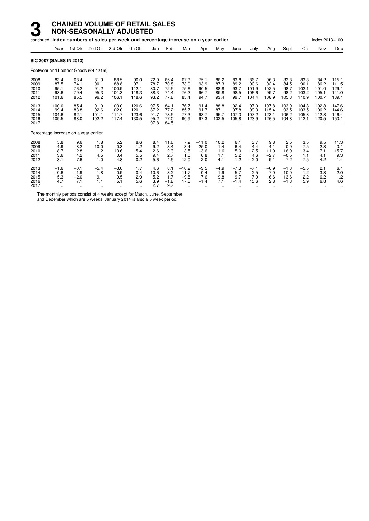**3**

|                                       |                                             |                                      | continued Index numbers of sales per week and percentage increase on a year earlier |                                         |                                               |                                      |                                       |                                       |                                            |                                      |                                      |                                         |                                        |                                       |                                         | Index 2013=100                          |                                           |
|---------------------------------------|---------------------------------------------|--------------------------------------|-------------------------------------------------------------------------------------|-----------------------------------------|-----------------------------------------------|--------------------------------------|---------------------------------------|---------------------------------------|--------------------------------------------|--------------------------------------|--------------------------------------|-----------------------------------------|----------------------------------------|---------------------------------------|-----------------------------------------|-----------------------------------------|-------------------------------------------|
|                                       | Year                                        | 1st Qtr                              | 2nd Qtr                                                                             | 3rd Qtr                                 | 4th Qtr                                       | Jan                                  | Feb                                   | Mar                                   | Apr                                        | May                                  | June                                 | July                                    | Aug                                    | Sept                                  | Oct                                     | Nov                                     | Dec                                       |
| <b>SIC 2007 (SALES IN 2013)</b>       |                                             |                                      |                                                                                     |                                         |                                               |                                      |                                       |                                       |                                            |                                      |                                      |                                         |                                        |                                       |                                         |                                         |                                           |
|                                       |                                             |                                      | Footwear and Leather Goods (£4,421m)                                                |                                         |                                               |                                      |                                       |                                       |                                            |                                      |                                      |                                         |                                        |                                       |                                         |                                         |                                           |
| 2008<br>2009<br>2010<br>2011<br>2012  | 83.4<br>87.5<br>95.1<br>98.6<br>101.6       | 68.4<br>74.1<br>76.2<br>79.4<br>85.5 | 81.9<br>90.1<br>91.2<br>95.3<br>96.2                                                | 88.5<br>88.8<br>100.9<br>101.3<br>106.1 | 96.0<br>97.1<br>112.1<br>118.3<br>118.6       | 72.0<br>78.7<br>80.7<br>88.3<br>93.2 | 65.4<br>70.8<br>72.5<br>74.4<br>77.8  | 67.3<br>73.0<br>75.6<br>76.3<br>85.4  | 75.1<br>93.9<br>90.5<br>96.7<br>94.7       | 86.2<br>87.3<br>88.8<br>89.8<br>93.4 | 83.8<br>89.2<br>93.7<br>98.5<br>99.7 | 86.7<br>90.6<br>101.9<br>106.6<br>104.4 | 96.3<br>92.4<br>102.5<br>99.7<br>108.9 | 83.8<br>84.5<br>98.7<br>98.2<br>105.3 | 83.8<br>90.1<br>102.1<br>103.2<br>110.9 | 84.2<br>86.2<br>101.0<br>105.1<br>100.7 | 115.1<br>111.5<br>129.1<br>141.0<br>139.1 |
| 2013<br>2014<br>2015<br>2016<br>2017  | 100.0<br>99.4<br>104.6<br>109.5             | 85.4<br>83.8<br>82.1<br>88.0         | 91.0<br>92.6<br>101.1<br>102.2                                                      | 103.0<br>102.0<br>111.7<br>117.4        | 120.6<br>120.1<br>123.6<br>130.5<br>$\ddotsc$ | 97.5<br>87.2<br>91.7<br>95.2<br>97.8 | 84.1<br>77.2<br>78.5<br>77.0<br>84.5  | 76.7<br>85.7<br>77.3<br>90.9          | 91.4<br>91.7<br>98.7<br>97.3               | 88.8<br>87.1<br>95.7<br>102.5        | 92.4<br>97.8<br>107.3<br>105.8       | 97.0<br>99.3<br>107.2<br>123.9          | 107.8<br>115.4<br>123.1<br>126.5       | 103.9<br>93.5<br>106.2<br>104.8       | 104.8<br>103.5<br>105.8<br>112.1        | 102.8<br>106.2<br>112.8<br>120.5        | 147.6<br>144.6<br>146.4<br>153.1          |
| Percentage increase on a year earlier |                                             |                                      |                                                                                     |                                         |                                               |                                      |                                       |                                       |                                            |                                      |                                      |                                         |                                        |                                       |                                         |                                         |                                           |
| 2008<br>2009<br>2010<br>2011<br>2012  | 5.8<br>4.9<br>8.7<br>3.6<br>3.1             | 9.6<br>8.2<br>2.8<br>4.2<br>7.6      | 1.8<br>10.0<br>1.2<br>4.5<br>1.0                                                    | 5.2<br>0.3<br>13.6<br>0.4<br>4.8        | 8.6<br>1.2<br>15.4<br>5.5<br>0.2              | 8.4<br>9.2<br>2.6<br>9.4<br>5.6      | 11.6<br>8.4<br>2.3<br>2.7<br>4.5      | 7.9<br>8.4<br>3.5<br>1.0<br>12.0      | $-11.0$<br>25.0<br>$-3.6$<br>6.8<br>$-2.0$ | 10.2<br>1.4<br>1.6<br>1.1<br>4.1     | 6.1<br>6.4<br>5.0<br>5.2<br>1.2      | 3.7<br>4.4<br>12.5<br>4.6<br>$-2.0$     | 9.8<br>$-4.1$<br>11.0<br>$-2.7$<br>9.1 | 2.5<br>0.9<br>16.9<br>$-0.5$<br>7.2   | 3.5<br>7.5<br>13.4<br>1.1<br>7.5        | 9.5<br>2.3<br>17.1<br>4.1<br>$-4.2$     | 11.3<br>$-3.1$<br>15.7<br>9.3<br>$-1.4$   |
| 2013<br>2014<br>2015<br>2016<br>2017  | $-1.6$<br>$-0.6$<br>5.3<br>4.7<br>$\ddotsc$ | $-0.1$<br>$-1.9$<br>$-2.0$<br>7.1    | $-5.4$<br>1.8<br>9.1<br>1.1                                                         | $-3.0$<br>$-0.9$<br>9.5<br>5.1          | 1.7<br>$-0.4$<br>2.9<br>5.6                   | 4.6<br>$-10.6$<br>5.2<br>3.9<br>2.7  | 8.1<br>$-8.2$<br>1.7<br>$-1.8$<br>9.7 | $-10.2$<br>11.7<br>$-9.8$<br>17.6<br> | $-3.5$<br>0.4<br>7.6<br>$-1.4$             | $-4.9$<br>$-1.9$<br>9.8<br>7.1       | $-7.3$<br>5.7<br>9.7<br>$-1.4$       | $-7.1$<br>2.5<br>7.9<br>15.6            | $-0.9$<br>7.0<br>6.6<br>2.8            | $-1.3$<br>$-10.0$<br>13.6<br>$-1.3$   | $-5.5$<br>$-1.2$<br>2.2<br>5.9          | 2.1<br>3.3<br>6.2<br>6.8                | 6.1<br>$-2.0$<br>1.2<br>4.6               |

The monthly periods consist of 4 weeks except for March, June, September

and December which are 5 weeks. January 2014 is also a 5 week period.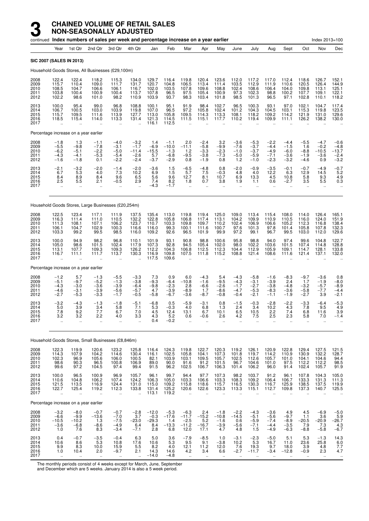**3**

|                                      |                                                          |                                                         | continued Index numbers of sales per week and percentage increase on a year earlier |                                                         |                                                          |                                               |                                                 |                                                      |                                                |                                              |                                                     |                                                |                                                |                                                         |                                             | Index 2013=100                                       |                                               |
|--------------------------------------|----------------------------------------------------------|---------------------------------------------------------|-------------------------------------------------------------------------------------|---------------------------------------------------------|----------------------------------------------------------|-----------------------------------------------|-------------------------------------------------|------------------------------------------------------|------------------------------------------------|----------------------------------------------|-----------------------------------------------------|------------------------------------------------|------------------------------------------------|---------------------------------------------------------|---------------------------------------------|------------------------------------------------------|-----------------------------------------------|
|                                      | Year                                                     | 1st Qtr                                                 | 2nd Qtr                                                                             | 3rd Qtr                                                 | 4th Qtr                                                  | Jan                                           | Feb                                             | Mar                                                  | Apr                                            | May                                          | June                                                | July                                           | Aug                                            | Sept                                                    | Oct                                         | Nov                                                  | Dec                                           |
|                                      | <b>SIC 2007 (SALES IN 2013)</b>                          |                                                         |                                                                                     |                                                         |                                                          |                                               |                                                 |                                                      |                                                |                                              |                                                     |                                                |                                                |                                                         |                                             |                                                      |                                               |
|                                      |                                                          |                                                         | Household Goods Stores, All Businesses (£29,100m)                                   |                                                         |                                                          |                                               |                                                 |                                                      |                                                |                                              |                                                     |                                                |                                                |                                                         |                                             |                                                      |                                               |
| 2008<br>2009<br>2010<br>2011<br>2012 | 122.4<br>115.7<br>108.5<br>103.8<br>102.2                | 122.4<br>110.4<br>104.7<br>100.4<br>98.6                | 118.2<br>109.0<br>106.6<br>100.9<br>101.0                                           | 115.3<br>111.7<br>106.1<br>100.4<br>98.2                | 134.0<br>131.7<br>116.7<br>113.7<br>110.9                | 129.7<br>120.7<br>102.0<br>107.8<br>103.9     | 116.4<br>104.8<br>103.5<br>96.5<br>93.7         | 119.8<br>106.5<br>107.8<br>97.5<br>98.3              | 120.4<br>113.4<br>109.6<br>105.4<br>103.4      | 123.6<br>111.4<br>108.8<br>100.9<br>101.8    | 112.0<br>103.5<br>102.4<br>97.3<br>98.5             | 117.2<br>112.9<br>108.6<br>102.3<br>101.3      | 117.0<br>111.9<br>106.4<br>98.8<br>96.5        | 112.4<br>110.6<br>104.0<br>100.2<br>97.1                | 118.6<br>120.5<br>109.8<br>107.7<br>102.8   | 126.7<br>126.4<br>113.1<br>109.1<br>110.1            | 152.1<br>144.9<br>125.1<br>122.1<br>118.2     |
| 2013<br>2014<br>2015<br>2016<br>2017 | 100.0<br>106.7<br>115.7<br>118.5<br>$\ddotsc$            | 95.4<br>100.5<br>109.5<br>115.4<br>$\ddot{\phantom{a}}$ | 99.0<br>103.0<br>111.6<br>114.0<br>$\ddot{\phantom{a}}$                             | 96.8<br>103.9<br>113.9<br>113.3<br>$\ddotsc$            | 108.8<br>119.8<br>127.7<br>131.4<br>$\ddot{\phantom{a}}$ | 100.1<br>107.0<br>113.0<br>121.3<br>116.1     | 95.1<br>96.5<br>105.8<br>114.5<br>112.5         | 91.9<br>97.2<br>109.5<br>111.5                       | 98.4<br>105.8<br>114.3<br>115.1                | 102.7<br>102.4<br>113.3<br>117.7             | 96.5<br>101.2<br>108.1<br>110.2                     | 100.3<br>104.3<br>118.2<br>119.4               | 93.1<br>104.5<br>109.2<br>109.9                | 97.0<br>103.1<br>114.2<br>111.1                         | 102.1<br>115.3<br>121.9<br>126.2            | 104.7<br>119.8<br>131.0<br>138.2                     | 117.4<br>123.5<br>129.6<br>130.0              |
|                                      |                                                          | Percentage increase on a year earlier                   |                                                                                     |                                                         |                                                          |                                               |                                                 |                                                      |                                                |                                              |                                                     |                                                |                                                |                                                         |                                             |                                                      |                                               |
| 2008<br>2009<br>2010<br>2011<br>2012 | $-1.8$<br>$-5.5$<br>$-6.2$<br>$-4.3$<br>$-1.6$           | 1.3<br>$-9.8$<br>$-5.1$<br>$-4.1$<br>$-1.8$             | $-1.1$<br>$-7.8$<br>$-2.2$<br>$-5.3$<br>0.1                                         | $-4.0$<br>$-3.1$<br>$-5.0$<br>$-5.4$<br>$-2.2$          | $-3.2$<br>$-1.7$<br>$-11.4$<br>$-2.6$<br>$-2.4$          | 1.4<br>$-6.9$<br>$-15.5$<br>5.7<br>$-3.7$     | $-1.1$<br>$-10.0$<br>$-1.3$<br>$-6.8$<br>$-2.9$ | 2.0<br>$-11.1$<br>1.2<br>$-9.5$<br>0.8               | $-2.4$<br>$-5.8$<br>$-3.3$<br>$-3.8$<br>$-1.9$ | 3.2<br>$-9.9$<br>$-2.3$<br>$-7.3$<br>0.8     | $-3.6$<br>$-7.6$<br>$-1.0$<br>$-5.0$<br>1.2         | $-5.3$<br>$-3.7$<br>$-3.7$<br>$-5.9$<br>$-1.0$ | $-2.2$<br>$-4.4$<br>$-4.9$<br>$-7.1$<br>$-2.3$ | $-4.4$<br>$-1.5$<br>$-6.0$<br>$-3.6$<br>$-3.2$          | $-5.5$<br>1.6<br>$-8.8$<br>$-1.9$<br>$-4.6$ | $-4.7$<br>$-0.2$<br>$-10.5$<br>$-3.6$<br>0.9         | $-0.6$<br>$-4.8$<br>-13.7<br>$-2.4$<br>$-3.2$ |
| 2013<br>2014<br>2015<br>2016<br>2017 | $-2.1$<br>6.7<br>8.4<br>2.5                              | $-3.2$<br>5.3<br>8.9<br>5.5                             | $-2.0$<br>4.0<br>8.4<br>2.1                                                         | $-1.4$<br>7.3<br>9.6<br>-0.5                            | $-2.0$<br>10.2<br>6.5<br>2.9<br>$\ddotsc$                | $-3.6$<br>6.9<br>5.6<br>7.4<br>$-4.3$         | 1.5<br>1.5<br>9.6<br>8.2<br>$-1.7$              | $-6.5$<br>5.7<br>12.7<br>1.8<br>$\ddotsc$            | $-4.8$<br>7.5<br>8.1<br>0.7<br>$\ddotsc$       | 0.8<br>$-0.3$<br>10.7<br>3.8                 | $-2.0$<br>4.8<br>6.9<br>1.9                         | $-0.9$<br>4.0<br>13.3<br>1.1                   | $-3.5$<br>12.2<br>4.5<br>0.6                   | $-0.1$<br>6.3<br>10.8<br>$-2.7$                         | $-0.7$<br>12.9<br>5.8<br>3.5                | $-4.9$<br>14.5<br>9.3<br>5.5                         | $-0.7$<br>5.2<br>$^{4.9}_{0.3}$               |
|                                      |                                                          |                                                         | Household Goods Stores, Large Businesses (£20,254m)                                 |                                                         |                                                          |                                               |                                                 |                                                      |                                                |                                              |                                                     |                                                |                                                |                                                         |                                             |                                                      |                                               |
| 2008<br>2009<br>2010<br>2011<br>2012 | 122.5<br>116.3<br>111.3<br>106.1<br>103.3                | 123.4<br>111.4<br>108.1<br>104.7<br>99.2                | 117.1<br>111.0<br>107.1<br>102.9<br>99.5                                            | 111.9<br>110.5<br>106.2<br>100.3<br>98.5                | 137.5<br>132.2<br>123.7<br>116.6<br>116.0                | 135.4<br>122.8<br>110.7<br>116.0<br>109.2     | 113.0<br>105.8<br>103.3<br>99.3<br>92.6         | 119.8<br>106.8<br>109.8<br>100.1<br>96.5             | 119.4<br>117.4<br>109.7<br>111.6<br>101.9      | 125.0<br>113.1<br>110.2<br>100.7<br>99.9     | 109.0<br>104.2<br>102.4<br>97.6<br>97.2             | 113.4<br>109.9<br>106.9<br>101.3<br>99.1       | 115.4<br>110.9<br>106.6<br>97.8<br>96.7        | 108.0<br>110.5<br>105.2<br>101.4<br>99.5                | 114.0<br>116.0<br>112.3<br>105.8<br>103.0   | 126.4<br>124.0<br>116.8<br>107.8<br>112.0            | 165.1<br>151.9<br>138.4<br>132.3<br>129.6     |
| 2013<br>2014<br>2015<br>2016<br>2017 | 100.0<br>105.0<br>113.1<br>116.7<br>$\ddot{\phantom{a}}$ | 94.9<br>98.6<br>107.7<br>111.1<br>$\ddotsc$             | 98.2<br>101.5<br>109.3<br>111.7<br>$\ddot{\phantom{a}}$                             | 96.8<br>102.4<br>109.3<br>113.7<br>$\ddotsc$            | 110.1<br>117.9<br>126.2<br>130.3<br>$\ddotsc$            | 101.9<br>107.3<br>112.2<br>116.9<br>117.5     | 93.1<br>92.8<br>104.3<br>109.8<br>109.6         | 90.8<br>94.5<br>106.8<br>107.5                       | 98.8<br>105.4<br>112.5<br>111.8                | 100.6<br>102.0<br>112.3<br>115.2             | 95.8<br>98.0<br>104.4<br>108.8                      | 98.8<br>102.2<br>112.9<br>121.4                | 94.0<br>103.6<br>105.9<br>108.6                | 97.4<br>101.5<br>109.1<br>111.6                         | 99.6<br>107.4<br>114.7<br>121.4             | 104.8<br>114.8<br>128.1<br>137.1                     | 122.7<br>128.8<br>133.8<br>132.0              |
|                                      |                                                          | Percentage increase on a year earlier                   |                                                                                     |                                                         |                                                          |                                               |                                                 |                                                      |                                                |                                              |                                                     |                                                |                                                |                                                         |                                             |                                                      |                                               |
| 2008<br>2009<br>2010<br>2011<br>2012 | $-1.2$<br>$-5.1$<br>$-4.3$<br>$-4.6$<br>$-2.7$           | $\frac{5.7}{-9.7}$<br>$-3.0$<br>$-3.1$<br>$-5.3$        | $-1.3$<br>$-5.2$<br>$-3.6$<br>$-3.9$<br>$-3.3$                                      | $-5.5$<br>$-1.3$<br>$-3.9$<br>$-5.6$<br>$-1.7$          | $-3.3$<br>$-3.8$<br>$-6.4$<br>$-5.7$<br>$-0.5$           | $\frac{7.3}{-9.3}$<br>$-9.8$<br>4.7<br>$-5.8$ | 0.9<br>$-6.4$<br>$-2.3$<br>$-3.9$<br>$-6.7$     | 6.0<br>$-10.8$<br>2.8<br>$-8.9$<br>$-3.6$            | $-4.3$<br>$-1.6$<br>$-6.6$<br>1.7<br>$-8.7$    | 5.4<br>$-9.5$<br>$-2.6$<br>$-8.6$<br>$-0.8$  | $-4.3$<br>$-4.3$<br>$-1.7$<br>$-4.7$<br>$-0.4$      | $-5.8$<br>$-3.1$<br>$-2.7$<br>$-5.3$<br>$-2.1$ | $-1.6$<br>$-3.9$<br>$-3.8$<br>$-8.3$<br>$-1.1$ | $-8.3$<br>2.4<br>$-4.8$<br>$-3.6$<br>$-1.9$             | $-9.7$<br>1.7<br>$-3.2$<br>$-5.8$<br>$-2.7$ | $-3.6$<br>$-1.9$<br>$-5.7$<br>$-7.7$<br>3.9          | 0.8<br>$-8.0$<br>$-8.9$<br>$-4.4$<br>$-2.1$   |
| 2013<br>2014<br>2015<br>2016<br>2017 | $-3.2$<br>5.0<br>7.8<br>3.2                              | $-4.3$<br>3.9<br>9.2<br>3.2<br>$\ddot{\phantom{a}}$     | $-1.3$<br>3.4<br>7.7<br>2.2<br>$\ddot{\phantom{a}}$                                 | $-1.8$<br>5.8<br>6.7<br>4.0<br>$\ddotsc$                | $-5.1$<br>7.1<br>7.0<br>3.3                              | $-6.8$<br>5.3<br>4.5<br>4.3<br>0.4            | 0.5<br>$-0.3$<br>12.4<br>$5.2\,$<br>$-0.2$      | $-5.9$<br>4.0<br>13.1<br>0.6<br>$\ddot{\phantom{a}}$ | $-3.1$<br>6.8<br>6.7<br>$-0.6$                 | 0.8<br>1.3<br>10.1<br>2.6<br>ä.              | $-1.5$<br>2.4<br>6.5<br>4.2<br>$\ddot{\phantom{a}}$ | $-0.3$<br>3.4<br>10.5<br>7.5<br>ä.             | $-2.8$<br>10.2<br>2.2<br>2.5<br>ä.             | $-2.2$<br>4.3<br>7.4<br>2.3<br>ä.                       | -3.3<br>7.8<br>6.8<br>5.8<br>$\ddotsc$      | $-6.4$<br>9.5<br>11.6<br>7.0<br>$\ddot{\phantom{a}}$ | -5.3<br>4.9<br>3.9<br>$-1.4$                  |
|                                      |                                                          |                                                         | Household Goods Stores, Small Businesses (£8,846m)                                  |                                                         |                                                          |                                               |                                                 |                                                      |                                                |                                              |                                                     |                                                |                                                |                                                         |                                             |                                                      |                                               |
| 2008<br>2009<br>2010<br>2011<br>2012 | 122.3<br>114.3<br>102.3<br>98.6<br>99.6                  | 119.9<br>107.9<br>96.9<br>90.3<br>97.2                  | 120.6<br>104.2<br>105.6<br>96.5<br>104.5                                            | 123.2<br>114.6<br>106.0<br>100.8<br>97.4                | 125.8<br>130.4<br>100.5<br>106.9<br>99.4                 | 116.4<br>116.1<br>82.1<br>89.0<br>91.5        | 124.3<br>102.5<br>103.9<br>90.0<br>96.2         | 119.8<br>105.8<br>103.1<br>91.6<br>102.5             | 122.7<br>104.1<br>109.5<br>91.2<br>106.7       | 120.3<br>107.3<br>105.7<br>101.5<br>106.3    | 119.2<br>101.8<br>102.5<br>96.7<br>101.4            | 126.1<br>119.7<br>112.6<br>104.6<br>106.2      | 120.9<br>114.2<br>105.7<br>101.0<br>96.0       | 122.8<br>110.9<br>101.0<br>97.5<br>91.4                 | 129.4<br>130.9<br>104.1<br>112.2<br>102.4   | 127.5<br>132.2<br>104.6<br>112.2<br>105.7            | 121.5<br>128.7<br>94.4<br>98.5<br>91.9        |
| 2013<br>2014<br>2015<br>2016<br>2017 | 100.0<br>110.6<br>121.5<br>122.7<br>$\ddot{\phantom{a}}$ | 96.5<br>104.8<br>113.5<br>125.4<br>$\mathbf{r}$ .       | 100.9<br>106.2<br>116.9<br>119.2<br>ä,                                              | 96.9<br>107.4<br>124.4<br>112.3<br>$\ddot{\phantom{a}}$ | 105.7<br>124.2<br>131.0<br>133.8<br>ä,                   | 96.1<br>106.3<br>115.0<br>131.4<br>113.1      | 99.7<br>105.0<br>109.2<br>125.2<br>119.2        | 94.4<br>103.3<br>115.8<br>120.6                      | 97.7<br>106.6<br>118.6<br>122.6                | 107.3<br>103.3<br>115.7<br>123.3             | 98.2<br>108.3<br>116.5<br>113.3                     | 103.7<br>109.2<br>130.3<br>115.1<br>ă,         | 91.2<br>106.4<br>116.7<br>112.7                | 96.1<br>106.7<br>125.9<br>109.8<br>$\ddot{\phantom{a}}$ | 107.8<br>133.3<br>138.5<br>137.3            | 104.3<br>131.3<br>137.5<br>140.7                     | 105.0<br>111.3<br>119.9<br>125.5              |
|                                      |                                                          | Percentage increase on a year earlier                   |                                                                                     |                                                         |                                                          |                                               |                                                 |                                                      |                                                |                                              |                                                     |                                                |                                                |                                                         |                                             |                                                      |                                               |
| 2008<br>2009<br>2010<br>2011<br>2012 | $-3.2$<br>$-6.6$<br>$-10.5$<br>$-3.6$<br>1.0             | $-8.0$<br>$-9.9$<br>$-10.2$<br>$-6.8$<br>7.6            | $-0.7$<br>$-13.6$<br>1.3<br>$-8.6$<br>8.3                                           | $-0.7$<br>$-7.0$<br>$-7.5$<br>$-4.9$<br>$-3.4$          | $-2.8$<br>3.7<br>$-23.0$<br>6.4<br>$-7.1$                | $-12.0$<br>$-0.3$<br>$-29.3$<br>8.4<br>2.8    | $-5.3$<br>$-17.6$<br>1.4<br>$-13.3$<br>6.8      | $-6.3$<br>$-11.7$<br>$-2.5$<br>$-11.2$<br>12.0       | 2.4<br>$-15.2$<br>5.2<br>$-16.7$<br>17.1       | $-1.8$<br>$-10.8$<br>$-1.6$<br>$-3.9$<br>4.7 | $-2.2$<br>$-14.5$<br>0.6<br>$-5.6$<br>4.8           | $-4.3$<br>$-5.1$<br>$-5.9$<br>$-7.1$<br>1.5    | $-3.6$<br>$-5.6$<br>$-7.4$<br>$-4.4$<br>$-4.9$ | 4.9<br>$-9.7$<br>$-8.9$<br>$-3.5$<br>$-6.3$             | 4.5<br>1.1<br>$-20.5$<br>7.9<br>$-8.8$      | $-6.9$<br>3.6<br>$-20.9$<br>7.3<br>$-5.8$            | $-5.0$<br>5.9<br>$-26.7$<br>4.3<br>$-6.7$     |
| 2013<br>2014<br>2015<br>2016<br>2017 | 0.4<br>10.6<br>9.9<br>1.0                                | $-0.7$<br>8.6<br>8.3<br>10.4                            | $-3.5$<br>5.3<br>10.0<br>2.0                                                        | $-0.4$<br>10.8<br>15.9<br>$-9.7$                        | 6.3<br>17.6<br>5.5<br>2.1                                | 5.0<br>10.6<br>8.2<br>14.3<br>$-14.0$         | 3.6<br>5.3<br>4.0<br>14.6<br>$-4.8$             | $-7.9$<br>9.5<br>12.1<br>4.2                         | $-8.5$<br>9.1<br>11.2<br>3.4                   | 1.0<br>$-3.8$<br>12.0<br>6.6                 | $-3.1$<br>10.2<br>7.6<br>$-2.7$                     | $-2.3$<br>5.3<br>19.3<br>$-11.7$               | $-5.0$<br>16.7<br>9.7<br>$-3.4$                | 5.1<br>11.0<br>18.0<br>$-12.8$                          | 5.3<br>23.6<br>3.9<br>$-0.9$                | $-1.3$<br>25.8<br>4.8<br>2.3                         | 14.3<br>6.0<br>$7.7$<br>4.7<br>$\cdot$ .      |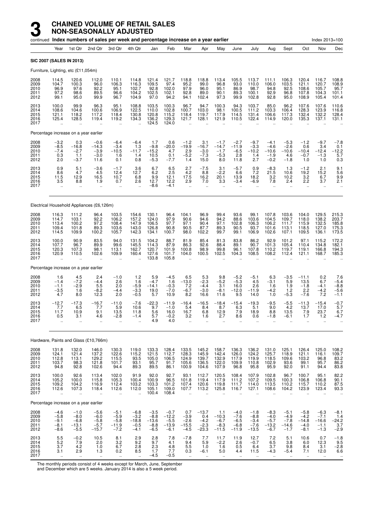**3**

|                                       |                                                |                                                         | continued Index numbers of sales per week and percentage increase on a year earlier |                                                      |                                                         |                                                 |                                                  |                                                                                                  |                                                          |                                               |                                                         |                                                       |                                                      |                                                     |                                                 | Index 2013=100                                          |                                              |
|---------------------------------------|------------------------------------------------|---------------------------------------------------------|-------------------------------------------------------------------------------------|------------------------------------------------------|---------------------------------------------------------|-------------------------------------------------|--------------------------------------------------|--------------------------------------------------------------------------------------------------|----------------------------------------------------------|-----------------------------------------------|---------------------------------------------------------|-------------------------------------------------------|------------------------------------------------------|-----------------------------------------------------|-------------------------------------------------|---------------------------------------------------------|----------------------------------------------|
|                                       | Year                                           | 1st Qtr                                                 | 2nd Qtr                                                                             | 3rd Qtr                                              | 4th Qtr                                                 | Jan                                             | Feb                                              | Mar                                                                                              | Apr                                                      | May                                           | June                                                    | July                                                  | Aug                                                  | Sept                                                | Oct                                             | Nov                                                     | Dec                                          |
| <b>SIC 2007 (SALES IN 2013)</b>       |                                                |                                                         |                                                                                     |                                                      |                                                         |                                                 |                                                  |                                                                                                  |                                                          |                                               |                                                         |                                                       |                                                      |                                                     |                                                 |                                                         |                                              |
| Furniture, Lighting, etc (£11,054m)   |                                                |                                                         |                                                                                     |                                                      |                                                         |                                                 |                                                  |                                                                                                  |                                                          |                                               |                                                         |                                                       |                                                      |                                                     |                                                 |                                                         |                                              |
| 2008<br>2009<br>2010<br>2011<br>2012  | 114.5<br>104.7<br>96.9<br>97.2<br>99.1         | 120.6<br>100.3<br>97.6<br>98.6<br>95.0                  | 112.0<br>96.0<br>92.2<br>89.5<br>99.9                                               | 110.1<br>106.3<br>95.1<br>96.6<br>96.7               | 114.8<br>116.3<br>102.7<br>104.2<br>104.9               | 121.4<br>109.5<br>92.8<br>102.5<br>97.0         | 121.7<br>97.4<br>102.0<br>102.1<br>94.2          | 118.8<br>95.2<br>97.9<br>92.8<br>94.1                                                            | 118.8<br>99.0<br>96.0<br>89.0<br>102.4                   | 113.4<br>96.8<br>95.1<br>90.1<br>97.3         | 105.5<br>93.0<br>86.9<br>89.3<br>99.9                   | 113.7<br>110.0<br>98.7<br>100.1<br>102.8              | 111.1<br>106.0<br>94.8<br>92.9<br>92.8               | 106.3<br>103.5<br>92.5<br>96.8<br>95.0              | 120.4<br>121.1<br>108.6<br>107.8<br>108.9       | 116.7<br>120.7<br>105.7<br>104.3<br>105.4               | 108.8<br>108.9<br>95.7<br>101.1<br>101.4     |
| 2013<br>2014<br>2015<br>2016<br>2017  | 100.0<br>108.6<br>121.1<br>125.4<br>ă,         | 99.9<br>104.6<br>118.2<br>128.5                         | 96.3<br>100.6<br>117.2<br>119.4                                                     | 95.1<br>106.9<br>118.4<br>119.2                      | 108.8<br>122.5<br>130.8<br>134.3<br>ä,                  | 103.5<br>110.0<br>120.8<br>136.2<br>124.5       | 100.3<br>102.8<br>115.2<br>129.3<br>124.0        | 96.7<br>100.7<br>118.4<br>121.7                                                                  | 94.7<br>103.0<br>119.7<br>128.1                          | 100.3<br>98.1<br>117.9<br>121.9               | 94.3<br>100.5<br>114.5<br>110.5                         | 103.7<br>111.2<br>131.4<br>122.4                      | 85.0<br>103.3<br>106.6<br>114.9                      | 96.2<br>106.4<br>117.3<br>120.0                     | 107.6<br>128.3<br>132.4<br>135.3                | 107.6<br>123.9<br>132.2<br>137.1                        | 110.6<br>116.8<br>128.4<br>131.1             |
| Percentage increase on a year earlier |                                                |                                                         |                                                                                     |                                                      |                                                         |                                                 |                                                  |                                                                                                  |                                                          |                                               |                                                         |                                                       |                                                      |                                                     |                                                 |                                                         |                                              |
| 2008<br>2009<br>2010<br>2011<br>2012  | $-3.2$<br>$-8.5$<br>$-7.4$<br>0.3<br>2.0       | 0.3<br>$-16.8$<br>$-2.7$<br>1.1<br>$-3.7$               | $-0.6$<br>$-14.3$<br>$-3.9$<br>$-3.0$<br>11.6                                       | $-6.4$<br>$-3.4$<br>$-10.5$<br>1.6<br>0.1            | $-6.4$<br>1.3<br>$-11.7$<br>1.4<br>0.8                  | 1.7<br>$-9.8$<br>$-15.2$<br>10.5<br>$-5.3$      | 0.6<br>$-20.0$<br>4.7<br>0.1<br>$-7.7$           | $-1.2$<br>$-19.9$<br>2.9<br>$-5.2$<br>1.4                                                        | 3.1<br>$-16.7$<br>$-3.0$<br>$-7.3$<br>15.0               | $-1.7$<br>$-14.7$<br>$-1.7$<br>$-5.3$<br>8.0  | $-2.7$<br>$-11.9$<br>$-6.5$<br>2.8<br>11.8              | $-9.7$<br>$-3.3$<br>$-10.2$<br>1.4<br>2.7             | $-4.1$<br>$-4.6$<br>$-10.6$<br>$-1.9$<br>$-0.2$      | $-5.3$<br>$-2.6$<br>$-10.6$<br>4.6<br>$-1.8$        | $-1.2$<br>0.6<br>$-10.4$<br>$-0.7$<br>1.0       | $-9.7$<br>3.4<br>$-12.4$<br>$-1.3$<br>1.0               | $-7.8$<br>0.1<br>$-12.2$<br>5.7<br>0.3       |
| 2013<br>2014<br>2015<br>2016<br>2017  | 0.9<br>8.6<br>11.5<br>3.5<br>$\ddotsc$         | 5.1<br>4.7<br>12.9<br>8.8<br>$\ddot{\phantom{a}}$       | $-3.6$<br>4.5<br>16.5<br>1.9<br>ä.                                                  | $-1.7$<br>12.4<br>10.7<br>0.7<br>$\cdot$ .           | 3.6<br>12.7<br>6.8<br>2.6<br>$\ddotsc$                  | 6.7<br>6.2<br>9.9<br>12.7<br>$-8.6$             | 6.5<br>2.5<br>12.1<br>12.2<br>$-4.1$             | 2.7<br>4.2<br>17.5<br>2.9<br>$\ddot{\phantom{a}}$                                                | $-7.5$<br>8.8<br>16.2<br>7.0<br>$\ddotsc$                | 3.1<br>$-2.2$<br>20.1<br>3.3<br>$\ddotsc$     | $-5.7$<br>6.6<br>13.9<br>$-3.4$<br>$\ddot{\phantom{a}}$ | 0.9<br>7.2<br>18.2<br>$-6.9$<br>$\ddot{\phantom{a}}$  | $-8.3$<br>21.5<br>3.2<br>7.8<br>$\ddot{\phantom{a}}$ | 1.3<br>10.6<br>10.2<br>2.4<br>$\ddotsc$             | $-1.2$<br>19.2<br>3.2<br>2.2<br>$\ddotsc$       | 2.1<br>15.2<br>6.7<br>3.7<br>Ω.                         | 9.1<br>5.6<br>9.9<br>2.1                     |
|                                       |                                                |                                                         | Electrical Household Appliances (£6,126m)                                           |                                                      |                                                         |                                                 |                                                  |                                                                                                  |                                                          |                                               |                                                         |                                                       |                                                      |                                                     |                                                 |                                                         |                                              |
| 2008<br>2009<br>2010<br>2011<br>2012  | 116.3<br>114.7<br>113.4<br>109.4<br>114.5      | 111.2<br>103.1<br>100.2<br>101.8<br>109.9               | 96.4<br>92.2<br>97.2<br>89.3<br>100.2                                               | 103.5<br>106.2<br>108.4<br>103.6<br>105.7            | 154.6<br>157.2<br>147.9<br>143.0<br>142.3               | 130.1<br>124.0<br>106.5<br>126.8<br>134.1       | 96.4<br>97.9<br>97.7<br>90.8<br>100.7            | 104.1<br>90.6<br>97.1<br>90.5<br>98.0                                                            | 96.9<br>94.6<br>90.4<br>87.7<br>102.2                    | 99.4<br>94.2<br>97.1<br>89.3<br>99.7          | 93.6<br>88.6<br>102.8<br>90.5<br>99.1                   | 99.1<br>103.6<br>106.3<br>93.7<br>106.9               | 107.8<br>104.5<br>106.2<br>101.6<br>102.6            | 103.6<br>109.7<br>111.7<br>113.1<br>107.1           | 104.0<br>118.0<br>115.9<br>118.5<br>109.5       | 129.5<br>138.2<br>132.5<br>127.0<br>136.1               | 215.3<br>203.7<br>185.8<br>175.3<br>173.5    |
| 2013<br>2014<br>2015<br>2016<br>2017  | 100.0<br>107.7<br>120.3<br>120.9<br>ă,         | 90.9<br>96.7<br>107.3<br>110.5                          | 83.5<br>89.9<br>98.1<br>102.6                                                       | 94.0<br>99.6<br>113.1<br>109.9<br>ä.                 | 131.5<br>145.5<br>162.7<br>160.4                        | 104.2<br>114.3<br>120.7<br>127.6<br>133.8       | 88.7<br>87.9<br>101.9<br>101.7<br>105.8          | 81.9<br>86.3<br>100.8<br>104.0                                                                   | 85.4<br>92.6<br>98.9<br>100.5                            | 81.3<br>88.4<br>99.8<br>102.5                 | 83.8<br>89.1<br>96.1<br>104.3                           | 86.2<br>90.7<br>107.8<br>108.5                        | 92.9<br>101.3<br>110.2<br>108.2                      | 101.2<br>105.4<br>119.7<br>112.4                    | 97.1<br>110.4<br>119.1<br>121.1                 | 115.2<br>134.8<br>166.8<br>168.7                        | 172.2<br>182.1<br>194.3<br>185.3             |
| Percentage increase on a year earlier |                                                |                                                         |                                                                                     |                                                      |                                                         |                                                 |                                                  |                                                                                                  |                                                          |                                               |                                                         |                                                       |                                                      |                                                     |                                                 |                                                         |                                              |
| 2008<br>2009<br>2010<br>2011<br>2012  | 1.6<br>$-1.4$<br>$-1.1$<br>$-3.5$<br>4.7       | 4.5<br>$-7.2$<br>$-2.9$<br>1.6<br>8.0                   | 2.4<br>$-4.4$<br>5.5<br>$-8.2$<br>12.3                                              | $-1.0$<br>2.6<br>2.0<br>$-4.4$<br>2.0                | $1.2$<br>1.6<br>$-5.9$<br>$-3.3$<br>$-0.5$              | 5.9<br>$-4.7$<br>$-14.1$<br>19.0<br>5.7         | $-4.5$<br>1.6<br>$-0.3$<br>$-7.0$<br>10.9        | 6.5<br>$-13.0$<br>7.2<br>$-6.7$<br>8.2                                                           | 5.3<br>$-2.3$<br>$-4.4$<br>$-3.0$<br>16.6                | 9.8<br>$-5.2$<br>3.1<br>$-8.1$<br>11.6        | $-5.2$<br>$-5.3$<br>16.0<br>$-12.0$<br>9.5              | $-5.1$<br>4.5<br>2.6<br>$-11.9$<br>14.0               | 6.3<br>$-3.1$<br>1.6<br>$-4.2$<br>1.0                | $-3.5$<br>5.9<br>1.9<br>1.2<br>$-5.3$               | $-11.1$<br>13.5<br>$-1.8$<br>2.2<br>$-7.6$      | 0.2<br>6.7<br>$-4.1$<br>$-4.2$<br>7.2                   | 7.6<br>$-5.4$<br>$-8.8$<br>$-5.6$<br>$-1.1$  |
| 2013<br>2014<br>2015<br>2016<br>2017  | $-12.7$<br>7.7<br>11.7<br>0.5<br>ă,            | $-17.3$<br>6.5<br>10.9<br>3.1                           | $-16.7$<br>7.7<br>9.1<br>4.6                                                        | $-11.0$<br>5.9<br>13.5<br>$-2.8$                     | $-7.6$<br>10.6<br>11.8<br>$-1.4$                        | $-22.3$<br>9.7<br>5.6<br>5.7<br>4.9             | $-11.9$<br>$-1.0$<br>16.0<br>$-0.2$<br>4.0       | $-16.4$<br>5.4<br>16.7<br>3.2<br>$\ddot{\phantom{a}}$                                            | $-16.5$<br>8.4<br>6.8<br>1.6                             | $-18.4$<br>8.7<br>12.9<br>2.7                 | $-15.4$<br>6.3<br>7.9<br>8.6                            | $-19.3$<br>5.1<br>18.9<br>0.6                         | $-9.5$<br>9.0<br>8.8<br>$-1.8$                       | $-5.5$<br>4.2<br>13.5<br>$-6.1$                     | $-11.3$<br>13.7<br>7.9<br>1.7                   | $-15.4$<br>17.0<br>23.7<br>1.2                          | $-0.7$<br>5.7<br>6.7<br>$-4.7$               |
|                                       |                                                |                                                         | Hardware, Paints and Glass (£10,766m)                                               |                                                      |                                                         |                                                 |                                                  |                                                                                                  |                                                          |                                               |                                                         |                                                       |                                                      |                                                     |                                                 |                                                         |                                              |
| 2008<br>2009<br>2010<br>2011<br>2012  | 131.8<br>124.1<br>112.8<br>103.7<br>94.8       | 132.0<br>121.4<br>113.1<br>98.3<br>92.8                 | 146.0<br>137.2<br>129.2<br>121.8<br>102.6                                           | 130.3<br>122.6<br>115.5<br>101.7<br>94.4             | 119.0<br>115.2<br>93.5<br>93.1<br>89.3                  | 133.3<br>121.5<br>105.0<br>95.7<br>89.5         | 128.4<br>112.7<br>106.5<br>91.7<br>86.1          | 133.5<br>128.3<br>124.9<br>105.6<br>100.9                                                        | 145.2<br>145.9<br>139.7<br>136.5<br>104.6                | 158.7<br>142.4<br>132.9<br>122.0<br>107.9     | 136.3<br>126.0<br>117.9<br>109.9<br>96.8                | 136.2<br>124.2<br>119.9<br>110.8<br>95.8              | 131.0<br>125.7<br>118.5<br>102.9<br>95.9             | 125.1<br>118.9<br>109.6<br>93.6<br>92.0             | 126.4<br>121.1<br>103.2<br>99.1<br>91.1         | 125.0<br>116.1<br>96.8<br>95.7<br>94.4                  | 108.2<br>109.7<br>83.2<br>$86.2$<br>$83.8$   |
| 2013<br>2014<br>2015<br>2016<br>2017  | 100.0<br>105.2<br>109.2<br>112.6<br>$\ddotsc$  | 92.6<br>100.0<br>104.2<br>107.3<br>$\ddot{\phantom{a}}$ | 113.4<br>115.8<br>116.9<br>118.4<br>$\ddot{\phantom{a}}$                            | 102.0<br>105.3<br>112.4<br>112.6<br>à.               | 91.9<br>100.4<br>103.2<br>112.0<br>$\ddot{\phantom{a}}$ | 92.0<br>100.9<br>103.3<br>105.1<br>100.4        | 92.7<br>96.5<br>101.2<br>109.0<br>108.4          | 93.1<br>101.8<br>107.4<br>107.7<br>$\ddot{\phantom{a}}$                                          | 112.7<br>119.4<br>120.6<br>113.2<br>$\ddot{\phantom{a}}$ | 120.5<br>117.9<br>119.8<br>125.8              | 108.4<br>111.2<br>111.7<br>116.7                        | 107.9<br>107.2<br>114.0<br>127.1                      | 102.8<br>109.5<br>113.5<br>108.6                     | 96.7<br>100.3<br>110.2<br>104.2                     | 100.7<br>106.8<br>115.7<br>123.9                | 95.1<br>106.8<br>110.2<br>123.4<br>$\ddot{\phantom{a}}$ | 82.2<br>90.1<br>87.5<br>93.3<br>$\mathbf{r}$ |
| Percentage increase on a year earlier |                                                |                                                         |                                                                                     |                                                      |                                                         |                                                 |                                                  |                                                                                                  |                                                          |                                               |                                                         |                                                       |                                                      |                                                     |                                                 |                                                         |                                              |
| 2008<br>2009<br>2010<br>2011<br>2012  | $-4.6$<br>$-5.8$<br>$-9.1$<br>$-8.1$<br>$-8.6$ | $-1.0$<br>$-8.0$<br>$-6.8$<br>-13.1<br>$-5.5$           | $-5.6$<br>$-6.0$<br>$-5.8$<br>$-5.7$<br>$-15.7$                                     | $-5.1$<br>$-5.9$<br>$-5.8$<br>$-11.9$<br>$-7.2$      | $-6.8$<br>$-3.2$<br>$-18.8$<br>$-0.5$<br>$-4.1$         | $-3.5$<br>$-8.8$<br>$-13.6$<br>$-8.8$<br>$-6.5$ | $-0.7$<br>$-12.2$<br>$-5.5$<br>$-13.9$<br>$-6.1$ | 0.7<br>$-3.9$<br>$-2.6$<br>$-15.5$<br>$-4.5$                                                     | $-13.7$<br>0.4<br>$-4.2$<br>$-2.3$<br>$-23.3$            | 1.1<br>$-10.3$<br>$-6.7$<br>$-8.3$<br>$-11.5$ | $-4.0$<br>$-7.6$<br>$-6.5$<br>$-6.8$<br>$-11.9$         | $-1.8$<br>$-8.8$<br>$-3.4$<br>$-7.6$<br>$-13.5$       | $-8.3$<br>$-4.0$<br>$-5.7$<br>$-13.2$<br>$-6.7$      | $-5.1$<br>$-4.9$<br>$-7.8$<br>$-14.6$<br>$-1.7$     | $-5.8$<br>$-4.2$<br>$-14.8$<br>$-4.0$<br>$-8.1$ | $-6.3$<br>$-7.1$<br>$-16.6$<br>$-1.1$<br>$-1.3$         | $-8.1$<br>1.4<br>$-24.2$<br>3.7<br>$-2.9$    |
| 2013<br>2014<br>2015<br>2016<br>2017  | 5.5<br>$5.2\,$<br>3.7<br>3.1<br>$\ddotsc$      | $-0.2$<br>7.9<br>4.2<br>2.9<br>$\ddot{\phantom{1}}$     | 10.5<br>2.0<br>1.0<br>1.3<br>$\ddot{\phantom{1}}$                                   | 8.1<br>$3.2\,$<br>6.7<br>0.2<br>$\ddot{\phantom{1}}$ | 2.9<br>$\overline{9.2}$<br>2.8<br>8.5                   | 2.8<br>9.7<br>$^{2.3}_{1.7}$<br>$-4.5$          | 7.8<br>4.1<br>4.8<br>7.7<br>$-0.5$               | $-7.8$<br>9.4<br>$\!\!\!\begin{array}{c} 5.5 \\ 0.3 \end{array}\!\!\!\!$<br>$\ddot{\phantom{1}}$ | 7.7<br>5.9<br>1.0<br>$-6.1$<br>$\ddot{\phantom{1}}$      | 11.7<br>$-2.2$<br>1.6<br>5.0<br>$\ddotsc$     | 11.9<br>2.6<br>0.5<br>4.4<br>$\ldots$                   | 12.7<br>$-0.7$<br>6.4<br>11.5<br>$\ddot{\phantom{1}}$ | 7.2<br>6.5<br>3.7<br>$-4.3$<br>$\ldots$              | 5.1<br>3.8<br>9.8<br>$-5.4$<br>$\ddot{\phantom{1}}$ | 10.6<br>6.0<br>8.4<br>7.1<br>$\ddotsc$          | 0.7<br>12.3<br>3.1<br>12.0<br>$\ddot{\phantom{1}}$      | $-1.8$<br>9.5<br>$-2.8$<br>6.6<br>$\cdot$    |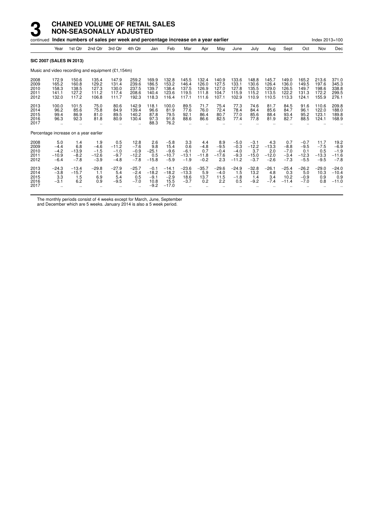**3**

|                                       |                                                       |                                           | continued Index numbers of sales per week and percentage increase on a year earlier |                                              |                                               |                                               |                                                 |                                           |                                           |                                           |                                                 |                                               |                                            |                                             |                                              | Index 2013=100                             |                                               |
|---------------------------------------|-------------------------------------------------------|-------------------------------------------|-------------------------------------------------------------------------------------|----------------------------------------------|-----------------------------------------------|-----------------------------------------------|-------------------------------------------------|-------------------------------------------|-------------------------------------------|-------------------------------------------|-------------------------------------------------|-----------------------------------------------|--------------------------------------------|---------------------------------------------|----------------------------------------------|--------------------------------------------|-----------------------------------------------|
|                                       | Year                                                  | 1st Qtr                                   | 2nd Qtr                                                                             | 3rd Qtr                                      | 4th Qtr                                       | Jan                                           | Feb                                             | Mar                                       | Apr                                       | May                                       | June                                            | July                                          | Aug                                        | Sept                                        | Oct                                          | Nov                                        | Dec                                           |
| <b>SIC 2007 (SALES IN 2013)</b>       |                                                       |                                           |                                                                                     |                                              |                                               |                                               |                                                 |                                           |                                           |                                           |                                                 |                                               |                                            |                                             |                                              |                                            |                                               |
|                                       |                                                       |                                           | Music and video recording and equipment (£1,154m)                                   |                                              |                                               |                                               |                                                 |                                           |                                           |                                           |                                                 |                                               |                                            |                                             |                                              |                                            |                                               |
| 2008<br>2009<br>2010<br>2011<br>2012  | 172.9<br>165.2<br>158.3<br>141.1<br>132.0             | 150.6<br>160.8<br>138.5<br>127.2<br>117.2 | 135.4<br>129.2<br>127.3<br>111.2<br>106.8                                           | 147.9<br>131.4<br>130.0<br>117.4<br>111.7    | 259.2<br>239.6<br>237.5<br>208.6<br>192.3     | 169.9<br>186.5<br>139.7<br>140.4<br>118.3     | 132.8<br>153.2<br>138.4<br>123.6<br>116.4       | 145.5<br>146.4<br>137.5<br>119.5<br>117.1 | 132.4<br>126.0<br>126.9<br>111.8<br>111.6 | 140.9<br>127.5<br>127.0<br>104.7<br>107.1 | 133.6<br>133.1<br>127.8<br>115.9<br>102.9       | 148.8<br>130.6<br>135.5<br>115.2<br>110.9     | 145.7<br>126.4<br>129.0<br>113.5<br>110.5  | 149.0<br>136.0<br>126.5<br>122.2<br>113.3   | 165.2<br>149.5<br>149.7<br>131.3<br>124.1    | 213.6<br>197.6<br>198.6<br>172.2<br>155.9  | 371.0<br>345.3<br>338.8<br>299.5<br>276.1     |
| 2013<br>2014<br>2015<br>2016<br>2017  | 100.0<br>96.2<br>99.4<br>96.3<br>$\ddot{\phantom{a}}$ | 101.5<br>85.6<br>86.9<br>92.3             | 75.0<br>75.8<br>81.0<br>81.8                                                        | 80.6<br>84.9<br>89.5<br>80.9                 | 142.9<br>139.4<br>140.2<br>130.4              | 118.1<br>96.6<br>87.8<br>97.3<br>88.3         | 100.0<br>81.9<br>79.5<br>91.8<br>76.2           | 89.5<br>77.6<br>92.1<br>88.6              | 71.7<br>76.0<br>86.4<br>86.6              | 75.4<br>72.4<br>80.7<br>82.5              | 77.3<br>78.4<br>77.0<br>77.4                    | 74.6<br>84.4<br>85.6<br>77.8                  | 81.7<br>85.6<br>88.4<br>81.9               | 84.5<br>84.7<br>93.4<br>82.7                | 91.6<br>96.1<br>95.2<br>88.5                 | 110.6<br>122.0<br>123.1<br>124.1           | 209.8<br>188.0<br>189.8<br>168.9              |
| Percentage increase on a year earlier |                                                       |                                           |                                                                                     |                                              |                                               |                                               |                                                 |                                           |                                           |                                           |                                                 |                                               |                                            |                                             |                                              |                                            |                                               |
| 2008<br>2009<br>2010<br>2011<br>2012  | 5.0<br>$-4.4$<br>$-4.2$<br>$-10.9$<br>$-6.4$          | 1.4<br>6.8<br>$-13.9$<br>$-8.2$<br>$-7.8$ | 1.9<br>$-4.6$<br>$-1.5$<br>$-12.6$<br>$-3.9$                                        | 0.5<br>$-11.2$<br>$-1.0$<br>$-9.7$<br>$-4.8$ | 12.8<br>$-7.6$<br>$-0.9$<br>$-12.2$<br>$-7.8$ | 2.6<br>9.8<br>$-25.1$<br>0.5<br>$-15.8$       | $-5.8$<br>15.4<br>$-9.6$<br>$-10.7$<br>$-5.9$   | 3.3<br>0.6<br>$-6.1$<br>$-13.1$<br>$-1.9$ | 4.4<br>$-4.8$<br>0.7<br>$-11.8$<br>$-0.2$ | 8.9<br>$-9.5$<br>$-0.4$<br>$-17.6$<br>2.3 | $-5.0$<br>$-0.3$<br>$-4.0$<br>$-9.3$<br>$-11.2$ | $-3.1$<br>$-12.2$<br>3.7<br>$-15.0$<br>$-3.7$ | 4.3<br>$-13.3$<br>2.0<br>$-12.0$<br>$-2.6$ | 0.7<br>$-8.8$<br>$-7.0$<br>$-3.4$<br>$-7.3$ | $-0.7$<br>$-9.5$<br>0.1<br>$-12.3$<br>$-5.5$ | 11.7<br>$-7.5$<br>0.5<br>$-13.3$<br>$-9.5$ | 19.2<br>$-6.9$<br>$-1.9$<br>$-11.6$<br>$-7.8$ |
| 2013<br>2014<br>2015<br>2016<br>2017  | $-24.3$<br>$-3.8$<br>3.3<br>$-3.1$                    | $-13.4$<br>$-15.7$<br>1.5<br>6.2          | $-29.8$<br>1.1<br>6.9<br>0.9                                                        | $-27.9$<br>5.4<br>5.4<br>$-9.5$              | $-25.7$<br>$-2.4$<br>0.5<br>$-7.0$            | $-0.1$<br>$-18.2$<br>$-9.1$<br>10.8<br>$-9.2$ | $-14.1$<br>$-18.2$<br>$-2.9$<br>15.5<br>$-17.0$ | $-23.6$<br>$-13.3$<br>18.6<br>$-3.7$      | $-35.7$<br>5.9<br>13.7<br>0.2             | $-29.6$<br>$-4.0$<br>11.5<br>2.2          | $-24.9$<br>1.5<br>$-1.8$<br>0.5                 | $-32.8$<br>13.2<br>1.4<br>$-9.2$              | $-26.1$<br>4.8<br>3.4<br>$-7.4$            | $-25.4$<br>0.3<br>10.2<br>$-11.4$           | $-26.2$<br>5.0<br>$-0.9$<br>$-7.0$           | $-29.0$<br>10.3<br>0.9<br>0.8              | $-24.0$<br>$-10.4$<br>0.9<br>$-11.0$          |

The monthly periods consist of 4 weeks except for March, June, September

and December which are 5 weeks. January 2014 is also a 5 week period.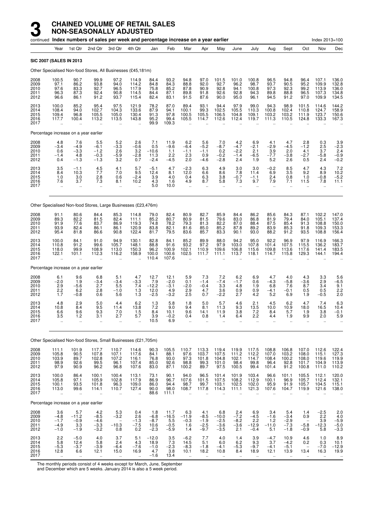**3**

|                                      |                                                      |                                                        | continued Index numbers of sales per week and percentage increase on a year earlier |                                                         |                                                          |                                              |                                            |                                                          |                                                      |                                              |                                          |                                              |                                                   |                                                          |                                                   | Index 2013=100                                      |                                                  |
|--------------------------------------|------------------------------------------------------|--------------------------------------------------------|-------------------------------------------------------------------------------------|---------------------------------------------------------|----------------------------------------------------------|----------------------------------------------|--------------------------------------------|----------------------------------------------------------|------------------------------------------------------|----------------------------------------------|------------------------------------------|----------------------------------------------|---------------------------------------------------|----------------------------------------------------------|---------------------------------------------------|-----------------------------------------------------|--------------------------------------------------|
|                                      | Year                                                 | 1st Qtr                                                | 2nd Qtr                                                                             | 3rd Qtr                                                 | 4th Qtr                                                  | Jan                                          | Feb                                        | Mar                                                      | Apr                                                  | May                                          | June                                     | July                                         | Aug                                               | Sept                                                     | Oct                                               | Nov                                                 | Dec                                              |
|                                      | <b>SIC 2007 (SALES IN 2013)</b>                      |                                                        |                                                                                     |                                                         |                                                          |                                              |                                            |                                                          |                                                      |                                              |                                          |                                              |                                                   |                                                          |                                                   |                                                     |                                                  |
|                                      |                                                      |                                                        | Other Specialised Non-food Stores, All Businesses (£45,181m)                        |                                                         |                                                          |                                              |                                            |                                                          |                                                      |                                              |                                          |                                              |                                                   |                                                          |                                                   |                                                     |                                                  |
| 2008<br>2009<br>2010<br>2011<br>2012 | 100.5<br>97.1<br>97.6<br>96.3<br>96.6                | 90.7<br>86.2<br>83.3<br>87.3<br>86.1                   | 99.9<br>93.8<br>92.7<br>92.4<br>91.2                                                | 97.2<br>94.0<br>96.5<br>90.8<br>93.7                    | 114.9<br>114.2<br>117.9<br>114.5<br>115.4                | 84.4<br>84.8<br>75.8<br>84.4<br>82.4         | 93.2<br>84.3<br>85.2<br>87.1<br>83.1       | 94.8<br>88.8<br>87.8<br>89.8<br>91.5                     | 97.0<br>92.0<br>90.9<br>91.8<br>87.6                 | 101.5<br>92.7<br>92.8<br>92.6<br>90.0        | 101.0<br>96.2<br>94.1<br>92.8<br>95.0    | 100.8<br>98.7<br>100.8<br>94.3<br>96.1       | 96.5<br>93.7<br>97.3<br>89.8<br>94.5              | 94.8<br>90.5<br>92.3<br>88.8<br>91.2                     | 96.4<br>95.2<br>99.2<br>96.5<br>97.0              | 107.1<br>109.9<br>113.9<br>107.3<br>109.9           | 136.0<br>132.8<br>136.0<br>134.8<br>134.5        |
| 2013<br>2014<br>2015<br>2016<br>2017 | 100.0<br>108.4<br>109.4<br>117.7<br>$\ddotsc$        | 85.2<br>94.0<br>96.8<br>100.4<br>$\ddotsc$             | 95.4<br>102.7<br>105.5<br>113.2<br>ä.                                               | 97.5<br>104.3<br>105.0<br>113.5<br>$\ddotsc$            | 121.9<br>133.6<br>130.4<br>143.8                         | 78.2<br>87.9<br>91.3<br>95.2<br>99.9         | 87.0<br>94.1<br>97.8<br>99.4<br>109.3      | 89.4<br>100.1<br>100.5<br>105.5                          | 93.1<br>99.3<br>105.5<br>114.7                       | 94.4<br>102.5<br>106.5<br>112.6              | 97.9<br>105.5<br>104.8<br>112.4          | 99.0<br>110.3<br>109.1<br>119.7              | 94.3<br>100.8<br>103.2<br>111.3                   | 98.9<br>102.4<br>103.2<br>110.5                          | 101.5<br>110.8<br>111.9<br>124.8                  | 114.6<br>124.7<br>123.7<br>133.3                    | 144.2<br>158.9<br>150.6<br>167.3                 |
|                                      | Percentage increase on a year earlier                |                                                        |                                                                                     |                                                         |                                                          |                                              |                                            |                                                          |                                                      |                                              |                                          |                                              |                                                   |                                                          |                                                   |                                                     |                                                  |
| 2008<br>2009<br>2010<br>2011<br>2012 | 4.8<br>$-3.4$<br>0.6<br>$-1.4$<br>0.4                | 7.6<br>$-4.9$<br>$-3.3$<br>4.8<br>$-1.3$               | 5.5<br>$-6.1$<br>$-1.2$<br>$-0.3$<br>$-1.3$                                         | 5.2<br>$-3.3$<br>2.6<br>$-5.9$<br>3.2                   | 2.6<br>$-0.6$<br>3.2<br>$-2.8$<br>0.7                    | 7.1<br>0.5<br>$-10.6$<br>11.3<br>$-2.4$      | 11.9<br>$-9.6$<br>1.1<br>2.2<br>$-4.5$     | 6.2<br>$-6.4$<br>$-1.1$<br>2.3<br>2.0                    | 5.6<br>$-5.2$<br>$-1.1$<br>0.9<br>$-4.6$             | 7.0<br>-8.7<br>0.2<br>$-0.2$<br>$-2.8$       | 4.2<br>$-4.7$<br>$-2.2$<br>$-1.4$<br>2.4 | 6.9<br>$-2.1$<br>2.1<br>$-6.5$<br>1.9        | 4.1<br>$-2.9$<br>3.9<br>$-7.7$<br>5.2             | 4.7<br>-4.5<br>2.0<br>$-3.8$<br>2.6                      | 2.8<br>$-1.2$<br>4.1<br>$-2.7$<br>0.5             | 0.3<br>2.5<br>3.7<br>$-5.8$<br>2.4                  | 3.9<br>$-2.3$<br>2.4<br>$-0.9$<br>$-0.2$         |
| 2013<br>2014<br>2015<br>2016<br>2017 | 3.5<br>8.4<br>1.0<br>7.6<br>ä.                       | $-1.1$<br>10.3<br>3.0<br>3.7<br>$\ldots$               | 4.5<br>7.7<br>2.8<br>7.3<br>$\ddotsc$                                               | 4.1<br>7.0<br>0.6<br>8.1<br>$\ddotsc$                   | 5.7<br>9.5<br>$-2.4$<br>10.2                             | $-5.1$<br>12.4<br>3.9<br>4.3<br>5.0          | 4.7<br>8.1<br>4.0<br>1.6<br>10.0           | $-2.3$<br>12.0<br>0.4<br>4.9<br>$\ddot{\phantom{a}}$     | 6.3<br>6.6<br>6.3<br>8.7<br>$\ddotsc$                | 4.9<br>8.6<br>3.8<br>5.8<br>$\ddotsc$        | 3.0<br>7.8<br>$-0.7$<br>7.3              | 3.0<br>11.4<br>$-1.1$<br>9.7                 | $-0.2$<br>6.9<br>2.4<br>7.9                       | 8.5<br>3.5<br>0.8<br>7.1                                 | 4.7<br>9.2<br>1.0<br>11.5                         | 4.3<br>8.9<br>$-0.8$<br>7.8<br>$\ddot{\phantom{a}}$ | 7.2<br>10.2<br>$-5.2$<br>11.1                    |
|                                      |                                                      |                                                        | Other Specialised Non-food Stores, Large Businesses (£23,476m)                      |                                                         |                                                          |                                              |                                            |                                                          |                                                      |                                              |                                          |                                              |                                                   |                                                          |                                                   |                                                     |                                                  |
| 2008<br>2009<br>2010<br>2011<br>2012 | 91.1<br>89.3<br>91.9<br>93.9<br>95.4                 | 80.6<br>82.2<br>77.6<br>82.4<br>81.8                   | 84.4<br>81.5<br>83.7<br>86.1<br>86.6                                                | 85.3<br>82.4<br>86.9<br>86.1<br>90.8                    | 114.8<br>111.1<br>119.3<br>120.9<br>122.4                | 79.0<br>85.2<br>74.8<br>83.8<br>81.7         | 82.4<br>80.7<br>78.2<br>82.1<br>79.5       | 80.9<br>80.9<br>79.3<br>81.6<br>83.6                     | 82.7<br>81.5<br>81.3<br>85.0<br>85.7                 | 85.9<br>79.6<br>82.2<br>85.2<br>83.3         | 84.4<br>83.0<br>87.0<br>87.8<br>90.1     | 86.2<br>86.8<br>88.4<br>89.2<br>93.0         | 85.6<br>81.9<br>87.5<br>83.9<br>88.2              | 84.3<br>79.4<br>85.4<br>85.3<br>91.2                     | 87.1<br>84.0<br>91.3<br>91.8<br>93.5              | 102.2<br>105.1<br>108.8<br>109.3<br>108.8           | 147.0<br>137.4<br>150.0<br>153.3<br>156.4        |
| 2013<br>2014<br>2015<br>2016<br>2017 | 100.0<br>110.8<br>118.0<br>122.1<br>ă,               | 84.1<br>91.2<br>99.9<br>101.1<br>$\ddot{\phantom{a}}$  | 91.0<br>99.6<br>108.9<br>112.3                                                      | 94.9<br>105.7<br>113.0<br>116.2<br>$\ddot{\phantom{a}}$ | 130.1<br>148.1<br>150.3<br>158.9<br>$\ddot{\phantom{a}}$ | 82.8<br>88.8<br>96.2<br>100.0<br>110.4       | 84.1<br>91.6<br>100.9<br>100.6<br>107.6    | 85.2<br>93.2<br>102.1<br>102.5<br>$\ddot{\phantom{a}}$   | 89.9<br>97.2<br>110.9<br>111.7                       | 88.0<br>97.9<br>109.6<br>111.1               | 94.2<br>103.0<br>106.8<br>113.7          | 95.0<br>107.8<br>115.6<br>118.1              | 92.2<br>101.4<br>109.8<br>114.7                   | 96.9<br>107.5<br>113.6<br>115.8                          | 97.9<br>115.5<br>117.6<br>129.3                   | 116.9<br>136.2<br>141.4<br>144.1                    | 166.3<br>183.7<br>183.5<br>194.4                 |
|                                      | Percentage increase on a year earlier                |                                                        |                                                                                     |                                                         |                                                          |                                              |                                            |                                                          |                                                      |                                              |                                          |                                              |                                                   |                                                          |                                                   |                                                     |                                                  |
| 2008<br>2009<br>2010<br>2011<br>2012 | 6.1<br>$-2.0$<br>2.9<br>2.2<br>1.7                   | 9.6<br>1.9<br>$-5.6$<br>6.2<br>$-0.8$                  | 6.8<br>$-3.4$<br>2.7<br>2.8<br>0.6                                                  | 5.1<br>$-3.4$<br>5.5<br>$-1.0$<br>5.6                   | 4.7<br>$-3.3$<br>7.4<br>1.3<br>1.3                       | $^{12.7}_{7.9}$<br>$-12.2$<br>12.0<br>$-2.5$ | 12.1<br>$-2.0$<br>$-3.1$<br>4.9<br>$-3.2$  | 5.9<br>0.1<br>$-2.0$<br>2.9<br>2.5                       | 7.3<br>$-1.4$<br>$-0.4$<br>4.7<br>0.7                | 7.2<br>$-7.4$<br>3.3<br>3.6<br>$-2.2$        | $6.2 - 1.7$<br>4.8<br>0.9<br>2.7         | 6.9<br>0.6<br>1.9<br>0.9<br>4.2              | 4.7<br>$-4.3$<br>6.8<br>$-4.1$<br>5.2             | 4.0<br>$-5.8$<br>7.6<br>$-0.1$<br>6.9                    | 4.3<br>$-3.6$<br>8.7<br>0.5<br>1.9                | 3.3<br>2.9<br>3.4<br>0.5<br>$-0.5$                  | 5.6<br>$-6.5$<br>9.1<br>2.2<br>2.0               |
| 2013<br>2014<br>2015<br>2016<br>2017 | 4.8<br>10.8<br>6.6<br>3.5<br>ä,                      | 2.9<br>8.4<br>9.6<br>1.2<br>$\ddot{\phantom{1}}$       | 5.0<br>9.5<br>9.3<br>3.1<br>$\ddot{\phantom{a}}$                                    | 4.4<br>11.4<br>7.0<br>2.7<br>$\ddot{\phantom{1}}$       | 6.2<br>13.8<br>1.5<br>5.7                                | 1.3<br>7.2<br>8.4<br>3.9<br>10.5             | 5.8<br>9.0<br>10.1<br>$-0.2$<br>6.9        | 1.8<br>9.4<br>9.6<br>0.4<br>$\ddot{\phantom{a}}$         | 5.0<br>8.1<br>14.1<br>0.8<br>$\ddot{\phantom{a}}$    | 5.7<br>11.3<br>11.9<br>1.4<br>$\ddotsc$      | 4.6<br>9.3<br>3.8<br>6.4<br>$\ddotsc$    | 2.1<br>13.5<br>7.2<br>2.2<br>$\ddotsc$       | 4.5<br>10.0<br>8.4<br>4.4<br>$\ddot{\phantom{a}}$ | 6.2<br>10.9<br>5.7<br>1.9<br>$\ldots$                    | 4.7<br>18.0<br>1.9<br>9.9<br>$\ddot{\phantom{1}}$ | 7.4<br>16.5<br>3.8<br>2.0<br>$\ddotsc$              | 6.3<br>10.4<br>-0.1<br>5.9                       |
|                                      |                                                      |                                                        | Other Specialised Non-food Stores, Small Businesses (£21,705m)                      |                                                         |                                                          |                                              |                                            |                                                          |                                                      |                                              |                                          |                                              |                                                   |                                                          |                                                   |                                                     |                                                  |
| 2008<br>2009<br>2010<br>2011<br>2012 | 111.1<br>105.8<br>103.9<br>98.9<br>97.9              | 101.9<br>90.5<br>89.7<br>92.6<br>90.9                  | 117.7<br>107.8<br>102.8<br>99.5<br>96.2                                             | 110.7<br>107.1<br>107.2<br>96.1<br>96.8                 | 114.6<br>117.6<br>116.1<br>107.4<br>107.6                | 90.3<br>84.1<br>76.8<br>85.0<br>83.0         | 105.5<br>88.1<br>93.0<br>92.6<br>87.1      | 110.7<br>97.6<br>97.3<br>98.8<br>100.2                   | 113.3<br>103.7<br>101.8<br>99.3<br>89.7              | 119.4<br>107.5<br>104.8<br>101.0<br>97.5     | 119.9<br>111.2<br>102.1<br>98.4<br>100.5 | 117.5<br>112.2<br>114.7<br>99.8<br>99.4      | 108.8<br>107.0<br>108.4<br>96.4<br>101.4          | 106.8<br>103.2<br>100.2<br>92.8<br>91.2                  | 107.0<br>108.0<br>108.0<br>101.7<br>100.8         | 112.6<br>115.1<br>119.6<br>104.9<br>111.0           | 122.4<br>$\frac{127.3}{119.9}$<br>119.9<br>110.2 |
| 2013<br>2014<br>2015<br>2016<br>2017 | 100.0<br>105.8<br>100.1<br>113.0<br>$\ddotsc$        | 86.4<br>97.1<br>93.5<br>99.6<br>$\ddotsc$              | 100.1<br>105.9<br>101.8<br>114.1<br>$\ddotsc$                                       | 100.4<br>102.8<br>96.3<br>110.7<br>$\ddotsc$            | 113.1<br>117.9<br>109.0<br>127.4<br>$\ddotsc$            | 73.1<br>86.9<br>86.0<br>90.0<br>88.6         | 90.1<br>96.7<br>94.4<br>98.0<br>111.1      | 94.0<br>107.6<br>98.7<br>108.7<br>$\ddot{\phantom{a}}$   | 96.5<br>101.5<br>99.7<br>117.8                       | 101.4<br>107.5<br>103.1<br>114.3             | 101.9<br>108.2<br>102.5<br>111.1         | 103.4<br>112.9<br>102.0<br>121.3             | 96.6<br>100.1<br>95.9<br>107.6                    | 101.1<br>96.9<br>91.9<br>104.7                           | 105.5<br>105.7<br>105.7<br>119.9                  | 112.1<br>112.4<br>104.5<br>121.6                    | 120.0<br>132.1<br>115.1<br>138.0                 |
|                                      | Percentage increase on a year earlier                |                                                        |                                                                                     |                                                         |                                                          |                                              |                                            |                                                          |                                                      |                                              |                                          |                                              |                                                   |                                                          |                                                   |                                                     |                                                  |
| 2008<br>2009<br>2010<br>2011<br>2012 | 3.6<br>$-4.8$<br>$-1.7$<br>$-4.9$<br>$-1.0$          | 5.7<br>$-11.2$<br>$-0.9$<br>$3.\overline{3}$<br>$-1.9$ | 4.2<br>$-8.5$<br>$-4.6$<br>$-3.3$<br>$-3.2$                                         | 5.3<br>$-3.2$<br>$\qquad \qquad -$<br>$-10.3$<br>0.8    | 0.4<br>2.6<br>$-1.3$<br>$-7.5$<br>0.2                    | 1.8<br>$-6.8$<br>$-8.7$<br>10.6<br>$-2.3$    | 11.7<br>$-16.5$<br>5.5<br>$-0.5$<br>$-5.9$ | 6.3<br>$-11.9$<br>$-0.3$<br>1.6<br>1.4                   | 4.1<br>$-8.5$<br>$-1.9$<br>$-2.5$<br>$-9.7$          | 6.8<br>$-10.0$<br>$-2.5$<br>$-3.6$<br>$-3.5$ | 2.4<br>$-7.2$<br>$-8.2$<br>$-3.6$<br>2.1 | 6.9<br>$-4.5$<br>2.2<br>$-12.9$<br>$-0.4$    | 3.4<br>$-1.6$<br>1.2<br>$-11.0$<br>5.1            | 5.4<br>$-3.4$<br>$-2.9 - 7.3$<br>$-1.8$                  | 1.4<br>0.9<br>$-5.8$<br>$-0.9$                    | $-2.5$<br>2.2<br>3.9<br>$-12.3$<br>5.8              | 2.0<br>4.0<br>$-5.9$<br>$-5.0$<br>$-3.3$         |
| 2013<br>2014<br>2015<br>2016<br>2017 | 2.2<br>5.8<br>$-5.3$<br>12.8<br>$\ddot{\phantom{a}}$ | $-5.0$<br>12.4<br>$-3.7$<br>6.6<br>$\ddotsc$           | 4.0<br>5.8<br>$-3.9$<br>12.1<br>$\ddotsc$                                           | 3.7<br>2.4<br>$-6.4$<br>15.0<br>$\ddotsc$               | 5.1<br>4.3<br>$-7.6$<br>16.9                             | $-12.0$<br>18.9<br>$-1.0$<br>4.7<br>$-1.6$   | 3.5<br>7.3<br>$-2.3$<br>3.8<br>13.4        | $-6.2$<br>14.5<br>$-8.3$<br>10.1<br>$\ddot{\phantom{a}}$ | 7.7<br>5.1<br>$-1.8$<br>18.2<br>$\ddot{\phantom{a}}$ | 4.0<br>6.0<br>$-4.1$<br>10.8<br>$\ddotsc$    | 1.4<br>6.2<br>$-5.3$<br>8.4<br>÷.        | 3.9<br>9.3<br>$-9.7$<br>18.9<br>$\mathbf{r}$ | $-4.7$<br>3.7<br>$-4.1$<br>12.1<br>$\ddotsc$      | 10.9<br>$-4.2$<br>$-5.1$<br>13.9<br>$\ddot{\phantom{a}}$ | 4.6<br>0.2<br>13.4                                | 1.0<br>0.3<br>$-7.0$<br>16.3<br>$\ddotsc$           | 8.9<br>10.1<br>$-12.9$<br>19.9<br>$\sim$         |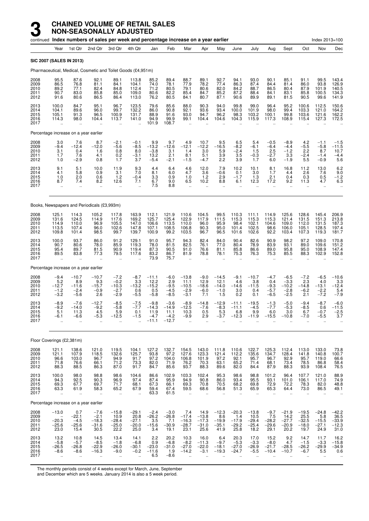**3**

|                                      |                                                           |                                                  | continued Index numbers of sales per week and percentage increase on a year earlier |                                                    |                                                           |                                                |                                                |                                                      |                                                         |                                                          |                                              |                                               |                                             |                                                 |                                               | Index 2013=100                                    |                                                 |
|--------------------------------------|-----------------------------------------------------------|--------------------------------------------------|-------------------------------------------------------------------------------------|----------------------------------------------------|-----------------------------------------------------------|------------------------------------------------|------------------------------------------------|------------------------------------------------------|---------------------------------------------------------|----------------------------------------------------------|----------------------------------------------|-----------------------------------------------|---------------------------------------------|-------------------------------------------------|-----------------------------------------------|---------------------------------------------------|-------------------------------------------------|
|                                      | Year                                                      | 1st Qtr                                          | 2nd Qtr                                                                             | 3rd Qtr                                            | 4th Qtr                                                   | Jan                                            | Feb                                            | Mar                                                  | Apr                                                     | May                                                      | June                                         | July                                          | Aug                                         | Sept                                            | Oct                                           | Nov                                               | Dec                                             |
| <b>SIC 2007 (SALES IN 2013)</b>      |                                                           |                                                  |                                                                                     |                                                    |                                                           |                                                |                                                |                                                      |                                                         |                                                          |                                              |                                               |                                             |                                                 |                                               |                                                   |                                                 |
|                                      |                                                           |                                                  | Pharmaceutical, Medical, Cosmetic and Toilet Goods (£4,951m)                        |                                                    |                                                           |                                                |                                                |                                                      |                                                         |                                                          |                                              |                                               |                                             |                                                 |                                               |                                                   |                                                 |
| 2008<br>2009<br>2010<br>2011<br>2012 | 95.5<br>86.5<br>89.2<br>90.7<br>91.6                      | 87.6<br>76.8<br>77.1<br>83.0<br>80.6             | 92.1<br>81.1<br>82.4<br>85.8<br>86.5                                                | 89.1<br>84.1<br>84.8<br>85.0<br>86.4               | 113.8<br>104.1<br>112.4<br>109.0<br>113.0                 | 85.2<br>74.0<br>71.2<br>80.6<br>76.2           | 89.4<br>78.1<br>80.5<br>82.2<br>80.5           | 88.7<br>77.9<br>79.1<br>85.4<br>84.1                 | 89.1<br>78.2<br>80.6<br>84.7<br>80.7                    | 92.7<br>77.4<br>82.0<br>85.2<br>87.1                     | 94.1<br>86.3<br>84.2<br>87.2<br>90.6         | 93.0<br>87.4<br>88.7<br>88.4<br>89.9          | 90.1<br>84.4<br>86.5<br>84.1<br>89.1        | 85.1<br>81.4<br>80.4<br>83.1<br>81.5            | 91.1<br>86.0<br>87.9<br>85.8<br>90.5          | 99.5<br>93.8<br>101.9<br>100.5<br>99.6            | 143.4<br>126.9<br>140.5<br>134.3<br>141.9       |
| 2013<br>2014<br>2015<br>2016<br>2017 | 100.0<br>104.1<br>105.1<br>114.3                          | 84.7<br>89.6<br>91.3<br>98.0                     | 95.1<br>96.0<br>96.5<br>104.4                                                       | 96.7<br>99.7<br>100.9<br>113.7                     | 123.5<br>132.2<br>131.7<br>141.0                          | 79.6<br>86.0<br>88.9<br>94.9<br>101.9          | 85.6<br>90.8<br>91.6<br>99.9<br>108.7          | 88.0<br>92.1<br>93.0<br>99.1                         | 90.3<br>93.6<br>94.7<br>104.4                           | 94.0<br>93.4<br>96.2<br>104.6                            | 99.8<br>100.0<br>98.3<br>104.3               | 99.0<br>101.9<br>103.2<br>115.9               | 96.4<br>98.0<br>100.1<br>117.3              | 95.2<br>99.4<br>99.8<br>108.9                   | 100.6<br>103.3<br>103.6<br>115.4              | 112.5<br>121.0<br>121.6<br>127.3                  | 150.6<br>164.2<br>162.2<br>172.5                |
|                                      |                                                           | Percentage increase on a year earlier            |                                                                                     |                                                    |                                                           |                                                |                                                |                                                      |                                                         |                                                          |                                              |                                               |                                             |                                                 |                                               |                                                   |                                                 |
| 2008<br>2009<br>2010<br>2011<br>2012 | 3.0<br>-9.4<br>3.1<br>1.7<br>1.0                          | 7.6<br>$-12.4$<br>0.4<br>7.6<br>$-2.9$           | 8.7<br>$-12.0$<br>1.6<br>4.1<br>0.8                                                 | $-2.1$<br>$-5.6$<br>0.8<br>0.2<br>1.7              | $-0.1$<br>$-8.5$<br>8.0<br>$-3.1$<br>3.7                  | 9.9<br>$-13.2$<br>$-3.8$<br>13.2<br>$-5.4$     | 9.7<br>$-12.6$<br>3.1<br>2.1<br>$-2.1$         | 4.9<br>$-12.1$<br>1.4<br>8.1<br>$-1.5$               | 10.7<br>$-12.2$<br>3.0<br>5.1<br>$-4.7$                 | 9.5<br>$-16.5$<br>5.9<br>3.9<br>2.2                      | 6.5<br>$-8.2$<br>$-2.4$<br>3.5<br>3.9        | 5.4<br>$-6.1$<br>1.5<br>$-0.3$<br>1.7         | $-0.5$<br>$-6.4$<br>2.5<br>$-2.7$<br>6.0    | $-8.9$<br>$-4.4$<br>$-1.2$<br>3.3<br>$-1.9$     | 4.2<br>$-5.5$<br>2.2<br>$-2.4$<br>5.5         | $-1.1$<br>$-5.8$<br>8.7<br>$-1.4$<br>$-0.9$       | $-1.5$<br>$-11.5$<br>10.7<br>$-4.4$<br>5.6      |
| 2013<br>2014<br>2015<br>2016<br>2017 | 9.1<br>4.1<br>1.0<br>8.7<br>$\ddot{\phantom{a}}$          | 5.1<br>5.8<br>2.0<br>7.4<br>$\ddot{\phantom{a}}$ | 10.0<br>0.9<br>0.6<br>8.2<br>$\ddot{\phantom{a}}$                                   | 11.9<br>3.1<br>1.2<br>12.6<br>$\ddot{\phantom{a}}$ | 9.3<br>7.0<br>$-0.4$<br>7.1<br>$\ddot{\phantom{a}}$       | 4.4<br>8.1<br>3.3<br>6.7<br>7.5                | 6.4<br>6.0<br>0.9<br>9.0<br>8.8                | 4.6<br>4.7<br>1.0<br>6.5<br>$\ddotsc$                | 12.0<br>3.6<br>1.2<br>10.2<br>$\ddot{\phantom{a}}$      | 7.9<br>-0.6<br>2.9<br>8.8<br>$\ddot{\phantom{a}}$        | 10.2<br>0.1<br>$-1.7$<br>6.1                 | 10.1<br>3.0<br>1.3<br>12.3                    | 8.1<br>1.7<br>2.1<br>17.2                   | 16.8<br>4.4<br>0.4<br>9.2                       | 11.2<br>2.6<br>0.3<br>11.3                    | 13.0<br>7.6<br>0.5<br>4.7<br>$\ddot{\phantom{a}}$ | 6.2<br>9.0<br>$-1.2$<br>6.3                     |
|                                      |                                                           |                                                  | Books, Newspapers and Periodicals (£3,993m)                                         |                                                    |                                                           |                                                |                                                |                                                      |                                                         |                                                          |                                              |                                               |                                             |                                                 |                                               |                                                   |                                                 |
| 2008<br>2009<br>2010<br>2011<br>2012 | 125.1<br>131.6<br>114.9<br>113.5<br>109.8                 | 114.3<br>124.5<br>110.0<br>107.4<br>101.4        | 105.2<br>114.9<br>96.9<br>96.0<br>98.5                                              | 117.8<br>117.6<br>105.5<br>102.6<br>99.7           | 163.9<br>169.2<br>147.0<br>147.8<br>139.7                 | 112.1<br>125.7<br>106.6<br>107.1<br>100.9      | 121.9<br>125.4<br>113.5<br>108.5<br>99.2       | 110.6<br>122.9<br>110.0<br>106.8<br>103.5            | 104.5<br>117.9<br>96.0<br>90.3<br>96.7                  | 99.5<br>111.5<br>95.9<br>95.0<br>96.5                    | 110.3<br>115.3<br>98.4<br>101.4<br>101.6     | 111.1<br>115.3<br>102.1<br>102.5<br>102.6     | 114.9<br>115.3<br>104.6<br>98.6<br>92.2     | 125.6<br>121.4<br>109.0<br>106.0<br>103.4       | 128.6<br>131.5<br>112.0<br>105.1<br>107.3     | 145.4<br>151.3<br>131.5<br>128.5<br>119.3         | 206.9<br>213.8<br>187.3<br>197.4<br>181.7       |
| 2013<br>2014<br>2015<br>2016<br>2017 | 100.0<br>90.7<br>95.4<br>89.5<br>$\ddotsc$                | 93.7<br>80.6<br>89.7<br>83.8<br>$\ddotsc$        | 86.0<br>78.0<br>81.5<br>77.3                                                        | 91.2<br>85.9<br>90.9<br>79.5<br>ä.                 | 129.1<br>119.3<br>119.4<br>117.6                          | 91.0<br>78.0<br>87.3<br>83.2<br>73.9           | 95.7<br>81.5<br>90.5<br>86.7<br>75.7           | 94.3<br>82.5<br>91.0<br>81.9<br>$\ddot{\phantom{a}}$ | 82.4<br>76.1<br>76.6<br>78.8                            | 84.0<br>77.0<br>81.1<br>78.1                             | 90.4<br>80.4<br>85.8<br>75.3                 | 82.6<br>78.9<br>86.6<br>76.3                  | 90.9<br>83.9<br>89.0<br>75.3                | 98.2<br>93.1<br>95.8<br>85.5                    | 97.2<br>89.0<br>95.0<br>88.3                  | 109.0<br>109.6<br>108.9<br>102.9                  | 170.8<br>151.2<br>147.4<br>152.8                |
|                                      |                                                           | Percentage increase on a year earlier            |                                                                                     |                                                    |                                                           |                                                |                                                |                                                      |                                                         |                                                          |                                              |                                               |                                             |                                                 |                                               |                                                   |                                                 |
| 2008<br>2009<br>2010<br>2011<br>2012 | $-9.4$<br>5.2<br>$-12.7$<br>$-1.2$<br>$-3.2$              | $-10.7$<br>8.9<br>$-11.6$<br>$-2.4$<br>$-5.6$    | $-10.7$<br>9.3<br>$-15.7$<br>$-0.9$<br>2.6                                          | $-7.2$<br>$-0.2$<br>$-10.3$<br>$-2.7$<br>$-2.9$    | $-8.7$<br>3.3<br>$-13.2$<br>0.6<br>$-5.5$                 | $-11.1$<br>12.2<br>$-15.2$<br>0.5<br>$-5.8$    | $-6.0$<br>2.9<br>$-9.5$<br>$-4.5$<br>$-8.5$    | $-13.8$<br>11.1<br>$-10.5$<br>$-2.9$<br>$-3.1$       | $-9.0$<br>12.9<br>$-18.6$<br>$-6.0$<br>7.1              | $-14.5$<br>12.1<br>$-14.0$<br>$-1.0$<br>1.5              | $-9.1$<br>4.6<br>$-14.6$<br>3.0<br>0.2       | $-10.7$<br>3.8<br>$-11.5$<br>0.4<br>0.1       | $-4.7$<br>0.4<br>$-9.3$<br>$-5.7$<br>$-6.5$ | $-6.5$<br>$-3.3$<br>$-10.2$<br>$-2.8$<br>$-2.5$ | $-7.2$<br>2.3<br>$-14.8$<br>$-6.2$<br>2.1     | $-6.5$<br>4.0<br>$-13.1$<br>$-2.2$<br>$-7.2$      | $-10.6$<br>3.3<br>$-12.4$<br>5.4<br>$-7.9$      |
| 2013<br>2014<br>2015<br>2016<br>2017 | $-8.9$<br>$-9.2$<br>5.1<br>$-6.1$<br>$\ddot{\phantom{a}}$ | $-7.6$<br>-14.0<br>11.3<br>$-6.6$<br>à.          | $-12.7$<br>$-9.2$<br>4.5<br>-5.3<br>$\ddot{\phantom{a}}$                            | $-8.5$<br>$-5.8$<br>5.9<br>$-12.5$<br>ä,           | $-7.5$<br>$-7.7$<br>0.1<br>$-1.5$<br>$\ddot{\phantom{a}}$ | $-9.8$<br>$-14.3$<br>11.9<br>$-4.7$<br>$-11.1$ | $-3.6$<br>$-14.9$<br>11.1<br>$-4.2$<br>$-12.7$ | $-8.9$<br>$-12.5$<br>10.3<br>$-9.9$<br>÷.            | $-14.8$<br>$-7.6$<br>0.5<br>2.9<br>$\ddot{\phantom{a}}$ | $-12.9$<br>$-8.3$<br>5.3<br>-3.7<br>$\ddot{\phantom{a}}$ | $-11.1$<br>$-11.1$<br>6.8<br>$-12.3$         | $-19.5$<br>$-4.5$<br>9.9<br>$-11.9$           | $-1.3$<br>$-7.7$<br>6.0<br>$-15.5$          | $-5.0$<br>$-5.3$<br>3.0<br>$-10.8$              | $-9.4$<br>$-8.5$<br>6.7<br>$-7.0$<br>ä,       | -8.7<br>0.6<br>-0.7<br>$-5.5$<br>ä,               | $-6.0$<br>$-11.5$<br>-2.5<br>3.7<br>.,          |
| Floor Coverings (£2,381m)            |                                                           |                                                  |                                                                                     |                                                    |                                                           |                                                |                                                |                                                      |                                                         |                                                          |                                              |                                               |                                             |                                                 |                                               |                                                   |                                                 |
| 2008<br>2009<br>2010<br>2011<br>2012 | 121.1<br>121.1<br>96.6<br>71.8<br>88.3                    | 138.6<br>107.9<br>103.0<br>76.6<br>88.5          | 121.0<br>118.5<br>96.7<br>66.1<br>86.3                                              | 119.5<br>132.6<br>94.9<br>71.2<br>87.0             | 104.1<br>125.7<br>91.7<br>73.3<br>91.7                    | 127.2<br>93.8<br>97.2<br>82.0<br>84.7          | 132.7<br>97.2<br>104.0<br>71.9<br>85.6         | 154.5<br>127.6<br>106.8<br>76.2<br>93.7              | 143.0<br>123.3<br>101.9<br>70.3<br>88.3                 | 111.8<br>121.4<br>97.2<br>63.1<br>89.6                   | 110.6<br>112.2<br>92.1<br>65.2<br>82.0       | 122.7<br>135.6<br>95.7<br>71.4<br>84.4        | 125.3<br>134.7<br>96.7<br>68.1<br>87.9      | 112.4<br>128.4<br>92.9<br>73.4<br>88.3          | 113.0<br>141.8<br>95.7<br>78.5<br>93.9        | 133.0<br>140.8<br>119.0<br>86.8<br>108.4          | 73.8<br>100.7<br>66.6<br>58.4<br>76.5           |
| 2013<br>2014<br>2015<br>2016<br>2017 | 100.0<br>94.3<br>69.3<br>63.3<br>$\ddot{\phantom{1}}$     | 98.0<br>$\frac{92.5}{67.7}$<br>61.9              | 98.8<br>90.3<br>69.7<br>58.3                                                        | 98.6<br>96.9<br>71.7<br>65.2<br>$\ddotsc$          | 104.6<br>97.4<br>68.1<br>67.9                             | 86.6<br>87.4<br>67.3<br>59.4<br>63.3           | 102.9<br>95.9<br>66.1<br>67.4<br>61.5          | 103.3<br>94.9<br>69.3<br>59.5<br>$\ddotsc$           | 102.4<br>90.8<br>70.8<br>68.6                           | 95.3<br>86.0<br>70.5<br>56.8                             | 98.6<br>93.4<br>68.2<br>51.3                 | 98.8<br>95.5<br>69.8<br>65.9                  | 101.2<br>93.1<br>72.9<br>65.3               | 96.4<br>101.0<br>72.2<br>64.4                   | 107.7<br>106.1<br>78.3<br>73.0                | 121.0<br>117.0<br>82.0<br>86.5                    | 88.9<br>74.9<br>48.8<br>49.1                    |
|                                      |                                                           |                                                  | Percentage increase on a year earlier                                               |                                                    |                                                           |                                                |                                                |                                                      |                                                         |                                                          |                                              |                                               |                                             |                                                 |                                               |                                                   |                                                 |
| 2008<br>2009<br>2010<br>2011<br>2012 | $-13.0$<br>$-20.3$<br>$-25.6$<br>23.0                     | 0.7<br>$-22.1$<br>$-4.5$<br>$-25.6$<br>15.4      | $-7.6$<br>$-2.1$<br>$-18.3$<br>$-31.6$<br>30.5                                      | $-15.8$<br>10.9<br>$-28.4$<br>$-25.0$<br>22.2      | $\frac{-29.1}{20.8}$<br>$-27.1$<br>$-20.0$<br>25.0        | $-2.4$<br>$-26.2$<br>$3.5 - 15.6$<br>3.4       | $-3.0$<br>$-26.8$<br>7.1<br>$-30.9$<br>19.1    | 7.4<br>$-17.4$<br>$-16.3$<br>$-28.7$<br>23.1         | 14.9<br>$-13.8$<br>$-17.3$<br>$-31.0$<br>25.6           | $-12.3$<br>8.6<br>$-19.9$<br>$-35.1$<br>41.9             | $-20.3$<br>1.4<br>$-17.9$<br>$-29.2$<br>25.8 | $-13.8$<br>10.5<br>$-29.4$<br>$-25.4$<br>18.2 | $-9.7$<br>7.5<br>$-28.2$<br>$-29.6$<br>29.1 | $-21.9$<br>14.2<br>$-27.7$<br>$-20.9$<br>20.2   | $-19.5$<br>25.5<br>$-32.5$<br>$-18.0$<br>19.7 | $-24.8$<br>5.8<br>$-15.5$<br>$-27.1$<br>24.9      | $-42.2$<br>$36.5$<br>$-33.9$<br>$-12.3$<br>31.0 |
| 2013<br>2014<br>2015<br>2016<br>2017 | 13.2<br>$-5.8$<br>$-26.5$<br>$-8.6$<br>$\ddotsc$          | 10.8<br>$-5.7$<br>$-26.8$<br>$-8.6$              | 14.5<br>$-8.5$<br>$-22.9$<br>$-16.3$                                                | 13.4<br>$-1.8$<br>$-26.0$<br>$-9.0$<br>$\ddotsc$   | 14.1<br>$-6.8$<br>$-30.1$<br>$-0.2$<br>$\ddotsc$          | 2.2<br>0.9<br>$-23.0$<br>$-11.6$<br>6.5        | 20.2<br>$-6.8$<br>$-31.0$<br>1.9<br>$-8.6$     | 10.3<br>$-8.2$<br>$-27.0$<br>$-14.2$<br>$\ddotsc$    | 16.0<br>$-11.3$<br>$-22.0$<br>$-3.1$                    | 6.4<br>$-9.7$<br>$-18.1$<br>$-19.3$                      | 20.3<br>$-5.3$<br>$-27.0$<br>$-24.7$         | 17.0<br>$-3.3$<br>$-26.9$<br>$-5.5$           | 15.2<br>$-8.0$<br>$-21.7$<br>$-10.4$        | 9.2<br>4.7<br>$-28.5$<br>$-10.7$                | 14.7<br>$-1.5$<br>$-26.2$<br>$-6.7$           | 11.7<br>$-3.3$<br>$-29.9$<br>5.5                  | 16.2<br>$-15.8$<br>$-34.9$<br>0.6               |

The monthly periods consist of 4 weeks except for March, June, September

and December which are 5 weeks. January 2014 is also a 5 week period.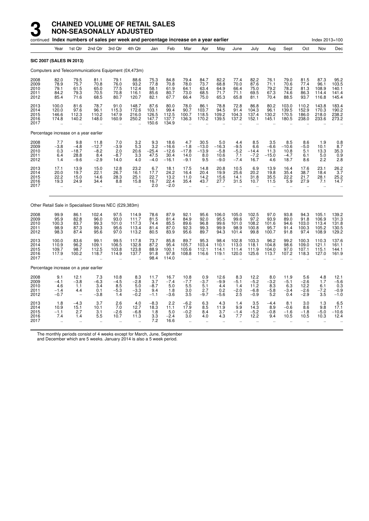**3**

|                                      |                                           |                                                          | continued Index numbers of sales per week and percentage increase on a year earlier |                                                         |                                                          |                                          |                                               |                                                         |                                                  |                                                   |                                                     |                                                       |                                                        |                                                     |                                                      | Index 2013=100                                       |                                           |
|--------------------------------------|-------------------------------------------|----------------------------------------------------------|-------------------------------------------------------------------------------------|---------------------------------------------------------|----------------------------------------------------------|------------------------------------------|-----------------------------------------------|---------------------------------------------------------|--------------------------------------------------|---------------------------------------------------|-----------------------------------------------------|-------------------------------------------------------|--------------------------------------------------------|-----------------------------------------------------|------------------------------------------------------|------------------------------------------------------|-------------------------------------------|
|                                      | Year                                      | 1st Qtr                                                  | 2nd Qtr                                                                             | 3rd Qtr                                                 | 4th Qtr                                                  | Jan                                      | Feb                                           | Mar                                                     | Apr                                              | May                                               | June                                                | July                                                  | Aug                                                    | Sept                                                | Oct                                                  | Nov                                                  | Dec                                       |
|                                      | <b>SIC 2007 (SALES IN 2013)</b>           |                                                          |                                                                                     |                                                         |                                                          |                                          |                                               |                                                         |                                                  |                                                   |                                                     |                                                       |                                                        |                                                     |                                                      |                                                      |                                           |
|                                      |                                           |                                                          | Computers and Telecommunications Equipment (£4,473m)                                |                                                         |                                                          |                                          |                                               |                                                         |                                                  |                                                   |                                                     |                                                       |                                                        |                                                     |                                                      |                                                      |                                           |
| 2008<br>2009<br>2010<br>2011<br>2012 | 82.0<br>78.9<br>79.1<br>84.2<br>85.4      | 79.5<br>75.7<br>61.5<br>79.3<br>71.6                     | 81.1<br>70.8<br>65.0<br>70.5<br>68.5                                                | 79.1<br>76.0<br>77.5<br>70.8<br>80.7                    | 88.6<br>93.2<br>112.4<br>116.1<br>120.7                  | 75.3<br>77.8<br>58.1<br>85.6<br>82.1     | 84.8<br>70.8<br>61.9<br>80.7<br>67.7          | 79.4<br>78.0<br>64.1<br>73.0<br>66.4                    | 84.7<br>73.7<br>63.4<br>68.5<br>75.0             | 82.2<br>68.8<br>64.9<br>71.7<br>65.3              | 77.4<br>70.0<br>66.4<br>71.1<br>65.8                | 82.2<br>87.6<br>75.0<br>69.5<br>81.1                  | 76.1<br>71.1<br>79.2<br>67.3<br>70.4                   | 79.0<br>70.6<br>78.2<br>74.6<br>88.5                | 81.5<br>77.4<br>81.3<br>86.3<br>93.7                 | 87.3<br>96.1<br>108.9<br>114.4<br>116.8              | 95.2<br>103.5<br>140.1<br>141.4<br>145.4  |
| 2013<br>2014<br>2015<br>2016<br>2017 | 100.0<br>120.0<br>146.6<br>174.8<br>Ξ.    | 81.6<br>97.6<br>112.3<br>140.2<br>ä.                     | 78.7<br>96.1<br>110.2<br>148.0<br>$\ddot{\phantom{a}}$                              | 91.0<br>115.3<br>147.9<br>160.9<br>ă.                   | 148.7<br>172.6<br>216.0<br>250.2<br>$\ddot{\phantom{a}}$ | 87.6<br>103.1<br>126.5<br>147.7<br>150.6 | 80.0<br>99.4<br>112.5<br>137.7<br>134.9       | 78.0<br>90.7<br>100.7<br>136.3                          | 86.1<br>103.7<br>118.5<br>170.2                  | 78.8<br>94.5<br>109.2<br>139.5                    | 72.8<br>91.4<br>104.3<br>137.2                      | 86.8<br>104.3<br>137.4<br>152.1                       | 80.2<br>96.1<br>130.2<br>145.1                         | 103.0<br>139.5<br>170.5<br>180.5                    | 110.2<br>152.9<br>186.0<br>238.0                     | 143.8<br>170.3<br>218.0<br>233.6                     | 183.4<br>190.2<br>238.2<br>273.2          |
|                                      | Percentage increase on a year earlier     |                                                          |                                                                                     |                                                         |                                                          |                                          |                                               |                                                         |                                                  |                                                   |                                                     |                                                       |                                                        |                                                     |                                                      |                                                      |                                           |
| 2008<br>2009<br>2010<br>2011<br>2012 | 7.7<br>$-3.8$<br>0.3<br>6.4<br>1.4        | 9.8<br>$-4.8$<br>$-18.7$<br>28.8<br>$-9.6$               | 11.8<br>$-12.7$<br>$-8.2$<br>8.4<br>$-2.9$                                          | 7.0<br>$-3.9$<br>2.0<br>$-8.7$<br>14.0                  | 3.2<br>5.3<br>20.6<br>3.3<br>4.0                         | 9.3<br>3.2<br>$-25.4$<br>47.5<br>$-4.0$  | 18.6<br>$-16.6$<br>$-12.6$<br>30.4<br>$-16.1$ | 4.7<br>$-1.8$<br>$-17.8$<br>14.0<br>$-9.1$              | 30.5<br>$-13.0$<br>$-13.9$<br>8.0<br>9.5         | 5.0<br>$-16.3$<br>$-5.8$<br>10.6<br>$-9.0$        | 4.4<br>$-9.5$<br>$-5.2$<br>7.1<br>$-7.4$            | 8.5<br>6.6<br>$-14.4$<br>$-7.2$<br>16.7               | 3.5<br>$-6.6$<br>11.3<br>$-15.0$<br>4.6                | 8.5<br>$-10.6$<br>10.8<br>$-4.7$<br>18.7            | 8.6<br>$-5.0$<br>5.1<br>6.1<br>8.6                   | 1.9<br>10.1<br>13.3<br>5.0<br>2.2                    | 0.8<br>8.7<br>35.3<br>0.9<br>2.8          |
| 2013<br>2014<br>2015<br>2016<br>2017 | 17.1<br>20.0<br>22.2<br>19.3<br>٠.        | 13.9<br>19.7<br>15.0<br>24.9                             | 15.0<br>22.1<br>14.6<br>34.4                                                        | 12.8<br>26.7<br>28.3<br>8.8                             | 23.2<br>16.1<br>25.1<br>15.8<br>$\ddot{\phantom{a}}$     | 6.7<br>17.7<br>22.7<br>16.7<br>2.0       | 18.1<br>24.2<br>13.2<br>22.4<br>$-2.0$        | 17.5<br>16.4<br>11.0<br>35.4<br>$\sim$                  | 14.8<br>20.4<br>14.2<br>43.7                     | 20.8<br>19.9<br>15.6<br>27.7                      | 10.5<br>25.6<br>14.1<br>31.5                        | 6.9<br>20.2<br>31.8<br>10.7<br>$\ddot{\phantom{a}}$   | 13.9<br>19.8<br>35.5<br>11.5<br>$\ddot{\phantom{a}}$   | 16.4<br>35.4<br>22.2<br>5.9<br>$\ddot{\phantom{a}}$ | 17.6<br>38.7<br>21.7<br>27.9<br>$\ddot{\phantom{a}}$ | 23.1<br>18.4<br>28.1<br>7.1<br>$\ddot{\phantom{a}}$  | 26.2<br>3.7<br>25.2<br>14.7               |
|                                      |                                           |                                                          | Other Retail Sale in Specialised Stores NEC (£29,383m)                              |                                                         |                                                          |                                          |                                               |                                                         |                                                  |                                                   |                                                     |                                                       |                                                        |                                                     |                                                      |                                                      |                                           |
| 2008<br>2009<br>2010<br>2011<br>2012 | 99.9<br>95.9<br>100.3<br>98.9<br>98.3     | 86.1<br>82.8<br>83.7<br>87.3<br>87.4                     | 102.4<br>96.0<br>99.3<br>99.3<br>95.6                                               | 97.5<br>93.0<br>101.0<br>95.6<br>97.0                   | 114.9<br>111.7<br>117.3<br>113.4<br>113.2                | 78.6<br>81.5<br>74.4<br>81.4<br>80.5     | 87.9<br>81.4<br>85.5<br>87.0<br>83.9          | 92.1<br>84.9<br>89.6<br>92.3<br>95.6                    | 95.6<br>92.0<br>96.8<br>99.3<br>89.7             | 106.0<br>95.5<br>99.6<br>99.9<br>94.3             | 105.0<br>99.6<br>101.0<br>98.9<br>101.4             | 102.5<br>97.2<br>108.2<br>100.8<br>99.8               | 97.0<br>93.9<br>101.6<br>95.7<br>100.7                 | 93.8<br>89.0<br>94.6<br>91.4<br>91.8                | 94.3<br>91.8<br>103.0<br>100.3<br>97.4               | 105.1<br>106.9<br>113.4<br>105.2<br>108.9            | 139.2<br>131.3<br>131.8<br>130.5<br>129.2 |
| 2013<br>2014<br>2015<br>2016<br>2017 | 100.0<br>110.9<br>109.7<br>117.9          | 83.6<br>96.2<br>98.7<br>100.2<br>$\ddot{\phantom{a}}$    | 99.1<br>109.1<br>112.5<br>118.7                                                     | 99.5<br>106.5<br>103.8<br>114.9<br>$\ddot{\phantom{a}}$ | 117.8<br>132.8<br>123.8<br>137.7                         | 73.7<br>87.2<br>88.9<br>91.8<br>98.4     | 85.8<br>95.4<br>100.1<br>97.8<br>114.0        | 89.7<br>105.7<br>105.6<br>108.8                         | 95.3<br>103.4<br>112.1<br>116.6                  | 98.4<br>110.1<br>114.1<br>119.1                   | 102.8<br>113.0<br>111.4<br>120.0                    | 103.3<br>118.1<br>111.9<br>125.6                      | 96.2<br>104.8<br>104.0<br>113.7                        | 99.2<br>98.6<br>97.0<br>107.2                       | 100.3<br>109.0<br>107.1<br>118.3                     | 110.3<br>121.1<br>115.1<br>127.0                     | 137.6<br>161.1<br>144.1<br>161.9          |
|                                      | Percentage increase on a year earlier     |                                                          |                                                                                     |                                                         |                                                          |                                          |                                               |                                                         |                                                  |                                                   |                                                     |                                                       |                                                        |                                                     |                                                      |                                                      |                                           |
| 2008<br>2009<br>2010<br>2011<br>2012 | 9.1<br>$-4.1$<br>4.6<br>$-1.4$<br>$-0.7$  | 12.1<br>$-3.8$<br>1.1<br>4.4<br>$\overline{\phantom{a}}$ | 7.3<br>$-6.3$<br>3.4<br>0.1<br>$-3.8$                                               | 10.8<br>$-4.5$<br>8.5<br>$-5.3$<br>1.4                  | 8.3<br>$-2.8$<br>5.0<br>$-3.3$<br>$-0.2$                 | 11.7<br>3.7<br>$-8.7$<br>9.4<br>$-1.1$   | 16.7<br>$-7.4$<br>5.0<br>1.8<br>$-3.6$        | 10.8<br>$-7.7$<br>5.5<br>3.0<br>3.5                     | 0.9<br>$-3.7$<br>5.1<br>2.7<br>$-9.7$            | 12.6<br>$-9.9$<br>4.4<br>0.2<br>$-5.6$            | 8.3<br>$-5.1$<br>1.4<br>$-2.0$<br>2.5               | $12.2 - 5.2$<br>11.2<br>$-6.8$<br>$-0.9$              | 8.0<br>$-3.2$<br>8.3<br>$-5.8$<br>5.2                  | 11.9<br>$-5.1$<br>6.3<br>$-3.4$<br>0.4              | 5.6<br>$-2.6$<br>12.2<br>$-2.6$<br>$-2.9$            | $^{4.8}_{1.7}$<br>6.1<br>$-7.2$<br>3.5               | $12.1 - 5.6$<br>0.3<br>$-0.9$<br>$-1.0$   |
| 2013<br>2014<br>2015<br>2016<br>2017 | 1.8<br>10.9<br>$-1.1$<br>7.4<br>$\ddotsc$ | $-4.3$<br>15.1<br>2.7<br>1.4<br>ä.                       | 3.7<br>10.1<br>3.1<br>5.5<br>$\ddot{\phantom{a}}$                                   | 2.6<br>7.0<br>$-2.6$<br>10.7<br>$\ddot{\phantom{a}}$    | 4.0<br>12.7<br>$-6.8$<br>11.3<br>$\ddot{\phantom{a}}$    | $-8.3$<br>18.3<br>1.8<br>3.3<br>7.2      | 2.2<br>11.1<br>5.0<br>$-2.4$<br>16.6          | $-6.2$<br>17.9<br>$-0.2$<br>3.0<br>$\ddot{\phantom{a}}$ | 6.3<br>8.5<br>8.4<br>4.0<br>$\ddot{\phantom{a}}$ | 4.3<br>11.9<br>3.7<br>4.3<br>$\ddot{\phantom{a}}$ | 1.4<br>9.9<br>$-1.4$<br>7.7<br>$\ddot{\phantom{a}}$ | 3.5<br>14.3<br>$-5.2$<br>12.2<br>$\ddot{\phantom{a}}$ | $-4.4$<br>8.9<br>$-0.8$<br>9.4<br>$\ddot{\phantom{a}}$ | 8.1<br>$-0.6$<br>$-1.6$<br>10.5                     | 3.0<br>8.6<br>$-1.8$<br>10.5                         | 1.3<br>9.8<br>$-5.0$<br>10.3<br>$\ddot{\phantom{a}}$ | 6.5<br>17.1<br>$-10.6$<br>12.4            |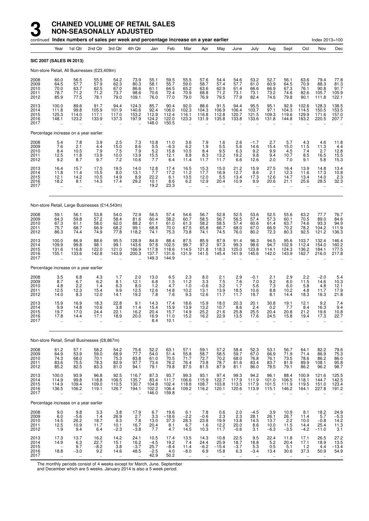**3**

|                                      |                                                                          | continued Index numbers of sales per week and percentage increase on a year earlier |                                                         |                                                         |                                                          |                                          |                                          |                                                         |                                                       |                                                         |                                                       |                                                    |                                                     |                                                            |                                                      | Index 2013=100                                       |                                                         |
|--------------------------------------|--------------------------------------------------------------------------|-------------------------------------------------------------------------------------|---------------------------------------------------------|---------------------------------------------------------|----------------------------------------------------------|------------------------------------------|------------------------------------------|---------------------------------------------------------|-------------------------------------------------------|---------------------------------------------------------|-------------------------------------------------------|----------------------------------------------------|-----------------------------------------------------|------------------------------------------------------------|------------------------------------------------------|------------------------------------------------------|---------------------------------------------------------|
|                                      | Year                                                                     | 1st Qtr                                                                             | 2nd Qtr                                                 | 3rd Qtr                                                 | 4th Qtr                                                  | Jan                                      | Feb                                      | Mar                                                     | Apr                                                   | May                                                     | June                                                  | July                                               | Aug                                                 | Sept                                                       | Oct                                                  | Nov                                                  | Dec                                                     |
|                                      | <b>SIC 2007 (SALES IN 2013)</b>                                          |                                                                                     |                                                         |                                                         |                                                          |                                          |                                          |                                                         |                                                       |                                                         |                                                       |                                                    |                                                     |                                                            |                                                      |                                                      |                                                         |
|                                      |                                                                          | Non-store Retail, All Businesses (£23,409m)                                         |                                                         |                                                         |                                                          |                                          |                                          |                                                         |                                                       |                                                         |                                                       |                                                    |                                                     |                                                            |                                                      |                                                      |                                                         |
| 2008<br>2009<br>2010<br>2011<br>2012 | 60.0<br>64.5<br>70.0<br>78.7<br>85.9                                     | 56.5<br>57.7<br>63.7<br>71.2<br>77.5                                                | 55.5<br>57.9<br>62.5<br>71.2<br>78.1                    | 54.2<br>62.3<br>67.0<br>73.7<br>79.0                    | 73.9<br>80.3<br>86.6<br>98.6<br>109.1                    | 55.1<br>58.1<br>61.1<br>70.6<br>76.0     | 59.5<br>55.7<br>64.5<br>72.4<br>77.0     | 55.5<br>59.0<br>65.2<br>70.9<br>79.0                    | 57.6<br>58.7<br>63.6<br>68.8<br>76.9                  | 54.4<br>57.4<br>62.9<br>71.2<br>79.5                    | 54.6<br>57.7<br>61.4<br>73.1<br>77.9                  | 53.2<br>61.0<br>66.6<br>73.1<br>82.4               | 52.7<br>60.9<br>66.9<br>73.2<br>74.6                | 56.1<br>64.5<br>67.3<br>74.6<br>79.8                       | 63.6<br>70.9<br>76.1<br>82.6<br>90.1                 | 79.4<br>88.3<br>90.8<br>105.7<br>111.8               | 77.8<br>81.3<br>91.7<br>105.9<br>122.1                  |
| 2013<br>2014<br>2015<br>2016<br>2017 | 100.0<br>111.8<br>125.3<br>148.1<br>$\ddotsc$                            | 89.6<br>99.8<br>114.0<br>123.2<br>$\mathbf{r}$                                      | 91.7<br>105.9<br>117.1<br>133.9<br>$\ddot{\phantom{a}}$ | 94.4<br>101.9<br>117.0<br>137.3<br>$\ddot{\phantom{a}}$ | 124.3<br>140.6<br>153.2<br>197.9                         | 85.7<br>92.4<br>112.9<br>124.2<br>148.0  | 90.4<br>106.0<br>112.4<br>122.0<br>150.5 | 92.0<br>102.3<br>116.1<br>123.3<br>$\ddot{\phantom{a}}$ | 88.6<br>104.3<br>116.8<br>131.9                       | 91.5<br>106.9<br>112.8<br>135.8                         | 94.4<br>106.4<br>120.7<br>133.8                       | 95.5<br>103.7<br>121.5<br>133.6                    | 95.1<br>97.1<br>109.3<br>131.8                      | 92.9<br>104.3<br>119.6<br>144.8                            | 102.6<br>114.5<br>129.9<br>163.2                     | 128.3<br>150.5<br>171.6<br>220.5                     | 138.5<br>153.5<br>157.0<br>207.7                        |
|                                      |                                                                          | Percentage increase on a year earlier                                               |                                                         |                                                         |                                                          |                                          |                                          |                                                         |                                                       |                                                         |                                                       |                                                    |                                                     |                                                            |                                                      |                                                      |                                                         |
| 2008<br>2009<br>2010<br>2011<br>2012 | 5.4<br>7.6<br>8.4<br>12.5<br>9.2                                         | 7.8<br>2.1<br>10.5<br>11.8<br>8.7                                                   | 3.9<br>4.4<br>7.9<br>13.9<br>9.7                        | 2.5<br>15.0<br>$7.5$<br>10.0<br>7.2                     | 7.3<br>8.6<br>7.9<br>13.9<br>10.6                        | 10.8<br>5.5<br>$5.2$<br>15.5<br>7.7      | 11.0<br>$-6.3$<br>15.8<br>12.1<br>6.4    | 3.6<br>6.2<br>10.5<br>8.8<br>11.4                       | 7.9<br>1.9<br>8.4<br>8.3<br>11.7                      | 1.6<br>5.5<br>9.5<br>13.2<br>11.7                       | 2.6<br>5.6<br>6.3<br>19.2<br>6.6                      | $-1.7$<br>14.6<br>9.2<br>9.8<br>12.6               | 2.7<br>15.4<br>9.9<br>9.4<br>2.0                    | 5.7<br>15.0<br>4.5<br>10.7<br>7.0                          | 4.3<br>11.5<br>7.4<br>8.5<br>9.1                     | 4.6<br>11.3<br>2.7<br>16.5<br>5.8                    | 11.8<br>4.4<br>12.8<br>15.5<br>15.3                     |
| 2013<br>2014<br>2015<br>2016<br>2017 | 16.4<br>11.8<br>12.1<br>18.2<br>$\ddotsc$                                | 15.7<br>11.4<br>14.2<br>8.1<br>$\ldots$                                             | 17.5<br>15.5<br>10.5<br>14.3                            | 19.5<br>8.0<br>14.9<br>17.4                             | 14.0<br>13.1<br>8.9<br>29.2<br>$\ldots$                  | 12.8<br>7.7<br>22.2<br>10.1<br>19.2      | 17.4<br>17.2<br>6.1<br>8.6<br>23.3       | 16.5<br>11.2<br>13.5<br>6.2<br>$\ddotsc$                | 15.3<br>17.7<br>12.0<br>12.9<br>$\ddot{\phantom{a}}$  | 15.0<br>16.9<br>5.5<br>20.4                             | 21.2<br>12.7<br>13.4<br>10.9                          | 15.9<br>8.6<br>17.3<br>9.9<br>$\ddot{\phantom{a}}$ | 27.5<br>2.1<br>12.6<br>20.6<br>$\ddot{\phantom{a}}$ | 16.4<br>12.3<br>14.7<br>21.1                               | 13.9<br>11.6<br>13.4<br>25.6<br>$\ddot{\phantom{a}}$ | 14.8<br>17.3<br>14.0<br>28.5<br>$\ddot{\phantom{0}}$ | 13.4<br>10.8<br>2.3<br>32.3                             |
|                                      |                                                                          | Non-store Retail, Large Businesses (£14,543m)                                       |                                                         |                                                         |                                                          |                                          |                                          |                                                         |                                                       |                                                         |                                                       |                                                    |                                                     |                                                            |                                                      |                                                      |                                                         |
| 2008<br>2009<br>2010<br>2011<br>2012 | 59.1<br>64.3<br>67.3<br>75.7<br>86.3                                     | 56.1<br>59.8<br>61.1<br>68.7<br>74.4                                                | 53.8<br>57.2<br>58.0<br>66.9<br>74.9                    | 54.0<br>58.4<br>62.0<br>68.2<br>77.8                    | 72.9<br>81.6<br>88.2<br>99.1<br>118.2                    | 56.5<br>60.4<br>61.1<br>68.8<br>74.1     | 57.4<br>58.2<br>61.0<br>70.0<br>75.3     | 54.6<br>60.7<br>61.3<br>67.5<br>73.8                    | 56.7<br>58.5<br>58.2<br>65.8<br>74.1                  | 52.8<br>56.7<br>58.5<br>66.7<br>74.5                    | 52.5<br>56.5<br>57.4<br>68.0<br>76.0                  | 53.6<br>57.4<br>60.6<br>67.0<br>80.2               | 52.5<br>57.3<br>61.4<br>66.9<br>72.3                | 55.6<br>60.1<br>63.7<br>70.2<br>80.3                       | 63.2<br>70.5<br>74.6<br>78.2<br>92.5                 | 77.7<br>89.0<br>93.3<br>104.2<br>121.2               | 76.7<br>84.6<br>94.9<br>111.9<br>136.3                  |
| 2013<br>2014<br>2015<br>2016<br>2017 | 100.0<br>109.9<br>131.6<br>155.1<br>$\ddot{\phantom{a}}$                 | 86.9<br>99.8<br>116.8<br>133.6<br>ä,                                                | 88.6<br>98.1<br>122.0<br>142.8<br>Ω,                    | 95.5<br>99.1<br>121.0<br>143.9<br>$\ddot{\phantom{a}}$  | 128.9<br>143.6<br>166.9<br>200.3<br>$\ddot{\phantom{a}}$ | 84.8<br>97.8<br>117.8<br>137.7<br>149.3  | 88.4<br>102.5<br>118.6<br>131.6<br>144.9 | 87.5<br>99.7<br>114.5<br>131.9<br>$\sim$                | 85.9<br>97.2<br>121.8<br>141.5                        | 87.9<br>97.3<br>118.3<br>145.4                          | 91.4<br>99.3<br>125.0<br>141.9                        | 96.3<br>98.6<br>123.8<br>145.6                     | 94.5<br>94.7<br>114.1<br>142.0                      | 95.6<br>102.9<br>124.3<br>143.9                            | 103.7<br>112.4<br>136.2<br>162.7                     | 132.4<br>154.0<br>184.1<br>216.0                     | 146.4<br>160.2<br>177.5<br>217.8                        |
|                                      |                                                                          | Percentage increase on a year earlier                                               |                                                         |                                                         |                                                          |                                          |                                          |                                                         |                                                       |                                                         |                                                       |                                                    |                                                     |                                                            |                                                      |                                                      |                                                         |
| 2008<br>2009<br>2010<br>2011<br>2012 | $\frac{3.5}{8.7}$<br>4.8<br>12.5<br>14.0                                 | $6.8$<br>$6.7$<br>2.2<br>12.3<br>8.3                                                | 4.3<br>6.2<br>1.4<br>15.4<br>12.0                       | 1.7<br>8.1<br>6.3<br>9.9<br>14.1                        | 2.0<br>12.1<br>8.0<br>12.5<br>19.2                       | 13.0<br>6.8<br>1.2<br>12.6<br>7.8        | $6.5$<br>$1.5$<br>4.7<br>14.8<br>7.6     | $^{2.3}_{11.2}$<br>1.0<br>10.2<br>9.3                   | 8.0<br>3.3<br>$-0.6$<br>13.1<br>12.6                  | $\frac{2.1}{7.5}$<br>3.2<br>13.9<br>11.7                | 2.9<br>7.6<br>1.7<br>18.5<br>11.7                     | $-0.1$<br>7.0<br>5.6<br>10.6<br>19.7               | 2.1<br>9.2<br>7.3<br>8.8<br>8.1                     | 2.9<br>8.0<br>6.0<br>10.2<br>14.4                          | $^{2.2}_{11.5}$<br>5.8<br>4.8<br>18.3                | $-2.0$<br>14.6<br>4.8<br>11.7<br>16.3                | $\frac{5.4}{10.3}$<br>12.1<br>17.9<br>21.8              |
| 2013<br>2014<br>2015<br>2016<br>2017 | 15.9<br>9.9<br>19.7<br>17.8                                              | 16.9<br>14.8<br>17.0<br>14.4<br>÷.                                                  | 18.3<br>10.6<br>24.4<br>17.1<br>                        | 22.8<br>3.8<br>22.1<br>18.9<br>$\ddotsc$                | 9.1<br>11.4<br>16.2<br>20.0                              | 14.3<br>15.4<br>20.4<br>16.9<br>8.4      | 17.4<br>15.9<br>15.7<br>11.0<br>10.1     | 18.6<br>13.9<br>14.9<br>15.2                            | 15.9<br>13.2<br>25.2<br>16.2                          | 18.0<br>10.7<br>21.6<br>22.9                            | 20.3<br>8.6<br>25.8<br>13.5                           | 20.1<br>2.4<br>25.5<br>17.6                        | 30.8<br>0.2<br>20.4<br>24.5                         | 19.1<br>7.7<br>20.8<br>15.8                                | 12.1<br>8.4<br>21.2<br>19.4                          | 9.2<br>16.3<br>19.6<br>17.3                          | 7.4<br>9.4<br>10.8<br>22.7                              |
|                                      |                                                                          | Non-store Retail, Small Businesses (£8,867m)                                        |                                                         |                                                         |                                                          |                                          |                                          |                                                         |                                                       |                                                         |                                                       |                                                    |                                                     |                                                            |                                                      |                                                      |                                                         |
| 2008<br>2009<br>2010<br>2011<br>2012 | 61.2<br>64.9<br>74.3<br>83.6<br>85.2                                     | 57.1<br>53.9<br>68.0<br>75.5<br>82.5                                                | 58.2<br>59.0<br>70.1<br>78.3<br>83.3                    | 54.2<br>68.9<br>75.3<br>82.9<br>81.0                    | 75.6<br>77.7<br>83.8<br>97.7<br>94.1                     | 52.2<br>54.0<br>61.0<br>73.4<br>79.1     | 63.1<br>51.4<br>70.5<br>76.2<br>79.8     | 57.1<br>55.8<br>71.7<br>76.4<br>87.5                    | 59.1<br>58.7<br>72.7<br>73.8<br>81.5                  | 57.2<br>$58.\overline{5}$<br>70.2<br>78.7<br>87.9       | 58.4<br>59.7<br>68.0<br>81.6<br>81.1                  | 52.3<br>67.0<br>76.8<br>83.4<br>86.0               | 53.1<br>66.9<br>76.1<br>83.7<br>78.5                | 56.7<br>71.9<br>73.5<br>81.9<br>79.1                       | 64.1<br>71.4<br>78.6<br>89.9<br>86.2                 | 82.2<br>86.9<br>86.2<br>108.1<br>96.2                | 79.6<br>75.3<br>86.0<br>95.8<br>98.7                    |
| 2013<br>2014<br>2015<br>2016<br>2017 | 100.0<br>114.9<br>114.9<br>136.5<br>$\ddot{\phantom{a}}$                 | 93.9<br>99.8<br>109.4<br>106.2<br>$\ddot{\phantom{a}}$                              | 96.8<br>118.8<br>109.0<br>119.1<br>.,                   | 92.5<br>106.5<br>110.5<br>126.7<br>$\ddot{\phantom{a}}$ | 116.7<br>135.7<br>130.7<br>194.1<br>÷.                   | 87.3<br>83.4<br>104.8<br>102.2<br>146.0  | 93.7<br>111.7<br>102.4<br>106.4<br>159.8 | 99.3<br>106.6<br>118.8<br>109.2<br>ä,                   | 93.1<br>115.9<br>108.7<br>116.2                       | 97.4<br>122.7<br>103.8<br>120.1                         | 99.3<br>117.9<br>113.5<br>120.6                       | 94.2<br>111.9<br>117.9<br>113.9                    | 96.1<br>101.0<br>101.5<br>115.1                     | 88.4<br>106.5<br>111.9<br>146.2                            | 100.9<br>118.1<br>119.5<br>164.1                     | 121.6<br>144.7<br>151.0<br>227.8                     | 125.5<br>142.5<br>123.4<br>191.2                        |
|                                      |                                                                          | Percentage increase on a year earlier                                               |                                                         |                                                         |                                                          |                                          |                                          |                                                         |                                                       |                                                         |                                                       |                                                    |                                                     |                                                            |                                                      |                                                      |                                                         |
| 2008<br>2009<br>2010<br>2011<br>2012 | 9.0<br>6.0<br>$14.5$<br>12.5<br>1.9                                      | 9.8<br>$-5.6$<br>26.2<br>10.9<br>9.4                                                | 3.3<br>1.4<br>18.7<br>11.7<br>6.4                       | 3.8<br>26.9<br>9.3<br>10.1<br>$-2.3$                    | 17.9<br>2.7<br>7.8<br>16.7<br>$-3.8$                     | 6.7<br>3.3<br>13.0<br>20.4<br>7.7        | 19.6<br>$-18.6$<br>37.3<br>8.1<br>4.7    | 6.1<br>$-2.2$<br>28.3<br>6.7<br>14.5                    | 7.8<br>$-0.6$<br>23.8<br>1.6<br>10.3                  | 0.6<br>2.3<br>19.9<br>12.2<br>11.7                      | 2.0<br>2.3<br>13.8<br>20.0<br>$-0.6$                  | $-4.5$<br>28.1<br>14.5<br>8.6<br>3.1               | 3.9<br>26.1<br>13.7<br>10.0<br>$-6.3$               | 10.9<br>26.7<br>2.2<br>11.5<br>$-3.5$                      | 8.1<br>11.4<br>10.0<br>14.4<br>$-4.2$                | 18.2<br>5.7<br>$-0.8$<br>25.4<br>$-11.0$             | 24.9<br>$-5.3$<br>14.2<br>11.3<br>3.1                   |
| 2013<br>2014<br>2015<br>2016<br>2017 | 17.3<br>14.9<br>$\overline{\phantom{a}}$<br>18.8<br>$\ddot{\phantom{1}}$ | 13.7<br>$6.3$<br>9.7<br>$-3.0$<br>$\ddot{\phantom{1}}$                              | 16.2<br>22.7<br>$-8.2$<br>9.2<br>$\ddot{\phantom{1}}$   | 14.2<br>15.1<br>3.8<br>14.6<br>$\ddotsc$                | 24.1<br>16.2<br>$-3.7$<br>48.5<br>$\ddotsc$              | 10.5<br>$-4.5$<br>25.7<br>$-2.5$<br>42.9 | 17.4<br>19.2<br>$-8.4$<br>4.0<br>50.2    | 13.5<br>7.4<br>11.4<br>$-8.0$<br>$\mathbb{Z}^2$         | 14.3<br>24.4<br>$-6.2$<br>6.9<br>$\ddot{\phantom{1}}$ | 10.8<br>25.9<br>$-15.4$<br>15.8<br>$\ddot{\phantom{1}}$ | 22.5<br>18.7<br>$-3.7$<br>6.3<br>$\ddot{\phantom{1}}$ | 9.5<br>18.8<br>5.3<br>$-3.4$<br>$\ddotsc$          | 22.4<br>5.2<br>0.5<br>13.4<br>$\ddotsc$             | 11.8<br>20.4<br>5.1<br>30.6<br>$\mathcal{L}_{\mathcal{A}}$ | 17.1<br>17.1<br>1.2<br>37.3<br>$\ddot{\phantom{1}}$  | 26.5<br>18.9<br>4.4<br>50.9<br>$\ddot{\phantom{1}}$  | 27.2<br>13.5<br>$-13.4$<br>54.9<br>$\ddot{\phantom{1}}$ |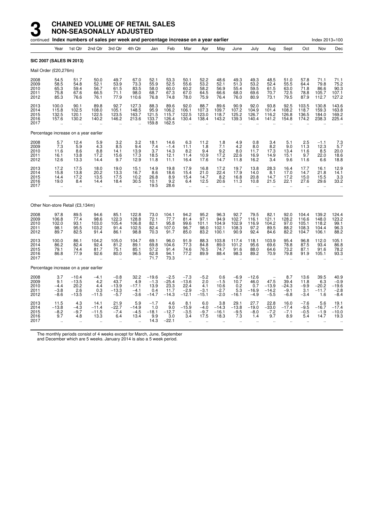**3**

|                                      |                                                             |                                                        | continued Index numbers of sales per week and percentage increase on a year earlier |                                                                  |                                                          |                                             |                                              |                                                      |                                           |                                           |                                         |                                                          |                                                          |                                                          |                                           | Index 2013=100                            |                                                            |
|--------------------------------------|-------------------------------------------------------------|--------------------------------------------------------|-------------------------------------------------------------------------------------|------------------------------------------------------------------|----------------------------------------------------------|---------------------------------------------|----------------------------------------------|------------------------------------------------------|-------------------------------------------|-------------------------------------------|-----------------------------------------|----------------------------------------------------------|----------------------------------------------------------|----------------------------------------------------------|-------------------------------------------|-------------------------------------------|------------------------------------------------------------|
|                                      | Year                                                        | 1st Qtr                                                | 2nd Qtr                                                                             | 3rd Qtr                                                          | 4th Qtr                                                  | Jan                                         | Feb                                          | Mar                                                  | Apr                                       | May                                       | June                                    | July                                                     | Aug                                                      | Sept                                                     | Oct                                       | Nov                                       | Dec                                                        |
|                                      | SIC 2007 (SALES IN 2013)                                    |                                                        |                                                                                     |                                                                  |                                                          |                                             |                                              |                                                      |                                           |                                           |                                         |                                                          |                                                          |                                                          |                                           |                                           |                                                            |
|                                      | Mail Order (£20,276m)                                       |                                                        |                                                                                     |                                                                  |                                                          |                                             |                                              |                                                      |                                           |                                           |                                         |                                                          |                                                          |                                                          |                                           |                                           |                                                            |
| 2008<br>2009<br>2010<br>2011<br>2012 | 54.5<br>58.5<br>65.3<br>75.8<br>85.3                        | 51.7<br>54.8<br>59.4<br>67.6<br>76.6                   | 50.0<br>52.1<br>56.7<br>66.5<br>76.1                                                | 49.7<br>53.9<br>61.5<br>71.1<br>77.9                             | 67.0<br>73.3<br>83.5<br>98.0<br>110.6                    | 52.1<br>55.9<br>58.0<br>68.7<br>76.8        | 53.3<br>52.5<br>60.0<br>67.3<br>74.8         | 50.1<br>55.6<br>60.2<br>67.0<br>78.0                 | 52.2<br>53.2<br>58.2<br>64.5<br>75.9      | 48.6<br>52.1<br>56.9<br>66.6<br>76.4      | 49.3<br>51.3<br>55.4<br>68.0<br>76.0    | 49.3<br>53.2<br>59.5<br>69.6<br>80.9                     | 48.5<br>52.4<br>61.5<br>70.7<br>73.1                     | 51.0<br>55.5<br>63.0<br>72.5<br>79.5                     | 57.8<br>64.4<br>71.8<br>78.8<br>87.9      | 71.1<br>79.8<br>86.6<br>105.7<br>112.7    | 71.1<br>75.2<br>90.3<br>107.1<br>127.2                     |
| 2013<br>2014<br>2015<br>2016<br>2017 | 100.0<br>115.8<br>132.5<br>157.6<br>$\ddotsc$               | 90.1<br>102.5<br>120.1<br>130.2<br>ă,                  | 89.8<br>108.0<br>122.5<br>140.2                                                     | 92.7<br>105.1<br>123.5<br>146.2<br>$\ddot{\phantom{a}}$          | 127.3<br>148.5<br>163.7<br>213.6                         | 88.3<br>95.9<br>121.5<br>133.7<br>159.8     | 89.6<br>106.2<br>115.7<br>126.4<br>162.5     | 92.0<br>106.1<br>122.5<br>130.4                      | 88.7<br>107.3<br>123.0<br>138.4           | 89.6<br>109.7<br>118.7<br>143.2           | 90.9<br>107.2<br>125.2<br>139.3         | 92.0<br>104.9<br>126.7<br>140.4                          | 93.8<br>101.4<br>116.2<br>141.2                          | 92.5<br>108.2<br>126.8<br>154.8                          | 103.5<br>118.7<br>136.5<br>174.2          | 130.8<br>159.3<br>184.0<br>238.3          | 143.6<br>163.8<br>169.2<br>225.4                           |
|                                      |                                                             | Percentage increase on a year earlier                  |                                                                                     |                                                                  |                                                          |                                             |                                              |                                                      |                                           |                                           |                                         |                                                          |                                                          |                                                          |                                           |                                           |                                                            |
| 2008<br>2009<br>2010<br>2011<br>2012 | $\frac{5.7}{7.3}$<br>11.6<br>16.1<br>12.6                   | $^{12.4}_{5.9}$<br>8.6<br>13.8<br>13.3                 | 5.9<br>4.3<br>8.8<br>17.2<br>14.4                                                   | $\begin{array}{c} 3.2 \\ 8.5 \end{array}$<br>14.1<br>15.6<br>9.7 | 3.2<br>9.4<br>13.9<br>17.3<br>12.9                       | 18.1<br>7.4<br>3.7<br>18.5<br>11.8          | 14.6<br>$-1.4$<br>14.3<br>12.1<br>11.1       | 6.3<br>11.1<br>8.2<br>11.4<br>16.4                   | 11.2<br>1.8<br>9.4<br>10.9<br>17.6        | 1.8<br>7.1<br>9.2<br>17.2<br>14.7         | 4.9<br>4.2<br>8.0<br>22.6<br>11.8       | 0.8<br>8.0<br>11.7<br>16.9<br>16.2                       | 3.4<br>8.2<br>17.3<br>14.9<br>3.4                        | 5.1<br>9.0<br>13.4<br>15.1<br>9.6                        | 2.5<br>11.3<br>11.6<br>9.7<br>11.6        | $-1.1$<br>12.3<br>8.5<br>22.0<br>6.6      | $7.3$<br>5.7<br>20.0<br>18.6<br>18.8                       |
| 2013<br>2014<br>2015<br>2016<br>2017 | 17.2<br>15.8<br>14.4<br>19.0<br>$\ddot{\phantom{a}}$        | 17.5<br>13.8<br>17.2<br>8.4                            | 18.0<br>20.2<br>13.5<br>14.4<br>ä.                                                  | 19.0<br>13.3<br>17.5<br>18.4<br>$\ddotsc$                        | 15.1<br>16.7<br>10.2<br>30.5<br>$\ddot{\phantom{a}}$     | 14.9<br>8.6<br>26.8<br>10.1<br>19.5         | 19.8<br>18.6<br>8.9<br>9.2<br>28.6           | 17.9<br>15.4<br>15.4<br>6.4<br>$\ddot{\phantom{a}}$  | 16.8<br>21.0<br>14.7<br>12.5              | 17.2<br>22.4<br>8.2<br>20.6               | 19.7<br>17.9<br>16.8<br>11.3            | 13.8<br>14.0<br>20.8<br>10.8                             | 28.3<br>8.1<br>14.7<br>21.5                              | 16.4<br>17.0<br>17.2<br>22.1                             | 17.7<br>14.7<br>15.0<br>27.6              | 16.1<br>21.8<br>15.5<br>29.6              | 12.9<br>14.1<br>$\begin{array}{c} 3.3 \\ 33.2 \end{array}$ |
|                                      |                                                             | Other Non-store Retail (£3,134m)                       |                                                                                     |                                                                  |                                                          |                                             |                                              |                                                      |                                           |                                           |                                         |                                                          |                                                          |                                                          |                                           |                                           |                                                            |
| 2008<br>2009<br>2010<br>2011<br>2012 | 97.8<br>106.8<br>102.0<br>98.1<br>89.7                      | 89.5<br>77.4<br>93.1<br>95.5<br>82.5                   | 94.6<br>98.6<br>103.0<br>103.2<br>91.4                                              | 85.1<br>122.3<br>105.4<br>91.4<br>86.1                           | 122.8<br>128.8<br>106.8<br>102.5<br>98.8                 | 73.0<br>72.1<br>82.1<br>82.4<br>70.3        | 104.1<br>77.7<br>95.8<br>107.0<br>91.7       | 94.2<br>81.4<br>99.6<br>96.7<br>85.0                 | 95.2<br>97.1<br>101.1<br>98.0<br>83.2     | 96.3<br>94.9<br>104.9<br>102.1<br>100.1   | 92.7<br>102.7<br>102.9<br>108.3<br>90.9 | 79.5<br>116.1<br>116.9<br>97.2<br>92.4                   | 82.1<br>121.1<br>104.2<br>89.5<br>84.6                   | 92.0<br>128.2<br>97.0<br>88.2<br>82.2                    | 104.4<br>116.6<br>105.1<br>108.3<br>104.7 | 139.2<br>148.0<br>118.2<br>104.4<br>106.1 | 124.4<br>123.2<br>99.1<br>96.3<br>88.2                     |
| 2013<br>2014<br>2015<br>2016<br>2017 | 100.0<br>86.2<br>79.1<br>86.8                               | 86.1<br>82.4<br>74.4<br>77.9<br>$\ddot{\phantom{a}}$   | 104.2<br>92.4<br>81.7<br>92.6                                                       | 105.0<br>81.2<br>75.1<br>80.0<br>$\ddotsc$                       | 104.7<br>89.1<br>85.1<br>96.5                            | 69.1<br>69.8<br>57.2<br>62.8<br>71.7        | 96.0<br>104.6<br>91.4<br>94.1<br>73.3        | 91.9<br>77.3<br>74.6<br>77.2<br>$\ddot{\phantom{a}}$ | 88.3<br>84.8<br>76.5<br>89.9              | 103.8<br>89.0<br>74.7<br>88.4             | 117.4<br>101.2<br>91.6<br>98.3          | 118.1<br>95.6<br>88.0<br>89.2                            | 103.9<br>69.6<br>64.6<br>70.9                            | 95.4<br>78.8<br>73.2<br>79.8                             | 96.8<br>87.5<br>87.1<br>91.9              | 112.0<br>93.4<br>91.6<br>105.1            | 105.1<br>86.8<br>78.2<br>93.3                              |
|                                      |                                                             |                                                        | Percentage increase on a year earlier                                               |                                                                  |                                                          |                                             |                                              |                                                      |                                           |                                           |                                         |                                                          |                                                          |                                                          |                                           |                                           |                                                            |
| 2008<br>2009<br>2010<br>2011<br>2012 | 3.7<br>9.1<br>$-4.4$<br>$-3.8$<br>$-8.6$                    | $-10.4$<br>$-13.5$<br>20.2<br>2.6<br>$-13.5$           | $-4.1$<br>4.2<br>4.4<br>0.3<br>$-11.5$                                              | $-0.8$<br>43.7<br>$-13.9$<br>$-13.3$<br>$-5.7$                   | 32.2<br>4.9<br>$-17.1$<br>$-4.1$<br>$-3.6$               | $-19.6$<br>$-1.3$<br>13.9<br>0.4<br>$-14.7$ | $-2.5$<br>$-25.4$<br>23.3<br>11.7<br>$-14.3$ | $-7.3$<br>$-13.6$<br>22.4<br>$-2.9$<br>$-12.1$       | $-5.2$<br>2.0<br>4.1<br>$-3.1$<br>$-15.1$ | 0.6<br>$-1.5$<br>10.6<br>$-2.7$<br>$-2.0$ | $-6.9$<br>10.7<br>0.2<br>5.3<br>$-16.1$ | $-12.6$<br>46.0<br>0.7<br>$-16.9$<br>$-4.9$              | 47.5<br>$-13.9$<br>$-14.2$<br>$-5.5$                     | 8.7<br>39.4<br>$-24.3$<br>$-9.1$<br>$-6.8$               | 13.6<br>11.8<br>$-9.9$<br>3.1<br>$-3.4$   | 39.5<br>6.3<br>$-20.2$<br>$-11.7$<br>1.6  | $40.9 - 0.9$<br>$-19.6$<br>$-2.8$<br>$-8.4$                |
| 2013<br>2014<br>2015<br>2016<br>2017 | 11.5<br>$-13.8$<br>$-8.\overline{2}$<br>9.7<br>$\mathbf{r}$ | 4.3<br>$-4.3$<br>$-9.7$<br>4.8<br>$\ddot{\phantom{a}}$ | 14.1<br>$-11.4$<br>$-11.5$<br>13.3                                                  | 21.9<br>$-22.7$<br>$-7.4$<br>6.4<br>$\ddot{\phantom{0}}$         | 5.9<br>$-14.9$<br>$-4.5$<br>13.4<br>$\ddot{\phantom{a}}$ | $-1.7$<br>1.0<br>$-18.1$<br>9.9<br>14.3     | 4.6<br>9.0<br>$-12.7$<br>3.0<br>$-22.1$      | 8.1<br>$-15.9$<br>$-3.5$<br>3.4                      | 6.0<br>$-4.0$<br>$-9.7$<br>17.5           | 3.8<br>$-14.3$<br>$-16.1$<br>18.3         | 29.1<br>$-13.8$<br>$-9.5$<br>7.3        | 27.7<br>$-19.0$<br>$-8.0$<br>1.4<br>$\ddot{\phantom{a}}$ | 22.8<br>$-33.0$<br>$-7.2$<br>9.7<br>$\ddot{\phantom{a}}$ | 16.0<br>$-17.4$<br>$-7.1$<br>8.9<br>$\ddot{\phantom{a}}$ | $-7.6$<br>$-9.5$<br>$-0.5$<br>5.4         | 5.6<br>$-16.7$<br>$-1.9$<br>14.7          | 19.1<br>$-17.4$<br>$-10.0$<br>19.3                         |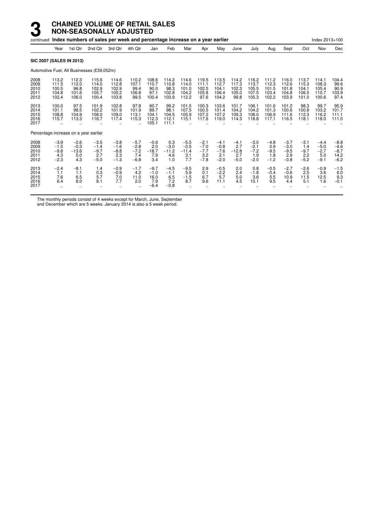**3**

|                                       |                                             |                                           | continued Index numbers of sales per week and percentage increase on a year earlier |                                             |                                                         |                                           |                                          |                                           |                                             |                                             |                                           |                                             |                                           |                                             |                                           | Index 2013=100                              |                                              |
|---------------------------------------|---------------------------------------------|-------------------------------------------|-------------------------------------------------------------------------------------|---------------------------------------------|---------------------------------------------------------|-------------------------------------------|------------------------------------------|-------------------------------------------|---------------------------------------------|---------------------------------------------|-------------------------------------------|---------------------------------------------|-------------------------------------------|---------------------------------------------|-------------------------------------------|---------------------------------------------|----------------------------------------------|
|                                       | Year                                        | 1st Qtr                                   | 2nd Qtr                                                                             | 3rd Qtr                                     | 4th Qtr                                                 | Jan                                       | Feb                                      | Mar                                       | Apr                                         | May                                         | June                                      | July                                        | Aug                                       | Sept                                        | Oct                                       | Nov                                         | Dec                                          |
| <b>SIC 2007 (SALES IN 2013)</b>       |                                             |                                           |                                                                                     |                                             |                                                         |                                           |                                          |                                           |                                             |                                             |                                           |                                             |                                           |                                             |                                           |                                             |                                              |
|                                       |                                             |                                           | Automotive Fuel, All Businesses (£39,052m)                                          |                                             |                                                         |                                           |                                          |                                           |                                             |                                             |                                           |                                             |                                           |                                             |                                           |                                             |                                              |
| 2008<br>2009<br>2010<br>2011<br>2012  | 113.2<br>111.5<br>100.5<br>104.8<br>102.4   | 112.3<br>112.0<br>96.8<br>101.6<br>106.0  | 115.6<br>114.0<br>102.9<br>105.7<br>100.4                                           | 114.6<br>112.8<br>102.9<br>105.2<br>103.8   | 110.2<br>107.1<br>99.4<br>106.8<br>99.5                 | 108.6<br>110.7<br>90.0<br>97.1<br>100.4   | 114.2<br>110.8<br>98.3<br>102.8<br>103.9 | 114.6<br>114.0<br>101.0<br>104.2<br>112.2 | 119.5<br>111.1<br>102.5<br>105.8<br>97.6    | 113.5<br>112.7<br>104.1<br>106.4<br>104.2   | 114.2<br>117.3<br>102.3<br>105.0<br>99.8  | 116.2<br>113.7<br>105.5<br>107.5<br>105.3   | 111.2<br>112.3<br>101.5<br>103.4<br>102.2 | 116.0<br>112.6<br>101.8<br>104.8<br>103.9   | 113.7<br>115.3<br>104.1<br>106.5<br>101.0 | 114.1<br>108.3<br>105.4<br>110.7<br>100.6   | 104.4<br>99.6<br>90.9<br>103.9<br>97.4       |
| 2013<br>2014<br>2015<br>2016<br>2017  | 100.0<br>101.1<br>108.8<br>115.7            | 97.5<br>98.5<br>104.9<br>113.3            | 101.9<br>102.2<br>108.0<br>116.7                                                    | 102.8<br>101.9<br>109.0<br>117.4            | 97.8<br>101.9<br>113.1<br>115.3<br>$\ddot{\phantom{a}}$ | 90.7<br>89.7<br>104.1<br>112.3<br>105.1   | 99.2<br>98.1<br>104.5<br>112.1<br>111.1  | 101.5<br>107.5<br>105.9<br>115.1          | 100.3<br>100.5<br>107.2<br>117.6            | 103.6<br>101.4<br>107.2<br>119.0            | 101.7<br>104.2<br>109.3<br>114.3          | 106.1<br>104.2<br>108.0<br>118.8            | 101.6<br>101.3<br>106.9<br>117.1          | 101.2<br>100.6<br>111.6<br>116.5            | 98.3<br>100.8<br>112.3<br>118.1           | 99.7<br>103.2<br>116.2<br>118.0             | 95.9<br>101.7<br>111.1<br>111.0              |
| Percentage increase on a year earlier |                                             |                                           |                                                                                     |                                             |                                                         |                                           |                                          |                                           |                                             |                                             |                                           |                                             |                                           |                                             |                                           |                                             |                                              |
| 2008<br>2009<br>2010<br>2011<br>2012  | $-3.9$<br>$-1.5$<br>$-9.8$<br>4.3<br>$-2.3$ | $-2.6$<br>$-0.3$<br>$-13.6$<br>5.0<br>4.3 | $-3.5$<br>$-1.4$<br>$-9.7$<br>2.7<br>$-5.0$                                         | $-3.8$<br>$-1.6$<br>$-8.8$<br>2.3<br>$-1.3$ | $-5.7$<br>$-2.8$<br>$-7.2$<br>7.4<br>$-6.8$             | $-0.6$<br>2.0<br>$-18.7$<br>7.9<br>3.4    | 0.3<br>$-3.0$<br>$-11.2$<br>4.6<br>1.0   | $-5.5$<br>$-0.5$<br>$-11.4$<br>3.1<br>7.7 | $-2.1$<br>$-7.0$<br>$-7.7$<br>3.2<br>$-7.8$ | $-4.1$<br>$-0.8$<br>$-7.6$<br>2.1<br>$-2.0$ | $-4.1$<br>2.7<br>$-12.8$<br>2.7<br>$-5.0$ | $-3.0$<br>$-2.1$<br>$-7.2$<br>1.9<br>$-2.0$ | $-4.8$<br>0.9<br>$-9.5$<br>1.8<br>$-1.2$  | $-3.7$<br>$-3.0$<br>$-9.5$<br>2.9<br>$-0.8$ | $-3.1$<br>1.4<br>$-9.7$<br>2.2<br>$-5.2$  | $-4.4$<br>$-5.0$<br>$-2.7$<br>5.0<br>$-9.1$ | $-8.8$<br>$-4.6$<br>$-8.7$<br>14.2<br>$-6.2$ |
| 2013<br>2014<br>2015<br>2016<br>2017  | $-2.4$<br>1.1<br>7.6<br>6.4                 | $-8.1$<br>1.1<br>6.5<br>8.0               | 1.4<br>0.3<br>5.7<br>8.1                                                            | $-0.9$<br>$-0.9$<br>7.0<br>7.7              | $-1.7$<br>4.2<br>11.0<br>2.0                            | $-9.7$<br>$-1.0$<br>16.0<br>7.9<br>$-6.4$ | $-4.5$<br>$-1.1$<br>6.5<br>7.2<br>$-0.8$ | $-9.5$<br>5.9<br>$-1.5$<br>8.7            | 2.9<br>0.1<br>6.7<br>9.6                    | $-0.5$<br>$-2.2$<br>5.7<br>11.1             | 2.0<br>2.4<br>5.0<br>4.5                  | 0.8<br>$-1.8$<br>3.6<br>10.1                | $-0.5$<br>$-0.4$<br>5.5<br>9.5            | $-2.7$<br>$-0.6$<br>10.9<br>4.4             | $-2.6$<br>2.5<br>11.5<br>5.1              | $-0.9$<br>3.6<br>12.5<br>1.6                | $-1.5$<br>6.0<br>9.3<br>$-0.1$               |

The monthly periods consist of 4 weeks except for March, June, September

and December which are 5 weeks. January 2014 is also a 5 week period.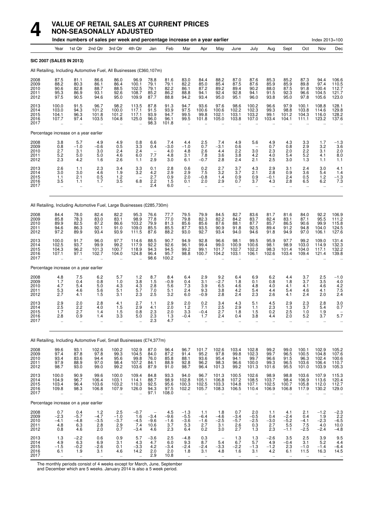**4**

|                                      |                                                          |                                                      | Index numbers of sales per week and percentage increase on a year earlier |                                                          |                                                          |                                                             |                                       |                                           |                                                   |                                                  |                                                          |                                                      |                                       |                                                        |                                          | Index 2013=100                            |                                                 |
|--------------------------------------|----------------------------------------------------------|------------------------------------------------------|---------------------------------------------------------------------------|----------------------------------------------------------|----------------------------------------------------------|-------------------------------------------------------------|---------------------------------------|-------------------------------------------|---------------------------------------------------|--------------------------------------------------|----------------------------------------------------------|------------------------------------------------------|---------------------------------------|--------------------------------------------------------|------------------------------------------|-------------------------------------------|-------------------------------------------------|
|                                      | Year                                                     | 1st Qtr                                              | 2nd Qtr                                                                   | 3rd Qtr                                                  | 4th Qtr                                                  | Jan                                                         | Feb                                   | Mar                                       | Apr                                               | May                                              | June                                                     | July                                                 | Aug                                   | Sept                                                   | Oct                                      | Nov                                       | Dec                                             |
|                                      | SIC 2007 (SALES IN 2013)                                 |                                                      |                                                                           |                                                          |                                                          |                                                             |                                       |                                           |                                                   |                                                  |                                                          |                                                      |                                       |                                                        |                                          |                                           |                                                 |
|                                      |                                                          |                                                      | All Retailing, Including Automotive Fuel, All Businesses (£360,107m)      |                                                          |                                                          |                                                             |                                       |                                           |                                                   |                                                  |                                                          |                                                      |                                       |                                                        |                                          |                                           |                                                 |
| 2008<br>2009<br>2010<br>2011<br>2012 | 87.5<br>88.2<br>90.6<br>95.3<br>97.5                     | 81.1<br>80.3<br>82.8<br>86.9<br>90.5                 | 86.6<br>86.1<br>88.7<br>93.1<br>94.6                                      | 86.0<br>86.4<br>88.5<br>92.6<br>95.0                     | 96.9<br>100.1<br>102.5<br>108.7<br>109.9                 | 78.8<br>79.1<br>79.1<br>85.2<br>87.7                        | 81.6<br>79.1<br>82.2<br>86.2<br>88.8  | 83.0<br>82.2<br>86.1<br>88.8<br>94.2      | 84.4<br>85.0<br>87.2<br>94.1<br>93.4              | 88.2<br>85.4<br>89.2<br>92.4<br>95.0             | 87.0<br>87.5<br>89.4<br>92.8<br>95.1                     | 87.6<br>87.6<br>90.2<br>94.1<br>96.0                 | 85.3<br>85.9<br>88.0<br>91.5<br>93.8  | 85.2<br>85.9<br>87.5<br>92.3<br>95.0                   | 87.3<br>89.8<br>91.8<br>96.6<br>97.8     | 94.4<br>97.4<br>100.4<br>104.5<br>105.6   | 106.6<br>110.5<br>112.7<br>121.7<br>123.0       |
| 2013<br>2014<br>2015<br>2016<br>2017 | 100.0<br>103.0<br>104.1<br>107.7<br>$\sim$               | 91.5<br>94.3<br>96.3<br>97.4<br>$\ddot{\phantom{a}}$ | 96.7<br>101.2<br>101.8<br>103.5<br>$\ddot{\phantom{a}}$                   | 98.2<br>100.0<br>101.2<br>104.8<br>ä.                    | 113.5<br>117.1<br>117.1<br>125.0<br>$\ddot{\phantom{a}}$ | 87.8<br>91.5<br>93.9<br>96.0<br>98.3                        | 91.3<br>93.9<br>94.7<br>96.1<br>101.8 | 94.7<br>97.5<br>99.5<br>99.5<br>$\ddotsc$ | 93.6<br>100.6<br>99.8<br>101.8<br>$\ddotsc$       | 97.6<br>100.6<br>102.1<br>105.0                  | 98.6<br>102.2<br>103.1<br>103.8<br>$\ddot{\phantom{a}}$  | 100.2<br>102.3<br>103.2<br>107.0                     | 96.6<br>99.3<br>99.1<br>103.4<br>÷.   | 97.9<br>98.8<br>101.2<br>104.1                         | 100.1<br>103.8<br>104.3<br>111.1         | 108.8<br>114.6<br>116.0<br>123.2          | 128.1<br>129.8<br>128.2<br>137.6                |
|                                      | Percentage increase on a year earlier                    |                                                      |                                                                           |                                                          |                                                          |                                                             |                                       |                                           |                                                   |                                                  |                                                          |                                                      |                                       |                                                        |                                          |                                           |                                                 |
| 2008<br>2009<br>2010<br>2011<br>2012 | 3.8<br>0.8<br>2.7<br>5.2<br>2.3                          | 5.7<br>$-1.0$<br>3.1<br>5.0<br>4.2                   | 4.9<br>$-0.6$<br>3.0<br>5.0<br>1.6                                        | 4.9<br>0.5<br>2.4<br>4.6<br>2.6                          | 0.8<br>3.3<br>2.4<br>6.0<br>1.1                          | 6.6<br>0.4<br>7.7<br>2.9                                    | 7.4<br>$-3.0$<br>4.0<br>4.8<br>3.0    | 4.4<br>$-1.0$<br>4.8<br>3.1<br>6.1        | 2.5<br>0.7<br>2.6<br>7.8<br>$-0.7$                | 7.4<br>$-3.1$<br>4.4<br>3.6<br>2.8               | 4.9<br>0.6<br>2.2<br>3.8<br>2.4                          | 5.6<br>$\overline{\phantom{0}}$<br>3.0<br>4.2<br>2.1 | 4.9<br>0.7<br>2.3<br>4.0<br>2.5       | 4.3<br>0.8<br>2.0<br>5.4<br>3.0                        | 3.3<br>2.9<br>2.2<br>5.2<br>1.3          | 1.7<br>3.2<br>3.1<br>4.1<br>1.1           | $-1.3$<br>$3.\overline{6}$<br>2.0<br>8.0<br>1.1 |
| 2013<br>2014<br>2015<br>2016<br>2017 | 2.6<br>3.0<br>1.1<br>3.5                                 | 1.1<br>3.0<br>2.1<br>1.1                             | 2.3<br>4.6<br>0.5<br>1.7<br>$\ddot{\phantom{a}}$                          | 3.4<br>1.9<br>1.2<br>3.5                                 | 3.3<br>3.2<br>6.8                                        | 0.1<br>4.2<br>2.7<br>2.2<br>2.4                             | 2.8<br>2.9<br>0.9<br>1.5<br>6.0       | 0.6<br>2.9<br>2.0<br>0.1                  | 0.2<br>7.5<br>$-0.8$<br>2.0                       | 2.7<br>3.2<br>1.4<br>2.9                         | 3.7<br>3.7<br>0.9<br>0.7                                 | 4.3<br>2.1<br>0.9<br>3.7<br>$\ddot{\phantom{a}}$     | 2.9<br>2.8<br>$-0.1$<br>4.3           | 3.1<br>0.9<br>2.4<br>2.8                               | 2.4<br>3.6<br>0.5<br>6.5                 | 3.0<br>5.4<br>1.2<br>6.2<br>ä.            | 4.1<br>1.4<br>$-1.3$<br>7.3                     |
|                                      |                                                          |                                                      | All Retailing, Including Automotive Fuel, Large Businesses (£285,730m)    |                                                          |                                                          |                                                             |                                       |                                           |                                                   |                                                  |                                                          |                                                      |                                       |                                                        |                                          |                                           |                                                 |
| 2008<br>2009<br>2010<br>2011<br>2012 | 84.4<br>85.8<br>89.9<br>94.6<br>97.2                     | 78.0<br>78.3<br>82.5<br>86.3<br>89.9                 | 82.4<br>83.0<br>87.2<br>92.1<br>93.4                                      | 82.2<br>83.1<br>86.6<br>91.0<br>93.9                     | 95.3<br>98.9<br>103.2<br>109.0<br>111.5                  | 76.6<br>77.8<br>79.9<br>85.5<br>87.6                        | 77.7<br>77.0<br>81.3<br>85.5<br>88.2  | 79.5<br>79.8<br>85.6<br>87.7<br>93.0      | 79.9<br>82.3<br>85.6<br>93.5<br>92.7              | 84.5<br>82.2<br>87.6<br>90.9<br>93.4             | 82.7<br>84.2<br>88.1<br>91.8<br>94.0                     | 83.6<br>83.7<br>87.7<br>92.5<br>94.6                 | 81.7<br>82.4<br>85.7<br>89.4<br>91.8  | 81.6<br>83.1<br>86.5<br>91.2<br>94.9                   | 84.0<br>87.1<br>90.6<br>94.8<br>97.0     | 92.2<br>95.5<br>99.9<br>104.0<br>106.1    | 106.9<br>111.2<br>115.8<br>124.5<br>127.6       |
| 2013<br>2014<br>2015<br>2016<br>2017 | 100.0<br>102.5<br>104.3<br>107.1                         | 91.7<br>93.7<br>96.2<br>97.1                         | 96.0<br>99.9<br>101.3<br>102.7                                            | 97.7<br>99.2<br>100.7<br>104.0                           | 114.6<br>117.9<br>118.9<br>124.8                         | 88.5<br>92.2<br>94.3<br>96.4<br>98.6                        | 90.7<br>92.6<br>94.5<br>95.7<br>100.2 | 94.9<br>96.1<br>99.2<br>98.8              | 92.8<br>99.4<br>99.1<br>100.7                     | 96.6<br>99.0<br>101.7<br>104.2                   | 98.1<br>100.9<br>102.7<br>103.1                          | 99.5<br>100.6<br>102.2<br>106.1                      | 95.9<br>98.1<br>98.3<br>102.6         | 97.7<br>98.9<br>101.4<br>103.4                         | 99.2<br>103.0<br>104.0<br>109.4          | 109.0<br>114.9<br>117.1<br>121.4          | 131.4<br>132.3<br>132.2<br>139.8                |
|                                      | Percentage increase on a year earlier                    |                                                      |                                                                           |                                                          |                                                          |                                                             |                                       |                                           |                                                   |                                                  |                                                          |                                                      |                                       |                                                        |                                          |                                           |                                                 |
| 2008<br>2009<br>2010<br>2011<br>2012 | 4.8<br>1.7<br>4.7<br>5.3<br>2.7                          | 7.5<br>0.4<br>5.4<br>4.6<br>4.1                      | 6.2<br>0.8<br>5.0<br>5.6<br>1.5                                           | 5.7<br>1.0<br>4.3<br>5.1<br>3.1                          | 1.2<br>3.8<br>4.3<br>5.7<br>2.3                          | 8.7<br>1.5<br>2.8<br>7.0<br>2.5                             | 8.4<br>$-0.9$<br>5.6<br>5.1<br>3.2    | 6.4<br>0.4<br>7.3<br>2.4<br>6.0           | 2.9<br>3.1<br>3.9<br>9.3<br>-0.9                  | 9.2<br>$-2.7$<br>6.5<br>3.8<br>2.8               | 6.4<br>1.8<br>4.6<br>4.2<br>2.4                          | 6.9<br>0.1<br>4.8<br>5.4<br>2.3                      | 6.2<br>0.8<br>4.0<br>4.4<br>2.6       | 4.4<br>1.8<br>4.1<br>5.4<br>4.1                        | 3.7<br>3.7<br>4.1<br>4.6<br>2.4          | 2.5<br>3.5<br>4.6<br>4.1<br>2.0           | $-1.0$<br>4.0<br>4.2<br>7.5<br>2.4              |
| 2013<br>2014<br>2015<br>2016<br>2017 | 2.9<br>2.5<br>$\mathbf{L}$<br>2.8<br>$\ddotsc$           | 2.0<br>2.2<br>2.7<br>0.9<br>$\ddotsc$                | 2.8<br>4.0<br>1.4<br>1.4<br>$\ddotsc$                                     | 4.1<br>1.5<br>$\mathsf{L}$<br>3.3<br>$\ddotsc$           | 2.7<br>2.9<br>0.8<br>5.0                                 | 1.1<br>4.1<br>2.3<br>2.3<br>2.3                             | 2.9<br>2.0<br>2.0<br>1.3<br>4.7       | 2.0<br>1.2<br>3.3<br>$-0.4$<br>$\ddotsc$  | 0.2<br>7.1<br>–∪.4<br>1.7<br>$\ddot{\phantom{1}}$ | 3.4<br>2.5<br>2.1<br>2.4<br>$\ddot{\phantom{1}}$ | 4.3<br>2.9<br>1.8<br>0.4<br>$\ddot{\phantom{1}}$         | 5.1<br>1.1<br>1.5<br>3.8<br>                         | 4.5<br>2.3<br>v.z<br>4.4<br>$\ddotsc$ | 2.9<br>1.3<br>2.5<br>2.0<br>.,                         | 2.3<br>3.7<br>1.U<br>5.2<br>$\ddotsc$    | 2.8<br>5.4<br>1.Y<br>3.7<br>$\ldots$      | 3.0<br>0.7<br>5.7<br>$\ldots$                   |
|                                      |                                                          |                                                      | All Retailing, Including Automotive Fuel, Small Businesses (£74,377m)     |                                                          |                                                          |                                                             |                                       |                                           |                                                   |                                                  |                                                          |                                                      |                                       |                                                        |                                          |                                           |                                                 |
| 2008<br>2009<br>2010<br>2011<br>2012 | 99.6<br>97.4<br>93.4<br>97.9<br>98.7                     | 93.1<br>87.8<br>83.6<br>88.9<br>93.0                 | 102.6<br>97.8<br>94.4<br>97.0<br>99.0                                     | 100.2<br>99.3<br>95.6<br>98.4<br>99.2                    | 102.9<br>104.5<br>99.8<br>107.2<br>103.6                 | 87.0<br>84.0<br>76.0<br>84.1<br>87.9                        | 96.4<br>87.2<br>85.8<br>88.9<br>91.0  | 96.7<br>91.4<br>88.1<br>92.8<br>98.7      | 101.7<br>95.2<br>93.6<br>96.2<br>96.4             | 102.6<br>97.8<br>95.4<br>98.3<br>101.3           | 103.4<br>99.8<br>94.1<br>96.6<br>99.2                    | 102.8<br>102.3<br>99.7<br>100.0<br>101.3             | 99.2<br>99.7<br>96.6<br>99.3<br>101.6 | 99.0<br>96.5<br>91.5<br>96.5<br>95.5                   | 100.1<br>100.5<br>96.3<br>103.6<br>101.0 | 102.9<br>104.8<br>102.4<br>106.4<br>103.9 | 105.2<br>107.6<br>100.6<br>110.7<br>105.3       |
| 2013<br>2014<br>2015<br>2016<br>2017 | 100.0<br>104.9<br>103.4<br>109.8<br>$\ddot{\phantom{a}}$ | 90.9<br>96.7<br>96.4<br>98.3<br>$\ddotsc$            | 99.6<br>106.4<br>103.6<br>106.8<br>$\ddot{\phantom{1}}$                   | 100.0<br>103.1<br>103.2<br>107.9<br>$\ddot{\phantom{1}}$ | 109.4<br>114.1<br>110.3<br>126.0<br>ä.                   | 84.8<br>88.7<br>92.5<br>94.3<br>97.1                        | 93.3<br>98.9<br>95.6<br>97.5<br>108.0 | 94.0<br>102.8<br>100.3<br>102.2<br>à.     | 96.7<br>105.1<br>102.5<br>105.7<br>$\ddotsc$      | 101.3<br>106.8<br>103.3<br>108.3<br>$\ddotsc$    | 100.5<br>107.2<br>104.8<br>106.5<br>$\ddot{\phantom{1}}$ | 102.6<br>108.5<br>107.1<br>110.4<br>$\mathbf{r}$     | 98.9<br>103.7<br>102.5<br>106.9<br>ä. | 98.8<br>98.4<br>100.7<br>106.8<br>$\ddot{\phantom{a}}$ | 103.6<br>106.9<br>105.8<br>117.9<br>÷.   | 107.9<br>113.6<br>112.0<br>130.2<br>ä.    | 115.3<br>120.4<br>112.7<br>129.0<br>$\ddotsc$   |
|                                      | Percentage increase on a year earlier                    |                                                      |                                                                           |                                                          |                                                          |                                                             |                                       |                                           |                                                   |                                                  |                                                          |                                                      |                                       |                                                        |                                          |                                           |                                                 |
| 2008<br>2009<br>2010<br>2011<br>2012 | 0.7<br>$-2.3$<br>$-4.1$<br>4.8<br>0.8                    | 0.4<br>-5.7<br>$-4.8$<br>6.3<br>4.6                  | 1.2<br>$-4.7$<br>$-3.5$<br>2.8<br>2.0                                     | 2.5<br>$-1.0$<br>$-3.7$<br>2.9<br>0.7                    | $-0.7$<br>1.6<br>$-4.5$<br>7.4<br>$-3.4$                 | $\overline{\phantom{a}}$<br>$-3.4$<br>$-9.6$<br>10.6<br>4.6 | 4.5<br>$-9.6$<br>$-1.6$<br>3.7<br>2.3 | $-1.3$<br>$-5.5$<br>$-3.6$<br>5.3<br>6.4  | 1.1<br>$-6.4$<br>$-1.6$<br>2.7<br>0.2             | 1.8<br>$-4.6$<br>$\frac{-2.5}{3.1}$<br>3.0       | 0.7<br>$-3.4$<br>$-5.7$<br>2.6<br>2.7                    | 2.0<br>$-0.5$<br>$^{-2.5}_{0.3}$<br>1.3              | 1.1<br>0.4<br>$-3.0$<br>2.7<br>2.3    | 4.1<br>$-2.4$<br>$-5.2$<br>5.5<br>$-1.1$               | 2.1<br>0.4<br>$-4.1$<br>7.5<br>$-2.5$    | $-1.2$<br>1.9<br>$-2.3$<br>4.0<br>$-2.4$  | $-2.3$<br>$-2.2$<br>$-6.5$<br>10.0<br>$-4.8$    |
| 2013                                 | 1.3                                                      | $-2.2$                                               | 0.6                                                                       | 0.9                                                      | 5.7                                                      | $-3.6$                                                      | 2.5                                   | $-4.8$                                    | 0.3                                               | $\overline{\phantom{a}}$                         | 1.3                                                      | 1.3                                                  | $-2.6$                                | 3.5                                                    | 2.5                                      | 3.9                                       | 9.5                                             |

2014 4.9 6.3 6.9 3.1 4.3 4.7 6.0 9.3 8.7 5.4 6.7 5.7 4.9 −0.4 3.1 5.2 4.4 2015 −1.5 −0.2 −2.6 0.1 −3.3 4.2 −3.4 −2.4 −2.4 −3.3 −2.2 −1.3 −1.2 2.3 −1.0 −1.4 −6.4 2016 6.1 1.9 3.1 4.6 14.2 2.0 2.0 1.8 3.1 4.8 1.6 3.1 4.2 6.1 11.5 16.3 14.5 2017 .. .. .. .. .. 2.9 10.8 .. .. .. .. .. .. .. .. .. ..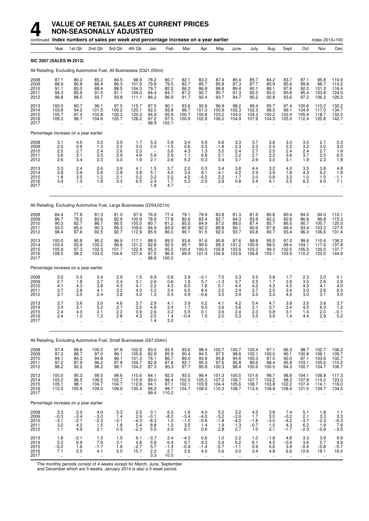**4**

|                                      |                                                     |                                                       | continued Index numbers of sales per week and percentage increase on a year earlier |                                                         |                                                      |                                       |                                       |                                                   |                                                         |                                                          |                                                  |                                          |                                        |                                                     |                                                  | Index 2013=100                                           |                                                 |
|--------------------------------------|-----------------------------------------------------|-------------------------------------------------------|-------------------------------------------------------------------------------------|---------------------------------------------------------|------------------------------------------------------|---------------------------------------|---------------------------------------|---------------------------------------------------|---------------------------------------------------------|----------------------------------------------------------|--------------------------------------------------|------------------------------------------|----------------------------------------|-----------------------------------------------------|--------------------------------------------------|----------------------------------------------------------|-------------------------------------------------|
|                                      | Year                                                | 1st Qtr                                               | 2nd Qtr                                                                             | 3rd Qtr                                                 | 4th Qtr                                              | Jan                                   | Feb                                   | Mar                                               | Apr                                                     | May                                                      | June                                             | July                                     | Aug                                    | Sept                                                | Oct                                              | Nov                                                      | Dec                                             |
|                                      | <b>SIC 2007 (SALES IN 2013)</b>                     |                                                       |                                                                                     |                                                         |                                                      |                                       |                                       |                                                   |                                                         |                                                          |                                                  |                                          |                                        |                                                     |                                                  |                                                          |                                                 |
|                                      |                                                     |                                                       | All Retailing, Excluding Automotive Fuel, All Businesses (£321,055m)                |                                                         |                                                      |                                       |                                       |                                                   |                                                         |                                                          |                                                  |                                          |                                        |                                                     |                                                  |                                                          |                                                 |
| 2008<br>2009<br>2010<br>2011<br>2012 | 87.1<br>88.9<br>91.1<br>94.3<br>96.8                | 80.3<br>80.8<br>83.0<br>85.6<br>88.5                  | 85.2<br>86.4<br>88.4<br>91.5<br>93.7                                                | 84.5<br>86.3<br>88.5<br>91.1<br>93.8                    | 98.9<br>101.9<br>104.3<br>109.0<br>111.1             | 78.2<br>79.8<br>79.7<br>84.4<br>86.2  | 80.7<br>79.5<br>82.3<br>84.7<br>86.9  | 82.1<br>82.7<br>86.2<br>87.2<br>91.7              | 83.0<br>85.7<br>86.8<br>92.7<br>92.4                    | 87.4<br>85.8<br>88.8<br>90.7<br>93.7                     | 85.4<br>87.3<br>89.4<br>91.3<br>94.7             | 85.7<br>87.7<br>90.1<br>92.5<br>95.2     | 84.2<br>85.9<br>88.1<br>90.0<br>92.8   | 83.7<br>85.6<br>87.6<br>90.8<br>93.6                | 87.1<br>89.8<br>92.0<br>95.4<br>97.2             | 95.8<br>98.7<br>101.3<br>103.8<br>106.2                  | 110.9<br>114.2<br>116.4<br>124.0<br>126.2       |
| 2013<br>2014<br>2015<br>2016<br>2017 | 100.0<br>103.8<br>105.7<br>109.3<br>$\ddotsc$       | 90.7<br>94.2<br>97.4<br>98.7                          | 96.1<br>101.5<br>102.8<br>104.6                                                     | 97.5<br>100.2<br>102.3<br>105.7<br>$\ddotsc$            | 115.7<br>120.1<br>120.3<br>128.2                     | 87.5<br>92.0<br>94.9<br>97.2<br>98.9  | 90.1<br>93.8<br>95.9<br>97.5<br>102.1 | 93.6<br>96.7<br>100.7<br>100.9                    | 92.6<br>101.0<br>100.8<br>102.8                         | 96.9<br>100.9<br>103.2<br>106.0                          | 98.2<br>102.3<br>104.0<br>104.9                  | 99.4<br>102.3<br>104.3<br>107.9          | 95.7<br>99.5<br>100.2<br>104.3         | 97.4<br>99.1<br>102.4<br>105.0                      | 100.6<br>104.9<br>105.9<br>112.4                 | 110.2<br>117.0<br>118.7<br>125.8                         | 132.2<br>134.7<br>133.2<br>142.7                |
|                                      | Percentage increase on a year earlier               |                                                       |                                                                                     |                                                         |                                                      |                                       |                                       |                                                   |                                                         |                                                          |                                                  |                                          |                                        |                                                     |                                                  |                                                          |                                                 |
| 2008<br>2009<br>2010<br>2011<br>2012 | 3.1<br>2.0<br>2.5<br>3.6<br>2.6                     | 4.5<br>0.6<br>2.7<br>3.1<br>3.4                       | 3.5<br>1.3<br>2.4<br>3.5<br>2.3                                                     | 3.5<br>2.2<br>2.6<br>2.9<br>3.0                         | 1.7<br>3.0<br>2.3<br>4.6<br>1.9                      | 5.3<br>2.0<br>5.9<br>2.1              | 5.9<br>$-1.5$<br>3.6<br>2.9<br>2.6    | 3.4<br>0.6<br>4.3<br>1.1<br>5.2                   | 0.9<br>3.3<br>1.3<br>6.8<br>$-0.3$                      | 6.6<br>$-1.8$<br>3.5<br>2.1<br>3.4                       | 3.3<br>2.3<br>2.4<br>2.2<br>3.7                  | 3.7<br>2.3<br>2.7<br>2.7<br>2.9          | 3.8<br>2.0<br>2.5<br>2.2<br>3.0        | 3.0<br>2.2<br>2.4<br>3.6<br>3.1                     | 3.0<br>3.2<br>2.4<br>3.7<br>1.8                  | 2.7<br>3.0<br>2.7<br>2.5<br>2.3                          | 0.3<br>3.0<br>$1.9$<br>6.5<br>1.8               |
| 2013<br>2014<br>2015<br>2016<br>2017 | 3.3<br>3.8<br>1.8<br>3.4                            | 2.4<br>3.9<br>3.5<br>1.3                              | 2.6<br>5.6<br>$1.2$<br>1.8<br>$\ddotsc$                                             | 3.9<br>2.8<br>2.1<br>3.3                                | 4.1<br>3.8<br>0.2<br>6.5<br>$\ddotsc$                | 1.5<br>5.1<br>3.2<br>2.4<br>1.8       | 3.7<br>4.0<br>2.2<br>1.7<br>4.7       | 2.0<br>3.4<br>4.2<br>0.2<br>$\ddot{\phantom{1}}$  | 0.3<br>9.1<br>$-0.2$<br>2.0                             | 3.4<br>4.1<br>2.2<br>2.8                                 | 3.8<br>4.2<br>1.7<br>0.8<br>$\ddot{\phantom{a}}$ | 4.4<br>2.9<br>2.0<br>3.4                 | 3.2<br>3.9<br>0.8<br>4.1               | 4.0<br>1.8<br>3.3<br>2.5                            | 3.5<br>4.3<br>1.0<br>6.2<br>$\ddot{\phantom{a}}$ | 3.8<br>6.2<br>1.5<br>6.0<br>$\ddot{\phantom{a}}$         | 4.8<br>1.9<br>$-1.1$<br>7.1                     |
|                                      |                                                     |                                                       | All Retailing, Excluding Automotive Fuel, Large Businesses (£254,021m)              |                                                         |                                                      |                                       |                                       |                                                   |                                                         |                                                          |                                                  |                                          |                                        |                                                     |                                                  |                                                          |                                                 |
| 2008<br>2009<br>2010<br>2011<br>2012 | 84.4<br>86.7<br>90.3<br>93.5<br>96.4                | 77.8<br>79.2<br>82.7<br>85.0<br>87.6                  | 81.3<br>83.6<br>86.7<br>90.3<br>92.5                                                | 81.0<br>82.9<br>86.5<br>89.3<br>92.7                    | 97.9<br>100.9<br>105.0<br>109.6<br>112.9             | 76.9<br>78.9<br>80.7<br>84.9<br>85.9  | 77.4<br>77.8<br>81.2<br>83.9<br>86.0  | 79.1<br>80.6<br>85.5<br>85.9<br>90.1              | 78.9<br>83.4<br>84.9<br>92.0<br>91.5                    | 83.8<br>82.7<br>87.0<br>88.8<br>92.0                     | 81.3<br>84.3<br>88.0<br>90.1<br>93.7             | 81.9<br>83.9<br>87.4<br>90.6<br>93.8     | 80.8<br>82.2<br>85.7<br>87.8<br>90.7   | 80.4<br>82.8<br>86.5<br>89.4<br>93.4                | 84.0<br>86.9<br>90.7<br>93.4<br>96.3             | 94.0<br>96.8<br>100.7<br>103.3<br>106.6                  | 112.1<br>115.3<br>120.0<br>127.5<br>131.4       |
| 2013<br>2014<br>2015<br>2016<br>2017 | 100.0<br>103.4<br>105.9<br>108.5                    | 90.8<br>93.6<br>97.3<br>98.2<br>$\ddotsc$             | 95.2<br>100.2<br>102.3<br>103.5                                                     | 96.9<br>99.6<br>101.7<br>104.6                          | 117.1<br>121.2<br>122.4<br>127.6                     | 88.5<br>92.8<br>95.2<br>97.5<br>98.8  | 89.5<br>92.5<br>95.5<br>96.9<br>100.0 | 93.6<br>95.1<br>100.4<br>99.9                     | 91.6<br>99.9<br>100.0<br>101.4                          | 95.8<br>99.3<br>102.8<br>104.9                           | 97.6<br>101.2<br>103.6<br>103.9                  | 98.8<br>100.9<br>103.2<br>106.8          | 95.0<br>98.5<br>99.3<br>103.1          | 97.0<br>99.4<br>102.5<br>103.9                      | 99.6<br>104.1<br>105.5<br>110.2                  | 110.6<br>117.6<br>120.0<br>123.5                         | 136.2<br>137.8<br>137.7<br>144.9                |
|                                      | Percentage increase on a year earlier               |                                                       |                                                                                     |                                                         |                                                      |                                       |                                       |                                                   |                                                         |                                                          |                                                  |                                          |                                        |                                                     |                                                  |                                                          |                                                 |
| 2008<br>2009<br>2010<br>2011<br>2012 | $\frac{3.0}{2.7}$<br>4.1<br>3.7<br>3.1              | 5.3<br>1.8<br>4.3<br>2.8<br>3.0                       | 3.4<br>2.7<br>3.8<br>4.1<br>2.4                                                     | 2.9<br>2.4<br>4.3<br>3.2<br>3.8                         | 1.5<br>3.1<br>4.1<br>4.3<br>3.0                      | 6.9<br>2.6<br>2.2<br>5.2<br>1.3       | 5.8<br>0.6<br>4.3<br>3.4<br>2.5       | 3.9<br>1.9<br>6.0<br>0.5<br>4.9                   | -0.1<br>5.7<br>1.8<br>8.4<br>-0.6                       | 7.0<br>$-1.3$<br>5.1<br>2.2<br>3.5                       | 3.3<br>3.7<br>4.4<br>2.4<br>3.9                  | $\frac{3.5}{2.5}$<br>4.2<br>3.7<br>3.5   | 3.8<br>1.7<br>4.3<br>2.5<br>3.3        | 1.7<br>2.9<br>4.5<br>3.4<br>4.5                     | $\frac{2.3}{3.5}$<br>4.3<br>3.0<br>3.0           | 3.0<br>2.9<br>4.1<br>2.6<br>3.1                          | $\frac{0.1}{2.9}$<br>4.0<br>6.3<br>3.0          |
| 2013<br>2014<br>2015<br>2016<br>2017 | 3.7<br>3.4<br>2.4<br>2.4<br>$\ddot{\phantom{a}}$    | 3.6<br>3.1<br>4.0<br>1.0<br>$\ddot{\phantom{a}}$      | 3.0<br>5.2<br>2.1<br>$1.2$<br>÷.                                                    | 4.6<br>2.7<br>2.2<br>2.8<br>$\mathbf{u}$                | 3.7<br>3.5<br>0.9<br>4.3<br>ä.                       | 2.9<br>4.9<br>2.6<br>2.5<br>1.4       | 4.1<br>3.4<br>3.2<br>1.4<br>3.2       | 3.9<br>1.7<br>5.5<br>-0.4<br>$\ddot{\phantom{a}}$ | 0.2<br>9.0<br>0.1<br>$1.5$<br>$\ddot{\phantom{a}}$      | 4.1<br>3.6<br>3.6<br>2.0<br>$\ddot{\phantom{a}}$         | 4.2<br>3.6<br>2.4<br>0.3<br>$\ddot{\phantom{a}}$ | 5.4<br>2.1<br>2.3<br>3.5<br>$\ddotsc$    | 4.7<br>3.7<br>0.8<br>3.9<br>ă,         | 3.8<br>2.4<br>3.1<br>1.4<br>$\ddotsc$               | 3.5<br>4.5<br>1.4<br>4.4<br>$\ddot{\phantom{a}}$ | 3.8<br>6.3<br>2.0<br>2.9<br>ä,                           | 3.7<br>1.2<br>-0.1<br>5.2                       |
|                                      |                                                     |                                                       | All Retailing, Excluding Automotive Fuel, Small Businesses (£67,034m)               |                                                         |                                                      |                                       |                                       |                                                   |                                                         |                                                          |                                                  |                                          |                                        |                                                     |                                                  |                                                          |                                                 |
| 2008<br>2009<br>2010<br>2011<br>2012 | 97.4<br>97.2<br>94.1<br>97.2<br>98.2                | 89.8<br>86.7<br>84.3<br>87.9<br>92.2                  | 100.0<br>97.0<br>94.8<br>96.2<br>98.2                                               | 97.8<br>99.1<br>96.1<br>97.8<br>98.1                    | 102.8<br>105.8<br>101.3<br>106.7<br>104.2            | 83.0<br>82.9<br>76.1<br>82.8<br>87.3  | 93.5<br>85.9<br>86.7<br>87.8<br>90.3  | 93.6<br>90.4<br>89.0<br>92.1<br>97.7              | 98.4<br>94.5<br>93.9<br>95.3<br>95.8                    | 100.7<br>97.5<br>95.8<br>97.6<br>100.3                   | 100.7<br>98.6<br>94.6<br>95.8<br>98.4            | 100.4<br>102.1<br>100.3<br>99.6<br>100.6 | 97.1<br>100.0<br>97.0<br>98.4<br>100.5 | 96.3<br>96.1<br>92.0<br>95.9<br>94.3                | 98.7<br>$\frac{100.8}{97.1}$<br>103.1<br>100.7   | 102.7<br>106.1<br>103.6<br>105.6<br>104.7                | 106.2<br>109.7<br>102.7<br>110.5<br>106.7       |
| 2013<br>2014<br>2015<br>2016<br>2017 | 100.0<br>105.2<br>105.1<br>112.5<br>÷.              | 90.3<br>96.5<br>98.1<br>100.6<br>$\ddot{\phantom{a}}$ | 99.5<br>106.5<br>104.7<br>109.0<br>u,                                               | 99.6<br>102.7<br>104.7<br>109.9<br>$\ddot{\phantom{1}}$ | 110.6<br>115.9<br>112.8<br>130.4<br>ä,               | 84.1<br>89.0<br>94.1<br>96.2<br>99.4  | 92.5<br>98.4<br>97.1<br>99.7<br>110.2 | 93.5<br>102.5<br>102.1<br>104.7                   | 96.4<br>105.3<br>103.9<br>108.0<br>$\ddot{\phantom{a}}$ | 101.3<br>107.2<br>104.4<br>110.3<br>$\ddot{\phantom{a}}$ | 100.5<br>106.7<br>105.6<br>108.7                 | 101.6<br>107.7<br>108.7<br>112.4         | 98.7<br>103.2<br>103.8<br>108.8        | 98.8<br>98.3<br>102.2<br>108.9                      | 104.1<br>107.8<br>107.4<br>121.0                 | 108.8<br>115.0<br>114.1<br>134.7<br>$\ddot{\phantom{a}}$ | 117.3<br>123.0<br>116.0<br>134.5                |
|                                      | Percentage increase on a year earlier               |                                                       |                                                                                     |                                                         |                                                      |                                       |                                       |                                                   |                                                         |                                                          |                                                  |                                          |                                        |                                                     |                                                  |                                                          |                                                 |
| 2008<br>2009<br>2010<br>2011<br>2012 | 3.3<br>$-0.3$<br>$-3.1$<br>3.2<br>1.1               | 2.0<br>$-3.4$<br>$-2.7$<br>4.2<br>4.9                 | 4.0<br>$-3.0$<br>$-2.3$<br>1.5<br>2.1                                               | 5.3<br>1.4<br>$-3.1$<br>1.8<br>0.3                      | 2.5<br>2.9<br>$-4.3$<br>5.4<br>$-2.3$                | 0.1<br>$-0.1$<br>$-8.3$<br>8.8<br>5.5 | 6.3<br>$-8.2$<br>1.0<br>1.2<br>2.9    | 1.6<br>$-3.4$<br>$-1.5$<br>3.5<br>6.1             | 4.0<br>$-4.0$<br>$-0.6$<br>1.4<br>0.6                   | 5.2<br>$-3.2$<br>$-1.8$<br>1.9<br>2.8                    | 3.2<br>$-2.0$<br>$-4.0$<br>1.3<br>2.7            | 4.5<br>1.7<br>$-1.8$<br>$-0.7$<br>1.0    | 3.8<br>3.0<br>$-3.0$<br>1.5<br>2.1     | 7.4<br>$-0.2$<br>$-4.2$<br>4.3<br>$-1.7$            | 5.1<br>2.1<br>$-3.7$<br>6.2<br>$-2.3$            | 1.8<br>3.3<br>$-2.3$<br>1.9<br>$-0.9$                    | 1.1<br>$3.\overline{3}$<br>-6.3<br>-6.3<br>-3.5 |
| 2013<br>2014<br>2015<br>2016<br>2017 | 1.8<br>5.2<br>$-0.2$<br>7.1<br>$\ddot{\phantom{1}}$ | $-2.1$<br>6.9<br>1.6<br>2.5<br>$\ddotsc$              | 1.3<br>7.0<br>$-1.7$<br>4.1<br>÷.                                                   | 1.5<br>3.1<br>1.9<br>5.0<br>$\ddot{\phantom{a}}$        | 6.1<br>4.8<br>$-2.7$<br>15.7<br>$\ddot{\phantom{1}}$ | -3.7<br>5.9<br>5.7<br>2.2<br>3.3      | 2.4<br>6.4<br>$-1.3$<br>2.7<br>10.5   | $-4.3$<br>9.7<br>$-0.4$<br>2.5<br>à.              | 0.6<br>9.2<br>$-1.4$<br>4.0<br>ä.                       | 1.0<br>5.9<br>-2.7<br>5.6<br>$\ddot{\phantom{a}}$        | 2.2<br>6.2<br>$-1.1$<br>3.0<br>$\ddotsc$         | 1.0<br>6.1<br>0.9<br>3.4<br>$\ddotsc$    | $-1.8$<br>4.5<br>0.6<br>4.8<br>        | 4.8<br>$-0.4$<br>3.9<br>6.6<br>$\ddot{\phantom{a}}$ | 3.3<br>3.6<br>$-0.4$<br>12.6<br>$\ddotsc$        | 3.9<br>5.7<br>$-0.8$<br>18.1<br>$\ddot{\phantom{1}}$     | $\frac{9.9}{4.9}$<br>$-5.7$<br>16.0<br>$\sim$   |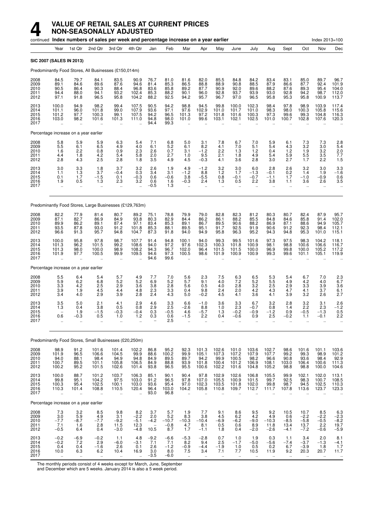**4**

|                                      |                                                          |                                                       | continued Index numbers of sales per week and percentage increase on a year earlier |                                                      |                                                      |                                                          |                                          |                                                         |                                                      |                                                     |                                                     |                                                        |                                                        |                                                     |                                              | Index 2013=100                           |                                                      |
|--------------------------------------|----------------------------------------------------------|-------------------------------------------------------|-------------------------------------------------------------------------------------|------------------------------------------------------|------------------------------------------------------|----------------------------------------------------------|------------------------------------------|---------------------------------------------------------|------------------------------------------------------|-----------------------------------------------------|-----------------------------------------------------|--------------------------------------------------------|--------------------------------------------------------|-----------------------------------------------------|----------------------------------------------|------------------------------------------|------------------------------------------------------|
|                                      | Year                                                     | 1st Qtr                                               | 2nd Qtr                                                                             | 3rd Qtr                                              | 4th Qtr                                              | Jan                                                      | Feb                                      | Mar                                                     | Apr                                                  | May                                                 | June                                                | July                                                   | Aug                                                    | Sept                                                | Oct                                          | Nov                                      | Dec                                                  |
|                                      | <b>SIC 2007 (SALES IN 2013)</b>                          |                                                       |                                                                                     |                                                      |                                                      |                                                          |                                          |                                                         |                                                      |                                                     |                                                     |                                                        |                                                        |                                                     |                                              |                                          |                                                      |
|                                      |                                                          |                                                       | Predominantly Food Stores, All Businesses (£150,014m)                               |                                                      |                                                      |                                                          |                                          |                                                         |                                                      |                                                     |                                                     |                                                        |                                                        |                                                     |                                              |                                          |                                                      |
| 2008<br>2009<br>2010<br>2011<br>2012 | 84.5<br>89.1<br>90.5<br>94.4<br>97.1                     | 79.7<br>84.6<br>86.4<br>88.0<br>91.8                  | 84.1<br>89.6<br>90.3<br>94.1<br>96.5                                                | 83.5<br>87.6<br>88.4<br>93.2<br>95.8                 | 90.9<br>94.6<br>96.8<br>102.4<br>104.2               | 76.7<br>81.4<br>83.6<br>85.3<br>88.2                     | 81.0<br>85.3<br>85.8<br>88.2<br>92.5     | 81.6<br>86.5<br>89.2<br>90.1<br>94.2                    | 82.0<br>88.8<br>87.7<br>96.0<br>95.7                 | 85.5<br>88.9<br>90.9<br>92.8<br>96.7                | 84.8<br>90.8<br>92.0<br>93.7<br>97.0                | 84.2<br>88.5<br>89.6<br>93.9<br>96.5                   | 83.4<br>87.9<br>88.2<br>93.0<br>95.8                   | 83.1<br>86.6<br>87.6<br>92.8<br>95.3                | 85.0<br>87.7<br>89.3<br>94.2<br>95.8         | 89.7<br>92.4<br>95.4<br>98.7<br>100.9    | 96.7<br>101.9<br>104.0<br>112.0<br>113.7             |
| 2013<br>2014<br>2015<br>2016<br>2017 | 100.0<br>101.1<br>101.2<br>103.0<br>$\ddotsc$            | 94.9<br>96.0<br>97.7<br>98.2                          | 98.2<br>101.8<br>100.3<br>101.6<br>$\ddot{\phantom{a}}$                             | 99.4<br>99.0<br>99.1<br>101.3                        | 107.5<br>107.9<br>107.5<br>111.0                     | 90.5<br>93.6<br>94.2<br>94.8<br>94.4                     | 94.2<br>97.1<br>96.5<br>98.0<br>99.3     | 98.8<br>97.6<br>101.3<br>101.0                          | 94.5<br>102.9<br>97.2<br>99.6                        | 99.8<br>101.0<br>101.8<br>103.1                     | 100.0<br>101.7<br>101.6<br>102.1                    | 102.3<br>101.0<br>100.3<br>102.5                       | 98.4<br>98.3<br>97.3<br>101.0                          | 97.8<br>98.0<br>99.6<br>100.7                       | 98.9<br>100.3<br>99.3<br>102.8               | 103.9<br>105.8<br>104.8<br>107.6         | 117.4<br>115.6<br>116.3<br>120.3                     |
|                                      |                                                          | Percentage increase on a year earlier                 |                                                                                     |                                                      |                                                      |                                                          |                                          |                                                         |                                                      |                                                     |                                                     |                                                        |                                                        |                                                     |                                              |                                          |                                                      |
| 2008<br>2009<br>2010<br>2011<br>2012 | 5.8<br>5.5<br>1.6<br>4.4<br>2.8                          | 5.9<br>6.1<br>2.2<br>1.8<br>4.3                       | 5.9<br>6.5<br>0.8<br>4.2<br>2.5                                                     | 6.3<br>4.9<br>0.9<br>5.4<br>2.8                      | 5.4<br>4.0<br>2.3<br>5.8<br>1.8                      | 7.1<br>6.1<br>2.6<br>2.0<br>3.5                          | 6.8<br>5.2<br>0.7<br>2.7<br>4.9          | 5.0<br>6.1<br>3.1<br>1.0<br>4.5                         | 3.1<br>8.2<br>$-1.2$<br>9.5<br>$-0.3$                | 7.8<br>4.1<br>2.2<br>2.1<br>4.1                     | 6.7<br>7.0<br>1.3<br>1.8<br>3.6                     | 7.0<br>5.1<br>1.2<br>4.9<br>2.8                        | 5.9<br>5.4<br>0.4<br>5.4<br>3.0                        | 6.1<br>4.3<br>1.2<br>5.9<br>2.7                     | 7.3<br>3.2<br>1.9<br>5.5<br>1.7              | 7.3<br>3.0<br>3.2<br>3.5<br>2.2          | 2.8<br>5.4<br>$2.0$<br>7.7<br>1.5                    |
| 2013<br>2014<br>2015<br>2016<br>2017 | 3.0<br>1.1<br>0.1<br>1.9<br>$\ddot{\phantom{a}}$         | 3.3<br>1.3<br>1.7<br>0.5<br>$\ddot{\phantom{a}}$      | 1.8<br>3.7<br>$-1.5$<br>1.3<br>ä.                                                   | 3.7<br>$-0.4$<br>0.1<br>2.3<br>ä.                    | 3.2<br>0.3<br>$-0.3$<br>3.2<br>$\ddot{\phantom{a}}$  | 2.6<br>3.4<br>0.6<br>0.6<br>-0.5                         | 1.9<br>3.1<br>-0.6<br>1.6<br>1.3         | 4.9<br>$-1.2$<br>3.8<br>$-0.3$<br>$\ddot{\phantom{a}}$  | $-1.2$<br>8.8<br>-5.5<br>2.4<br>$\ddot{\phantom{a}}$ | 3.2<br>1.2<br>0.8<br>1.3<br>$\ddot{\phantom{a}}$    | 3.0<br>1.7<br>$-0.1$<br>0.5<br>$\ddot{\phantom{a}}$ | 6.0<br>$-1.3$<br>$-0.7$<br>2.2<br>$\ddot{\phantom{a}}$ | 2.8<br>$-0.1$<br>$-1.1$<br>3.8<br>$\ddot{\phantom{a}}$ | 2.6<br>0.2<br>1.7<br>1.1<br>$\ddotsc$               | 3.2<br>1.4<br>$-1.0$<br>3.6<br>$\ddotsc$     | 3.0<br>1.9<br>$-0.9$<br>2.6<br>$\cdot$ . | 3.3<br>$-1.6$<br>0.6<br>3.5                          |
|                                      |                                                          |                                                       | Predominantly Food Stores, Large Businesses (£129,763m)                             |                                                      |                                                      |                                                          |                                          |                                                         |                                                      |                                                     |                                                     |                                                        |                                                        |                                                     |                                              |                                          |                                                      |
| 2008<br>2009<br>2010<br>2011<br>2012 | 82.2<br>87.1<br>89.9<br>93.5<br>96.6                     | 77.9<br>82.7<br>86.2<br>87.8<br>91.3                  | 81.4<br>86.9<br>89.1<br>93.0<br>95.7                                                | 80.7<br>84.9<br>87.4<br>91.2<br>94.8                 | 89.2<br>93.8<br>97.1<br>101.8<br>104.7               | 75.1<br>80.3<br>83.4<br>85.3<br>87.3                     | 78.8<br>82.9<br>85.3<br>88.1<br>91.8     | 79.9<br>84.4<br>89.1<br>89.5<br>94.0                    | 79.0<br>86.2<br>86.7<br>95.1<br>94.9                 | 82.8<br>86.1<br>89.5<br>91.7<br>95.8                | 82.3<br>88.2<br>90.6<br>92.5<br>96.3                | 81.2<br>85.5<br>88.2<br>91.9<br>95.2                   | 80.3<br>84.8<br>86.9<br>90.6<br>94.3                   | 80.7<br>84.6<br>87.1<br>91.2<br>94.8                | 82.4<br>85.8<br>88.6<br>92.3<br>95.3         | 87.9<br>91.4<br>94.9<br>98.4<br>101.0    | 95.7<br>102.0<br>105.7<br>112.1<br>115.1             |
| 2013<br>2014<br>2015<br>2016<br>2017 | 100.0<br>101.3<br>101.3<br>101.9<br>$\ddot{\phantom{a}}$ | 95.8<br>96.2<br>98.0<br>97.7<br>$\ddotsc$             | 97.8<br>101.5<br>100.0<br>100.5<br>ä.                                               | 98.7<br>99.2<br>98.9<br>99.9<br>$\ddot{\phantom{a}}$ | 107.7<br>108.6<br>108.2<br>109.5                     | 91.4<br>94.0<br>94.3<br>94.6<br>94.6                     | 94.8<br>97.2<br>96.7<br>97.3<br>99.6     | 100.1<br>97.6<br>102.0<br>100.5<br>$\ddot{\phantom{a}}$ | 94.0<br>102.3<br>96.4<br>98.6                        | 99.3<br>100.3<br>101.5<br>101.9                     | 99.5<br>101.8<br>101.5<br>100.9                     | 101.6<br>100.9<br>100.0<br>100.9                       | 97.3<br>98.1<br>96.9<br>99.3<br>$\ddot{\phantom{a}}$   | 97.5<br>98.8<br>99.8<br>99.6                        | 98.3<br>100.6<br>100.0<br>101.1              | 104.2<br>106.6<br>105.2<br>105.1         | 118.1<br>116.7<br>117.2<br>119.9                     |
|                                      |                                                          | Percentage increase on a year earlier                 |                                                                                     |                                                      |                                                      |                                                          |                                          |                                                         |                                                      |                                                     |                                                     |                                                        |                                                        |                                                     |                                              |                                          |                                                      |
| 2008<br>2009<br>2010<br>2011<br>2012 | $\frac{5.5}{5.9}$<br>3.3<br>3.9<br>3.4                   | 6.4<br>6.2<br>4.2<br>1.9<br>4.0                       | 5.4<br>6.8<br>2.5<br>4.5<br>2.9                                                     | 5.7<br>5.2<br>2.9<br>4.4<br>3.9                      | 4.9<br>5.2<br>3.6<br>4.8<br>2.8                      | 7.7<br>6.9<br>3.8<br>2.3<br>2.4                          | 7.0<br>5.2<br>2.8<br>3.3<br>4.3          | 5.6<br>5.7<br>5.6<br>0.4<br>5.0                         | 2.3<br>9.1<br>0.5<br>9.8<br>$-0.2$                   | 7.5<br>4.0<br>4.0<br>2.4<br>4.5                     | 6.3<br>7.2<br>2.8<br>2.0<br>4.1                     | 6.5<br>5.2<br>3.2<br>4.2<br>3.6                        | $\frac{5.3}{5.5}$<br>2.5<br>4.3<br>4.1                 | 5.4<br>4.9<br>2.9<br>4.7<br>3.9                     | 6.7<br>4.2<br>3.3<br>4.1<br>3.2              | 7.0<br>4.0<br>3.9<br>3.7<br>2.6          | $^{2.3}_{6.7}$<br>3.6<br>6.1<br>2.7                  |
| 2013<br>2014<br>2015<br>2016<br>2017 | 3.5<br>1.3<br>0.6                                        | 5.0<br>0.4<br>1.9<br>$-0.3$                           | 2.1<br>3.8<br>$-1.5$<br>0.5<br>ä.                                                   | 4.1<br>0.5<br>-0.3<br>1.0<br>$\ddotsc$               | 2.9<br>0.8<br>$-0.4$<br>1.2                          | 4.6<br>2.9<br>0.3<br>0.3                                 | 3.3<br>2.5<br>$-0.5$<br>0.6<br>2.5       | 6.6<br>-2.6<br>4.6<br>$-1.5$                            | $-1.0$<br>8.8<br>-5.7<br>2.2                         | 3.6<br>1.0<br>1.3<br>0.4                            | 3.3<br>2.3<br>$-0.2$<br>$-0.6$                      | 6.7<br>$-0.7$<br>$-0.9$<br>0.9                         | 3.2<br>0.8<br>$-1.2$<br>2.5                            | 2.8<br>1.4<br>0.9<br>$-0.2$                         | 3.2<br>2.2<br>$-0.5$<br>1.1                  | 3.1<br>2.3<br>$-1.3$<br>$-0.1$           | 2.6<br>$-1.2$<br>0.5<br>2.2                          |
|                                      |                                                          |                                                       | Predominantly Food Stores, Small Businesses (£20,250m)                              |                                                      |                                                      |                                                          |                                          |                                                         |                                                      |                                                     |                                                     |                                                        |                                                        |                                                     |                                              |                                          |                                                      |
| 2008<br>2009<br>2010<br>2011<br>2012 | 98.9<br>101.9<br>94.0<br>100.7<br>100.2                  | 91.2<br>96.5<br>88.1<br>89.5<br>95.2                  | 101.6<br>106.6<br>98.4<br>101.1<br>101.5                                            | 101.4<br>104.5<br>94.9<br>105.8<br>102.6             | 102.2<br>99.9<br>94.8<br>106.5<br>101.4              | 86.8<br>88.6<br>84.9<br>84.9<br>93.8                     | 95.2<br>100.2<br>89.5<br>88.8<br>96.5    | 92.3<br>99.9<br>89.7<br>93.9<br>95.5                    | 101.3<br>105.1<br>94.2<br>101.8<br>100.6             | 102.6<br>107.3<br>99.9<br>100.4<br>102.2            | 101.0<br>107.2<br>100.5<br>101.2<br>101.6           | 103.6<br>107.9<br>98.2<br>106.9<br>104.8               | 102.7<br>107.7<br>96.6<br>108.1<br>105.2               | 98.6<br>99.2<br>90.8<br>103.0<br>98.8               | 101.6<br>99.3<br>93.6<br>106.4<br>98.8       | 101.1<br>98.9<br>98.4<br>100.6<br>100.0  | 103.6<br>101.2<br>92.9<br>111.3<br>104.6             |
| 2013<br>2014<br>2015<br>2016<br>2017 | 100.0<br>99.8<br>100.3<br>110.3<br>$\ddot{\phantom{1}}$  | 88.7<br>95.1<br>95.4<br>101.4<br>$\ddot{\phantom{a}}$ | 101.2<br>104.2<br>102.5<br>108.8<br>u,                                              | 103.7<br>97.5<br>100.1<br>110.5<br>ä,                | 106.3<br>103.0<br>103.0<br>120.4                     | 85.1<br>91.2<br>93.6<br>96.4<br>93.0                     | 90.1<br>96.5<br>95.4<br>103.0<br>96.8    | 90.4<br>97.8<br>97.0<br>104.2                           | 97.8<br>107.0<br>102.3<br>105.8                      | 102.9<br>105.5<br>103.5<br>110.8                    | 102.6<br>100.9<br>101.8<br>109.7                    | 106.8<br>101.5<br>102.0<br>112.7                       | 105.5<br>99.7<br>99.8<br>111.7                         | 99.9<br>92.5<br>98.7<br>107.8                       | 102.1<br>98.3<br>94.5<br>113.6               | 102.0<br>100.7<br>102.5<br>123.7         | 113.1<br>$\frac{108.5}{110.3}$<br>123.3              |
|                                      |                                                          | Percentage increase on a year earlier                 |                                                                                     |                                                      |                                                      |                                                          |                                          |                                                         |                                                      |                                                     |                                                     |                                                        |                                                        |                                                     |                                              |                                          |                                                      |
| 2008<br>2009<br>2010<br>2011<br>2012 | 7.3<br>3.0<br>$-7.7$<br>7.1<br>$-0.5$                    | 3.2<br>5.9<br>$-8.7$<br>1.6<br>6.4                    | 8.5<br>4.9<br>$-7.7$<br>2.8<br>0.4                                                  | 9.8<br>3.1<br>$-9.2$<br>11.5<br>$-3.0$               | 8.2<br>$-2.2$<br>$-5.1$<br>12.3<br>$-4.8$            | 3.7<br>2.0<br>$-4.2$<br>$\overline{\phantom{0}}$<br>10.5 | 5.7<br>5.2<br>$-10.7$<br>$-0.8$<br>8.7   | 1.9<br>8.3<br>$-10.3$<br>4.7<br>1.7                     | 7.7<br>3.8<br>$-10.4$<br>8.1<br>$-1.1$               | 9.1<br>4.5<br>$-6.9$<br>0.5<br>1.8                  | 8.6<br>6.2<br>$-6.2$<br>0.6<br>0.4                  | 9.5<br>4.2<br>$-9.0$<br>8.9<br>$-2.0$                  | 9.2<br>4.9<br>$-10.3$<br>11.8<br>$-2.6$                | 10.5<br>0.6<br>$-8.5$<br>13.4<br>$-4.1$             | 10.7<br>$-2.2$<br>$-5.8$<br>13.7<br>$-7.2$   | 8.5<br>$-2.2$<br>$-0.5$<br>2.2<br>$-0.6$ | $6.3 - 2.3 - 8.2 - 19.7$<br>$-5.9$                   |
| 2013<br>2014<br>2015<br>2016<br>2017 | $-0.2$<br>$-0.2$<br>0.4<br>10.0<br>$\ddotsc$             | $-6.9$<br>7.2<br>0.4<br>6.3<br>$\ddot{\phantom{1}}$   | $-0.2$<br>2.9<br>$-1.6$<br>6.2<br>à.                                                | 1.1<br>$-6.0$<br>2.6<br>10.4<br>$\ddot{\phantom{a}}$ | 4.8<br>$-3.1$<br>0.1<br>16.9<br>$\ddot{\phantom{a}}$ | $-9.2$<br>7.1<br>2.6<br>3.0<br>$-3.5$                    | $-6.6$<br>7.1<br>$-1.2$<br>8.0<br>$-6.0$ | $-5.3$<br>8.2<br>$-0.9$<br>7.5<br>$\ddot{\phantom{a}}$  | $-2.8$<br>9.4<br>$-4.4$<br>3.4<br>ä.                 | 0.7<br>2.5<br>$-1.9$<br>7.1<br>$\ddot{\phantom{1}}$ | 1.0<br>$-1.7$<br>1.0<br>7.7<br>ä.                   | 1.9<br>$-5.0$<br>0.5<br>10.5<br>$\ddot{\phantom{1}}$   | 0.3<br>$-5.6$<br>0.2<br>11.9<br>$\ddot{\phantom{1}}$   | 1.1<br>$-7.4$<br>6.7<br>9.2<br>$\ddot{\phantom{1}}$ | 3.4<br>$-3.7$<br>$-3.9$<br>20.3<br>$\ddotsc$ | 2.0<br>$-1.3$<br>1.8<br>20.7<br>$\sim$   | 8.1<br>$-4.1$<br>1.7<br>11.7<br>$\ddot{\phantom{1}}$ |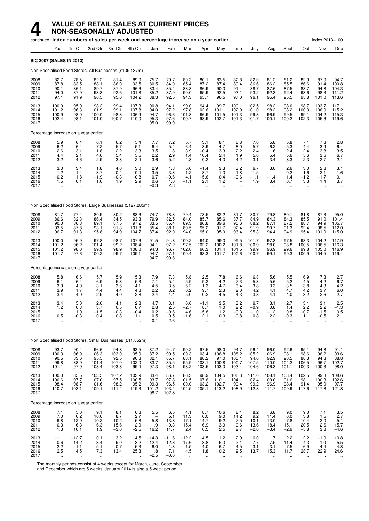**4**

|                                      |                                                                | continued Index numbers of sales per week and percentage increase on a year earlier |                                                            |                                                        |                                                         |                                         |                                            |                                                          |                                             |                                                                    |                                                        |                                                         |                                                         |                                                              |                                              | Index 2013=100                               |                                                           |
|--------------------------------------|----------------------------------------------------------------|-------------------------------------------------------------------------------------|------------------------------------------------------------|--------------------------------------------------------|---------------------------------------------------------|-----------------------------------------|--------------------------------------------|----------------------------------------------------------|---------------------------------------------|--------------------------------------------------------------------|--------------------------------------------------------|---------------------------------------------------------|---------------------------------------------------------|--------------------------------------------------------------|----------------------------------------------|----------------------------------------------|-----------------------------------------------------------|
|                                      | Year                                                           | 1st Qtr                                                                             | 2nd Qtr                                                    | 3rd Qtr                                                | 4th Qtr                                                 | Jan                                     | Feb                                        | Mar                                                      | Apr                                         | May                                                                | June                                                   | July                                                    | Aug                                                     | Sept                                                         | Oct                                          | Nov                                          | Dec                                                       |
|                                      | <b>SIC 2007 (SALES IN 2013)</b>                                |                                                                                     |                                                            |                                                        |                                                         |                                         |                                            |                                                          |                                             |                                                                    |                                                        |                                                         |                                                         |                                                              |                                              |                                              |                                                           |
|                                      |                                                                | Non Specialised Food Stores, All Businesses (£139,137m)                             |                                                            |                                                        |                                                         |                                         |                                            |                                                          |                                             |                                                                    |                                                        |                                                         |                                                         |                                                              |                                              |                                              |                                                           |
| 2008<br>2009<br>2010<br>2011<br>2012 | 82.7<br>87.8<br>90.1<br>94.0<br>97.1                           | 78.5<br>83.5<br>86.1<br>87.9<br>91.9                                                | 82.2<br>88.1<br>89.7<br>93.8<br>96.5                       | 81.4<br>86.0<br>87.9<br>92.6<br>95.6                   | 89.0<br>93.5<br>96.6<br>101.8<br>104.2                  | 75.7<br>80.5<br>83.4<br>85.2<br>88.3    | 79.7<br>84.0<br>85.4<br>87.9<br>92.5       | 80.3<br>85.4<br>88.8<br>90.0<br>94.3                     | 80.1<br>87.2<br>86.9<br>95.9<br>95.7        | 83.5<br>87.4<br>90.3<br>92.5<br>96.5                               | 82.8<br>89.4<br>91.4<br>93.1<br>97.0                   | 82.0<br>86.6<br>88.7<br>93.2<br>96.1                    | 81.2<br>86.2<br>87.6<br>92.3<br>95.4                    | 81.2<br>85.5<br>87.5<br>92.4<br>95.5                         | 82.9<br>86.6<br>88.7<br>93.6<br>95.8         | 87.9<br>91.4<br>94.8<br>98.3<br>101.0        | 94.7<br>100.8<br>104.3<br>111.2<br>113.6                  |
| 2013<br>2014<br>2015<br>2016<br>2017 | 100.0<br>101.2<br>100.9<br>102.4<br>$\ddotsc$                  | 95.0<br>96.3<br>98.0<br>98.1<br>$\ddotsc$                                           | 98.2<br>101.9<br>100.0<br>101.0                            | 99.4<br>99.1<br>98.8<br>100.7                          | 107.3<br>107.8<br>106.9<br>110.0                        | 90.8<br>94.0<br>94.7<br>95.3<br>95.0    | 94.1<br>97.2<br>96.6<br>97.6<br>99.9       | 99.0<br>97.8<br>101.8<br>100.7                           | 94.4<br>102.6<br>96.9<br>98.9               | 99.7<br>101.1<br>101.5<br>102.7                                    | 100.1<br>102.0<br>101.3<br>101.3                       | 102.5<br>101.0<br>99.8<br>101.7                         | 98.2<br>98.2<br>96.9<br>100.1                           | 98.0<br>98.2<br>99.5<br>100.2                                | 98.7<br>100.3<br>99.1<br>102.3               | 103.7<br>106.0<br>104.2<br>105.6             | 117.1<br>115.2<br>115.3<br>119.6                          |
|                                      |                                                                | Percentage increase on a year earlier                                               |                                                            |                                                        |                                                         |                                         |                                            |                                                          |                                             |                                                                    |                                                        |                                                         |                                                         |                                                              |                                              |                                              |                                                           |
| 2008<br>2009<br>2010<br>2011<br>2012 | 5.9<br>6.2<br>2.6<br>4.4<br>3.2                                | 6.4<br>6.4<br>3.1<br>2.1<br>4.6                                                     | 6.1<br>7.2<br>1.8<br>4.6<br>2.9                            | 6.2<br>5.7<br>2.2<br>5.4<br>3.3                        | 5.4<br>5.1<br>3.3<br>5.5<br>2.4                         | 7.7<br>6.4<br>3.5<br>2.2<br>3.6         | 7.2<br>5.4<br>1.8<br>2.9<br>5.2            | 5.7<br>6.4<br>3.9<br>1.4<br>4.8                          | 3.1<br>8.9<br>$-0.4$<br>10.4<br>$-0.2$      | 8.1<br>4.7<br>3.3<br>2.4<br>4.3                                    | 6.8<br>8.0<br>2.2<br>1.9<br>4.2                        | 7.0<br>5.7<br>2.4<br>5.0<br>3.1                         | 5.8<br>6.2<br>1.6<br>5.4<br>3.4                         | 5.8<br>5.3<br>2.4<br>5.6<br>3.3                              | 7.1<br>4.4<br>2.4<br>5.6<br>2.3              | 7.3<br>3.9<br>3.8<br>3.6<br>2.7              | 2.8<br>6.4<br>$\frac{3.5}{6.7}$<br>2.1                    |
| 2013<br>2014<br>2015<br>2016<br>2017 | 3.0<br>1.2<br>$-0.2$<br>1.5<br>$\ddotsc$                       | 3.4<br>1.4<br>1.8<br>0.1<br>$\mathbf{r}$                                            | 1.8<br>3.7<br>$-1.9$<br>1.0<br>ä.                          | 4.0<br>$-0.4$<br>$-0.3$<br>1.9<br>$\ddot{\phantom{a}}$ | 3.0<br>0.4<br>$-0.8$<br>2.9<br>$\ddot{\phantom{a}}$     | 2.9<br>3.5<br>0.7<br>0.6<br>$-0.3$      | 1.8<br>3.3<br>$-0.6$<br>1.0<br>2.3         | 5.0<br>$-1.2$<br>4.1<br>$-1.1$<br>$\ddot{\phantom{a}}$   | $-1.4$<br>8.7<br>$-5.6$<br>2.1<br>$\ddotsc$ | 3.3<br>1.3<br>0.4<br>1.2<br>$\ldots$                               | 3.2<br>1.8<br>$-0.6$<br>$\overline{a}$<br>$\ddotsc$    | 6.7<br>$-1.5$<br>$-1.1$<br>1.9<br>$\ddotsc$             | 3.0<br>$\overline{\phantom{0}}$<br>$-1.4$<br>3.4<br>Ω.  | 2.6<br>0.2<br>1.4<br>0.7<br>ä.                               | 3.0<br>1.6<br>$-1.2$<br>3.3<br>ä.            | 2.8<br>2.1<br>$-1.7$<br>1.4<br>$\ddotsc$     | 3.1<br>$-1.6$<br>0.1<br>3.7                               |
|                                      |                                                                | Non Specialised Food Stores, Large Businesses (£127,285m)                           |                                                            |                                                        |                                                         |                                         |                                            |                                                          |                                             |                                                                    |                                                        |                                                         |                                                         |                                                              |                                              |                                              |                                                           |
| 2008<br>2009<br>2010<br>2011<br>2012 | 81.7<br>86.6<br>90.0<br>93.5<br>96.7                           | 77.4<br>82.3<br>86.3<br>87.8<br>91.3                                                | 80.9<br>86.4<br>89.1<br>93.1<br>95.8                       | 80.2<br>84.5<br>87.5<br>91.3<br>94.9                   | 88.6<br>93.3<br>97.2<br>101.8<br>104.7                  | 74.7<br>79.9<br>83.5<br>85.4<br>87.4    | 78.3<br>82.5<br>85.4<br>88.1<br>92.0       | 79.4<br>84.0<br>89.3<br>89.5<br>94.0                     | 78.5<br>85.7<br>86.8<br>95.2<br>95.0        | 82.2<br>85.6<br>89.6<br>91.7<br>95.9                               | 81.7<br>87.7<br>90.6<br>92.4<br>96.4                   | 80.7<br>84.9<br>88.2<br>91.9<br>95.3                    | 79.8<br>84.3<br>87.1<br>90.7<br>94.4                    | 80.1<br>84.3<br>87.2<br>91.3<br>94.9                         | 81.8<br>85.5<br>88.7<br>92.4<br>95.4         | 87.3<br>91.0<br>94.9<br>98.5<br>101.0        | 95.0<br>101.4<br>105.7<br>112.0<br>115.0                  |
| 2013<br>2014<br>2015<br>2016<br>2017 | 100.0<br>101.2<br>101.2<br>101.7<br>$\ddot{\phantom{a}}$       | 95.9<br>96.2<br>98.0<br>97.6<br>$\ddotsc$                                           | 97.8<br>101.4<br>99.9<br>100.2<br>.,                       | 98.7<br>99.2<br>98.9<br>99.7<br>$\ddotsc$              | 107.6<br>108.4<br>108.0<br>109.1                        | 91.5<br>94.1<br>94.3<br>94.7<br>94.7    | 94.8<br>97.2<br>96.7<br>97.1<br>99.6       | 100.2<br>97.5<br>102.0<br>100.4<br>$\ddot{\phantom{a}}$  | 94.0<br>102.2<br>96.3<br>98.3               | 99.3<br>100.2<br>101.4<br>101.7                                    | 99.5<br>101.8<br>101.5<br>100.6                        | 101.7<br>100.9<br>99.9<br>100.7                         | 97.3<br>98.0<br>96.9<br>99.1                            | 97.5<br>98.8<br>99.6<br>99.3                                 | 98.3<br>100.5<br>99.8<br>100.9               | 104.2<br>106.5<br>105.0<br>104.5             | 117.9<br>116.3<br>116.9<br>119.4                          |
|                                      |                                                                | Percentage increase on a year earlier                                               |                                                            |                                                        |                                                         |                                         |                                            |                                                          |                                             |                                                                    |                                                        |                                                         |                                                         |                                                              |                                              |                                              |                                                           |
| 2008<br>2009<br>2010<br>2011<br>2012 | $\begin{array}{c} 5.8 \\ 6.1 \end{array}$<br>3.9<br>3.9<br>3.4 | 6.6<br>6.4<br>4.9<br>1.7<br>4.0                                                     | 5.7<br>6.9<br>3.1<br>4.4<br>2.9                            | $\frac{5.9}{5.3}$<br>3.6<br>4.4<br>4.0                 | $\frac{5.3}{5.3}$<br>4.1<br>4.8<br>2.8                  | 7.9<br>7.1<br>4.5<br>2.2<br>2.4         | $7.3$<br>$5.4$<br>3.5<br>3.2<br>4.4        | 5.8<br>5.9<br>6.2<br>0.2<br>5.0                          | 2.5<br>9.2<br>1.3<br>9.7<br>$-0.2$          | 7.8<br>4.2<br>4.7<br>2.3<br>4.5                                    | 6.6<br>7.3<br>3.4<br>2.0<br>4.3                        | $6.8$<br>5.3<br>3.8<br>4.2<br>3.8                       | 5.6<br>5.6<br>3.3<br>4.1<br>4.1                         | $\frac{5.5}{5.2}$<br>3.5<br>4.7<br>4.0                       | $6.9$<br>$4.5$<br>3.8<br>4.2<br>3.2          | $^{7.3}_{4.2}$<br>4.3<br>3.7<br>2.6          | $^{2.7}_{6.7}$<br>4.2<br>6.0<br>2.7                       |
| 2013<br>2014<br>2015<br>2016<br>2017 | 3.4<br>1.2<br>0.5                                              | 5.0<br>0.3<br>1.9<br>$-0.3$<br>$\ddotsc$                                            | 2.0<br>3.7<br>$-1.5$<br>0.4<br>                            | 4.1<br>0.5<br>$-0.3$<br>0.8<br>$\ddotsc$               | 2.8<br>0.7<br>$-0.4$<br>1.1                             | 4.7<br>2.8<br>0.2<br>0.5<br>$-0.1$      | 3.1<br>2.5<br>$-0.6$<br>0.5<br>2.6         | 6.6<br>$-2.7$<br>4.6<br>$-1.6$                           | $-1.1$<br>8.7<br>-5.8<br>2.1                | 3.5<br>1.0<br>1.2<br>0.3                                           | 3.2<br>2.2<br>$-0.3$<br>$-0.8$                         | 6.7<br>$-0.9$<br>$-1.0$<br>0.8                          | 3.1<br>0.8<br>$-1.2$<br>2.2                             | 2.7<br>1.4<br>0.8<br>$-0.3$                                  | 3.1<br>2.2<br>$-0.7$<br>1.1                  | 3.1<br>2.2<br>$-1.5$<br>$-0.5$               | 2.5<br>$-1.3$<br>0.5<br>2.1                               |
|                                      |                                                                | Non Specialised Food Stores, Small Businesses (£11,852m)                            |                                                            |                                                        |                                                         |                                         |                                            |                                                          |                                             |                                                                    |                                                        |                                                         |                                                         |                                                              |                                              |                                              |                                                           |
| 2008<br>2009<br>2010<br>2011<br>2012 | 93.7<br>100.3<br>90.5<br>99.8<br>101.1                         | 90.4<br>96.0<br>83.6<br>88.9<br>97.9                                                | 96.6<br>106.3<br>95.5<br>101.4<br>103.4                    | 94.8<br>103.0<br>92.5<br>107.0<br>103.8                | 93.5<br>95.9<br>90.3<br>102.0<br>99.4                   | 87.2<br>87.2<br>82.1<br>83.7<br>97.3    | 94.7<br>99.5<br>85.7<br>85.5<br>98.1       | 90.2<br>100.3<br>83.1<br>95.9<br>98.2                    | 97.5<br>103.4<br>88.2<br>103.1<br>103.5     | 98.0<br>106.8<br>97.0<br>100.8<br>103.3                            | 94.7<br>108.2<br>100.1<br>100.7<br>103.4               | 96.4<br>105.2<br>94.6<br>107.5<br>104.6                 | 96.0<br>106.9<br>92.9<br>110.0<br>106.3                 | 92.6<br>98.1<br>90.5<br>104.2<br>101.1                       | 95.1<br>98.6<br>88.3<br>106.5<br>100.3       | 94.8<br>96.2<br>94.3<br>96.7<br>100.3        | 91.1<br>$93.6$<br>$88.8$<br>$102.7$<br>$98.0$             |
| 2013<br>2014<br>2015<br>2016<br>2017 | 100.0<br>100.6<br>98.4<br>110.7<br>ă,                          | 85.5<br>97.7<br>98.7<br>103.1<br>$\ldots$                                           | 103.5<br>107.0<br>101.6<br>109.1<br>ä,                     | 107.2<br>97.5<br>98.2<br>111.4<br>$\ddot{\phantom{a}}$ | 103.9<br>100.5<br>95.2<br>119.3                         | 83.4<br>93.7<br>99.3<br>101.2<br>98.7   | 86.7<br>97.8<br>96.5<br>103.4<br>102.8     | 86.3<br>101.5<br>100.0<br>104.5<br>$\ddotsc$             | 98.9<br>107.6<br>103.2<br>105.1             | 104.5<br>110.1<br>102.7<br>113.2                                   | 106.3<br>104.1<br>99.4<br>108.9                        | 111.0<br>102.4<br>99.2<br>112.8                         | 108.1<br>100.0<br>96.9<br>111.7                         | 103.4<br>91.6<br>98.4<br>109.9                               | 102.5<br>98.1<br>91.4<br>117.6               | 99.3<br>100.3<br>95.9<br>117.8               | 108.6<br>$102.6\n97.7\n121.8$                             |
|                                      |                                                                | Percentage increase on a year earlier                                               |                                                            |                                                        |                                                         |                                         |                                            |                                                          |                                             |                                                                    |                                                        |                                                         |                                                         |                                                              |                                              |                                              |                                                           |
| 2008<br>2009<br>2010<br>2011<br>2012 | 7.1<br>7.0<br>$-9.8$<br>10.3<br>1.3                            | $\begin{array}{c} 5.0 \\ 6.2 \end{array}$<br>$-12.9$<br>6.3<br>10.1                 | 9.1<br>10.0<br>$-10.2$<br>6.3<br>1.9                       | 8.1<br>8.7<br>$-10.2$<br>15.6<br>$-3.0$                | 6.3<br>2.7<br>$-5.8$<br>12.9<br>$-2.5$                  | 5.5<br>$-5.8$<br>1.9<br>16.2            | 6.5<br>5.1<br>$-13.8$<br>$-0.3$<br>14.7    | 4.1<br>11.3<br>$-17.1$<br>15.4<br>2.4                    | 8.7<br>6.0<br>$-14.7$<br>16.9<br>0.5        | 10.6<br>9.0<br>$-9.2$<br>3.9<br>2.5                                | 8.1<br>14.2<br>$-7.5$<br>0.6<br>2.7                    | 8.2<br>9.2<br>$-10.1$<br>13.6<br>$-2.6$                 | 6.8<br>11.4<br>$-13.0$<br>18.4<br>$-3.4$                | 9.0<br>6.0<br>$-7.8$<br>15.1<br>$-2.9$                       | 9.0<br>3.8<br>$-10.4$<br>20.5<br>$-5.8$      | 7.1<br>1.5<br>$-2.0$<br>2.6<br>3.8           | $\frac{3.5}{2.7}$<br>$-\overline{5}$ .1<br>15.7<br>$-4.6$ |
| 2013<br>2014<br>2015<br>2016<br>2017 | $-1.1$<br>0.6<br>$-2.2$<br>12.5<br>$\ddot{\phantom{1}}$        | $-12.7$<br>14.2<br>1.1<br>4.5<br>$\ddot{\phantom{1}}$                               | 0.1<br>3.4<br>$-5.1$<br>7.3<br>$\mathcal{L}_{\mathcal{A}}$ | 3.2<br>$-9.0$<br>0.7<br>13.4<br>$\ddotsc$              | 4.5<br>$-3.2$<br>$-5.3$<br>25.3<br>$\ddot{\phantom{a}}$ | $-14.3$<br>12.4<br>6.0<br>1.8<br>$-2.5$ | $-11.6$<br>12.8<br>$-1.3$<br>7.1<br>$-0.6$ | $-12.2$<br>17.6<br>$-1.5$<br>4.5<br>$\ddot{\phantom{1}}$ | $-4.5$<br>8.8<br>$-4.0$<br>1.8<br>$\ddotsc$ | $1.2$<br>$\frac{5.3}{-6.7}$<br>10.2<br>$\mathcal{L}_{\mathcal{F}}$ | 2.9<br>$-2.1$<br>$-4.5$<br>9.5<br>$\ddot{\phantom{1}}$ | 6.0<br>$-7.7$<br>$-3.1$<br>13.7<br>$\ddot{\phantom{1}}$ | 1.7<br>$-7.5$<br>$-3.1$<br>15.3<br>$\ddot{\phantom{1}}$ | 2.2<br>$-11.4$<br>7.5<br>11.7<br>$\mathcal{L}_{\mathcal{A}}$ | 2.2<br>$-4.3$<br>$-6.9$<br>28.7<br>$\ddotsc$ | $-1.0$<br>1.0<br>$-4.4$<br>22.9<br>$\ddotsc$ | 10.8<br>$-5.5$<br>$-4.8$<br>24.6<br>$\cdot$               |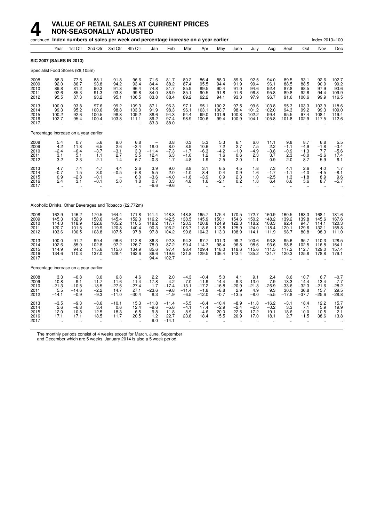**4**

|                                      |                                                     |                                                       | continued Index numbers of sales per week and percentage increase on a year earlier |                                                                 |                                                     |                                         |                                              |                                                  |                                                   |                                               |                                            |                                                  |                                             |                                              |                                                        | Index 2013=100                               |                                                |
|--------------------------------------|-----------------------------------------------------|-------------------------------------------------------|-------------------------------------------------------------------------------------|-----------------------------------------------------------------|-----------------------------------------------------|-----------------------------------------|----------------------------------------------|--------------------------------------------------|---------------------------------------------------|-----------------------------------------------|--------------------------------------------|--------------------------------------------------|---------------------------------------------|----------------------------------------------|--------------------------------------------------------|----------------------------------------------|------------------------------------------------|
|                                      | Year                                                | 1st Qtr                                               | 2nd Qtr                                                                             | 3rd Qtr                                                         | 4th Otr                                             | Jan                                     | Feb                                          | Mar                                              | Apr                                               | May                                           | June                                       | July                                             | Aug                                         | Sept                                         | Oct                                                    | Nov                                          | Dec                                            |
| <b>SIC 2007 (SALES IN 2013)</b>      |                                                     |                                                       |                                                                                     |                                                                 |                                                     |                                         |                                              |                                                  |                                                   |                                               |                                            |                                                  |                                             |                                              |                                                        |                                              |                                                |
|                                      |                                                     | Specialist Food Stores (£8,105m)                      |                                                                                     |                                                                 |                                                     |                                         |                                              |                                                  |                                                   |                                               |                                            |                                                  |                                             |                                              |                                                        |                                              |                                                |
| 2008<br>2009<br>2010<br>2011<br>2012 | 88.3<br>92.0<br>89.8<br>92.6<br>95.5                | 77.5<br>86.7<br>81.2<br>85.3<br>87.3                  | 88.1<br>93.8<br>90.3<br>91.3<br>93.2                                                | 91.8<br>94.2<br>91.3<br>93.8<br>95.1                            | 96.6<br>93.4<br>96.4<br>99.8<br>106.5               | 71.6<br>84.4<br>74.8<br>84.0<br>83.8    | 81.7<br>88.2<br>81.7<br>86.9<br>88.4         | 80.2<br>87.4<br>85.9<br>85.1<br>89.2             | 86.4<br>95.5<br>89.5<br>90.5<br>92.2              | 88.0<br>94.4<br>90.4<br>91.8<br>94.1          | 89.5<br>91.9<br>91.0<br>91.6<br>93.3       | 92.5<br>99.4<br>94.6<br>96.8<br>97.9             | 94.0<br>96.1<br>92.4<br>95.8<br>96.7        | 89.5<br>88.5<br>87.8<br>89.8<br>91.6         | 93.1<br>88.5<br>98.5<br>92.6<br>100.6                  | 92.6<br>90.9<br>97.9<br>94.4<br>99.9         | 102.7<br>99.2<br>93.6<br>109.9<br>116.5        |
| 2013<br>2014<br>2015<br>2016<br>2017 | 100.0<br>99.3<br>100.2<br>102.7                     | 93.8<br>95.2<br>92.6<br>95.4<br>$\mathbf{r}$          | 97.6<br>100.6<br>100.5<br>100.4<br>$\ddot{\phantom{a}}$                             | 99.2<br>98.8<br>98.8<br>103.8<br>$\ddot{\phantom{a}}$           | 109.3<br>103.0<br>109.2<br>111.1                    | 87.1<br>91.9<br>88.6<br>89.2<br>83.3    | 96.3<br>98.3<br>94.3<br>97.4<br>88.0         | 97.1<br>96.1<br>94.4<br>98.9                     | 95.1<br>103.1<br>99.0<br>100.6                    | 100.2<br>100.7<br>101.6<br>99.4               | 97.5<br>98.4<br>100.8<br>100.9             | 99.6<br>101.2<br>102.2<br>104.1                  | 103.8<br>102.0<br>99.4<br>105.8             | 95.3<br>94.3<br>95.5<br>101.8                | 103.3<br>99.2<br>97.4<br>102.9                         | 103.9<br>99.3<br>108.1<br>117.5              | 118.6<br>109.0<br>119.4<br>112.6               |
|                                      |                                                     | Percentage increase on a year earlier                 |                                                                                     |                                                                 |                                                     |                                         |                                              |                                                  |                                                   |                                               |                                            |                                                  |                                             |                                              |                                                        |                                              |                                                |
| 2008<br>2009<br>2010<br>2011<br>2012 | 5.4<br>4.2<br>$\frac{-2.4}{3.1}$<br>3.2             | 0.7<br>11.8<br>$-6.4$<br>5.1<br>2.3                   | 5.6<br>6.5<br>$-3.7$<br>1.1<br>2.1                                                  | 9.0<br>2.6<br>$-3.1$<br>2.7<br>1.4                              | 6.8<br>$-3.4$<br>3.3<br>3.5<br>6.7                  | 18.0<br>$-11.4$<br>12.4<br>$-0.3$       | 3.8<br>8.0<br>$-7.3$<br>6.3<br>1.7           | 0.3<br>8.9<br>$-1.7$<br>$-1.0$<br>4.8            | 5.3<br>10.6<br>$-6.3$<br>1.2<br>1.9               | 5.3<br>7.2<br>$-4.2$<br>1.6<br>2.5            | 6.1<br>2.7<br>$-1.0$<br>0.6<br>2.0         | 6.0<br>7.5<br>$-4.9$<br>2.3<br>1.1               | 11.1<br>2.2<br>$-3.8$<br>3.7<br>0.9         | 9.8<br>$-1.1$<br>$-0.9$<br>2.3<br>2.0        | 8.7<br>$-4.9$<br>11.3<br>$-6.0$<br>8.7                 | 6.8<br>$-1.8$<br>7.7<br>$-3.6$<br>5.9        | 5.5<br>$-3.4$<br>$-5.6$<br>17.4<br>6.1         |
| 2013<br>2014<br>2015<br>2016<br>2017 | 4.7<br>$-0.7$<br>0.9<br>2.4<br>$\ddot{\phantom{a}}$ | 7.4<br>1.5<br>$-2.8$<br>3.1                           | 4.7<br>3.0<br>$-0.1$<br>$-0.1$                                                      | 4.4<br>$-0.5$<br>$\hspace{1.0cm} - \hspace{1.0cm}$<br>5.0<br>à. | 2.6<br>$-5.8$<br>6.0<br>1.8<br>$\ddot{\phantom{a}}$ | 3.9<br>5.5<br>$-3.6$<br>0.7<br>$-6.6$   | 9.0<br>2.0<br>$-4.0$<br>3.3<br>$-9.6$        | 8.8<br>$-1.0$<br>$-1.8$<br>4.8<br>÷.             | 3.1<br>8.4<br>$-3.9$<br>1.6                       | 6.5<br>0.4<br>0.9<br>$-2.1$                   | 4.5<br>0.9<br>2.3<br>0.2                   | 1.8<br>1.6<br>1.0<br>1.8<br>$\ddot{\phantom{a}}$ | 7.3<br>$-1.7$<br>$-2.5$<br>6.4              | 4.1<br>$-1.1$<br>1.3<br>6.6                  | 2.6<br>$-4.0$<br>$-1.8$<br>5.6<br>$\ddot{\phantom{a}}$ | 4.0<br>$-4.5$<br>8.9<br>8.7                  | 1.7<br>$-8.1$<br>$\frac{9.6}{-5.7}$            |
|                                      |                                                     |                                                       | Alcoholic Drinks, Other Beverages and Tobacco (£2,772m)                             |                                                                 |                                                     |                                         |                                              |                                                  |                                                   |                                               |                                            |                                                  |                                             |                                              |                                                        |                                              |                                                |
| 2008<br>2009<br>2010<br>2011<br>2012 | 162.9<br>145.3<br>114.3<br>120.7<br>103.6           | 146.2<br>132.9<br>118.9<br>101.5<br>100.5             | 170.5<br>150.6<br>122.6<br>119.9<br>108.8                                           | 164.4<br>145.4<br>105.2<br>120.8<br>107.5                       | 171.8<br>152.3<br>110.5<br>140.4<br>97.8            | 141.4<br>116.2<br>118.2<br>90.3<br>97.8 | 148.8<br>142.5<br>117.7<br>106.2<br>104.2    | 148.8<br>138.5<br>120.3<br>106.7<br>99.8         | 165.7<br>145.9<br>120.8<br>118.6<br>104.3         | 175.4<br>150.1<br>124.9<br>113.8<br>113.0     | 170.5<br>154.6<br>122.3<br>125.9<br>108.9  | 172.7<br>150.2<br>118.2<br>124.0<br>114.1        | 160.9<br>148.2<br>108.3<br>118.4<br>111.9   | 160.5<br>139.2<br>92.4<br>120.1<br>98.7      | 163.3<br>139.8<br>94.7<br>129.6<br>80.8                | 168.1<br>145.6<br>114.1<br>132.1<br>98.3     | 181.6<br>167.6<br>120.3<br>155.8<br>111.0      |
| 2013<br>2014<br>2015<br>2016<br>2017 | 100.0<br>102.6<br>114.9<br>134.6<br>$\sim$          | 91.2<br>85.0<br>94.2<br>110.3<br>$\ddot{\phantom{a}}$ | 99.4<br>102.8<br>115.6<br>137.0<br>Ω.                                               | 96.6<br>97.2<br>115.0<br>128.4<br>$\sim$                        | 112.8<br>126.7<br>134.9<br>162.6                    | 86.3<br>78.0<br>85.6<br>86.6<br>94.4    | 92.3<br>87.2<br>97.4<br>119.6<br>102.7       | 94.3<br>90.4<br>98.4<br>121.8                    | 97.7<br>114.7<br>109.4<br>129.5                   | 101.3<br>98.4<br>118.0<br>136.4               | 99.2<br>96.8<br>118.6<br>143.4             | 100.6<br>98.6<br>115.6<br>135.2                  | 93.8<br>93.6<br>111.5<br>131.7              | 95.6<br>98.8<br>117.2<br>120.3               | 95.7<br>102.5<br>112.7<br>125.8                        | 110.3<br>116.8<br>129.0<br>178.8             | 128.5<br>154.1<br>157.4<br>179.1               |
|                                      |                                                     | Percentage increase on a year earlier                 |                                                                                     |                                                                 |                                                     |                                         |                                              |                                                  |                                                   |                                               |                                            |                                                  |                                             |                                              |                                                        |                                              |                                                |
| 2008<br>2009<br>2010<br>2011<br>2012 | $3.3 - 10.8$<br>$-21.3$<br>5.5<br>$-14.1$           | $-0.8$<br>$-9.1$<br>$-10.5$<br>$-14.6$<br>$-0.9$      | 3.0<br>$-11.7$<br>$-18.5$<br>$-2.2$<br>$-9.3$                                       | 6.8<br>$-11.6$<br>$-27.6$<br>14.7<br>$-11.0$                    | 4.6<br>$-11.4$<br>$-27.4$<br>27.1<br>$-30.4$        | $-17.8$<br>1.7<br>$-23.6$<br>8.3        | 2.0<br>$-4.2$<br>$-17.4$<br>$-9.8$<br>$-1.9$ | $-4.3$<br>$-7.0$<br>$-13.1$<br>$-11.4$<br>$-6.5$ | $-0.4$<br>$-11.9$<br>$-17.2$<br>$-1.8$<br>$-12.0$ | 5.0<br>$-14.4$<br>$-16.8$<br>$-8.8$<br>$-0.7$ | 4.1<br>$-9.3$<br>$-20.9$<br>2.9<br>$-13.5$ | 9.1<br>$-13.0$<br>$-21.3$<br>4.9<br>$-8.0$       | $^{2.4}_{-7.9}$<br>$-26.9$<br>9.3<br>$-5.5$ | 8.6<br>$-13.3$<br>$-33.6$<br>30.0<br>$-17.8$ | 10.7<br>$-14.4$<br>$-32.3$<br>36.8<br>$-37.7$          | 6.7<br>$-13.4$<br>$-21.6$<br>15.7<br>$-25.6$ | $-0.7$<br>$-7.7$<br>$-28.2$<br>29.5<br>$-28.8$ |
| 2013<br>2014<br>2015<br>2016<br>2017 | $-3.5$<br>2.6<br>12.0<br>17.1                       | $-9.3$<br>$-6.8$<br>10.8<br>17.1                      | $-8.6$<br>3.4<br>12.5<br>18.5<br>ă.                                                 | $-10.1$<br>0.6<br>18.3<br>11.7                                  | 15.3<br>12.4<br>6.5<br>20.5                         | $-11.8$<br>$-9.6$<br>9.8<br>1.2<br>9.0  | $-11.4$<br>$-5.6$<br>11.8<br>22.7<br>$-14.1$ | $-5.5$<br>$-4.1$<br>8.9<br>23.8                  | $-6.4$<br>17.4<br>$-4.6$<br>18.4                  | $-10.4$<br>$-2.9$<br>20.0<br>15.5             | $-8.9$<br>$-2.4$<br>22.5<br>20.9           | $-11.8$<br>$-2.0$<br>17.2<br>17.0                | $-16.2$<br>$-0.2$<br>19.1<br>18.1           | $-3.1$<br>3.3<br>18.6<br>2.7                 | 18.4<br>7.1<br>10.0<br>11.5                            | 12.2<br>5.9<br>10.5<br>38.6                  | 15.7<br>19.9<br>2.1<br>13.8                    |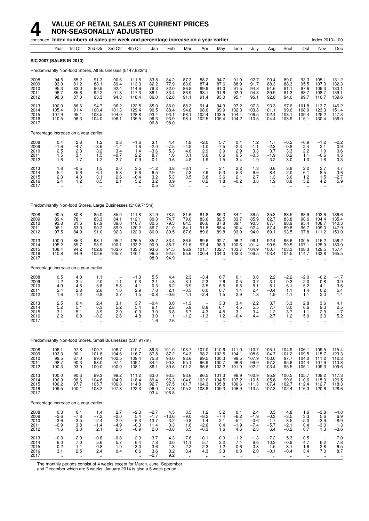**4**

|                                      |                                                          |                                                       | continued Index numbers of sales per week and percentage increase on a year earlier |                                                         |                                                     |                                            |                                        |                                                              |                                                        |                                           |                                             |                                                  |                                                        |                                             |                                           | Index 2013=100                                                    |                                                  |
|--------------------------------------|----------------------------------------------------------|-------------------------------------------------------|-------------------------------------------------------------------------------------|---------------------------------------------------------|-----------------------------------------------------|--------------------------------------------|----------------------------------------|--------------------------------------------------------------|--------------------------------------------------------|-------------------------------------------|---------------------------------------------|--------------------------------------------------|--------------------------------------------------------|---------------------------------------------|-------------------------------------------|-------------------------------------------------------------------|--------------------------------------------------|
|                                      | Year                                                     | 1st Qtr                                               | 2nd Qtr                                                                             | 3rd Qtr                                                 | 4th Qtr                                             | Jan                                        | Feb                                    | Mar                                                          | Apr                                                    | May                                       | June                                        | July                                             | Aug                                                    | Sept                                        | Oct                                       | Nov                                                               | Dec                                              |
|                                      | <b>SIC 2007 (SALES IN 2013)</b>                          |                                                       |                                                                                     |                                                         |                                                     |                                            |                                        |                                                              |                                                        |                                           |                                             |                                                  |                                                        |                                             |                                           |                                                                   |                                                  |
|                                      |                                                          |                                                       | Predominantly Non-food Stores, All Businesses (£147,632m)                           |                                                         |                                                     |                                            |                                        |                                                              |                                                        |                                           |                                             |                                                  |                                                        |                                             |                                           |                                                                   |                                                  |
| 2008<br>2009<br>2010<br>2011<br>2012 | 94.5<br>93.0<br>95.3<br>96.7<br>98.3                     | 85.2<br>81.2<br>83.0<br>85.6<br>87.0                  | 91.3<br>88.1<br>90.9<br>92.2<br>93.3                                                | 90.6<br>89.4<br>92.4<br>91.8<br>94.3                    | 111.5<br>113.3<br>114.9<br>117.3<br>118.4           | 83.8<br>82.2<br>79.3<br>86.1<br>86.0       | 84.2<br>77.9<br>82.0<br>83.4<br>82.8   | 87.3<br>83.0<br>86.8<br>86.9<br>91.1                         | 88.2<br>87.4<br>89.9<br>93.1<br>91.4                   | 94.7<br>87.6<br>91.0<br>91.6<br>93.0      | 91.0<br>88.9<br>91.5<br>92.0<br>95.1        | 92.7<br>91.7<br>94.8<br>94.3<br>96.1             | 90.4<br>88.3<br>91.6<br>89.9<br>92.8                   | 89.0<br>88.3<br>91.1<br>91.3<br>94.0        | 93.3<br>95.5<br>97.6<br>98.7<br>99.7      | 105.1<br>107.3<br>109.3<br>108.7<br>110.7                         | 131.2<br>132.3<br>133.1<br>139.1<br>139.6        |
| 2013<br>2014<br>2015<br>2016<br>2017 | 100.0<br>105.4<br>107.9<br>110.5                         | 86.6<br>91.4<br>95.1<br>96.3                          | 94.7<br>100.4<br>103.5<br>104.0<br>$\ddot{\phantom{a}}$                             | 96.2<br>101.3<br>104.0<br>106.1                         | 122.5<br>129.4<br>128.8<br>135.5<br>ä.              | 85.0<br>90.5<br>93.4<br>96.3<br>96.8       | 86.0<br>88.4<br>93.1<br>93.9<br>98.0   | 88.3<br>94.8<br>98.1<br>98.1<br>$\ddot{\phantom{a}}$         | 91.4<br>98.6<br>102.4<br>102.5                         | 94.9<br>99.9<br>103.5<br>105.4            | 97.2<br>102.3<br>104.4<br>104.2             | 97.3<br>103.8<br>106.5<br>110.5                  | 93.3<br>101.1<br>102.4<br>104.4                        | 97.6<br>99.6<br>103.1<br>103.9              | 101.8<br>108.0<br>109.4<br>115.1          | 113.7<br>123.3<br>125.2<br>130.4                                  | 146.2<br>151.4<br>147.3<br>156.0                 |
|                                      | Percentage increase on a year earlier                    |                                                       |                                                                                     |                                                         |                                                     |                                            |                                        |                                                              |                                                        |                                           |                                             |                                                  |                                                        |                                             |                                           |                                                                   |                                                  |
| 2008<br>2009<br>2010<br>2011<br>2012 | 0.4<br>$-1.6$<br>2.5<br>1.5<br>1.6                       | 2.8<br>$-4.7$<br>2.3<br>3.1<br>1.7                    | 1.2<br>$-3.6$<br>$3.2$<br>$1.5$<br>1.2                                              | 0.8<br>$-1.4$<br>3.4<br>$-0.7$<br>2.7                   | $-1.6$<br>1.6<br>1.4<br>2.2<br>0.9                  | 3.1<br>$-2.0$<br>$-3.6$<br>8.7<br>$-0.1$   | 4.4<br>$-7.5$<br>5.3<br>1.6<br>$-0.6$  | 1.8<br>$-4.9$<br>4.6<br>0.1<br>4.8                           | $-2.0$<br>$-1.0$<br>2.9<br>3.6<br>$-1.9$               | 5.7<br>$-7.5$<br>3.9<br>0.6<br>1.5        | 0.1<br>$-2.3$<br>2.9<br>0.5<br>3.4          | 1.2<br>$-1.1$<br>3.3<br>$-0.5$<br>1.9            | 1.7<br>$-2.3$<br>3.7<br>$-1.9$<br>3.2                  | $-0.2$<br>$-0.8$<br>3.3<br>0.2<br>3.0       | $-0.9$<br>2.4<br>2.2<br>1.1<br>1.0        | $-1.2$<br>2.1<br>1.9<br>$-0.6$<br>1.8                             | $-2.2$<br>0.9<br>$0.6$<br>4.5<br>0.3             |
| 2013<br>2014<br>2015<br>2016<br>2017 | 1.8<br>5.4<br>2.3<br>2.4<br>$\ddot{\phantom{a}}$         | $-0.5$<br>5.6<br>4.0<br>1.2<br>$\ddotsc$              | 1.5<br>6.1<br>3.1<br>0.5<br>ä.                                                      | 2.0<br>5.3<br>2.6<br>2.1<br>$\ddot{\phantom{a}}$        | 3.5<br>5.6<br>$-0.4$<br>5.2<br>$\ddot{\phantom{a}}$ | $-1.2$<br>6.5<br>$\frac{3.2}{3.2}$<br>0.5  | 3.8<br>2.9<br>5.3<br>0.9<br>4.3        | -3.1<br>7.3<br>3.5<br>$\overline{a}$<br>$\ddot{\phantom{a}}$ | 7.9<br>3.8<br>0.2<br>$\cdot$                           | 2.1<br>5.3<br>3.6<br>1.8<br>$\ddotsc$     | 2.2<br>5.3<br>2.1<br>$-0.2$<br>$\ddotsc$    | 1.3<br>6.6<br>2.7<br>3.8<br>$\ddot{\phantom{a}}$ | 0.6<br>8.4<br>1.3<br>1.9<br>$\ddotsc$                  | 3.8<br>2.0<br>3.6<br>0.8<br>$\ddotsc$       | 2.2<br>6.1<br>1.2<br>5.2<br>$\ldots$      | 2.7<br>8.5<br>1.5<br>4.2<br>$\ldots$                              | 4.7<br>3.6<br>$-2.7$<br>5.9                      |
|                                      |                                                          |                                                       | Predominantly Non-food Stores, Large Businesses (£109,715m)                         |                                                         |                                                     |                                            |                                        |                                                              |                                                        |                                           |                                             |                                                  |                                                        |                                             |                                           |                                                                   |                                                  |
| 2008<br>2009<br>2010<br>2011<br>2012 | 90.5<br>89.4<br>93.8<br>96.1<br>97.5                     | 80.8<br>78.1<br>81.6<br>83.9<br>84.9                  | 85.0<br>83.3<br>87.9<br>90.2<br>91.0                                                | 85.0<br>84.1<br>89.0<br>89.9<br>92.3                    | 111.8<br>112.1<br>116.7<br>120.2<br>122.0           | 81.9<br>80.3<br>80.5<br>86.7<br>86.0       | 78.5<br>74.7<br>79.3<br>81.0<br>80.5   | 81.6<br>79.0<br>84.5<br>84.1<br>87.6                         | 81.8<br>83.6<br>86.6<br>91.8<br>89.6                   | 89.3<br>82.5<br>87.8<br>88.4<br>89.8      | 84.1<br>83.7<br>89.1<br>90.4<br>93.0        | 86.5<br>85.9<br>90.3<br>92.4<br>94.0             | 85.3<br>82.7<br>87.7<br>87.4<br>89.1                   | 83.5<br>83.8<br>88.9<br>89.8<br>93.5        | 88.9<br>90.6<br>95.4<br>96.7<br>97.8      | 103.6<br>104.4<br>108.7<br>109.0<br>111.2                         | 136.6<br>135.4<br>140.3<br>147.9<br>150.0        |
| 2013<br>2014<br>2015<br>2016<br>2017 | 100.0<br>105.2<br>108.4<br>110.8<br>$\ddot{\phantom{a}}$ | 85.3<br>89.7<br>94.2<br>94.9<br>ä.                    | 93.1<br>98.9<br>102.8<br>102.6<br>$\ddot{\phantom{a}}$                              | 95.2<br>100.1<br>103.0<br>105.7<br>$\ddot{\phantom{a}}$ | 126.5<br>133.2<br>133.7<br>140.1<br>÷.              | 85.7<br>90.9<br>93.6<br>96.5<br>98.0       | 83.4<br>85.7<br>91.5<br>92.5<br>94.9   | 86.5<br>91.6<br>96.9<br>95.6<br>$\ddot{\phantom{a}}$         | 89.6<br>97.4<br>101.7<br>100.4<br>$\ddot{\phantom{a}}$ | 92.7<br>98.3<br>102.7<br>104.0            | 96.2<br>100.6<br>103.7<br>103.3             | 96.1<br>101.4<br>104.9<br>109.5                  | 92.4<br>99.5<br>100.7<br>103.4<br>$\ddot{\phantom{a}}$ | 96.6<br>99.5<br>103.3<br>104.5              | 100.5<br>107.1<br>108.3<br>114.7          | 115.2<br>125.9<br>129.5<br>133.8                                  | 156.2<br>160.0<br>157.4<br>165.5                 |
|                                      | Percentage increase on a year earlier                    |                                                       |                                                                                     |                                                         |                                                     |                                            |                                        |                                                              |                                                        |                                           |                                             |                                                  |                                                        |                                             |                                           |                                                                   |                                                  |
| 2008<br>2009<br>2010<br>2011<br>2012 | 0.5<br>$-1.2$<br>4.9<br>2.4<br>1.6                       | 4.0<br>$-3.4$<br>4.6<br>2.8<br>1.2                    | 1.1<br>$-2.0$<br>5.6<br>2.6<br>0.8                                                  | $-1.1$<br>5.8<br>1.0<br>2.7                             | -1.3<br>0.3<br>4.1<br>2.9<br>1.5                    | 5.5<br>$-2.1$<br>0.3<br>7.8<br>$-0.8$      | 4.4<br>$-4.8$<br>6.2<br>2.1<br>$-0.6$  | 2.3<br>$-3.1$<br>6.9<br>$-0.5$<br>4.1                        | $-3.4$<br>2.3<br>3.5<br>6.0<br>$-2.4$                  | 6.7<br>$-7.6$<br>6.5<br>0.7<br>1.5        | 0.1<br>$-0.5$<br>6.5<br>1.4<br>2.9          | 0.6<br>$-0.7$<br>5.1<br>2.4<br>1.8               | 2.2<br>$-\bar{3}\cdot\bar{1}$<br>6.1<br>$-0.4$<br>1.9  | $^{-2.2}_{0.3}$<br>6.1<br>1.1<br>4.1        | $^{-2.0}_{2.0}$<br>5.2<br>1.4<br>1.1      | $-0.2$<br>0.8<br>4.1<br>0.2<br>2.0                                | $-1.7$<br>$-0.9$<br>3.6<br>5.4<br>1.4            |
| 2013<br>2014<br>2015<br>2016<br>2017 | 2.5<br>5.2<br>3.1<br>2.2<br>$\ddot{\phantom{a}}$         | 0.4<br>5.1<br>5.1<br>0.8                              | 2.4<br>6.3<br>3.9<br>$-0.2$<br>ä,                                                   | 3.1<br>5.2<br>2.9<br>2.6<br>$\ddotsc$                   | 3.7<br>5.4<br>0.3<br>4.8                            | $-0.4$<br>6.1<br>3.0<br>3.0<br>1.6         | 3.6<br>2.8<br>6.8<br>1.1<br>2.6        | $-1.3$<br>5.9<br>5.7<br>$-1.2$                               | 8.8<br>4.3<br>$-1.3$                                   | 3.3<br>6.1<br>4.5<br>1.2<br>ä.            | 3.4<br>4.5<br>3.1<br>$-0.4$                 | 2.2<br>5.5<br>3.4<br>4.4                         | 3.7<br>7.7<br>1.2<br>2.7<br>$\ddotsc$                  | 3.3<br>3.0<br>3.7<br>1.2<br>$\mathbf{r}$    | 2.8<br>6.6<br>1.1<br>5.9<br>Ω.            | 3.6<br>9.3<br>2.9<br>3.3<br>ä.                                    | 4.1<br>2.5<br>$-1.7$<br>5.2                      |
|                                      |                                                          |                                                       | Predominantly Non-food Stores, Small Businesses (£37,917m)                          |                                                         |                                                     |                                            |                                        |                                                              |                                                        |                                           |                                             |                                                  |                                                        |                                             |                                           |                                                                   |                                                  |
| 2008<br>2009<br>2010<br>2011<br>2012 | 106.1<br>103.3<br>99.5<br>98.7<br>100.3                  | 97.8<br>90.1<br>87.0<br>90.3<br>93.0                  | 109.7<br>101.8<br>99.4<br>98.0<br>100.0                                             | 106.7<br>104.6<br>102.5<br>97.4<br>100.0                | 110.7<br>116.7<br>109.4<br>109.1<br>108.1           | 89.3<br>87.8<br>75.8<br>84.4<br>86.1       | 101.0<br>87.2<br>90.0<br>90.3<br>89.6  | 103.7<br>94.3<br>93.6<br>95.1<br>101.2                       | 107.0<br>$\frac{98.2}{99.5}$<br>96.9<br>96.6           | 110.6<br>102.5<br>100.3<br>100.7<br>102.2 | 111.0<br>104.1<br>98.5<br>96.6<br>101.0     | 110.7<br>108.6<br>107.9<br>99.9<br>102.2         | 105.1<br>104.7<br>103.0<br>97.2<br>103.4               | 104.9<br>101.2<br>97.7<br>95.6<br>95.5      | 106.1<br>109.5<br>104.0<br>104.4<br>105.1 | 109.5<br>115.7<br>111.2<br>107.9<br>109.3                         | 115.4<br>$\frac{123.3}{112.3}$<br>113.8<br>109.6 |
| 2013<br>2014<br>2015<br>2016<br>2017 | 100.0<br>106.0<br>106.2<br>109.5<br>$\ddot{\phantom{a}}$ | 90.3<br>96.6<br>97.7<br>100.1<br>$\ddot{\phantom{a}}$ | 99.3<br>104.8<br>105.7<br>108.2<br>ä.                                               | 99.2<br>104.9<br>106.8<br>107.3<br>$\ddot{\phantom{1}}$ | 111.2<br>118.4<br>114.8<br>122.3<br>ä,              | 83.0<br>89.4<br>92.7<br>96.0<br>93.4       | 93.5<br>96.3<br>97.5<br>97.8<br>106.8  | 93.6<br>104.0<br>101.7<br>105.2<br>$\ddotsc$                 | 96.5<br>102.0<br>104.3<br>108.8                        | 101.3<br>104.5<br>105.8<br>109.3          | 99.9<br>107.2<br>106.6<br>106.9             | 100.9<br>110.5<br>111.3<br>113.5                 | 95.9<br>105.8<br>107.4<br>107.3                        | 100.5<br>99.6<br>102.7<br>102.4             | 105.7<br>110.6<br>112.4<br>116.3          | 109.2<br>115.9<br>112.7<br>120.6                                  | 117.3<br>$\frac{126.5}{118.3}$<br>128.6          |
|                                      | Percentage increase on a year earlier                    |                                                       |                                                                                     |                                                         |                                                     |                                            |                                        |                                                              |                                                        |                                           |                                             |                                                  |                                                        |                                             |                                           |                                                                   |                                                  |
| 2008<br>2009<br>2010<br>2011<br>2012 | 0.3<br>$-2.6$<br>$-3.6$<br>$-0.9$<br>1.6                 | 0.1<br>$-7.8$<br>$-3.5$<br>$3.8\,$<br>3.0             | 1.4<br>$-7.2$<br>$-2.4$<br>$-1.4$<br>2.1                                            | 2.7<br>$-2.0$<br>$-2.0$<br>$-4.9$<br>2.6                | $-2.3$<br>5.4<br>$-6.3$<br>$-0.3$<br>$-0.9$         | $-2.7$<br>$-1.7$<br>$-13.7$<br>11.4<br>2.0 | 4.5<br>$-13.6$<br>3.2<br>0.3<br>$-0.8$ | 0.5<br>$-9.0$<br>$-0.8$<br>1.6<br>6.5                        | 1.2<br>$-8.2$<br>1.4<br>$-2.6$<br>$-0.3$               | 3.2<br>$-7.4$<br>$-2.1$<br>0.4<br>1.6     | 0.1<br>$-6.2$<br>$-5.4$<br>$-1.9$<br>4.6    | 2.4<br>$-1.9$<br>$-0.6$<br>$-7.4$<br>2.3         | 0.5<br>$-0.3$<br>$-1.7$<br>$-5.7$<br>6.4               | 4.8<br>$-3.5$<br>$-3.5$<br>$-2.1$<br>$-0.2$ | 1.6<br>3.3<br>$-5.0$<br>0.4<br>0.7        | $-3.8$<br>5.6<br>$-3.9$<br>$-3.0$<br>1.3                          | $-4.0$<br>$-8.9$<br>$-8.9$<br>1.3<br>$-3.6$      |
| 2013<br>2014<br>2015<br>2016<br>2017 | $-0.3$<br>6.0<br>0.2<br>3.1                              | $-2.9$<br>7.0<br>1.1<br>2.5                           | $-0.8$<br>5.6<br>0.8<br>2.4                                                         | $-0.8$<br>5.7<br>1.9<br>0.4                             | 2.9<br>6.4<br>$-3.0$<br>6.6                         | $-3.7$<br>7.8<br>3.6<br>3.6<br>$-2.7$      | 4.3<br>3.0<br>$1.3$<br>0.2<br>9.2      | $-7.6$<br>11.1<br>$-2.2$<br>3.4<br>$\ddot{\phantom{a}}$      | $-0.1$<br>5.7<br>2.3<br>4.3<br>$\cdot$                 | $-0.9$<br>3.2<br>1.2<br>3.3<br>$\ddotsc$  | $-1.2$<br>7.4<br>$-0.6$<br>0.3<br>$\cdot$ . | $-1.3$<br>9.6<br>0.8<br>2.0                      | $-7.2$<br>10.3<br>1.5<br>$-0.1$                        | 5.3<br>$-0.9$<br>3.1<br>$-0.4$              | 0.5<br>4.7<br>1.6<br>3.4                  | $\qquad \qquad -$<br>6.2<br>$-2.8$<br>7.0<br>$\ddot{\phantom{1}}$ | $7.0$<br>$7.8$<br>$-6.5$<br>8.7<br>$\ldots$      |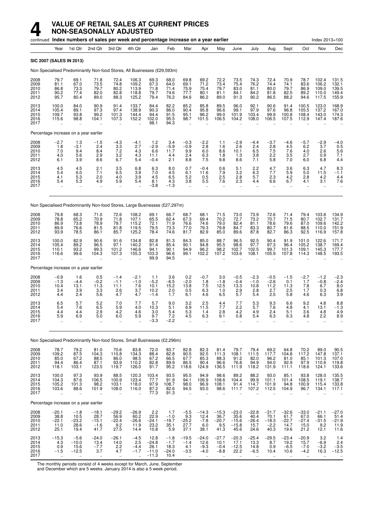**4**

|                                      |                                                          |                                                      | continued Index numbers of sales per week and percentage increase on a year earlier |                                                           |                                                           |                                               |                                             |                                                            |                                                   |                                                        |                                                            |                                                  |                                                  |                                                |                                                  | Index 2013=100                               |                                                |
|--------------------------------------|----------------------------------------------------------|------------------------------------------------------|-------------------------------------------------------------------------------------|-----------------------------------------------------------|-----------------------------------------------------------|-----------------------------------------------|---------------------------------------------|------------------------------------------------------------|---------------------------------------------------|--------------------------------------------------------|------------------------------------------------------------|--------------------------------------------------|--------------------------------------------------|------------------------------------------------|--------------------------------------------------|----------------------------------------------|------------------------------------------------|
|                                      | Year                                                     | 1st Qtr                                              | 2nd Qtr                                                                             | 3rd Qtr                                                   | 4th Qtr                                                   | Jan                                           | Feb                                         | Mar                                                        | Apr                                               | May                                                    | June                                                       | July                                             | Aug                                              | Sept                                           | Oct                                              | Nov                                          | Dec                                            |
|                                      |                                                          | <b>SIC 2007 (SALES IN 2013)</b>                      |                                                                                     |                                                           |                                                           |                                               |                                             |                                                            |                                                   |                                                        |                                                            |                                                  |                                                  |                                                |                                                  |                                              |                                                |
|                                      |                                                          |                                                      | Non Specialised Predominantly Non-food Stores, All Businesses (£29,593m)            |                                                           |                                                           |                                               |                                             |                                                            |                                                   |                                                        |                                                            |                                                  |                                                  |                                                |                                                  |                                              |                                                |
| 2008<br>2009<br>2010<br>2011<br>2012 | 79.7<br>81.1<br>86.8<br>90.2<br>95.7                     | 69.1<br>67.0<br>73.3<br>77.4<br>80.4                 | 71.8<br>73.5<br>79.7<br>82.0<br>89.0                                                | 72.4<br>74.8<br>80.2<br>82.8<br>88.3                      | 106.3<br>109.2<br>113.9<br>118.8<br>125.2                 | 69.3<br>67.3<br>71.8<br>79.7<br>79.4          | 68.0<br>64.0<br>71.4<br>74.6<br>76.2        | 69.8<br>69.1<br>75.9<br>77.7<br>84.6                       | 69.2<br>71.2<br>75.4<br>80.1<br>86.2              | 72.2<br>73.4<br>79.7<br>81.1<br>89.0                   | 73.5<br>75.4<br>83.0<br>84.1<br>91.3                       | 74.3<br>76.2<br>81.1<br>84.2<br>90.2             | 72.4<br>74.4<br>80.0<br>81.8<br>86.5             | 70.9<br>74.1<br>79.7<br>82.5<br>88.2           | 78.7<br>83.6<br>86.9<br>89.2<br>94.6             | 102.4<br>106.2<br>109.0<br>110.0<br>117.5    | 131.5<br>132.1<br>139.5<br>149.4<br>155.9      |
| 2013<br>2014<br>2015<br>2016<br>2017 | 100.0<br>105.4<br>109.7<br>115.6<br>$\ddot{\phantom{a}}$ | 84.0<br>89.1<br>93.8<br>98.8<br>$\ddot{\phantom{a}}$ | 90.9<br>97.3<br>99.2<br>104.1<br>$\ddot{\phantom{a}}$                               | 91.4<br>97.4<br>101.3<br>107.3<br>$\ddot{\phantom{a}}$    | 133.7<br>138.9<br>144.4<br>152.2<br>$\ddot{\phantom{a}}$  | 84.4<br>90.3<br>94.4<br>102.0<br>98.1         | 82.2<br>86.0<br>91.5<br>95.5<br>94.3        | 85.2<br>90.4<br>95.1<br>98.7<br>$\sim$                     | 85.8<br>95.8<br>96.2<br>101.5                     | 89.5<br>96.6<br>99.0<br>106.5                          | 96.0<br>99.1<br>101.9<br>104.2                             | 92.1<br>97.9<br>103.4<br>108.0                   | 90.6<br>97.6<br>99.9<br>106.5                    | 91.4<br>96.8<br>100.8<br>107.5                 | 100.5<br>105.5<br>108.4<br>112.9                 | 123.0<br>137.2<br>143.0<br>147.4             | 168.9<br>167.0<br>174.3<br>187.6               |
|                                      |                                                          | Percentage increase on a year earlier                |                                                                                     |                                                           |                                                           |                                               |                                             |                                                            |                                                   |                                                        |                                                            |                                                  |                                                  |                                                |                                                  |                                              |                                                |
| 2008<br>2009<br>2010<br>2011<br>2012 | $-2.7$<br>1.8<br>7.0<br>4.0<br>6.1                       | 1.3<br>$-3.1$<br>9.4<br>5.6<br>3.9                   | $-1.5$<br>2.4<br>8.4<br>2.9<br>8.6                                                  | $-4.3$<br>3.3<br>7.2<br>3.2<br>6.7                        | $-4.1$<br>2.7<br>4.3<br>4.3<br>5.4                        | 1.2<br>$-2.9$<br>6.6<br>11.1<br>$-0.4$        | 3.4<br>$-5.9$<br>11.7<br>4.4<br>2.1         | $-0.3$<br>$-0.9$<br>9.9<br>2.4<br>8.8                      | $-2.2$<br>2.8<br>6.0<br>6.3<br>7.5                | 1.1<br>1.6<br>8.6<br>1.8<br>9.8                        | $-2.9$<br>2.6<br>10.1<br>1.3<br>8.6                        | $-4.4$<br>2.4<br>6.5<br>3.8<br>7.1               | $-3.7$<br>2.8<br>7.5<br>2.2<br>5.8               | $-4.6$<br>4.5<br>7.6<br>3.5<br>7.0             | $-5.7$<br>6.2<br>4.0<br>2.7<br>6.0               | $-2.9$<br>3.7<br>2.6<br>0.9<br>6.8           | $-4.0$<br>0.5<br>5.6<br>7.1<br>4.4             |
| 2013<br>2014<br>2015<br>2016<br>2017 | 4.5<br>5.4<br>4.1<br>5.4<br>÷.                           | 4.5<br>6.0<br>5.3<br>5.3                             | 2.1<br>7.1<br>2.0<br>4.9                                                            | 3.5<br>6.5<br>4.0<br>5.9<br>$\ddotsc$                     | 6.8<br>3.9<br>3.9<br>5.4                                  | 6.3<br>7.0<br>4.5<br>8.1<br>$-3.8$            | 8.0<br>4.5<br>6.5<br>4.3<br>$-1.3$          | 0.7<br>6.1<br>5.2<br>3.8<br>$\ddot{\phantom{a}}$           | $-0.4$<br>11.6<br>0.5<br>5.5                      | 0.6<br>7.9<br>2.5<br>7.6                               | 5.1<br>3.2<br>2.8<br>2.3                                   | 2.2<br>6.3<br>5.7<br>4.4                         | 4.7<br>7.7<br>2.3<br>6.6                         | 3.6<br>5.9<br>4.2<br>6.7                       | 6.3<br>5.0<br>2.8<br>4.1                         | 4.7<br>11.5<br>4.2<br>3.1<br>$\ddotsc$       | 8.3<br>$-1.1$<br>4.4<br>7.6                    |
|                                      |                                                          |                                                      | Non Specialised Predominantly Non-food Stores, Large Businesses (£27,297m)          |                                                           |                                                           |                                               |                                             |                                                            |                                                   |                                                        |                                                            |                                                  |                                                  |                                                |                                                  |                                              |                                                |
| 2008<br>2009<br>2010<br>2011<br>2012 | 79.8<br>78.8<br>86.9<br>89.9<br>93.9                     | 68.3<br>65.2<br>73.8<br>76.6<br>78.5                 | 71.0<br>70.9<br>78.9<br>81.5<br>86.1                                                | 72.6<br>71.8<br>79.7<br>81.8<br>85.7                      | 108.2<br>107.1<br>115.2<br>119.5<br>125.2                 | 69.1<br>65.5<br>72.1<br>79.5<br>78.4          | 66.7<br>62.4<br>71.9<br>73.3<br>74.6        | 68.7<br>67.3<br>76.6<br>77.0<br>81.7                       | 68.1<br>69.4<br>74.6<br>79.3<br>82.9              | 71.5<br>70.2<br>79.0<br>79.8<br>85.0                   | 73.0<br>72.7<br>82.4<br>84.7<br>89.6                       | 73.9<br>73.2<br>81.1<br>83.3<br>87.8             | 72.6<br>70.7<br>78.6<br>80.7<br>82.7             | 71.4<br>71.5<br>79.6<br>81.6<br>86.3           | 79.4<br>80.7<br>87.0<br>88.5<br>92.5             | 103.6<br>102.7<br>109.6<br>110.0<br>116.9    | 134.9<br>131.7<br>142.2<br>151.9<br>157.8      |
| 2013<br>2014<br>2015<br>2016<br>2017 | 100.0<br>105.4<br>110.1<br>116.6<br>$\ddot{\phantom{a}}$ | 82.9<br>89.2<br>93.2<br>99.6<br>ä.                   | 90.6<br>96.5<br>99.3<br>104.3<br>Ω,                                                 | 91.6<br>97.1<br>101.2<br>107.3<br>$\ddotsc$               | 134.8<br>140.2<br>146.6<br>155.3                          | 82.8<br>91.4<br>94.1<br>103.3<br>99.9         | 81.3<br>85.4<br>90.1<br>96.6<br>94.5        | 84.3<br>90.1<br>94.9<br>99.1                               | 85.0<br>94.8<br>96.2<br>102.2                     | 88.7<br>95.5<br>98.2<br>107.2                          | 96.5<br>98.6<br>102.7<br>103.6                             | 92.5<br>97.7<br>102.5<br>108.1                   | 90.4<br>97.3<br>99.7<br>105.9                    | 91.9<br>96.4<br>101.3<br>107.8                 | 101.0<br>105.2<br>109.1<br>114.3                 | 122.6<br>138.7<br>145.3<br>148.5             | 171.7<br>169.4<br>177.7<br>193.5               |
|                                      |                                                          | Percentage increase on a year earlier                |                                                                                     |                                                           |                                                           |                                               |                                             |                                                            |                                                   |                                                        |                                                            |                                                  |                                                  |                                                |                                                  |                                              |                                                |
| 2008<br>2009<br>2010<br>2011<br>2012 | $-0.9$<br>$-1.3$<br>10.4<br>3.4<br>4.4                   | 1.6<br>$-4.4$<br>13.1<br>3.9<br>2.4                  | 0.5<br>$-0.2$<br>11.3<br>3.3<br>5.6                                                 | $-1.4$<br>$-1.1$<br>11.1<br>2.6<br>4.7                    | $-2.1$<br>$-1.0$<br>7.6<br>3.7<br>4.7                     | 1.1<br>$-5.2$<br>10.1<br>10.2<br>$-1.4$       | 3.6<br>$-6.5$<br>15.2<br>2.0<br>1.7         | 0.2<br>$-2.0$<br>13.8<br>0.5<br>6.1                        | $-0.7$<br>1.8<br>7.5<br>6.3<br>4.6                | 3.0<br>$-1.8$<br>12.5<br>1.0<br>6.5                    | $-0.5$<br>$-0.4$<br>13.3<br>2.9<br>5.7                     | $-2.3$<br>$-1.0$<br>10.8<br>2.8<br>5.4           | $-0.5$<br>$-2.6$<br>11.2<br>2.7<br>2.5           | $-1.5$<br>0.1<br>11.3<br>2.5<br>5.8            | $-2.7$<br>1.7<br>7.8<br>1.7<br>4.6               | $-1.2$<br>$-0.8$<br>6.7<br>0.3<br>6.3        | $-2.3$<br>$-2.4$<br>8.0<br>6.8<br>3.9          |
| 2013<br>2014<br>2015<br>2016<br>2017 | 6.5<br>5.4<br>4.4<br>5.9<br>$\ddot{\phantom{1}}$         | 5.7<br>7.6<br>4.4<br>6.9<br>$\ddotsc$                | 5.2<br>6.5<br>2.9<br>5.0<br>$\ddotsc$                                               | 7.0<br>5.9<br>4.2<br>6.0<br>$\ddot{\phantom{1}}$          | 7.7<br>4.0<br>4.6<br>5.9<br>$\ddot{\phantom{a}}$          | 5.7<br>10.3<br>3.0<br>9.7<br>$-3.3$           | 9.0<br>5.1<br>5.4<br>7.2<br>$-2.2$          | 3.2<br>6.9<br>5.3<br>4.5<br>à.                             | 2.5<br>11.5<br>1.4<br>6.3<br>$\ddot{\phantom{a}}$ | 4.4<br>7.7<br>2.8<br>9.1<br>$\ddot{\phantom{a}}$       | 7.7<br>2.2<br>4.2<br>0.8<br>$\ddot{\phantom{1}}$           | 5.3<br>5.7<br>4.9<br>5.4<br>$\ddot{\phantom{a}}$ | 9.3<br>7.6<br>2.4<br>6.3<br>$\ddot{\phantom{a}}$ | 6.6<br>4.8<br>5.1<br>6.3<br>$\bar{\Omega}$     | 9.2<br>4.1<br>3.6<br>4.8<br>$\ddot{\phantom{a}}$ | 4.8<br>13.1<br>4.8<br>2.2<br>$\ddotsc$       | 8.8<br>$-1.3$<br>4.9<br>8.9<br>$\ldots$        |
|                                      |                                                          |                                                      | Non Specialised Predominantly Non-food Stores, Small Businesses (£2,296m)           |                                                           |                                                           |                                               |                                             |                                                            |                                                   |                                                        |                                                            |                                                  |                                                  |                                                |                                                  |                                              |                                                |
| 2008<br>2009<br>2010<br>2011<br>2012 | 78.7<br>109.2<br>85.0<br>94.4<br>118.1                   | 79.2<br>87.5<br>67.2<br>86.4<br>103.1                | 81.0<br>104.3<br>88.5<br>87.1<br>123.5                                              | 70.6<br>110.8<br>86.0<br>93.9<br>119.7                    | 83.8<br>134.3<br>98.5<br>110.2<br>126.0                   | 72.0<br>88.4<br>67.2<br>82.8<br>91.7          | 83.7<br>82.8<br>66.5<br>89.9<br>95.2        | 82.8<br>90.5<br>67.7<br>86.5<br>118.6                      | 82.3<br>92.5<br>85.3<br>90.4<br>124.9             | 81.4<br>111.3<br>88.3<br>96.6<br>136.5                 | 79.7<br>108.1<br>91.2<br>76.8<br>111.9                     | 79.4<br>111.5<br>82.0<br>94.9<br>118.2           | 69.2<br>117.7<br>96.2<br>94.0<br>131.9           | 64.8<br>104.8<br>81.0<br>92.9<br>111.1         | 70.2<br>117.2<br>85.1<br>97.9<br>118.6           | 89.0<br>147.8<br>101.3<br>110.6<br>124.1     | $90.5$<br>$137.1$<br>$107.0$<br>119.8<br>133.6 |
| 2013<br>2014<br>2015<br>2016<br>2017 | 100.0<br>104.3<br>105.2<br>103.6<br>$\ddotsc$            | 97.3<br>87.6<br>101.3<br>88.6<br>$\ldots$            | 93.9<br>106.5<br>98.2<br>101.9<br>$\ddotsc$                                         | 88.5<br>100.9<br>103.1<br>108.0<br>$\ddotsc$              | 120.3<br>123.4<br>118.0<br>116.0<br>$\ddotsc$             | 103.4<br>77.7<br>97.9<br>87.2<br>77.3         | 93.5<br>91.9<br>108.7<br>82.6<br>91.3       | 95.5<br>94.1<br>98.0<br>94.5<br>$\ddot{\phantom{a}}$       | 94.9<br>106.9<br>96.9<br>93.0<br>$\ddotsc$        | 98.6<br>108.6<br>108.1<br>98.6<br>$\ddot{\phantom{a}}$ | 89.2<br>104.4<br>91.4<br>111.7                             | 88.2<br>99.9<br>114.7<br>107.2<br>$\mathbf{r}$   | 93.0<br>101.1<br>101.9<br>112.5<br>÷.            | 85.1<br>101.4<br>94.8<br>104.9<br>$\mathbf{r}$ | 93.8<br>108.5<br>100.9<br>96.7<br>$\ddotsc$      | 128.0<br>119.1<br>115.4<br>134.1             | 135.5<br>138.7<br>133.8<br>117.1               |
|                                      |                                                          | Percentage increase on a year earlier                |                                                                                     |                                                           |                                                           |                                               |                                             |                                                            |                                                   |                                                        |                                                            |                                                  |                                                  |                                                |                                                  |                                              |                                                |
| 2008<br>2009<br>2010<br>2011<br>2012 | $-20.1$<br>38.8<br>$-22.1$<br>11.0<br>25.1               | $-1.8$<br>10.5<br>$-23.2$<br>28.6<br>19.4            | $-18.1$<br>28.7<br>$-15.1$<br>$-1.6$<br>41.7                                        | $-29.2$<br>56.9<br>$-22.4$<br>$\overline{9.2}$<br>27.5    | $-26.9$<br>60.2<br>$-26.6$<br>11.9<br>14.4                | 2.2<br>22.9<br>$-24.1$<br>23.2<br>10.8        | 1.7<br>$-1.0$<br>$-19.7$<br>35.1<br>5.9     | $-5.5$<br>9.3<br>$-25.2$<br>27.7<br>37.1                   | $-14.3$<br>12.4<br>$-7.8$<br>6.0<br>38.1          | $-15.3$<br>36.7<br>$-20.7$<br>9.5<br>41.3              | $-23.0$<br>35.6<br>$-15.6$<br>$-15.8$<br>45.6              | $-22.8$<br>40.4<br>$-26.4$<br>15.7<br>24.6       | $-31.7$<br>70.1<br>$-18.3$<br>$-2.2$<br>40.3     | $-32.6$<br>61.7<br>$-22.7$<br>14.7<br>19.6     | $-33.0$<br>67.0<br>$-27.4$<br>15.0<br>21.2       | $-21.1$<br>66.1<br>$-31.5$<br>9.2<br>12.1    | $-27.0$<br>51.4<br>$-21.9$<br>11.9<br>11.6     |
| 2013<br>2014<br>2015<br>2016<br>2017 | $-15.3$<br>4.3<br>0.9<br>$-1.5$<br>$\ddotsc$             | $-5.6$<br>$-10.0$<br>15.6<br>$-12.5$<br>$\ddotsc$    | $-24.0$<br>13.4<br>$-7.7$<br>3.7<br>$\ddot{\phantom{1}}$                            | $-26.1$<br>14.0<br>$^{2.2}_{4.7}$<br>$\ddot{\phantom{1}}$ | $-4.5$<br>2.5<br>$-4.4$<br>$-1.7$<br>$\ddot{\phantom{a}}$ | 12.8<br>$-24.8$<br>26.1<br>$-11.0$<br>$-11.3$ | $-1.8$<br>$-1.7$<br>18.3<br>$-24.0$<br>10.4 | $-19.5$<br>$-1.4$<br>4.1<br>$-3.5$<br>$\ddot{\phantom{1}}$ | $-24.0$<br>12.6<br>$-9.3$<br>$-4.0$<br>$\ddotsc$  | $-27.7$<br>10.1<br>$-0.4$<br>$-8.8$<br>$\ddotsc$       | $-20.3$<br>17.1<br>$-12.5$<br>22.2<br>$\ddot{\phantom{1}}$ | $-25.4$<br>13.3<br>14.8<br>$-6.5$<br>$\ddotsc$   | $-29.5$<br>8.7<br>0.9<br>10.4<br>$\ddotsc$       | $-23.4$<br>19.2<br>$-6.5$<br>10.6<br>$\ddotsc$ | $-20.9$<br>15.7<br>$-7.0$<br>$-4.2$<br>$\ddotsc$ | 3.2<br>$-6.9$<br>$-3.2$<br>16.3<br>$\ddotsc$ | $1.4$<br>$2.4 -3.5 -12.5$                      |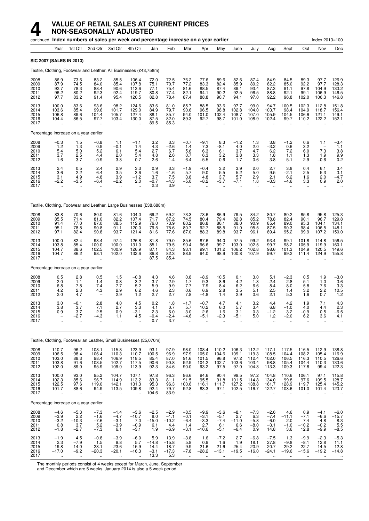**4**

|                                      |                                                                |                                                      | continued Index numbers of sales per week and percentage increase on a year earlier |                                                                |                                                          |                                          |                                              |                                                       |                                                       |                                             |                                           |                                              |                                              |                                           |                                           | Index 2013=100                              |                                                          |
|--------------------------------------|----------------------------------------------------------------|------------------------------------------------------|-------------------------------------------------------------------------------------|----------------------------------------------------------------|----------------------------------------------------------|------------------------------------------|----------------------------------------------|-------------------------------------------------------|-------------------------------------------------------|---------------------------------------------|-------------------------------------------|----------------------------------------------|----------------------------------------------|-------------------------------------------|-------------------------------------------|---------------------------------------------|----------------------------------------------------------|
|                                      | Year                                                           | 1st Qtr                                              | 2nd Qtr                                                                             | 3rd Qtr                                                        | 4th Qtr                                                  | Jan                                      | Feb                                          | Mar                                                   | Apr                                                   | May                                         | June                                      | July                                         | Aug                                          | Sept                                      | Oct                                       | Nov                                         | Dec                                                      |
|                                      | SIC 2007 (SALES IN 2013)                                       |                                                      |                                                                                     |                                                                |                                                          |                                          |                                              |                                                       |                                                       |                                             |                                           |                                              |                                              |                                           |                                           |                                             |                                                          |
|                                      |                                                                |                                                      | Textile, Clothing, Footwear and Leather, All Businesses (£43,758m)                  |                                                                |                                                          |                                          |                                              |                                                       |                                                       |                                             |                                           |                                              |                                              |                                           |                                           |                                             |                                                          |
| 2008<br>2009<br>2010<br>2011<br>2012 | 86.9<br>87.9<br>92.7<br>96.2<br>97.7                           | 73.6<br>74.5<br>78.3<br>80.2<br>83.2                 | 83.2<br>84.0<br>88.4<br>92.3<br>91.4                                                | 85.5<br>85.4<br>90.6<br>92.4<br>95.4                           | 106.4<br>107.8<br>113.6<br>119.7<br>120.5                | 72.0<br>75.1<br>77.1<br>80.8<br>82.8     | 72.5<br>70.7<br>75.4<br>77.4<br>78.4         | 76.2<br>77.2<br>81.6<br>82.1<br>87.4                  | 77.6<br>83.3<br>88.5<br>94.1<br>88.8                  | 89.6<br>82.4<br>87.4<br>90.2<br>90.7        | 82.6<br>85.9<br>89.1<br>92.5<br>94.1      | 87.4<br>89.2<br>93.4<br>96.5<br>97.0         | 84.9<br>82.2<br>87.3<br>88.8<br>92.2         | 84.5<br>85.0<br>91.1<br>92.1<br>96.8      | 89.3<br>92.2<br>97.8<br>99.1<br>102.0     | 97.7<br>97.7<br>104.9<br>106.9<br>106.3     | 126.9<br>128.3<br>133.2<br>146.5<br>146.8                |
| 2013<br>2014<br>2015<br>2016<br>2017 | 100.0<br>103.6<br>106.8<br>104.4<br>$\ddot{\phantom{a}}$       | 83.6<br>85.4<br>89.6<br>86.5<br>$\ddot{\phantom{a}}$ | 93.6<br>99.6<br>104.4<br>97.7<br>$\ddot{\phantom{a}}$                               | 98.2<br>101.7<br>105.7<br>103.4<br>$\ddot{\phantom{a}}$        | 124.6<br>129.0<br>127.4<br>130.0<br>$\ddot{\phantom{a}}$ | 83.6<br>84.9<br>88.1<br>87.5<br>89.5     | 81.0<br>79.7<br>85.7<br>82.0<br>85.3         | 85.7<br>90.6<br>94.0<br>89.3<br>$\ddotsc$             | 88.5<br>96.5<br>101.0<br>92.7                         | 93.6<br>98.8<br>102.4<br>98.7               | 97.7<br>102.8<br>108.7<br>101.0           | 99.0<br>104.0<br>107.0<br>108.9              | 94.7<br>103.7<br>105.9<br>102.4              | 100.5<br>98.4<br>104.5<br>99.7            | 102.3<br>104.9<br>106.6<br>110.2          | 112.8<br>118.7<br>121.1<br>122.2            | 151.8<br>156.4<br>149.1<br>152.1                         |
|                                      | Percentage increase on a year earlier                          |                                                      |                                                                                     |                                                                |                                                          |                                          |                                              |                                                       |                                                       |                                             |                                           |                                              |                                              |                                           |                                           |                                             |                                                          |
| 2008<br>2009<br>2010<br>2011<br>2012 | $-0.3$<br>1.2<br>$\frac{5.4}{3.7}$<br>1.6                      | 1.5<br>1.3<br>5.0<br>2.5<br>3.7                      | $-0.8$<br>0.9<br>5.2<br>4.4<br>$-0.9$                                               | 1.1<br>-0.1<br>6.1<br>2.0<br>3.3                               | $-1.1$<br>1.4<br>5.4<br>5.4<br>0.7                       | 3.2<br>4.3<br>2.7<br>4.8<br>2.6          | 3.3<br>$-2.6$<br>6.7<br>2.6<br>1.4           | $-0.7$<br>1.4<br>$\frac{5.6}{0.7}$<br>6.4             | $-9.1$<br>7.3<br>6.36.3<br>$-5.5$                     | 8.3<br>$-8.1$<br>6.1<br>3.2<br>0.6          | $-1.2$<br>4.0<br>3.7<br>3.8<br>1.7        | 1.3<br>2.0<br>4.7<br>3.3<br>0.6              | 3.8<br>$-3.2$<br>6.2<br>1.8<br>3.8           | $-1.2$<br>0.6<br>7.2<br>1.1<br>5.1        | 0.6<br>3.2<br>6.0<br>1.3<br>2.9           | 1.1<br>7.3<br>1.9<br>$-0.6$                 | $-3.4$<br>1.1<br>$\frac{3.8}{9.9}$<br>0.2                |
| 2013<br>2014<br>2015<br>2016<br>2017 | 2.4<br>3.6<br>3.1<br>$-2.2$                                    | 0.5<br>2.2<br>4.9<br>$-3.5$                          | 2.4<br>6.4<br>4.8<br>$-6.4$                                                         | 2.9<br>3.5<br>3.9<br>$-2.2$                                    | 3.3<br>3.6<br>$-1.2$<br>2.0<br>÷.                        | 0.9<br>1.6<br>3.7<br>$-0.7$<br>2.3       | 3.3<br>$-1.6$<br>7.5<br>$-4.3$<br>3.9        | $-1.9$<br>5.7<br>3.8<br>-5.0<br>$\ddotsc$             | $-0.4$<br>9.0<br>4.8<br>-8.2                          | 3.2<br>5.5<br>3.7<br>$-3.7$                 | 3.9<br>5.2<br>5.7<br>$-7.1$               | 2.0<br>5.0<br>2.9<br>1.8                     | 2.7<br>9.5<br>2.1<br>$-3.3$                  | 3.8<br>$-2.1$<br>6.2<br>-4.6              | 0.4<br>2.5<br>1.6<br>3.3                  | 6.1<br>5.3<br>2.0<br>0.9                    | 3.4<br>3.1<br>$-4.7$<br>2.0                              |
|                                      |                                                                |                                                      | Textile, Clothing, Footwear and Leather, Large Businesses (£38,688m)                |                                                                |                                                          |                                          |                                              |                                                       |                                                       |                                             |                                           |                                              |                                              |                                           |                                           |                                             |                                                          |
| 2008<br>2009<br>2010<br>2011<br>2012 | 83.8<br>85.5<br>91.4<br>95.1<br>97.1                           | 70.6<br>71.4<br>77.0<br>78.8<br>82.4                 | 80.0<br>81.0<br>87.0<br>90.8<br>90.8                                                | 81.6<br>82.2<br>88.5<br>91.1<br>93.7                           | 104.0<br>107.4<br>112.9<br>120.0<br>121.4                | 69.2<br>71.7<br>76.0<br>79.5<br>81.6     | 69.2<br>67.2<br>73.9<br>75.6<br>77.6         | 73.3<br>74.5<br>80.2<br>80.7<br>87.0                  | 73.6<br>80.4<br>86.8<br>92.7<br>88.3                  | 86.9<br>79.4<br>86.1<br>88.5<br>89.8        | 79.5<br>82.8<br>88.0<br>91.0<br>93.7      | 84.2<br>85.2<br>90.9<br>95.5<br>96.1         | 80.7<br>78.8<br>85.4<br>87.5<br>89.4         | 80.2<br>82.4<br>89.0<br>90.3<br>95.2      | 85.8<br>90.1<br>95.3<br>98.4<br>99.9      | 95.8<br>96.7<br>104.1<br>106.5<br>107.2     | 125.3<br>129.8<br>134.1<br>148.1<br>150.0                |
| 2013<br>2014<br>2015<br>2016<br>2017 | 100.0<br>103.8<br>104.7<br>104.7<br>÷.                         | 82.4<br>85.4<br>88.6<br>86.2<br>$\ddotsc$            | 93.4<br>100.0<br>102.5<br>98.1                                                      | 97.4<br>100.0<br>100.9<br>102.0<br>$\ddotsc$                   | 126.8<br>131.0<br>126.9<br>132.6<br>$\ddotsc$            | 81.8<br>85.1<br>87.1<br>86.8<br>87.5     | 79.0<br>79.5<br>84.3<br>82.3<br>85.4         | 85.6<br>90.4<br>93.1<br>88.9<br>$\ddotsc$             | 87.6<br>96.6<br>99.1<br>94.0                          | 94.0<br>99.7<br>101.2<br>98.9               | 97.5<br>103.0<br>106.2<br>100.8           | 99.2<br>102.5<br>102.8<br>107.9              | 93.4<br>99.7<br>98.6<br>99.7                 | 99.1<br>98.2<br>101.3<br>99.2             | 101.8<br>105.9<br>104.9<br>111.4          | 114.8<br>119.9<br>120.5<br>124.9            | 156.5<br>160.1<br>149.6<br>155.8                         |
|                                      | Percentage increase on a year earlier                          |                                                      |                                                                                     |                                                                |                                                          |                                          |                                              |                                                       |                                                       |                                             |                                           |                                              |                                              |                                           |                                           |                                             |                                                          |
| 2008<br>2009<br>2010<br>2011<br>2012 | $\begin{array}{c} 0.5 \\ 2.0 \end{array}$<br>6.8<br>4.2<br>2.0 | $^{2.8}_{1.1}$<br>7.8<br>2.3<br>4.7                  | 0.5<br>1.4<br>7.4<br>4.3                                                            | $\begin{array}{c} 1.5 \\ 0.8 \end{array}$<br>7.7<br>2.9<br>2.9 | $^{-0.8}_{3.2}$<br>5.2<br>6.2<br>1.2                     | $\frac{4.3}{3.7}$<br>5.9<br>4.6<br>2.7   | $4.6 - 2.9$<br>9.9<br>2.3<br>2.7             | $0.8$<br>1.7<br>7.7<br>0.6<br>7.8                     | $-8.9$<br>9.3<br>7.9<br>6.9<br>$-4.8$                 | 10.5<br>$-8.6$<br>8.4<br>2.8<br>1.4         | 0.1<br>4.2<br>6.2<br>3.5<br>2.9           | 3.0<br>$\overline{1.3}$<br>6.6<br>5.1<br>0.6 | 5.1<br>$-2.4$<br>8.4<br>2.5<br>2.1           | $^{-2.3}_{2.8}$<br>8.0<br>1.4<br>5.3      | $0.5$<br>5.1<br>5.8<br>3.2<br>1.6         | $\frac{1.9}{1.0}$<br>7.6<br>2.2<br>0.7      | $^{-3.0}_{3.6}$<br>3.3<br>10.5<br>1.2                    |
| 2013<br>2014<br>2015<br>2016<br>2017 | 3.0<br>3.8<br>0.9                                              | $-0.1$<br>3.7<br>3.7<br>$-2.7$<br>$\mathbf{r}$       | 2.8<br>7.1<br>2.5<br>-4.3<br>ă,                                                     | 4.0<br>2.7<br>0.9<br>1.1<br>$\ddot{\phantom{a}}$               | 4.5<br>3.3<br>-3.1<br>4.5                                | 0.2<br>4.1<br>2.3<br>-0.4<br>0.7         | 1.8<br>0.7<br>6.0<br>-2.4<br>3.7             | $-1.7$<br>5.7<br>3.0<br>-4.6                          | $-0.7$<br>10.2<br>2.6<br>-5.1                         | 4.7<br>6.0<br>1.6<br>-2.3                   | 4.1<br>5.7<br>3.1<br>$-5.1$               | 3.2<br>3.4<br>0.3<br>5.0                     | 4.4<br>6.8<br>$-1.2$<br>1.2<br>÷.            | 4.2<br>$-1.0$<br>3.2<br>$-2.0$            | 1.9<br>4.0<br>-0.9<br>6.2<br>ä,           | 7.1<br>4.4<br>0.5<br>3.6<br>ä.              | 4.3<br>2.3<br>-6.5<br>4.1                                |
|                                      |                                                                |                                                      | Textile, Clothing, Footwear an Leather, Small Businesses (£5,070m)                  |                                                                |                                                          |                                          |                                              |                                                       |                                                       |                                             |                                           |                                              |                                              |                                           |                                           |                                             |                                                          |
| 2008<br>2009<br>2010<br>2011<br>2012 | 110.7<br>106.5<br>103.0<br>103.8<br>102.0                      | 96.2<br>98.4<br>88.3<br>91.6<br>89.0                 | 108.1<br>106.4<br>98.4<br>103.5<br>95.9                                             | 115.8<br>110.3<br>106.9<br>102.7<br>109.0                      | 123.9<br>110.7<br>118.5<br>117.5<br>113.9                | 93.1<br>100.5<br>85.4<br>90.6<br>92.3    | 97.9<br>96.9<br>87.0<br>90.8<br>84.6         | 98.0<br>97.9<br>91.6<br>92.9<br>90.0                  | 108.4<br>105.0<br>101.5<br>104.2<br>93.2              | 110.2<br>104.6<br>96.8<br>102.7<br>97.5     | 106.3<br>109.1<br>97.2<br>103.6<br>97.0   | 112.2<br>119.3<br>112.4<br>103.4<br>104.3    | 117.1<br>108.5<br>102.0<br>98.8<br>113.3     | 117.5<br>104.4<br>106.5<br>105.4<br>109.3 | 116.5<br>108.2<br>116.3<br>104.4<br>117.8 | 112.9<br>105.4<br>110.5<br>110.3<br>99.4    | 138.8<br>116.9<br>126.6<br>133.6<br>122.3                |
| 2013<br>2014<br>2015<br>2016<br>2017 | 100.0<br>102.3<br>122.5<br>101.7<br>$\ddot{\phantom{1}}$       | 93.0<br>85.6<br>97.6<br>88.6<br>$\mathbf{r}$ .       | 95.2<br>96.7<br>119.0<br>94.9<br>$\ddot{\phantom{a}}$                               | 104.7<br>114.9<br>142.1<br>113.5<br>à.                         | 107.1<br>113.2<br>131.3<br>109.8<br>ä,                   | 97.8<br>83.3<br>95.3<br>92.4<br>104.6    | 96.3<br>81.1<br>96.3<br>79.7<br>83.9         | 86.6<br>91.5<br>100.6<br>92.8<br>$\ddot{\phantom{1}}$ | 94.6<br>95.5<br>116.1<br>83.3<br>$\ddot{\phantom{a}}$ | 90.4<br>91.8<br>111.7<br>97.1               | 99.5<br>101.5<br>127.2<br>102.5           | 97.2<br>114.8<br>138.8<br>116.7              | 104.8<br>134.0<br>161.7<br>122.7             | 110.6<br>99.8<br>128.9<br>103.6           | 106.1<br>97.6<br>119.7<br>101.0           | 97.1<br>109.5<br>125.4<br>101.4             | 115.8<br>128.7<br>145.2<br>123.7                         |
|                                      | Percentage increase on a year earlier                          |                                                      |                                                                                     |                                                                |                                                          |                                          |                                              |                                                       |                                                       |                                             |                                           |                                              |                                              |                                           |                                           |                                             |                                                          |
| 2008<br>2009<br>2010<br>2011<br>2012 | $-4.6$<br>$-3.9$<br>$-3.2$<br>0.8<br>$-1.8$                    | $-5.3$<br>2.2<br>$-10.3$<br>3.7<br>$-2.7$            | $-7.3$<br>$-1.6$<br>$-7.6$<br>5.2<br>$-7.3$                                         | $-1.4$<br>$-4.7$<br>$-3.1$<br>$-3.9$<br>6.1                    | $-3.6$<br>$-10.7$<br>7.0<br>$-0.9$<br>$-3.1$             | $-2.5$<br>8.0<br>$-15.0$<br>6.1<br>1.9   | $-2.9$<br>$-1.1$<br>$-10.2$<br>4.4<br>$-6.9$ | $-8.5$<br>$-0.1$<br>$-6.4$<br>1.4<br>$-3.1$           | $-9.9$<br>$-3.1$<br>$-3.3$<br>2.7<br>$-10.6$          | $-3.6$<br>$-5.1$<br>$-7.4$<br>6.1<br>$-5.1$ | $-8.1$<br>2.7<br>$-11.0$<br>6.6<br>$-6.4$ | $-7.3$<br>6.3<br>$-5.8$<br>$-8.0$<br>0.9     | $-2.6$<br>$-7.4$<br>$-6.0$<br>$-3.1$<br>14.8 | 4.6<br>$-11.1$<br>2.0<br>$-1.0$<br>3.6    | 0.9<br>$-7.1$<br>7.4<br>$-10.2$<br>12.8   | $-4.1$<br>$-6.6$<br>4.8<br>$-0.2$<br>$-9.9$ | $-6.0$<br>$^{-15.7}_{8.3}$<br>$\overline{5.5}$<br>$-8.5$ |
| 2013<br>2014<br>2015<br>2016<br>2017 | $-1.9$<br>2.3<br>19.8<br>$-17.0$                               | 4.5<br>$-7.9$<br>14.0<br>$-9.2$                      | $-0.8$<br>1.5<br>23.1<br>-20.3                                                      | $-3.9$<br>9.8<br>23.6<br>$-20.1$                               | $-6.0$<br>5.7<br>15.9<br>$-16.3$                         | 5.9<br>$-14.8$<br>14.4<br>$-3.1$<br>13.3 | 13.9<br>$-15.8$<br>18.7<br>$-17.3$<br>5.3    | $-3.8$<br>5.8<br>9.9<br>$-7.8$                        | 1.6<br>0.9<br>21.6<br>$-28.2$                         | $-7.2$<br>1.6<br>21.6<br>$-13.1$            | 2.7<br>1.9<br>25.4<br>$-19.5$             | $-6.8$<br>18.1<br>20.9<br>$-16.0$            | $-7.5$<br>27.8<br>20.7<br>$-24.1$            | 1.3<br>$-9.8$<br>29.2<br>$-19.6$          | $-9.9$<br>$-8.1$<br>22.7<br>$-15.6$       | $-2.3$<br>12.8<br>14.5<br>$-19.2$           | $-5.3$<br>11.1<br>12.8<br>$-14.8$                        |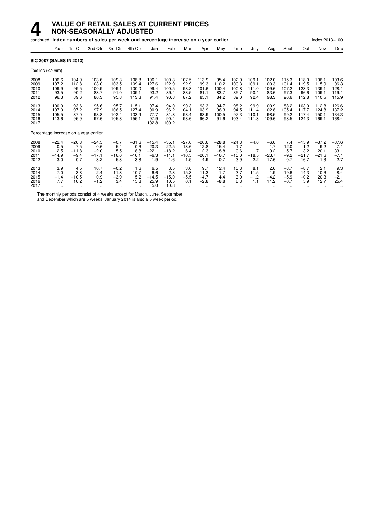**4**

|                                      | continued Index numbers of sales per week and percentage increase on a year earlier<br>Index 2013=100<br>1st Qtr<br>2nd Qtr<br>3rd Qtr<br>4th Qtr<br>Feb<br>July<br>Sept<br>Oct<br>Mar<br>May<br>Aug<br>Nov<br>Dec<br>Year<br>Apr<br>June<br>Jan<br><b>SIC 2007 (SALES IN 2013)</b><br>Textiles (£706m)<br>108.8<br>107.5<br>95.4<br>102.0<br>115.3<br>106.6<br>104.9<br>103.6<br>109.3<br>106.1<br>100.3<br>113.9<br>102.0<br>109.1<br>118.0<br>106.1<br>103.6<br>112.8<br>127.6<br>122.9<br>92.9<br>99.3<br>100.3<br>109.1<br>100.3<br>119.5<br>115.9<br>107.2<br>103.0<br>103.5<br>109.4<br>110.2<br>101.4<br>96.3<br>100.4<br>100.8<br>109.6<br>107.2<br>123.3<br>109.9<br>99.5<br>100.9<br>130.0<br>99.4<br>100.5<br>98.8<br>101.6<br>111.0<br>139.1<br>128.1<br>109.1<br>83.7<br>109.1<br>93.2<br>83.7<br>85.7<br>83.6<br>97.3<br>96.6<br>109.1<br>119.1<br>93.5<br>90.2<br>91.0<br>89.4<br>88.5<br>81.1<br>90.4<br>96.3<br>89.6<br>86.3<br>95.8<br>113.3<br>91.4<br>90.8<br>87.2<br>85.1<br>84.2<br>89.0<br>92.4<br>98.3<br>96.6<br>112.8<br>110.5<br>115.9<br>100.0<br>93.6<br>95.6<br>95.7<br>115.1<br>97.4<br>98.2<br>126.6<br>94.0<br>90.3<br>93.3<br>94.7<br>99.9<br>100.9<br>88.2<br>103.0<br>112.8<br>97.2<br>97.9<br>96.2<br>103.9<br>96.3<br>94.5<br>111.4<br>102.8<br>105.4<br>117.7<br>124.8<br>107.0<br>106.5<br>127.4<br>90.9<br>104.1<br>137.2<br>87.0<br>133.9<br>81.8<br>98.9<br>97.3<br>98.5<br>99.2<br>105.5<br>98.8<br>102.4<br>77.7<br>98.4<br>100.5<br>110.1<br>117.4<br>150.1<br>134.3<br>113.6<br>95.9<br>97.6<br>105.8<br>155.1<br>97.9<br>98.6<br>96.2<br>91.6<br>103.4<br>111.3<br>109.6<br>98.5<br>169.1<br>168.4<br>90.4<br>124.3<br>102.8<br>100.2<br><br>Percentage increase on a year earlier<br>$-26.8$<br>$-27.6$<br>$-4.6$<br>7.4<br>$-15.9$<br>$-37.2$<br>$-22.4$<br>$-0.7$<br>$-31.6$<br>$-15.4$<br>$-35.1$<br>$-20.6$<br>$-28.8$<br>$-24.3$<br>$-6.6$<br>$-24.5$<br>-37.6<br>7.5<br>22.5<br>0.5<br>$-0.6$<br>$-5.4$<br>20.3<br>$-13.6$<br>$-12.8$<br>15.4<br>$-12.0$<br>1.2<br>9.2<br>0.6<br>$-1.7$<br>$-1.7$<br>$-7.1$<br>-<br>2.5<br>$-11.8$<br>5.5<br>1.7<br>9.2<br>5.7<br>3.2<br>$-2.0$<br>18.8<br>$-22.1$<br>$-18.2$<br>6.4<br>2.3<br>$-8.8$<br>0.6<br>20.1<br>33.1<br>$-18.5$<br>$-9.2$<br>$-14.9$<br>$-9.4$<br>$-17.1$<br>$-16.1$<br>$-6.3$<br>$-11.1$<br>$-10.5$<br>$-20.1$<br>$-16.7$<br>$-15.0$<br>$-23.7$<br>$-21.7$<br>$-21.6$<br>$-16.6$<br>$-7.1$<br>3.9<br>2.2<br>17.6<br>16.7<br>3.0<br>$-0.7$<br>3.2<br>5.3<br>3.8<br>$-1.9$<br>1.6<br>$-1.5$<br>4.9<br>0.7<br>$-0.7$<br>1.3<br>$-2.7$<br>3.9<br>9.3<br>4.5<br>$-0.2$<br>1.6<br>6.5<br>3.5<br>3.6<br>9.7<br>12.4<br>10.3<br>2.6<br>$-8.7$<br>10.7<br>8.1<br>$-8.7$<br>2.1 |                        |                      |                                               |                     |                                  |                                |                                               |                          |                      |                      |                       |                       |                          |                       |                      |                       |
|--------------------------------------|----------------------------------------------------------------------------------------------------------------------------------------------------------------------------------------------------------------------------------------------------------------------------------------------------------------------------------------------------------------------------------------------------------------------------------------------------------------------------------------------------------------------------------------------------------------------------------------------------------------------------------------------------------------------------------------------------------------------------------------------------------------------------------------------------------------------------------------------------------------------------------------------------------------------------------------------------------------------------------------------------------------------------------------------------------------------------------------------------------------------------------------------------------------------------------------------------------------------------------------------------------------------------------------------------------------------------------------------------------------------------------------------------------------------------------------------------------------------------------------------------------------------------------------------------------------------------------------------------------------------------------------------------------------------------------------------------------------------------------------------------------------------------------------------------------------------------------------------------------------------------------------------------------------------------------------------------------------------------------------------------------------------------------------------------------------------------------------------------------------------------------------------------------------------------------------------------------------------------------------------------------------------------------------------------------------------------------------------------------------------------------------------------------------------------------------------------------------------------------------------------------------------------------------------------------------------------------------------------------------------------------------------------------------------------------------|------------------------|----------------------|-----------------------------------------------|---------------------|----------------------------------|--------------------------------|-----------------------------------------------|--------------------------|----------------------|----------------------|-----------------------|-----------------------|--------------------------|-----------------------|----------------------|-----------------------|
|                                      |                                                                                                                                                                                                                                                                                                                                                                                                                                                                                                                                                                                                                                                                                                                                                                                                                                                                                                                                                                                                                                                                                                                                                                                                                                                                                                                                                                                                                                                                                                                                                                                                                                                                                                                                                                                                                                                                                                                                                                                                                                                                                                                                                                                                                                                                                                                                                                                                                                                                                                                                                                                                                                                                                        |                        |                      |                                               |                     |                                  |                                |                                               |                          |                      |                      |                       |                       |                          |                       |                      |                       |
|                                      |                                                                                                                                                                                                                                                                                                                                                                                                                                                                                                                                                                                                                                                                                                                                                                                                                                                                                                                                                                                                                                                                                                                                                                                                                                                                                                                                                                                                                                                                                                                                                                                                                                                                                                                                                                                                                                                                                                                                                                                                                                                                                                                                                                                                                                                                                                                                                                                                                                                                                                                                                                                                                                                                                        |                        |                      |                                               |                     |                                  |                                |                                               |                          |                      |                      |                       |                       |                          |                       |                      |                       |
|                                      |                                                                                                                                                                                                                                                                                                                                                                                                                                                                                                                                                                                                                                                                                                                                                                                                                                                                                                                                                                                                                                                                                                                                                                                                                                                                                                                                                                                                                                                                                                                                                                                                                                                                                                                                                                                                                                                                                                                                                                                                                                                                                                                                                                                                                                                                                                                                                                                                                                                                                                                                                                                                                                                                                        |                        |                      |                                               |                     |                                  |                                |                                               |                          |                      |                      |                       |                       |                          |                       |                      |                       |
| 2008<br>2009<br>2010<br>2011<br>2012 |                                                                                                                                                                                                                                                                                                                                                                                                                                                                                                                                                                                                                                                                                                                                                                                                                                                                                                                                                                                                                                                                                                                                                                                                                                                                                                                                                                                                                                                                                                                                                                                                                                                                                                                                                                                                                                                                                                                                                                                                                                                                                                                                                                                                                                                                                                                                                                                                                                                                                                                                                                                                                                                                                        |                        |                      |                                               |                     |                                  |                                |                                               |                          |                      |                      |                       |                       |                          |                       |                      |                       |
| 2013<br>2014<br>2015<br>2016<br>2017 |                                                                                                                                                                                                                                                                                                                                                                                                                                                                                                                                                                                                                                                                                                                                                                                                                                                                                                                                                                                                                                                                                                                                                                                                                                                                                                                                                                                                                                                                                                                                                                                                                                                                                                                                                                                                                                                                                                                                                                                                                                                                                                                                                                                                                                                                                                                                                                                                                                                                                                                                                                                                                                                                                        |                        |                      |                                               |                     |                                  |                                |                                               |                          |                      |                      |                       |                       |                          |                       |                      |                       |
|                                      |                                                                                                                                                                                                                                                                                                                                                                                                                                                                                                                                                                                                                                                                                                                                                                                                                                                                                                                                                                                                                                                                                                                                                                                                                                                                                                                                                                                                                                                                                                                                                                                                                                                                                                                                                                                                                                                                                                                                                                                                                                                                                                                                                                                                                                                                                                                                                                                                                                                                                                                                                                                                                                                                                        |                        |                      |                                               |                     |                                  |                                |                                               |                          |                      |                      |                       |                       |                          |                       |                      |                       |
| 2008<br>2009<br>2010<br>2011<br>2012 |                                                                                                                                                                                                                                                                                                                                                                                                                                                                                                                                                                                                                                                                                                                                                                                                                                                                                                                                                                                                                                                                                                                                                                                                                                                                                                                                                                                                                                                                                                                                                                                                                                                                                                                                                                                                                                                                                                                                                                                                                                                                                                                                                                                                                                                                                                                                                                                                                                                                                                                                                                                                                                                                                        |                        |                      |                                               |                     |                                  |                                |                                               |                          |                      |                      |                       |                       |                          |                       |                      |                       |
| 2013<br>2014<br>2015<br>2016<br>2017 | 7.0<br>$-1.4$<br>7.7<br>$\ddot{\phantom{a}}$                                                                                                                                                                                                                                                                                                                                                                                                                                                                                                                                                                                                                                                                                                                                                                                                                                                                                                                                                                                                                                                                                                                                                                                                                                                                                                                                                                                                                                                                                                                                                                                                                                                                                                                                                                                                                                                                                                                                                                                                                                                                                                                                                                                                                                                                                                                                                                                                                                                                                                                                                                                                                                           | 3.8<br>$-10.5$<br>10.2 | 2.4<br>0.9<br>$-1.2$ | 11.3<br>$-3.9$<br>3.4<br>$\ddot{\phantom{a}}$ | 10.7<br>5.2<br>15.8 | $-6.6$<br>$-14.5$<br>25.9<br>5.0 | 2.3<br>$-15.0$<br>10.5<br>10.8 | 15.3<br>$-5.5$<br>0.1<br>$\ddot{\phantom{a}}$ | 11.3<br>$-4.7$<br>$-2.8$ | 1.7<br>4.4<br>$-8.8$ | $-3.7$<br>3.0<br>6.3 | 11.5<br>$-1.2$<br>1.1 | 1.9<br>$-4.2$<br>11.2 | 19.6<br>$-5.9$<br>$-0.7$ | 14.3<br>$-0.2$<br>5.9 | 10.6<br>20.3<br>12.7 | 8.4<br>$-2.1$<br>25.4 |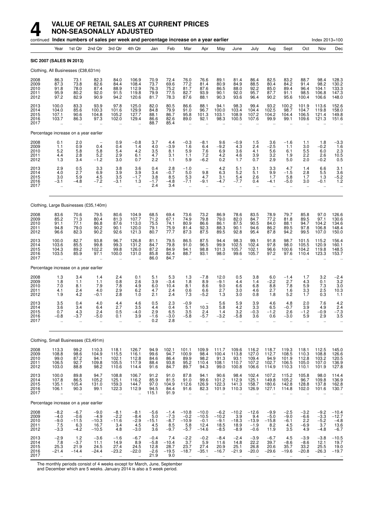**4**

|                                      |                                               |                                                            | continued Index numbers of sales per week and percentage increase on a year earlier |                                                          |                                                          |                                            |                                             |                                                       |                                                          |                                                     |                                                     |                                                  |                                                |                                                          |                                                             | Index 2013=100                                            |                                                                    |
|--------------------------------------|-----------------------------------------------|------------------------------------------------------------|-------------------------------------------------------------------------------------|----------------------------------------------------------|----------------------------------------------------------|--------------------------------------------|---------------------------------------------|-------------------------------------------------------|----------------------------------------------------------|-----------------------------------------------------|-----------------------------------------------------|--------------------------------------------------|------------------------------------------------|----------------------------------------------------------|-------------------------------------------------------------|-----------------------------------------------------------|--------------------------------------------------------------------|
|                                      | Year                                          | 1st Qtr                                                    | 2nd Qtr                                                                             | 3rd Qtr                                                  | 4th Qtr                                                  | Jan                                        | Feb                                         | Mar                                                   | Apr                                                      | May                                                 | June                                                | July                                             | Aug                                            | Sept                                                     | Oct                                                         | Nov                                                       | Dec                                                                |
|                                      | <b>SIC 2007 (SALES IN 2013)</b>               |                                                            |                                                                                     |                                                          |                                                          |                                            |                                             |                                                       |                                                          |                                                     |                                                     |                                                  |                                                |                                                          |                                                             |                                                           |                                                                    |
|                                      | Clothing, All Businesses (£38,631m)           |                                                            |                                                                                     |                                                          |                                                          |                                            |                                             |                                                       |                                                          |                                                     |                                                     |                                                  |                                                |                                                          |                                                             |                                                           |                                                                    |
| 2008<br>2009<br>2010<br>2011<br>2012 | 86.3<br>87.3<br>91.8<br>95.9<br>97.2          | 73.1<br>73.8<br>78.0<br>80.2<br>82.9                       | 82.3<br>82.6<br>87.4<br>92.0<br>90.9                                                | 84.0<br>84.4<br>88.9<br>91.5<br>94.2                     | 106.9<br>108.4<br>112.9<br>119.8<br>120.6                | 70.9<br>73.7<br>76.3<br>79.9<br>81.7       | 72.4<br>69.6<br>75.2<br>77.5<br>78.3        | 76.0<br>77.2<br>81.7<br>82.7<br>87.6                  | 76.6<br>81.4<br>87.6<br>93.9<br>88.1                     | 89.1<br>80.9<br>86.5<br>90.1<br>90.3                | 81.4<br>84.9<br>88.0<br>92.0<br>93.6                | 86.4<br>88.5<br>92.2<br>95.7<br>96.4             | 82.5<br>80.4<br>85.0<br>87.7<br>90.2           | 83.2<br>84.2<br>89.4<br>91.1<br>95.6                     | 88.7<br>91.4<br>96.4<br>98.5<br>100.4                       | 98.4<br>98.2<br>104.1<br>106.8<br>106.6                   | 128.3<br>130.2<br>133.3<br>147.3<br>148.0                          |
| 2013<br>2014<br>2015<br>2016<br>2017 | 100.0<br>104.0<br>107.1<br>103.7<br>ă,        | 83.3<br>85.6<br>90.6<br>86.3                               | 93.9<br>100.3<br>104.8<br>97.3                                                      | 97.8<br>101.6<br>105.2<br>102.0<br>$\ddot{\phantom{a}}$  | 125.0<br>129.9<br>127.7<br>129.4                         | 82.0<br>84.8<br>88.1<br>86.6<br>88.7       | 80.5<br>79.9<br>86.7<br>82.6<br>85.4        | 86.6<br>91.0<br>95.8<br>89.0                          | 88.1<br>96.7<br>101.3<br>92.1                            | 94.1<br>100.0<br>103.1<br>98.3                      | 98.3<br>103.4<br>108.9<br>100.5                     | 99.4<br>104.4<br>107.2<br>107.6                  | 93.2<br>102.5<br>104.2<br>99.9                 | 100.2<br>98.7<br>104.4<br>99.1                           | 101.9<br>104.7<br>106.5<br>109.6                            | 113.6<br>119.8<br>121.4<br>121.3                          | 152.6<br>158.0<br>149.8<br>151.6                                   |
|                                      | Percentage increase on a year earlier         |                                                            |                                                                                     |                                                          |                                                          |                                            |                                             |                                                       |                                                          |                                                     |                                                     |                                                  |                                                |                                                          |                                                             |                                                           |                                                                    |
| 2008<br>2009<br>2010<br>2011<br>2012 | 0.1<br>1.1<br>5.2<br>4.4<br>1.3               | 2.0<br>0.9<br>5.8<br>2.8<br>3.4                            | 0.4<br>5.8<br>5.2<br>$-1.2$                                                         | 0.9<br>0.4<br>5.4<br>2.9<br>3.0                          | $-0.8$<br>1.4<br>4.2<br>6.1<br>0.7                       | 3.7<br>4.0<br>$3.5$<br>$4.7$<br>2.2        | 4.4<br>$-3.9$<br>8.1<br>3.1<br>1.1          | $-0.3$<br>1.6<br>5.9<br>1.1<br>5.9                    | $-8.1$<br>6.4<br>7.6<br>7.2<br>$-6.2$                    | 9.6<br>$-9.2$<br>6.9<br>4.2<br>0.2                  | $-0.9$<br>4.3<br>3.6<br>4.6<br>1.7                  | 1.5<br>2.4<br>4.1<br>3.9<br>0.7                  | 3.6<br>$-2.5$<br>5.6<br>3.2<br>2.9             | $-1.6$<br>1.1<br>6.1<br>1.9<br>5.0                       | 1.1<br>3.0<br>5.5<br>2.2<br>2.0                             | 1.8<br>$-0.2$<br>6.0<br>2.6<br>$-0.2$                     | $-3.3$<br>1.6<br>$\begin{array}{c} 2.3 \\ 10.5 \end{array}$<br>0.5 |
| 2013<br>2014<br>2015<br>2016<br>2017 | 2.9<br>4.0<br>3.0<br>$-3.1$<br>ä.             | 0.5<br>2.7<br>5.9<br>$-4.8$<br>$\mathbf{r}$                | 3.3<br>6.9<br>4.5<br>$-7.2$<br>ä.                                                   | 3.8<br>3.9<br>3.5<br>$-3.1$<br>ä.                        | 3.6<br>3.9<br>$-1.7$<br>1.3<br>$\ddotsc$                 | 0.4<br>3.4<br>3.8<br>$-1.7$<br>2.4         | 2.8<br>$-0.7$<br>8.5<br>$-4.8$<br>3.4       | $-1.0$<br>5.0<br>5.3<br>$-7.1$<br>÷.                  | 9.8<br>4.7<br>$-9.1$                                     | 4.2<br>6.3<br>3.1<br>$-4.7$<br>$\ddot{\phantom{a}}$ | 5.1<br>5.2<br>5.4<br>$-7.7$<br>$\ddot{\phantom{a}}$ | 3.1<br>5.1<br>2.6<br>0.4<br>$\ddot{\phantom{a}}$ | 3.3<br>9.9<br>1.7<br>-4.1                      | 4.7<br>$-1.5$<br>5.8<br>$-5.0$                           | 1.4<br>2.8<br>1.7<br>3.0<br>ä.                              | 6.6<br>5.5<br>1.3<br>$-0.1$<br>Ω.                         | 3.1<br>3.6<br>$-5.2$<br>1.2                                        |
|                                      |                                               |                                                            | Clothing, Large Businesses (£35,140m)                                               |                                                          |                                                          |                                            |                                             |                                                       |                                                          |                                                     |                                                     |                                                  |                                                |                                                          |                                                             |                                                           |                                                                    |
| 2008<br>2009<br>2010<br>2011<br>2012 | 83.6<br>85.2<br>91.1<br>94.8<br>96.6          | 70.6<br>71.3<br>77.1<br>79.0<br>82.3                       | 79.5<br>80.4<br>86.8<br>90.2<br>90.2                                                | 80.6<br>81.3<br>87.6<br>90.1<br>92.6                     | 104.9<br>107.7<br>113.0<br>120.0<br>121.3                | 68.5<br>71.2<br>75.5<br>79.1<br>80.7       | 69.4<br>67.1<br>74.1<br>75.9<br>77.7        | 73.6<br>74.9<br>80.9<br>81.4<br>87.3                  | 73.2<br>79.8<br>86.6<br>92.3<br>87.5                     | 86.9<br>79.0<br>86.1<br>88.3<br>89.5                | 78.6<br>82.0<br>87.5<br>90.1<br>92.8                | 83.5<br>84.7<br>90.5<br>94.6<br>95.4             | 78.9<br>77.2<br>84.0<br>86.2<br>87.8           | 79.7<br>81.8<br>88.1<br>89.5<br>94.2                     | 85.8<br>89.5<br>94.7<br>97.8<br>99.5                        | 97.0<br>97.1<br>104.2<br>106.8<br>107.0                   | 126.6<br>130.6<br>134.6<br>148.4<br>150.0                          |
| 2013<br>2014<br>2015<br>2016<br>2017 | 100.0<br>103.6<br>104.3<br>103.5              | 82.7<br>85.5<br>89.2<br>85.9<br>$\ddotsc$                  | 93.8<br>99.8<br>102.2<br>97.1                                                       | 96.7<br>99.3<br>99.8<br>100.0<br>ä.                      | 126.8<br>131.2<br>126.0<br>131.0                         | 81.1<br>84.7<br>87.2<br>85.8<br>86.0       | 79.5<br>79.8<br>84.9<br>82.4<br>84.7        | 86.5<br>91.0<br>94.1<br>88.7<br>$\ddot{\phantom{a}}$  | 87.5<br>96.5<br>98.8<br>93.1                             | 94.4<br>99.9<br>101.3<br>98.0                       | 98.3<br>102.5<br>105.7<br>99.6                      | 99.1<br>102.4<br>102.1<br>105.7                  | 91.8<br>97.8<br>96.6<br>97.2                   | 98.7<br>98.0<br>100.6<br>97.6                            | 101.5<br>105.5<br>104.2<br>110.4                            | 115.2<br>120.9<br>119.8<br>123.3                          | 156.4<br>160.1<br>148.5<br>153.7                                   |
|                                      | Percentage increase on a year earlier         |                                                            |                                                                                     |                                                          |                                                          |                                            |                                             |                                                       |                                                          |                                                     |                                                     |                                                  |                                                |                                                          |                                                             |                                                           |                                                                    |
| 2008<br>2009<br>2010<br>2011<br>2012 | 1.3<br>1.8<br>7.0<br>4.1<br>1.9               | 3.4<br>1.1<br>8.1<br>2.4<br>4.2                            | 1.4<br>1.1<br>7.9<br>4.0<br>$-0.1$                                                  | 2.4<br>0.8<br>7.8<br>2.9<br>2.8                          | 0.1<br>2.6<br>4.9<br>6.2<br>1.0                          | 5.1<br>3.9<br>6.0<br>4.7<br>2.1            | 5.3<br>$-3.4$<br>10.4<br>2.4<br>2.4         | 1.3<br>1.8<br>8.1<br>0.6<br>7.3                       | $-7.8$<br>8.9<br>8.6<br>6.6<br>$-5.2$                    | 12.0<br>$-9.1$<br>9.0<br>2.7<br>1.3                 | 0.5<br>4.4<br>6.6<br>3.0<br>3.0                     | 3.8<br>1.4<br>6.8<br>4.6<br>0.8                  | 6.0<br>$-2.2$<br>8.8<br>2.7<br>1.8             | $-1.4$<br>2.7<br>7.8<br>1.6<br>5.2                       | 1.7<br>4.3<br>5.9<br>3.3<br>1.7                             | 3.2<br>0.1<br>7.3<br>2.5<br>0.3                           | $-2.4$<br>3.2<br>3.0<br>10.3<br>1.1                                |
| 2013<br>2014<br>2015<br>2016<br>2017 | 3.5<br>3.6<br>0.7<br>$-0.8$<br>ä,             | 0.4<br>3.4<br>4.3<br>$-3.7$                                | 4.0<br>6.4<br>2.4<br>$-5.0$<br>                                                     | 4.4<br>2.7<br>0.5<br>0.1<br>$\ddotsc$                    | 4.6<br>3.5<br>$-4.0$<br>3.9<br>$\ddot{\phantom{a}}$      | 0.5<br>4.4<br>2.9<br>$-1.6$<br>0.2         | 2.3<br>0.4<br>6.5<br>$-3.0$<br>2.8          | $-0.9$<br>5.1<br>3.5<br>$-5.8$                        | 10.3<br>2.4<br>$-5.7$                                    | 5.6<br>5.8<br>1.4<br>$-3.2$                         | 5.9<br>4.2<br>3.2<br>$-5.8$                         | 3.9<br>3.3<br>$-0.3$<br>3.6                      | 4.6<br>6.5<br>$-1.2$<br>0.6                    | 4.8<br>$-0.7$<br>2.6<br>$-3.0$                           | 2.0<br>3.9<br>$-1.2$<br>5.9                                 | 7.6<br>4.9<br>$-0.9$<br>2.9                               | 4.2<br>2.4<br>-7.3<br>3.5                                          |
|                                      | Clothing, Small Businesses (£3,491m)          |                                                            |                                                                                     |                                                          |                                                          |                                            |                                             |                                                       |                                                          |                                                     |                                                     |                                                  |                                                |                                                          |                                                             |                                                           |                                                                    |
| 2008<br>2009<br>2010<br>2011<br>2012 | 113.3<br>108.8<br>99.0<br>106.5<br>103.0      | 99.2<br>98.6<br>87.2<br>92.7<br>88.8                       | 110.3<br>104.9<br>94.1<br>109.8<br>98.2                                             | 118.1<br>115.5<br>102.1<br>105.5<br>110.6                | 126.7<br>116.1<br>112.8<br>117.9<br>114.4                | 94.9<br>99.6<br>84.6<br>88.4<br>91.6       | 102.1<br>94.7<br>86.4<br>93.8<br>84.7       | 101.1<br>100.9<br>89.9<br>95.2<br>89.7                | 109.9<br>98.4<br>98.2<br>110.4<br>94.3                   | 111.7<br>100.4<br>91.3<br>108.1<br>99.0             | 109.6<br>113.8<br>93.1<br>110.7<br>100.8            | 116.2<br>127.0<br>109.4<br>107.2<br>106.6        | 118.7<br>112.7<br>94.9<br>102.7<br>114.9       | 119.3<br>108.5<br>101.9<br>106.5<br>110.3                | 118.1<br>110.3<br>112.8<br>105.0<br>110.1                   | 112.5<br>108.8<br>103.2<br>107.0<br>101.9                 | 145.0<br>126.6<br>120.5<br>136.9<br>127.8                          |
| 2013<br>2014<br>2015<br>2016<br>2017 | 100.0<br>107.8<br>135.1<br>106.1<br>÷.        | 89.8<br>86.5<br>105.4<br>90.3<br>$\ddot{\phantom{1}}$      | 94.7<br>105.2<br>131.0<br>99.1<br>$\ddotsc$                                         | 108.8<br>125.1<br>159.3<br>122.3<br>$\ddot{\phantom{a}}$ | 106.7<br>116.2<br>144.7<br>112.9<br>$\ddot{\phantom{a}}$ | 91.2<br>85.9<br>97.0<br>94.5<br>115.1      | 91.0<br>81.5<br>104.9<br>84.4<br>91.9       | 87.8<br>91.0<br>112.6<br>91.6<br>$\ddot{\phantom{a}}$ | 94.1<br>99.6<br>126.9<br>82.3<br>$\ddot{\phantom{a}}$    | 90.6<br>101.2<br>122.3<br>101.9                     | 98.4<br>112.9<br>141.3<br>110.3                     | 102.4<br>125.1<br>158.7<br>126.9                 | 107.2<br>149.8<br>180.6<br>127.1               | 115.2<br>105.2<br>142.8<br>114.8                         | 105.8<br>96.7<br>128.8<br>102.0                             | 98.0<br>109.8<br>137.8<br>101.6                           | 114.4<br>136.9<br>162.8<br>130.7                                   |
|                                      | Percentage increase on a year earlier         |                                                            |                                                                                     |                                                          |                                                          |                                            |                                             |                                                       |                                                          |                                                     |                                                     |                                                  |                                                |                                                          |                                                             |                                                           |                                                                    |
| 2008<br>2009<br>2010<br>2011<br>2012 | $-8.2$<br>$-4.0$<br>$-9.0$<br>7.5<br>$-3.3$   | $-6.7$<br>$-0.6$<br>$-11.5$<br>6.3<br>$-4.2$               | $-9.0$<br>$-4.9$<br>$-10.3$<br>16.7<br>$-10.5$                                      | $-8.1$<br>$-2.2$<br>$-11.6$<br>3.4<br>4.8                | $-8.1$<br>$-8.4$<br>$-2.9$<br>4.5<br>$-3.0$              | $-5.6$<br>5.0<br>$-15.1$<br>4.5<br>3.6     | $-1.4$<br>$-7.3$<br>$-8.7$<br>8.5<br>$-9.7$ | $-10.8$<br>$-0.2$<br>$-10.9$<br>5.8<br>$-5.7$         | $-10.0$<br>$-10.5$<br>$-0.1$<br>12.4<br>$-14.6$          | $-6.2$<br>$-10.2$<br>$-9.1$<br>18.5<br>$-8.5$       | $-10.2$<br>3.9<br>$-18.3$<br>18.9<br>$-8.9$         | $-12.6$<br>9.4<br>$-13.9$<br>$-1.9$<br>$-0.6$    | $-9.9$<br>$-5.0$<br>$-15.8$<br>8.2<br>11.9     | $-2.5$<br>$-9.0$<br>$-6.1$<br>4.5<br>3.5                 | $-3.2$<br>$-6.6$<br>2.2<br>$-6.9$<br>4.9                    | $-9.2$<br>$-3.3$<br>$-5.2$<br>3.7<br>$-4.8$               | $-10.4$<br>$-12.7$<br>$-4.8$<br>13.6<br>$-6.7$                     |
| 2013<br>2014<br>2015<br>2016<br>2017 | $-2.9$<br>7.8<br>25.3<br>$-21.4$<br>$\ddotsc$ | $1.2$<br>$-3.7$<br>21.9<br>$-14.4$<br>$\ddot{\phantom{1}}$ | $-3.6$<br>11.1<br>24.5<br>$-24.4$<br>$\ddot{\phantom{1}}$                           | $-1.6$<br>14.9<br>27.4<br>$-23.2$<br>$\ddotsc$           | $-6.7$<br>8.9<br>24.5<br>$-22.0$<br>$\ddotsc$            | $-0.4$<br>$-5.8$<br>12.8<br>$-2.6$<br>21.9 | 7.4<br>$-10.4$<br>28.7<br>$-19.5$<br>9.0    | $-2.2$<br>3.7<br>23.7<br>$-18.7$<br>$\ddotsc$         | $-0.2$<br>5.9<br>27.4<br>$-35.1$<br>$\ddot{\phantom{1}}$ | $-8.4$<br>11.6<br>20.9<br>$-16.7$<br>$\ddotsc$      | $-2.4$<br>14.8<br>25.1<br>$-21.9$<br>$\cdot$ .      | $-3.9$<br>22.2<br>26.8<br>$-20.0$<br>$\ldots$    | $-6.7$<br>39.7<br>20.6<br>$-29.6$<br>$\ddotsc$ | 4.5<br>$-8.6$<br>35.7<br>$-19.6$<br>$\ddot{\phantom{1}}$ | $-3.9$<br>$-8.6$<br>33.2<br>$-20.8$<br>$\ddot{\phantom{1}}$ | $-3.8$<br>12.1<br>25.5<br>$-26.3$<br>$\ddot{\phantom{1}}$ | $-10.5$<br>19.7<br>19.0<br>$-19.7$<br>$\cdot$                      |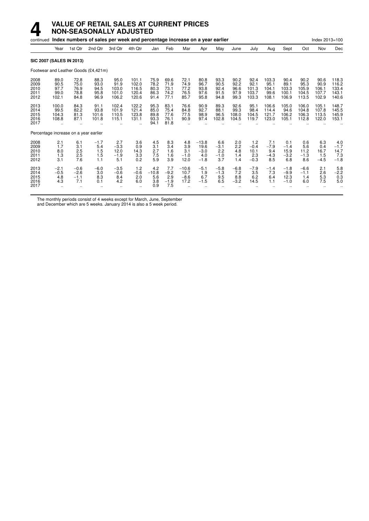**4**

|                                       |                                       |                                      | continued Index numbers of sales per week and percentage increase on a year earlier |                                         |                                               |                                      |                                       |                                      |                                            |                                       |                                      |                                         |                                         |                                         |                                         | Index 2013=100                          |                                           |
|---------------------------------------|---------------------------------------|--------------------------------------|-------------------------------------------------------------------------------------|-----------------------------------------|-----------------------------------------------|--------------------------------------|---------------------------------------|--------------------------------------|--------------------------------------------|---------------------------------------|--------------------------------------|-----------------------------------------|-----------------------------------------|-----------------------------------------|-----------------------------------------|-----------------------------------------|-------------------------------------------|
|                                       | Year                                  | 1st Qtr                              | 2nd Qtr                                                                             | 3rd Qtr                                 | 4th Qtr                                       | Jan                                  | Feb                                   | Mar                                  | Apr                                        | May                                   | June                                 | July                                    | Aug                                     | Sept                                    | Oct                                     | Nov                                     | Dec                                       |
| <b>SIC 2007 (SALES IN 2013)</b>       |                                       |                                      |                                                                                     |                                         |                                               |                                      |                                       |                                      |                                            |                                       |                                      |                                         |                                         |                                         |                                         |                                         |                                           |
|                                       |                                       |                                      | Footwear and Leather Goods (£4,421m)                                                |                                         |                                               |                                      |                                       |                                      |                                            |                                       |                                      |                                         |                                         |                                         |                                         |                                         |                                           |
| 2008<br>2009<br>2010<br>2011<br>2012  | 89.0<br>90.5<br>97.7<br>99.0<br>102.1 | 72.8<br>75.0<br>76.9<br>78.8<br>84.8 | 88.3<br>93.0<br>94.5<br>95.8<br>96.9                                                | 95.0<br>91.9<br>103.0<br>101.0<br>106.2 | 101.1<br>102.0<br>116.5<br>120.4<br>120.6     | 75.9<br>78.2<br>80.3<br>86.3<br>91.4 | 69.6<br>71.9<br>73.1<br>74.2<br>77.1  | 72.1<br>74.9<br>77.2<br>76.5<br>85.7 | 80.8<br>96.7<br>93.8<br>97.6<br>95.8       | 93.3<br>90.5<br>92.4<br>91.5<br>94.8  | 90.2<br>92.2<br>96.6<br>97.9<br>99.3 | 92.4<br>92.1<br>101.3<br>103.7<br>103.3 | 103.3<br>95.1<br>104.1<br>99.6<br>108.1 | 90.4<br>89.1<br>103.3<br>100.1<br>106.9 | 90.2<br>95.3<br>105.9<br>104.5<br>113.5 | 90.6<br>90.9<br>106.1<br>107.7<br>102.9 | 118.3<br>116.2<br>133.4<br>143.1<br>140.6 |
| 2013<br>2014<br>2015<br>2016<br>2017  | 100.0<br>99.5<br>104.3<br>108.8       | 84.3<br>82.2<br>81.3<br>87.1         | 91.1<br>93.8<br>101.6<br>101.8                                                      | 102.4<br>101.9<br>110.5<br>115.1        | 122.2<br>121.4<br>123.8<br>131.1<br>$\ddotsc$ | 95.3<br>85.0<br>89.8<br>93.3<br>94.1 | 83.1<br>75.4<br>77.6<br>76.1<br>81.8  | 76.6<br>84.8<br>77.5<br>90.9         | 90.9<br>92.7<br>98.9<br>97.4               | 89.3<br>88.1<br>96.5<br>102.8         | 92.6<br>99.3<br>108.0<br>104.5       | 95.1<br>98.4<br>104.5<br>119.7          | 106.6<br>114.4<br>121.7<br>123.0        | 105.0<br>94.6<br>106.2<br>105.1         | 106.0<br>104.8<br>106.3<br>112.8        | 105.1<br>107.8<br>113.5<br>122.0        | 148.7<br>145.5<br>145.9<br>153.1          |
| Percentage increase on a year earlier |                                       |                                      |                                                                                     |                                         |                                               |                                      |                                       |                                      |                                            |                                       |                                      |                                         |                                         |                                         |                                         |                                         |                                           |
| 2008<br>2009<br>2010<br>2011<br>2012  | 2.1<br>1.7<br>8.0<br>1.3<br>3.1       | 6.1<br>3.1<br>2.5<br>2.5<br>7.6      | $-1.7$<br>5.4<br>1.5<br>1.5<br>1.1                                                  | 2.7<br>$-3.3$<br>12.0<br>$-1.9$<br>5.1  | 3.6<br>0.9<br>14.3<br>3.3<br>0.2              | 4.5<br>3.1<br>2.7<br>7.5<br>5.9      | 8.3<br>3.4<br>1.6<br>1.6<br>3.9       | 4.8<br>3.9<br>3.1<br>$-1.0$<br>12.0  | $-13.8$<br>19.6<br>$-3.0$<br>4.0<br>$-1.8$ | 6.6<br>$-3.1$<br>2.2<br>$-1.0$<br>3.7 | 2.0<br>2.2<br>4.8<br>1.4<br>1.4      | 1.2<br>$-0.4$<br>10.1<br>2.3<br>$-0.3$  | 7.1<br>$-7.9$<br>9.4<br>$-4.3$<br>8.5   | 0.1<br>$-1.4$<br>15.9<br>$-3.2$<br>6.8  | 0.6<br>5.6<br>11.2<br>$-1.3$<br>8.6     | 6.3<br>0.4<br>16.7<br>1.5<br>$-4.5$     | 4.0<br>$-1.7$<br>14.7<br>7.3<br>$-1.8$    |
| 2013<br>2014<br>2015<br>2016<br>2017  | $-2.1$<br>$-0.5$<br>4.8<br>4.3        | $-0.6$<br>$-2.6$<br>$-1.1$<br>7.1    | $-6.0$<br>3.0<br>8.3<br>0.1                                                         | $-3.5$<br>$-0.6$<br>8.4<br>4.2          | 1.2<br>$-0.6$<br>2.0<br>6.0                   | 4.2<br>$-10.8$<br>5.6<br>3.8<br>0.9  | 7.7<br>$-9.2$<br>2.9<br>$-1.9$<br>7.5 | $-10.6$<br>10.7<br>$-8.6$<br>17.2    | $-5.1$<br>1.9<br>6.7<br>$-1.5$             | $-5.8$<br>$-1.3$<br>9.5<br>6.5        | $-6.8$<br>7.2<br>8.8<br>$-3.2$       | $-7.9$<br>3.5<br>6.2<br>14.5            | $-1.4$<br>7.3<br>6.4<br>1.1             | $-1.8$<br>$-9.9$<br>12.3<br>$-1.0$      | $-6.6$<br>$-1.1$<br>1.4<br>6.0          | 2.1<br>2.6<br>5.3<br>7.5                | 5.8<br>$-2.2$<br>0.3<br>5.0               |

The monthly periods consist of 4 weeks except for March, June, September

and December which are 5 weeks. January 2014 is also a 5 week period.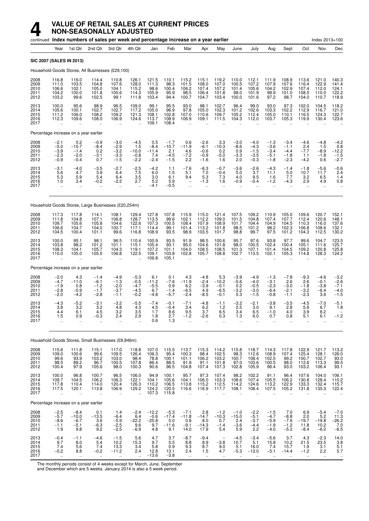**4**

|                                      |                                                          |                                                     |                                                      | continued Index numbers of sales per week and percentage increase on a year earlier |                                                          |                                            |                                                                       |                                                         |                                                         |                                               |                                              |                                                          |                                                |                                                         |                                           | Index 2013=100                              |                                                |
|--------------------------------------|----------------------------------------------------------|-----------------------------------------------------|------------------------------------------------------|-------------------------------------------------------------------------------------|----------------------------------------------------------|--------------------------------------------|-----------------------------------------------------------------------|---------------------------------------------------------|---------------------------------------------------------|-----------------------------------------------|----------------------------------------------|----------------------------------------------------------|------------------------------------------------|---------------------------------------------------------|-------------------------------------------|---------------------------------------------|------------------------------------------------|
|                                      | Year                                                     | 1st Qtr                                             | 2nd Qtr                                              | 3rd Qtr                                                                             | 4th Qtr                                                  | Jan                                        | Feb                                                                   | Mar                                                     | Apr                                                     | May                                           | June                                         | July                                                     | Aug                                            | Sept                                                    | Oct                                       | Nov                                         | Dec                                            |
|                                      | <b>SIC 2007 (SALES IN 2013)</b>                          |                                                     |                                                      |                                                                                     |                                                          |                                            |                                                                       |                                                         |                                                         |                                               |                                              |                                                          |                                                |                                                         |                                           |                                             |                                                |
|                                      |                                                          |                                                     |                                                      | Household Goods Stores, All Businesses (£29,100)                                    |                                                          |                                            |                                                                       |                                                         |                                                         |                                               |                                              |                                                          |                                                |                                                         |                                           |                                             |                                                |
| 2008<br>2009<br>2010<br>2011<br>2012 | 116.8<br>111.0<br>106.6<br>104.2<br>103.2                | 116.0<br>103.5<br>102.1<br>100.0<br>99.6            | 114.4<br>104.8<br>105.0<br>101.8<br>102.5            | 110.8<br>107.6<br>104.1<br>100.6<br>99.1                                            | 126.1<br>128.0<br>115.2<br>114.3<br>111.8                | 121.5<br>111.3<br>98.6<br>105.9<br>103.4   | 110.1<br>98.3<br>100.4<br>95.9<br>94.4                                | 115.2<br>101.5<br>106.2<br>98.5<br>100.7                | 115.1<br>108.0<br>107.4<br>106.4<br>104.7               | 119.2<br>107.0<br>107.2<br>101.8<br>103.4     | 110.0<br>100.5<br>101.4<br>98.0<br>100.0     | 112.1<br>107.2<br>105.6<br>101.9<br>101.6                | 111.9<br>107.9<br>104.2<br>98.9<br>97.2        | 108.9<br>107.6<br>102.9<br>101.0<br>98.7                | 113.6<br>116.4<br>107.4<br>108.5<br>104.0 | 121.0<br>122.9<br>112.0<br>110.0<br>110.7   | 140.3<br>141.4<br>124.1<br>122.2<br>118.9      |
| 2013<br>2014<br>2015<br>2016<br>2017 | 100.0<br>105.6<br>111.2<br>112.3<br>$\mathbf{r}$         | 95.6<br>100.1<br>106.0<br>109.6<br>ä.               | 98.9<br>102.7<br>108.2<br>108.0                      | 96.5<br>102.7<br>109.2<br>106.9<br>$\ddotsc$                                        | 109.0<br>117.2<br>121.3<br>124.6<br>$\ddot{\phantom{a}}$ | 99.1<br>105.0<br>108.1<br>113.7<br>109.1   | 95.5<br>96.9<br>102.8<br>108.9<br>108.4                               | 93.0<br>97.8<br>107.0<br>106.9                          | 98.1<br>105.0<br>110.6<br>109.1                         | 102.7<br>102.3<br>109.7<br>111.5              | 96.4<br>101.2<br>105.2<br>104.3              | 99.0<br>102.6<br>112.4<br>112.0                          | 93.0<br>103.3<br>105.0<br>103.7                | 97.3<br>102.2<br>110.1<br>105.3                         | 102.0<br>112.9<br>116.5<br>119.9          | 104.5<br>116.7<br>124.3<br>130.4            | 118.2<br>121.0<br>122.7<br>123.6               |
|                                      |                                                          | Percentage increase on a year earlier               |                                                      |                                                                                     |                                                          |                                            |                                                                       |                                                         |                                                         |                                               |                                              |                                                          |                                                |                                                         |                                           |                                             |                                                |
| 2008<br>2009<br>2010<br>2011<br>2012 | $-2.1$<br>$-5.0$<br>$-3.9$<br>$-2.3$<br>$-0.9$           | 0.2<br>$-10.7$<br>$-1.4$<br>$-2.0$<br>$-0.4$        | $-0.9$<br>$-8.4$<br>0.2<br>$-3.1$<br>0.7             | $-3.0$<br>$-2.9$<br>$-3.2$<br>$-3.3$<br>$-1.5$                                      | $-4.5$<br>1.5<br>$-10.0$<br>$-0.8$<br>$-2.2$             | 0.5<br>$-8.4$<br>$-11.4$<br>7.4<br>$-2.4$  | $-1.7$<br>$-10.7$<br>2.1<br>$-4.5$<br>$-1.5$                          | 0.6<br>$-11.9$<br>4.6<br>$-7.2$<br>2.2                  | $-2.6$<br>$-6.1$<br>$-0.6$<br>$-0.9$<br>$-1.6$          | 3.3<br>$-10.3$<br>0.2<br>$-5.0$<br>1.6        | $-3.0$<br>$-8.6$<br>0.9<br>$-3.3$<br>2.0     | $-4.0$<br>$-4.3$<br>$-1.5$<br>$-3.5$<br>$-0.3$           | $-1.3$<br>$-3.6$<br>$-3.4$<br>$-5.1$<br>$-1.8$ | $-3.4$<br>$-1.1$<br>$-4.4$<br>$-1.8$<br>$-2.3$          | $-4.6$<br>2.4<br>$-7.7$<br>1.1<br>$-4.2$  | $-4.8$<br>1.5<br>$-8.9$<br>$-1.8$<br>0.6    | $-4.2$<br>0.8<br>$-12.2$<br>$-1.5$<br>$-2.7$   |
| 2013<br>2014<br>2015<br>2016<br>2017 | $-3.1$<br>5.6<br>5.3<br>1.0<br>$\ddotsc$                 | $-4.0$<br>4.7<br>5.9<br>3.4                         | $-3.5$<br>3.9<br>5.4<br>$-0.2$                       | $-2.7$<br>6.4<br>6.4<br>$-2.2$<br>$\ddot{\phantom{a}}$                              | $-2.5$<br>7.5<br>3.5<br>2.7<br>$\ddot{\phantom{a}}$      | $-4.2$<br>6.0<br>3.0<br>5.2<br>$-4.1$      | 1.1<br>1.5<br>6.1<br>5.9<br>$-0.5$                                    | $-7.6$<br>5.1<br>9.4<br>$\ddot{\phantom{1}}$            | $-6.3$<br>7.0<br>5.3<br>$-1.3$                          | $-0.7$<br>$-0.4$<br>7.3<br>1.6                | $-3.6$<br>5.0<br>4.0<br>$-0.9$               | $-2.6$<br>3.7<br>9.5<br>$-0.4$                           | $-4.3$<br>11.1<br>1.6<br>$-1.2$                | $-1.4$<br>5.0<br>7.7<br>$-4.3$                          | $-1.8$<br>10.7<br>3.2<br>2.9              | $-5.6$<br>11.7<br>6.5<br>4.9<br>ä,          | $-0.6$<br>2.4<br>1.4<br>0.8                    |
|                                      |                                                          |                                                     |                                                      | Household Goods Stores, Large Businesses (£20,254m)                                 |                                                          |                                            |                                                                       |                                                         |                                                         |                                               |                                              |                                                          |                                                |                                                         |                                           |                                             |                                                |
| 2008<br>2009<br>2010<br>2011<br>2012 | 117.3<br>111.8<br>109.7<br>106.6<br>104.5                | 117.8<br>104.8<br>105.6<br>104.7<br>100.4           | 114.1<br>107.1<br>105.8<br>104.0<br>101.1            | 108.1<br>106.8<br>104.6<br>100.7<br>99.6                                            | 129.4<br>128.7<br>122.6<br>117.1<br>116.8                | 127.8<br>113.5<br>107.3<br>114.4<br>108.9  | 107.8<br>99.6<br>100.5<br>99.1<br>93.5                                | 115.9<br>102.1<br>108.4<br>101.4<br>98.9                | 115.0<br>112.2<br>107.9<br>113.2<br>103.5               | 121.4<br>109.0<br>108.9<br>101.8<br>101.7     | 107.5<br>101.5<br>101.7<br>98.5<br>98.8      | 109.2<br>104.8<br>104.4<br>101.2<br>99.7                 | 110.9<br>107.4<br>104.9<br>98.2<br>97.5        | 105.0<br>107.7<br>104.5<br>102.3<br>101.2               | 109.6<br>112.4<br>110.3<br>106.8<br>104.3 | 120.7<br>120.6<br>116.0<br>108.6<br>112.5   | 152.1<br>148.1<br>137.6<br>132.1<br>130.2      |
| 2013<br>2014<br>2015<br>2016<br>2017 | 100.0<br>103.8<br>108.3<br>110.0<br>$\ddot{\phantom{a}}$ | 95.1<br>98.2<br>104.1<br>105.0<br>ă,                | 98.1<br>101.2<br>105.7<br>105.5<br>                  | 96.5<br>101.1<br>104.3<br>106.8<br>$\ddot{\phantom{a}}$                             | 110.4<br>115.1<br>119.1<br>122.5<br>$\ddotsc$            | 100.9<br>105.4<br>107.2<br>109.1<br>109.8  | 93.5<br>93.1<br>101.1<br>103.8<br>105.1                               | 91.9<br>95.0<br>104.0<br>102.8<br>÷.                    | 98.5<br>104.6<br>108.5<br>105.7                         | 100.6<br>101.8<br>108.5<br>108.8              | 95.7<br>98.0<br>101.3<br>102.7               | 97.6<br>100.5<br>107.1<br>113.5                          | 93.8<br>102.4<br>101.4<br>102.1                | 97.7<br>100.4<br>104.5<br>105.3                         | 99.6<br>105.1<br>109.2<br>114.8           | 104.7<br>111.6<br>120.8<br>128.3            | 123.5<br>125.7<br>125.8<br>124.2               |
|                                      |                                                          | Percentage increase on a year earlier               |                                                      |                                                                                     |                                                          |                                            |                                                                       |                                                         |                                                         |                                               |                                              |                                                          |                                                |                                                         |                                           |                                             |                                                |
| 2008<br>2009<br>2010<br>2011<br>2012 | $-2.0$<br>$-4.7$<br>$-1.9$<br>$-2.8$<br>$-2.0$           | 4.3<br>$-11.0$<br>0.8<br>$-0.9$<br>$-4.2$           | $-1.4$<br>$-6.1$<br>$-1.2$<br>$-1.7$<br>$-2.8$       | $-4.9$<br>$-1.3$<br>$-2.0$<br>$-3.7$<br>$-1.1$                                      | $-5.3$<br>$-0.5$<br>$-4.7$<br>$-4.5$<br>$-0.2$           | 6.1<br>$-11.2$<br>$-5.5$<br>6.7<br>$-4.8$  | 0.1<br>$-7.6$<br>0.9<br>$-1.4$<br>$-5.7$                              | 4.3<br>$-11.9$<br>6.2<br>$-6.5$<br>$-2.4$               | $-4.8$<br>$-2.4$<br>$-3.9$<br>4.9<br>$-8.5$             | 5.3<br>$-10.2$<br>$-0.1$<br>$-6.5$<br>$-0.1$  | $-3.9$<br>$-5.6$<br>0.2<br>$-3.2$<br>0.3     | $-4.9$<br>$-4.0$<br>$-0.5$<br>$-3.0$<br>$-1.5$           | $-1.3$<br>$-3.1$<br>$-2.3$<br>$-6.4$<br>$-0.8$ | $-7.8$<br>2.6<br>$-3.0$<br>$-2.1$<br>$-1.1$             | -9.3<br>2.6<br>$-1.8$<br>$-3.2$<br>$-2.3$ | $-4.6$<br>$-0.1$<br>$-3.8$<br>$-6.4$<br>3.6 | $-3.2$<br>$-2.6$<br>$-7.1$<br>$-4.0$<br>$-1.5$ |
| 2013<br>2014<br>2015<br>2016<br>2017 | $-4.3$<br>3.8<br>4.4<br>1.5<br>$\ddotsc$                 | $-5.2$<br>3.2<br>6.1<br>0.9<br>$\ddot{\phantom{1}}$ | $-3.1$<br>3.2<br>4.5<br>-0.3<br>$\ddot{\phantom{a}}$ | $-3.2$<br>4.8<br>3.2<br>2.4<br>$\ddotsc$                                            | $-5.5$<br>4.3<br>3.5<br>2.9<br>$\ddot{\phantom{a}}$      | $-7.4$<br>4.5<br>1.7<br>1.8<br>0.6         | $-0.1$<br>$-0.4$<br>8.6<br>2.7<br>1.3                                 | $-7.1$<br>3.4<br>9.5<br>$-1.2$<br>$\ddot{\phantom{a}}$  | $-4.8$<br>6.2<br>3.7<br>$-2.6$<br>$\mathbf{r}$          | $-1.1$<br>1.2<br>6.5<br>0.3<br>$\ddotsc$      | $-3.2$<br>2.5<br>3.4<br>1.3<br>$\ddotsc$     | $-2.1$<br>3.0<br>6.5<br>6.0<br>ä.                        | $-3.8$<br>9.1<br>$-1.0$<br>0.7<br>$\ddotsc$    | $-3.5$<br>2.8<br>4.0<br>0.8<br>$\mathbf{r}$             | $-4.5$<br>5.6<br>3.9<br>5.1<br>ä,         | $-7.0$<br>6.7<br>8.2<br>6.1<br>ä,           | $-5.1$<br>1.8<br>$-1.2$                        |
|                                      |                                                          |                                                     |                                                      | Household Goods Stores, Small Businesses (£8,846m)                                  |                                                          |                                            |                                                                       |                                                         |                                                         |                                               |                                              |                                                          |                                                |                                                         |                                           |                                             |                                                |
| 2008<br>2009<br>2010<br>2011<br>2012 | 115.6<br>109.0<br>99.6<br>98.5<br>100.4                  | 111.8<br>100.6<br>93.9<br>89.2<br>97.9              | 115.1<br>99.6<br>103.2<br>96.7<br>105.6              | 117.0<br>109.5<br>103.0<br>100.5<br>98.0                                            | 118.8<br>126.4<br>98.4<br>107.8<br>100.3                 | 107.0<br>106.3<br>78.8<br>86.4<br>90.6     | 115.5<br>$\begin{array}{c} 95.4 \\ 100.1 \end{array}$<br>88.5<br>96.5 | 113.7<br>100.3<br>101.1<br>91.9<br>104.8                | 115.3<br>98.4<br>106.2<br>91.1<br>107.4                 | 114.2<br>102.5<br>103.2<br>101.8<br>107.3     | 115.8<br>98.3<br>100.7<br>97.0<br>102.8      | 118.7<br>112.6<br>108.4<br>103.6<br>105.9                | 114.3<br>108.9<br>102.5<br>100.5<br>96.4       | 117.8<br>107.4<br>99.2<br>98.0<br>93.0                  | 122.9<br>125.4<br>100.7<br>112.6<br>103.2 | 121.7<br>128.1<br>102.7<br>113.3<br>106.4   | 113.2<br>126.0<br>93.0<br>99.5<br>93.1         |
| 2013<br>2014<br>2015<br>2016<br>2017 | 100.0<br>109.7<br>117.8<br>117.5<br>$\ddotsc$            | 96.8<br>104.5<br>110.4<br>120.1<br>ä,               | 100.7<br>106.2<br>114.0<br>113.8<br>à.               | 96.5<br>106.3<br>120.4<br>106.9<br>ä,                                               | 106.0<br>122.1<br>126.3<br>129.2<br>$\ddotsc$            | 94.9<br>104.1<br>110.2<br>124.2<br>107.3   | 100.1<br>105.6<br>106.5<br>120.5<br>115.8                             | 95.7<br>104.1<br>113.8<br>116.6<br>$\ddot{\phantom{a}}$ | 97.3<br>106.0<br>115.2<br>116.9<br>$\ddot{\phantom{a}}$ | 107.4<br>103.3<br>112.5<br>117.7<br>$\ddotsc$ | 98.2<br>108.6<br>114.2<br>108.1<br>$\ddotsc$ | 102.2<br>107.4<br>124.6<br>108.4<br>$\ddot{\phantom{1}}$ | 91.1<br>105.5<br>113.2<br>107.5                | 96.4<br>106.2<br>122.9<br>105.2<br>$\ddot{\phantom{a}}$ | 107.6<br>130.8<br>133.3<br>131.8          | 104.0<br>128.4<br>132.4<br>135.3            | 106.1<br>110.2<br>115.7<br>122.4               |
|                                      |                                                          | Percentage increase on a year earlier               |                                                      |                                                                                     |                                                          |                                            |                                                                       |                                                         |                                                         |                                               |                                              |                                                          |                                                |                                                         |                                           |                                             |                                                |
| 2008<br>2009<br>2010<br>2011<br>2012 | $-2.5$<br>$-5.7$<br>$-8.6$<br>$-1.1$<br>1.9              | $-8.4$<br>$-10.0$<br>$-6.7$<br>$-5.1$<br>9.8        | 0.1<br>$-13.5$<br>3.6<br>$-6.3$<br>9.2               | 1.4<br>$-6.4$<br>$-5.9$<br>$-2.5$<br>$-2.5$                                         | $-2.4$<br>6.4<br>$-22.2$<br>9.6<br>$-6.9$                | $-12.2$<br>$-0.6$<br>$-25.8$<br>9.7<br>4.8 | $-5.3$<br>$-17.4$<br>5.0<br>$-11.6$<br>9.1                            | $-7.1$<br>$-11.8$<br>0.8<br>$-9.1$<br>14.0              | 2.8<br>$-14.7$<br>8.0<br>$-14.3$<br>17.9                | $-1.2$<br>$-10.3$<br>0.7<br>$-1.4$<br>5.4     | $-1.0$<br>$-15.0$<br>2.4<br>$-3.6$<br>5.9    | $-2.2$<br>$-5.1$<br>$-3.7$<br>$-4.4$<br>2.2              | $-1.5$<br>$-4.7$<br>$-5.9$<br>$-1.9$<br>$-4.0$ | 7.0<br>$-8.8$<br>$-7.6$<br>$-1.2$<br>$-5.2$             | 6.9<br>2.0<br>$-19.7$<br>11.8<br>$-8.4$   | $-5.4$<br>5.2<br>$-19.8$<br>10.2<br>$-6.0$  | $-7.0$<br>11.3<br>$-26.2$<br>7.0<br>$-6.5$     |
| 2013<br>2014<br>2015<br>2016<br>2017 | $-0.4$<br>9.7<br>7.4<br>$-0.2$<br>$\sim$                 | $-1.1$<br>8.0<br>5.6<br>8.8<br>$\mathbf{r}$         | $-4.6$<br>5.4<br>7.4<br>$-0.2$<br>$\mathbf{r}$       | $-1.5$<br>10.2<br>13.3<br>$-11.2$<br>÷.                                             | 5.6<br>15.3<br>3.4<br>2.4                                | 4.7<br>9.7<br>5.8<br>12.8<br>$-13.6$       | 3.7<br>5.5<br>0.9<br>13.1<br>$-3.8$                                   | $-8.7$<br>8.8<br>9.3<br>2.4<br>$\ddotsc$                | $-9.4$<br>8.9<br>8.7<br>1.5<br>$\ldots$                 | $-3.8$<br>9.0<br>4.7<br>$\ddotsc$             | $-4.5$<br>10.7<br>5.1<br>$-5.3$              | $-3.4$<br>5.1<br>16.0<br>$-13.0$                         | $-5.6$<br>15.8<br>7.4<br>$-5.1$                | 3.7<br>10.2<br>15.7<br>$-14.4$                          | 4.3<br>21.5<br>1.9<br>$-1.2$              | $-2.3$<br>23.5<br>3.1<br>2.2<br>$\ddotsc$   | 14.0<br>3.8<br>$\frac{5.1}{5.7}$               |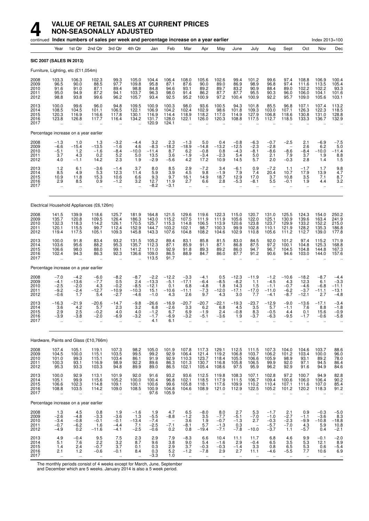**4**

|                                      |                                                          |                                                         | continued Index numbers of sales per week and percentage increase on a year earlier |                                                          |                                                        |                                                                   |                                                     |                                              |                                                          |                                                          |                                                          |                                                          |                                                      |                                                               |                                                | Index 2013=100                                          |                                                  |
|--------------------------------------|----------------------------------------------------------|---------------------------------------------------------|-------------------------------------------------------------------------------------|----------------------------------------------------------|--------------------------------------------------------|-------------------------------------------------------------------|-----------------------------------------------------|----------------------------------------------|----------------------------------------------------------|----------------------------------------------------------|----------------------------------------------------------|----------------------------------------------------------|------------------------------------------------------|---------------------------------------------------------------|------------------------------------------------|---------------------------------------------------------|--------------------------------------------------|
|                                      | Year                                                     | 1st Qtr                                                 | 2nd Qtr                                                                             | 3rd Qtr                                                  | 4th Qtr                                                | Jan                                                               | Feb                                                 | Mar                                          | Apr                                                      | May                                                      | June                                                     | July                                                     | Aug                                                  | Sept                                                          | Oct                                            | Nov                                                     | Dec                                              |
|                                      |                                                          | <b>SIC 2007 (SALES IN 2013)</b>                         |                                                                                     |                                                          |                                                        |                                                                   |                                                     |                                              |                                                          |                                                          |                                                          |                                                          |                                                      |                                                               |                                                |                                                         |                                                  |
|                                      |                                                          | Furniture, Lighting, etc (£11,054m)                     |                                                                                     |                                                          |                                                        |                                                                   |                                                     |                                              |                                                          |                                                          |                                                          |                                                          |                                                      |                                                               |                                                |                                                         |                                                  |
| 2008<br>2009<br>2010<br>2011<br>2012 | 103.3<br>96.5<br>91.6<br>95.0<br>98.8                    | 106.3<br>90.0<br>91.0<br>94.9<br>93.8                   | 102.3<br>88.5<br>87.1<br>87.2<br>99.6                                               | 99.3<br>97.7<br>89.4<br>94.1<br>96.2                     | 105.0<br>109.8<br>98.8<br>103.7<br>105.7               | 104.4<br>95.8<br>84.8<br>96.3<br>93.4                             | 106.4<br>87.1<br>94.6<br>98.0<br>92.5               | 108.0<br>87.6<br>93.1<br>91.4<br>95.2        | 105.6<br>90.0<br>89.2<br>86.2<br>100.9                   | 102.6<br>89.0<br>89.7<br>87.7<br>97.2                    | 99.4<br>86.9<br>83.2<br>87.7<br>100.4                    | 101.2<br>98.9<br>90.9<br>95.5<br>100.9                   | 99.6<br>96.8<br>88.4<br>90.3<br>92.2                 | 97.4<br>97.4<br>89.0<br>96.0<br>95.7                          | 108.8<br>111.6<br>102.2<br>106.0<br>109.0      | 106.9<br>113.5<br>102.2<br>104.1<br>105.6               | 100.4<br>105.4<br>93.3<br>101.6<br>103.1         |
| 2013<br>2014<br>2015<br>2016<br>2017 | 100.0<br>108.5<br>120.3<br>123.8<br>$\ddot{\phantom{a}}$ | 99.6<br>104.5<br>116.9<br>126.8<br>ä.                   | 96.0<br>101.1<br>116.6<br>117.7<br>ä.                                               | 94.8<br>106.5<br>117.8<br>116.4<br>$\ddot{\phantom{1}}$  | 109.5<br>122.1<br>130.1<br>134.2<br>$\ddotsc$          | 100.9<br>106.9<br>116.9<br>131.7<br>120.9                         | 100.3<br>104.2<br>114.4<br>128.0<br>124.1           | 98.0<br>102.4<br>118.9<br>122.1<br>$\ddotsc$ | 93.6<br>102.9<br>118.2<br>126.0                          | 100.5<br>98.6<br>117.0<br>120.3                          | 94.3<br>101.8<br>114.9<br>108.8                          | 101.8<br>109.3<br>127.9<br>117.5                         | 85.5<br>103.0<br>106.8<br>112.7                      | 96.8<br>107.1<br>118.6<br>118.5                               | 107.1<br>126.3<br>130.8<br>133.3               | 107.4<br>122.3<br>131.0<br>136.7                        | 113.2<br>118.5<br>128.8<br>132.9                 |
|                                      |                                                          | Percentage increase on a year earlier                   |                                                                                     |                                                          |                                                        |                                                                   |                                                     |                                              |                                                          |                                                          |                                                          |                                                          |                                                      |                                                               |                                                |                                                         |                                                  |
| 2008<br>2009<br>2010<br>2011<br>2012 | $-1.3$<br>$-6.6$<br>$-5.1$<br>3.7<br>4.0                 | 1.0<br>$-15.4$<br>1.2<br>4.3<br>$-1.1$                  | 1.3<br>-13.5<br>$-1.6$<br>0.2<br>14.2                                               | $-3.2$<br>$-1.6$<br>$-8.4$<br>5.2<br>2.3                 | $-4.4$<br>4.6<br>$-10.0$<br>5.0<br>1.9                 | 3.2<br>$-8.3$<br>$-11.4$<br>13.5<br>$-2.9$                        | 2.3<br>$-18.2$<br>8.7<br>3.6<br>$-5.6$              | $-1.3$<br>$-18.9$<br>6.2<br>$-1.9$<br>4.2    | 5.0<br>$-14.8$<br>$-0.8$<br>$-3.4$<br>17.2               | 0.4<br>$-13.2$<br>0.8<br>$-2.3$<br>10.9                  | $-0.8$<br>$-12.5$<br>$-4.3$<br>5.4<br>14.5               | $-6.3$<br>$-2.3$<br>$-8.1$<br>5.0<br>5.7                 | $-0.7$<br>$-2.8$<br>$-8.6$<br>2.1<br>2.0             | $-2.5$<br>$\overline{\phantom{0}}$<br>$-8.6$<br>7.9<br>$-0.3$ | 2.1<br>2.6<br>-8.4<br>3.7<br>2.8               | $-6.9$<br>6.2<br>$-10.0$<br>1.9<br>1.4                  | $-7.5$<br>5.0<br>$-11.4$<br>8.8<br>1.5           |
| 2013<br>2014<br>2015<br>2016<br>2017 | 1.2<br>8.5<br>10.9<br>2.9                                | 6.1<br>4.9<br>11.8<br>8.5                               | $-3.6$<br>5.3<br>15.3<br>0.9<br>$\ddot{\phantom{a}}$                                | $-1.4$<br>12.3<br>10.6<br>$-1.2$<br>ä.                   | 3.7<br>11.4<br>6.6<br>3.2<br>$\ddot{\phantom{a}}$      | 8.0<br>5.9<br>9.3<br>12.7<br>$-8.2$                               | 8.5<br>3.9<br>9.7<br>11.9<br>$-3.1$                 | 2.9<br>4.5<br>16.1<br>2.7<br>$\ddotsc$       | $-7.2$<br>9.8<br>14.9<br>6.6<br>$\ddotsc$                | 3.4<br>$-1.9$<br>18.7<br>2.8<br>$\ddot{\phantom{a}}$     | $-6.1$<br>7.9<br>12.9<br>-5.3<br>$\ddot{\phantom{a}}$    | 0.9<br>7.4<br>17.0<br>$-8.1$                             | $-7.2$<br>20.4<br>3.7<br>5.5<br>$\ddot{\phantom{a}}$ | 1.1<br>10.7<br>10.8<br>$-0.1$                                 | $-1.7$<br>17.9<br>3.5<br>1.9<br>$\ddotsc$      | 1.7<br>13.9<br>7.1<br>4.4<br>$\ddotsc$                  | 9.8<br>4.7<br>8.7<br>3.2<br>$\ddotsc$            |
|                                      |                                                          |                                                         | Electrical Household Appliances (£6,126m)                                           |                                                          |                                                        |                                                                   |                                                     |                                              |                                                          |                                                          |                                                          |                                                          |                                                      |                                                               |                                                |                                                         |                                                  |
| 2008<br>2009<br>2010<br>2011<br>2012 | 141.5<br>135.7<br>132.3<br>120.1<br>119.4                | 139.9<br>120.8<br>118.3<br>115.5<br>117.5               | 118.6<br>109.5<br>114.2<br>99.7<br>105.1                                            | 125.7<br>126.4<br>126.1<br>112.4<br>109.3                | 181.9<br>186.3<br>170.5<br>152.9<br>145.8              | 164.8<br>143.0<br>125.7<br>144.7<br>143.3                         | 121.5<br>115.2<br>115.3<br>103.2<br>107.6           | 129.6<br>107.5<br>114.8<br>102.1<br>104.8    | 119.6<br>111.9<br>106.5<br>98.7<br>108.2                 | 122.3<br>111.9<br>113.9<br>100.3<br>104.6                | 115.0<br>105.6<br>120.6<br>99.9<br>102.9                 | 120.7<br>122.0<br>123.8<br>102.8<br>110.8                | 131.0<br>125.1<br>123.7<br>110.1<br>105.6            | 125.5<br>130.9<br>129.9<br>121.9<br>111.2                     | 124.3<br>139.6<br>133.2<br>128.2<br>112.7      | 154.0<br>163.4<br>152.2<br>135.3<br>139.0               | 250.2<br>241.9<br>215.0<br>186.8<br>177.8        |
| 2013<br>2014<br>2015<br>2016<br>2017 | 100.0<br>103.6<br>106.6<br>102.4<br>$\ddot{\phantom{a}}$ | 91.8<br>95.6<br>98.0<br>94.3<br>÷.                      | 83.4<br>88.2<br>88.0<br>86.3                                                        | 93.2<br>95.3<br>99.1<br>92.3<br>$\ddot{\phantom{a}}$     | 131.5<br>135.7<br>141.2<br>136.6                       | 105.2<br>112.3<br>111.0<br>109.0<br>113.5                         | 89.4<br>87.1<br>92.9<br>86.5<br>91.7                | 83.1<br>85.9<br>91.8<br>88.9<br>÷.           | 85.8<br>91.1<br>89.3<br>84.7                             | 81.5<br>87.1<br>89.2<br>86.0                             | 83.0<br>86.8<br>86.0<br>87.7                             | 84.5<br>87.5<br>94.7<br>91.2                             | 92.0<br>97.2<br>96.7<br>90.6                         | 101.2<br>100.1<br>104.5<br>94.6                               | 97.4<br>104.8<br>104.8<br>103.0                | 115.2<br>125.3<br>144.8<br>144.0                        | 171.9<br>168.8<br>167.3<br>157.6                 |
|                                      |                                                          | Percentage increase on a year earlier                   |                                                                                     |                                                          |                                                        |                                                                   |                                                     |                                              |                                                          |                                                          |                                                          |                                                          |                                                      |                                                               |                                                |                                                         |                                                  |
| 2008<br>2009<br>2010<br>2011<br>2012 | $-7.0$<br>$-4.1$<br>$-2.5$<br>$-9.2$<br>$-0.6$           | $-4.2$<br>$-13.6$<br>$-2.0$<br>$-2.4$<br>1.7            | $-6.0$<br>$-7.7$<br>4.3<br>$-12.7$<br>5.4                                           | $-8.2$<br>0.5<br>$-0.2$<br>$-10.9$<br>$-2.7$             | $-8.7$<br>2.4<br>$-8.5$<br>$-10.3$<br>$-4.6$           | $-2.2$<br>$-13.3$<br>$-12.1$<br>15.1<br>$-1.0$                    | $-12.2$<br>$-5.1$<br>0.1<br>$-10.6$<br>4.3          | $-3.3$<br>$-17.1$<br>6.8<br>$-11.1$<br>2.6   | $-4.1$<br>$-6.4$<br>$-4.8$<br>$-7.3$<br>9.7              | 0.5<br>$-8.5$<br>1.8<br>$-12.0$<br>4.3                   | $-12.3$<br>$-8.2$<br>14.3<br>$-17.1$<br>3.0              | $-11.9$<br>1.1<br>1.5<br>$-17.0$<br>7.7                  | $-1.2$<br>$-4.5$<br>$-1.1$<br>$-11.0$<br>$-4.1$      | $-10.6$<br>4.3<br>$-0.7$<br>$-6.2$<br>$-8.7$                  | $-18.2$<br>12.3<br>$-4.6$<br>$-3.7$<br>$-12.1$ | $-8.7$<br>6.1<br>$-6.8$<br>$-11.1$<br>2.7               | $-4.4$<br>$-3.3$<br>$-11.1$<br>$-13.1$<br>$-4.8$ |
| 2013<br>2014<br>2015<br>2016<br>2017 | $-16.3$<br>3.6<br>2.9<br>$-3.9$                          | $-21.9$<br>4.2<br>2.5<br>$-3.8$<br>$\ddot{\phantom{a}}$ | $-20.6$<br>5.7<br>$-0.2$<br>$-2.0$<br>$\ddot{\phantom{a}}$                          | $-14.7$<br>2.3<br>4.0<br>$-6.9$                          | $-9.8$<br>3.2<br>4.0<br>$-3.2$<br>$\ddot{\phantom{a}}$ | $-26.6$<br>6.8<br>$-1.2$<br>$-1.7$<br>4.1                         | $-16.9$<br>$-2.6$<br>6.7<br>$-6.9$<br>6.1           | $-20.7$<br>3.3<br>6.9<br>$-3.2$              | $-20.7$<br>6.2<br>$-1.9$<br>$-5.1$                       | $-22.1$<br>6.8<br>2.4<br>$-3.6$                          | $-19.3$<br>4.5<br>$-0.8$<br>1.9                          | $-23.7$<br>3.5<br>8.3<br>$-3.7$                          | $-12.9$<br>5.7<br>$-0.5$<br>$-6.3$                   | $-9.0$<br>$-1.1$<br>4.4<br>$-9.5$                             | $-13.6$<br>7.6<br>0.1<br>$-1.7$                | $-17.1$<br>8.8<br>15.6<br>$-0.6$                        | $-3.4$<br>$-1.8$<br>$-0.9$<br>$-5.8$             |
|                                      |                                                          |                                                         | Hardware, Paints and Glass (£10,766m)                                               |                                                          |                                                        |                                                                   |                                                     |                                              |                                                          |                                                          |                                                          |                                                          |                                                      |                                                               |                                                |                                                         |                                                  |
| 2008<br>2009<br>2010<br>2011<br>2012 | 107.4<br>104.5<br>101.0<br>100.3<br>95.3                 | 105.1<br>100.0<br>99.3<br>93.1<br>93.3                  | 119.1<br>115.1<br>115.1<br>116.9<br>103.3                                           | 107.3<br>103.5<br>103.4<br>98.9<br>94.8                  | 98.2<br>99.5<br>86.1<br>92.2<br>89.9                   | 105.0<br>99.2<br>91.9<br>89.6<br>89.0                             | 101.9<br>92.9<br>92.9<br>86.3<br>86.5               | 107.8<br>106.4<br>110.3<br>101.3<br>102.1    | 117.3<br>121.4<br>123.7<br>130.7<br>105.4                | 129.1<br>119.2<br>118.4<br>116.8<br>108.6                | 112.5<br>106.8<br>105.5<br>105.8<br>97.5                 | 111.5<br>103.7<br>106.6<br>106.5<br>95.9                 | 107.3<br>106.2<br>105.9<br>99.9<br>96.2              | 104.0<br>101.2<br>98.9<br>92.0<br>92.9                        | 104.6<br>103.4<br>93.1<br>97.1<br>91.6         | 103.7<br>100.0<br>89.2<br>94.5<br>94.9                  | 88.6<br>96.0<br>78.0<br>86.4<br>84.6             |
| 2013<br>2014<br>2015<br>2016<br>2017 | 100.0<br>105.1<br>106.6<br>108.8<br>$\ddot{\phantom{a}}$ | 92.9<br>99.9<br>102.3<br>103.5<br>ä,                    | 113.1<br>115.6<br>114.8<br>114.2<br>ä.                                              | 101.9<br>105.2<br>109.1<br>109.0<br>$\ddot{\phantom{a}}$ | 92.0<br>100.0<br>100.1<br>108.5<br>$\ddotsc$           | 91.6<br>100.4<br>100.6<br>100.9<br>97.6                           | 93.2<br>96.8<br>99.6<br>104.8<br>105.9              | 93.6<br>102.1<br>105.8<br>104.6<br>$\ddotsc$ | 112.5<br>118.5<br>118.1<br>108.9<br>$\ddot{\phantom{a}}$ | 119.8<br>117.9<br>117.6<br>121.0<br>$\ddot{\phantom{a}}$ | 108.3<br>111.5<br>109.9<br>112.9<br>$\ddot{\phantom{a}}$ | 107.1<br>106.7<br>110.2<br>122.5<br>$\ddot{\phantom{a}}$ | 102.8<br>109.4<br>110.4<br>105.2                     | 97.2<br>100.6<br>107.1<br>101.2                               | 100.7<br>106.0<br>111.6<br>120.2               | 94.9<br>106.4<br>107.0<br>118.3<br>$\ddot{\phantom{a}}$ | 82.8<br>90.2<br>85.4<br>91.2<br>$\ddotsc$        |
|                                      |                                                          | Percentage increase on a year earlier                   |                                                                                     |                                                          |                                                        |                                                                   |                                                     |                                              |                                                          |                                                          |                                                          |                                                          |                                                      |                                                               |                                                |                                                         |                                                  |
| 2008<br>2009<br>2010<br>2011<br>2012 | 1.3<br>$-2.6$<br>$-3.4$<br>$-0.7$<br>$-4.9$              | 4.5<br>$-4.8$<br>$-0.8$<br>-6.2<br>0.2                  | 0.8<br>$-3.3$<br>$-0.1$<br>1.6<br>$-11.6$                                           | 1.9<br>$-3.6$<br>$-0.1$<br>$-4.4$<br>$-4.1$              | $-1.6$<br>1.3<br>$-13.4$<br>7.1<br>$-2.5$              | 1.9<br>$-5.5$<br>$-7.4$<br>$-2.5$<br>$-0.6$                       | 4.7<br>$-8.8$<br>$\qquad \qquad -$<br>$-7.1$<br>0.2 | 6.5<br>$-1.2$<br>3.6<br>$-8.1$<br>0.8        | $-8.0$<br>3.5<br>$1.9$<br>5.7<br>$-19.4$                 | 8.0<br>$-7.7$<br>$-0.7$<br>$-1.3$<br>$-7.1$              | 2.7<br>$-5.1$<br>$^{-1.3}_{0.3}$<br>$-7.8$               | 5.3<br>$-7.0$<br>2.7<br>$-10.0$                          | $-1.7$<br>$-1.0$<br>$-0.3$<br>$-5.7$<br>$-3.7$       | 2.1<br>$-2.7$<br>$-2.3$<br>$-7.0$<br>1.1                      | 0.9<br>$-1.1$<br>$-9.9$<br>4.3<br>$-5.7$       | $-0.3$<br>$-3.6$<br>$^{-10.8}_{-5.9}$<br>0.4            | $-5.0$<br>8.3<br>$-18.8$<br>10.8<br>-2.1         |
| 2013<br>2014<br>2015<br>2016<br>2017 | 4.9<br>5.1<br>1.4<br>2.1                                 | $-0.4$<br>7.6<br>$^{2.4}_{1.2}$                         | 9.5<br>2.2<br>$-0.7$<br>$-0.6$                                                      | 7.5<br>3.2<br>3.7<br>$-0.1$                              | 2.3<br>8.7<br>0.1<br>8.4                               | 2.9<br>9.6<br>$\begin{array}{c} 0.3 \\ 0.3 \end{array}$<br>$-3.3$ | 7.9<br>3.8<br>$^{2.9}_{5.2}$<br>1.0                 | $-8.3$<br>9.0<br>3.7<br>$-1.2$<br>$\sim$     | 6.6<br>5.4<br>$-0.3$<br>$-7.8$                           | 10.4<br>$-1.6$<br>$-0.3$<br>2.9                          | 11.1<br>2.9<br>$-1.4$<br>2.7                             | 11.7<br>$-0.4$<br>3.3<br>11.1                            | 6.8<br>6.5<br>0.8<br>$-4.6$                          | 4.6<br>3.5<br>6.5<br>$-5.5$                                   | 9.9<br>5.3<br>$\frac{5.3}{7.7}$<br>$\ddotsc$   | $-0.1$<br>12.1<br>0.6<br>10.6<br>$\ddot{\phantom{1}}$   | $-2.0$<br>8.9<br>$-5.4$<br>6.9                   |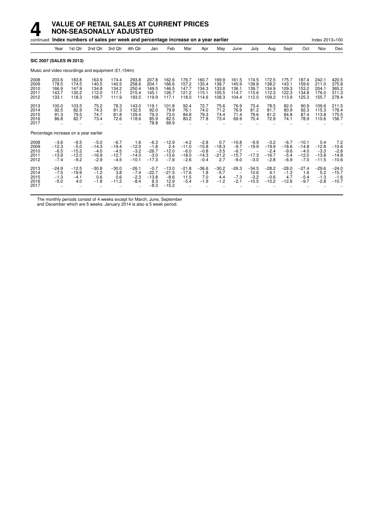**4**

|                                       |                                                    |                                                  | continued Index numbers of sales per week and percentage increase on a year earlier |                                                  |                                                               |                                                  |                                                 |                                                  |                                                  |                                            |                                                         |                                           |                                                  |                                                 |                                                   | Index 2013=100                                 |                                                |
|---------------------------------------|----------------------------------------------------|--------------------------------------------------|-------------------------------------------------------------------------------------|--------------------------------------------------|---------------------------------------------------------------|--------------------------------------------------|-------------------------------------------------|--------------------------------------------------|--------------------------------------------------|--------------------------------------------|---------------------------------------------------------|-------------------------------------------|--------------------------------------------------|-------------------------------------------------|---------------------------------------------------|------------------------------------------------|------------------------------------------------|
|                                       | Year                                               | 1st Qtr                                          | 2nd Qtr                                                                             | 3rd Qtr                                          | 4th Qtr                                                       | Jan                                              | Feb                                             | Mar                                              | Apr                                              | May                                        | June                                                    | July                                      | Aug                                              | Sept                                            | Oct                                               | Nov                                            | Dec                                            |
| <b>SIC 2007 (SALES IN 2013)</b>       |                                                    |                                                  |                                                                                     |                                                  |                                                               |                                                  |                                                 |                                                  |                                                  |                                            |                                                         |                                           |                                                  |                                                 |                                                   |                                                |                                                |
|                                       |                                                    |                                                  | Music and video recordings and equipment (£1,154m)                                  |                                                  |                                                               |                                                  |                                                 |                                                  |                                                  |                                            |                                                         |                                           |                                                  |                                                 |                                                   |                                                |                                                |
| 2008<br>2009<br>2010<br>2011<br>2012  | 203.6<br>178.5<br>166.9<br>143.7<br>133.1          | 183.8<br>174.5<br>147.9<br>130.2<br>118.3        | 163.9<br>140.5<br>134.8<br>112.0<br>108.7                                           | 174.4<br>140.5<br>134.2<br>117.1<br>111.9        | 293.8<br>258.6<br>250.4<br>215.4<br>193.5                     | 207.8<br>204.1<br>149.5<br>145.1<br>119.9        | 162.6<br>166.6<br>146.5<br>126.7<br>117.1       | 176.7<br>157.2<br>147.7<br>121.2<br>118.0        | 160.7<br>135.4<br>134.3<br>115.1<br>114.6        | 169.9<br>138.7<br>133.8<br>105.5<br>108.3  | 161.5<br>145.9<br>136.1<br>114.7<br>104.4               | 174.5<br>139.8<br>139.7<br>115.6<br>112.0 | 172.5<br>138.2<br>134.9<br>112.3<br>109.2        | 175.7<br>143.1<br>129.3<br>122.3<br>113.9       | 187.4<br>159.6<br>153.2<br>134.8<br>125.3         | 242.1<br>211.0<br>204.1<br>176.0<br>155.7      | 420.5<br>375.8<br>365.2<br>311.3<br>278.4      |
| 2013<br>2014<br>2015<br>2016<br>2017  | 100.0<br>92.5<br>91.3<br>86.8<br>$\ddotsc$         | 103.5<br>82.9<br>79.5<br>82.7                    | 75.2<br>74.3<br>74.7<br>73.4                                                        | 78.3<br>81.3<br>81.8<br>72.6                     | 143.0<br>132.5<br>129.4<br>118.6<br>$\ddotsc$                 | 119.1<br>92.0<br>79.3<br>85.9<br>78.8            | 101.8<br>79.9<br>73.0<br>82.5<br>69.9           | 92.4<br>76.1<br>84.8<br>80.2                     | 72.7<br>74.0<br>79.3<br>77.8                     | 75.6<br>71.2<br>74.4<br>73.4               | 76.9<br>76.9<br>71.4<br>69.9                            | 73.4<br>81.2<br>78.6<br>70.4              | 78.5<br>81.7<br>81.2<br>72.9                     | 82.0<br>80.9<br>84.8<br>74.1                    | 90.9<br>92.3<br>87.4<br>78.9                      | 109.6<br>115.3<br>113.8<br>110.6               | 211.5<br>178.4<br>175.5<br>156.7               |
| Percentage increase on a year earlier |                                                    |                                                  |                                                                                     |                                                  |                                                               |                                                  |                                                 |                                                  |                                                  |                                            |                                                         |                                           |                                                  |                                                 |                                                   |                                                |                                                |
| 2008<br>2009<br>2010<br>2011<br>2012  | $-3.6$<br>$-12.3$<br>$-6.5$<br>$-13.9$<br>$-7.4$   | $-6.5$<br>$-5.0$<br>$-15.2$<br>$-12.0$<br>$-9.2$ | $-5.0$<br>$-14.3$<br>$-4.0$<br>$-16.9$<br>$-2.9$                                    | $-6.7$<br>$-19.4$<br>$-4.5$<br>$-12.7$<br>$-4.5$ | 1.6<br>$-12.0$<br>$-3.2$<br>$-14.0$<br>$-10.1$                | $-6.3$<br>$-1.8$<br>$-26.7$<br>$-3.0$<br>$-17.3$ | $-12.9$<br>2.4<br>$-12.0$<br>$-13.6$<br>$-7.6$  | $-4.2$<br>$-11.0$<br>$-6.0$<br>$-18.0$<br>$-2.6$ | $-2.8$<br>$-15.8$<br>$-0.8$<br>$-14.3$<br>$-0.4$ | 0.7<br>$-18.3$<br>$-3.5$<br>$-21.2$<br>2.7 | $-10.8$<br>$-9.7$<br>$-6.7$<br>$-15.7$<br>$-9.0$        | $-9.9$<br>$-19.9$<br>$-17.3$<br>$-3.0$    | $-3.2$<br>$-19.9$<br>$-2.4$<br>$-16.7$<br>$-2.8$ | $-6.7$<br>$-18.6$<br>$-9.6$<br>$-5.4$<br>$-6.9$ | $-10.1$<br>$-14.8$<br>$-4.0$<br>$-12.0$<br>$-7.0$ | 0.4<br>$-12.8$<br>$-3.3$<br>$-13.8$<br>$-11.5$ | 7.2<br>$-10.6$<br>$-2.8$<br>$-14.8$<br>$-10.6$ |
| 2013<br>2014<br>2015<br>2016<br>2017  | $-24.9$<br>$-7.5$<br>$-1.3$<br>$-5.0$<br>$\ddotsc$ | $-12.5$<br>$-19.9$<br>$-4.1$<br>4.0              | $-30.8$<br>$-1.2$<br>0.6<br>$-1.8$                                                  | $-30.0$<br>3.8<br>0.6<br>$-11.2$                 | $-26.1$<br>$-7.4$<br>$-2.3$<br>$-8.4$<br>$\ddot{\phantom{a}}$ | $-0.7$<br>$-22.7$<br>$-13.8$<br>8.3<br>$-8.3$    | $-13.0$<br>$-21.5$<br>$-8.6$<br>12.9<br>$-15.2$ | $-21.8$<br>$-17.6$<br>11.5<br>$-5.4$             | $-36.6$<br>1.8<br>7.0<br>$-1.9$                  | $-30.2$<br>$-5.7$<br>4.4<br>$-1.2$         | $-26.3$<br>$\overline{\phantom{m}}$<br>$-7.3$<br>$-2.1$ | $-34.5$<br>10.6<br>$-3.2$<br>$-10.5$      | $-28.2$<br>4.1<br>$-0.6$<br>$-10.2$              | $-28.0$<br>$-1.3$<br>4.7<br>$-12.6$             | $-27.4$<br>1.6<br>$-5.4$<br>$-9.7$                | $-29.6$<br>5.2<br>$-1.3$<br>$-2.8$             | $-24.0$<br>$-15.7$<br>$-1.6$<br>$-10.7$        |

The monthly periods consist of 4 weeks except for March, June, September

and December which are 5 weeks. January 2014 is also a 5 week period.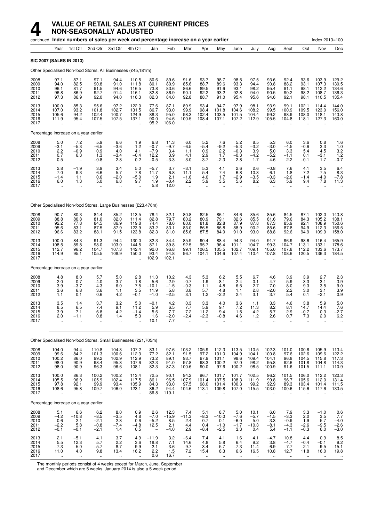**4**

|                                      |                                                           |                                                            | continued Index numbers of sales per week and percentage increase on a year earlier |                                                         |                                                          |                                                                        |                                           |                                                      |                                           |                                           |                                                     |                                            |                                                    |                                               |                                               | Index 2013=100                               |                                                           |
|--------------------------------------|-----------------------------------------------------------|------------------------------------------------------------|-------------------------------------------------------------------------------------|---------------------------------------------------------|----------------------------------------------------------|------------------------------------------------------------------------|-------------------------------------------|------------------------------------------------------|-------------------------------------------|-------------------------------------------|-----------------------------------------------------|--------------------------------------------|----------------------------------------------------|-----------------------------------------------|-----------------------------------------------|----------------------------------------------|-----------------------------------------------------------|
|                                      | Year                                                      | 1st Qtr                                                    | 2nd Qtr                                                                             | 3rd Qtr                                                 | 4th Qtr                                                  | Jan                                                                    | Feb                                       | Mar                                                  | Apr                                       | May                                       | June                                                | July                                       | Aug                                                | Sept                                          | Oct                                           | Nov                                          | Dec                                                       |
|                                      | SIC 2007 (SALES IN 2013)                                  |                                                            |                                                                                     |                                                         |                                                          |                                                                        |                                           |                                                      |                                           |                                           |                                                     |                                            |                                                    |                                               |                                               |                                              |                                                           |
|                                      |                                                           |                                                            | Other Specialised Non-food Stores, All Businesses (£45,181m)                        |                                                         |                                                          |                                                                        |                                           |                                                      |                                           |                                           |                                                     |                                            |                                                    |                                               |                                               |                                              |                                                           |
| 2008<br>2009<br>2010<br>2011<br>2012 | 97.1<br>94.0<br>96.1<br>96.8<br>97.3                      | 87.1<br>82.5<br>81.7<br>86.9<br>86.9                       | 97.1<br>90.8<br>91.5<br>92.7<br>92.0                                                | 94.4<br>91.0<br>94.6<br>91.4<br>94.0                    | 110.5<br>111.8<br>116.5<br>116.1<br>116.3                | 80.6<br>80.1<br>73.8<br>82.8<br>82.3                                   | 89.6<br>80.9<br>83.6<br>86.9<br>84.0      | 91.6<br>85.6<br>86.6<br>90.1<br>92.8                 | 93.7<br>88.7<br>89.5<br>92.2<br>88.7      | 98.7<br>89.6<br>91.6<br>93.2<br>91.0      | 98.5<br>93.3<br>93.1<br>92.8<br>95.4                | 97.5<br>94.4<br>98.2<br>94.0<br>95.6       | 93.6<br>90.8<br>95.4<br>90.5<br>94.6               | 92.4<br>88.2<br>91.1<br>90.2<br>92.1          | 93.6<br>93.1<br>98.1<br>98.2<br>98.1          | 103.9<br>107.3<br>112.2<br>108.7<br>110.5    | 129.2<br>130.5<br>134.6<br>136.3<br>135.4                 |
| 2013<br>2014<br>2015<br>2016<br>2017 | 100.0<br>107.0<br>105.6<br>111.9                          | 85.3<br>93.2<br>94.2<br>95.4                               | 95.6<br>101.8<br>102.4<br>107.5<br>$\ddot{\phantom{a}}$                             | 97.2<br>102.7<br>100.7<br>107.5                         | 122.0<br>131.5<br>124.9<br>137.1                         | 77.6<br>86.7<br>88.3<br>90.0<br>95.2                                   | 87.1<br>93.0<br>95.0<br>94.6<br>106.0     | 89.9<br>99.9<br>98.3<br>100.5                        | 93.4<br>98.4<br>102.4<br>108.4            | 94.7<br>101.8<br>103.5<br>107.1           | 97.9<br>104.6<br>101.5<br>107.2                     | 98.1<br>108.2<br>104.4<br>112.9            | 93.9<br>99.5<br>99.2<br>105.5                      | 99.1<br>100.9<br>98.9<br>104.8                | 102.1<br>109.5<br>108.0<br>118.1              | 114.4<br>123.0<br>118.1<br>127.3             | 144.0<br>156.0<br>143.8<br>160.0                          |
|                                      | Percentage increase on a year earlier                     |                                                            |                                                                                     |                                                         |                                                          |                                                                        |                                           |                                                      |                                           |                                           |                                                     |                                            |                                                    |                                               |                                               |                                              |                                                           |
| 2008<br>2009<br>2010<br>2011<br>2012 | 5.0<br>$-3.1$<br>$^{2.2}_{0.7}$<br>0.5                    | 7.2<br>$-5.3$<br>$-0.9$<br>6.3<br>$\overline{\phantom{0}}$ | 5.9<br>$-6.5$<br>0.9<br>1.3<br>$-0.8$                                               | 6.6<br>-3.6<br>4.0<br>$-3.4$<br>2.8                     | 1.9<br>1.2<br>4.1<br>$-0.4$<br>0.2                       | 6.8<br>$-0.7$<br>$-7.9$<br>12.2<br>$-0.5$                              | 11.3<br>$-9.7$<br>3.4<br>3.9<br>$-3.3$    | 6.0<br>-6.5<br>1.1<br>4.1<br>3.0                     | 5.2<br>$-5.4$<br>0.9<br>2.9<br>$-3.7$     | 7.6<br>$-9.2$<br>$2.2$<br>1.7<br>-2.3     | 5.2<br>$-5.3$<br>$-0.3$<br>$-0.3$<br>2.8            | 8.5<br>$-3.2$<br>3.9<br>$-4.2$<br>1.7      | 5.3<br>$-3.0$<br>5.0<br>$-5.2$<br>4.6              | 6.0<br>$-4.5$<br>3.3<br>$-1.1$<br>2.2         | 3.6<br>$-0.6$<br>5.4<br>0.1<br>-0.1           | 0.8<br>3.3<br>4.5<br>$-3.1$<br>1.7           | 1.6<br>1.0<br>$3.2$<br>$1.2$<br>$-0.7$                    |
| 2013<br>2014<br>2015<br>2016<br>2017 | 2.8<br>7.0<br>$-1.4$<br>6.0<br>$\ddot{\phantom{a}}$       | $-1.9$<br>9.3<br>1.1<br>1.3<br>ä.                          | 3.9<br>6.6<br>0.6<br>5.0<br>ä.                                                      | 3.4<br>5.7<br>$-2.0$<br>6.8<br>$\ddot{\phantom{a}}$     | 5.0<br>7.8<br>-5.0<br>9.7<br>$\ddotsc$                   | $-5.7$<br>11.7<br>1.9<br>1.9<br>5.8                                    | 3.7<br>6.8<br>2.1<br>$-0.4$<br>12.0       | $-3.1$<br>11.1<br>$-1.6$<br>2.2<br>$\ddotsc$         | 5.3<br>5.4<br>4.0<br>5.9<br>$\ldots$      | 4.1<br>7.4<br>1.7<br>3.5<br>$\ddotsc$     | 2.6<br>6.8<br>$-2.9$<br>5.6<br>$\ddot{\phantom{0}}$ | 2.6<br>10.3<br>$-3.5$<br>8.2<br>$\cdot$ .  | $-0.8$<br>6.1<br>$-0.3$<br>6.3<br>$\ddotsc$        | 7.6<br>1.8<br>$-2.0$<br>5.9<br>$\ddotsc$      | 4.1<br>7.2<br>$-1.4$<br>9.4<br>$\ddotsc$      | 3.5<br>7.5<br>-4.0<br>7.8<br>$\ddotsc$       | 6.4<br>8.3<br>$-7.8$<br>11.3                              |
|                                      |                                                           |                                                            | Other Specialised Non-food Stores, Large Businesses (£23,476m)                      |                                                         |                                                          |                                                                        |                                           |                                                      |                                           |                                           |                                                     |                                            |                                                    |                                               |                                               |                                              |                                                           |
| 2008<br>2009<br>2010<br>2011<br>2012 | 90.7<br>88.8<br>92.2<br>95.6<br>96.6                      | 80.3<br>80.8<br>77.8<br>83.1<br>83.2                       | 84.4<br>81.0<br>84.5<br>87.5<br>88.1                                                | 85.2<br>82.0<br>86.9<br>87.9<br>91.5                    | 113.5<br>111.4<br>119.8<br>123.9<br>123.8                | 78.4<br>82.8<br>74.4<br>83.2<br>82.3                                   | 82.1<br>79.7<br>78.6<br>83.1<br>81.0      | 80.8<br>80.2<br>80.0<br>83.0<br>85.6                 | 82.5<br>80.9<br>81.8<br>86.5<br>87.5      | 86.1<br>79.1<br>82.8<br>86.8<br>84.9      | 84.6<br>82.6<br>87.9<br>88.9<br>91.0                | 85.6<br>85.5<br>87.8<br>90.2<br>93.0       | 85.6<br>81.6<br>87.3<br>85.6<br>88.8               | 84.5<br>79.6<br>85.9<br>87.8<br>92.6          | 87.1<br>84.3<br>92.1<br>94.9<br>94.9          | 102.0<br>105.2<br>108.9<br>112.3<br>109.9    | 143.8<br>138.1<br>150.6<br>156.5<br>158.0                 |
| 2013<br>2014<br>2015<br>2016<br>2017 | 100.0<br>108.5<br>112.7<br>114.9                          | 84.3<br>89.8<br>96.2<br>95.1<br>ä.                         | 91.3<br>98.0<br>104.7<br>105.5<br>$\ddot{\phantom{a}}$                              | 94.4<br>103.0<br>107.3<br>108.9<br>$\ddot{\phantom{a}}$ | 130.0<br>144.5<br>142.4<br>150.0<br>$\ddot{\phantom{a}}$ | 82.3<br>87.1<br>92.0<br>93.4<br>102.9                                  | 84.4<br>89.8<br>96.8<br>94.8<br>102.1     | 85.9<br>92.5<br>99.1<br>96.7<br>$\ddot{\phantom{a}}$ | 90.4<br>95.7<br>106.5<br>104.1            | 88.4<br>96.4<br>105.5<br>104.6            | 94.3<br>101.1<br>102.7<br>107.4                     | 94.0<br>104.7<br>109.1<br>110.4            | 91.7<br>99.3<br>105.0<br>107.8                     | 96.9<br>104.7<br>107.8<br>108.6               | 98.6<br>113.1<br>112.2<br>120.5               | 116.4<br>133.1<br>133.6<br>136.3             | 165.9<br>178.6<br>173.7<br>184.5                          |
|                                      | Percentage increase on a year earlier                     |                                                            |                                                                                     |                                                         |                                                          |                                                                        |                                           |                                                      |                                           |                                           |                                                     |                                            |                                                    |                                               |                                               |                                              |                                                           |
| 2008<br>2009<br>2010<br>2011<br>2012 | 4.8<br>$-2.0$<br>3.9<br>3.6<br>1.1                        | 8.0<br>0.7<br>$-3.7$<br>6.8<br>0.1                         | 5.7<br>$-4.0$<br>4.3<br>3.6<br>0.6                                                  | 5.0<br>$-3.7$<br>6.0<br>1.1<br>4.2                      | 2.8<br>$-1.8$<br>7.5<br>3.5<br>$-0.1$                    | 11.3<br>5.6<br>$-10.1$<br>11.9<br>$-1.0$                               | 10.2<br>$-2.9$<br>$-1.5$<br>5.8<br>$-2.5$ | $4.3 - 0.7$<br>-0.3<br>3.8<br>3.1                    | 5.3<br>$-1.9$<br>1.1<br>5.7<br>1.2        | 6.2<br>$-8.1$<br>4.8<br>4.8<br>$-2.2$     | 5.5<br>$-2.4$<br>6.5<br>1.1<br>2.4                  | 6.7<br>$-0.1$<br>2.7<br>2.8<br>3.1         | 4.6<br>$-4.7$<br>7.0<br>$-2.0$<br>3.7              | 3.9<br>$-5.9$<br>8.0<br>2.2<br>5.4            | 3.9<br>$-3.\overline{3}$<br>9.3<br>3.0<br>0.1 | 2.7<br>3.1<br>3.5<br>3.1<br>$-2.1$           | $\frac{2.3}{-3.9}$<br>9.0<br>$\frac{3.9}{0.9}$            |
| 2013<br>2014<br>2015<br>2016<br>2017 | 3.5<br>8.5<br>3.9<br>2.0                                  | 1.4<br>6.5<br>7.1<br>$-1.1$                                | 3.7<br>7.4<br>6.8<br>0.8<br>ä,                                                      | 3.2<br>9.1<br>4.2<br>1.4<br>$\ddot{\phantom{a}}$        | 5.0<br>11.2<br>$-1.4$<br>5.3<br>$\ddot{\phantom{a}}$     | $-0.1$<br>5.9<br>5.6<br>1.6<br>10.1                                    | 4.2<br>6.5<br>7.7<br>$-2.0$<br>7.7        | 0.3<br>7.7<br>7.2<br>$-2.4$                          | 3.3<br>5.9<br>11.2<br>$-2.3$              | 4.0<br>9.1<br>9.4<br>$-0.8$               | 3.6<br>7.2<br>1.5<br>4.6                            | 1.1<br>11.3<br>4.2<br>1.2<br>ä.            | 3.3<br>8.2<br>5.7<br>2.6                           | 4.6<br>8.1<br>2.9<br>0.7                      | 3.8<br>14.7<br>-0.7<br>$7.3\,$<br>ä.          | 5.9<br>14.4<br>0.3<br>2.0<br>ä.              | 5.0<br>7.6<br>$-2.7$<br>6.2                               |
|                                      |                                                           |                                                            | Other Specialised Non-food Stores, Small Businesses (£21,705m)                      |                                                         |                                                          |                                                                        |                                           |                                                      |                                           |                                           |                                                     |                                            |                                                    |                                               |                                               |                                              |                                                           |
| 2008<br>2009<br>2010<br>2011<br>2012 | 104.0<br>99.6<br>100.2<br>98.0<br>98.0                    | 94.4<br>84.2<br>86.0<br>90.9<br>90.9                       | 110.8<br>101.3<br>99.2<br>98.4<br>96.3                                              | 104.3<br>100.6<br>102.9<br>95.3<br>96.6                 | 107.2<br>$112.3$<br>$112.9$<br>107.6<br>108.1            | 83.1<br>77.2<br>73.2<br>82.3<br>82.3                                   | 97.6<br>82.1<br>89.1<br>91.0<br>87.3      | 103.2<br>91.5<br>93.7<br>97.8<br>100.6               | 105.9<br>97.2<br>97.9<br>98.3<br>90.0     | 112.3<br>101.0<br>101.1<br>100.2<br>97.6  | 113.5<br>104.9<br>98.6<br>97.0<br>100.2             | 110.5<br>104.1<br>109.4<br>98.2<br>98.5    | 102.3<br>100.8<br>104.1<br>95.8<br>100.9           | 101.0<br>97.6<br>96.8<br>92.6<br>91.6         | 100.6<br>102.6<br>104.5<br>101.8<br>101.5     | 105.9<br>109.6<br>115.8<br>104.8<br>111.1    | 113.4<br>$\frac{122.2}{117.3}$<br>114.3<br>110.9          |
| 2013<br>2014<br>2015<br>2016<br>2017 | 100.0<br>105.5<br>97.8<br>108.6<br>$\ddot{\phantom{a}}$   | 86.3<br>96.9<br>92.1<br>95.8<br>$\ddot{\phantom{a}}$       | 100.2<br>105.9<br>99.9<br>109.7<br>ä,                                               | 100.2<br>102.4<br>93.4<br>106.0<br>$\ddot{\phantom{1}}$ | 113.4<br>117.5<br>105.9<br>123.1<br>$\ddot{\phantom{a}}$ | 72.5<br>86.1<br>84.3<br>86.2<br>86.8                                   | 90.1<br>96.5<br>93.0<br>94.4<br>110.1     | 94.2<br>107.9<br>97.5<br>104.6                       | 96.7<br>101.4<br>98.0<br>113.1<br>ä.      | 101.7<br>107.5<br>101.4<br>109.8          | 101.7<br>108.3<br>100.3<br>107.0                    | 102.5<br>111.9<br>99.2<br>115.5            | 96.2<br>99.8<br>92.9<br>103.0                      | 101.5<br>96.7<br>89.3<br>100.6                | 106.0<br>105.6<br>103.4<br>115.6              | 112.2<br>112.0<br>101.4<br>117.6             | 120.3<br>131.4<br>111.5<br>133.5                          |
|                                      | Percentage increase on a year earlier                     |                                                            |                                                                                     |                                                         |                                                          |                                                                        |                                           |                                                      |                                           |                                           |                                                     |                                            |                                                    |                                               |                                               |                                              |                                                           |
| 2008<br>2009<br>2010<br>2011<br>2012 | 5.1<br>$-4.2$<br>0.6<br>$-2.2$<br>$-0.1$                  | 6.6<br>$-10.8$<br>2.1<br>5.8<br>$-0.1$                     | 6.2<br>$-8.5$<br>$-2.1$<br>$-0.8$<br>$-2.1$                                         | 8.0<br>$-3.5$<br>2.3<br>$-7.4$<br>1.4                   | 0.9<br>4.8<br>0.6<br>$-4.8$<br>0.5                       | 2.6<br>$-7.0$<br>$-5.\overline{2}$<br>12.5<br>$\overline{\phantom{a}}$ | 12.3<br>$-15.9$<br>8.5<br>2.1<br>$-4.0$   | 7.4<br>$-11.3$<br>2.4<br>4.4<br>2.9                  | 5.1<br>$-8.3$<br>0.7<br>0.4<br>$-8.4$     | 8.7<br>$-10.0$<br>0.1<br>$-1.0$<br>$-2.5$ | 5.0<br>$-7.6$<br>$-6.0$<br>$-1.7$<br>3.3            | 10.1<br>$-5.7$<br>5.0<br>$-10.3$<br>0.4    | 6.0<br>$-1.5$<br>$3.\overline{3}$<br>$-8.1$<br>5.4 | 7.9<br>$-3.3$<br>$-0.9$<br>$-4.3$<br>$-1.1$   | 3.3<br>2.0<br>1.9<br>$-2.6$<br>$-0.3$         | $-1.0$<br>3.5<br>5.7<br>$-9.5$<br>6.0        | $0.6$<br>7.7<br>$-4.0$<br>$-2.6$<br>$-3.0$                |
| 2013<br>2014<br>2015<br>2016<br>2017 | 2.1<br>$\frac{5.5}{-7.3}$<br>11.0<br>$\ddot{\phantom{1}}$ | $-5.1$<br>12.3<br>$-5.0$<br>4.0<br>$\ddot{\phantom{1}}$    | 4.1<br>5.7<br>$-5.7$<br>9.8<br>$\ddotsc$                                            | 3.7<br>2.2<br>$-\overline{8.7}$<br>13.4<br>$\ddotsc$    | 4.9<br>3.6<br>$-9.9$<br>16.2<br>$\ddotsc$                | $-11.9$<br>18.8<br>$-2.1$<br>2.2<br>0.6                                | 3.2<br>7.1<br>$-3.6$<br>1.5<br>16.7       | $-6.4$<br>14.6<br>$-9.7$<br>7.2<br>$\ddotsc$         | 7.4<br>4.8<br>$-3.4$<br>15.4<br>$\ddotsc$ | 4.1<br>5.8<br>$-5.7$<br>8.3<br>$\sim$     | 1.6<br>6.4<br>$-7.3$<br>6.6<br>$\ddotsc$            | 4.1<br>9.2<br>$-11.4$<br>16.5<br>$\ddotsc$ | $-4.7$<br>3.8<br>$-6.9$<br>10.8<br>$\sim$          | 10.8<br>$-4.7$<br>$-7.7$<br>12.7<br>$\ddotsc$ | 4.4<br>$-0.4$<br>$-2.1$<br>11.8<br>$\ddotsc$  | 0.9<br>$-0.1$<br>$-9.5$<br>16.0<br>$\ddotsc$ | $8.5$<br>$9.2$<br>$-15.1$<br>19.8<br>$\ddot{\phantom{1}}$ |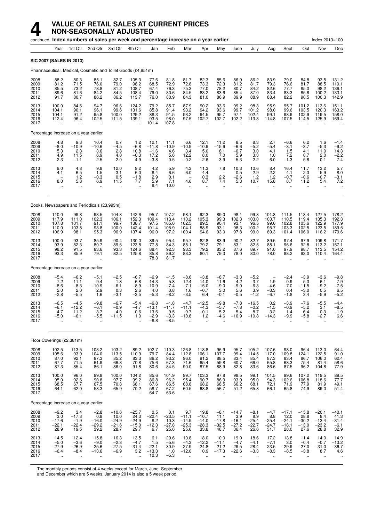**4**

|                                      |                                                                       |                                                             | continued Index numbers of sales per week and percentage increase on a year earlier |                                                       |                                               |                                               |                                              |                                                                       |                                                          |                                                            |                                                      |                                                      |                                                      |                                                      |                                               | Index 2013=100                                       |                                              |
|--------------------------------------|-----------------------------------------------------------------------|-------------------------------------------------------------|-------------------------------------------------------------------------------------|-------------------------------------------------------|-----------------------------------------------|-----------------------------------------------|----------------------------------------------|-----------------------------------------------------------------------|----------------------------------------------------------|------------------------------------------------------------|------------------------------------------------------|------------------------------------------------------|------------------------------------------------------|------------------------------------------------------|-----------------------------------------------|------------------------------------------------------|----------------------------------------------|
|                                      | Year                                                                  | 1st Qtr                                                     | 2nd Qtr                                                                             | 3rd Qtr                                               | 4th Qtr                                       | Jan                                           | Feb                                          | Mar                                                                   | Apr                                                      | May                                                        | June                                                 | July                                                 | Aug                                                  | Sept                                                 | Oct                                           | Nov                                                  | Dec                                          |
|                                      | <b>SIC 2007 (SALES IN 2013)</b>                                       |                                                             |                                                                                     |                                                       |                                               |                                               |                                              |                                                                       |                                                          |                                                            |                                                      |                                                      |                                                      |                                                      |                                               |                                                      |                                              |
|                                      |                                                                       |                                                             | Pharmaceutical, Medical, Cosmetic and Toilet Goods (£4,951m)                        |                                                       |                                               |                                               |                                              |                                                                       |                                                          |                                                            |                                                      |                                                      |                                                      |                                                      |                                               |                                                      |                                              |
| 2008<br>2009<br>2010<br>2011<br>2012 | 88.2<br>81.2<br>85.5<br>89.6<br>91.7                                  | 80.3<br>71.5<br>73.2<br>81.6<br>80.7                        | 85.1<br>76.0<br>78.8<br>84.2<br>86.2                                                | 82.7<br>79.0<br>81.2<br>84.5<br>86.2                  | 105.3<br>98.2<br>108.7<br>108.4<br>113.7      | 77.6<br>68.5<br>67.4<br>79.0<br>76.0          | 81.8<br>72.9<br>76.3<br>80.6<br>80.9         | 81.7<br>72.8<br>75.3<br>84.5<br>84.3                                  | 82.3<br>73.3<br>77.0<br>83.2<br>81.0                     | 85.6<br>72.3<br>78.2<br>83.6<br>86.9                       | 86.9<br>81.2<br>80.7<br>85.4<br>89.9                 | 86.2<br>81.7<br>84.2<br>87.0<br>88.9                 | 83.9<br>79.3<br>82.6<br>83.4<br>88.4                 | 79.0<br>76.6<br>77.7<br>83.3<br>82.2                 | 84.8<br>81.7<br>85.0<br>85.6<br>90.5          | 93.5<br>88.5<br>98.2<br>100.2<br>100.3               | 131.2<br>119.1<br>136.1<br>133.1<br>142.9    |
| 2013<br>2014<br>2015<br>2016<br>2017 | 100.0<br>104.1<br>104.1<br>112.4                                      | 84.6<br>90.1<br>91.2<br>96.4                                | 94.7<br>96.1<br>95.8<br>102.5                                                       | 96.6<br>99.6<br>100.0<br>111.5                        | 124.2<br>131.6<br>129.2<br>139.1              | 79.2<br>85.8<br>88.3<br>93.5<br>101.4         | 85.7<br>91.4<br>91.5<br>98.0<br>107.8        | 87.9<br>93.2<br>93.2<br>97.5                                          | 90.2<br>94.2<br>94.5<br>102.7                            | 93.6<br>93.6<br>95.7<br>102.7                              | 99.2<br>99.7<br>97.1<br>102.2                        | 98.3<br>101.2<br>102.4<br>113.3                      | 95.9<br>98.0<br>99.1<br>114.8                        | 95.7<br>99.6<br>98.9<br>107.5                        | 101.2<br>103.5<br>102.9<br>114.5              | 113.6<br>120.3<br>119.5<br>125.9                     | 151.1<br>163.2<br>158.0<br>169.4             |
|                                      | Percentage increase on a year earlier                                 |                                                             |                                                                                     |                                                       |                                               |                                               |                                              |                                                                       |                                                          |                                                            |                                                      |                                                      |                                                      |                                                      |                                               |                                                      |                                              |
| 2008<br>2009<br>2010<br>2011<br>2012 | 4.8<br>$-8.0$<br>5.3<br>4.9<br>2.3                                    | 9.3<br>$-10.9$<br>2.3<br>11.5<br>$-1.1$                     | 10.4<br>$-10.6$<br>3.6<br>6.9<br>2.5                                                | 0.7<br>$-4.5$<br>2.8<br>4.0<br>2.0                    | 1.2<br>$-6.8$<br>10.8<br>$-0.3$<br>4.9        | 12.1<br>$-11.8$<br>$-1.6$<br>17.2<br>$-3.8$   | 11.1<br>$-10.9$<br>4.6<br>5.6<br>0.5         | 6.6<br>$-10.9$<br>3.4<br>12.2<br>$-0.2$                               | 12.1<br>$-10.9$<br>5.0<br>8.0<br>$-2.6$                  | 11.2<br>$-15.6$<br>8.1<br>7.0<br>3.9                       | 8.5<br>$-6.6$<br>$-0.7$<br>5.9<br>5.3                | 8.3<br>$-5.2$<br>3.0<br>3.3<br>2.2                   | 2.7<br>$-5.4$<br>4.1<br>1.0<br>6.0                   | $-6.6$<br>$-3.1$<br>1.5<br>7.2<br>$-1.3$             | 6.2<br>$-3.7$<br>4.1<br>0.7<br>5.8            | 1.6<br>$-5.3$<br>11.0<br>2.0<br>0.1                  | $-1.4$<br>$-9.2$<br>14.3<br>$-2.2$<br>7.4    |
| 2013<br>2014<br>2015<br>2016<br>2017 | 9.0<br>4.1<br>$\overline{\phantom{a}}$<br>8.0<br>$\ddot{\phantom{a}}$ | 4.8<br>6.5<br>1.2<br>5.8<br>$\ddotsc$                       | 9.8<br>1.5<br>$-0.3$<br>6.9                                                         | 12.0<br>3.1<br>0.5<br>11.5<br>$\ddotsc$               | 9.2<br>6.0<br>$-1.8$<br>7.7                   | 4.2<br>8.4<br>2.9<br>5.9<br>8.4               | 5.9<br>6.6<br>0.1<br>7.1<br>10.0             | 4.3<br>6.0<br>$\overline{\phantom{0}}$<br>4.6<br>$\ddot{\phantom{a}}$ | 11.3<br>4.4<br>0.3<br>8.7<br>$\ddotsc$                   | 7.8<br>$\overline{\phantom{a}}$<br>2.2<br>7.4<br>$\ddotsc$ | 10.3<br>0.5<br>-2.6<br>5.3<br>$\ddotsc$              | 10.6<br>2.9<br>1.2<br>10.7                           | 8.4<br>2.2<br>1.2<br>15.8                            | 16.4<br>4.1<br>$-0.7$<br>8.7<br>$\ddot{\phantom{a}}$ | 11.7<br>2.3<br>$-0.6$<br>11.2                 | 13.2<br>5.9<br>$-0.7$<br>5.4                         | 5.7<br>8.0<br>$-3.1$<br>7.2                  |
|                                      |                                                                       |                                                             | Books, Newspapers and Periodicals (£3,993m)                                         |                                                       |                                               |                                               |                                              |                                                                       |                                                          |                                                            |                                                      |                                                      |                                                      |                                                      |                                               |                                                      |                                              |
| 2008<br>2009<br>2010<br>2011<br>2012 | 110.0<br>117.9<br>107.8<br>110.0<br>106.9                             | 99.8<br>111.0<br>101.7<br>103.8<br>98.1                     | 93.5<br>102.3<br>91.1<br>93.8<br>95.3                                               | 104.8<br>106.1<br>99.7<br>100.0<br>96.9               | 142.6<br>152.3<br>138.7<br>142.4<br>137.4     | 95.7<br>109.4<br>97.5<br>101.4<br>96.0        | 107.2<br>113.4<br>105.0<br>105.9<br>97.2     | 98.1<br>110.2<br>102.5<br>104.1<br>100.4                              | 92.3<br>105.3<br>89.5<br>88.9<br>94.6                    | 89.0<br>99.3<br>90.4<br>93.1<br>93.0                       | 98.1<br>102.3<br>93.1<br>98.3<br>97.8                | 99.3<br>103.0<br>96.5<br>100.2<br>99.0               | 101.8<br>103.7<br>99.0<br>95.7<br>89.3               | 111.5<br>110.5<br>102.8<br>103.3<br>101.4            | 113.4<br>119.4<br>105.6<br>102.5<br>106.0     | 127.5<br>135.3<br>122.9<br>123.5<br>116.2            | 178.2<br>192.3<br>177.9<br>189.5<br>179.6    |
| 2013<br>2014<br>2015<br>2016<br>2017 | 100.0<br>93.9<br>98.2<br>93.3<br>$\ddot{\phantom{a}}$                 | 93.7<br>82.3<br>91.5<br>85.9<br>ä,                          | 85.9<br>80.7<br>83.6<br>79.1                                                        | 90.4<br>89.6<br>93.3<br>82.5<br>$\ddot{\phantom{a}}$  | 130.0<br>123.8<br>124.6<br>125.8              | 89.5<br>77.8<br>88.4<br>85.8<br>78.3          | 95.4<br>84.3<br>92.3<br>89.2<br>81.7         | 95.7<br>85.1<br>93.3<br>83.3<br>$\ddot{\phantom{a}}$                  | 82.8<br>79.2<br>79.2<br>80.1<br>$\ddot{\phantom{a}}$     | 83.9<br>79.1<br>83.2<br>79.3<br>$\ddot{\phantom{a}}$       | 90.2<br>83.1<br>87.6<br>78.0<br>$\ddot{\phantom{a}}$ | 82.7<br>82.5<br>89.7<br>80.0<br>$\ddot{\phantom{a}}$ | 89.5<br>88.1<br>91.0<br>78.0<br>$\ddot{\phantom{1}}$ | 97.4<br>96.6<br>97.9<br>88.2<br>$\ddot{\phantom{a}}$ | 97.9<br>92.8<br>98.7<br>93.0                  | 109.8<br>113.2<br>113.5<br>110.4                     | 171.7<br>157.1<br>154.2<br>164.4             |
|                                      | Percentage increase on a year earlier                                 |                                                             |                                                                                     |                                                       |                                               |                                               |                                              |                                                                       |                                                          |                                                            |                                                      |                                                      |                                                      |                                                      |                                               |                                                      |                                              |
| 2008<br>2009<br>2010<br>2011<br>2012 | $-5.4$<br>7.2<br>$-8.6$<br>2.0<br>$-2.8$                              | $-6.2$<br>11.1<br>$-8.3$<br>2.0<br>$-5.5$                   | $-5.1$<br>9.4<br>$-10.9$<br>2.9<br>1.6                                              | $-2.5$<br>1.3<br>$-6.1$<br>0.3<br>$-3.1$              | $-6.7$<br>6.8<br>$-8.9$<br>2.6<br>$-3.5$      | $-6.9$<br>14.3<br>$-10.9$<br>4.0<br>$-5.3$    | $-1.5$<br>5.8<br>$-7.4$<br>0.8<br>$-8.2$     | $-8.6$<br>12.4<br>$-7.1$<br>1.6<br>$-3.5$                             | $-3.8$<br>14.0<br>$-15.0$<br>$-0.7$<br>6.4               | $-8.7$<br>11.6<br>$-9.0$<br>3.0<br>$-0.1$                  | -3.3<br>4.2<br>$-9.0$<br>5.6<br>$-0.5$               | $-5.2$<br>3.7<br>$-6.3$<br>3.9<br>$-1.2$             | 1.9<br>$-4.6$<br>$-3.3$<br>-6.7                      | $-2.4$<br>$-0.9$<br>$-7.0$<br>0.4<br>$-1.8$          | $-3.9$<br>5.3<br>$-11.5$<br>$-3.0$<br>3.4     | $-3.6$<br>6.1<br>$-9.2$<br>0.5<br>$-5.9$             | $-9.8$<br>7.9<br>$-7.5$<br>6.5<br>$-5.2$     |
| 2013<br>2014<br>2015<br>2016<br>2017 | $-6.5$<br>$-6.1$<br>4.7<br>$-5.0$<br>$\ddot{\phantom{a}}$             | $-4.5$<br>$-12.2$<br>11.2<br>$-6.1$<br>$\ddot{\phantom{a}}$ | $-9.8$<br>-6.1<br>3.7<br>-5.5<br>$\ddot{\phantom{a}}$                               | $-6.7$<br>$-0.9$<br>4.0<br>$-11.5$<br>ä,              | $-5.4$<br>$-4.7$<br>0.6<br>$1.0$<br>$\ddotsc$ | $-6.8$<br>$-13.1$<br>13.6<br>$-2.9$<br>$-8.8$ | $-1.8$<br>$-11.7$<br>9.5<br>$-3.3$<br>$-8.5$ | $-4.7$<br>$-11.1$<br>9.7<br>$-10.8$<br>$\mathbf{r}$                   | $-12.5$<br>$-4.3$<br>-0.1<br>1.2<br>$\ddot{\phantom{a}}$ | $-9.8$<br>$-5.7$<br>5.2<br>$-4.6$<br>$\ddot{\phantom{1}}$  | $-7.8$<br>$-7.8$<br>5.4<br>$-10.9$                   | $-16.5$<br>$-0.2$<br>8.7<br>$-10.8$                  | 0.2<br>-1.5<br>3.2<br>$-14.3$                        | $-3.9$<br>$-0.9$<br>1.4<br>-9.9                      | $-7.6$<br>$-5.2$<br>6.4<br>-5.8<br>ä,         | $-5.5$<br>3.1<br>0.3<br>-2.7<br>$\ddot{\phantom{a}}$ | $-4.4$<br>$-8.5$<br>-1.9<br>6.6              |
|                                      | Floor Coverings (£2,381m)                                             |                                                             |                                                                                     |                                                       |                                               |                                               |                                              |                                                                       |                                                          |                                                            |                                                      |                                                      |                                                      |                                                      |                                               |                                                      |                                              |
| 2008<br>2009<br>2010<br>2011<br>2012 | 102.5<br>105.6<br>87.0<br>67.7<br>87.3                                | 113.5<br>93.9<br>92.1<br>71.5<br>85.4                       | 103.2<br>104.0<br>87.3<br>61.9<br>86.1                                              | 103.2<br>113.5<br>85.2<br>66.8<br>86.0                | 89.2<br>$110.9$<br>83.3<br>70.8<br>91.8       | 102.7<br>79.7<br>86.2<br>75.6<br>80.6         | 110.3<br>84.4<br>93.2<br>67.3<br>84.5        | 126.8<br>112.8<br>96.0<br>71.6<br>90.0                                | 118.8<br>106.1<br>91.2<br>65.4<br>87.5                   | 96.9<br>107.7<br>88.5<br>59.8<br>88.9                      | 95.7<br>99.4<br>83.4<br>60.7<br>82.8                 | 105.2<br>114.5<br>85.4<br>66.0<br>83.6               | 107.6<br>117.0<br>87.3<br>65.8<br>86.6               | 98.0<br>109.8<br>83.4<br>68.3<br>87.5                | 96.4<br>124.1<br>86.7<br>75.4<br>96.2         | 113.0<br>122.5<br>106.0<br>81.4<br>104.8             | 64.4<br>91.0<br>62.4<br>58.6<br>77.9         |
| 2013<br>2014<br>2015<br>2016<br>2017 | 100.0<br>95.0<br>68.5<br>64.1<br>$\ddot{\phantom{1}}$                 | 96.0<br>92.6<br>67.7<br>62.0<br>$\ddotsc$                   | 99.8<br>90.8<br>67.5<br>58.3<br>$\ddotsc$                                           | 100.0<br>97.7<br>70.8<br>65.9<br>$\ddot{\phantom{1}}$ | 104.2<br>99.2<br>68.1<br>70.2<br>$\ddotsc$    | 85.6<br>86.8<br>67.6<br>58.7<br>64.7          | 101.9<br>96.2<br>66.5<br>67.2<br>63.6        | 99.7<br>95.4<br>68.8<br>60.5<br>$\ddotsc$                             | 103.3<br>90.7<br>68.2<br>68.8<br>$\ddotsc$               | 97.8<br>86.9<br>68.5<br>56.7<br>$\ddotsc$                  | 98.5<br>93.9<br>66.2<br>51.2<br>$\cdot$ .            | 99.1<br>95.0<br>68.1<br>65.8<br>$\ddotsc$            | 101.5<br>94.3<br>72.1<br>66.1<br>$\ddotsc$           | 99.6<br>102.6<br>71.9<br>65.8<br>$\ddotsc$           | 107.2<br>106.8<br>77.9<br>74.9                | 119.5<br>118.6<br>81.9<br>89.0<br>$\ddotsc$          | 89.5<br>77.7<br>49.1<br>51.4                 |
|                                      | Percentage increase on a year earlier                                 |                                                             |                                                                                     |                                                       |                                               |                                               |                                              |                                                                       |                                                          |                                                            |                                                      |                                                      |                                                      |                                                      |                                               |                                                      |                                              |
| 2008<br>2009<br>2010<br>2011<br>2012 | $-9.2$<br>3.0<br>$-17.6$<br>$-22.1$<br>28.9                           | 3.4<br>$-17.3$<br>$-1.9$<br>$-22.4$<br>19.5                 | $-2.8$<br>0.8<br>$-16.0$<br>$-29.2$<br>39.2                                         | $-10.6$<br>10.0<br>$-24.9$<br>$-21.6$<br>28.7         | $-25.7$<br>24.3<br>$-24.9$<br>$-15.0$<br>29.7 | 0.5<br>$-22.4$<br>8.2<br>$-12.3$<br>6.7       | 0.1<br>$-23.5$<br>10.3<br>$-27.8$<br>25.6    | 9.7<br>$-11.1$<br>$-14.9$<br>$-25.3$<br>25.6                          | 19.8<br>$-10.7$<br>$-14.0$<br>$-28.3$<br>33.8            | $-8.1$<br>11.1<br>$-17.8$<br>$-32.5$<br>48.7               | $-14.7$<br>3.9<br>$-16.1$<br>$-27.2$<br>36.4         | $-8.1$<br>8.9<br>$-25.4$<br>$-22.7$<br>26.6          | $-4.7$<br>8.8<br>$-25.4$<br>$-24.7$<br>31.7          | $-17.1$<br>12.0<br>$-24.1$<br>$-18.1$<br>28.0        | $-15.8$<br>28.8<br>$-30.2$<br>$-13.0$<br>27.6 | $-20.1$<br>8.4<br>$-13.4$<br>$-23.2$<br>28.8         | $-40.1$<br>41.3<br>$-31.4$<br>$-6.1$<br>32.9 |
| 2013<br>2014<br>2015<br>2016<br>2017 | 14.5<br>$-5.0$<br>$-27.9$<br>$-6.4$<br>$\ddot{\phantom{a}}$           | 12.4<br>$-3.6$<br>$-26.9$<br>$-8.4$<br>$\ddot{\phantom{1}}$ | 15.8<br>$-9.0$<br>$-25.6$<br>$-13.6$<br>$\ldots$                                    | 16.3<br>$-2.3$<br>$-27.5$<br>$-6.9$<br>$\ddotsc$      | 13.5<br>$-4.7$<br>$-31.4$<br>3.2<br>ă,        | 6.1<br>1.5<br>$-22.1$<br>$-13.3$<br>10.3      | 20.6<br>$-5.6$<br>$-30.9$<br>1.0<br>$-5.3$   | 10.8<br>$-4.3$<br>$-27.9$<br>$-12.0$<br>                              | 18.0<br>$-12.2$<br>$-24.8$<br>0.9                        | 10.0<br>$-11.1$<br>$-21.2$<br>$-17.3$                      | 19.0<br>$-4.7$<br>$-29.5$<br>$-22.6$                 | 18.6<br>$-4.1$<br>$-28.4$<br>$-3.3$                  | 17.2<br>$-7.1$<br>$-23.5$<br>$-8.3$                  | 13.8<br>3.0<br>$-29.9$<br>$-8.5$                     | 11.4<br>$-0.4$<br>$-27.0$<br>$-3.8$<br>       | 14.0<br>$-0.7$<br>$-31.0$<br>8.7<br>$\ddotsc$        | 14.9<br>$-13.2$<br>$-36.7$<br>4.6            |

The monthly periods consist of 4 weeks except for March, June, September

and December which are 5 weeks. January 2014 is also a 5 week period.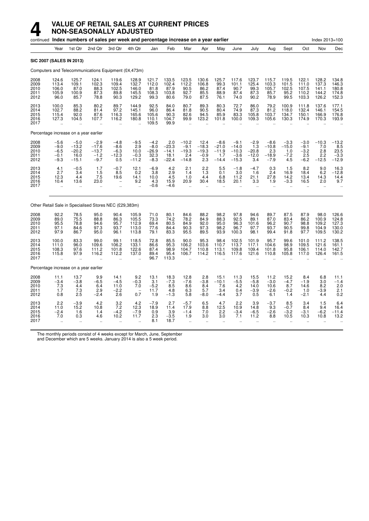**4**

|                                      |                                                    |                                                 | continued Index numbers of sales per week and percentage increase on a year earlier |                                               |                                            |                                               |                                              |                                                   |                                             |                                                |                                                   |                                            |                                               |                                           |                                             | Index 2013=100                                    |                                             |
|--------------------------------------|----------------------------------------------------|-------------------------------------------------|-------------------------------------------------------------------------------------|-----------------------------------------------|--------------------------------------------|-----------------------------------------------|----------------------------------------------|---------------------------------------------------|---------------------------------------------|------------------------------------------------|---------------------------------------------------|--------------------------------------------|-----------------------------------------------|-------------------------------------------|---------------------------------------------|---------------------------------------------------|---------------------------------------------|
|                                      | Year                                               | 1st Qtr                                         | 2nd Qtr                                                                             | 3rd Qtr                                       | 4th Qtr                                    | Jan                                           | Feb                                          | Mar                                               | Apr                                         | May                                            | June                                              | July                                       | Aug                                           | Sept                                      | Oct                                         | Nov                                               | Dec                                         |
| <b>SIC 2007 (SALES IN 2013)</b>      |                                                    |                                                 |                                                                                     |                                               |                                            |                                               |                                              |                                                   |                                             |                                                |                                                   |                                            |                                               |                                           |                                             |                                                   |                                             |
|                                      |                                                    |                                                 | Computers and Telecommunications Equipment (£4,473m)                                |                                               |                                            |                                               |                                              |                                                   |                                             |                                                |                                                   |                                            |                                               |                                           |                                             |                                                   |                                             |
| 2008<br>2009<br>2010<br>2011<br>2012 | 124.6<br>113.4<br>106.0<br>105.9<br>96.0           | 125.7<br>109.1<br>87.0<br>100.9<br>85.7         | 124.1<br>102.3<br>88.3<br>87.3<br>78.8                                              | 119.6<br>109.4<br>102.5<br>89.8<br>90.3       | 128.9<br>132.7<br>146.0<br>145.5<br>129.2  | 121.7<br>112.0<br>81.8<br>108.3<br>99.3       | 133.5<br>102.4<br>87.9<br>103.8<br>80.6      | 123.5<br>112.2<br>90.5<br>92.7<br>79.0            | 130.6<br>106.8<br>86.2<br>85.5<br>87.5      | 125.7<br>99.3<br>87.4<br>88.9<br>76.1          | 117.6<br>101.1<br>90.7<br>87.4<br>74.0            | 123.7<br>125.4<br>99.3<br>87.3<br>90.2     | 115.7<br>103.3<br>105.7<br>85.7<br>78.9       | 119.5<br>101.5<br>102.5<br>95.2<br>99.5   | 122.1<br>111.0<br>107.5<br>110.2<br>103.3   | 128.2<br>137.3<br>141.1<br>144.2<br>126.2         | 134.8<br>146.3<br>180.8<br>174.8<br>152.3   |
| 2013<br>2014<br>2015<br>2016<br>2017 | 100.0<br>102.7<br>115.4<br>127.3                   | 85.3<br>88.2<br>92.0<br>104.5                   | 80.2<br>81.4<br>87.6<br>107.7                                                       | 89.7<br>97.2<br>116.3<br>116.2                | 144.9<br>145.1<br>165.6<br>180.8           | 92.5<br>96.0<br>105.6<br>110.1<br>109.5       | 84.0<br>86.4<br>90.3<br>104.7<br>99.9        | 80.7<br>81.8<br>82.6<br>99.9                      | 89.3<br>90.5<br>94.5<br>123.2               | 80.3<br>80.4<br>85.9<br>101.8                  | 72.7<br>74.9<br>83.3<br>100.0                     | 86.0<br>87.3<br>105.8<br>109.3             | 79.2<br>81.2<br>103.7<br>105.6                | 100.9<br>118.0<br>134.7<br>130.3          | 111.8<br>132.4<br>150.1<br>174.9            | 137.6<br>146.1<br>166.9<br>170.3                  | 177.1<br>154.5<br>176.8<br>193.9            |
|                                      |                                                    | Percentage increase on a year earlier           |                                                                                     |                                               |                                            |                                               |                                              |                                                   |                                             |                                                |                                                   |                                            |                                               |                                           |                                             |                                                   |                                             |
| 2008<br>2009<br>2010<br>2011<br>2012 | $-5.6$<br>$-9.0$<br>$-6.5$<br>$-0.1$<br>$-9.3$     | $-5.0$<br>$-13.2$<br>$-20.2$<br>16.0<br>$-15.1$ | $-2.9$<br>$-17.6$<br>$-13.7$<br>$-1.2$<br>$-9.7$                                    | $-4.8$<br>$-8.6$<br>$-6.3$<br>$-12.3$<br>0.5  | $-9.5$<br>2.9<br>10.0<br>$-0.3$<br>$-11.2$ | $-4.2$<br>$-8.0$<br>$-26.9$<br>32.3<br>$-8.3$ | 2.0<br>$-23.3$<br>$-14.1$<br>18.1<br>$-22.4$ | $-10.2$<br>$-9.1$<br>$-19.3$<br>2.4<br>$-14.8$    | 12.4<br>$-18.3$<br>$-19.3$<br>$-0.9$<br>2.3 | $-8.6$<br>$-21.0$<br>$-11.9$<br>1.7<br>$-14.4$ | $-9.1$<br>$-14.0$<br>$-10.3$<br>$-3.6$<br>$-15.3$ | $-2.9$<br>1.3<br>$-20.8$<br>$-12.0$<br>3.4 | $-8.6$<br>$-10.8$<br>2.3<br>$-18.9$<br>$-7.9$ | $-3.3$<br>$-15.0$<br>1.0<br>$-7.2$<br>4.5 | $-3.0$<br>$-9.1$<br>$-3.2$<br>2.5<br>$-6.2$ | $-10.3$<br>7.0<br>2.8<br>2.2<br>$-12.5$           | $-13.2$<br>8.5<br>23.5<br>$-3.3$<br>$-12.9$ |
| 2013<br>2014<br>2015<br>2016<br>2017 | 4.1<br>2.7<br>12.3<br>10.4<br>$\ddot{\phantom{a}}$ | $-0.5$<br>3.4<br>4.4<br>13.6                    | 1.7<br>1.5<br>7.5<br>23.0                                                           | $-0.7$<br>8.5<br>19.6<br>$\ddot{\phantom{a}}$ | 12.1<br>0.2<br>14.1<br>9.2                 | $-6.9$<br>3.8<br>10.0<br>4.3<br>$-0.6$        | 4.2<br>2.9<br>4.5<br>15.9<br>$-4.6$          | 2.1<br>1.4<br>1.0<br>20.9<br>$\ddot{\phantom{a}}$ | 2.2<br>1.3<br>4.4<br>30.4                   | 5.5<br>0.1<br>6.8<br>18.5                      | $-1.8$<br>3.0<br>11.2<br>20.1                     | $-4.7$<br>1.6<br>21.1<br>3.3               | 0.3<br>2.4<br>27.8<br>1.9                     | 1.5<br>16.9<br>14.2<br>$-3.3$             | 8.2<br>18.4<br>13.4<br>16.5                 | 9.0<br>6.2<br>14.3<br>2.0<br>$\ddot{\phantom{a}}$ | 16.3<br>$-12.8$<br>14.4<br>9.7              |
|                                      |                                                    |                                                 | Other Retail Sale in Specialised Stores NEC (£29,383m)                              |                                               |                                            |                                               |                                              |                                                   |                                             |                                                |                                                   |                                            |                                               |                                           |                                             |                                                   |                                             |
| 2008<br>2009<br>2010<br>2011<br>2012 | 92.2<br>89.0<br>95.5<br>97.1<br>97.9               | 78.5<br>75.5<br>78.8<br>84.6<br>86.7            | 95.0<br>88.8<br>94.6<br>97.3<br>95.0                                                | 90.4<br>86.3<br>95.7<br>93.7<br>96.1          | 105.9<br>105.5<br>112.9<br>113.0<br>113.8  | 71.0<br>73.3<br>69.4<br>77.6<br>79.1          | 80.1<br>74.2<br>80.5<br>84.4<br>83.3         | 84.6<br>78.2<br>84.9<br>90.3<br>95.5              | 88.2<br>84.9<br>92.0<br>97.3<br>89.5        | 98.2<br>88.3<br>95.0<br>98.2<br>93.9           | 97.8<br>92.5<br>96.3<br>96.7<br>100.3             | 94.6<br>89.1<br>101.6<br>97.7<br>98.1      | 89.7<br>87.0<br>96.2<br>93.7<br>99.4          | 87.5<br>83.4<br>90.7<br>90.5<br>91.8      | 87.9<br>86.2<br>98.8<br>99.8<br>97.7        | 98.0<br>100.9<br>109.2<br>104.9<br>109.5          | 126.6<br>124.8<br>127.3<br>130.0<br>130.2   |
| 2013<br>2014<br>2015<br>2016<br>2017 | 100.0<br>111.0<br>108.3<br>115.8                   | 83.3<br>96.0<br>97.6<br>97.9                    | 99.0<br>109.6<br>111.2<br>116.2                                                     | 99.1<br>106.2<br>101.8<br>112.2               | 118.5<br>133.1<br>122.6<br>137.0           | 72.8<br>86.6<br>87.4<br>89.4<br>96.7          | 85.5<br>95.3<br>98.9<br>95.4<br>113.3        | 90.0<br>106.2<br>104.7<br>106.7                   | 95.3<br>103.6<br>110.8<br>114.2             | 98.4<br>110.7<br>113.1<br>116.5                | 102.5<br>113.7<br>109.8<br>117.6                  | 101.9<br>117.1<br>109.4<br>121.6           | 95.7<br>104.6<br>101.8<br>110.8               | 99.6<br>98.9<br>95.8<br>105.8             | 101.0<br>109.5<br>106.1<br>117.0            | 111.2<br>121.6<br>114.0<br>126.4                  | 138.5<br>161.1<br>142.7<br>161.5            |
|                                      |                                                    | Percentage increase on a year earlier           |                                                                                     |                                               |                                            |                                               |                                              |                                                   |                                             |                                                |                                                   |                                            |                                               |                                           |                                             |                                                   |                                             |
| 2008<br>2009<br>2010<br>2011<br>2012 | 11.1<br>$-3.4$<br>7.3<br>1.7<br>0.8                | 13.7<br>$-3.8$<br>4.4<br>7.3<br>2.5             | 9.9<br>$-6.5$<br>6.4<br>2.9<br>$-2.4$                                               | 14.1<br>$-4.5$<br>11.0<br>$-2.2$<br>2.6       | 9.2<br>$-0.3$<br>7.0<br>0.7                | 13.1<br>3.1<br>$-5.2$<br>11.7<br>1.9          | 18.3<br>$-7.3$<br>8.5<br>4.8<br>$-1.3$       | 12.8<br>$-7.6$<br>8.6<br>6.3<br>5.8               | 2.8<br>$-3.8$<br>8.4<br>5.7<br>$-8.0$       | 15.1<br>$-10.1$<br>7.6<br>3.4<br>$-4.4$        | 11.3<br>$-5.5$<br>4.2<br>0.4<br>3.7               | 15.5<br>$-5.8$<br>14.0<br>$-3.9$<br>0.5    | 11.2<br>$-3.0$<br>10.6<br>$-2.6$<br>6.1       | 15.2<br>$-4.7$<br>8.7<br>$-0.2$<br>1.4    | 8.4<br>$-1.9$<br>14.6<br>1.0<br>$-2.1$      | 6.8<br>3.0<br>8.2<br>$-3.9$<br>4.4                | 11.1<br>$-1.4$<br>2.0<br>2.1<br>0.2         |
| 2013<br>2014<br>2015<br>2016<br>2017 | 2.2<br>11.0<br>$-2.4$<br>7.0                       | $-3.9$<br>15.2<br>1.6<br>0.3                    | 4.2<br>10.8<br>1.4<br>4.6<br>$\ddot{\phantom{a}}$                                   | 3.2<br>7.2<br>$-4.2$<br>10.2<br>τ.            | 4.2<br>12.3<br>$-7.9$<br>11.7              | $-7.9$<br>18.9<br>0.9<br>2.3<br>8.1           | 2.7<br>11.4<br>3.9<br>$-3.5$<br>18.7         | $-5.7$<br>17.9<br>$-1.4$<br>1.9                   | 6.5<br>8.8<br>7.0<br>3.0                    | 4.7<br>12.5<br>2.2<br>3.0                      | 2.2<br>10.9<br>-3.4<br>7.1                        | 3.9<br>14.8<br>$-6.5$<br>11.2              | $-3.7$<br>9.3<br>-2.6<br>8.8                  | 8.5<br>$-0.7$<br>$-3.2$<br>10.5           | 3.4<br>8.4<br>-3.1<br>10.3                  | 1.5<br>9.4<br>$-6.2$<br>10.8                      | 6.4<br>16.4<br>$-11.4$<br>13.2              |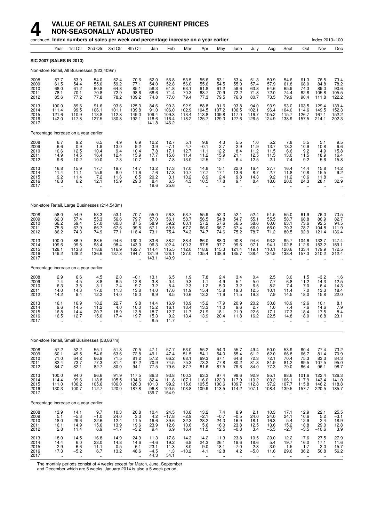**4**

|                                      |                                                          |                                                      | continued Index numbers of sales per week and percentage increase on a year earlier |                                                         |                                                     |                                          |                                          |                                                         |                                                        |                                              |                                                       |                                                         |                                                       |                                                     |                                                        | Index 2013=100                                      |                                              |
|--------------------------------------|----------------------------------------------------------|------------------------------------------------------|-------------------------------------------------------------------------------------|---------------------------------------------------------|-----------------------------------------------------|------------------------------------------|------------------------------------------|---------------------------------------------------------|--------------------------------------------------------|----------------------------------------------|-------------------------------------------------------|---------------------------------------------------------|-------------------------------------------------------|-----------------------------------------------------|--------------------------------------------------------|-----------------------------------------------------|----------------------------------------------|
|                                      | Year                                                     | 1st Qtr                                              | 2nd Qtr                                                                             | 3rd Qtr                                                 | 4th Qtr                                             | Jan                                      | Feb                                      | Mar                                                     | Apr                                                    | May                                          | June                                                  | July                                                    | Aug                                                   | Sept                                                | Oct                                                    | Nov                                                 | Dec                                          |
|                                      | SIC 2007 (SALES IN 2013)                                 |                                                      |                                                                                     |                                                         |                                                     |                                          |                                          |                                                         |                                                        |                                              |                                                       |                                                         |                                                       |                                                     |                                                        |                                                     |                                              |
|                                      |                                                          |                                                      | Non-store Retail, All Businesses (£23,409m)                                         |                                                         |                                                     |                                          |                                          |                                                         |                                                        |                                              |                                                       |                                                         |                                                       |                                                     |                                                        |                                                     |                                              |
| 2008<br>2009<br>2010<br>2011<br>2012 | 57.7<br>61.5<br>68.0<br>78.1<br>85.6                     | 53.9<br>54.4<br>61.2<br>70.1<br>77.2                 | 54.0<br>55.0<br>60.8<br>70.8<br>77.8                                                | 52.4<br>59.2<br>64.8<br>72.9<br>78.2                    | 70.6<br>77.1<br>85.1<br>98.6<br>109.2               | 52.0<br>54.0<br>58.3<br>68.6<br>74.8     | 56.8<br>52.8<br>61.8<br>71.4<br>77.0     | 53.5<br>56.0<br>63.1<br>70.3<br>79.4                    | 55.6<br>55.6<br>61.8<br>68.7<br>77.3                   | 53.1<br>54.5<br>61.2<br>70.9<br>79.5         | 53.4<br>55.0<br>59.6<br>72.2<br>76.8                  | 51.3<br>57.4<br>63.8<br>71.8<br>80.7                    | 50.9<br>57.9<br>64.6<br>72.0<br>73.5                  | 54.6<br>61.8<br>65.9<br>74.4<br>79.9                | 61.3<br>68.0<br>74.3<br>82.8<br>90.4                   | 76.5<br>84.8<br>89.0<br>105.8<br>111.8              | 73.4<br>78.2<br>90.6<br>105.5<br>122.2       |
| 2013<br>2014<br>2015<br>2016<br>2017 | 100.0<br>111.4<br>121.6<br>142.0<br>$\ddotsc$            | 89.6<br>99.5<br>110.9<br>117.8                       | 91.6<br>106.1<br>113.8<br>127.5                                                     | 93.6<br>101.1<br>112.8<br>130.8                         | 125.3<br>139.8<br>149.0<br>192.1                    | 84.6<br>91.0<br>109.4<br>118.6<br>141.8  | 90.3<br>106.0<br>109.3<br>116.4<br>146.2 | 92.9<br>102.9<br>113.4<br>118.2                         | 88.8<br>104.5<br>113.8<br>125.7                        | 91.6<br>107.2<br>109.8<br>129.3              | 93.8<br>106.5<br>117.0<br>127.6                       | 94.0<br>102.1<br>116.7<br>126.5                         | 93.9<br>96.4<br>105.2<br>124.9                        | 93.0<br>104.0<br>115.7<br>138.9                     | 103.5<br>114.6<br>126.7<br>157.5                       | 129.4<br>149.5<br>167.1<br>214.1                    | 139.4<br>152.3<br>152.2<br>202.3             |
|                                      |                                                          | Percentage increase on a year earlier                |                                                                                     |                                                         |                                                     |                                          |                                          |                                                         |                                                        |                                              |                                                       |                                                         |                                                       |                                                     |                                                        |                                                     |                                              |
| 2008<br>2009<br>2010<br>2011<br>2012 | 6.7<br>6.6<br>10.6<br>14.9<br>9.6                        | 9.2<br>0.9<br>12.5<br>14.5<br>10.2                   | 6.5<br>1.9<br>10.4<br>16.4<br>10.0                                                  | 4.9<br>13.0<br>9.4<br>12.4<br>7.3                       | 6.9<br>9.2<br>10.4<br>15.9<br>10.7                  | 12.2<br>3.9<br>7.8<br>17.7<br>9.1        | 12.7<br>$-7.1$<br>17.1<br>15.6<br>7.8    | 5.1<br>4.7<br>12.7<br>11.4<br>13.0                      | 9.8<br>$-0.1$<br>11.1<br>11.2<br>12.5                  | 4.3<br>2.7<br>12.2<br>15.9<br>12.1           | 5.5<br>2.9<br>8.4<br>21.1<br>6.4                      | 1.0<br>11.9<br>11.2<br>12.5<br>12.5                     | 5.2<br>13.7<br>11.5<br>11.5<br>2.1                    | 7.8<br>13.2<br>6.6<br>13.0<br>7.4                   | 5.5<br>10.9<br>9.2<br>11.5<br>9.2                      | 5.1<br>10.8<br>4.9<br>18.9<br>5.6                   | 9.5<br>6.6<br>15.8<br>16.4<br>15.8           |
| 2013<br>2014<br>2015<br>2016<br>2017 | 16.8<br>11.4<br>9.2<br>16.8<br>$\ddot{\phantom{a}}$      | 15.9<br>11.1<br>11.4<br>6.2<br>$\ddotsc$             | 17.7<br>15.9<br>7.2<br>12.1<br>$\ddot{\phantom{a}}$                                 | 19.7<br>8.0<br>11.6<br>15.9<br>$\ddot{\phantom{a}}$     | 14.7<br>11.6<br>6.5<br>29.0<br>$\ddot{\phantom{1}}$ | 13.2<br>7.6<br>20.2<br>8.4<br>19.6       | 17.3<br>17.3<br>3.1<br>6.5<br>25.6       | 17.0<br>10.7<br>10.2<br>4.3<br>$\ddot{\phantom{1}}$     | 14.8<br>17.7<br>8.9<br>10.5<br>$\ddot{\phantom{a}}$    | 15.1<br>17.1<br>2.4<br>17.8                  | 22.0<br>13.6<br>9.8<br>9.1<br>ä.                      | 16.4<br>8.7<br>14.3<br>8.4<br>ä.                        | 27.7<br>2.7<br>9.2<br>18.6<br>$\ddotsc$               | 16.4<br>11.8<br>11.2<br>20.0                        | 14.4<br>10.8<br>10.6<br>24.3<br>ä.                     | 15.8<br>15.5<br>11.8<br>28.1<br>ä.                  | 14.2<br>9.2<br>32.9                          |
|                                      |                                                          |                                                      | Non-store Retail, Large Businesses (£14,543m)                                       |                                                         |                                                     |                                          |                                          |                                                         |                                                        |                                              |                                                       |                                                         |                                                       |                                                     |                                                        |                                                     |                                              |
| 2008<br>2009<br>2010<br>2011<br>2012 | 58.0<br>62.3<br>66.2<br>75.5<br>86.2                     | 54.9<br>57.4<br>59.4<br>67.9<br>74.3                 | 53.3<br>55.3<br>57.0<br>66.7<br>74.9                                                | 53.1<br>56.6<br>60.8<br>67.6<br>77.1                    | 70.7<br>79.7<br>87.5<br>99.5<br>118.4               | 55.0<br>57.0<br>58.9<br>67.1<br>73.1     | 56.3<br>56.1<br>59.2<br>69.5<br>75.4     | 53.7<br>58.7<br>60.1<br>67.2<br>74.3                    | 55.9<br>56.5<br>57.2<br>66.0<br>74.7                   | 52.3<br>54.8<br>57.6<br>66.7<br>74.6         | 52.1<br>54.7<br>56.5<br>67.4<br>75.2                  | 52.4<br>55.1<br>58.6<br>66.0<br>78.7                    | 51.5<br>55.5<br>60.0<br>66.0<br>71.2                  | 55.0<br>58.7<br>63.1<br>70.3<br>80.5                | 61.9<br>68.8<br>73.6<br>78.7<br>92.9                   | 76.0<br>86.9<br>92.5<br>104.8<br>121.4              | 73.5<br>82.7<br>94.5<br>111.9<br>136.4       |
| 2013<br>2014<br>2015<br>2016<br>2017 | 100.0<br>109.6<br>128.1<br>149.2<br>$\ddot{\phantom{1}}$ | 86.9<br>99.5<br>113.8<br>128.2<br>$\mathbf{r}$       | 88.5<br>98.4<br>118.8<br>136.6<br>Ω,                                                | 94.6<br>98.4<br>116.9<br>137.3<br>÷.                    | 130.0<br>143.0<br>162.7<br>194.7<br>$\ddotsc$       | 83.6<br>96.3<br>114.4<br>131.9<br>143.1  | 88.2<br>102.4<br>115.5<br>126.1<br>140.9 | 88.4<br>100.3<br>112.0<br>127.0<br>$\ddot{\phantom{a}}$ | 86.0<br>97.5<br>118.8<br>135.4<br>$\ddot{\phantom{a}}$ | 88.0<br>97.7<br>115.3<br>138.9               | 90.8<br>99.6<br>121.4<br>135.7                        | 94.6<br>97.1<br>119.1<br>138.4                          | 93.2<br>94.1<br>110.1<br>134.9                        | 95.7<br>102.8<br>120.6<br>138.4                     | 104.6<br>112.6<br>133.4<br>157.3                       | 133.7<br>153.2<br>179.9<br>210.2                    | 147.4<br>159.1<br>172.5<br>212.4             |
|                                      |                                                          | Percentage increase on a year earlier                |                                                                                     |                                                         |                                                     |                                          |                                          |                                                         |                                                        |                                              |                                                       |                                                         |                                                       |                                                     |                                                        |                                                     |                                              |
| 2008<br>2009<br>2010<br>2011<br>2012 | $^{2.9}_{7.4}$<br>6.3<br>14.0<br>14.2                    | $6.6$<br>4.5<br>3.5<br>14.3<br>9.4                   | 4.5<br>3.8<br>3.1<br>17.0<br>12.2                                                   | 2.0<br>6.5<br>7.4<br>11.3<br>14.0                       | $-0.1$<br>12.8<br>9.7<br>13.8<br>19.0               | 13.1<br>3.8<br>3.2<br>14.0<br>8.9        | 6.5<br>$-0.4$<br>5.4<br>17.6<br>8.5      | 1.9<br>9.3<br>2.3<br>11.9<br>10.6                       | 7.8<br>1.1<br>1.2<br>15.4<br>13.2                      | 2.4<br>4.9<br>5.0<br>15.8<br>11.9            | 3.4<br>5.1<br>3.2<br>19.3<br>11.5                     | 0.4<br>5.0<br>6.5<br>12.5<br>19.3                       | $2.5$<br>7.7<br>8.2<br>10.1<br>7.9                    | 3.0<br>6.8<br>7.4<br>11.4<br>14.5                   | 1.5<br>11.2<br>7.0<br>7.0<br>18.0                      | -3.2<br>14.3<br>6.4<br>13.3<br>15.8                 | $1.6$<br>12.5<br>14.3<br>18.4<br>22.0        |
| 2013<br>2014<br>2015<br>2016<br>2017 | 16.1<br>9.6<br>16.8<br>16.5<br>$\ddotsc$                 | 16.9<br>14.5<br>14.4<br>12.7                         | 18.2<br>11.2<br>20.7<br>15.0<br>ä.                                                  | 22.7<br>4.0<br>18.9<br>17.4<br>÷.                       | 9.8<br>10.0<br>13.8<br>19.7<br>$\ddotsc$            | 14.4<br>15.2<br>18.7<br>15.3<br>8.5      | 16.9<br>16.1<br>12.7<br>9.2<br>11.7      | 18.9<br>13.4<br>11.7<br>13.4                            | 15.2<br>13.3<br>21.9<br>13.9                           | 17.9<br>11.0<br>18.1<br>20.4                 | 20.9<br>9.6<br>21.9<br>11.8                           | 20.2<br>2.7<br>22.6<br>16.2                             | 30.8<br>1.0<br>17.1<br>22.5                           | 18.9<br>7.4<br>17.3<br>14.8                         | 12.6<br>7.6<br>18.4<br>18.0                            | 10.1<br>14.6<br>17.5<br>16.8                        | 8.1<br>7.9<br>8.4<br>23.1                    |
|                                      |                                                          |                                                      | Non-store Retail, Small Businesses (£8,867m)                                        |                                                         |                                                     |                                          |                                          |                                                         |                                                        |                                              |                                                       |                                                         |                                                       |                                                     |                                                        |                                                     |                                              |
| 2008<br>2009<br>2010<br>2011<br>2012 | 57.2<br>60.1<br>71.0<br>82.4<br>84.7                     | 52.2<br>49.5<br>64.2<br>73.7<br>82.1                 | 55.1<br>54.6<br>66.9<br>77.3<br>82.7                                                | 51.3<br>63.6<br>71.5<br>81.4<br>80.0                    | 70.5<br>72.8<br>81.2<br>97.2<br>94.1                | 47.1<br>49.1<br>57.2<br>70.9<br>77.5     | 57.7<br>47.4<br>66.2<br>74.5<br>79.6     | 53.0<br>51.5<br>68.1<br>75.3<br>87.7                    | 55.2<br>54.1<br>69.3<br>73.2<br>81.6                   | 54.3<br>54.0<br>67.1<br>77.8<br>87.5         | 55.7<br>55.4<br>64.8<br>80.2<br>79.6                  | 49.4<br>$61.2$<br>$72.3$<br>81.3<br>84.0                | 50.0<br>62.0<br>72.1<br>81.9<br>77.3                  | 53.9<br>66.8<br>70.4<br>81.2<br>79.0                | 60.4<br>66.7<br>75.3<br>89.5<br>86.4                   | 77.4<br>81.4<br>83.3<br>107.5<br>96.1               | 73.2<br>70.9<br>84.3<br>95.0<br>98.7         |
| 2013<br>2014<br>2015<br>2016<br>2017 | 100.0<br>114.4<br>111.0<br>130.3<br>u,                   | 94.0<br>99.6<br>106.2<br>100.7<br>à.                 | 96.6<br>118.8<br>105.6<br>112.7<br>à.                                               | 91.9<br>105.5<br>106.0<br>120.0<br>$\ddot{\phantom{1}}$ | 117.5<br>134.6<br>126.3<br>187.8<br>÷.              | 86.3<br>82.4<br>101.3<br>96.8<br>139.7   | 93.8<br>111.8<br>99.2<br>100.5<br>154.9  | 100.3<br>107.1<br>115.6<br>103.8<br>$\ddotsc$           | 93.3<br>116.0<br>105.5<br>109.9                        | 97.4<br>122.9<br>100.6<br>113.5              | 98.6<br>117.9<br>109.7<br>114.2                       | 92.9<br>110.2<br>112.8<br>107.1<br>$\ddot{\phantom{a}}$ | 95.1<br>100.2<br>97.2<br>108.4                        | 88.6<br>106.1<br>107.7<br>139.5                     | 101.6<br>117.9<br>115.8<br>157.7                       | 122.4<br>143.4<br>146.2<br>220.5                    | 126.3<br>141.0<br>118.8<br>185.7             |
|                                      |                                                          | Percentage increase on a year earlier                |                                                                                     |                                                         |                                                     |                                          |                                          |                                                         |                                                        |                                              |                                                       |                                                         |                                                       |                                                     |                                                        |                                                     |                                              |
| 2008<br>2009<br>2010<br>2011<br>2012 | 13.9<br>5.1<br>18.0<br>16.1<br>2.8                       | 14.1<br>$-5.3$<br>29.6<br>14.9<br>11.4               | 9.7<br>$-1.0$<br>22.6<br>15.6<br>6.9                                                | 10.3<br>24.0<br>12.4<br>13.9<br>$-1.7$                  | 20.8<br>3.3<br>11.5<br>19.6<br>$-3.2$               | 10.4<br>4.2<br>16.6<br>23.9<br>9.4       | 24.5<br>$-17.8$<br>39.6<br>12.6<br>6.9   | 10.8<br>$-2.9$<br>32.3<br>10.6<br>16.4                  | 13.2<br>$-2.1$<br>$^{28.2}_{5.6}$<br>11.5              | 7.4<br>$-0.7$<br>24.3<br>16.0<br>12.5        | 8.9<br>$-0.5$<br>16.9<br>23.8<br>$-0.8$               | 2.1<br>24.0<br>18.1<br>12.5<br>3.4                      | 10.3<br>24.0<br>16.3<br>13.6<br>$-5.5$                | 17.1<br>24.1<br>5.4<br>15.2<br>$-2.7$               | 12.9<br>10.6<br>12.9<br>18.8<br>$-3.5$                 | 22.1<br>5.2<br>2.4<br>29.0<br>$-10.6$               | 25.5<br>$-3.1$<br>18.9<br>$\frac{12.8}{3.9}$ |
| 2013<br>2014<br>2015<br>2016<br>2017 | 18.0<br>14.4<br>$\frac{-2.9}{17.3}$<br>$\ldots$          | 14.5<br>6.0<br>6.6<br>$-5.2$<br>$\ddot{\phantom{1}}$ | 16.8<br>23.0<br>$-11.1$<br>6.7<br>$\ddotsc$                                         | 14.9<br>14.8<br>0.5<br>13.2<br>$\ddotsc$                | 24.9<br>14.6<br>$-6.1$<br>48.6<br>$\ddotsc$         | 11.3<br>$-4.6$<br>23.1<br>$-4.5$<br>44.3 | 17.8<br>19.2<br>$-11.3$<br>1.3<br>54.1   | 14.3<br>6.8<br>8.0<br>$-10.2$<br>$\ddot{\phantom{1}}$   | 14.2<br>24.3<br>$-9.0$<br>4.1<br>$\ddot{\phantom{1}}$  | 11.3<br>26.1<br>$-18.1$<br>12.8<br>$\ddotsc$ | 23.8<br>19.6<br>$-7.0$<br>4.2<br>$\ddot{\phantom{1}}$ | 10.5<br>18.6<br>2.3<br>$-5.0$<br>$\ddot{\phantom{1}}$   | 23.0<br>5.4<br>$-3.0$<br>11.6<br>$\ddot{\phantom{1}}$ | 12.2<br>19.7<br>1.5<br>29.6<br>$\ddot{\phantom{1}}$ | 17.6<br>16.0<br>$-1.7$<br>36.2<br>$\ddot{\phantom{1}}$ | 27.5<br>17.1<br>2.0<br>50.8<br>$\ddot{\phantom{1}}$ | 27.9<br>11.6<br>$-15.7$<br>56.2<br>$\cdot$   |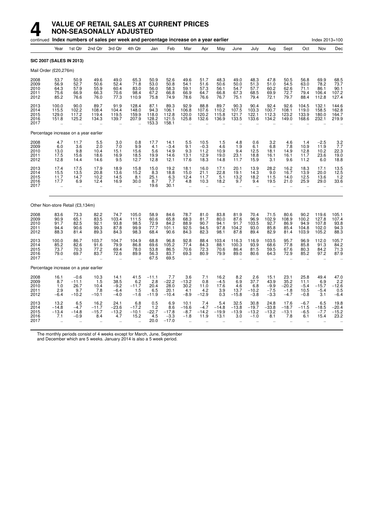### **VALUE OF RETAIL SALES AT CURRENT PRICES NON-SEASONALLY ADJUSTED**

**4**

|                                       |                                                           |                                                            | continued Index numbers of sales per week and percentage increase on a year earlier |                                                       |                                                     |                                          |                                            |                                                             |                                                          |                                                           |                                                           |                                                              |                                                           |                                                           |                                                            | Index 2013=100                                           |                                         |
|---------------------------------------|-----------------------------------------------------------|------------------------------------------------------------|-------------------------------------------------------------------------------------|-------------------------------------------------------|-----------------------------------------------------|------------------------------------------|--------------------------------------------|-------------------------------------------------------------|----------------------------------------------------------|-----------------------------------------------------------|-----------------------------------------------------------|--------------------------------------------------------------|-----------------------------------------------------------|-----------------------------------------------------------|------------------------------------------------------------|----------------------------------------------------------|-----------------------------------------|
|                                       | Year                                                      | 1st Qtr                                                    | 2nd Qtr                                                                             | 3rd Qtr                                               | 4th Qtr                                             | Jan                                      | Feb                                        | Mar                                                         | Apr                                                      | May                                                       | June                                                      | July                                                         | Aug                                                       | Sept                                                      | Oct                                                        | Nov                                                      | Dec                                     |
| <b>SIC 2007 (SALES IN 2013)</b>       |                                                           |                                                            |                                                                                     |                                                       |                                                     |                                          |                                            |                                                             |                                                          |                                                           |                                                           |                                                              |                                                           |                                                           |                                                            |                                                          |                                         |
| Mail Order (£20,276m)                 |                                                           |                                                            |                                                                                     |                                                       |                                                     |                                          |                                            |                                                             |                                                          |                                                           |                                                           |                                                              |                                                           |                                                           |                                                            |                                                          |                                         |
| 2008<br>2009<br>2010<br>2011<br>2012  | 53.7<br>56.9<br>64.3<br>75.6<br>85.2                      | 50.9<br>52.7<br>57.9<br>66.9<br>76.6                       | 49.6<br>50.6<br>55.9<br>66.3<br>76.0                                                | 49.0<br>52.4<br>60.4<br>70.6<br>77.3                  | 65.3<br>71.8<br>83.0<br>98.4<br>110.9               | 50.9<br>53.0<br>56.0<br>67.2<br>75.8     | 52.6<br>50.8<br>58.3<br>66.8<br>74.9       | 49.6<br>54.1<br>59.1<br>66.9<br>78.6                        | 51.7<br>51.6<br>57.3<br>64.7<br>76.6                     | 48.3<br>50.6<br>56.1<br>66.8<br>76.7                      | 49.0<br>50.0<br>54.7<br>67.3<br>75.1                      | 48.3<br>51.3<br>57.7<br>68.5<br>79.4                         | 47.8<br>51.0<br>60.2<br>69.9<br>72.1                      | 50.5<br>54.5<br>62.6<br>72.7<br>79.7                      | 56.8<br>63.0<br>71.1<br>79.4<br>88.4                       | 69.9<br>78.2<br>86.1<br>106.4<br>112.8                   | 68.5<br>73.7<br>90.1<br>107.2<br>127.4  |
| 2013<br>2014<br>2015<br>2016<br>2017  | 100.0<br>115.5<br>129.0<br>151.8<br>ă,                    | 90.0<br>102.2<br>117.2<br>125.2<br>ä,                      | 89.7<br>108.4<br>119.4<br>134.3<br>$\ddot{\phantom{a}}$                             | 91.9<br>104.4<br>119.5<br>139.7<br>ä.                 | 128.4<br>148.0<br>159.9<br>207.9                    | 87.1<br>94.3<br>118.0<br>128.2<br>153.3  | 89.3<br>106.1<br>112.8<br>121.5<br>158.1   | 92.9<br>106.8<br>120.0<br>125.8                             | 88.8<br>107.6<br>120.2<br>132.6                          | 89.7<br>110.2<br>115.8<br>136.9                           | 90.3<br>107.5<br>121.7<br>133.5                           | 90.4<br>103.3<br>122.1<br>133.6                              | 92.4<br>100.7<br>112.3<br>134.2                           | 92.6<br>108.1<br>123.2<br>149.0                           | 104.5<br>119.0<br>133.9<br>168.6                           | 132.1<br>158.5<br>180.0<br>232.1                         | 144.6<br>162.8<br>164.7<br>219.9        |
| Percentage increase on a year earlier |                                                           |                                                            |                                                                                     |                                                       |                                                     |                                          |                                            |                                                             |                                                          |                                                           |                                                           |                                                              |                                                           |                                                           |                                                            |                                                          |                                         |
| 2008<br>2009<br>2010<br>2011<br>2012  | 4.7<br>6.0<br>13.0<br>17.5<br>12.8                        | 11.7<br>3.6<br>9.8<br>15.6<br>14.4                         | 5.5<br>2.0<br>10.4<br>18.6<br>14.6                                                  | 3.0<br>7.0<br>15.1<br>16.9<br>9.5                     | 0.8<br>9.9<br>15.6<br>18.5<br>12.7                  | 17.7<br>4.1<br>5.6<br>19.9<br>12.8       | 14.1<br>$-3.4$<br>14.9<br>14.6<br>12.1     | 5.5<br>9.1<br>9.3<br>13.1<br>17.6                           | 10.5<br>$-0.3$<br>11.2<br>12.9<br>18.3                   | 1.5<br>4.6<br>10.9<br>19.0<br>14.8                        | 4.8<br>1.9<br>9.4<br>23.1<br>11.7                         | 0.6<br>6.1<br>12.5<br>18.8<br>15.9                           | 3.2<br>6.8<br>18.1<br>16.1<br>3.1                         | 4.6<br>7.8<br>14.9<br>16.1<br>9.6                         | 1.4<br>10.9<br>12.8<br>11.7<br>11.2                        | $-2.5$<br>11.9<br>10.2<br>23.6<br>6.0                    | 3.2<br>7.7<br>22.3<br>19.0<br>18.8      |
| 2013<br>2014<br>2015<br>2016<br>2017  | 17.4<br>15.5<br>11.7<br>17.7                              | 17.5<br>13.5<br>14.7<br>6.9                                | 17.9<br>20.8<br>10.2<br>12.4<br>$\ddot{\phantom{a}}$                                | 18.9<br>13.6<br>14.5<br>16.9<br>ă,                    | 15.8<br>15.2<br>8.1<br>30.0<br>$\ddot{\phantom{a}}$ | 15.0<br>8.3<br>25.1<br>8.7<br>19.6       | 19.2<br>18.8<br>$6.3$<br>7.7<br>30.1       | 18.1<br>15.0<br>12.4<br>4.8<br>$\ddotsc$                    | 16.0<br>21.1<br>11.7<br>10.3<br>$\ddot{\phantom{a}}$     | 17.1<br>22.8<br>5.1<br>18.2<br>$\ddot{\phantom{a}}$       | 20.1<br>19.1<br>13.2<br>9.7<br>$\ddot{\phantom{a}}$       | 13.9<br>14.3<br>18.2<br>9.4<br>$\ddot{\phantom{a}}$          | 28.2<br>9.0<br>11.5<br>19.5                               | 16.2<br>16.7<br>14.0<br>21.0                              | 18.3<br>13.9<br>12.5<br>25.9<br>$\ddot{\phantom{a}}$       | 17.1<br>20.0<br>13.6<br>29.0<br>÷.                       | 13.5<br>12.5<br>$\frac{1.2}{33.6}$      |
| Other Non-store Retail (£3,134m)      |                                                           |                                                            |                                                                                     |                                                       |                                                     |                                          |                                            |                                                             |                                                          |                                                           |                                                           |                                                              |                                                           |                                                           |                                                            |                                                          |                                         |
| 2008<br>2009<br>2010<br>2011<br>2012  | 83.6<br>90.9<br>91.7<br>94.4<br>88.3                      | 73.3<br>65.1<br>82.5<br>90.6<br>81.4                       | 82.2<br>83.5<br>92.1<br>99.3<br>89.3                                                | 74.7<br>103.4<br>93.8<br>87.8<br>84.3                 | 105.0<br>111.5<br>98.5<br>99.9<br>98.3              | 58.9<br>60.6<br>72.9<br>77.7<br>68.4     | 84.6<br>65.8<br>84.2<br>101.1<br>90.6      | 78.7<br>68.3<br>88.9<br>92.5<br>84.3                        | 81.0<br>81.7<br>90.7<br>94.5<br>82.3                     | 83.8<br>80.0<br>94.1<br>97.8<br>98.1                      | 81.9<br>87.6<br>91.7<br>104.2<br>87.8                     | 70.4<br>96.9<br>103.5<br>93.0<br>89.4                        | 71.5<br>102.9<br>92.7<br>85.8<br>82.9                     | 80.6<br>108.9<br>86.9<br>85.4<br>81.4                     | 90.2<br>100.2<br>94.9<br>104.8<br>103.9                    | 119.6<br>127.8<br>107.8<br>102.0<br>105.2                | 105.1<br>107.4<br>93.8<br>94.3<br>88.3  |
| 2013<br>2014<br>2015<br>2016<br>2017  | 100.0<br>85.2<br>73.7<br>79.0                             | 86.7<br>82.6<br>70.3<br>69.7<br>ä,                         | 103.7<br>91.6<br>77.2<br>83.7                                                       | 104.7<br>79.9<br>69.4<br>72.6<br>$\ddot{\phantom{a}}$ | 104.9<br>86.8<br>78.0<br>89.9                       | 68.8<br>69.6<br>53.8<br>56.3<br>67.5     | 96.8<br>105.2<br>86.5<br>83.7<br>69.5      | 92.8<br>77.4<br>70.6<br>69.3<br>$\sim$                      | 88.4<br>84.3<br>72.3<br>80.9                             | 103.4<br>88.1<br>70.6<br>79.9                             | 116.3<br>100.3<br>86.4<br>89.0                            | 116.9<br>93.9<br>81.5<br>80.6                                | 103.5<br>68.6<br>59.5<br>64.3                             | 95.7<br>77.8<br>67.6<br>72.9                              | 96.9<br>85.8<br>80.3<br>85.2                               | 112.0<br>91.3<br>84.2<br>97.2                            | 105.7<br>84.2<br>71.3<br>87.9           |
| Percentage increase on a year earlier |                                                           |                                                            |                                                                                     |                                                       |                                                     |                                          |                                            |                                                             |                                                          |                                                           |                                                           |                                                              |                                                           |                                                           |                                                            |                                                          |                                         |
| 2008<br>2009<br>2010<br>2011<br>2012  | 16.1<br>8.7<br>1.0<br>2.9<br>$-6.4$                       | $-0.6$<br>$-11.1$<br>26.7<br>9.7<br>$-10.2$                | 10.3<br>1.5<br>10.4<br>7.8<br>$-10.1$                                               | 14.1<br>38.5<br>$-9.2$<br>$-6.4$<br>$-4.0$            | 41.5<br>6.2<br>$-11.7$<br>1.5<br>$-1.6$             | $-11.1$<br>2.8<br>20.4<br>6.5<br>$-11.9$ | 7.7<br>$-22.2$<br>28.0<br>20.1<br>$-10.4$  | 3.6<br>$-13.2$<br>30.2<br>4.1<br>$-8.9$                     | 7.1<br>0.8<br>11.0<br>4.2<br>$-12.9$                     | 16.2<br>$-4.5$<br>17.6<br>3.9<br>0.3                      | 8.2<br>6.9<br>4.6<br>13.7<br>$-15.8$                      | 2.6<br>37.7<br>6.8<br>$-10.2$<br>$-3.8$                      | 15.1<br>43.9<br>$-9.9$<br>$-7.5$<br>$-3.3$                | 23.1<br>35.2<br>$-20.2$<br>$-1.8$<br>$-4.7$               | 25.8<br>11.1<br>$-5.4$<br>10.5<br>$-0.8$                   | 49.4<br>6.9<br>$-15.7$<br>$-5.4$<br>3.1                  | 47.0<br>2.2<br>$-12.6$<br>0.5<br>$-6.4$ |
| 2013<br>2014<br>2015<br>2016<br>2017  | 13.2<br>$-14.8$<br>$-13.4$<br>7.1<br>$\ddot{\phantom{a}}$ | 6.5<br>$-4.7$<br>$-14.8$<br>$-0.9$<br>$\ddot{\phantom{a}}$ | 16.2<br>$-11.7$<br>$-15.7$<br>8.4<br>$\ddot{\phantom{a}}$                           | 24.1<br>$-23.6$<br>$-13.2$<br>4.7<br>$\mathbf{r}$     | 6.8<br>$-17.2$<br>$-10.1$<br>15.2                   | 0.5<br>1.2<br>$-22.7$<br>4.5<br>20.0     | 6.9<br>8.6<br>$-17.8$<br>$-3.3$<br>$-17.0$ | 10.1<br>$-16.6$<br>$-8.7$<br>$-1.8$<br>$\ddot{\phantom{a}}$ | 7.4<br>$-4.7$<br>$-14.2$<br>11.9<br>$\ddot{\phantom{a}}$ | 5.4<br>$-14.8$<br>$-19.9$<br>13.1<br>$\ddot{\phantom{a}}$ | 32.5<br>$-13.8$<br>$-13.9$<br>3.0<br>$\ddot{\phantom{a}}$ | 30.8<br>$-19.7$<br>$-13.2$<br>$-1.0$<br>$\ddot{\phantom{a}}$ | 24.8<br>$-33.8$<br>$-13.2$<br>8.1<br>$\ddot{\phantom{a}}$ | 17.6<br>$-18.7$<br>$-13.1$<br>7.8<br>$\ddot{\phantom{a}}$ | $-6.7$<br>$-11.5$<br>$-6.5$<br>6.1<br>$\ddot{\phantom{a}}$ | 6.5<br>$-18.5$<br>$-7.7$<br>15.4<br>$\ddot{\phantom{a}}$ | 19.8<br>$-20.4$<br>$-15.2$<br>23.2      |

The monthly periods consist of 4 weeks except for March, June, September and December which are 5 weeks. January 2014 is also a 5 week period.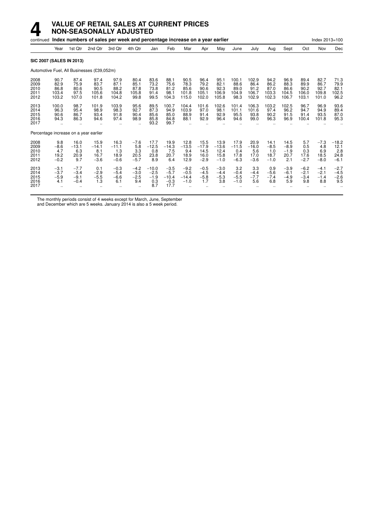### **VALUE OF RETAIL SALES AT CURRENT PRICES NON-SEASONALLY ADJUSTED**

**4**

|                                       |                                        |                                       | continued Index numbers of sales per week and percentage increase on a year earlier |                                          |                                        |                                           |                                               |                                        |                                           |                                           |                                          |                                          |                                         |                                         |                                        | Index 2013=100                         |                                          |
|---------------------------------------|----------------------------------------|---------------------------------------|-------------------------------------------------------------------------------------|------------------------------------------|----------------------------------------|-------------------------------------------|-----------------------------------------------|----------------------------------------|-------------------------------------------|-------------------------------------------|------------------------------------------|------------------------------------------|-----------------------------------------|-----------------------------------------|----------------------------------------|----------------------------------------|------------------------------------------|
|                                       | Year                                   | 1st Qtr                               | 2nd Qtr                                                                             | 3rd Qtr                                  | 4th Qtr                                | Jan                                       | Feb                                           | Mar                                    | Apr                                       | May                                       | June                                     | July                                     | Aug                                     | Sept                                    | Oct                                    | Nov                                    | Dec                                      |
| <b>SIC 2007 (SALES IN 2013)</b>       |                                        |                                       |                                                                                     |                                          |                                        |                                           |                                               |                                        |                                           |                                           |                                          |                                          |                                         |                                         |                                        |                                        |                                          |
|                                       |                                        |                                       | Automotive Fuel, All Businesses (£39,052m)                                          |                                          |                                        |                                           |                                               |                                        |                                           |                                           |                                          |                                          |                                         |                                         |                                        |                                        |                                          |
| 2008<br>2009<br>2010<br>2011<br>2012  | 90.7<br>82.9<br>86.8<br>103.4<br>103.2 | 87.4<br>75.9<br>80.6<br>97.5<br>107.0 | 97.4<br>83.7<br>90.5<br>105.6<br>101.8                                              | 97.9<br>87.1<br>88.2<br>104.8<br>104.2   | 80.4<br>85.1<br>87.8<br>105.8<br>99.8  | 83.6<br>73.2<br>73.8<br>91.4<br>99.5      | 88.1<br>75.6<br>81.2<br>98.1<br>104.3         | 90.5<br>78.3<br>85.6<br>101.8<br>115.0 | 96.4<br>79.2<br>90.6<br>105.1<br>102.0    | 95.1<br>82.1<br>92.3<br>106.9<br>105.8    | 100.1<br>88.6<br>89.0<br>104.9<br>98.3   | 102.9<br>86.4<br>91.2<br>106.7<br>102.9  | 94.2<br>86.2<br>87.0<br>103.3<br>102.3  | 96.9<br>88.3<br>86.6<br>104.5<br>106.7  | 89.4<br>89.9<br>90.2<br>106.0<br>103.1 | 82.7<br>86.7<br>92.7<br>109.8<br>101.0 | 71.3<br>79.9<br>82.1<br>102.5<br>96.2    |
| 2013<br>2014<br>2015<br>2016<br>2017  | 100.0<br>96.3<br>90.6<br>94.3          | 98.7<br>95.4<br>86.7<br>86.3          | 101.9<br>98.9<br>93.4<br>94.6                                                       | 103.9<br>98.3<br>91.8<br>97.4            | 95.6<br>92.7<br>90.4<br>98.9           | 89.5<br>87.3<br>85.6<br>85.8<br>93.2      | 100.7<br>94.9<br>85.0<br>84.8<br>99.7         | 104.4<br>103.9<br>88.9<br>88.1         | 101.6<br>97.0<br>91.4<br>92.9             | 102.6<br>98.1<br>92.9<br>96.4             | 101.4<br>101.1<br>95.5<br>94.6           | 106.3<br>101.6<br>93.8<br>99.0           | 103.2<br>97.4<br>90.2<br>96.3           | 102.5<br>96.2<br>91.5<br>96.9           | 96.7<br>94.7<br>91.4<br>100.4          | 96.9<br>94.9<br>93.5<br>101.8          | 93.6<br>89.4<br>87.0<br>95.3             |
| Percentage increase on a year earlier |                                        |                                       |                                                                                     |                                          |                                        |                                           |                                               |                                        |                                           |                                           |                                          |                                          |                                         |                                         |                                        |                                        |                                          |
| 2008<br>2009<br>2010<br>2011<br>2012  | 9.8<br>$-8.6$<br>4.7<br>19.2<br>$-0.2$ | 16.0<br>$-13.1$<br>6.3<br>20.9<br>9.7 | 15.9<br>$-14.1$<br>8.1<br>16.7<br>$-3.6$                                            | 16.3<br>$-11.1$<br>1.3<br>18.9<br>$-0.6$ | $-7.6$<br>5.8<br>3.3<br>20.5<br>$-5.7$ | 17.7<br>$-12.5$<br>0.8<br>23.8<br>8.9     | 19.9<br>$-14.3$<br>7.5<br>20.7<br>6.4         | 12.8<br>$-13.5$<br>9.4<br>18.9<br>12.9 | 15.5<br>$-17.9$<br>14.5<br>16.0<br>$-2.9$ | 13.9<br>$-13.6$<br>12.4<br>15.8<br>$-1.0$ | 17.9<br>$-11.5$<br>0.4<br>17.8<br>$-6.3$ | 20.9<br>$-16.0$<br>5.6<br>17.0<br>$-3.6$ | 14.1<br>$-8.5$<br>1.0<br>18.7<br>$-1.0$ | 14.5<br>$-8.9$<br>$-1.9$<br>20.7<br>2.1 | 5.7<br>0.5<br>0.3<br>17.6<br>$-2.7$    | $-7.3$<br>4.8<br>6.9<br>18.5<br>$-8.0$ | $-18.2$<br>12.1<br>2.8<br>24.8<br>$-6.1$ |
| 2013<br>2014<br>2015<br>2016<br>2017  | $-3.1$<br>$-3.7$<br>$-5.9$<br>4.1      | $-7.7$<br>$-3.4$<br>$-9.1$<br>$-0.4$  | 0.1<br>$-2.9$<br>$-5.5$<br>1.3                                                      | $-0.3$<br>$-5.4$<br>$-6.6$<br>6.1        | $-4.2$<br>$-3.0$<br>$-2.5$<br>9.4      | $-10.0$<br>$-2.5$<br>$-1.9$<br>0.3<br>8.7 | $-3.5$<br>$-5.7$<br>$-10.4$<br>$-0.3$<br>17.7 | $-9.2$<br>$-0.5$<br>$-14.4$<br>$-1.0$  | $-0.5$<br>$-4.5$<br>$-5.8$<br>1.7         | $-3.0$<br>$-4.4$<br>$-5.3$<br>3.8         | 3.2<br>$-0.4$<br>$-5.5$<br>$-1.0$        | 3.3<br>$-4.4$<br>$-7.7$<br>5.6           | 0.9<br>$-5.6$<br>$-7.4$<br>6.8          | $-3.9$<br>$-6.1$<br>$-4.9$<br>5.9       | $-6.2$<br>$-2.1$<br>$-3.4$<br>9.8      | $-4.1$<br>$-2.1$<br>$-1.4$<br>8.8      | $-2.7$<br>$-4.5$<br>$-2.6$<br>9.5        |

The monthly periods consist of 4 weeks except for March, June, September

and December which are 5 weeks. January 2014 is also a 5 week period.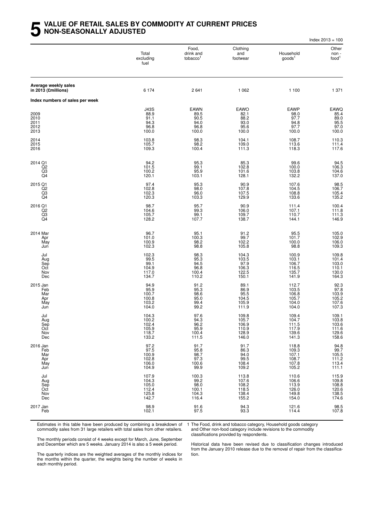#### **5 VALUE OF RETAIL SALES BY COMMODITY AT CURRENT PRICES NON-SEASONALLY ADJUSTED**

|                                                                                                                                                                                                                                                                                                                                                                                                                                                                                                                                                                                    |                                                      |                                                      |                                                    |                                                      | 11111172211111                                      |
|------------------------------------------------------------------------------------------------------------------------------------------------------------------------------------------------------------------------------------------------------------------------------------------------------------------------------------------------------------------------------------------------------------------------------------------------------------------------------------------------------------------------------------------------------------------------------------|------------------------------------------------------|------------------------------------------------------|----------------------------------------------------|------------------------------------------------------|-----------------------------------------------------|
|                                                                                                                                                                                                                                                                                                                                                                                                                                                                                                                                                                                    | Total<br>excluding<br>fuel                           | Food,<br>drink and<br>tobacco <sup>1</sup>           | Clothing<br>and<br>footwear                        | Household<br>goods <sup>1</sup>                      | Other<br>non-<br>food <sup>1</sup>                  |
| Average weekly sales<br>in 2013 (£millions)                                                                                                                                                                                                                                                                                                                                                                                                                                                                                                                                        | 6 1 7 4                                              | 2641                                                 | 1 0 6 2                                            | 1 100                                                | 1 371                                               |
| Index numbers of sales per week                                                                                                                                                                                                                                                                                                                                                                                                                                                                                                                                                    |                                                      |                                                      |                                                    |                                                      |                                                     |
| 2009<br>2010<br>2011<br>2012<br>2013                                                                                                                                                                                                                                                                                                                                                                                                                                                                                                                                               | <b>J43S</b><br>88.9<br>91.1<br>94.3<br>96.8<br>100.0 | <b>EAWN</b><br>89.5<br>90.5<br>94.0<br>96.8<br>100.0 | EAWO<br>82.1<br>88.2<br>93.0<br>95.6<br>100.0      | <b>EAWP</b><br>98.0<br>97.7<br>94.8<br>97.7<br>100.0 | EAWQ<br>85.4<br>89.0<br>$95.5$<br>$97.0$<br>$100.0$ |
| 2014<br>2015<br>2016                                                                                                                                                                                                                                                                                                                                                                                                                                                                                                                                                               | 103.8<br>105.7<br>109.3                              | 98.3<br>98.2<br>100.4                                | 104.1<br>109.0<br>111.3                            | 108.7<br>113.6<br>118.3                              | 110.3<br>111.4<br>117.6                             |
| 2014 Q1<br>$\begin{array}{c} \stackrel{\frown}{\phantom{}_{\check{}}}\stackrel{\frown}{\phantom{}_{\check{}}}\stackrel{\frown}{\phantom{}_{\check{}}}\stackrel{\frown}{\phantom{}_{\check{}}}\stackrel{\frown}{\phantom{}_{\check{}}}\stackrel{\frown}{\phantom{}_{\check{}}}\stackrel{\frown}{\phantom{}_{\check{}}}\stackrel{\frown}{\phantom{}_{\check{}}}\stackrel{\frown}{\phantom{}_{\check{}}}\stackrel{\frown}{\phantom{}_{\check{}}}\stackrel{\frown}{\phantom{}_{\check{}}}\stackrel{\frown}{\phantom{}_{\check{}}}\stackrel{\frown}{\phantom{}_{\check{}}}\stackrel{\f$ | 94.2<br>101.5<br>100.2<br>120.1                      | 95.3<br>99.1<br>95.9<br>103.1                        | 85.3<br>102.8<br>101.6<br>128.1                    | 99.6<br>100.0<br>103.8<br>132.2                      | 94.5<br>106.3<br>104.6<br>137.0                     |
| 2015 Q1<br>$\overline{Q}2$<br>Q3<br>Q4                                                                                                                                                                                                                                                                                                                                                                                                                                                                                                                                             | 97.4<br>102.8<br>102.3<br>120.3                      | 95.3<br>98.0<br>96.0<br>103.3                        | 90.9<br>107.8<br>107.5<br>129.9                    | 107.6<br>104.5<br>108.8<br>133.6                     | 98.5<br>106.7<br>105.4<br>135.2                     |
| 2016 Q1<br>$_{\rm Q3}^{\rm Q2}$<br>Q4                                                                                                                                                                                                                                                                                                                                                                                                                                                                                                                                              | 98.7<br>104.6<br>105.7<br>128.2                      | 95.7<br>99.3<br>99.1<br>107.7                        | 90.9<br>106.0<br>109.7<br>138.7                    | 111.4<br>107.1<br>110.7<br>144.1                     | 100.4<br>111.8<br>111.3<br>146.9                    |
| 2014 Mar<br>Apr<br>May<br>Jun                                                                                                                                                                                                                                                                                                                                                                                                                                                                                                                                                      | 96.7<br>101.0<br>100.9<br>102.3                      | 95.1<br>100.3<br>98.2<br>98.8                        | 91.2<br>99.7<br>102.2<br>105.8                     | 95.5<br>101.7<br>100.0<br>98.8                       | 105.0<br>102.9<br>106.0<br>109.3                    |
| Jul<br>Aug<br>Sep<br>Oct<br>Nov<br>Dec                                                                                                                                                                                                                                                                                                                                                                                                                                                                                                                                             | 102.3<br>99.5<br>99.1<br>104.9<br>117.0<br>134.7     | 98.3<br>95.3<br>94.5<br>96.8<br>100.4<br>110.2       | 104.3<br>103.5<br>97.9<br>106.3<br>122.5<br>150.1  | 100.9<br>103.1<br>106.7<br>116.5<br>135.7<br>141.9   | 109.8<br>101.4<br>103.0<br>110.1<br>130.0<br>164.3  |
| 2015 Jan<br>Feb<br>Mar<br>Apr<br>May<br>Jun                                                                                                                                                                                                                                                                                                                                                                                                                                                                                                                                        | 94.9<br>95.9<br>100.7<br>100.8<br>103.2<br>104.0     | 91.2<br>95.3<br>98.6<br>95.0<br>99.4<br>99.2         | 89.1<br>86.9<br>95.5<br>104.5<br>105.9<br>111.9    | 112.7<br>103.5<br>106.8<br>105.7<br>104.0<br>104.0   | 92.3<br>97.8<br>103.9<br>105.2<br>107.6<br>107.3    |
| Jul<br>Aug<br>Sep<br>Oct<br>Nov<br>Dec                                                                                                                                                                                                                                                                                                                                                                                                                                                                                                                                             | 104.3<br>100.2<br>102.4<br>105.9<br>118.7<br>133.2   | 97.6<br>94.3<br>96.2<br>95.9<br>100.4<br>111.5       | 109.8<br>105.7<br>106.9<br>110.9<br>128.9<br>146.0 | 109.4<br>104.7<br>111.5<br>117.9<br>139.6<br>141.3   | 109.1<br>103.8<br>103.6<br>111.6<br>129.6<br>158.6  |
| 2016 Jan<br>Feb<br>Mar<br>Apr<br>May<br>Jun                                                                                                                                                                                                                                                                                                                                                                                                                                                                                                                                        | 97.2<br>97.5<br>100.9<br>102.8<br>106.0<br>104.9     | 91.7<br>95.8<br>98.7<br>97.3<br>100.6<br>99.9        | 91.7<br>86.3<br>94.0<br>99.5<br>108.4<br>109.2     | 118.8<br>109.3<br>107.1<br>108.7<br>107.8<br>105.2   | 94.8<br>99.7<br>105.5<br>111.2<br>113.4<br>111.1    |
| Jul<br>Aug<br>Sep<br>Oct<br>Nov<br>Dec                                                                                                                                                                                                                                                                                                                                                                                                                                                                                                                                             | 107.9<br>104.3<br>105.0<br>112.4<br>125.8<br>142.7   | 100.3<br>99.2<br>98.0<br>100.1<br>104.3<br>116.4     | 113.8<br>107.6<br>108.2<br>118.5<br>138.4<br>155.2 | 110.6<br>106.6<br>113.9<br>126.0<br>149.8<br>154.0   | 115.9<br>109.8<br>108.8<br>120.6<br>138.5<br>174.6  |
| 2017 Jan<br>Feb                                                                                                                                                                                                                                                                                                                                                                                                                                                                                                                                                                    | 98.9<br>102.1                                        | 91.6<br>97.5                                         | 94.3<br>93.3                                       | 121.6<br>114.4                                       | 98.5<br>107.8                                       |

Estimates in this table have been produced by combining a breakdown of commodity sales from 31 large retailers with total sales from other retailers.

1 The Food, drink and tobacco category, Household goods category and Other non-food category include revisions to the commodity classifications provided by respondents.

The monthly periods consist of 4 weeks except for March, June, September and December which are 5 weeks. January 2014 is also a 5 week period.

Historical data have been revised due to classification changes introduced from the January 2010 release due to the removal of repair from the classification.

 $Index 2013 - 100$ 

The quarterly indices are the weighted averages of the monthly indices for the months within the quarter, the weights being the number of weeks in each monthly period.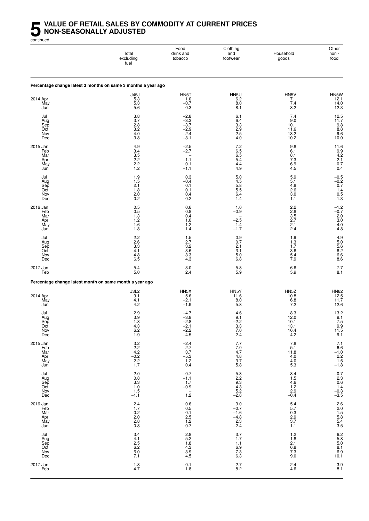### **5** VALUE OF RETAIL SALES BY COMMODITY AT CURRENT PRICES<br>MON-SEASONALLY ADJUSTED<br>continued **NON-SEASONALLY ADJUSTED**

continued

|                                             | Total<br>excluding<br>fuel                                                   | Food<br>drink and<br>tobacco                                 | Clothing<br>and<br>footwear                                               | Household<br>goods                                                        | Other<br>non-<br>food                                                        |
|---------------------------------------------|------------------------------------------------------------------------------|--------------------------------------------------------------|---------------------------------------------------------------------------|---------------------------------------------------------------------------|------------------------------------------------------------------------------|
|                                             | Percentage change latest 3 months on same 3 months a year ago                |                                                              |                                                                           |                                                                           |                                                                              |
| 2014 Apr<br>May<br>Jun                      | J45J<br>5.3<br>5.3<br>5.6                                                    | HN5T<br>1.0<br>$-0.7$<br>0.3                                 | HN5U<br>6.2<br>8.0<br>8.1                                                 | HN5V<br>7.1<br>7.4<br>8.2                                                 | HN5W<br>$12.1$<br>$14.0$<br>12.3                                             |
| Jul<br>Aug<br>Sep<br>Oct<br>Nov<br>Dec      | 3.8<br>3.7<br>$\frac{2.8}{3.2}$<br>4.0<br>3.8                                | $-2.8$<br>$-3.3$<br>$-3.7$<br>$-2.9$<br>$-2.4$<br>$-3.1$     | 6.1<br>6.4<br>$\frac{3.3}{2.9}$<br>2.5<br>4.0                             | 7.4<br>9.0<br>10.1<br>11.6<br>13.2<br>10.2                                | $12.5$<br>11.7<br>$\begin{array}{c} 9.8 \\ 8.8 \end{array}$<br>9.6<br>10.0   |
| 2015 Jan<br>Feb<br>Mar<br>Apr<br>May<br>Jun | 4.9<br>$3.4$<br>$3.5$<br>2.2<br>$^{2.2}_{1.2}$                               | $-2.5$<br>$-2.7$<br>-<br>$-1.1$<br>0.1<br>$-1.1$             | 7.2<br>$6.5$<br>$6.5$<br>5.4<br>4.4<br>4.9                                | 9.8<br>6.1<br>8.1<br>7.3<br>$6.9$<br>$4.5$                                | 11.6<br>$\frac{9.9}{4.2}$<br>2.1<br>$0.7 \\ 0.4$                             |
| Jul<br>Aug<br>Sep<br>Oct<br>Nov<br>Dec      | $\frac{1.9}{1.5}$<br>2.1<br>$\begin{array}{c} 1.8 \\ 2.0 \end{array}$<br>0.2 | 0.3<br>$-0.4$<br>0.1<br>0.1<br>0.4<br>0.2                    | 5.0<br>4.5<br>5.8<br>$\begin{array}{c} 5.5 \\ 6.4 \end{array}$<br>1.4     | $\frac{5.9}{5.1}$<br>4.8<br>2.6<br>3.0<br>1.1                             | $-0.5$<br>$-0.2$<br>0.7<br>$\begin{array}{c} 1.4 \\ 0.5 \\ -1.3 \end{array}$ |
| 2016 Jan<br>Feb<br>Mar<br>Apr<br>May<br>Jun | 0.5<br>0.5<br>$\frac{1.3}{1.2}$<br>1.6<br>1.8                                | 0.6<br>0.8<br>0.4<br>1.0<br>$1.2$<br>1.4                     | 1.0<br>$-0.9$<br>$\overline{\phantom{a}}$<br>$-2.5$<br>$-1.4$<br>$-1.7$   | 2.2<br>2.8<br>$\frac{3.5}{2.7}$<br>2.1<br>2.4                             | $^{-1.2}_{-0.7}$<br>$\frac{2.0}{3.0}$<br>4.0<br>4.8                          |
| Jul<br>Aug<br>Sep<br>Oct<br>Nov<br>Dec      | 2.2<br>$\frac{2.6}{3.3}$<br>4.1<br>$^{4.8}_{6.5}$                            | $1.5$<br>2.7<br>$\overline{3.2}$<br>3.6<br>$\frac{3.3}{4.3}$ | 0.9<br>0.7<br>2.1<br>3.1<br>5.0<br>6.8                                    | 1.9<br>$1.3$<br>$1.7$<br>3.6<br>5.4<br>7.9                                | 4.9<br>5.0<br>5.6<br>6.2<br>$6.6$<br>$8.6$                                   |
| 2017 Jan<br>Feb                             | $\frac{5.4}{5.0}$                                                            | $\frac{3.0}{2.4}$                                            | $\frac{5.8}{5.9}$                                                         | $6.6$<br>5.9                                                              | 7.78.1                                                                       |
|                                             | Percentage change latest month on same month a year ago                      |                                                              |                                                                           |                                                                           |                                                                              |
| 2014 Apr<br>May<br>Jun                      | J3L2<br>9.1<br>4.1<br>4.2                                                    | HN5X<br>5.6<br>$-2.1$<br>$-1.9$                              | HN5Y<br>11.6<br>8.0<br>5.8                                                | HN <sub>5</sub> Z<br>10.8<br>$^{6.8}_{7.2}$                               | <b>HN62</b><br>$12.5$<br>$11.7$<br>$12.6$                                    |
| Jul<br>Aug<br>Sep<br>Oct<br>Nov<br>Dec      | 2.9<br>3.9<br>$1.8$<br>$4.3$<br>$6.2$<br>$1.9$                               | $-4.7$<br>$-3.8$<br>$-2.8$<br>$-2.1$<br>$-2.2$<br>$-4.5$     | 4.6<br>9.1<br>$-2.2$<br>3.3<br>7.0<br>2.4                                 | 8.3<br>12.0<br>10.1<br>$\begin{array}{c} 13.1 \\ 16.4 \\ 4.2 \end{array}$ | 13.2<br>9.1<br>$7.5$<br>9.9<br>11.5<br>9.1                                   |
| 2015 Jan<br>Feb<br>Mar<br>Apr<br>May<br>Jun | $3.2$<br>$2.2$<br>$4.2$<br>$-0.2$<br>$2.2$<br>1.7                            | $-2.4$<br>$-2.7$<br>$3.7$<br>$-5.3$<br>$1.2$<br>0.4          | $7.7$<br>$7.0$<br>$4.7$<br>$4.8$<br>$3.7$<br>$5.8$                        | 7.8<br>5.1<br>11.8<br>4.0<br>4.0<br>5.3                                   | 7.1<br>$6.6$<br>-1.0<br>-1.0<br>-1.5<br>-1.8                                 |
| Jul<br>Aug<br>Sep<br>Oct<br>Nov<br>Dec      | 2.0<br>$\begin{array}{c} 0.8 \\ 3.3 \end{array}$<br>1.0<br>$1.5 - 1.1$       | $-0.7$<br>$-1.1$<br>1.7<br>$-0.9$<br>$1.\overline{2}$        | $\begin{array}{c} 5.3 \\ 2.2 \\ 9.3 \\ 4.3 \\ 5.2 \\ -2.8 \end{array}$    | 8.4<br>1.5<br>$\frac{4.6}{1.2}$<br>2.9<br>$-0.4$                          | $-0.7$<br>2.3<br>0.6<br>0.4<br>1.4<br>-0.3<br>-3.5                           |
| 2016 Jan<br>Feb<br>Mar<br>Apr<br>May<br>Jun | $^{2.4}_{1.7}$<br>$\begin{array}{c} 0.2 \\ 2.0 \\ 2.8 \end{array}$<br>0.8    | $0.6 \\ 0.5$<br>$0.1$<br>2.5<br>1.2<br>0.7                   | $\frac{3.0}{-0.7}$<br>$-1.6$<br>$-4.8$<br>2.3<br>$-2.4$                   | $\frac{5.4}{5.7}$<br>$0.3$<br>$2.9$<br>$3.7$<br>1.1                       | 2.6<br>2.0<br>1.5<br>5.8<br>5.4<br>3.5                                       |
| Jul<br>Aug<br>Sep<br>Oct<br>Nov<br>Dec      | 3.4<br>4.1<br>$^{2.5}_{6.2}$<br>6.0<br>7.1                                   | 2.8<br>5.2<br>5.8<br>4.3<br>4.5                              | $3.7$<br>$1.7$<br>1.1<br>$\begin{array}{c} 6.9 \\ 7.3 \\ 6.3 \end{array}$ | $1.2$<br>1.8<br>2.1<br>6.8<br>$7.3$<br>9.0                                | 6.2<br>5.8<br>5.0<br>8.1<br>6.9<br>10.1                                      |
| 2017 Jan<br>Feb                             | $\frac{1.8}{4.7}$                                                            | $-0.1$<br>1.8                                                | $^{2.7}_{8.2}$                                                            | 2.4<br>4.6                                                                | $\begin{array}{c} 3.9 \\ 8.1 \end{array}$                                    |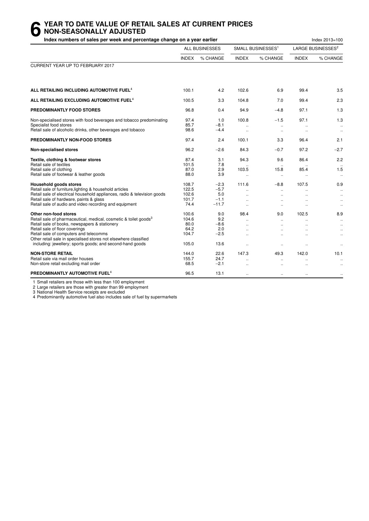### **6** YEAR TO DATE VALUE OF RETAIL SALES AT CURRENT PRICES<br>
Index numbers of sales per week and percentage change on a vear earlier **NON-SEASONALLY ADJUSTED**

**Index numbers of sales per week and percentage change on a year earlier Index 2013 and Expansion Constant Chang 2013=100** 

|                                                                                                                                                                                                                                                                                                                                                                     |                                                  | ALL BUSINESSES                                |                                                                                         | SMALL BUSINESSES <sup>1</sup>                                          |                    | LARGE BUSINESSES <sup>2</sup>                                                 |
|---------------------------------------------------------------------------------------------------------------------------------------------------------------------------------------------------------------------------------------------------------------------------------------------------------------------------------------------------------------------|--------------------------------------------------|-----------------------------------------------|-----------------------------------------------------------------------------------------|------------------------------------------------------------------------|--------------------|-------------------------------------------------------------------------------|
|                                                                                                                                                                                                                                                                                                                                                                     | <b>INDEX</b>                                     | % CHANGE                                      | <b>INDEX</b>                                                                            | % CHANGE                                                               | <b>INDEX</b>       | % CHANGE                                                                      |
| <b>CURRENT YEAR UP TO FEBRUARY 2017</b>                                                                                                                                                                                                                                                                                                                             |                                                  |                                               |                                                                                         |                                                                        |                    |                                                                               |
| ALL RETAILING INCLUDING AUTOMOTIVE FUEL <sup>4</sup>                                                                                                                                                                                                                                                                                                                | 100.1                                            | 4.2                                           | 102.6                                                                                   | 6.9                                                                    | 99.4               | 3.5                                                                           |
| ALL RETAILING EXCLUDING AUTOMOTIVE FUEL <sup>4</sup>                                                                                                                                                                                                                                                                                                                | 100.5                                            | 3.3                                           | 104.8                                                                                   | 7.0                                                                    | 99.4               | 2.3                                                                           |
| PREDOMINANTLY FOOD STORES                                                                                                                                                                                                                                                                                                                                           | 96.8                                             | 0.4                                           | 94.9                                                                                    | $-4.8$                                                                 | 97.1               | 1.3                                                                           |
| Non-specialised stores with food beverages and tobacco predominating<br>Specialist food stores<br>Retail sale of alcoholic drinks, other beverages and tobacco                                                                                                                                                                                                      | 97.4<br>85.7<br>98.6                             | 1.0<br>$-8.1$<br>$-4.4$                       | 100.8<br>$\ddotsc$                                                                      | $-1.5$<br>$\ddotsc$<br>$\ddotsc$                                       | 97.1<br>$\ddotsc$  | 1.3<br>$\sim$<br>$\cdot\cdot$                                                 |
| PREDOMINANTLY NON-FOOD STORES                                                                                                                                                                                                                                                                                                                                       | 97.4                                             | 2.4                                           | 100.1                                                                                   | 3.3                                                                    | 96.4               | 2.1                                                                           |
| Non-specialised stores                                                                                                                                                                                                                                                                                                                                              | 96.2                                             | $-2.6$                                        | 84.3                                                                                    | $-0.7$                                                                 | 97.2               | $-2.7$                                                                        |
| Textile, clothing & footwear stores<br>Retail sale of textiles<br>Retail sale of clothing<br>Retail sale of footwear & leather goods                                                                                                                                                                                                                                | 87.4<br>101.5<br>87.0<br>88.0                    | 3.1<br>7.8<br>2.9<br>3.9                      | 94.3<br>103.5<br>$\ddot{\phantom{a}}$                                                   | 9.6<br>15.8<br>$\ldots$                                                | 86.4<br>85.4       | 2.2<br>1.5<br>$\ldots$                                                        |
| Household goods stores<br>Retail sale of furniture, lighting & household articles<br>Retail sale of electrical household appliances, radio & television goods<br>Retail sale of hardware, paints & glass<br>Retail sale of audio and video recording and equipment                                                                                                  | 108.7<br>122.5<br>102.6<br>101.7<br>74.4         | $-2.3$<br>$-5.7$<br>5.0<br>$-1.1$<br>$-11.7$  | 111.6<br>$\sim$<br>$\ddot{\phantom{a}}$<br>$\ddot{\phantom{a}}$<br>$\ddot{\phantom{a}}$ | -8.8<br>$\ddot{\phantom{a}}$<br>$\ddot{\phantom{a}}$                   | 107.5              | 0.9<br>$\ldots$<br>$\ldots$<br>$\ldots$<br>$\cdot\cdot$                       |
| Other non-food stores<br>Retail sale of pharmaceutical, medical, cosmetic & toilet goods <sup>3</sup><br>Retail sale of books, newspapers & stationery<br>Retail sale of floor coverings<br>Retail sale of computers and telecomms<br>Other retail sale in specialised stores not elsewhere classified<br>including: jewellery; sports goods; and second-hand goods | 100.6<br>104.6<br>80.0<br>64.2<br>104.7<br>105.0 | 9.0<br>9.2<br>$-8.6$<br>2.0<br>$-2.5$<br>13.6 | 98.4<br>$\sim$<br>$\ddot{\phantom{1}}$<br>$\ddotsc$                                     | 9.0<br>$\ddot{\phantom{1}}$<br>$\ddot{\phantom{a}}$<br>Ω.<br>$\ddotsc$ | 102.5<br>$\ddotsc$ | 8.9<br>$\ddotsc$<br>$\ddotsc$<br>$\ldots$<br>$\ddot{\phantom{1}}$<br>$\ldots$ |
| <b>NON-STORE RETAIL</b><br>Retail sale via mail order houses<br>Non-store retail excluding mail order                                                                                                                                                                                                                                                               | 144.0<br>155.7<br>68.5                           | 22.6<br>24.7<br>$-2.1$                        | 147.3<br>$\mathbf{r}$                                                                   | 49.3<br>$\ddot{\phantom{a}}$<br>$\ddot{\phantom{1}}$                   | 142.0              | 10.1<br>$\ddotsc$<br>$\ldots$                                                 |
| PREDOMINANTLY AUTOMOTIVE FUEL <sup>4</sup>                                                                                                                                                                                                                                                                                                                          | 96.5                                             | 13.1                                          | $\sim$                                                                                  | $\ddot{\phantom{a}}$                                                   |                    | $\ddotsc$                                                                     |

1 Small retailers are those with less than 100 employment

2 Large retailers are those with greater than 99 employment

3 National Health Service receipts are excluded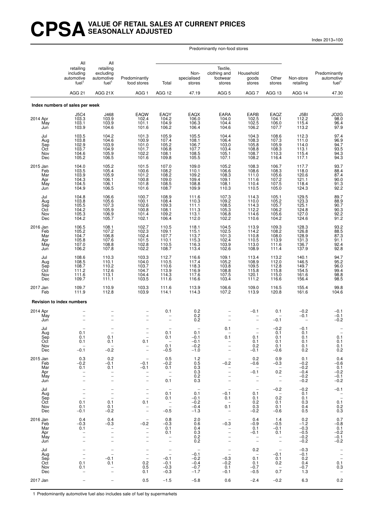### **CPSAVALUE OF RETAIL SALES AT CURRENT PRICES SEASONALLY ADJUSTED**

Index 2013=100

#### Predominantly non-food stores

|                                             |                                                                                                | All                                                                                                                    |                                                                                                                        |                                                                                     |                                                          |                                                                                                                                   |                                                                                        |                                                                          |                                                       |                                                                                     |
|---------------------------------------------|------------------------------------------------------------------------------------------------|------------------------------------------------------------------------------------------------------------------------|------------------------------------------------------------------------------------------------------------------------|-------------------------------------------------------------------------------------|----------------------------------------------------------|-----------------------------------------------------------------------------------------------------------------------------------|----------------------------------------------------------------------------------------|--------------------------------------------------------------------------|-------------------------------------------------------|-------------------------------------------------------------------------------------|
|                                             | All<br>retailing<br>including<br>automotive<br>fuel <sup>1</sup>                               | retailing<br>excluding<br>automotive<br>fuel <sup>1</sup>                                                              | Predominantly<br>food stores                                                                                           | Total                                                                               | Non-<br>specialised<br>stores                            | Textile,<br>clothing and<br>footwear<br>stores                                                                                    | Household<br>goods<br>stores                                                           | Other<br>stores                                                          | Non-store<br>retailing                                | Predominantly<br>automotive<br>fuel <sup>1</sup>                                    |
|                                             | <b>AGG 21</b>                                                                                  | AGG 21X                                                                                                                | AGG 1                                                                                                                  | AGG 12                                                                              | 47.19                                                    | AGG 5                                                                                                                             | AGG 7                                                                                  | AGG 13                                                                   | AGG 14                                                | 47.30                                                                               |
|                                             | Index numbers of sales per week                                                                |                                                                                                                        |                                                                                                                        |                                                                                     |                                                          |                                                                                                                                   |                                                                                        |                                                                          |                                                       |                                                                                     |
| 2014 Apr<br>May<br>Jun                      | <b>J5C4</b><br>103.3<br>103.1<br>103.9                                                         | J468<br>103.9<br>103.9<br>104.6                                                                                        | <b>EAQW</b><br>102.4<br>101.1<br>101.6                                                                                 | EAQY<br>104.2<br>104.9<br>106.2                                                     | <b>EAQX</b><br>106.0<br>106.3<br>106.4                   | <b>EARA</b><br>104.0<br>104.4<br>104.6                                                                                            | EARB<br>102.5<br>102.5<br>106.2                                                        | EAQZ<br>104.1<br>106.0<br>107.7                                          | J5BI<br>112.2<br>115.4<br>113.2                       | JO <sub>2</sub> G<br>98.0<br>96.4<br>97.9                                           |
| Jul<br>Aug<br>Sep<br>Oct<br>Nov<br>Dec      | 103.5<br>103.8<br>102.9<br>103.7<br>104.6<br>105.2                                             | 104.2<br>104.6<br>103.9<br>104.9<br>105.9<br>106.5                                                                     | 101.3<br>100.9<br>101.0<br>101.7<br>102.2<br>101.6                                                                     | 105.9<br>107.4<br>105.2<br>106.8<br>108.1<br>109.8                                  | 105.5<br>108.1<br>106.7<br>107.7<br>108.5<br>105.5       | 104.4<br>106.4<br>103.0<br>103.4<br>105.1<br>107.1                                                                                | 104.3<br>108.3<br>105.8<br>108.8<br>108.7<br>108.2                                     | 108.6<br>107.3<br>105.9<br>108.3<br>110.3<br>116.4                       | 112.3<br>111.0<br>114.0<br>113.1<br>115.4<br>117.1    | 97.4<br>96.9<br>94.7<br>93.5<br>94.3<br>94.3                                        |
| 2015 Jan<br>Feb<br>Mar<br>Apr<br>May<br>Jun | 104.0<br>103.5<br>103.9<br>104.3<br>104.5<br>104.9                                             | 105.2<br>105.4<br>105.9<br>106.1<br>106.1<br>106.5                                                                     | 101.5<br>100.6<br>101.2<br>100.8<br>101.8<br>101.6                                                                     | 107.0<br>108.2<br>108.2<br>109.0<br>108.5<br>108.7                                  | 109.0<br>110.1<br>109.2<br>109.4<br>108.8<br>109.9       | 105.2<br>106.6<br>108.3<br>109.1<br>108.1<br>110.3                                                                                | 108.3<br>108.6<br>111.0<br>111.6<br>110.4<br>110.5                                     | 106.7<br>108.3<br>105.6<br>107.2<br>107.5<br>105.0                       | 117.7<br>118.0<br>120.6<br>121.1<br>118.4<br>124.3    | 93.7<br>88.4<br>87.4<br>90.0<br>91.3<br>92.2                                        |
| Jul<br>Aug<br>Sep<br>Oct<br>Nov<br>Dec      | 104.8<br>103.8<br>105.5<br>104.2<br>105.3<br>104.2                                             | 106.6<br>105.6<br>107.3<br>105.9<br>106.9<br>105.7                                                                     | 100.7<br>100.1<br>102.6<br>100.8<br>101.4<br>102.1                                                                     | 108.9<br>108.4<br>109.3<br>108.1<br>109.2<br>106.4                                  | 111.6<br>110.3<br>111.1<br>111.3<br>113.1<br>112.0       | 107.3<br>109.2<br>108.5<br>105.3<br>106.8<br>102.2                                                                                | 114.3<br>110.0<br>114.3<br>112.2<br>114.6<br>110.6                                     | 105.1<br>105.2<br>105.7<br>106.2<br>105.6<br>104.2                       | 129.5<br>123.3<br>125.1<br>124.8<br>127.0<br>124.6    | 89.7<br>88.9<br>90.7<br>90.3<br>92.2<br>91.2                                        |
| 2016 Jan<br>Feb<br>Mar<br>Apr<br>May<br>Jun | 106.5<br>105.2<br>104.7<br>105.8<br>107.0<br>106.2                                             | 108.1<br>107.2<br>106.8<br>107.6<br>108.8<br>107.8                                                                     | 102.7<br>102.3<br>102.4<br>101.5<br>102.8<br>102.2                                                                     | 110.5<br>109.1<br>107.7<br>110.1<br>110.5<br>108.7                                  | 118.1<br>115.1<br>113.7<br>115.3<br>116.3<br>113.4       | 104.5<br>102.5<br>101.3<br>102.4<br>103.9<br>102.6                                                                                | 113.9<br>114.2<br>110.8<br>110.5<br>113.0<br>108.9                                     | 109.3<br>108.2<br>108.0<br>113.9<br>111.6<br>111.4                       | 128.3<br>126.8<br>128.9<br>131.3<br>136.7<br>137.9    | 93.2<br>88.5<br>87.3<br>91.1<br>92.4<br>92.8                                        |
| Jul<br>Aug<br>Sep<br>Oct<br>Nov<br>Dec      | 108.6<br>108.5<br>108.7<br>111.2<br>111.6<br>109.7                                             | 110.3<br>110.1<br>110.2<br>112.6<br>113.1<br>111.1                                                                     | 103.3<br>104.0<br>103.7<br>104.7<br>104.4<br>103.5                                                                     | 112.7<br>110.5<br>110.6<br>113.9<br>114.3<br>111.6                                  | 116.6<br>117.4<br>118.3<br>116.9<br>117.6<br>116.6       | 109.1<br>105.2<br>103.8<br>108.8<br>107.5<br>103.4                                                                                | 113.4<br>108.9<br>109.5<br>115.8<br>120.1<br>111.2                                     | 113.2<br>112.0<br>112.8<br>115.8<br>115.0<br>116.6                       | 140.1<br>146.5<br>149.7<br>154.5<br>161.6<br>156.4    | 94.7<br>95.2<br>96.0<br>99.4<br>98.8<br>98.5                                        |
| 2017 Jan<br>Feb                             | 109.7<br>111.9                                                                                 | 110.9<br>112.8                                                                                                         | 103.3<br>103.9                                                                                                         | 111.6<br>114.1                                                                      | 113.9<br>114.3                                           | 106.6<br>107.2                                                                                                                    | 109.0<br>113.9                                                                         | 116.5<br>120.8                                                           | 155.4<br>161.6                                        | 99.8<br>104.6                                                                       |
|                                             | <b>Revision to index numbers</b>                                                               |                                                                                                                        |                                                                                                                        |                                                                                     |                                                          |                                                                                                                                   |                                                                                        |                                                                          |                                                       |                                                                                     |
| 2014 Apr<br>May<br>Jun                      |                                                                                                |                                                                                                                        |                                                                                                                        | 0.1<br>$\qquad \qquad -$                                                            | $0.2 \\ 0.2$<br>0.2                                      |                                                                                                                                   | $-0.1$                                                                                 | 0.1<br>$-0.1$                                                            | $-0.2$<br>$-0.1$                                      | $-0.1$<br>$-0.1$<br>$-0.2$                                                          |
| Jul<br>Aug<br>Sep<br>Oct<br>Nov<br>Dec      | 0.1<br>0.1<br>0.1<br>$\sim$<br>$-0.1$                                                          | $\qquad \qquad -$<br>0.1<br>0.1<br>$\sim$ $-$<br>$-0.2$                                                                | $\overline{\phantom{0}}$<br>$\qquad \qquad -$<br>0.1<br>$\overline{\phantom{a}}$<br>$\overline{\phantom{a}}$           | 0.1<br>0.1<br>$\overline{\phantom{0}}$<br>0.1<br>$-0.5$                             | 0.1<br>-0.1<br>$-0.1$<br>$-0.2$<br>$-1.0$                | 0.1<br>0.1<br>$\overline{\phantom{a}}$<br>$\overline{\phantom{0}}$<br>$\qquad \qquad -$                                           | 0.1<br>0.1<br>0.2<br>$-0.1$                                                            | $-0.2$<br>0.1<br>0.1<br>0.1<br>0.1<br>$-0.6$                             | $-0.1$<br>0.1<br>0.1<br>0.1<br>0.1<br>0.2             | 0.1<br>0.1<br>0.1<br>0.2                                                            |
| 2015 Jan<br>Feb<br>Mar<br>Apr<br>May<br>Jun | 0.3<br>$-0.2$<br>0.1<br>$\overline{\phantom{a}}$<br>$\overline{a}$<br>$\overline{\phantom{a}}$ | 0.2<br>$-0.1$<br>0.1<br>$\overline{\phantom{a}}$<br>$\overline{\phantom{a}}$<br>$\bar{a}$                              | $\hspace{0.1mm}-\hspace{0.1mm}$<br>$-0.1$<br>$-0.1$<br>$\qquad \qquad -$<br>$\overline{\phantom{0}}$<br>$\overline{a}$ | 0.5<br>$-0.2$<br>0.1<br>$\sim$ $-$<br>$\equiv$<br>0.1                               | 1.2<br>0.5<br>0.3<br>0.3<br>0.2<br>0.3                   | $\overline{\phantom{m}}$<br>$-0.2$<br>$\qquad \qquad -$<br>$\overline{a}$<br>$\overline{\phantom{a}}$<br>$\overline{\phantom{a}}$ | 0.2<br>$-0.6$<br>$-0.1$<br>$\bar{\mathbb{I}}$                                          | 0.9<br>$-0.3$<br>$\overline{\phantom{0}}$<br>0.2<br>$\frac{1}{2}$        | 0.1<br>$-0.2$<br>$-0.2$<br>$-0.4$<br>$-0.2$<br>$-0.2$ | 0.4<br>$-0.6$<br>0.1<br>$-0.2$<br>$-0.1$<br>$-0.2$                                  |
| Jul<br>Aug<br>Sep<br>Oct<br>Nov<br>Dec      | $\overline{\phantom{m}}$<br>$\overline{\phantom{a}}$<br>0.1<br>0.1<br>$-0.1$                   | $\bar{z}$<br>$\overline{\phantom{a}}$<br>0.1<br>0.1<br>$-0.2$                                                          | $\bar{a}$<br>$\overline{\phantom{a}}$<br>0.1<br>$\overline{\phantom{a}}$<br>$\overline{\phantom{a}}$                   | $\hspace{0.1mm}-\hspace{0.1mm}$<br>0.1<br>0.1<br>$\overline{\phantom{a}}$<br>$-0.5$ | 0.1<br>$-0.1$<br>$-0.2$<br>$-0.4$<br>$-1.3$              | $\hspace{0.1mm}-\hspace{0.1mm}$<br>$-0.1$<br>0.1<br>$-$<br>0.1<br>$\overline{\phantom{0}}$                                        | $\overline{\phantom{a}}$<br>0.1<br>0.1<br>0.2<br>0.3<br>$-0.2$                         | $-0.2$<br>$\sim$ $-$<br>0.2<br>0.1<br>0.1<br>$-0.6$                      | $-0.2$<br>0.1<br>0.1<br>0.3<br>0.4<br>0.5             | $-0.1$<br>$\overline{\phantom{a}}$<br>$\overline{\phantom{a}}$<br>0.1<br>0.2<br>0.3 |
| 2016 Jan<br>Feb<br>Mar<br>Apr<br>May<br>Jun | 0.4<br>$-0.3$<br>0.1<br>$\equiv$                                                               | 0.4<br>$-0.3$<br>$\bar{a}$<br>$\overline{\phantom{0}}$<br>$\overline{\phantom{0}}$                                     | $\hspace{0.1mm}-\hspace{0.1mm}$<br>$-0.2$<br>$\bar{a}$<br>$\overline{\phantom{0}}$                                     | 0.8<br>$-0.3$<br>0.1<br>0.1<br>$\frac{1}{2}$                                        | 2.0<br>0.6<br>0.4<br>0.3<br>0.2<br>0.2                   | $\hspace{0.1mm}-\hspace{0.1mm}$<br>$-0.3$<br>$\bar{a}$<br>$\qquad \qquad -$<br>$\overline{\phantom{0}}$                           | 0.4<br>$-0.9$<br>0.1<br>$-0.1$<br>$\overline{\phantom{0}}$<br>$\overline{\phantom{a}}$ | 1.4<br>$-0.5$<br>$-0.1$<br>0.1<br>$\sim$ $-$<br>$\overline{\phantom{a}}$ | 0.2<br>$-1.2$<br>$-0.3$<br>$-0.5$<br>$-0.2$<br>$-0.2$ | 0.7<br>$-0.8$<br>0.1<br>$-0.2$<br>$-0.1$<br>$-0.2$                                  |
| Jul<br>Aug<br>Sep<br>Oct<br>Nov<br>Dec      | $\overline{\phantom{m}}$<br>$\overline{\phantom{a}}$<br>$\qquad \qquad -$<br>0.1<br>0.1        | $\overline{\phantom{a}}$<br>$\overline{\phantom{a}}$<br>$-0.1$<br>0.1<br>$\overline{\phantom{0}}$<br>$\qquad \qquad -$ | $\overline{\phantom{a}}$<br>$\bar{a}$<br>0.2<br>0.5<br>0.1                                                             | $\overline{\phantom{a}}$<br>$\overline{a}$<br>$-0.1$<br>$-0.1$<br>$-0.3$<br>$-0.3$  | $\sim$<br>$-0.1$<br>$-0.2$<br>$-0.4$<br>$-0.7$<br>$-1.7$ | $\hspace{0.1mm}-\hspace{0.1mm}$<br>$\overline{\phantom{a}}$<br>$-0.3$<br>$-0.2$<br>0.1<br>$-0.1$                                  | 0.2<br>$\sim$<br>0.1<br>0.1<br>$-0.7$<br>$-0.5$                                        | $\hspace{0.1cm} -$<br>$-0.1$<br>0.1<br>0.2<br>$\sim$<br>0.7              | $-0.3$<br>$-0.1$<br>0.2<br>0.4<br>$-0.7$<br>1.3       | $\overline{\phantom{a}}$<br>$\frac{1}{2}$<br>0.1<br>0.3<br>$\overline{\phantom{0}}$ |
| 2017 Jan                                    |                                                                                                | $\overline{\phantom{0}}$                                                                                               | 0.5                                                                                                                    | $-1.5$                                                                              | $-5.8$                                                   | 0.6                                                                                                                               | $-2.4$                                                                                 | $-0.2$                                                                   | 6.3                                                   | 0.2                                                                                 |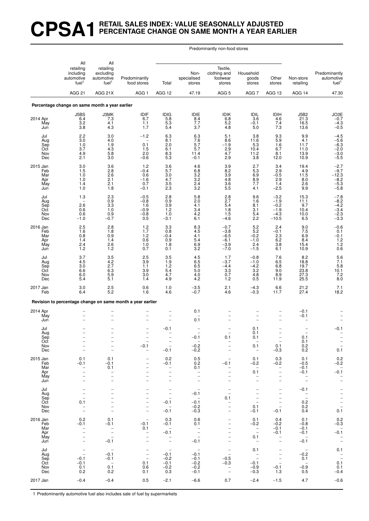# **CPSA1 RETAIL SALES INDEX: VALUE SEASONALLY ADJUSTED PERCENTAGE CHANGE ON SAME MONTH A YEAR EARLIER**

#### Predominantly non-food stores

|                                             | All                                                                                            | All                                                                                                                                             |                                                                                                                                          |                                                                                                                               |                                                                                                   |                                                                                                                            |                                                                                            |                                                                                                                                             |                                                                                               |                                                                                                             |
|---------------------------------------------|------------------------------------------------------------------------------------------------|-------------------------------------------------------------------------------------------------------------------------------------------------|------------------------------------------------------------------------------------------------------------------------------------------|-------------------------------------------------------------------------------------------------------------------------------|---------------------------------------------------------------------------------------------------|----------------------------------------------------------------------------------------------------------------------------|--------------------------------------------------------------------------------------------|---------------------------------------------------------------------------------------------------------------------------------------------|-----------------------------------------------------------------------------------------------|-------------------------------------------------------------------------------------------------------------|
|                                             | retailing<br>including<br>automotive<br>fuel <sup>1</sup>                                      | retailing<br>excluding<br>automotive<br>fuel <sup>1</sup>                                                                                       | Predominantly<br>food stores                                                                                                             | Total                                                                                                                         | Non-<br>specialised<br>stores                                                                     | Textile,<br>clothing and<br>footwear<br>stores                                                                             | Household<br>goods<br>stores                                                               | Other<br>stores                                                                                                                             | Non-store<br>retailing                                                                        | Predominantly<br>automotive<br>fuel <sup>1</sup>                                                            |
|                                             | AGG <sub>21</sub>                                                                              | AGG 21X                                                                                                                                         | AGG <sub>1</sub>                                                                                                                         | AGG 12                                                                                                                        | 47.19                                                                                             | AGG <sub>5</sub>                                                                                                           | AGG 7                                                                                      | AGG 13                                                                                                                                      | AGG 14                                                                                        | 47.30                                                                                                       |
|                                             | Percentage change on same month a year earlier                                                 |                                                                                                                                                 |                                                                                                                                          |                                                                                                                               |                                                                                                   |                                                                                                                            |                                                                                            |                                                                                                                                             |                                                                                               |                                                                                                             |
| 2014 Apr<br>May<br>Jun                      | J5BS<br>6.4<br>3.2<br>3.8                                                                      | J3MK<br>7.3<br>4.1<br>4.3                                                                                                                       | IDIF<br>6.7<br>1.1<br>1.7                                                                                                                | <b>IDIG</b><br>5.8<br>5.3<br>5.4                                                                                              | IDIE<br>8.4<br>$\frac{7.7}{3.7}$                                                                  | <b>IDIK</b><br>6.8<br>5.2<br>4.8                                                                                           | <b>IDIL</b><br>3.6<br>$-0.1$<br>5.0                                                        | <b>IDIH</b><br>4.6<br>$\frac{7.4}{7.3}$                                                                                                     | <b>J5B2</b><br>21.3<br>16.5<br>13.6                                                           | $JO3E$<br>$-0.7$<br>$-4.3$<br>$-0.5$                                                                        |
| Jul<br>Aug<br>Sep<br>Oct<br>Nov<br>Dec      | 2.2<br>3.0<br>1.0<br>3.7<br>4.9<br>2.1                                                         | 3.0<br>4.0<br>1.9<br>4.3<br>5.8<br>3.0                                                                                                          | $-1.2$<br>$\overline{\phantom{a}}$<br>0.1<br>1.5<br>2.0<br>$-0.6$                                                                        | 6.3<br>8.1<br>2.0<br>6.1<br>8.3<br>5.3                                                                                        | $6.3$<br>$7.6$<br>5.7<br>5.7<br>11.4<br>$-0.1$                                                    | 5.1<br>8.6<br>$-1.9$<br>$^{2.9}_{4.7}$<br>2.9                                                                              | 3.8<br>11.6<br>5.3<br>10.4<br>11.2<br>3.8                                                  | $\frac{9.3}{5.9}$<br>1.6<br>6.7<br>8.1<br>12.0                                                                                              | 9.9<br>4.1<br>11.7<br>11.0<br>13.9<br>10.9                                                    | $-4.5$<br>$-5.6$<br>$-6.3$<br>$-2.0$<br>$-3.0$<br>$-5.5$                                                    |
| 2015 Jan<br>Feb<br>Mar<br>Apr<br>May<br>Jun | 3.0<br>1.5<br>1.0<br>1.0<br>1.4<br>1.0                                                         | 3.6<br>2.8<br>2.6<br>2.1<br>2.1<br>1.8                                                                                                          | 1.2<br>$-0.4$<br>0.6<br>$-1.6$<br>0.7<br>$-0.1$                                                                                          | 3.6<br>5.7<br>$\frac{3.0}{4.7}$<br>3.5<br>2.3                                                                                 | 4.6<br>$6.8\,$<br>$\frac{3.2}{3.2}$<br>$2.4\,$<br>3.2                                             | 3.9<br>8.2<br>3.9<br>4.8<br>3.6<br>5.5                                                                                     | 2.7<br>5.3<br>$6.9$<br>$8.9$<br>7.7<br>4.1                                                 | 3.4<br>2.9<br>$^{-0.5}_{2.9}$<br>1.4<br>$-2.5$                                                                                              | 19.4<br>4.9<br>11.5<br>8.0<br>2.6<br>9.9                                                      | $-2.7$<br>$-9.7$<br>$-12.3$<br>$-8.2$<br>$-5.3$<br>$-5.8$                                                   |
| Jul<br>Aug<br>Sep<br>Oct<br>Nov<br>Dec      | 1.3<br>2.6<br>0.6<br>0.6<br>$-1.0$                                                             | 2.3<br>0.9<br>3.3<br>1.0<br>0.9<br>$-0.7$                                                                                                       | $-0.5$<br>$-0.8$<br>1.6<br>$-0.9$<br>$-0.8$<br>0.5                                                                                       | 2.8<br>0.9<br>3.9<br>1.2<br>1.0<br>-3.1                                                                                       | 5.8<br>2.0<br>4.1<br>3.4<br>4.2<br>6.1                                                            | 2.8<br>2.7<br>5.4<br>1.8<br>1.5<br>$-4.6$                                                                                  | 9.6<br>1.6<br>8.1<br>3.1<br>5.4<br>2.2                                                     | $-3.2$<br>$-1.9$<br>$-0.2$<br>$-1.9$<br>$-4.3$<br>$-10.5$                                                                                   | 15.3<br>11.1<br>9.7<br>10.4<br>10.0<br>6.5                                                    | $-7.8$<br>$-8.2$<br>$-4.2$<br>$-3.4$<br>$^{-2.3}_{-3.3}$                                                    |
| 2016 Jan<br>Feb<br>Mar<br>Apr<br>May<br>Jun | 2.5<br>1.6<br>0.8<br>1.4<br>2.4<br>1.2                                                         | 2.8<br>1.8<br>0.9<br>1.4<br>2.6<br>1.2                                                                                                          | 1.2<br>1.7<br>1.2<br>0.6<br>1.0<br>0.7                                                                                                   | 3.3<br>0.8<br>$-0.4$<br>0.9<br>1.8<br>0.1                                                                                     | 8.3<br>4.5<br>4.1<br>5.4<br>6.9<br>3.2                                                            | $-0.7$<br>$-3.8$<br>$-6.5$<br>$-6.1$<br>$-3.9$<br>$-7.0$                                                                   | 5.2<br>5.2<br>$-0.2$<br>$-1.0$<br>2.4<br>$-1.5$                                            | 2.4<br>$-0.1$<br>2.3<br>$6.2$<br>$3.8$<br>6.1                                                                                               | 9.0<br>7.5<br>6.9<br>8.4<br>15.4<br>10.9                                                      | $-0.6$<br>0.1<br>$-0.1$<br>$1.2$<br>$1.2$<br>0.6                                                            |
| Jul<br>Aug<br>Sep<br>Oct<br>Nov<br>Dec      | 3.7<br>4.5<br>3.0<br>6.6<br>6.0<br>5.4                                                         | $3.5\,$<br>4.2<br>2.7<br>6.3<br>5.9<br>5.1                                                                                                      | 2.5<br>3.9<br>1.1<br>3.9<br>3.0<br>1.4                                                                                                   | 3.5<br>1.9<br>1.2<br>5.4<br>4.7<br>4.9                                                                                        | $4.5\,$<br>6.5<br>$6.5$<br>$5.0$<br>4.0<br>4.2                                                    | 1.7<br>$-3.7$<br>$-4.4$<br>3.3<br>0.7<br>$1.2$                                                                             | $-0.8$<br>$-1.0$<br>$-4.2$<br>$3.2\,$<br>4.8<br>0.5                                        | 7.6<br>6.5<br>$6.8$<br>$9.0$<br>8.9<br>11.9                                                                                                 | 8.2<br>18.8<br>19.7<br>23.8<br>27.3<br>25.5                                                   | $5.6$<br>$7.1$<br>$5.8$<br>$10.1$<br>$7.2$<br>8.0                                                           |
| 2017 Jan<br>Feb                             | 3.0<br>6.4                                                                                     | 2.5<br>5.2                                                                                                                                      | 0.6<br>1.6                                                                                                                               | 1.0<br>4.6                                                                                                                    | $-3.5$<br>$-0.7$                                                                                  | 2.1<br>4.6                                                                                                                 | $-4.3$<br>$-0.3$                                                                           | 6.6<br>11.7                                                                                                                                 | 21.2<br>27.4                                                                                  | 7.1<br>18.2                                                                                                 |
|                                             |                                                                                                |                                                                                                                                                 | Revision to percentage change on same month a year earlier                                                                               |                                                                                                                               |                                                                                                   |                                                                                                                            |                                                                                            |                                                                                                                                             |                                                                                               |                                                                                                             |
| 2014 Apr<br>May<br>Jun                      |                                                                                                | $\overline{\phantom{0}}$                                                                                                                        | -                                                                                                                                        | $\overline{\phantom{0}}$<br>-                                                                                                 | 0.1<br>0.1                                                                                        |                                                                                                                            |                                                                                            | $\overline{\phantom{0}}$<br>$\overline{\phantom{m}}$<br>$\overline{a}$                                                                      | $-0.1$<br>$-0.1$                                                                              |                                                                                                             |
| Jul<br>Aug<br>Sep<br>Oct<br>Nov<br>Dec      | $\overline{\phantom{0}}$<br>-<br>$\overline{\phantom{0}}$<br>$\overline{\phantom{0}}$          | ۳<br>$\qquad \qquad -$<br>$\qquad \qquad -$                                                                                                     | $\overline{a}$<br>$\overline{\phantom{a}}$<br>$-0.1$<br>$\overline{\phantom{a}}$                                                         | $-0.1$<br>۰<br>$\overline{\phantom{a}}$<br>$\overline{\phantom{a}}$<br>$\overline{\phantom{a}}$<br>$-0.1$                     | $-0.1$<br>$-0.2$<br>$-0.2$                                                                        | $\overline{a}$<br>0.1<br>$\overline{\phantom{0}}$                                                                          | 0.1<br>0.1<br>0.1<br>0.1<br>$\overline{\phantom{m}}$                                       | $\overline{\phantom{0}}$<br>$\hspace{0.1mm}-\hspace{0.1mm}$<br>0.1<br>$-0.3$                                                                | $\overline{\phantom{0}}$<br>0.1<br>0.1<br>0.2<br>0.2                                          | $-0.1$<br>$\bar{a}$<br>0.1                                                                                  |
| 2015 Jan<br>Feb<br>Mar<br>Apr<br>May<br>Jun | 0.1<br>$-0.1$<br>-<br>$\overline{\phantom{0}}$<br>$\qquad \qquad -$                            | 0.1<br>$-0.1$<br>0.1<br>$\hspace{1.0cm} - \hspace{1.0cm}$<br>$\qquad \qquad -$<br>$\qquad \qquad -$                                             | $\overline{\phantom{0}}$<br>$\overline{\phantom{m}}$<br>$\overline{\phantom{0}}$<br>$\qquad \qquad -$<br>$\overline{\phantom{m}}$        | 0.2<br>$-0.1$<br>$\overline{\phantom{a}}$<br>$\overline{\phantom{0}}$<br>$\overline{\phantom{0}}$<br>$\overline{\phantom{a}}$ | 0.5<br>0.2<br>0.1<br>$\overline{\phantom{a}}$<br>$\overline{\phantom{a}}$                         | $\overline{\phantom{a}}$<br>$-0.1$<br>$\qquad \qquad -$<br>$\qquad \qquad -$<br>$\qquad \qquad -$                          | 0.1<br>$-0.2$<br>$\overline{\phantom{m}}$<br>0.1<br>$\qquad \qquad -$<br>$\qquad \qquad -$ | 0.3<br>$-0.2$<br>$\overline{\phantom{a}}$<br>$\qquad \qquad -$<br>$\qquad \qquad -$<br>$\qquad \qquad -$                                    | 0.1<br>$-0.5$<br>$-0.1$<br>$-0.1$<br>$\overline{\phantom{a}}$<br>$\overline{\phantom{a}}$     | 0.2<br>$-0.2$<br>$\overline{\phantom{a}}$<br>$-0.1$<br>$\overline{\phantom{a}}$<br>$\overline{\phantom{a}}$ |
| Jul<br>Aug<br>Sep<br>Oct<br>Nov<br>Dec      | $\overline{\phantom{0}}$<br>$\qquad \qquad -$<br>0.1<br>$\qquad \qquad -$<br>$\qquad \qquad -$ | $\overline{\phantom{0}}$<br>$\qquad \qquad -$<br>$\qquad \qquad -$<br>$\overline{\phantom{a}}$<br>$\overline{\phantom{a}}$<br>$\qquad \qquad -$ | $\overline{\phantom{0}}$<br>$\qquad \qquad -$<br>$\qquad \qquad -$<br>$\overline{\phantom{0}}$<br>$\qquad \qquad -$<br>$\qquad \qquad -$ | $\bar{a}$<br>$\overline{\phantom{a}}$<br>$-0.1$<br>$\overline{\phantom{a}}$<br>$-0.1$                                         | $\overline{\phantom{a}}$<br>$-0.1$<br>$\sim$<br>$-0.1$<br>$-0.2$<br>$-0.3$                        | $\bar{a}$<br>0.1<br>$\overline{\phantom{0}}$<br>$\overline{\phantom{0}}$<br>$\qquad \qquad -$                              | $\overline{\phantom{a}}$<br>$\overline{\phantom{a}}$<br>0.1<br>$-0.1$                      | $\qquad \qquad -$<br>$\overline{\phantom{a}}$<br>$\overline{\phantom{a}}$<br>$\overline{\phantom{a}}$<br>$\overline{\phantom{a}}$<br>$-0.1$ | $-0.1$<br>$\bar{z}$<br>0.2<br>0.2<br>0.4                                                      | $\bar{a}$<br>$\frac{1}{2}$<br>0.1                                                                           |
| 2016 Jan<br>Feb<br>Mar<br>Apr<br>May<br>Jun | 0.2<br>$-0.1$<br>-<br>$\overline{\phantom{0}}$<br>$\overline{\phantom{0}}$                     | 0.1<br>$-0.1$<br>$\frac{-}{-}$<br>$\overline{\phantom{a}}$<br>$-0.1$                                                                            | $\overline{\phantom{a}}$<br>$-0.1$<br>0.1<br>$\qquad \qquad -$<br>$\qquad \qquad -$<br>$\qquad \qquad -$                                 | 0.3<br>$-0.1$<br>$\sim$<br>$-0.1$<br>$\overline{\phantom{a}}$<br>$\overline{\phantom{a}}$                                     | 0.6<br>0.1<br>$\overline{\phantom{a}}$<br>$\overline{\phantom{a}}$<br>$\qquad \qquad -$<br>$-0.1$ | $\qquad \qquad -$<br>$\overline{\phantom{a}}$<br>$\overline{\phantom{0}}$<br>$\overline{\phantom{0}}$<br>$\qquad \qquad -$ | 0.1<br>$-0.2$<br>$\overline{\phantom{a}}$<br>0.1<br>$\hspace{0.1mm}-\hspace{0.1mm}$        | 0.4<br>$-0.2$<br>$-0.1$<br>$-0.1$<br>$\overline{\phantom{a}}$<br>$\qquad \qquad -$                                                          | 0.1<br>$-0.8$<br>$-0.1$<br>$-0.1$<br>$\sim$<br>$-0.1$                                         | 0.2<br>$-0.3$<br>$-0.\overline{1}$<br>$\overline{\phantom{a}}$<br>$\overline{\phantom{m}}$                  |
| Jul<br>Aug<br>Sep<br>Oct<br>Nov<br>Dec      | $\overline{\phantom{a}}$<br>$\equiv$<br>$-0.1$<br>$-0.1$<br>0.1<br>0.2                         | $\sim$<br>$-0.1$<br>$-0.1$<br>$\overline{\phantom{0}}$<br>0.1<br>0.2                                                                            | $\qquad \qquad -$<br>$\overline{\phantom{m}}$<br>$\equiv$<br>0.1<br>0.6<br>0.1                                                           | $-$<br>$-0.1$<br>$-0.2$<br>$-0.1$<br>$-0.2$<br>0.3                                                                            | $\overline{\phantom{0}}$<br>$-0.1$<br>$-0.1$<br>$-0.2$<br>$-0.2$<br>$-0.1$                        | $\overline{\phantom{a}}$<br>$\!-$<br>$-0.5$<br>$-0.3$<br>Ĥ<br>$\qquad \qquad -$                                            | 0.1<br>$\bar{\mathbb{I}}$<br>$-0.1$<br>$-0.9$<br>$-0.3$                                    | $\qquad \qquad -$<br>$\overline{\phantom{a}}$<br>$\overline{\phantom{a}}$<br>$\overline{\phantom{a}}$<br>$-0.1$<br>1.3                      | $\hspace{0.1mm}-\hspace{0.1mm}$<br>$-0.2$<br>0.1<br>$\overline{\phantom{0}}$<br>$-0.9$<br>0.5 | 0.1<br>$\bar{a}$<br>0.1<br>0.1<br>$-0.4$                                                                    |
| 2017 Jan                                    | $-0.4$                                                                                         | $-0.4$                                                                                                                                          | 0.5                                                                                                                                      | $-2.1$                                                                                                                        | $-6.6$                                                                                            | 0.7                                                                                                                        | $-2.4$                                                                                     | $-1.5$                                                                                                                                      | 4.7                                                                                           | $-0.6$                                                                                                      |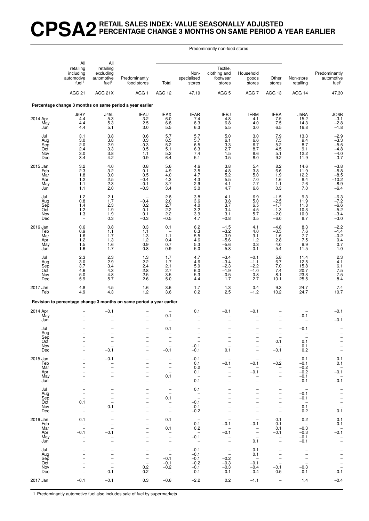### **CPSA2 RETAIL SALES INDEX: VALUE SEASONALLY ADJUSTED PERCENTAGE CHANGE 3 MONTHS ON SAME PERIOD A YEAR EARLIER**

#### Predominantly non-food stores

|                                             | All                                                                                                          | All                                                                                                                            |                                                                                                                                                               |                                                                                                                                   |                                                                |                                                                                                                                   |                                                                                                                               |                                                                                                                                          |                                                                                                      |                                                                                        |
|---------------------------------------------|--------------------------------------------------------------------------------------------------------------|--------------------------------------------------------------------------------------------------------------------------------|---------------------------------------------------------------------------------------------------------------------------------------------------------------|-----------------------------------------------------------------------------------------------------------------------------------|----------------------------------------------------------------|-----------------------------------------------------------------------------------------------------------------------------------|-------------------------------------------------------------------------------------------------------------------------------|------------------------------------------------------------------------------------------------------------------------------------------|------------------------------------------------------------------------------------------------------|----------------------------------------------------------------------------------------|
|                                             | retailing<br>including<br>automotive<br>fuel <sup>1</sup>                                                    | retailing<br>excluding<br>automotive<br>fuel <sup>1</sup>                                                                      | Predominantly<br>food stores                                                                                                                                  | Total                                                                                                                             | Non-<br>specialised<br>stores                                  | Textile,<br>clothing and<br>footwear<br>stores                                                                                    | Household<br>goods<br>stores                                                                                                  | Other<br>stores                                                                                                                          | Non-store<br>retailing                                                                               | Predominantly<br>automotive<br>fuel <sup>1</sup>                                       |
|                                             | AGG <sub>21</sub>                                                                                            | AGG 21X                                                                                                                        | AGG <sub>1</sub>                                                                                                                                              | AGG 12                                                                                                                            | 47.19                                                          | AGG <sub>5</sub>                                                                                                                  | AGG 7                                                                                                                         | AGG 13                                                                                                                                   | AGG 14                                                                                               | 47.30                                                                                  |
|                                             |                                                                                                              |                                                                                                                                | Percentage change 3 months on same period a year earlier                                                                                                      |                                                                                                                                   |                                                                |                                                                                                                                   |                                                                                                                               |                                                                                                                                          |                                                                                                      |                                                                                        |
| 2014 Apr<br>May<br>Jun                      | J5BY<br>4.4<br>4.4<br>4.4                                                                                    | $5.3$<br>5.3<br>5.1                                                                                                            | <b>IEAU</b><br>$3.2\,$<br>2.5<br>3.0                                                                                                                          | <b>IEAX</b><br>6.0<br>$6.8\,$<br>5.5                                                                                              | <b>IEAR</b><br>7.4<br>$\substack{8.3 \\ 6.3}$                  | <b>IEBJ</b><br>4.8<br>6.8<br>5.5                                                                                                  | <b>IEBM</b><br>4.1<br>4.0<br>3.0                                                                                              | <b>IEBA</b><br>$\frac{1}{7.5}$<br>$7.5$<br>6.5                                                                                           | J5BA<br>15.2<br>14.3<br>16.8                                                                         | $JO6B - 3.1$<br>$-2.8$<br>$-1.8$                                                       |
| Jul<br>Aug<br>Sep<br>Oct<br>Nov<br>Dec      | 3.1<br>3.0<br>2.0<br>2.4<br>3.0<br>3.4                                                                       | 3.8<br>3.8<br>2.9<br>$3.3\,$<br>$\frac{3.8}{4.2}$                                                                              | 0.6<br>0.3<br>$-0.3$<br>0.5<br>1.1<br>0.9                                                                                                                     | 5.7<br>6.5<br>5.2<br>5.1<br>5.2<br>6.4                                                                                            | 5.7<br>5.7<br>6.5<br>$6.3\,$<br>7.4<br>5.1                     | 5.0<br>6.1<br>3.3<br>2.7<br>$\frac{1.5}{3.5}$                                                                                     | 3.0<br>6.6<br>6.7<br>8.7<br>8.6<br>8.0                                                                                        | $7.9$<br>$7.5$<br>5.2<br>$\frac{4.5}{5.1}$<br>9.2                                                                                        | 13.3<br>9.4<br>8.7<br>9.1<br>12.2<br>11.9                                                            | $-2.9$<br>$-3.3$<br>$-5.5$<br>$-4.8$<br>$-4.0$<br>$-3.7$                               |
| 2015 Jan<br>Feb<br>Mar<br>Apr<br>May<br>Jun | $\frac{3.2}{2.3}$<br>1.8<br>1.2<br>1.1<br>1.1                                                                | 4.0<br>3.2<br>$3.0\,$<br>$\frac{2.5}{2.3}$<br>2.0                                                                              | 0.8<br>0.1<br>0.5<br>$-0.4$<br>$-0.1$<br>$-0.3$                                                                                                               | 5.6<br>4.9<br>$4.0$<br>4.3<br>3.7<br>3.4                                                                                          | 4.6<br>$3.\overline{5}$<br>4.7<br>4.3<br>2.9<br>3.0            | 3.8<br>4.8<br>$5.2\,$<br>5.5<br>4.1<br>4.7                                                                                        | 5.4<br>3.8<br>$5.0\,$<br>7.0<br>7.7<br>6.6                                                                                    | $8.2$<br>$6.6$<br>1.9<br>1.6<br>1.1<br>0.3                                                                                               | 14.6<br>11.9<br>12.2<br>8.4<br>7.6<br>7.0                                                            | $-3.8$<br>$-5.8$<br>$-8.5$<br>$-10.2$<br>$-8.9$<br>$-6.4$                              |
| Jul<br>Aug<br>Sep<br>Oct<br>Nov<br>Dec      | 1.2<br>0.8<br>1.4<br>$1.2$<br>1.3<br>$\overline{a}$                                                          | 2.1<br>1.7<br>2.3<br>1.9<br>1.9<br>0.3                                                                                         | $\overline{\phantom{a}}$<br>$-0.4$<br>0.2<br>0.1<br>0.1<br>$-0.3$                                                                                             | 2.8<br>2.0<br>$\frac{2.7}{2.2}$<br>2.2<br>$-0.5$                                                                                  | 3.8<br>$3.6\,$<br>4.0<br>3.2<br>$\frac{3.9}{4.7}$              | 4.1<br>3.8<br>3.7<br>3.4<br>3.1<br>$-0.8$                                                                                         | 6.9<br>$5.0\,$<br>$6.5$<br>$4.5$<br>5.7<br>3.5                                                                                | $-1.5$<br>$-2.5$<br>$-1.7$<br>$-1.3$<br>$-2.0$<br>$-6.0$                                                                                 | 9.3<br>11.9<br>11.8<br>10.3<br>10.0<br>8.7                                                           | $-6.3$<br>$-7.2$<br>$-6.6$<br>$-5.2$<br>$-3.4$<br>$-3.0$                               |
| 2016 Jan<br>Feb<br>Mar<br>Apr<br>May<br>Jun | 0.6<br>0.9<br>1.6<br>1.2<br>1.5<br>1.6                                                                       | 0.8<br>1.1<br>1.7<br>1.3<br>1.6<br>1.7                                                                                         | 0.3<br>1.1<br>1.3<br>1.2<br>0.9<br>0.8                                                                                                                        | 0.1<br>1.1<br>0.4<br>0.7<br>0.9                                                                                                   | $6.2$<br>$6.3$<br>$5.5$<br>$\frac{4.6}{5.3}$<br>5.0            | $-1.5$<br>$-3.2$<br>$-3.9$<br>$-5.6$<br>$-5.6$<br>$-5.8$                                                                          | 4.1<br>4.0<br>3.1<br>1.2<br>0.3<br>$-0.1$                                                                                     | $-4.8$<br>$-3.5$<br>1.6<br>2.8<br>4.0<br>5.4                                                                                             | 8.3<br>7.6<br>7.7<br>7.5<br>9.9<br>11.5                                                              | $-2.2$<br>$-1.4$<br>$-0.2$<br>0.4<br>0.7<br>1.0                                        |
| Jul<br>Aug<br>Sep<br>Oct<br>Nov<br>Dec      | 2.3<br>3.0<br>3.7<br>4.6<br>5.0<br>5.9                                                                       | 2.3<br>2.9<br>3.4<br>4.3<br>4.8<br>5.7                                                                                         | 1.3<br>2.2<br>$2.4\,$<br>$^{2.8}_{2.5}$<br>2.6                                                                                                                | 1.7<br>1.7<br>2.1<br>2.7<br>3.5<br>5.0                                                                                            | 4.7<br>4.6<br>5.9<br>6.0<br>5.3<br>4.4                         | $-3.4$<br>$-3.4$<br>$-2.3$<br>$-1.9$<br>$-0.5$<br>1.7                                                                             | $-0.1$<br>$-1.1$<br>$-2.2$<br>$-1.0$<br>0.8<br>2.7                                                                            | 5.8<br>6.7<br>7.0<br>7.4<br>8.1<br>10.1                                                                                                  | 11.4<br>12.5<br>15.8<br>20.7<br>23.3<br>25.5                                                         | 2.3<br>4.1<br>6.7<br>5<br>7.5<br>7.5<br>8.4                                            |
| 2017 Jan<br>Feb                             | 4.8<br>4.9                                                                                                   | 4.5<br>4.3                                                                                                                     | 1.6<br>1.2                                                                                                                                                    | 3.6<br>3.6                                                                                                                        | 1.7<br>0.2                                                     | 1.3<br>2.5                                                                                                                        | 0.4<br>$-1.2$                                                                                                                 | 9.3<br>10.2                                                                                                                              | 24.7<br>24.7                                                                                         | 7.4<br>10.7                                                                            |
|                                             |                                                                                                              |                                                                                                                                | Revision to percentage change 3 months on same period a year earlier                                                                                          |                                                                                                                                   |                                                                |                                                                                                                                   |                                                                                                                               |                                                                                                                                          |                                                                                                      |                                                                                        |
| 2014 Apr<br>May<br>Jun                      |                                                                                                              | $-0.1$                                                                                                                         | $\overline{\phantom{0}}$                                                                                                                                      | 0.1                                                                                                                               | 0.1                                                            | $-0.1$                                                                                                                            | $-0.1$                                                                                                                        | $\overline{\phantom{0}}$                                                                                                                 | $-0.1$                                                                                               | $-0.1$<br>$-0.1$                                                                       |
| Jul<br>Aug<br>Sep<br>Oct<br>Nov<br>Dec      | $\overline{\phantom{0}}$<br>$\overline{\phantom{0}}$<br>$\overline{\phantom{0}}$                             | $\overline{a}$<br>$\overline{\phantom{0}}$<br>$-0.1$                                                                           | $\overline{a}$<br>$\overline{\phantom{0}}$<br>$\qquad \qquad -$                                                                                               | 0.1<br>$\overline{\phantom{a}}$<br>$\overline{\phantom{a}}$<br>$-0.1$                                                             | $-0.1$<br>$-0.1$                                               | $\overline{\phantom{0}}$<br>$\overline{\phantom{a}}$<br>$\overline{\phantom{a}}$<br>0.1                                           | $\overline{\phantom{a}}$                                                                                                      | $\qquad \qquad -$<br>0.1<br>$\overline{\phantom{0}}$<br>$-0.1$                                                                           | $-0.1$<br>0.1<br>0.1<br>0.2                                                                          | $\qquad \qquad -$<br>$\bar{a}$                                                         |
| 2015 Jan<br>Feb<br>Mar<br>Apr<br>May<br>Jun | $\qquad \qquad -$<br>$\overline{\phantom{0}}$<br>$\overline{\phantom{0}}$                                    | $-0.1$<br>$\qquad \qquad -$<br>$\qquad \qquad -$<br>$\qquad \qquad -$<br>$\qquad \qquad -$                                     | $\overline{\phantom{0}}$<br>$\overline{\phantom{m}}$<br>$\qquad \qquad -$<br>$\overline{\phantom{0}}$<br>$\overline{\phantom{0}}$<br>$\overline{\phantom{a}}$ | $\qquad \qquad -$<br>$\qquad \qquad -$<br>$\overline{\phantom{m}}$<br>$\overline{\phantom{a}}$<br>0.1<br>$\overline{\phantom{m}}$ | $-0.1$<br>0.1<br>0.2<br>0.1<br>$\overline{\phantom{a}}$<br>0.1 | $\overline{\phantom{a}}$<br>$-0.1$<br>$\overline{\phantom{a}}$<br>$\overline{a}$<br>$\qquad \qquad -$<br>$\overline{\phantom{0}}$ | $\overline{\phantom{a}}$<br>$-0.1$<br>$-$<br>$-0.1$<br>$\overline{\phantom{a}}$<br>$\overline{\phantom{0}}$                   | $\qquad \qquad -$<br>$-0.2$<br>$\overline{\phantom{a}}$<br>$\qquad \qquad -$<br>$\qquad \qquad -$<br>$\overline{\phantom{a}}$            | 0.1<br>$-0.1$<br>$-0.2$<br>$-0.2$<br>$-0.1$<br>$-0.1$                                                | 0.1<br>0.1<br>$\overline{\phantom{m}}$<br>$-0.1$<br>$\overline{\phantom{a}}$<br>$-0.1$ |
| Jul<br>Aug<br>Sep<br>Oct<br>Nov<br>Dec      | $\qquad \qquad -$<br>$\overline{\phantom{0}}$<br>0.1<br>$\overline{\phantom{a}}$<br>$\overline{\phantom{a}}$ | $\qquad \qquad -$<br>$\overline{\phantom{0}}$<br>$\overline{\phantom{0}}$<br>$\overline{a}$<br>0.1<br>$\overline{\phantom{a}}$ | $\qquad \qquad -$<br>$\qquad \qquad -$<br>$\overline{\phantom{0}}$<br>$\qquad \qquad -$<br>$\qquad \qquad -$<br>$\overline{\phantom{0}}$                      | $\overline{\phantom{a}}$<br>$\sim$<br>0.1<br>$\overline{\phantom{a}}$<br>$\overline{\phantom{m}}$<br>$\overline{\phantom{a}}$     | 0.1<br>$\overline{\phantom{a}}$<br>$-0.1$<br>$-0.1$<br>$-0.2$  | $\overline{\phantom{a}}$<br>$\qquad \qquad -$<br>$\overline{\phantom{0}}$<br>$\qquad \qquad -$<br>$\qquad \qquad -$               | $\qquad \qquad -$<br>$\bar{\phantom{a}}$                                                                                      | $\qquad \qquad -$<br>$\overline{\phantom{a}}$<br>$\qquad \qquad -$<br>$\qquad \qquad -$<br>$\qquad \qquad -$<br>$\overline{\phantom{a}}$ | $-0.1$<br>$-0.1$<br>$\sim$<br>0.1<br>0.2                                                             | $\overline{\phantom{a}}$<br>$\frac{1}{2}$<br>$\overline{\phantom{a}}$<br>0.1           |
| 2016 Jan<br>Feb<br>Mar<br>Apr<br>May<br>Jun | 0.1<br>$\qquad \qquad -$<br>$-0.1$<br>$\overline{a}$                                                         | $\overline{\phantom{a}}$<br>$\overline{\phantom{0}}$<br>$-0.1$<br>$\qquad \qquad -$<br>$\overline{a}$                          | $\overline{\phantom{m}}$<br>$\overline{\phantom{a}}$<br>$\overline{\phantom{0}}$<br>$\overline{\phantom{0}}$<br>$\qquad \qquad -$<br>$\qquad \qquad -$        | 0.1<br>$\overline{\phantom{a}}$<br>0.1<br>$\overline{\phantom{a}}$<br>$\qquad \qquad -$<br>$\overline{a}$                         | $\sim$ $-$<br>0.1<br>0.2<br>$\sim$<br>$-0.1$<br>$\sim$ $-$     | $\overline{\phantom{a}}$<br>$-0.1$<br>$-0.1$<br>$\bar{a}$                                                                         | $\overline{\phantom{a}}$<br>$-0.1$<br>$\overline{\phantom{a}}$<br>$\overline{\phantom{m}}$<br>$\overline{\phantom{a}}$<br>0.1 | 0.1<br>0.1<br>0.1<br>$-0.1$<br>$\bar{\mathbb{I}}$                                                                                        | 0.2<br>$\overline{\phantom{0}}$<br>$-0.3$<br>$-0.3$<br>$-0.1$<br>$-0.1$                              | 0.1<br>0.1<br>$\overline{\phantom{a}}$<br>$-0.1$<br>$\bar{\Box}$                       |
| Jul<br>Aug<br>Sep<br>Oct<br>Nov<br>Dec      | $\overline{\phantom{0}}$                                                                                     | $\overline{\phantom{0}}$<br>$\qquad \qquad -$<br>$\bar{a}$<br>0.1                                                              | $\overline{\phantom{0}}$<br>$\qquad \qquad -$<br>$\bar{a}$<br>0.2<br>0.2                                                                                      | $\bar{\mathbb{I}}$<br>$-0.1$<br>$-0.1$<br>$-0.2$<br>$\sim$                                                                        | $-0.1$<br>$-0.1$<br>$-0.1$<br>$-0.2$<br>$-0.1$<br>$-0.1$       | $\overline{\mathbb{Z}}$<br>$-0.2$<br>$-0.3$<br>$-0.3$<br>$-0.1$                                                                   | 0.1<br>0.1<br>$-$<br>$-0.1$<br>$-0.4$<br>$-0.4$                                                                               | $\overline{\phantom{a}}$<br>$\overline{\phantom{a}}$<br>$\overline{\phantom{a}}$<br>$\overline{\phantom{m}}$<br>$-0.1$<br>0.5            | $\overline{\phantom{a}}$<br>$\overline{\phantom{a}}$<br>$\overline{\phantom{a}}$<br>$-0.3$<br>$-0.1$ | $\frac{1}{1}$<br>$-0.1$                                                                |
| 2017 Jan                                    | $-0.1$                                                                                                       | $-0.1$                                                                                                                         | 0.3                                                                                                                                                           | $-0.6$                                                                                                                            | $-2.2$                                                         | 0.2                                                                                                                               | $-1.1$                                                                                                                        | $\overline{\phantom{a}}$                                                                                                                 | 1.4                                                                                                  | $-0.4$                                                                                 |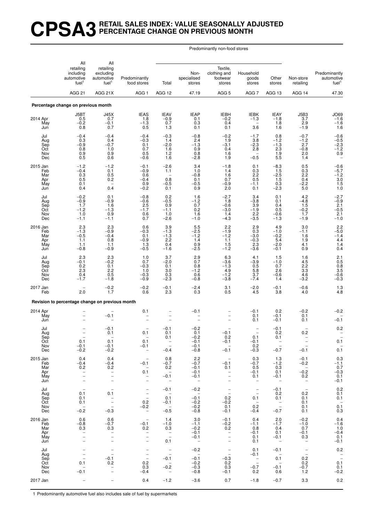### **CPSA3 RETAIL SALES INDEX: VALUE SEASONALLY ADJUSTED PERCENTAGE CHANGE ON PREVIOUS MONTH**

#### Predominantly non-food stores

|                                             | All                                                                                               | All                                                                                        |                                                                                    |                                                                                                                                  |                                                                         |                                                                           |                                                                                               |                                                                      |                                                                                              |                                                        |
|---------------------------------------------|---------------------------------------------------------------------------------------------------|--------------------------------------------------------------------------------------------|------------------------------------------------------------------------------------|----------------------------------------------------------------------------------------------------------------------------------|-------------------------------------------------------------------------|---------------------------------------------------------------------------|-----------------------------------------------------------------------------------------------|----------------------------------------------------------------------|----------------------------------------------------------------------------------------------|--------------------------------------------------------|
|                                             | retailing<br>including<br>automotive<br>fuel <sup>1</sup>                                         | retailing<br>excluding<br>automotive<br>fuel <sup>1</sup>                                  | Predominantly<br>food stores                                                       | Total                                                                                                                            | Non-<br>specialised<br>stores                                           | Textile,<br>clothing and<br>footwear<br>stores                            | Household<br>goods<br>stores                                                                  | Other<br>stores                                                      | Non-store<br>retailing                                                                       | Predominantly<br>automotive<br>fuel <sup>1</sup>       |
|                                             | AGG <sub>21</sub>                                                                                 | AGG 21X                                                                                    | AGG 1                                                                              | AGG 12                                                                                                                           | 47.19                                                                   | AGG <sub>5</sub>                                                          | AGG 7                                                                                         | AGG 13                                                               | AGG 14                                                                                       | 47.30                                                  |
|                                             | Percentage change on previous month                                                               |                                                                                            |                                                                                    |                                                                                                                                  |                                                                         |                                                                           |                                                                                               |                                                                      |                                                                                              |                                                        |
| 2014 Apr<br>May<br>Jun                      | J5BT<br>0.5<br>$-0.2$<br>0.8                                                                      | J45X<br>0.7<br>$-0.1$<br>0.7                                                               | <b>IEAS</b><br>1.8<br>$-1.3$<br>0.5                                                | <b>IEAV</b><br>$-0.9$<br>0.7<br>1.3                                                                                              | <b>IEAP</b><br>0.1<br>0.3<br>0.1                                        | <b>IEBH</b><br>$-0.2$<br>0.4<br>0.1                                       | <b>IEBK</b><br>$-1.3$<br>3.6                                                                  | <b>IEAY</b><br>$-1.8$<br>1.8<br>1.6                                  | J5B3<br>3.7<br>2.9<br>$-1.9$                                                                 | <b>JO69</b><br>$-1.6$<br>$-1.6$<br>1.6                 |
| Jul<br>Aug<br>Sep<br>Oct<br>Nov<br>Dec      | $-0.4$<br>0.3<br>$-0.9$<br>0.8<br>0.9<br>0.5                                                      | $-0.4$<br>0.4<br>$-0.7$<br>1.0<br>0.9<br>0.6                                               | $-0.4$<br>$-0.3$<br>0.1<br>0.7<br>0.5<br>$-0.6$                                    | $-0.3$<br>1.4<br>$-2.0$<br>1.6<br>$1.2$<br>1.6                                                                                   | $-0.8$<br>2.4<br>$-1.3$<br>0.9<br>0.8<br>$-2.8$                         | $-0.2$<br>1.9<br>$-3.1$<br>0.4<br>1.6<br>1.9                              | $-1.7$<br>3.8<br>$-2.3$<br>2.8<br>$-0.5$                                                      | 0.8<br>$-1.2$<br>$-1.3$<br>$^{2.3}_{1.9}$<br>5.5                     | $-0.7$<br>$-1.2$<br>2.7<br>$-0.8$<br>2.0<br>1.4                                              | $-0.6$<br>$-0.5$<br>$-2.3$<br>$-1.\overline{2}$<br>0.9 |
| 2015 Jan<br>Feb<br>Mar<br>Apr<br>May<br>Jun | $-1.2$<br>$-0.4$<br>0.3<br>0.5<br>0.1<br>0.4                                                      | $-1.2$<br>0.1<br>0.5<br>0.2<br>0.4                                                         | $-0.1$<br>$-0.9$<br>0.6<br>$-0.4$<br>0.9<br>$-0.2$                                 | $-2.6$<br>1.1<br>$\qquad \qquad -$<br>0.8<br>$-0.5$<br>0.1                                                                       | 3.4<br>1.0<br>$-0.8$<br>0.1<br>$-0.5$<br>0.9                            | $-1.8$<br>1.4<br>1.6<br>0.7<br>$-0.9$<br>2.0                              | 0.1<br>0.3<br>2.2<br>0.5<br>$-1.1$<br>0.1                                                     | $-8.3$<br>1.5<br>$-2.5$<br>1.5<br>0.3<br>$-2.3$                      | 0.5<br>0.3<br>2.2<br>0.4<br>$-2.2$<br>5.0                                                    | $-0.6$<br>$-5.7$<br>$-1.2$<br>$3.0$<br>$1.5$<br>1.0    |
| Jul<br>Aug<br>Sep<br>Oct<br>Nov<br>Dec      | $-0.2$<br>$-0.9$<br>1.7<br>$-1.2$<br>1.0<br>$-1.1$                                                | 0.1<br>$-0.9$<br>1.6<br>$-1.3$<br>0.9<br>$-1.1$                                            | $-0.8$<br>$-0.6$<br>2.5<br>$-1.7$<br>0.6<br>0.7                                    | 0.2<br>$-0.5$<br>0.9<br>$-1.1$<br>1.0<br>$-2.6$                                                                                  | 1.6<br>$^{-1.2}_{0.7}$<br>0.2<br>1.6<br>$-1.0$                          | $-2.7$<br>1.8<br>$-0.6$<br>$-3.0$<br>1.4<br>$-4.3$                        | 3.4<br>$-3.8$<br>3.9<br>$-1.9$<br>2.2<br>$-3.5$                                               | 0.1<br>0.1<br>0.4<br>0.5<br>$-0.6$<br>$-1.3$                         | 4.2<br>$-4.8$<br>1.5<br>$-0.2$<br>1.7<br>$-1.9$                                              | $-2.7$<br>$^{-0.9}_{2.1}$<br>$-0.5$<br>2.1<br>$-1.0$   |
| 2016 Jan<br>Feb<br>Mar<br>Apr<br>May<br>Jun | 2.3<br>$-1.3$<br>$-0.5$<br>1.1<br>1.1<br>$-0.8$                                                   | 2.3<br>$-0.9$<br>$-0.4$<br>0.8<br>1.1<br>$-0.9$                                            | 0.6<br>$-0.3$<br>0.1<br>$-0.9$<br>1.3<br>$-0.5$                                    | 3.9<br>$-1.3$<br>$-1.3$<br>2.2<br>0.4<br>$-1.6$                                                                                  | 5.5<br>$-2.5$<br>$-1.2$<br>1.4<br>0.9<br>$-2.5$                         | 2.2<br>$-1.9$<br>$-1.2$<br>1.1<br>1.5<br>$-1.2$                           | 2.9<br>0.3<br>$-3.0$<br>$-0.3$<br>2.3<br>$-3.6$                                               | 4.9<br>$-1.0$<br>$-0.2$<br>5.4<br>$-2.0$<br>$-0.1$                   | 3.0<br>$-1.1$<br>1.6<br>1.9<br>4.1<br>0.9                                                    | $^{2.2}_{-5.0}$<br>$-1.4$<br>4.4<br>1.4<br>0.4         |
| Jul<br>Aug<br>Sep<br>Oct<br>Nov<br>Dec      | 2.3<br>$-0.1$<br>0.2<br>2.3<br>0.4<br>$-1.7$                                                      | 2.3<br>$-0.2$<br>0.1<br>2.2<br>0.5<br>$-1.8$                                               | 1.0<br>0.7<br>$-0.3$<br>1.0<br>$-0.3$<br>$-0.9$                                    | 3.7<br>$-2.0$<br>0.1<br>3.0<br>0.3<br>$-2.3$                                                                                     | 2.9<br>0.7<br>0.8<br>$-1.2$<br>0.6<br>$-0.8$                            | 6.3<br>$-3.6$<br>$-1.3$<br>4.9<br>$-1.2$<br>$-3.8$                        | 4.1<br>$-3.9$<br>0.5<br>5.8<br>3.7<br>$-7.4$                                                  | 1.5<br>$-1.0$<br>0.7<br>2.6<br>$-0.6$<br>1.4                         | 1.6<br>4.5<br>2.2<br>3.3<br>4.6<br>$-3.2$                                                    | 2.1<br>$0.5$<br>$0.8$<br>$3.5$<br>$-0.6$<br>$-0.3$     |
| 2017 Jan<br>Feb                             | 2.0                                                                                               | $-0.2$<br>1.7                                                                              | $-0.2$<br>0.6                                                                      | $-0.1$<br>2.3                                                                                                                    | $-2.4$<br>0.3                                                           | 3.1<br>0.5                                                                | $-2.0$<br>4.5                                                                                 | $-0.1$<br>3.8                                                        | $-0.6$<br>4.0                                                                                | 1.3<br>4.8                                             |
|                                             | Revision to percentage change on previous month                                                   |                                                                                            |                                                                                    |                                                                                                                                  |                                                                         |                                                                           |                                                                                               |                                                                      |                                                                                              |                                                        |
| 2014 Apr<br>May<br>Jun                      | $\overline{\phantom{0}}$                                                                          | $-0.1$                                                                                     | 0.1                                                                                | $\overline{a}$<br>$\qquad \qquad -$<br>$\overline{\phantom{0}}$                                                                  | $-0.1$                                                                  | $\overline{a}$<br>$\overline{\phantom{0}}$                                | $-0.1$<br>0.1<br>0.1                                                                          | 0.2<br>$-0.1$<br>$-0.1$                                              | $-0.2$<br>0.1<br>0.1                                                                         | $-0.2$<br>$-0.1$                                       |
| Jul<br>Aug<br>Sep<br>Oct<br>Nov<br>Dec      | 0.1<br>$-0.1$<br>$-0.2$                                                                           | $-0.1$<br>0.1<br>0.1<br>$-0.1$<br>$-0.2$                                                   | $\overline{\phantom{a}}$<br>0.1<br>0.1<br>$-0.1$<br>$\overline{\phantom{a}}$       | $-0.1$<br>0.1<br>0.1<br>$\overline{\phantom{a}}$<br>$-0.4$                                                                       | $-0.2$<br>0.1<br>$-0.2$<br>$-0.1$<br>$-0.1$<br>$-0.8$                   | $-0.1$<br>- 0.2<br>$-0.1$<br>$\sim$<br>$-0.1$                             | $\overline{\phantom{0}}$<br>0.1<br>$-0.1$<br>0.2<br>$-0.3$                                    | $-0.1$<br>0.2<br>0.1<br>$\bar{\Box}$<br>$-0.7$                       | 0.2<br>$\overline{\phantom{0}}$<br>$-0.1$                                                    | 0.2<br>0.1<br>$\overline{0.1}$                         |
| 2015 Jan<br>Feb<br>Mar<br>Apr<br>May<br>Jun | 0.4<br>$-0.4$<br>0.2<br>$\overline{\phantom{0}}$<br>$\overline{\phantom{0}}$<br>$\equiv$          | 0.4<br>$-0.4$<br>0.2<br>$\frac{1}{2}$                                                      | $\hspace{0.1mm}-\hspace{0.1mm}$<br>$-0.1$<br>$\hspace{0.1mm}$<br>0.1<br>$\bar{a}$  | 0.8<br>$-0.7$<br>0.2<br>$\overline{\phantom{0}}$<br>$-0.1$<br>$\overline{\phantom{0}}$                                           | 2.2<br>$-0.7$<br>$-0.1$<br>$-0.1$<br>$-0.1$<br>$\overline{\phantom{0}}$ | $\hspace{0.1mm}-\hspace{0.1mm}$<br>$-0.1$<br>0.1<br>$\frac{1}{2}$         | 0.3<br>$-0.7$<br>0.5<br>$-0.1$<br>0.1<br>$\overline{\phantom{a}}$                             | 1.3<br>$-1.2$<br>0.3<br>0.1<br>$-0.1$<br>$\overline{\phantom{a}}$    | $-0.1$<br>$-0.2$<br>$\sim$<br>$-0.2$<br>0.2                                                  | 0.3<br>$-1.1$<br>0.7<br>$-0.3$<br>0.1<br>$-0.1$        |
| Jul<br>Aug<br>Sep<br>Oct<br>Nov<br>Dec      | $\hspace{0.1mm}-\hspace{0.1mm}$<br>0.1<br>0.1<br>0.1<br>$-$<br>$-0.2$                             | $\hspace{0.1mm}-\hspace{0.1mm}$<br>0.1<br>$\frac{1}{2}$<br>$-0.3$                          | $\overline{\phantom{a}}$<br>$\bar{z}$<br>0.2<br>$-0.2$<br>$\overline{\phantom{a}}$ | $-0.1$<br>$\sim$<br>0.1<br>$-0.1$<br>$\sim$ $-$<br>$-0.5$                                                                        | $-0.2$<br>$\sim$<br>$-0.1$<br>$-0.2$<br>$-0.2$<br>$-0.8$                | $\bar{\mathbb{Z}}$<br>0.2<br>$-0.2$<br>0.1<br>$-0.1$                      | $\overline{\phantom{a}}$<br>$\hspace{0.1mm}-\hspace{0.1mm}$<br>0.1<br>$\sim$<br>0.2<br>$-0.4$ | $-0.1$<br>0.2<br>0.1<br>$\frac{1}{2}$<br>$-0.7$                      | $\hspace{0.1mm}-\hspace{0.1mm}$<br>0.2<br>0.1<br>0.1<br>0.1<br>0.1                           | 0.2<br>0.1<br>0.1<br>$0.\overline{1}$<br>0.3           |
| 2016 Jan<br>Feb<br>Mar<br>Apr<br>May<br>Jun | 0.6<br>$-0.8$<br>0.3<br>$\overline{\phantom{a}}$<br>$\overline{\phantom{0}}$<br>$\qquad \qquad -$ | 0.6<br>$-0.7$<br>0.3<br>$\bar{\Box}$<br>$\overline{\phantom{a}}$                           | $\overline{a}$<br>$-0.1$<br>0.2<br>$\bar{a}$<br>$\overline{\phantom{a}}$           | 1.4<br>$-1.0$<br>0.3<br>$\frac{1}{2}$<br>0.1                                                                                     | 3.0<br>$-1.1$<br>$-0.2$<br>$-0.1$<br>$-0.1$<br>$\overline{\phantom{0}}$ | $-0.1$<br>$-0.2$<br>0.2<br>$\bar{\mathbb{I}}$<br>$\overline{\phantom{a}}$ | 0.4<br>$-1.1$<br>0.8<br>$-0.1$<br>0.1<br>0.1                                                  | 2.0<br>$-1.7$<br>0.4<br>0.1<br>$-0.1$<br>$\overline{\phantom{a}}$    | $-0.2$<br>$-1.0$<br>0.7<br>$-0.1$<br>0.3<br>$\overline{\phantom{0}}$                         | 0.4<br>$-1.6$<br>$1.0 - 0.4$<br>0.1<br>$-0.1$          |
| Jul<br>Aug<br>Sep<br>Oct<br>Nov<br>Dec      | -<br>$\overline{\phantom{a}}$<br>$\overline{\phantom{0}}$<br>0.1<br>$-0.1$                        | $\qquad \qquad -$<br>$\overline{\phantom{a}}$<br>$-0.1$<br>0.2<br>$\overline{\phantom{0}}$ | $\qquad \qquad -$<br>$\bar{z}$<br>0.2<br>0.3<br>$-0.4$                             | $\overline{\phantom{a}}$<br>$\overline{\phantom{a}}$<br>$-0.1$<br>$\overline{\phantom{0}}$<br>$-0.2$<br>$\overline{\phantom{a}}$ | $-0.2$<br>$\sim$<br>$-0.1$<br>$-0.2$<br>$-0.3$<br>$-0.8$                | $\overline{\phantom{a}}$<br>$\pm$<br>$-0.3$<br>0.2<br>0.3<br>$-0.1$       | 0.1<br>$-0.1$<br>$\frac{1}{2}$<br>$-0.7$<br>0.2                                               | $-0.1$<br>$\sim$<br>0.1<br>$\overline{\phantom{a}}$<br>$-0.1$<br>0.6 | $\overline{\phantom{a}}$<br>$\hspace{0.1mm}-\hspace{0.1mm}$<br>0.2<br>0.2<br>$-0.7$<br>$1.2$ | 0.2<br>$\bar{\mathbb{Z}}$<br>0.1<br>0.1<br>$-0.2$      |
| 2017 Jan                                    |                                                                                                   | $\overline{a}$                                                                             | 0.4                                                                                | $-1.2$                                                                                                                           | $-3.6$                                                                  | 0.7                                                                       | $-1.8$                                                                                        | $-0.7$                                                               | 3.3                                                                                          | 0.2                                                    |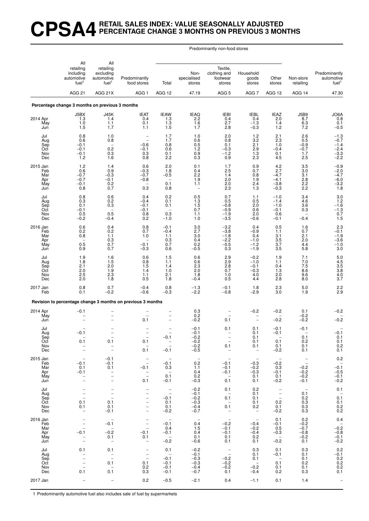### **CPSA4 RETAIL SALES INDEX: VALUE SEASONALLY ADJUSTED PERCENTAGE CHANGE 3 MONTHS ON PREVIOUS 3 MONTHS**

#### Predominantly non-food stores

|                                             | All                                                                                            | All                                                                                                         |                                                                                                                                                 |                                                                                                      |                                                                 |                                                                                                  |                                                                             |                                                                                        |                                                             |                                                           |
|---------------------------------------------|------------------------------------------------------------------------------------------------|-------------------------------------------------------------------------------------------------------------|-------------------------------------------------------------------------------------------------------------------------------------------------|------------------------------------------------------------------------------------------------------|-----------------------------------------------------------------|--------------------------------------------------------------------------------------------------|-----------------------------------------------------------------------------|----------------------------------------------------------------------------------------|-------------------------------------------------------------|-----------------------------------------------------------|
|                                             | retailing<br>including<br>automotive<br>fuel <sup>1</sup>                                      | retailing<br>excluding<br>automotive<br>fuel <sup>1</sup>                                                   | Predominantly<br>food stores                                                                                                                    | Total                                                                                                | Non-<br>specialised<br>stores                                   | Textile,<br>clothing and<br>footwear<br>stores                                                   | Household<br>goods<br>stores                                                | Other<br>stores                                                                        | Non-store<br>retailing                                      | Predominantly<br>automotive<br>fuel <sup>1</sup>          |
|                                             | AGG <sub>21</sub>                                                                              | AGG 21X                                                                                                     | AGG <sub>1</sub>                                                                                                                                | AGG 12                                                                                               | 47.19                                                           | AGG <sub>5</sub>                                                                                 | AGG 7                                                                       | AGG 13                                                                                 | AGG 14                                                      | 47.30                                                     |
|                                             | Percentage change 3 months on previous 3 months                                                |                                                                                                             |                                                                                                                                                 |                                                                                                      |                                                                 |                                                                                                  |                                                                             |                                                                                        |                                                             |                                                           |
| 2014 Apr<br>May<br>Jun                      | J5BX<br>1.3<br>1.0<br>1.5                                                                      | <b>J45K</b><br>1.4<br>1.1<br>1.7                                                                            | <b>IEAT</b><br>0.4<br>0.1<br>1.1                                                                                                                | <b>IEAW</b><br>1.3<br>1.3<br>1.5                                                                     | <b>IEAQ</b><br>2.2<br>$1.6$<br>$1.7$                            | <b>IEBI</b><br>0.4<br>2.7<br>2.8                                                                 | <b>IEBL</b><br>0.4<br>$-1.3$<br>$-0.3$                                      | <b>IEAZ</b><br>2.0<br>1.4<br>1.2                                                       | <b>J5B9</b><br>8.7<br>$^{6.3}_{7.2}$                        | JO6A<br>0.8<br>$\substack{0.1 \\ -0.5}$                   |
| Jul<br>Aug<br>Sep<br>Oct<br>Nov<br>Dec      | 0.8<br>0.6<br>$-0.1$<br>$-0.1$<br>$-0.1$<br>$1.2$                                              | 1.0<br>0.8<br>$\overline{\phantom{a}}$<br>0.2<br>0.3<br>1.6                                                 | $\qquad \qquad -$<br>$\overline{\phantom{0}}$<br>$-0.6$<br>$-0.1$<br>0.3<br>0.8                                                                 | 1.7<br>1.7<br>0.8<br>0.6<br>0.1<br>2.2                                                               | 1.0<br>0.6<br>0.5<br>1.2<br>0.9<br>0.3                          | 2.0<br>0.8<br>0.1<br>$-0.3$<br>$-1.2$<br>0.9                                                     | 1.2<br>3.2<br>2.1<br>$^{2.9}_{1.3}$<br>2.3                                  | 2.1<br>$\overline{2}.\overline{3}$<br>1.0<br>$-0.4$<br>0.1<br>4.5                      | 2.6<br>0.5<br>$-0.9$<br>$-0.7$<br>1.7<br>2.5                | $^{-1.3}_{-0.7}$<br>$-1.4$<br>$-2.4$<br>$-3.3$<br>$-2.2$  |
| 2015 Jan<br>Feb<br>Mar<br>Apr<br>May<br>Jun | $1.2$<br>0.6<br>$-0.7$<br>$-0.7$<br>$-0.1$<br>0.8                                              | 1.4<br>0.9<br>$-0.3$<br>$-0.1$<br>0.2<br>0.7                                                                | 0.6<br>$-0.3$<br>$-0.7$<br>$-0.8$<br>0.3                                                                                                        | 2.0<br>1.8<br>$-0.5$<br>0.1<br>0.8                                                                   | 0.1<br>0.4<br>$^{2.2}_{1.9}$<br>1.1<br>$\overline{\phantom{a}}$ | 1.7<br>2.5<br>1.4<br>2.0<br>2.0<br>2.3                                                           | 0.9<br>0.7<br>0.8<br>1.9<br>2.4<br>1.3                                      | 4.2<br>2.7<br>$-4.7$<br>$-4.1$<br>$-3.8$<br>$-0.3$                                     | 3.5<br>3.0<br>3.1<br>2.8<br>2.2<br>2.2                      | $-0.9$<br>$-2.0$<br>$-4.7$<br>$-6.0$<br>$-3.2$<br>1.8     |
| Jul<br>Aug<br>Sep<br>Oct<br>Nov<br>Dec      | 0.8<br>0.3<br>0.1<br>$-0.1$<br>0.5<br>$-0.2$                                                   | 0.6<br>0.2<br>0.3<br>$\qquad \qquad -$<br>0.5<br>$-0.4$                                                     | 0.4<br>$-0.4$<br>$-0.1$<br>$-0.1$<br>0.8<br>0.2                                                                                                 | 0.2<br>0.1<br>0.1<br>$\qquad \qquad -$<br>0.3<br>$-1.0$                                              | 0.5<br>1.3<br>1.5<br>0.7<br>1.1<br>1.0                          | 0.7<br>0.5<br>$-0.8$<br>$-0.9$<br>$-1.9$<br>$-3.5$                                               | 1.1<br>0.5<br>2.0<br>0.6<br>2.0<br>$-0.6$                                   | $-1.0$<br>$-1.4$<br>$-1.0$<br>$-0.1$<br>0.6<br>$-0.1$                                  | 3.4<br>4.6<br>3.6<br>0.3<br>$-0.4$                          | $3.0$<br>$1.2$<br>$-1.6$<br>$-1.3$<br>0.7<br>1.5          |
| 2016 Jan<br>Feb<br>Mar<br>Apr<br>May<br>Jun | 0.6<br>0.2<br>0.8<br>0.5<br>0.9                                                                | 0.4<br>0.2<br>1.1<br>0.3<br>0.7<br>0.7                                                                      | 0.8<br>0.7<br>1.0<br>$\overline{\phantom{0}}$<br>$-0.1$<br>$-0.3$                                                                               | $-0.1$<br>$-0.4$<br>1.1<br>0.3<br>0.7<br>0.6                                                         | 3.0<br>2.7<br>3.0<br>0.4<br>0.2<br>$-0.5$                       | $-3.2$<br>$-3.8$<br>$-1.8$<br>$-2.2$<br>$-0.5$<br>0.3                                            | 0.4<br>$-0.9$<br>0.4<br>$-1.0$<br>$-1.2$<br>$-1.9$                          | 0.5<br>1.1<br>3.1<br>$\frac{3.5}{3.7}$<br>3.5                                          | 1.6<br>0.7<br>2.1<br>2.0<br>4.4<br>5.8                      | $^{2.3}_{-0.1}$<br>$-1.9$<br>$-3.6$<br>$-1.0$<br>3.0      |
| Jul<br>Aug<br>Sep<br>Oct<br>Nov<br>Dec      | 1.9<br>1.8<br>2.1<br>2.0<br>2.5<br>2.0                                                         | 1.6<br>1.5<br>2.0<br>1.9<br>2.3<br>1.8                                                                      | 0.6<br>0.8<br>1.5<br>1.4<br>1.1<br>0.5                                                                                                          | 1.5<br>1.1<br>1.4<br>1.0<br>2.1<br>1.8                                                               | 0.6<br>0.6<br>$^{2.3}_{2.0}$<br>1.8<br>$-0.4$                   | 2.9<br>2.9<br>$^{2.8}_{0.7}$<br>1.0<br>0.5                                                       | $-0.2$<br>$-1.0$<br>$-0.1$<br>$-0.3$<br>4.0<br>4.4                          | 1.9<br>1.1<br>0.4<br>1.3<br>2.0<br>2.8                                                 | 7.1<br>7.0<br>7.5<br>8.6<br>9.6<br>8.0                      | $\frac{5.0}{4.5}$<br>$\frac{3.5}{3.8}$<br>4.0<br>3.7      |
| 2017 Jan<br>Feb                             | 0.8<br>0.1                                                                                     | 0.7<br>$-0.2$                                                                                               | $-0.4$<br>$-0.6$                                                                                                                                | 0.8<br>$-0.3$                                                                                        | $-1.3$<br>$-2.2$                                                | $-0.1$<br>$-0.8$                                                                                 | 1.8<br>$-2.9$                                                               | 2.3<br>3.0                                                                             | 5.0<br>1.9                                                  | 2.2<br>2.9                                                |
|                                             |                                                                                                |                                                                                                             | Revision to percentage change 3 months on previous 3 months                                                                                     |                                                                                                      |                                                                 |                                                                                                  |                                                                             |                                                                                        |                                                             |                                                           |
| 2014 Apr<br>May<br>Jun                      | $-0.1$                                                                                         |                                                                                                             | $\overline{\phantom{a}}$<br>0.1                                                                                                                 | $\overline{\phantom{0}}$<br>-<br>$\overline{a}$                                                      | 0.3<br>0.2<br>$-0.2$                                            | 0.1                                                                                              | $-0.2$<br>$\overline{\phantom{a}}$                                          | $-0.2$<br>$-0.2$                                                                       | 0.1<br>$-0.2$<br>$-0.2$                                     | $-0.2$<br>$-0.2$                                          |
| Jul<br>Aug<br>Sep<br>Oct<br>Nov<br>Dec      | $-0.1$<br>0.1<br>$\hspace{0.1mm}-\hspace{0.1mm}$                                               | $\overline{\phantom{a}}$<br>0.1<br>$\overline{\phantom{a}}$<br>$\overline{\phantom{a}}$                     | $\overline{\phantom{0}}$<br>$\overline{\phantom{a}}$<br>0.1<br>$\overline{\phantom{a}}$<br>0.1                                                  | $\overline{\phantom{0}}$<br>$-0.1$<br>$\overline{\phantom{a}}$<br>$\overline{\phantom{a}}$<br>$-0.1$ | $-0.1$<br>$-0.1$<br>$-0.2$<br>$-0.2$<br>$-0.2$<br>$-0.5$        | 0.1<br>$\overline{\phantom{a}}$<br>L.<br>0.1<br>$\hspace{0.1mm}-\hspace{0.1mm}$                  | 0.1<br>0.1<br>0.1<br>0.1<br>0.1<br>$\overline{\phantom{a}}$                 | $-0.1$<br>$-0.1$<br>0.1<br>0.1<br>$-0.2$                                               | $-0.1$<br>0.1<br>0.2<br>0.1<br>0.1                          | $-0.1$<br>0.1<br>0.1<br>0.2<br>0.1                        |
| 2015 Jan<br>Feb<br>Mar<br>Apr<br>May<br>Jun | $\sim$<br>$-0.1$<br>0.1<br>$-0.1$<br>$\bar{a}$                                                 | $-0.1$<br>$-0.1$<br>0.1<br>$\overline{\phantom{a}}$<br>$\overline{\phantom{0}}$<br>$\overline{\phantom{a}}$ | $\overline{\phantom{a}}$<br>$\equiv$<br>$-0.1$<br>$\bar{a}$<br>0.1                                                                              | $\hspace{0.1mm}-\hspace{0.1mm}$<br>$-0.1$<br>0.3<br>$\overline{\phantom{0}}$<br>0.1<br>$-0.1$        | $\sim$ $-$<br>0.2<br>1.1<br>0.4<br>0.2<br>$-0.3$                | $\hspace{0.1mm}-\hspace{0.1mm}$<br>$-0.1$<br>$-0.1$<br>$-0.1$<br>$\overline{\phantom{a}}$<br>0.1 | $\hspace{0.1mm}-\hspace{0.1mm}$<br>$-0.3$<br>$-0.2$<br>$-0.3$<br>0.1<br>0.1 | $\sim$<br>$-0.2$<br>0.3<br>$-0.1$<br>0.1<br>$-0.2$                                     | $\bar{\mathbb{Z}}$<br>$-0.2$<br>$-0.2$<br>$-0.2$<br>$-0.1$  | 0.2<br>$-0.\overline{1}$<br>$-0.5$<br>$-0.1$<br>$-0.2$    |
| Jul<br>Aug<br>Sep<br>Oct<br>Nov<br>Dec      | $\overline{\phantom{a}}$<br>$\overline{\phantom{a}}$<br>0.1<br>0.1<br>$\overline{\phantom{a}}$ | $\frac{1}{2}$<br>0.1<br>0.1<br>$-0.1$                                                                       | $\overline{\phantom{0}}$<br>$\qquad \qquad -$<br>$\overline{\phantom{0}}$<br>$\overline{\phantom{0}}$<br>$\qquad \qquad -$<br>$\qquad \qquad -$ | $\overline{\phantom{a}}$<br>$-0.1$<br>0.1<br>0.1<br>$-0.2$                                           | $-0.2$<br>$-0.1$<br>$-0.2$<br>$-0.3$<br>$-0.4$<br>$-0.7$        | 0.1<br>$-$<br>0.1<br>$\sim$<br>0.1<br>$\overline{\phantom{0}}$                                   | 0.2<br>0.1<br>0.1<br>0.1<br>0.2<br>$\sim$ $-$                               | $\overline{\phantom{m}}$<br>$\overline{\phantom{a}}$<br>$\sim$<br>0.2<br>0.1<br>$-0.2$ | $\overline{\phantom{a}}$<br>0.1<br>0.2<br>0.3<br>0.3<br>0.3 | 0.1<br>0.1<br>$0.1 \\ 0.2$<br>0.2                         |
| 2016 Jan<br>Feb<br>Mar<br>Apr<br>May<br>Jun | $\qquad \qquad -$<br>$\frac{1}{2}$<br>$-0.1$<br>$\overline{a}$                                 | $-0.1$<br>$\sim$<br>$-0.2$<br>0.1<br>$\hspace{0.1mm}-\hspace{0.1mm}$                                        | $\overline{\phantom{a}}$<br>$\overline{\phantom{m}}$<br>$\overline{\phantom{a}}$<br>$-0.1$<br>0.1<br>$\overline{\phantom{a}}$                   | $\hspace{0.1mm}-\hspace{0.1mm}$<br>$-0.1$<br>0.4<br>$-0.1$<br>$\sim$<br>$-0.2$                       | $-$<br>0.4<br>1.5<br>0.4<br>0.1<br>$-0.6$                       | $\hspace{0.1mm}-\hspace{0.1mm}$<br>$-0.2$<br>$-0.1$<br>$-0.1$<br>0.1<br>0.1                      | $\hspace{0.1cm} -$<br>$-0.4$<br>$-0.2$<br>$-0.4$<br>0.2<br>0.1              | 0.1<br>$-0.1$<br>0.5<br>$-0.3$<br>$\sim$<br>$-0.2$                                     | 0.2<br>$-0.2$<br>$-0.7$<br>$-0.8$<br>$-0.2$<br>0.1          | 0.4<br>$\sim$ $-$<br>$-0.2$<br>$-0.8$<br>$-0.1$<br>$-0.2$ |
| Jul<br>Aug<br>Sep<br>Oct<br>Nov<br>Dec      | 0.1<br>$\bar{a}$<br>$\qquad \qquad -$<br>$\qquad \qquad -$<br>0.1                              | 0.1<br>$\bar{z}$<br>0.1<br>$\overline{\phantom{a}}$<br>0.1                                                  | $\overline{\phantom{a}}$<br>$\overline{\phantom{a}}$<br>$\overline{\phantom{a}}$<br>0.1<br>0.2<br>0.3                                           | 0.1<br>$\sim$ $-$<br>$-0.1$<br>$-0.1$<br>$-0.1$<br>$-0.1$                                            | $-0.2$<br>$-0.1$<br>$-0.3$<br>$-0.3$<br>$-0.4$<br>$-0.7$        | $\mathcal{L}=\mathcal{L}$<br>$\overline{a}$<br>$-0.2$<br>$-0.2$<br>$-0.2$<br>0.1                 | 0.3<br>0.1<br>0.1<br>$\sim$<br>$-0.2$<br>$-0.4$                             | 0.1<br>$-0.1$<br>$\overline{\phantom{0}}$<br>0.1<br>0.1<br>0.2                         | 0.3<br>0.1<br>0.1<br>0.2<br>0.1<br>0.3                      | 0.2<br>$-0.1$<br>0.2<br>$0.2 \\ 0.2$<br>0.1               |
| 2017 Jan                                    |                                                                                                |                                                                                                             | 0.2                                                                                                                                             | $-0.5$                                                                                               | $-2.1$                                                          | 0.4                                                                                              | $-1.1$                                                                      | 0.1                                                                                    | 1.4                                                         |                                                           |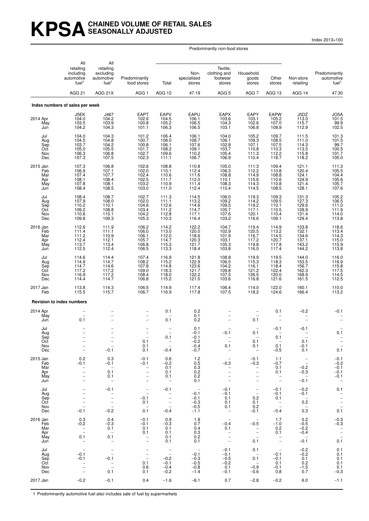### **KPSACHAINED VOLUME OF RETAIL SALES SEASONALLY ADJUSTED**

Index 2013=100

#### Predominantly non-food stores

|                                               | All                                                                                                                                | All                                                                             |                                                                                                                                  |                                                                                  |                                                           |                                                                                                                                                 |                                                                                                                  |                                                                      |                                                                  |                                                                            |
|-----------------------------------------------|------------------------------------------------------------------------------------------------------------------------------------|---------------------------------------------------------------------------------|----------------------------------------------------------------------------------------------------------------------------------|----------------------------------------------------------------------------------|-----------------------------------------------------------|-------------------------------------------------------------------------------------------------------------------------------------------------|------------------------------------------------------------------------------------------------------------------|----------------------------------------------------------------------|------------------------------------------------------------------|----------------------------------------------------------------------------|
|                                               | retailing<br>including<br>automotive<br>fuel <sup>1</sup>                                                                          | retailing<br>excluding<br>automotive<br>fuel <sup>1</sup>                       | Predominantly<br>food stores                                                                                                     | Total                                                                            | Non-<br>specialised<br>stores                             | Textile,<br>clothing and<br>footwear<br>stores                                                                                                  | Household<br>goods<br>stores                                                                                     | Other<br>stores                                                      | Non-store<br>retailing                                           | Predominantly<br>automotive<br>fuel <sup>1</sup>                           |
|                                               | <b>AGG 21</b>                                                                                                                      | AGG 21X                                                                         | AGG <sub>1</sub>                                                                                                                 | AGG 12                                                                           | 47.19                                                     | AGG <sub>5</sub>                                                                                                                                | AGG <sub>7</sub>                                                                                                 | AGG 13                                                               | AGG 14                                                           | 47.30                                                                      |
|                                               | Index numbers of sales per week                                                                                                    |                                                                                 |                                                                                                                                  |                                                                                  |                                                           |                                                                                                                                                 |                                                                                                                  |                                                                      |                                                                  |                                                                            |
| 2014 Apr<br>May<br>Jun                        | J5EK<br>104.0<br>103.5<br>104.2                                                                                                    | J467<br>104.2<br>103.9<br>104.3                                                 | <b>EAPT</b><br>102.6<br>100.8<br>101.1                                                                                           | <b>EAPV</b><br>104.5<br>105.2<br>106.3                                           | EAPU<br>106.1<br>106.5<br>106.5                           | <b>EAPX</b><br>103.6<br>104.3<br>103.1                                                                                                          | EAPY<br>103.1<br>102.6<br>106.8                                                                                  | <b>EAPW</b><br>105.2<br>107.0<br>108.9                               | J5DZ<br>113.0<br>115.7<br>112.9                                  | JO5A<br>101.5<br>$99.9$<br>102.5                                           |
| Jul<br>Aug<br>Sep<br>Oct<br><b>Nov</b><br>Dec | 104.0<br>104.5<br>103.7<br>105.0<br>106.3<br>107.3                                                                                 | 104.3<br>104.8<br>104.2<br>105.5<br>106.8<br>107.5                              | 101.2<br>100.7<br>100.8<br>101.7<br>102.7<br>102.3                                                                               | 106.4<br>108.0<br>106.1<br>108.2<br>109.6<br>111.1                               | 106.1<br>108.7<br>107.6<br>109.1<br>110.2<br>106.7        | 104.0<br>106.1<br>102.8<br>103.7<br>105.4<br>106.9                                                                                              | 105.2<br>109.3<br>107.1<br>110.8<br>111.3<br>110.4                                                               | 109.7<br>108.5<br>107.5<br>110.3<br>112.2<br>118.7                   | 111.5<br>111.0<br>114.3<br>113.5<br>115.8<br>118.2               | 101.3<br>101.5<br>99.7<br>100.5<br>101.7<br>105.0                          |
| 2015 Jan<br>Feb<br>Mar<br>Apr<br>May<br>Jun   | 107.3<br>106.9<br>107.4<br>108.1<br>107.8<br>108.4                                                                                 | 106.8<br>107.1<br>107.7<br>108.4<br>108.1<br>108.5                              | 102.6<br>102.0<br>102.4<br>102.5<br>103.2<br>103.0                                                                               | 108.8<br>110.1<br>110.6<br>111.7<br>110.9<br>111.0                               | 110.8<br>112.4<br>111.6<br>112.0<br>111.4<br>112.4        | 105.0<br>106.3<br>108.8<br>110.1<br>108.3<br>110.4                                                                                              | 111.3<br>112.2<br>114.9<br>115.6<br>114.3<br>114.5                                                               | 109.4<br>110.8<br>108.8<br>110.6<br>110.8<br>108.5                   | 121.1<br>120.4<br>124.1<br>124.9<br>121.4<br>128.1               | 111.3<br>105.5<br>104.4<br>105.6<br>105.7<br>107.6                         |
| Jul<br>Aug<br>Sep<br>Oct<br>Nov<br>Dec        | 108.4<br>107.9<br>110.2<br>109.2<br>110.6<br>109.8                                                                                 | 108.7<br>108.0<br>110.1<br>108.8<br>110.1<br>109.3                              | 102.7<br>102.0<br>104.6<br>103.4<br>104.2<br>105.3                                                                               | 111.3<br>111.1<br>112.6<br>111.2<br>112.8<br>110.3                               | 114.5<br>113.2<br>114.6<br>114.7<br>117.1<br>116.4        | 106.0<br>109.2<br>109.5<br>105.7<br>107.6<br>103.2                                                                                              | 119.3<br>114.2<br>119.2<br>117.1<br>120.1<br>116.6                                                               | 109.3<br>109.5<br>110.1<br>110.5<br>110.4<br>109.1                   | 131.3<br>127.3<br>129.6<br>128.9<br>131.4<br>129.4               | 105.2<br>106.5<br>111.0<br>111.9<br>114.0<br>113.8                         |
| 2016 Jan<br>Feb<br>Mar<br>Apr<br>May<br>Jun   | 112.6<br>111.4<br>111.2<br>112.4<br>113.7<br>112.5                                                                                 | 111.9<br>111.1<br>110.9<br>112.1<br>113.4<br>112.4                              | 106.2<br>106.0<br>106.1<br>105.7<br>106.8<br>106.5                                                                               | 114.2<br>113.0<br>112.0<br>114.7<br>115.3<br>113.3                               | 122.2<br>120.0<br>118.6<br>120.3<br>121.7<br>118.4        | 104.7<br>102.9<br>101.9<br>103.1<br>105.3<br>103.8                                                                                              | 119.4<br>120.5<br>116.7<br>117.2<br>119.8<br>116.0                                                               | 114.9<br>113.2<br>114.5<br>120.7<br>117.8<br>117.4                   | 133.8<br>132.1<br>134.6<br>$\frac{137.1}{143.2}$<br>144.2        | 118.6<br>113.4<br>114.3<br>115.0<br>115.9<br>113.8                         |
| Jul<br>Aug<br>Sep<br>Oct<br>Nov<br>Dec        | 114.6<br>114.9<br>114.7<br>117.2<br>116.9<br>114.4                                                                                 | 114.4<br>114.7<br>114.6<br>117.2<br>117.2<br>114.7                              | 107.4<br>108.2<br>107.8<br>109.0<br>108.4<br>106.8                                                                               | 116.9<br>115.2<br>114.8<br>118.3<br>118.0<br>115.2                               | 121.8<br>$\frac{122.9}{123.6}$<br>121.7<br>122.2<br>121.0 | 108.8<br>106.5<br>104.2<br>109.8<br>107.5<br>103.6                                                                                              | 119.9<br>115.3<br>116.1<br>121.2<br>126.5<br>116.8                                                               | 119.5<br>118.3<br>118.4<br>122.4<br>120.0<br>121.6                   | 144.0<br>153.5<br>156.7<br>162.3<br>168.9<br>161.5               | 116.0<br>116.9<br>115.8<br>117.5<br>114.5<br>112.5                         |
| 2017 Jan<br>Feb                               | 113.8<br>115.5                                                                                                                     | 114.3<br>115.7                                                                  | 106.5<br>106.7                                                                                                                   | 114.9<br>116.9                                                                   | 117.4<br>117.8                                            | 106.4<br>107.5                                                                                                                                  | 114.0<br>118.2                                                                                                   | 122.0<br>124.6                                                       | 160.1<br>166.4                                                   | 110.0<br>113.2                                                             |
|                                               | Revision to index numbers                                                                                                          |                                                                                 |                                                                                                                                  |                                                                                  |                                                           |                                                                                                                                                 |                                                                                                                  |                                                                      |                                                                  |                                                                            |
| 2014 Apr<br>May<br>Jun                        | 0.1                                                                                                                                | $\overline{\phantom{0}}$                                                        |                                                                                                                                  | 0.1<br>0.1                                                                       | 0.2<br>0.1<br>0.2                                         |                                                                                                                                                 | 0.1                                                                                                              | 0.1                                                                  | $-0.2$                                                           | $-0.1$                                                                     |
| Jul<br>Aug<br>Sep<br>Oct<br>Nov<br>Dec        | $\overline{\phantom{a}}$<br>$\overline{\phantom{a}}$                                                                               | $\overline{\phantom{a}}$<br>$\overline{\phantom{a}}$<br>$-0.1$                  | $\overline{\phantom{0}}$<br>0.1<br>0.1<br>0.1                                                                                    | $\overline{\phantom{0}}$<br>0.1<br>$\sim$ $-$<br>$\sim$<br>$-0.4$                | 0.1<br>$-0.1$<br>$-0.1$<br>$-0.2$<br>$-0.4$<br>$-0.7$     | $-0.1$<br>$\overline{\phantom{a}}$<br>0.1<br>$\hspace{0.1mm}-\hspace{0.1mm}$                                                                    | 0.1<br>0.1<br>0.1<br>$\hspace{0.1mm}-\hspace{0.1mm}$                                                             | $-0.1$<br>0.1<br>$\sim$<br>0.1<br>$-0.5$                             | $-0.1$<br>0.1<br>$-0.1$<br>0.1                                   | 0.1<br>$\frac{1}{2}$<br>0.1                                                |
| 2015 Jan<br>Feb<br>Mar<br>Apr<br>May<br>Jun   | 0.2<br>$-0.1$<br>$\overline{\phantom{a}}$<br>$\overline{\phantom{0}}$<br>$\overline{\phantom{0}}$                                  | 0.3<br>$-0.1$<br>$\overline{\phantom{a}}$<br>0.1<br>0.1<br>$\sim$               | $-0.1$<br>$-0.1$<br>$\overline{\phantom{a}}$<br>$\overline{\phantom{a}}$<br>$\overline{\phantom{a}}$<br>$\overline{\phantom{a}}$ | 0.6<br>$-0.2$<br>0.1<br>0.1<br>0.1<br>$\overline{\phantom{0}}$                   | 1.2<br>0.5<br>0.3<br>0.2<br>0.2<br>0.1                    | $\overline{\phantom{a}}$<br>$-0.3$<br>$\hspace{0.1mm}-\hspace{0.1mm}$<br>$\overline{a}$<br>$\overline{\phantom{0}}$<br>$\overline{\phantom{a}}$ | $-0.1$<br>$-0.3$<br>$\overline{\phantom{a}}$<br>$\overline{\phantom{0}}$<br>$\overline{\phantom{0}}$<br>$\equiv$ | 1.1<br>$-0.7$<br>0.1<br>0.1<br>$\sim$<br>$\sim$                      | $\sim$<br>$\overline{a}$<br>$-0.2$<br>$-0.3$<br>$\sim$<br>$-0.1$ | $-0.1$<br>$-0.2$<br>$-0.1$<br>$-0.1$<br>$-0.1$<br>$\overline{\phantom{a}}$ |
| Jul<br>Aug<br>Sep<br>Oct<br>Nov<br>Dec        | $\overline{\phantom{a}}$<br>$\overline{\phantom{0}}$<br>$\overline{\phantom{a}}$<br>$\overline{\phantom{a}}$<br>$\equiv$<br>$-0.1$ | $-0.1$<br>$\overline{\phantom{a}}$<br>$\bar{ }$<br>$\bar{\mathbb{I}}$<br>$-0.2$ | $\bar{\mathbb{I}}$<br>$-0.1$<br>0.1<br>$\overline{\phantom{a}}$<br>0.1                                                           | $-0.1$<br>$\sim$ $-$<br>$\overline{\phantom{a}}$<br>$\bar{\mathbb{Z}}$<br>$-0.4$ | $-0.1$<br>$-0.1$<br>$-0.3$<br>$-0.5$<br>$-1.1$            | $-0.1$<br>$-0.1$<br>0.1<br>0.1<br>0.1<br>$\sim$ $-$                                                                                             | $\bar{\mathbb{I}}$<br>0.2<br>0.1<br>0.2<br>$-0.1$                                                                | $-0.1$<br>$-0.1$<br>0.1<br>$\mathbb{Z}$<br>$-0.4$                    | $-0.2$<br>$-0.1$<br>$\sim$ $-$<br>0.2<br>$\sim$<br>0.3           | 0.1<br>$\overline{\phantom{a}}$<br>$\frac{1}{2}$<br>0.1                    |
| 2016 Jan<br>Feb<br>Mar<br>Apr<br>May<br>Jun   | 0.3<br>$-0.2$<br>$\bar{z}$<br>0.1<br>$\hspace{0.1mm}-\hspace{0.1mm}$                                                               | 0.4<br>$-0.3$<br>0.1<br>$\sim$ $-$<br>0.1<br>$\sim$                             | $-0.1$<br>$-0.1$<br>0.1<br>0.1<br>$\overline{\phantom{a}}$<br>$\overline{\phantom{a}}$                                           | 0.9<br>$-0.3$<br>0.1<br>0.1<br>0.1<br>0.1                                        | 1.9<br>0.7<br>0.4<br>0.3<br>0.2<br>0.1                    | $\overline{a}$<br>$-0.4$<br>0.1<br>$\hspace{0.1mm}-\hspace{0.1mm}$<br>$\overline{\phantom{a}}$<br>$\overline{a}$                                | $\sim$<br>$-0.5$<br>$\sim$ $-$<br>$\overline{\phantom{a}}$<br>$\overline{\phantom{a}}$<br>0.1                    | 1.7<br>$-1.0$<br>0.2<br>0.1<br>$\overline{\phantom{a}}$              | 0.2<br>$-0.5$<br>$-0.2$<br>$-0.4$<br>$\sim$ $-$<br>$-0.1$        | $-0.3$<br>$-0.3$<br>$\frac{1}{2}$<br>0.1                                   |
| Jul<br>Aug<br>Sep<br>Oct<br>Nov<br>Dec        | $-$<br>$-0.1$<br>$-0.1$                                                                                                            | $\overline{a}$<br>$-0.1$<br>$\frac{1}{2}$<br>0.1                                | $\overline{\phantom{a}}$<br>$\equiv$<br>$\frac{1}{2}$<br>0.1<br>0.6<br>0.1                                                       | $\sim$ $-$<br>$\sim$ $-$<br>$-0.2$<br>$-0.1$<br>$-0.4$<br>$-0.2$                 | $\sim$<br>$-0.1$<br>$-0.3$<br>$-0.5$<br>$-0.8$<br>$-1.4$  | $-0.1$<br>$-0.1$<br>$-0.5$<br>$-0.2$<br>0.1<br>$-0.1$                                                                                           | 0.1<br>$\sim$<br>0.1<br>$\sim$<br>$-0.9$<br>$-0.6$                                                               | $\overline{\phantom{0}}$<br>$-0.1$<br>$-0.1$<br>0.1<br>$-0.1$<br>0.8 | $-0.2$<br>$-0.2$<br>0.1<br>0.2<br>$-1.5$<br>0.7                  | 0.1<br>0.1<br>0.1<br>0.1<br>0.1<br>$-0.3$                                  |
| 2017 Jan                                      | $-0.2$                                                                                                                             | $-0.1$                                                                          | 0.4                                                                                                                              | $-1.6$                                                                           | $-6.1$                                                    | 0.7                                                                                                                                             | $-2.8$                                                                                                           | $-0.2$                                                               | 6.0                                                              | $-1.1$                                                                     |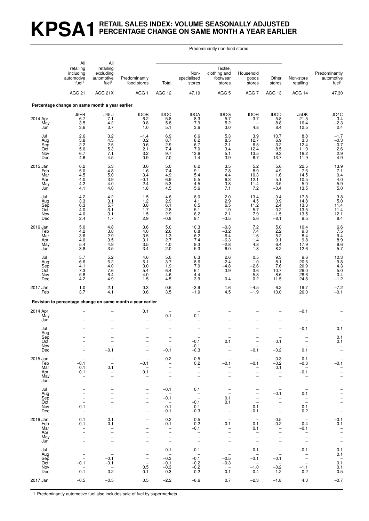# **KPSA1 RETAIL SALES INDEX: VOLUME SEASONALLY ADJUSTED PERCENTAGE CHANGE ON SAME MONTH A YEAR EARLIER**

#### Predominantly non-food stores

|                                             | All                                                                                                                                         | All                                                                                                                                             |                                                                                                                                   |                                                                                                      |                                                                                                          |                                                                                                                                                    |                                                                                                                 |                                                                                                                               |                                                                                                                                    |                                                                                                             |
|---------------------------------------------|---------------------------------------------------------------------------------------------------------------------------------------------|-------------------------------------------------------------------------------------------------------------------------------------------------|-----------------------------------------------------------------------------------------------------------------------------------|------------------------------------------------------------------------------------------------------|----------------------------------------------------------------------------------------------------------|----------------------------------------------------------------------------------------------------------------------------------------------------|-----------------------------------------------------------------------------------------------------------------|-------------------------------------------------------------------------------------------------------------------------------|------------------------------------------------------------------------------------------------------------------------------------|-------------------------------------------------------------------------------------------------------------|
|                                             | retailing<br>including<br>automotive<br>fuel <sup>1</sup>                                                                                   | retailing<br>excluding<br>automotive<br>fuel <sup>1</sup>                                                                                       | Predominantly<br>food stores                                                                                                      | Total                                                                                                | Non-<br>specialised<br>stores                                                                            | Textile,<br>clothing and<br>footwear<br>stores                                                                                                     | Household<br>goods<br>stores                                                                                    | Other<br>stores                                                                                                               | Non-store<br>retailing                                                                                                             | Predominantly<br>automotive<br>fuel <sup>1</sup>                                                            |
|                                             | AGG <sub>21</sub>                                                                                                                           | AGG 21X                                                                                                                                         | AGG <sub>1</sub>                                                                                                                  | AGG 12                                                                                               | 47.19                                                                                                    | AGG <sub>5</sub>                                                                                                                                   | AGG <sub>7</sub>                                                                                                | AGG 13                                                                                                                        | AGG 14                                                                                                                             | 47.30                                                                                                       |
|                                             | Percentage change on same month a year earlier                                                                                              |                                                                                                                                                 |                                                                                                                                   |                                                                                                      |                                                                                                          |                                                                                                                                                    |                                                                                                                 |                                                                                                                               |                                                                                                                                    |                                                                                                             |
| 2014 Apr<br>May<br>Jun                      | J5EB<br>6.7<br>3.5<br>3.6                                                                                                                   | <b>J45U</b><br>7.1<br>$\frac{4.2}{3.7}$                                                                                                         | <b>IDOB</b><br>6.2<br>0.8<br>1.0                                                                                                  | <b>IDOC</b><br>5.8<br>5.8<br>5.1                                                                     | <b>IDOA</b><br>8.3<br>7.9<br>3.6                                                                         | <b>IDOG</b><br>5.7<br>5.2<br>3.0                                                                                                                   | <b>IDOH</b><br>3.7<br>4.8                                                                                       | <b>IDOD</b><br>5.8<br>8.8<br>8.4                                                                                              | J5DK<br>21.5<br>16.4<br>12.5                                                                                                       | JO4C<br>3.4<br>$\frac{-2.3}{2.4}$                                                                           |
| Jul<br>Aug<br>Sep<br>Oct<br>Nov<br>Dec      | $\frac{2.6}{3.8}$<br>2.2<br>5.0<br>6.7<br>4.6                                                                                               | $\frac{3.2}{4.3}$<br>2.5<br>5.3<br>7.1<br>4.5                                                                                                   | $-1.4$<br>0.2<br>0.6<br>2.1<br>3.2<br>0.9                                                                                         | 6.9 8.7<br>2.9<br>7.4<br>9.7<br>7.0                                                                  | $6.6 \\ 8.2$<br>6.7<br>7.0<br>13.6<br>1.4                                                                | 5.3<br>8.5<br>$-2.1$<br>3.4<br>5.1<br>3.9                                                                                                          | 3.9<br>12.7<br>6.5<br>12.4<br>13.5<br>6.7                                                                       | $^{10.7}_{6.9}$<br>3.2<br>$8.5$<br>$9.3$<br>13.7                                                                              | 8.8<br>$3.\overline{3}$<br>12.4<br>11.9<br>16.2<br>11.9                                                                            | $-1.7$<br>$-0.3$<br>$-0.7$<br>$2.6$<br>$2.9$<br>$4.9$                                                       |
| 2015 Jan<br>Feb<br>Mar<br>Apr<br>May<br>Jun | 6.2<br>5.0<br>4.5<br>4.0<br>4.2<br>4.1                                                                                                      | 5.3<br>4.8<br>5.0<br>3.9<br>4.0<br>4.0                                                                                                          | 3.0<br>1.6<br>3.4<br>$-0.1$<br>2.4<br>1.8                                                                                         | $5.0\,$<br>7.4<br>4.9<br>6.9<br>$5.3$<br>4.5                                                         | 6.2<br>9.1<br>5.4<br>5.5<br>4.5<br>5.6                                                                   | 3.5<br>7.8<br>4.4<br>6.3<br>3.8<br>7.1                                                                                                             | 5.2<br>8.9<br>10.3<br>12.1<br>11.4<br>7.2                                                                       | 5.6<br>4.9<br>1.6<br>5.1<br>3.5<br>$-0.4$                                                                                     | 22.5<br>7.6<br>14.5<br>10.5<br>5.0<br>13.5                                                                                         | 13.9<br>7.1<br>$0.4 \\ 4.0$<br>5.9<br>5.0                                                                   |
| Jul<br>Aug<br>Sep<br>Oct<br>Nov<br>Dec      | 4.2<br>3.3<br>6.3<br>4.0<br>4.0<br>2.4                                                                                                      | 4.2<br>3.1<br>5.7<br>3.1<br>3.1<br>$\overline{1.7}$                                                                                             | 1.5<br>1.2<br>3.8<br>1.7<br>1.5<br>2.9                                                                                            | 4.6<br>$^{2.9}_{6.1}$<br>2.8<br>2.9<br>$-0.\dot{8}$                                                  | 8.0<br>4.1<br>6.5<br>5.1<br>6.2<br>9.1                                                                   | 2.0<br>2.9<br>6.5<br>1.9<br>2.1<br>$-3.5$                                                                                                          | 13.4<br>4.5<br>11.2<br>5.7<br>7.9<br>5.6                                                                        | $-0.4$<br>0.9<br>2.4<br>0.2<br>$-1.5$<br>$-8.1$                                                                               | 17.8<br>14.8<br>13.3<br>13.5<br>13.5<br>9.5                                                                                        | 3.8<br>$\frac{5.0}{11.4}$<br>11.4<br>$^{12.1}_{8.4}$                                                        |
| 2016 Jan<br>Feb<br>Mar<br>Apr<br>May<br>Jun | 5.0<br>4.2<br>3.6<br>4.0<br>5.4<br>3.8                                                                                                      | 4.8<br>3.8<br>2.9<br>3.5<br>4.9<br>3.5                                                                                                          | 3.6<br>4.0<br>3.5<br>3.1<br>3.5<br>3.4                                                                                            | 5.0<br>2.6<br>$1.3$<br>$^{2.7}_{4.0}$<br>2.0                                                         | 10.3<br>6.8<br>$6.2\,$<br>7.4<br>9.3<br>5.3                                                              | $-0.3$<br>$-3.2$<br>$-6.4$<br>$-6.3$<br>$-2.8$<br>$-6.0$                                                                                           | 7.2<br>7.4<br>1.6<br>1.4<br>4.8<br>1.3                                                                          | 5.0<br>2.2<br>5.2<br>9.1<br>6.4<br>8.2                                                                                        | 10.4<br>9.8<br>8.4<br>9.8<br>17.9<br>12.6                                                                                          | 6.6<br>7.5<br>9.4<br>$8.9$<br>$9.6$<br>5.7                                                                  |
| Jul<br>Aug<br>Sep<br>Oct<br>Nov<br>Dec      | 5.7<br>6.6<br>4.1<br>7.3<br>5.8<br>4.2                                                                                                      | 5.2<br>6.2<br>4.0<br>7.6<br>6.4<br>4.9                                                                                                          | 4.6<br>6.1<br>3.0<br>5.4<br>4.0<br>1.5                                                                                            | 5.0<br>3.7<br>1.9<br>6.4<br>4.6<br>4.5                                                               | 6.3<br>8.6<br>$7.9$<br>6.1<br>4.4<br>3.9                                                                 | 2.6<br>$-2.4$<br>$-4.8$<br>3.9<br>0.4                                                                                                              | 0.5<br>1.0<br>$-2.6$<br>3.6<br>$5.3$<br>0.2                                                                     | 9.3<br>8.1<br>7.6<br>10.7<br>8.6<br>11.5                                                                                      | 9.6<br>20.6<br>20.9<br>26.0<br>28.6<br>24.8                                                                                        | 10.3<br>$9.8$<br>$4.3$<br>$5.0$<br>0.4<br>$-1.2$                                                            |
| 2017 Jan<br>Feb                             | 1.0<br>3.7                                                                                                                                  | 2.1<br>4.1                                                                                                                                      | 0.3<br>0.6                                                                                                                        | 0.6<br>3.5                                                                                           | $-3.9$<br>$-1.9$                                                                                         | 1.6<br>4.5                                                                                                                                         | $-4.5$<br>$-1.9$                                                                                                | 6.2<br>10.0                                                                                                                   | 19.7<br>26.0                                                                                                                       | $-7.2$<br>$-0.1$                                                                                            |
|                                             |                                                                                                                                             |                                                                                                                                                 | Revision to percentage change on same month a year earlier                                                                        |                                                                                                      |                                                                                                          |                                                                                                                                                    |                                                                                                                 |                                                                                                                               |                                                                                                                                    |                                                                                                             |
| 2014 Apr<br>May<br>Jun                      |                                                                                                                                             | $\overline{\phantom{0}}$                                                                                                                        | 0.1<br>$\overline{\phantom{0}}$                                                                                                   | 0.1<br>$\overline{\phantom{0}}$                                                                      | 0.1                                                                                                      | $\overline{\phantom{0}}$                                                                                                                           |                                                                                                                 | $\qquad \qquad -$<br>$\qquad \qquad -$                                                                                        | $-0.1$                                                                                                                             |                                                                                                             |
| Jul<br>Aug<br>Sep<br>Oct<br>Nov<br>Dec      | $\overline{\phantom{0}}$<br>-<br>-<br>$\overline{\phantom{0}}$                                                                              | L.<br>$\qquad \qquad -$<br>$\qquad \qquad -$<br>$-0.1$                                                                                          | L.<br>$\qquad \qquad -$                                                                                                           | $\overline{\phantom{0}}$<br>$\overline{\phantom{a}}$<br>$\overline{\phantom{a}}$<br>$-0.1$           | $-0.1$<br>$-0.1$<br>$-0.3$                                                                               | $\overline{\phantom{0}}$<br>0.1<br>$\qquad \qquad -$<br>$\qquad \qquad -$                                                                          | $\overline{\phantom{m}}$<br>$-0.1$                                                                              | $\qquad \qquad -$<br>0.1<br>$\overline{\phantom{0}}$<br>$-0.2$                                                                | $-0.1$<br>$\overline{\phantom{a}}$<br>$\overline{\phantom{a}}$<br>0.1                                                              | 0.1<br>0.1<br>0.1<br>$\overline{\phantom{a}}$<br>$\overline{\phantom{m}}$                                   |
| 2015 Jan<br>Feb<br>Mar<br>Apr<br>May<br>Jun | $\overline{\phantom{0}}$<br>$-0.1$<br>0.1<br>0.1                                                                                            | $\qquad \qquad -$<br>$\equiv$<br>0.1<br>$\hspace{1.0cm} - \hspace{1.0cm}$<br>$\overline{\phantom{0}}$<br>$\qquad \qquad -$                      | $\overline{\phantom{a}}$<br>$-0.1$<br>$\overline{\phantom{a}}$<br>0.1<br>$\overline{\phantom{a}}$<br>$\qquad \qquad -$            | 0.2<br>$\bar{z}$<br>$\overline{\phantom{a}}$<br>$\overline{\phantom{a}}$<br>$\overline{\phantom{a}}$ | 0.5<br>0.2<br>$\overline{\phantom{m}}$<br>$\overline{\phantom{a}}$<br>$\overline{\phantom{a}}$           | $\overline{\phantom{a}}$<br>$-0.1$<br>$\qquad \qquad -$<br>$\overline{\phantom{0}}$<br>-<br>$\qquad \qquad -$                                      | $\overline{\phantom{m}}$<br>$-0.1$<br>$\overline{\phantom{a}}$<br>$\qquad \qquad -$<br>$\overline{\phantom{m}}$ | 0.3<br>$-0.2$<br>0.1<br>$\overline{\phantom{a}}$<br>$\qquad \qquad -$<br>$\overline{\phantom{m}}$                             | 0.1<br>$-0.3$<br>$\overline{a}$<br>$-0.1$<br>$\overline{\phantom{a}}$<br>$\overline{\phantom{a}}$                                  | $\overline{\phantom{a}}$<br>$-0.1$<br>$\frac{1}{2}$<br>$\overline{\phantom{0}}$<br>$\overline{\phantom{0}}$ |
| Jul<br>Aug<br>Sep<br>Oct<br>Nov<br>Dec      | $\qquad \qquad -$<br>$\overline{a}$<br>$-0.1$<br>$\overline{\phantom{a}}$                                                                   | $\qquad \qquad -$<br>$\overline{\phantom{a}}$<br>$\qquad \qquad -$<br>$\overline{\phantom{0}}$<br>$\overline{\phantom{0}}$<br>$\qquad \qquad -$ | $\qquad \qquad -$<br>$\qquad \qquad -$<br>$\qquad \qquad -$<br>$\qquad \qquad -$<br>$\qquad \qquad -$<br>-                        | $-0.1$<br>$-$<br>$-0.1$<br>$\sim$<br>$-0.1$<br>$-0.1$                                                | 0.1<br>$\bar{a}$<br>$-0.1$<br>$-0.1$<br>$-0.3$                                                           | $\bar{\mathbb{I}}$<br>0.1<br>0.1<br>$\overline{\phantom{a}}$<br>$\overline{\phantom{a}}$                                                           | $\overline{\phantom{m}}$<br>$\overline{\phantom{a}}$<br>$\equiv$<br>0.1<br>$-0.1$                               | $\overline{\phantom{a}}$<br>$-0.1$<br>$\overline{\phantom{a}}$<br>$\overline{\phantom{a}}$<br>$\overline{\phantom{a}}$        | 0.1<br>$\overline{\phantom{m}}$<br>$\equiv$<br>0.1<br>0.2                                                                          | $\frac{1}{2}$<br>$\overline{\phantom{0}}$<br>$\frac{1}{2}$<br>$\qquad \qquad -$                             |
| 2016 Jan<br>Feb<br>Mar<br>Apr<br>May<br>Jun | 0.1<br>$-0.1$<br>$\overline{\phantom{0}}$<br>$\overbrace{\phantom{1232211}}$<br>$\overbrace{\phantom{1232211}}$<br>$\overline{\phantom{0}}$ | 0.1<br>$-0.1$<br>$\overline{\phantom{a}}$<br>$\equiv$<br>$\qquad \qquad -$                                                                      | $\qquad \qquad -$<br>$\qquad \qquad -$<br>$\qquad \qquad -$<br>$\qquad \qquad -$<br>$\overline{\phantom{0}}$<br>$\qquad \qquad -$ | 0.2<br>$-0.1$<br>$\bar{\mathbb{I}}$<br>$\overline{\phantom{a}}$<br>$\overline{\phantom{a}}$          | 0.5<br>0.2<br>$-0.1$<br>$\overline{\phantom{a}}$<br>$\overline{\phantom{a}}$<br>$\overline{\phantom{a}}$ | $\overline{\phantom{a}}$<br>$-0.1$<br>$\overline{\phantom{a}}$<br>$\overline{\phantom{0}}$<br>$\overline{\phantom{0}}$<br>$\overline{\phantom{a}}$ | $\overline{\phantom{m}}$<br>$-0.1$<br>0.1<br>$\overline{\phantom{a}}$<br>$\overline{\phantom{m}}$               | 0.5<br>$-0.2$<br>$\overline{\phantom{a}}$<br>$\overline{\phantom{a}}$<br>$\overline{\phantom{a}}$<br>$\overline{\phantom{a}}$ | $\overline{\phantom{a}}$<br>$-0.4$<br>$-0.1$<br>$\overline{\phantom{a}}$<br>$\qquad \qquad -$<br>$\hspace{1.0cm} - \hspace{1.0cm}$ | $-0.1$<br>$-0.1$<br>$\bar{z}$<br>$\overline{\phantom{0}}$<br>$\qquad \qquad -$                              |
| Jul<br>Aug<br>Sep<br>Oct<br>Nov<br>Dec      | $\overline{\phantom{a}}$<br>$\overline{\phantom{0}}$<br>$-0.1$<br>$\overline{\phantom{a}}$<br>0.1                                           | $\overline{\phantom{a}}$<br>$\overline{\phantom{a}}$<br>$-0.1$<br>$-0.1$<br>$\sim$<br>0.2                                                       | -<br>$\bar{a}$<br>$\overline{\phantom{a}}$<br>0.5<br>0.1                                                                          | 0.1<br>$\overline{\phantom{a}}$<br>$-0.3$<br>$-0.1$<br>$-0.3$<br>0.3                                 | $-0.1$<br>$\sim$<br>$-0.1$<br>$-0.2$<br>$-0.2$<br>$-0.2$                                                 | $\overline{\phantom{a}}$<br>$\overline{\phantom{a}}$<br>$-0.5$<br>$-0.3$<br>$\sim$<br>$-0.1$                                                       | 0.1<br>$\overline{\phantom{a}}$<br>$-0.1$<br>$\sim$<br>$-1.0$<br>$-0.4$                                         | $\overline{\phantom{a}}$<br>$\overline{\phantom{a}}$<br>$-0.1$<br>$\sim$<br>$-0.2$<br>1.2                                     | $-0.1$<br>$\bar{a}$<br>$\overline{\phantom{a}}$<br>$-1.1$<br>0.2                                                                   | 0.1<br>0.1<br>0.1<br>0.1<br>$-0.5$                                                                          |
| 2017 Jan                                    | $-0.5$                                                                                                                                      | $-0.5$                                                                                                                                          | 0.5                                                                                                                               | $-2.2$                                                                                               | $-6.6$                                                                                                   | 0.7                                                                                                                                                | $-2.3$                                                                                                          | $-1.8$                                                                                                                        | 4.3                                                                                                                                | $-0.7$                                                                                                      |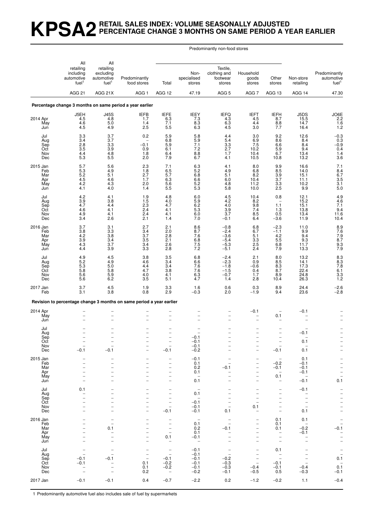### **KPSA2 RETAIL SALES INDEX: VOLUME SEASONALLY ADJUSTED PERCENTAGE CHANGE 3 MONTHS ON SAME PERIOD A YEAR EARLIER**

#### Predominantly non-food stores

|                                             | All                                                                                     | All                                                                                                                                      |                                                                                                                                                 |                                                                                                                                          |                                                                                           |                                                                                                                         |                                                                                                                                  |                                                                                                                                          |                                                                                                      |                                                                                                       |
|---------------------------------------------|-----------------------------------------------------------------------------------------|------------------------------------------------------------------------------------------------------------------------------------------|-------------------------------------------------------------------------------------------------------------------------------------------------|------------------------------------------------------------------------------------------------------------------------------------------|-------------------------------------------------------------------------------------------|-------------------------------------------------------------------------------------------------------------------------|----------------------------------------------------------------------------------------------------------------------------------|------------------------------------------------------------------------------------------------------------------------------------------|------------------------------------------------------------------------------------------------------|-------------------------------------------------------------------------------------------------------|
|                                             | retailing<br>including<br>automotive<br>fuel <sup>1</sup>                               | retailing<br>excluding<br>automotive<br>fuel <sup>1</sup>                                                                                | Predominantly<br>food stores                                                                                                                    | Total                                                                                                                                    | Non-<br>specialised<br>stores                                                             | Textile,<br>clothing and<br>footwear<br>stores                                                                          | Household<br>goods<br>stores                                                                                                     | Other<br>stores                                                                                                                          | Non-store<br>retailing                                                                               | Predominantly<br>automotive<br>fuel <sup>1</sup>                                                      |
|                                             | AGG <sub>21</sub>                                                                       | AGG 21X                                                                                                                                  | AGG <sub>1</sub>                                                                                                                                | AGG 12                                                                                                                                   | 47.19                                                                                     | AGG <sub>5</sub>                                                                                                        | AGG <sub>7</sub>                                                                                                                 | AGG 13                                                                                                                                   | AGG 14                                                                                               | 47.30                                                                                                 |
|                                             |                                                                                         |                                                                                                                                          | Percentage change 3 months on same period a year earlier                                                                                        |                                                                                                                                          |                                                                                           |                                                                                                                         |                                                                                                                                  |                                                                                                                                          |                                                                                                      |                                                                                                       |
| 2014 Apr<br>May<br>Jun                      | J5EH<br>4.5<br>4.6<br>4.5                                                               | <b>J45S</b><br>4.8<br>5.0<br>4.9                                                                                                         | <b>IEFB</b><br>1.7<br>1.4<br>2.5                                                                                                                | <b>IEFE</b><br>6.3<br>7.1<br>5.5                                                                                                         | <b>IEEY</b><br>7.3<br>$_{6.3}^{8.3}$                                                      | <b>IEFQ</b><br>4.3<br>$6.3$<br>4.5                                                                                      | <b>IEFT</b><br>4.5<br>4.4<br>3.0                                                                                                 | <b>IEFH</b><br>8.7<br>$\frac{8.8}{7.7}$                                                                                                  | J5DS<br>15.5<br>14.7<br>16.4                                                                         | JO6E<br>$2.2$<br>1.6<br>1.2                                                                           |
| Jul<br>Aug<br>Sep<br>Oct<br>Nov<br>Dec      | $\frac{3.3}{3.4}$<br>2.8<br>3.5<br>4.4<br>5.3                                           | 3.7<br>3.7<br>3.3<br>3.9<br>4.8<br>5.5                                                                                                   | 0.2<br>$-0.1$<br>0.9<br>1.8<br>2.0                                                                                                              | $\begin{array}{c} 5.9 \\ 6.8 \end{array}$<br>5.9<br>6.1<br>6.4<br>7.9                                                                    | $\frac{5.8}{5.9}$<br>7.1<br>7.2<br>$8.\overline{8}$<br>6.7                                | 4.4<br>5.4<br>3.3<br>2.7<br>1.7<br>4.1                                                                                  | 3.0<br>6.9<br>7.5<br>10.2<br>10.4<br>10.5                                                                                        | 9.2<br>8.6<br>6.6<br>$\begin{array}{c} 5.9 \\ 6.7 \end{array}$<br>10.8                                                                   | 12.6<br>8.4<br>8.4<br>9.4<br>13.4<br>13.2                                                            | $^{-0.3}_{0.3}$<br>$-0.9$<br>$0.4$<br>$1.4$<br>3.6                                                    |
| 2015 Jan<br>Feb<br>Mar<br>Apr<br>May<br>Jun | 5.7<br>5.3<br>5.2<br>4.5<br>4.2<br>4.1                                                  | 5.6<br>4.9<br>5.1<br>4.6<br>4.3<br>4.0                                                                                                   | 2.3<br>1.8<br>2.7<br>1.7<br>2.0<br>1.4                                                                                                          | 7.1<br>6.5<br>5.7<br>6.3<br>$\frac{5.6}{5.5}$                                                                                            | $6.3$<br>$5.2$<br>$6.8\,$<br>6.6<br>$\frac{5.2}{5.3}$                                     | 4.1<br>4.9<br>5.1<br>6.0<br>4.8<br>5.8                                                                                  | 8.0<br>6.8<br>8.2<br>10.4<br>11.2<br>10.0                                                                                        | 9.9<br>8.5<br>$\frac{3.9}{3.7}$<br>$\frac{3.3}{2.5}$                                                                                     | 16.6<br>14.0<br>15.1<br>11.1<br>10.2<br>9.9                                                          | 7.1<br>$8.4$<br>$6.7$<br>$3.5$<br>3.1<br>5.0                                                          |
| Jul<br>Aug<br>Sep<br>Oct<br>Nov<br>Dec      | 4.2<br>3.9<br>4.7<br>4.6<br>4.9<br>3.4                                                  | 4.1<br>3.8<br>4.4<br>4.1<br>4.1<br>2.6                                                                                                   | 1.9<br>1.5<br>$2.\overline{3}$<br>2.4<br>2.4<br>2.1                                                                                             | 4.8<br>4.0<br>4.7<br>4.1<br>4.1<br>1.4                                                                                                   | 6.0<br>$\frac{5.9}{6.2}$<br>5.3<br>6.0<br>7.0                                             | 4.5<br>4.2<br>4.0<br>3.9<br>3.7<br>$-0.1$                                                                               | 10.4<br>8.2<br>9.8<br>7.4<br>8.5<br>6.4                                                                                          | 0.8<br>1.1<br>1.3<br>0.5<br>$-3.\overline{6}$                                                                                            | 12.1<br>15.2<br>15.1<br>13.8<br>13.4<br>11.9                                                         | 4.9<br>$\frac{4.6}{7.1}$<br>$9.4$<br>$11.6$<br>$10.4$                                                 |
| 2016 Jan<br>Feb<br>Mar<br>Apr<br>May<br>Jun | 3.7<br>3.8<br>4.2<br>3.9<br>4.3<br>4.4                                                  | 3.1<br>3.3<br>3.8<br>3.4<br>3.7<br>3.9                                                                                                   | 2.7<br>3.4<br>3.7<br>3.5<br>3.4<br>3.3                                                                                                          | 2.1<br>2.0<br>2.8<br>2.1<br>2.6<br>2.8                                                                                                   | 8.6<br>8.7<br>7.6<br>$6.8\,$<br>7.5<br>7.2                                                | $-0.8$<br>$-2.4$<br>$-3.6$<br>$-5.4$<br>$-5.3$<br>$-5.1$                                                                | 6.8<br>6.7<br>5.1<br>3.3<br>2.5<br>2.4                                                                                           | $-2.3$<br>$-1.1$<br>$\begin{array}{c} 4.2 \\ 5.5 \\ 6.8 \end{array}$<br>7.9                                                              | 11.0<br>9.9<br>9.4<br>9.3<br>11.7<br>13.3                                                            | $\frac{8.9}{7.6}$<br>$7.9$<br>$8.7$<br>$9.3$<br>$7.9$                                                 |
| Jul<br>Aug<br>Sep<br>Oct<br>Nov<br>Dec      | 4.9<br>5.2<br>5.3<br>5.8<br>5.6<br>5.6                                                  | 4.5<br>4.9<br>5.0<br>5.8<br>5.9<br>6.2                                                                                                   | 3.8<br>4.6<br>4.4<br>4.7<br>4.0<br>3.5                                                                                                          | 3.5<br>3.4<br>3.4<br>3.8<br>4.1<br>5.1                                                                                                   | 6.8<br>6.6<br>7.6<br>7.6<br>6.3<br>4.7                                                    | $-2.4$<br>$-2.3$<br>$-1.8$<br>$-1.\overline{5}$<br>$-0.7$<br>1.4                                                        | 2.1<br>0.9<br>$-0.6$<br>0.4<br>1.7<br>2.8                                                                                        | 8.0<br>8.5<br>8.38.7<br>8.9<br>10.4                                                                                                      | 13.2<br>14.1<br>17.3<br>22.4<br>24.8<br>26.3                                                         | 8.3<br>8.3<br>7.8<br>6.1<br>$\frac{3.3}{1.2}$                                                         |
| 2017 Jan<br>Feb                             | 3.7<br>3.1                                                                              | 4.5<br>3.8                                                                                                                               | 1.9<br>0.8                                                                                                                                      | 3.3<br>2.9                                                                                                                               | 1.6<br>$-0.3$                                                                             | 0.6<br>2.0                                                                                                              | 0.3<br>$-1.9$                                                                                                                    | 8.9<br>9.4                                                                                                                               | 24.4<br>23.6                                                                                         | $^{-2.6}_{-2.8}$                                                                                      |
|                                             |                                                                                         |                                                                                                                                          | Revision to percentage change 3 months on same period a year earlier                                                                            |                                                                                                                                          |                                                                                           |                                                                                                                         |                                                                                                                                  |                                                                                                                                          |                                                                                                      |                                                                                                       |
| 2014 Apr<br>May<br>Jun                      |                                                                                         | $\overline{\phantom{a}}$                                                                                                                 |                                                                                                                                                 | -<br>$\overline{a}$<br>$\overline{a}$                                                                                                    |                                                                                           |                                                                                                                         | $-0.1$                                                                                                                           | 0.1                                                                                                                                      | $-0.1$                                                                                               |                                                                                                       |
| Jul<br>Aug<br>Sep<br>Oct<br>Nov<br>Dec      | -<br>$\overline{\phantom{0}}$<br>$-0.1$                                                 | $\overline{a}$<br>$\overline{\phantom{0}}$<br>$\overline{\phantom{0}}$<br>$-0.1$                                                         | $\overline{\phantom{0}}$<br>$\overline{\phantom{0}}$<br>$\overline{\phantom{0}}$                                                                | $\overline{\phantom{0}}$<br>$\qquad \qquad -$<br>$\overline{\phantom{a}}$<br>$-0.1$                                                      | $-0.1$<br>$-0.1$<br>$-0.1$<br>$-0.2$                                                      | $\overline{\phantom{0}}$                                                                                                | $\qquad \qquad -$<br>$\qquad \qquad -$                                                                                           | $\qquad \qquad -$<br>$\overline{\phantom{a}}$<br>$\overline{\phantom{a}}$<br>$-0.1$                                                      | $-0.1$<br>0.1<br>$\hspace{0.1mm}-\hspace{0.1mm}$<br>0.1                                              | $\overline{\phantom{a}}$<br>$\bar{a}$                                                                 |
| 2015 Jan<br>Feb<br>Mar<br>Apr<br>May<br>Jun | $\overline{\phantom{0}}$                                                                | $\overline{a}$<br>$\overline{\phantom{0}}$<br>$\overline{\phantom{0}}$<br>$\overline{\phantom{0}}$<br>$\overline{\phantom{0}}$           | $\overline{\phantom{0}}$<br>$\qquad \qquad -$<br>$\qquad \qquad -$<br>$\overline{\phantom{0}}$<br>$\overline{\phantom{0}}$                      | $\overline{\phantom{0}}$<br>$\bar{\phantom{a}}$<br>$\overline{\phantom{0}}$<br>-<br>$\overline{\phantom{0}}$<br>$\overline{\phantom{a}}$ | $-0.1$<br>0.1<br>0.2<br>0.1<br>$\overline{\phantom{a}}$<br>0.1                            | $-0.1$<br>$\overline{\phantom{0}}$<br>$\qquad \qquad -$                                                                 | $\overline{\phantom{0}}$<br>$\qquad \qquad -$                                                                                    | $\hspace{0.1mm}-\hspace{0.1mm}$<br>$-0.2$<br>$-0.1$<br>$\overline{\phantom{a}}$<br>0.1<br>$\overline{\phantom{a}}$                       | 0.1<br>$-0.1$<br>$-0.1$<br>$-0.1$<br>$\overline{\phantom{0}}$<br>$-0.1$                              | $\frac{1}{1}$<br>$\qquad \qquad -$<br>$\overline{\phantom{a}}$<br>0.1                                 |
| Jul<br>Aug<br>Sep<br>Oct<br>Nov<br>Dec      | 0.1<br>$\overline{\phantom{0}}$<br>$\overline{\phantom{0}}$<br>$\overline{\phantom{0}}$ | $\overline{a}$<br>$\overline{\phantom{0}}$<br>$\overline{\phantom{0}}$<br>$\overline{\phantom{0}}$<br>$\overline{\phantom{0}}$           | $\overline{a}$<br>$\qquad \qquad -$<br>$\overline{\phantom{0}}$<br>$\qquad \qquad -$<br>$\overline{\phantom{0}}$<br>$\qquad \qquad -$           | $\overline{\phantom{0}}$<br>$\qquad \qquad -$<br>$\overline{\phantom{a}}$<br>$\overline{\phantom{a}}$<br>$\qquad \qquad -$<br>$-0.1$     | $\overline{\phantom{a}}$<br>0.1<br>$\overline{\phantom{a}}$<br>$-0.1$<br>$-0.1$<br>$-0.1$ | $\qquad \qquad -$<br>$\overline{a}$<br>$\overline{\phantom{0}}$<br>$\qquad \qquad -$<br>$\overline{\phantom{0}}$<br>0.1 | $\qquad \qquad -$<br>$\qquad \qquad -$<br>$\qquad \qquad -$<br>0.1                                                               | $\overline{\phantom{a}}$<br>$\overline{\phantom{a}}$<br>$\qquad \qquad -$<br>$\qquad \qquad -$<br>$\qquad \qquad -$<br>$\qquad \qquad -$ | $-0.1$<br>$\qquad \qquad -$<br>$\overline{\phantom{0}}$<br>0.1                                       | $\overline{\phantom{m}}$<br>$\qquad \qquad -$<br>$\frac{-}{-}$                                        |
| 2016 Jan<br>Feb<br>Mar<br>Apr<br>May<br>Jun | $\overline{\phantom{0}}$<br>$\overline{\phantom{0}}$<br>-<br>$\overline{\phantom{0}}$   | $\qquad \qquad -$<br>$\overline{\phantom{0}}$<br>0.1<br>$\overline{\phantom{0}}$<br>$\overline{\phantom{0}}$<br>$\overline{\phantom{0}}$ | $\qquad \qquad -$<br>$\qquad \qquad -$<br>$\qquad \qquad -$<br>$\overline{\phantom{0}}$<br>$\overline{\phantom{0}}$<br>$\overline{\phantom{a}}$ | $\qquad \qquad -$<br>$\overline{\phantom{a}}$<br>$\overline{\phantom{a}}$<br>$\overline{\phantom{a}}$<br>0.1<br>$\overline{\phantom{a}}$ | $\overline{\phantom{0}}$<br>0.1<br>0.2<br>0.1<br>$-0.1$<br>$\overline{\phantom{0}}$       | $\overline{\phantom{a}}$<br>$\!-$<br>$-0.1$<br>-<br>$\overline{\phantom{0}}$<br>$\overline{\phantom{0}}$                | $\bar{\phantom{a}}$<br>$\qquad \qquad -$<br>$\qquad \qquad -$<br>$\qquad \qquad -$<br>$\overline{\phantom{0}}$                   | 0.1<br>0.1<br>0.1<br>$\overline{\phantom{a}}$<br>$\qquad \qquad -$<br>$\overline{\phantom{a}}$                                           | 0.1<br>$\overline{\phantom{0}}$<br>$-0.2$<br>$-0.1$<br>$\overline{\phantom{a}}$<br>$\qquad \qquad -$ | $-$<br>$-0.\overline{1}$<br>$\overline{\phantom{a}}$<br>$\qquad \qquad -$<br>$\overline{\phantom{a}}$ |
| Jul<br>Aug<br>Sep<br>Oct<br>Nov<br>Dec      | $\overline{\phantom{a}}$<br>$-0.1$<br>$-0.1$                                            | $\overline{\phantom{0}}$<br>$\frac{1}{2}$<br>$-0.1$<br>$\overline{\phantom{0}}$<br>$\qquad \qquad -$<br>$\overline{\phantom{0}}$         | $\overline{\phantom{0}}$<br>$\overline{\phantom{a}}$<br>$\overline{\phantom{a}}$<br>0.1<br>0.1<br>0.2                                           | $\bar{\mathbb{Z}}$<br>$-0.1$<br>$-0.2$<br>$-0.2$<br>$\overline{\phantom{a}}$                                                             | $-0.1$<br>$-0.1$<br>$-0.1$<br>$-0.1$<br>$-0.1$<br>$-0.2$                                  | $\bar{\Box}$<br>$-0.2$<br>$-0.3$<br>$-0.3$<br>$-0.1$                                                                    | $\overline{\phantom{0}}$<br>$\overline{\phantom{a}}$<br>$\overline{\phantom{a}}$<br>$\overline{\phantom{a}}$<br>$-0.4$<br>$-0.5$ | 0.1<br>$\overline{\phantom{a}}$<br>$\overline{\phantom{a}}$<br>$-0.1$<br>$-0.1$<br>0.5                                                   | $\overline{\phantom{0}}$<br>$\overline{\phantom{0}}$<br>$-0.4$<br>$-0.3$                             | $\bar{a}$<br>0.1<br>0.1<br>$-0.1$                                                                     |
| 2017 Jan                                    | $-0.1$                                                                                  | $-0.1$                                                                                                                                   | 0.4                                                                                                                                             | $-0.7$                                                                                                                                   | $-2.2$                                                                                    | 0.2                                                                                                                     | $-1.2$                                                                                                                           | $-0.2$                                                                                                                                   | 1.1                                                                                                  | $-0.4$                                                                                                |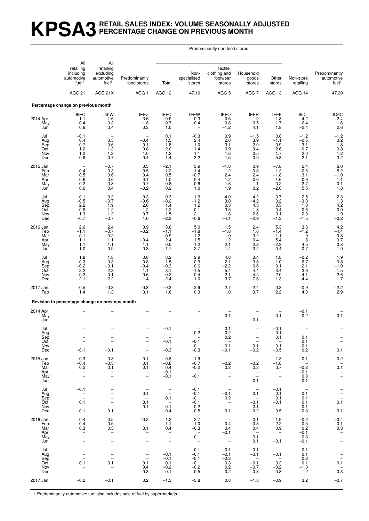### **KPSA3 RETAIL SALES INDEX: VOLUME SEASONALLY ADJUSTED PERCENTAGE CHANGE ON PREVIOUS MONTH**

#### Predominantly non-food stores

|                                             | All<br>retailing<br>including<br>automotive<br>fuel <sup>1</sup>                                         | All<br>retailing<br>excluding<br>automotive<br>fuel <sup>1</sup>                                                           | Predominantly<br>food stores                                                                                 | Total                                                                        | Non-<br>specialised<br>stores                            | Textile,<br>clothing and<br>footwear<br>stores                                                   | Household<br>goods<br>stores                                             | Other<br>stores                                                          | Non-store<br>retailing                                         | Predominantly<br>automotive<br>fuel <sup>1</sup>                  |
|---------------------------------------------|----------------------------------------------------------------------------------------------------------|----------------------------------------------------------------------------------------------------------------------------|--------------------------------------------------------------------------------------------------------------|------------------------------------------------------------------------------|----------------------------------------------------------|--------------------------------------------------------------------------------------------------|--------------------------------------------------------------------------|--------------------------------------------------------------------------|----------------------------------------------------------------|-------------------------------------------------------------------|
|                                             | AGG <sub>21</sub>                                                                                        | AGG 21X                                                                                                                    | AGG 1                                                                                                        | AGG 12                                                                       | 47.19                                                    | AGG <sub>5</sub>                                                                                 | AGG 7                                                                    | AGG 13                                                                   | AGG 14                                                         | 47.30                                                             |
|                                             | Percentage change on previous month                                                                      |                                                                                                                            |                                                                                                              |                                                                              |                                                          |                                                                                                  |                                                                          |                                                                          |                                                                |                                                                   |
| 2014 Apr<br>May<br>Jun                      | J5EC<br>1.1<br>$-0.4$<br>0.6                                                                             | <b>J45W</b><br>1.6<br>$-0.3$<br>0.4                                                                                        | <b>IEEZ</b><br>$3.6\,$<br>$-1.8$<br>0.3                                                                      | <b>IEFC</b><br>$-0.9$<br>0.7<br>1.0                                          | <b>IEEW</b><br>0.3<br>0.4<br>$\overline{\phantom{0}}$    | <b>IEFO</b><br>$-0.6$<br>0.8<br>$-1.2$                                                           | <b>IEFR</b><br>$-1.0$<br>$-0.5$<br>4.1                                   | <b>IEFF</b><br>$-1.8$<br>1.7<br>1.8                                      | J5DL<br>4.2<br>2.4<br>$-2.4$                                   | JO6C<br>$-2.4$<br>$^{-1.6}_{2.6}$                                 |
| Jul<br>Aug<br>Sep<br>Oct<br>Nov<br>Dec      | $-0.1$<br>0.4<br>$-0.7$<br>1.2<br>$1.2$<br>0.9                                                           | 0.5<br>$-0.6$<br>1.3<br>$1.2$<br>0.7                                                                                       | $-0.4$<br>0.1<br>0.8<br>1.0<br>$-0.4$                                                                        | 0.1<br>1.5<br>$-1.8$<br>2.0<br>1.3<br>1.4                                    | $-0.3$<br>2.4<br>$-1.0$<br>1.4<br>1.1<br>$-3.2$          | 0.9<br>2.0<br>-3.1<br>0.9<br>1.6<br>1.5                                                          | $-1.5$<br>3.9<br>$-2.0$<br>3.4<br>0.5<br>$-0.9$                          | 0.8<br>$-1.1$<br>$-0.9$<br>$^{2.6}_{1.7}$<br>5.8                         | $-1.2$<br>$-0.5$<br>3.1<br>$-0.7$<br>2.0<br>2.1                | $-1.2$<br>0.2<br>-1.8<br>$0.8$<br>1.2<br>3.2                      |
| 2015 Jan<br>Feb<br>Mar<br>Apr<br>May<br>Jun | $-0.4$<br>0.5<br>0.6<br>$-0.2$<br>0.6                                                                    | $-0.7$<br>0.3<br>0.6<br>0.6<br>$-0.3$<br>0.4                                                                               | 0.3<br>$-0.5$<br>0.4<br>0.1<br>0.7<br>$-0.2$                                                                 | $-2.1$<br>$1.2$<br>0.5<br>1.0<br>$-0.8$<br>0.2                               | 3.9<br>1.4<br>$-0.7$<br>0.4<br>$-0.6$<br>1.0             | $-1.8$<br>1.2<br>2.4<br>1.2<br>$-1.6$<br>1.9                                                     | 0.9<br>0.8<br>2.4<br>0.6<br>$-1.1$<br>0.2                                | $-7.8$<br>1.2<br>$-1.8$<br>1.6<br>0.2<br>$-2.0$                          | 2.4<br>$-0.6$<br>3.1<br>0.6<br>$-2.7$<br>5.5                   | 6.0<br>$-5.2$<br>$-1.0$<br>1.1<br>0.1<br>1.8                      |
| Jul<br>Aug<br>Sep<br>Oct<br>Nov<br>Dec      | $-0.1$<br>$-0.5$<br>2.2<br>$-0.9$<br>1.3<br>$-0.7$                                                       | 0.2<br>$-0.7$<br>1.9<br>$-1.2$<br>1.2<br>$-0.7$                                                                            | $-0.3$<br>$-0.6$<br>2.6<br>$-1.2$<br>0.7<br>1.0                                                              | 0.3<br>$-0.2$<br>1.4<br>$-1.2$<br>1.5<br>$-2.3$                              | 1.9<br>$-1.2$<br>1.2<br>0.1<br>2.1<br>$-0.6$             | $-4.0$<br>3.0<br>0.3<br>$-3.5$<br>1.8<br>$-4.1$                                                  | 4.2<br>$-4.2$<br>4.3<br>$-1.8$<br>2.6<br>$-2.9$                          | 0.7<br>$0.2 \\ 0.5$<br>0.4<br>$-0.1$<br>$-1.3$                           | 2.5<br>$-3.0$<br>1.8<br>$-0.6$<br>2.0<br>$-1.5$                | $-2.3$<br>1.3<br>4.2<br>0.9<br>$1.9 - 0.2$                        |
| 2016 Jan<br>Feb<br>Mar<br>Apr<br>May<br>Jun | 2.6<br>$-1.1$<br>$-0.1$<br>1.1<br>1.1<br>$-1.0$                                                          | 2.4<br>$-0.7$<br>$-0.2$<br>1.1<br>1.1<br>$-0.9$                                                                            | 0.9<br>$-0.2$<br>$-0.4$<br>1.1<br>$-0.3$                                                                     | 3.6<br>$-1.1$<br>$-0.9$<br>2.4<br>0.5<br>$-1.7$                              | 5.0<br>$-1.8$<br>$-1.2$<br>1.5<br>1.2<br>$-2.7$          | 1.5<br>$-1.8$<br>$-1.0$<br>1.2<br>2.1<br>$-1.4$                                                  | 2.4<br>1.0<br>$-3.2$<br>0.4<br>2.2<br>$-3.2$                             | 5.3<br>$-1.4$<br>1.1<br>5.4<br>$-2.3$<br>$-0.4$                          | $3.3\,$<br>$-1.2$<br>1.9<br>1.8<br>4.5<br>0.7                  | $4.2 - 4.4$<br>$0.8$<br>0.7<br>0.8<br>$-1.9$                      |
| Jul<br>Aug<br>Sep<br>Oct<br>Nov<br>Dec      | 1.8<br>0.3<br>$-0.2$<br>2.2<br>$-0.2$<br>$-2.1$                                                          | 1.8<br>0.3<br>$-0.1$<br>2.3<br>0.1<br>$-2.2$                                                                               | 0.8<br>0.8<br>$-0.4$<br>1.1<br>$-0.6$<br>$-1.4$                                                              | 3.2<br>$-1.5$<br>$-0.3$<br>3.1<br>$-0.2$<br>$-2.4$                           | 2.9<br>0.9<br>0.6<br>$-1.5$<br>0.4<br>$-1.0$             | 4.8<br>$-2.1$<br>$-2.2$<br>5.4<br>$-2.1$<br>$-3.7$                                               | 3.4<br>$-3.8$<br>0.6<br>4.4<br>4.4<br>$-7.6$                             | 1.8<br>$-1.0$<br>0.1<br>3.4<br>$-2.0$<br>1.3                             | $-0.2$<br>6.7<br>2.1<br>3.6<br>4.1<br>$-4.4$                   | 1.9<br>0.8<br>$-1.0$<br>1.5<br>$-2.6$<br>$-1.7$                   |
| 2017 Jan<br>Feb                             | $-0.5$<br>1.4                                                                                            | $-0.3$<br>1.3                                                                                                              | $-0.3$<br>0.1                                                                                                | $-0.3$<br>1.8                                                                | $-2.9$<br>0.3                                            | 2.7<br>1.0                                                                                       | $-2.4$<br>3.7                                                            | 0.3<br>2.2                                                               | $-0.9$<br>4.0                                                  | $^{-2.2}_{2.9}$                                                   |
|                                             | Revision to percentage change on previous month                                                          |                                                                                                                            |                                                                                                              |                                                                              |                                                          |                                                                                                  |                                                                          |                                                                          |                                                                |                                                                   |
| 2014 Apr<br>May<br>Jun                      | $\overline{a}$                                                                                           | $\overline{\phantom{a}}$                                                                                                   | $\qquad \qquad -$                                                                                            | $\overline{\phantom{0}}$<br>$\qquad \qquad -$                                |                                                          | 0.1                                                                                              | $\qquad \qquad -$<br>0.1                                                 | $-0.1$                                                                   | $-0.1$<br>0.2                                                  | 0.1                                                               |
| Jul<br>Aug<br>Sep<br>Oct<br>Nov<br>Dec      | $\bar{\mathbb{I}}$<br>$-0.1$                                                                             | $\bar{a}$<br>$-0.1$                                                                                                        | $\overline{\phantom{0}}$<br>$\overline{\phantom{0}}$<br>$\overline{\phantom{a}}$<br>$\overline{\phantom{a}}$ | $-0.1$<br>$-0.1$<br>$\sim$<br>$-0.3$                                         | $-0.2$<br>$-0.1$<br>$-0.1$<br>$-0.3$                     | 0.1<br>$-0.2$<br>0.2<br>$\sim$<br>0.1<br>$-0.1$                                                  | $\overline{\phantom{0}}$<br>$\qquad \qquad -$<br>$\sim$<br>0.1<br>$-0.2$ | $-0.1$<br>0.1<br>0.1<br>$\sim$ $-$<br>0.1<br>$-0.5$                      | 0.1<br>0.1<br>$-0.1$<br>0.2                                    | $\frac{1}{2}$<br>0.1                                              |
| 2015 Jan<br>Feb<br>Mar<br>Apr<br>May<br>Jun | 0.3<br>$-0.4$<br>0.2<br>$\overline{\phantom{0}}$<br>$\overline{\phantom{a}}$<br>$\overline{\phantom{a}}$ | 0.3<br>$-0.3$<br>0.1<br>$\overline{\phantom{a}}$<br>$\overline{\phantom{0}}$<br>$\overline{\phantom{0}}$                   | $-0.1$<br>0.1<br>0.1<br>$\overline{\phantom{a}}$<br>$\overline{\phantom{a}}$<br>$\qquad \qquad -$            | 0.8<br>$-0.8$<br>0.4<br>$-0.1$<br>$-0.1$<br>$\hspace{0.1mm}-\hspace{0.1mm}$  | 1.9<br>$-0.7$<br>$-0.2$<br>$\sim$<br>$-0.1$              | $\overline{a}$<br>$-0.2$<br>0.3<br>$\frac{1}{2}$                                                 | $\sim$ $-$<br>$-0.2$<br>0.3<br>$\overline{\phantom{a}}$<br>0.1           | 1.3<br>$-1.8$<br>0.7<br>$\hspace{0.1mm}-\hspace{0.1mm}$<br>$\frac{1}{2}$ | $-0.1$<br>$\sim$<br>$-0.2$<br>$-0.1$<br>0.3<br>$-0.1$          | $-0.2$<br>$0.\overline{1}$<br>$\frac{1}{2}$                       |
| Jul<br>Aug<br>Sep<br>Oct<br>Nov<br>Dec      | $-0.1$<br>$\overline{\phantom{a}}$<br>0.1<br>$\sim$<br>$-0.1$                                            | $\qquad \qquad -$<br>$\frac{1}{2}$<br>$-0.1$                                                                               | $\hspace{0.1mm}-\hspace{0.1mm}$<br>0.1<br>$\overline{\phantom{0}}$<br>0.1<br>$-0.1$<br>$\hspace{0.1cm} -$    | $\overline{\phantom{a}}$<br>0.1<br>$\overline{\phantom{0}}$<br>0.1<br>$-0.4$ | $-0.1$<br>$-0.1$<br>$-0.1$<br>$-0.1$<br>$-0.2$<br>$-0.5$ | $\hspace{0.1cm} -$<br>$-0.1$<br>0.2<br>$\overline{\phantom{a}}$<br>$-0.1$                        | $-$<br>0.1<br>$\sim$ $-$<br>$-0.1$<br>0.1<br>$-0.2$                      | $-0.1$<br>0.1<br>0.1<br>$-0.1$<br>$\sim$<br>$-0.5$                       | $\overline{\phantom{a}}$<br>0.1<br>0.1<br>0.1<br>$-0.1$<br>0.3 | $\frac{1}{2}$<br>0.1<br>$0.\overline{1}$                          |
| 2016 Jan<br>Feb<br>Mar<br>Apr<br>May<br>Jun | 0.4<br>$-0.4$<br>0.3<br>$\overline{\phantom{a}}$<br>$\overline{\phantom{0}}$<br>$\overline{\phantom{a}}$ | 0.5<br>$-0.5$<br>0.3<br>$\frac{1}{\sqrt{2}}$<br>$\overline{\phantom{a}}$                                                   | $-0.2$<br>$-$<br>0.1<br>$\bar{a}$<br>$\overline{\phantom{a}}$                                                | 1.2<br>$-1.1$<br>0.4<br>$\bar{\mathbb{I}}$<br>$\overline{\phantom{a}}$       | 2.7<br>$-1.0$<br>$-0.3$<br>$\sim$<br>$-0.1$<br>$\sim$    | $\sim$<br>$-0.4$<br>0.4<br>$-0.1$<br>$\hspace{0.1mm}-\hspace{0.1mm}$<br>$\overline{\phantom{a}}$ | 0.1<br>$-0.3$<br>0.4<br>$\overline{\phantom{0}}$<br>$-0.1$<br>0.1        | 1.9<br>$-2.2$<br>0.9<br>$\frac{1}{2}$<br>$-0.1$                          | $-0.2$<br>$-0.5$<br>0.2<br>$-0.1$<br>0.3<br>$-0.1$             | $-0.4$<br>$-0.1$<br>0.3<br>$\bar{a}$<br>$\overline{\phantom{a}}$  |
| Jul<br>Aug<br>Sep<br>Oct<br>Nov<br>Dec      | $\overline{\phantom{0}}$<br>$\overline{\phantom{a}}$<br>$\overline{\phantom{0}}$<br>0.1                  | $\qquad \qquad -$<br>$\qquad \qquad -$<br>$\overline{\phantom{a}}$<br>0.1<br>$\qquad \qquad -$<br>$\overline{\phantom{0}}$ | $\overline{\phantom{a}}$<br>$\bar{\mathbb{I}}$<br>0.1<br>0.4<br>$-0.3$                                       | $\sim$<br>$-0.1$<br>$-0.1$<br>0.1<br>$-0.2$<br>0.1                           | $-0.1$<br>$-0.1$<br>$-0.1$<br>$-0.1$<br>$-0.2$<br>$-0.5$ | $-0.1$<br>$-0.1$<br>$-0.3$<br>0.3<br>0.2<br>$-0.2$                                               | 0.1<br>$-0.1$<br>$\sim$<br>$-0.1$<br>$-0.7$<br>0.3                       | $-$<br>$-0.1$<br>$\sim$ $-$<br>0.2<br>$-0.2$<br>0.8                      | $-0.1$<br>0.1<br>0.2<br>0.1<br>$-1.0$<br>1.2                   | $\overline{\phantom{a}}$<br>$\bar{z}$<br>0.1<br>$-0.\overline{3}$ |
| 2017 Jan                                    | $-0.2$                                                                                                   | $-0.1$                                                                                                                     | 0.2                                                                                                          | $-1.3$                                                                       | $-3.8$                                                   | 0.8                                                                                              | $-1.8$                                                                   | $-0.9$                                                                   | 3.2                                                            | $-0.7$                                                            |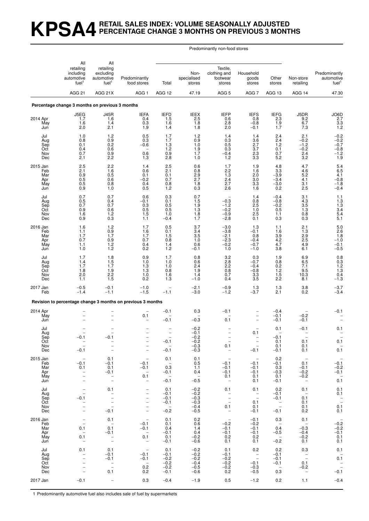### **KPSA4 RETAIL SALES INDEX: VOLUME SEASONALLY ADJUSTED PERCENTAGE CHANGE 3 MONTHS ON PREVIOUS 3 MONTHS**

#### Predominantly non-food stores

|                                             | All                                                                                            | All                                                                         |                                                                                                                                      |                                                        |                                                                |                                                                                                  |                                                                       |                                                                          |                                                                                                  |                                                                                        |
|---------------------------------------------|------------------------------------------------------------------------------------------------|-----------------------------------------------------------------------------|--------------------------------------------------------------------------------------------------------------------------------------|--------------------------------------------------------|----------------------------------------------------------------|--------------------------------------------------------------------------------------------------|-----------------------------------------------------------------------|--------------------------------------------------------------------------|--------------------------------------------------------------------------------------------------|----------------------------------------------------------------------------------------|
|                                             | retailing<br>including<br>automotive<br>fuel <sup>1</sup>                                      | retailing<br>excluding<br>automotive<br>fuel <sup>1</sup>                   | Predominantly<br>food stores                                                                                                         | Total                                                  | Non-<br>specialised<br>stores                                  | Textile,<br>clothing and<br>footwear<br>stores                                                   | Household<br>goods<br>stores                                          | Other<br>stores                                                          | Non-store<br>retailing                                                                           | Predominantly<br>automotive<br>fuel <sup>1</sup>                                       |
|                                             | AGG <sub>21</sub>                                                                              | AGG 21X                                                                     | AGG 1                                                                                                                                | AGG 12                                                 | 47.19                                                          | AGG <sub>5</sub>                                                                                 | AGG 7                                                                 | AGG 13                                                                   | AGG 14                                                                                           | 47.30                                                                                  |
|                                             | Percentage change 3 months on previous 3 months                                                |                                                                             |                                                                                                                                      |                                                        |                                                                |                                                                                                  |                                                                       |                                                                          |                                                                                                  |                                                                                        |
| 2014 Apr<br>May<br>Jun                      | J5EG<br>1.7<br>1.6<br>2.0                                                                      | <b>J45R</b><br>1.6<br>1.4<br>2.1                                            | <b>IEFA</b><br>0.4<br>0.3<br>1.9                                                                                                     | <b>IEFD</b><br>1.5<br>1.6<br>1.4                       | <b>IEEX</b><br>$\overline{2.5}$<br>1.8<br>1.8                  | <b>IEFP</b><br>0.6<br>2.8<br>2.0                                                                 | <b>IEFS</b><br>0.8<br>$-0.8$<br>$-0.1$                                | <b>IEFG</b><br>2.3<br>1.9<br>1.7                                         | J5DR<br>9.2<br>6.7<br>7.3                                                                        | JO6D<br>2.7<br>$\frac{3.3}{1.2}$                                                       |
| Jul<br>Aug<br>Sep<br>Oct<br>Nov<br>Dec      | 1.0<br>0.8<br>0.1<br>0.4<br>0.7<br>2.1                                                         | 1.2<br>0.9<br>0.2<br>0.6<br>0.9<br>2.2                                      | 0.5<br>0.3<br>$-0.6$<br>0.6<br>1.3                                                                                                   | 1.7<br>1.7<br>1.3<br>1.2<br>0.9<br>2.8                 | 1.2<br>0.9<br>1.0<br>1.9<br>1.7<br>1.0                         | 1.4<br>0.3<br>0.5<br>0.3<br>$-0.4$<br>1.2                                                        | 1.4<br>3.6<br>2.7<br>3.7<br>2.3<br>3.3                                | $^{2.4}_{2.4}$<br>1.2<br>0.1<br>0.7<br>5.2                               | 2.1<br>$-0.2$<br>$-1.2$<br>$-0.2$<br>2.4<br>3.2                                                  | $-0.2$<br>$-0.2$<br>$-0.7$<br>$-0.8$<br>$-1.2$<br>1.9                                  |
| 2015 Jan<br>Feb<br>Mar<br>Apr<br>May<br>Jun | 2.5<br>2.1<br>0.9<br>0.5<br>0.5<br>0.9                                                         | 2.2<br>1.6<br>0.5<br>0.6<br>0.8<br>1.0                                      | 1.4<br>0.6<br>0.1<br>$-0.2$<br>0.4<br>0.5                                                                                            | 2.5<br>2.1<br>0.1<br>0.7<br>0.8<br>1.2                 | 0.6<br>0.8<br>$\frac{2.9}{2.7}$<br>1.8<br>0.3                  | 1.7<br>2.2<br>1.3<br>2.4<br>2.7<br>2.6                                                           | 1.9<br>1.6<br>2.0<br>3.0<br>3.3<br>1.6                                | 4.8<br>3.3<br>$-3.9$<br>$-3.4$<br>$-3.0$<br>0.2                          | 4.7<br>4.6<br>5.2<br>4.1<br>3.1<br>2.5                                                           | $5.4$<br>$6.5$<br>$\frac{4.1}{-0.8}$<br>$-1.8$<br>$-0.4$                               |
| Jul<br>Aug<br>Sep<br>Oct<br>Nov<br>Dec      | 0.7<br>0.5<br>0.7<br>0.9<br>1.6<br>0.9                                                         | 0.7<br>0.4<br>0.7<br>0.6<br>1.2<br>0.3                                      | 0.6<br>$-0.1$<br>0.3<br>0.5<br>1.5<br>1.1                                                                                            | 0.3<br>0.1<br>0.5<br>0.5<br>1.0<br>$-0.4$              | 0.7<br>1.5<br>1.9<br>1.3<br>1.8<br>1.7                         | $\overline{\phantom{0}}$<br>$-0.3$<br>$-1.2$<br>$-0.2$<br>$-0.9$<br>$-2.8$                       | 1.4<br>0.8<br>2.5<br>1.0<br>2.5<br>0.1                                | $-0.4$<br>$-0.8$<br>$-0.2$<br>0.5<br>1.1<br>0.3                          | 3.1<br>4.3<br>3.5<br>1.3<br>0.8<br>0.3                                                           | 1.1<br>$\begin{array}{c} 1.3 \\ 1.3 \\ 3.4 \end{array}$<br>5.4<br>5.1                  |
| 2016 Jan<br>Feb<br>Mar<br>Apr<br>May<br>Jun | 1.6<br>1.1<br>1.7<br>0.7<br>1.1<br>1.0                                                         | 1.2<br>0.9<br>1.7<br>0.9<br>1.2<br>1.2                                      | 1.7<br>1.6<br>1.7<br>0.7<br>0.4<br>0.2                                                                                               | 0.5<br>0.1<br>1.5<br>0.8<br>1.4<br>1.2                 | 3.7<br>3.4<br>$3.5\,$<br>1.0<br>0.6<br>$-0.1$                  | $-3.0$<br>$-3.8$<br>$-2.1$<br>$-2.3$<br>$-0.2$<br>1.0                                            | 1.3<br>$-0.1$<br>0.8<br>$-0.4$<br>$-0.7$<br>$-1.0$                    | 1.1<br>1.6<br>3.9<br>$^{4.2}_{4.7}$<br>3.8                               | 2.1<br>1.3<br>2.9<br>2.5<br>4.9<br>6.1                                                           | $\frac{5.0}{2.6}$<br>$\overline{1.8}$<br>$-1.0$<br>$-0.1$<br>$-0.5$                    |
| Jul<br>Aug<br>Sep<br>Oct<br>Nov<br>Dec      | 1.7<br>1.4<br>1.7<br>1.8<br>2.0<br>1.1                                                         | 1.8<br>1.5<br>1.7<br>1.9<br>2.2<br>1.5                                      | 0.9<br>1.0<br>1.3<br>1.3<br>1.0<br>0.2                                                                                               | 1.7<br>1.0<br>1.0<br>0.8<br>1.6<br>1.3                 | 0.8<br>0.6<br>2.4<br>1.9<br>1.4<br>$-1.0$                      | 3.2<br>2.8<br>2.2<br>0.8<br>0.7<br>0.4                                                           | 0.3<br>$-0.7$<br>$-0.4$<br>$-0.8$<br>3.3<br>3.5                       | 1.9<br>0.8<br>$^{0.2}_{1.2}$<br>$1.\overline{5}$<br>2.2                  | 6.9<br>6.5<br>7.1<br>9.5<br>10.3<br>8.1                                                          | $0.8$<br>$0.3$<br>$1.2$<br>$1.3$<br>$0.4$<br>$-1.3$                                    |
| 2017 Jan<br>Feb                             | $-0.5$<br>$-1.4$                                                                               | $-0.1$<br>$-1.1$                                                            | $-1.0$<br>$-1.5$                                                                                                                     | $-1.1$                                                 | $-2.1$<br>$-3.0$                                               | $-0.9$<br>$-1.2$                                                                                 | 1.3<br>$-3.7$                                                         | 1.3<br>2.1                                                               | 3.8<br>0.2                                                                                       | $-3.7$<br>$-3.4$                                                                       |
|                                             |                                                                                                |                                                                             | Revision to percentage change 3 months on previous 3 months                                                                          |                                                        |                                                                |                                                                                                  |                                                                       |                                                                          |                                                                                                  |                                                                                        |
| 2014 Apr<br>May<br>Jun                      |                                                                                                |                                                                             | 0.1                                                                                                                                  | $-0.1$<br>$\overline{\phantom{0}}$<br>$-0.1$           | 0.3<br>$-0.3$                                                  | $-0.1$<br>0.1                                                                                    | $\overline{\phantom{0}}$                                              | $-0.4$<br>$-0.1$<br>$-0.1$                                               | $-0.2$<br>$-0.1$                                                                                 | $-0.1$                                                                                 |
| Jul<br>Aug<br>Sep<br>Oct<br>Nov<br>Dec      | $-0.1$<br>÷,<br>$\qquad \qquad -$<br>$-0.1$                                                    | $-0.1$<br>$\overline{\phantom{0}}$<br>$\overline{\phantom{a}}$              | $\overline{a}$<br>$\overline{\phantom{0}}$<br>$\overline{\phantom{0}}$<br>$\overline{a}$                                             | $\overline{\phantom{0}}$<br>$-0.1$<br>$\sim$<br>$-0.1$ | $-0.2$<br>$-0.1$<br>$-0.2$<br>$-0.2$<br>$-0.3$<br>$-0.3$       | $\overline{\phantom{0}}$<br>0.1<br>$\hspace{0.1mm}-\hspace{0.1mm}$                               | 0.1<br>$\overline{\phantom{a}}$<br>$\overline{\phantom{a}}$<br>$-0.1$ | 0.1<br>$-0.1$<br>0.1<br>0.1<br>$-0.1$                                    | $-0.1$<br>0.1<br>0.1<br>0.1                                                                      | 0.1<br>0.1<br>$\overline{0.1}$                                                         |
| 2015 Jan<br>Feb<br>Mar<br>Apr<br>May<br>Jun | $\overline{\phantom{a}}$<br>$-0.1$<br>0.1<br>$\qquad \qquad -$<br>$\overline{\phantom{0}}$     | 0.1<br>$-0.1$<br>0.1<br>$-0.1$<br>$\bar{z}$                                 | $\overline{\phantom{a}}$<br>$-0.1$<br>$-0.1$<br>$\overline{\phantom{a}}$<br>0.1<br>$\overline{\phantom{a}}$                          | 0.1<br>$\sim$<br>0.3<br>$-0.1$<br>$\sim$<br>$-0.1$     | 0.1<br>0.5<br>1.1<br>0.4<br>$\overline{\phantom{a}}$<br>$-0.5$ | $\overline{\phantom{a}}$<br>$-0.1$<br>$-0.1$<br>$-0.1$<br>0.1<br>$\hspace{0.1mm}-\hspace{0.1mm}$ | $\overline{\phantom{0}}$<br>$-0.1$<br>$-0.1$<br>$-0.1$<br>0.1<br>0.1  | 0.2<br>$-0.1$<br>0.3<br>$-0.3$<br>0.1<br>$-0.1$                          | $\hspace{0.1mm}-\hspace{0.1mm}$<br>0.1<br>$-0.1$<br>$-0.2$<br>$-0.2$<br>$\overline{\phantom{a}}$ | $-0.\overline{1}$<br>$-0.2$<br>$-0.1$<br>$0.\overline{1}$                              |
| Jul<br>Aug<br>Sep<br>Oct<br>Nov<br>Dec      | $\bar{a}$<br>$-0.1$<br>$\overline{\phantom{0}}$<br>$\overline{\phantom{0}}$<br>$\equiv$        | 0.1<br>$\bar{a}$<br>$\bar{a}$<br>$-0.1$                                     | $\overline{\phantom{0}}$<br>$\qquad \qquad -$<br>$\qquad \qquad -$<br>$\overline{\phantom{0}}$<br>$\qquad \qquad -$<br>$\frac{1}{2}$ | 0.1<br>$-0.1$<br>$-0.1$<br>$-0.1$<br>$\sim$<br>$-0.2$  | $-0.2$<br>$-0.2$<br>$-0.3$<br>$-0.3$<br>$-0.4$<br>$-0.5$       | 0.1<br>$\frac{1}{2}$<br>0.1<br>$\overline{\phantom{m}}$                                          | 0.1<br>$\overline{\phantom{a}}$<br>0.1<br>0.1<br>$-0.1$               | 0.2<br>$-0.1$<br>$-0.1$<br>$\frac{1}{2}$<br>$-0.1$                       | 0.1<br>$\sim$<br>0.1<br>0.1<br>0.1<br>0.2                                                        | 0.1<br>0.1<br>$\frac{-}{0.1}$<br>0.1                                                   |
| 2016 Jan<br>Feb<br>Mar<br>Apr<br>May<br>Jun | $\bar{a}$<br>0.1<br>$\overline{\phantom{a}}$<br>0.1<br>$\overline{\phantom{a}}$                | 0.1<br>$\sim$<br>0.1<br>$-0.1$<br>$\overline{\phantom{a}}$<br>$\frac{1}{2}$ | $\hspace{0.1mm}-\hspace{0.1mm}$<br>$-0.1$<br>$-0.1$<br>$\overline{\phantom{a}}$<br>0.1<br>$\hspace{0.1mm}-\hspace{0.1mm}$            | 0.1<br>0.1<br>0.4<br>$-0.1$<br>0.1<br>$-0.1$           | 0.2<br>0.6<br>1.4<br>0.4<br>$-0.2$<br>$-0.6$                   | $\hspace{0.1mm}-\hspace{0.1mm}$<br>$-0.2$<br>$-0.1$<br>$-0.1$<br>0.2<br>0.1                      | $-0.1$<br>$-0.2$<br>$-0.1$<br>$-0.1$<br>0.2<br>0.1                    | 0.3<br>$\sim$ $-$<br>0.4<br>$-0.5$<br>$\overline{\phantom{0}}$<br>$-0.2$ | 0.1<br>$\sim$<br>$-0.3$<br>$-0.4$<br>$-0.2$<br>0.1                                               | $\hspace{0.1mm}-\hspace{0.1mm}$<br>$-0.2$<br>$\substack{ -0.2 \\ -0.1 }$<br>0.1<br>0.1 |
| Jul<br>Aug<br>Sep<br>Oct<br>Nov<br>Dec      | 0.1<br>$\qquad \qquad -$<br>$\qquad \qquad -$<br>$\qquad \qquad -$<br>$\overline{\phantom{0}}$ | 0.1<br>$-0.1$<br>$-0.1$<br>$\overline{\phantom{a}}$<br>$\bar{a}$<br>0.1     | $\hspace{0.1mm}-\hspace{0.1mm}$<br>$-0.1$<br>$-0.1$<br>$\overline{\phantom{0}}$<br>0.2<br>0.2                                        | 0.1<br>$-0.1$<br>$-0.2$<br>$-0.2$<br>$-0.2$<br>$-0.1$  | $-0.2$<br>$-0.2$<br>$-0.2$<br>$-0.4$<br>$-0.5$<br>$-0.6$       | 0.1<br>$-0.1$<br>$-0.2$<br>$-0.2$<br>$-0.2$<br>0.2                                               | 0.2<br>$\overline{\phantom{a}}$<br>$-0.1$<br>$-0.3$<br>$-0.5$         | 0.2<br>$-0.1$<br>$-0.1$<br>$-0.1$<br>$\overline{a}$<br>0.3               | 0.3<br>$\equiv$<br>$\overline{\phantom{a}}$<br>0.1<br>$-0.2$<br>$\hspace{0.1mm}-\hspace{0.1mm}$  | 0.1<br>$0.\overline{1}$<br>$\overline{\mathbb{Z}}$<br>$-0.1$                           |
| 2017 Jan                                    | $-0.1$                                                                                         | $\qquad \qquad -$                                                           | 0.3                                                                                                                                  | $-0.4$                                                 | $-1.9$                                                         | 0.5                                                                                              | $-1.2$                                                                | 0.2                                                                      | 1.1                                                                                              | $-0.4$                                                                                 |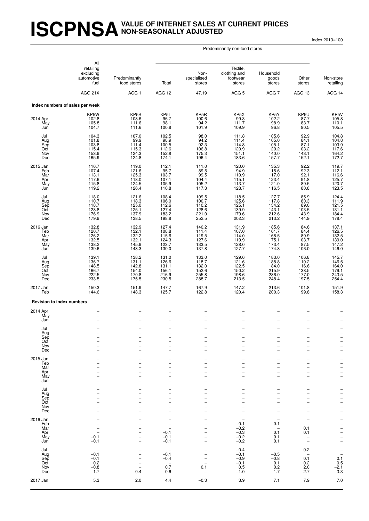### **ISCPNSAVALUE OF INTERNET SALES AT CURRENT PRICES NON-SEASONALLY ADJUSTED**

Index 2013=100

|                                             | All                                                |                                                    |                                                        |                                                    |                                                       |                                                                |                                                                                                |                                                                                          |
|---------------------------------------------|----------------------------------------------------|----------------------------------------------------|--------------------------------------------------------|----------------------------------------------------|-------------------------------------------------------|----------------------------------------------------------------|------------------------------------------------------------------------------------------------|------------------------------------------------------------------------------------------|
|                                             | retailing<br>excluding<br>automotive<br>fuel       | Predominantly<br>food stores                       | Total                                                  | Non-<br>specialised<br>stores                      | Textile,<br>clothing and<br>footwear<br>stores        | Household<br>goods<br>stores                                   | Other<br>stores                                                                                | Non-store<br>retailing                                                                   |
|                                             | AGG 21X                                            | AGG <sub>1</sub>                                   | AGG 12                                                 | 47.19                                              | AGG <sub>5</sub>                                      | AGG 7                                                          | AGG 13                                                                                         | AGG 14                                                                                   |
|                                             | Index numbers of sales per week                    |                                                    |                                                        |                                                    |                                                       |                                                                |                                                                                                |                                                                                          |
| 2014 Apr<br>May<br>Jun                      | KP5W<br>102.8<br>105.8<br>104.7                    | KP5S<br>108.6<br>111.6<br>111.6                    | KP5T<br>96.7<br>98.1<br>100.8                          | KP <sub>5</sub> R<br>100.6<br>94.2<br>101.9        | KP <sub>5</sub> X<br>99.3<br>111.7<br>109.9           | KP5Y<br>102.2<br>98.9<br>96.8                                  | KP5U<br>87.7<br>83.7<br>90.5                                                                   | KP5V<br>105.8<br>110.1<br>105.5                                                          |
| Jul<br>Aug<br>Sep<br>Oct<br>Nov<br>Dec      | 104.3<br>101.8<br>103.8<br>115.4<br>153.9<br>165.9 | 107.0<br>99.9<br>111.4<br>115.3<br>124.3<br>124.8  | 102.5<br>98.9<br>100.5<br>112.6<br>152.8<br>174.1      | 98.0<br>94.2<br>92.3<br>106.8<br>175.3<br>196.4    | 111.8<br>111.4<br>114.8<br>120.9<br>151.1<br>183.6    | 105.6<br>105.0<br>105.1<br>120.2<br>140.0<br>157.7             | 92.9<br>84.1<br>87.1<br>103.2<br>143.1<br>152.1                                                | 104.8<br>104.8<br>103.9<br>117.6<br>164.2<br>172.7                                       |
| 2015 Jan<br>Feb<br>Mar<br>Apr<br>May<br>Jun | 116.7<br>107.4<br>113.1<br>117.6<br>115.8<br>119.2 | 119.0<br>121.6<br>125.3<br>118.0<br>124.5<br>126.4 | 112.1<br>95.7<br>103.7<br>107.1<br>105.9<br>110.8      | 111.0<br>89.5<br>$99.5$<br>104.4<br>105.2<br>117.3 | 120.0<br>94.9<br>110.9<br>115.1<br>113.7<br>128.7     | 135.3<br>115.6<br>117.0<br>123.4<br>121.0<br>116.5             | 92.2<br>92.3<br>92.1<br>91.8<br>89.5<br>80.8                                                   | 119.7<br>112.1<br>116.6<br>125.7<br>120.7<br>123.5                                       |
| Jul<br>Aug<br>Sep<br>Oct<br>Nov<br>Dec      | 118.0<br>110.7<br>118.7<br>128.8<br>176.9<br>179.9 | 121.6<br>118.3<br>125.0<br>125.1<br>137.9<br>138.5 | 108.4<br>106.0<br>112.6<br>127.4<br>183.2<br>198.8     | 109.5<br>100.7<br>110.2<br>128.6<br>221.0<br>252.5 | 118.5<br>125.6<br>125.1<br>139.9<br>179.6<br>202.3    | 127.7<br>117.8<br>134.2<br>143.1<br>212.6<br>213.2             | 85.9<br>$80.3$<br>$89.0$<br>103.5<br>143.9<br>144.9                                            | 124.4<br>111.9<br>121.5<br>131.1<br>184.4<br>178.4                                       |
| 2016 Jan<br>Feb<br>Mar<br>Apr<br>May<br>Jun | 132.8<br>120.7<br>126.2<br>132.5<br>138.2<br>139.6 | 132.9<br>132.1<br>132.2<br>132.1<br>145.9<br>143.3 | 127.4<br>108.8<br>115.6<br>124.3<br>123.7<br>130.0     | 140.2<br>111.4<br>119.5<br>127.6<br>133.5<br>137.8 | 131.9<br>107.0<br>114.0<br>119.9<br>128.0<br>127.7    | 185.6<br>161.7<br>168.5<br>175.1<br>173.4<br>174.8             | 84.6<br>84.4<br>89.9<br>$\substack{103.7 \\ 87.5}$<br>106.0                                    | 137.1<br>126.5<br>132.5<br>139.0<br>147.2<br>146.0                                       |
| Jul<br>Aug<br>Sep<br>Oct<br>Nov<br>Dec      | 139.1<br>136.7<br>148.5<br>166.7<br>222.5<br>233.5 | 138.2<br>131.1<br>142.8<br>154.0<br>170.8<br>175.5 | 131.0<br>126.6<br>131.1<br>156.1<br>216.9<br>230.5     | 133.0<br>118.7<br>132.0<br>152.6<br>255.8<br>288.7 | 129.6<br>121.6<br>122.5<br>150.2<br>198.6<br>213.5    | 183.0<br>188.8<br>184.0<br>215.9<br>286.0<br>248.4             | 106.8<br>110.2<br>116.6<br>138.5<br>177.0<br>197.5                                             | 145.7<br>146.5<br>164.0<br>179.1<br>243.5<br>254.4                                       |
| 2017 Jan<br>Feb                             | 150.3<br>144.6                                     | 151.9<br>148.3                                     | 147.7<br>125.7                                         | 167.9<br>122.8                                     | 147.2<br>120.4                                        | 213.6<br>200.3                                                 | 101.8<br>99.8                                                                                  | 151.9<br>158.3                                                                           |
| <b>Revision to index numbers</b>            |                                                    |                                                    |                                                        |                                                    |                                                       |                                                                |                                                                                                |                                                                                          |
| 2014 Apr<br>May<br>Jun                      | $\overline{\phantom{0}}$<br>$\qquad \qquad -$      | $\qquad \qquad -$                                  | $\overline{\phantom{0}}$<br>$\overline{\phantom{m}}$   | $\overline{\phantom{m}}$                           |                                                       | -<br>$\overline{\phantom{0}}$<br>$\overline{\phantom{0}}$      | $\qquad \qquad -$<br>$\overline{\phantom{0}}$                                                  |                                                                                          |
| Jul<br>Aug<br>Sep<br>Oct<br>Nov<br>Dec      | $\overline{a}$                                     | $\overline{\phantom{0}}$                           | $\overline{\phantom{a}}$                               | $\overline{\phantom{a}}$                           | $\qquad \qquad -$                                     | $\overline{\phantom{0}}$<br>$\overline{\phantom{0}}$<br>-<br>- | $\qquad \qquad -$                                                                              | $\overline{a}$<br>$\overline{\phantom{0}}$<br>$\overline{a}$<br>$\overline{\phantom{0}}$ |
| 2015 Jan<br>Feb<br>Mar<br>Apr<br>May<br>Jun |                                                    |                                                    |                                                        |                                                    |                                                       | $\overline{\phantom{0}}$                                       |                                                                                                | $\overline{a}$<br>-<br>i,<br>-<br>$\overline{\phantom{0}}$                               |
| Jul<br>Aug<br>Sep<br>Oct<br>Nov<br>Dec      |                                                    |                                                    |                                                        |                                                    |                                                       |                                                                |                                                                                                | <sup>-</sup><br>$\overline{\phantom{a}}$<br>$\frac{1}{1}$                                |
| 2016 Jan<br>Feb<br>Mar<br>Apr<br>May<br>Jun | $-0.1$<br>$-0.1$                                   |                                                    | $\overline{\phantom{0}}$<br>$-0.1$<br>$-0.1$<br>$-0.1$ |                                                    | $-0.1$<br>$-0.2$<br>$-0.3$<br>$-0.2$<br>$-0.2$        | 0.1<br>0.1<br>0.1<br>0.1                                       | $\overline{\phantom{0}}$<br>0.1<br>0.1<br>$\overline{\phantom{0}}$<br>$\overline{\phantom{0}}$ | -<br>$\overline{\phantom{0}}$<br>-<br>$\frac{1}{1}$<br>$\overline{\phantom{0}}$          |
| Jul<br>Aug<br>Sep<br>Oct<br>Nov<br>Dec      | $-0.1$<br>$-0.1$<br>0.2<br>$-0.8$<br>1.7           | $\overline{a}$<br>$-0.4$                           | $-0.1$<br>$-0.4$<br>0.7<br>0.6                         | 0.1                                                | $-0.4$<br>$-0.1$<br>$-0.9$<br>$-0.1$<br>0.5<br>$-1.0$ | $-0.5$<br>$-0.8$<br>0.1<br>0.2<br>1.7                          | 0.2<br>$\qquad \qquad -$<br>0.1<br>0.2<br>2.0<br>2.7                                           | $\bar{a}$<br>0.1<br>0.5<br>$-2.1$<br>$\overline{3.3}$                                    |
| 2017 Jan                                    | 5.3                                                | 2.0                                                | 4.4                                                    | $-0.3$                                             | 3.9                                                   | 7.1                                                            | 7.9                                                                                            | 7.0                                                                                      |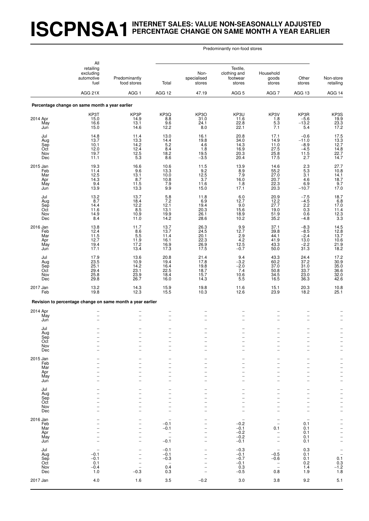# **ISCPNSA1INTERNET SALES: VALUE NON-SEASONALLY ADJUSTED PERCENTAGE CHANGE ON SAME MONTH A YEAR EARLIER**

|                                             | All<br>retailing<br>excluding<br>automotive<br>fuel        | Predominantly<br>food stores                         | Total                                                                | Non-<br>specialised<br>stores                | Textile,<br>clothing and<br>footwear<br>stores        | Household<br>goods<br>stores                                                                                | Other<br>stores                                         | Non-store<br>retailing                                                                     |
|---------------------------------------------|------------------------------------------------------------|------------------------------------------------------|----------------------------------------------------------------------|----------------------------------------------|-------------------------------------------------------|-------------------------------------------------------------------------------------------------------------|---------------------------------------------------------|--------------------------------------------------------------------------------------------|
|                                             | AGG 21X                                                    | AGG <sub>1</sub>                                     | AGG 12                                                               | 47.19                                        | AGG <sub>5</sub>                                      | AGG 7                                                                                                       | AGG 13                                                  | AGG 14                                                                                     |
|                                             | Percentage change on same month a year earlier             |                                                      |                                                                      |                                              |                                                       |                                                                                                             |                                                         |                                                                                            |
| 2014 Apr<br>May<br>Jun                      | KP3T<br>15.0<br>16.6<br>15.0                               | KP3P<br>14.9<br>13.1<br>14.6                         | KP3Q<br>8.8<br>9.6<br>12.2                                           | KP3O<br>31.0<br>24.1<br>8.0                  | KP3U<br>11.6<br>22.8<br>22.1                          | KP3V<br>1.8<br>5.3<br>7.1                                                                                   | KP3R<br>$-5.6$<br>$-13.2$<br>5.4                        | KP3S<br>19.9<br>23.3<br>17.2                                                               |
| Jul<br>Aug<br>Sep<br>Oct<br>Nov<br>Dec      | 14.8<br>13.7<br>10.1<br>12.0<br>19.7<br>11.1               | 11.4<br>13.3<br>14.2<br>12.4<br>12.5<br>5.3          | 13.0<br>14.4<br>5.2<br>8.4<br>18.2<br>8.6                            | 16.1<br>19.8<br>4.6<br>1.8<br>19.5<br>$-3.5$ | 20.8<br>34.0<br>14.3<br>16.9<br>20.3<br>20.4          | 17.1<br>14.9<br>11.0<br>27.5<br>25.8<br>17.5                                                                | $-0.6$<br>$-11.0$<br>$-8.9$<br>$-4.5$<br>11.5<br>2.7    | 17.5<br>13.3<br>12.7<br>$\frac{14.8}{22.7}$<br>14.7                                        |
| 2015 Jan<br>Feb<br>Mar<br>Apr<br>May<br>Jun | 19.3<br>11.4<br>12.5<br>14.3<br>9.4<br>13.9                | 16.6<br>9.6<br>13.1<br>8.7<br>11.5<br>13.3           | 10.6<br>13.3<br>10.0<br>10.8<br>7.9<br>9.9                           | 11.5<br>9.2<br>12.5<br>3.7<br>11.6<br>15.0   | 13.9<br>8.9<br>7.9<br>16.0<br>1.8<br>17.1             | 14.6<br>55.2<br>27.0<br>20.7<br>22.3<br>20.3                                                                | 2.3<br>$\overline{5.3}$<br>3.1<br>4.6<br>6.9<br>$-10.7$ | 27.7<br>10.8<br>$\frac{14.1}{18.7}$<br>9.7<br>17.0                                         |
| Jul<br>Aug<br>Sep<br>Oct<br>Nov<br>Dec      | 13.2<br>$8.7$<br>14.4<br>11.6<br>14.9<br>8.4               | 13.7<br>18.4<br>12.2<br>8.5<br>10.9<br>11.0          | 5.8<br>7.2<br>12.1<br>13.1<br>19.9<br>14.2                           | 11.8<br>6.9<br>19.4<br>20.3<br>26.1<br>28.6  | 6.0<br>$^{12.7}_{9.0}$<br>15.6<br>18.9<br>10.2        | 20.9<br>12.2<br>27.7<br>19.0<br>51.9<br>35.2                                                                | $-7.5$<br>$-4.5$<br>2.2<br>0.3<br>0.6<br>$-4.8$         | 18.7<br>$6.8$<br>17.0<br>$\frac{11.4}{12.3}$<br>3.3                                        |
| 2016 Jan<br>Feb<br>Mar<br>Apr<br>May<br>Jun | 13.8<br>12.4<br>11.5<br>12.7<br>19.4<br>17.1               | 11.7<br>8.6<br>5.5<br>11.9<br>17.2<br>13.4           | 13.7<br>13.7<br>11.4<br>16.1<br>16.9<br>17.3                         | 26.3<br>24.5<br>20.1<br>22.3<br>26.9<br>17.5 | 9.9<br>12.7<br>2.9<br>4.2<br>12.5<br>$-0.7$           | 37.1<br>39.8<br>44.1<br>41.9<br>43.3<br>50.0                                                                | $-8.3$<br>$-8.5$<br>$-2.4$<br>$13.0 - 2.2$<br>31.3      | 14.5<br>12.8<br>13.7<br>10.6<br>21.9<br>18.2                                               |
| Jul<br>Aug<br>Sep<br>Oct<br>Nov<br>Dec      | 17.9<br>$23.\bar{5}$<br>25.1<br>29.4<br>25.8<br>29.8       | 13.6<br>10.9<br>14.2<br>23.1<br>23.9<br>26.7         | 20.8<br>19.4<br>16.4<br>22.5<br>18.4<br>16.0                         | 21.4<br>17.8<br>19.8<br>18.7<br>15.7<br>14.3 | 9.4<br>$-3.2$<br>$-2.0$<br>7.4<br>10.6<br>5.5         | 43.3<br>60.2<br>37.0<br>50.8<br>34.5<br>16.5                                                                | 24.4<br>37.2<br>31.0<br>33.7<br>23.0<br>36.3            | 17.2<br>30.9<br>35.0<br>36.6<br>32.0<br>42.6                                               |
| 2017 Jan<br>Feb                             | 13.2<br>19.8                                               | 14.3<br>12.3                                         | 15.9<br>15.5                                                         | 19.8<br>10.3                                 | 11.6<br>12.6                                          | 15.1<br>23.9                                                                                                | 20.3<br>18.2                                            | 10.8<br>25.1                                                                               |
|                                             | Revision to percentage change on same month a year earlier |                                                      |                                                                      |                                              |                                                       |                                                                                                             |                                                         |                                                                                            |
| 2014 Apr                                    |                                                            |                                                      | $\overline{\phantom{0}}$                                             |                                              |                                                       | $\overline{\phantom{0}}$                                                                                    |                                                         |                                                                                            |
| May<br>Jun                                  |                                                            |                                                      | $\qquad \qquad -$                                                    | $\overline{\phantom{0}}$                     |                                                       | $\overline{\phantom{0}}$<br>$\overline{a}$                                                                  | -                                                       |                                                                                            |
| Jul<br>Aug<br>Sep<br>Oct<br>Nov<br>Dec      |                                                            | $\overline{\phantom{0}}$<br>$\overline{\phantom{0}}$ | -<br>$\overline{\phantom{0}}$<br>-                                   | -<br>$\overline{\phantom{0}}$<br>-           | $\overline{\phantom{a}}$                              | $\overline{\phantom{0}}$<br>$\overline{\phantom{a}}$<br>L.                                                  | $\overline{\phantom{a}}$                                | $\overline{a}$<br>$\overline{\phantom{0}}$                                                 |
| 2015 Jan                                    |                                                            |                                                      |                                                                      |                                              |                                                       |                                                                                                             |                                                         | -                                                                                          |
| Feb<br>Mar<br>Apr<br>May<br>Jun             |                                                            |                                                      | -                                                                    |                                              |                                                       | $\overline{a}$<br>$\overline{\phantom{0}}$<br>$\overline{\phantom{0}}$<br>$\overline{a}$                    | $\overline{a}$                                          | $\frac{1}{2}$<br>-<br>$\frac{1}{2}$                                                        |
| Jul<br>Aug<br>Sep<br>Oct                    |                                                            |                                                      | -                                                                    |                                              |                                                       | $\overline{\phantom{0}}$<br>$\overline{\phantom{0}}$<br>$\overline{\phantom{0}}$                            |                                                         | $     -$                                                                                   |
| Nov<br>Dec                                  |                                                            |                                                      |                                                                      | -                                            |                                                       | $\overline{\phantom{0}}$                                                                                    |                                                         |                                                                                            |
| 2016 Jan<br>Feb<br>Mar<br>Apr<br>May<br>Jun |                                                            |                                                      | $-0.1$<br>$-0.1$<br>$\qquad \qquad -$<br>$\frac{1}{2}$<br>$-0.1$     | $\overline{\phantom{0}}$<br>-                | $-0.2$<br>$-0.1$<br>$-0.2$<br>$-0.2$<br>$-0.1$        | $\qquad \qquad -$<br>0.1<br>-<br>$\overline{a}$<br>$\overline{\phantom{0}}$                                 | 0.1<br>0.1<br>0.1<br>0.1<br>0.1                         | -<br>$\overline{\phantom{0}}$<br>$\frac{1}{1}$<br><sup>-</sup><br>$\overline{\phantom{0}}$ |
| Jul<br>Aug<br>Sep<br>Oct<br>Nov<br>Dec      | $-0.1$<br>$-0.1$<br>0.1<br>$-0.4$<br>1.0                   | $\qquad \qquad -$<br>$-0.3$                          | $-0.1$<br>$-0.1$<br>$-0.3$<br>$\overline{\phantom{a}}$<br>0.4<br>0.3 | $\overline{\phantom{0}}$<br>$\overline{a}$   | $-0.3$<br>$-0.1$<br>$-0.7$<br>$-0.1$<br>0.3<br>$-0.5$ | $\overline{\phantom{0}}$<br>$-0.5$<br>$-0.6$<br>$\overline{\phantom{0}}$<br>$\overline{\phantom{a}}$<br>0.8 | 0.3<br>0.1<br>0.1<br>0.2<br>1.4<br>1.9                  | $\frac{1}{0.1}$<br>$0.3 - 1.2 - 1.8$                                                       |
| 2017 Jan                                    | 4.0                                                        | 1.6                                                  | 3.5                                                                  | $-0.2$                                       | 3.0                                                   | 3.8                                                                                                         | 9.2                                                     | 5.1                                                                                        |
|                                             |                                                            |                                                      |                                                                      |                                              |                                                       |                                                                                                             |                                                         |                                                                                            |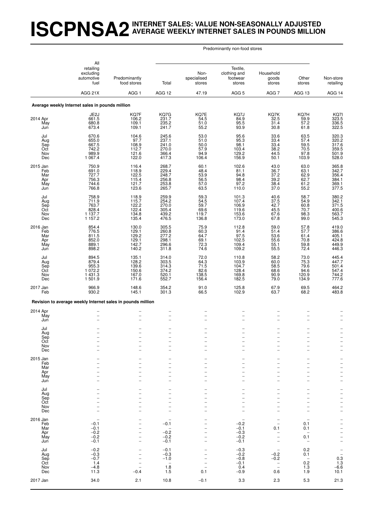### **ISCPNSA2INTERNET SALES: VALUE NON-SEASONALLY ADJUSTED AVERAGE WEEKLY INTERNET SALES IN POUNDS MILLION**

|                                             | All<br>retailing<br>excluding<br>automotive<br>fuel         | Predominantly<br>food stores                                           | Total                                                                | Non-<br>specialised<br>stores                  | Textile,<br>clothing and<br>footwear<br>stores        | Household<br>goods<br>stores                                                  | Other<br>stores                                                    | Non-store<br>retailing                                                   |
|---------------------------------------------|-------------------------------------------------------------|------------------------------------------------------------------------|----------------------------------------------------------------------|------------------------------------------------|-------------------------------------------------------|-------------------------------------------------------------------------------|--------------------------------------------------------------------|--------------------------------------------------------------------------|
|                                             | AGG 21X                                                     | AGG <sub>1</sub>                                                       | AGG 12                                                               | 47.19                                          | AGG <sub>5</sub>                                      | AGG <sub>7</sub>                                                              | AGG 13                                                             | AGG 14                                                                   |
|                                             | Average weekly Internet sales in pounds million             |                                                                        |                                                                      |                                                |                                                       |                                                                               |                                                                    |                                                                          |
| 2014 Apr<br>May<br>Jun                      | JE <sub>2</sub> J<br>661.5<br>680.8<br>673.4                | KQ7F<br>106.2<br>109.1<br>109.1                                        | KQ7G<br>231.7<br>235.2<br>241.7                                      | KQ7E<br>54.5<br>51.0<br>55.2                   | KQ7J<br>84.9<br>95.5<br>93.9                          | KQ7K<br>32.5<br>31.4<br>30.8                                                  | KQ7H<br>59.9<br>57.2<br>61.8                                       | KQ7I<br>323.5<br>336.5<br>322.5                                          |
| Jul<br>Aug<br>Sep<br>Oct<br>Nov<br>Dec      | 670.6<br>655.0<br>667.5<br>742.2<br>989.9<br>1 0 6 7.4      | 104.6<br>97.7<br>108.9<br>112.7<br>121.6<br>122.0                      | 245.6<br>237.1<br>241.0<br>270.0<br>366.4<br>417.3                   | 53.0<br>51.0<br>50.0<br>57.9<br>94.9<br>106.4  | 95.6<br>95.3<br>98.1<br>103.4<br>129.2<br>156.9       | 33.6<br>33.4<br>33.4<br>38.2<br>44.5<br>50.1                                  | 63.5<br>57.4<br>59.5<br>70.5<br>97.8<br>103.9                      | 320.3<br>320.2<br>317.6<br>359.5<br>501.9<br>528.0                       |
| 2015 Jan<br>Feb<br>Mar<br>Apr<br>May<br>Jun | 750.9<br>691.0<br>727.7<br>756.3<br>744.6<br>766.8          | 116.4<br>118.9<br>122.5<br>115.4<br>121.7<br>123.6                     | 268.7<br>229.4<br>248.7<br>256.8<br>253.8<br>265.7                   | 60.1<br>48.4<br>53.9<br>56.5<br>57.0<br>63.5   | 102.6<br>81.1<br>94.8<br>98.4<br>97.2<br>110.0        | 43.0<br>36.7<br>37.2<br>39.2<br>38.4<br>37.0                                  | 63.0<br>63.1<br>62.9<br>62.7<br>61.2<br>55.2                       | 365.8<br>342.7<br>356.4<br>384.1<br>369.1<br>377.5                       |
| Jul<br>Aug<br>Sep<br>Oct<br>Nov<br>Dec      | 758.9<br>711.9<br>763.7<br>828.4<br>1 137.7<br>1 157.2      | 118.9<br>115.7<br>122.2<br>122.4<br>134.8<br>135.4                     | 259.9<br>254.2<br>270.0<br>305.4<br>439.2<br>476.5                   | 59.3<br>54.5<br>59.7<br>69.6<br>119.7<br>136.8 | 101.3<br>107.4<br>106.9<br>119.6<br>153.6<br>173.0    | 40.6<br>37.5<br>$42.\bar{7}$<br>45.5<br>67.6<br>67.8                          | 58.7<br>54.9<br>60.8<br>70.7<br>98.3<br>99.0                       | 380.2<br>342.1<br>371.5<br>400.6<br>563.7<br>545.3                       |
| 2016 Jan<br>Feb<br>Mar<br>Apr<br>May<br>Jun | 854.4<br>776.5<br>811.5<br>852.0<br>889.1<br>898.2          | 130.0<br>129.1<br>129.2<br>129.1<br>142.7<br>140.2                     | 305.5<br>260.8<br>277.2<br>298.1<br>296.6<br>311.8                   | 75.9<br>60.3<br>64.7<br>69.1<br>72.3<br>74.6   | 112.8<br>91.4<br>97.5<br>102.5<br>109.4<br>109.2      | 59.0<br>51.4<br>53.6<br>55.6<br>55.1<br>55.5                                  | 57.8<br>57.7<br>61.4<br>70.8<br>59.8<br>72.4                       | 419.0<br>386.6<br>405.1<br>424.8<br>449.9<br>446.3                       |
| Jul<br>Aug<br>Sep<br>Oct<br>Nov<br>Dec      | 894.5<br>879.4<br>955.3<br>1 072.2<br>1 431.3<br>1 501.9    | 135.1<br>128.2<br>139.6<br>150.6<br>167.0<br>171.6                     | 314.0<br>303.5<br>314.3<br>374.2<br>520.1<br>552.7                   | 72.0<br>64.3<br>71.5<br>82.6<br>138.5<br>156.4 | 110.8<br>103.9<br>104.7<br>128.4<br>169.8<br>182.5    | 58.2<br>60.0<br>58.5<br>68.6<br>90.9<br>79.0                                  | 73.0<br>75.3<br>79.6<br>94.6<br>120.9<br>134.9                     | 445.4<br>447.7<br>$\frac{501.4}{547.4}$<br>744.2<br>777.6                |
| 2017 Jan<br>Feb                             | 966.9<br>930.2                                              | 148.6<br>145.1                                                         | 354.2<br>301.3                                                       | 91.0<br>66.5                                   | 125.8<br>102.9                                        | 67.9<br>63.7                                                                  | 69.5<br>68.2                                                       | 464.2<br>483.8                                                           |
|                                             | Revision to average weekly Internet sales in pounds million |                                                                        |                                                                      |                                                |                                                       |                                                                               |                                                                    |                                                                          |
| 2014 Apr<br>May<br>Jun                      | $\overline{\phantom{0}}$<br>$\overline{\phantom{0}}$        | $\overline{a}$<br>$\overline{\phantom{0}}$<br>$\overline{\phantom{0}}$ | $\equiv$<br>$\overline{\phantom{0}}$                                 | $\overline{a}$<br>$\overline{\phantom{0}}$     |                                                       | $\overline{a}$<br>$\overline{\phantom{0}}$                                    | $\overline{\phantom{a}}$<br>$\overline{\phantom{0}}$               |                                                                          |
| Jul<br>Aug<br>Sep<br>Oct<br>Nov<br>Dec      | $\overline{\phantom{0}}$                                    | $\overline{\phantom{0}}$                                               | $\overline{\phantom{0}}$                                             | $\overline{\phantom{0}}$                       |                                                       | $\overline{\phantom{0}}$<br>L.<br>$\overline{\phantom{0}}$                    | $\overline{\phantom{0}}$                                           | $\overline{\phantom{0}}$<br>-<br>$\overline{\phantom{0}}$                |
| 2015 Jan<br>Feb<br>Mar<br>Apr<br>May<br>Jun |                                                             |                                                                        |                                                                      |                                                |                                                       | $\overline{\phantom{0}}$<br>$\overline{\phantom{0}}$<br>-                     |                                                                    | ニニーニー                                                                    |
| Jul<br>Aug<br>Sep<br>Oct<br>Nov<br>Dec      |                                                             |                                                                        |                                                                      |                                                |                                                       | -<br>-<br>-                                                                   |                                                                    | $\bar{a}$<br>$\frac{1}{2}$<br>$\overline{a}$                             |
| 2016 Jan<br>Feb<br>Mar<br>Apr<br>May<br>Jun | $-0.1$<br>$-0.1$<br>$-0.2$<br>$-0.2$<br>$-0.1$              | $\overline{a}$                                                         | $-0.1$<br>$-0.2$<br>$-0.2$<br>$-0.1$                                 |                                                | $-0.2$<br>$-0.1$<br>$-0.3$<br>$-0.2$<br>$-0.1$        | $\overline{\phantom{0}}$<br>0.1<br>$\overline{\phantom{0}}$<br>$\overline{a}$ | 0.1<br>0.1<br>$\overline{\phantom{0}}$<br>0.1<br>$\qquad \qquad -$ | -<br>÷<br>$\bar{a}$<br>$\frac{1}{2}$                                     |
| Jul<br>Aug<br>Sep<br>Oct<br>Nov<br>Dec      | $-0.2$<br>$-0.3$<br>$-0.7$<br>1.4<br>$-4.8$<br>11.3         | $\overline{\phantom{0}}$<br>$-0.4$                                     | $-0.1$<br>$-0.3$<br>$-1.0$<br>$\overline{\phantom{a}}$<br>1.8<br>1.5 | 0.1                                            | $-0.3$<br>$-0.2$<br>$-0.8$<br>$-0.1$<br>0.4<br>$-0.9$ | $-0.2$<br>$-0.2$<br>$\bar{a}$<br>0.6                                          | 0.2<br>0.1<br>$\qquad \qquad -$<br>0.2<br>1.3<br>1.9               | $-$<br>$0.\overline{3}$<br>$1.\overline{3}$<br>$-6.\overline{6}$<br>10.1 |
| 2017 Jan                                    | 34.0                                                        | 2.1                                                                    | 10.8                                                                 | $-0.1$                                         | 3.3                                                   | 2.3                                                                           | 5.3                                                                | 21.3                                                                     |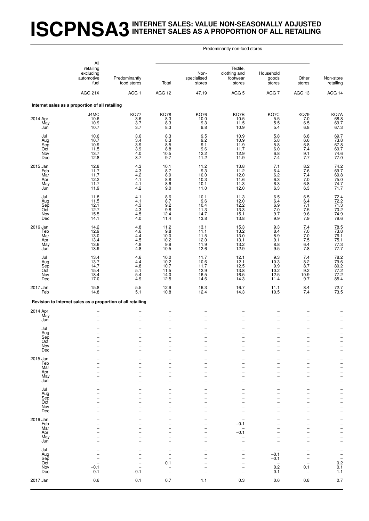### **ISCPNSA3INTERNET SALES: VALUE NON-SEASONALLY ADJUSTED INTERNET SALES AS A PROPORTION OF ALL RETAILING**

|                                             | All<br>retailing                                            |                                                                  |                                               |                                                                            | Textile,                                                  |                                                                                  |                                                                            |                                                                                |
|---------------------------------------------|-------------------------------------------------------------|------------------------------------------------------------------|-----------------------------------------------|----------------------------------------------------------------------------|-----------------------------------------------------------|----------------------------------------------------------------------------------|----------------------------------------------------------------------------|--------------------------------------------------------------------------------|
|                                             | excluding<br>automotive<br>fuel                             | Predominantly<br>food stores                                     | Total                                         | Non-<br>specialised<br>stores                                              | clothing and<br>footwear<br>stores                        | Household<br>goods<br>stores                                                     | Other<br>stores                                                            | Non-store<br>retailing                                                         |
|                                             | AGG 21X                                                     | AGG <sub>1</sub>                                                 | AGG 12                                        | 47.19                                                                      | AGG <sub>5</sub>                                          | AGG 7                                                                            | AGG 13                                                                     | AGG 14                                                                         |
|                                             | Internet sales as a proportion of all retailing             |                                                                  |                                               |                                                                            |                                                           |                                                                                  |                                                                            |                                                                                |
| 2014 Apr<br>May<br>Jun                      | J4MC<br>10.6<br>10.9<br>10.7                                | <b>KQ77</b><br>$\frac{3.6}{3.7}$<br>3.7                          | <b>KQ78</b><br>$8.3$<br>$8.3$<br>8.3          | <b>KQ76</b><br>10.0<br>$\frac{9.3}{9.8}$                                   | KQ7B<br>10.5<br>11.5<br>10.9                              | KQ7C<br>$\frac{5.5}{5.5}$                                                        | <b>KQ79</b><br>$7.0$<br>6.5<br>6.8                                         | KQ7A<br>68.8<br>69.7<br>67.3                                                   |
| Jul<br>Aug<br>Sep<br>Oct<br>Nov<br>Dec      | 10.6<br>10.7<br>10.9<br>11.5<br>$13.\overline{7}$<br>12.8   | $\frac{3.6}{3.4}$<br>$3.9$<br>$3.9$<br>4.0<br>3.7                | 8.3<br>8.3<br>8.5<br>8.8<br>10.5<br>9.7       | 9.5<br>9.2<br>9.1<br>9.6<br>12.2<br>11.2                                   | 10.9<br>10.9<br>11.9<br>11.7<br>12.9<br>11.9              | 5.8<br>$5.\overline{8}$<br>5.8<br>6.0<br>6.8<br>7.4                              | 6.8<br>6.6<br>6.8<br>7.4<br>9.1<br>7.7                                     | 69.7<br>73.8<br>67.8<br>69.7<br>74.6<br>77.0                                   |
| 2015 Jan<br>Feb<br>Mar<br>Apr<br>May<br>Jun | 12.8<br>11.7<br>11.7<br>12.2<br>11.7<br>11.9                | 4.3<br>$4.3$<br>$4.2$<br>$4.1$<br>4.1<br>4.2                     | 10.1<br>8.7<br>8.9<br>8.8<br>8.6<br>9.0       | 11.2<br>$\begin{array}{c} 9.3 \\ 10.0 \end{array}$<br>10.3<br>10.1<br>11.0 | 13.8<br>$11.2$<br>12.0<br>11.6<br>11.3<br>12.0            | 7.1<br>6.4<br>6.2<br>6.3<br>6.3<br>6.3                                           | 8.2<br>7.6<br>7.4<br>7.0<br>6.8<br>6.3                                     | 74.2<br>69.7<br>69.8<br>75.0<br>74.7<br>71.7                                   |
| Jul<br>Aug<br>Sep<br>Oct<br>Nov<br>Dec      | 11.8<br>11.5<br>12.1<br>12.7<br>15.5<br>14.1                | 4.1<br>4.1<br>$4.3\,$<br>$\frac{4.3}{4.5}$<br>4.0                | 8.6<br>8.7<br>9.2<br>9.8<br>12.4<br>11.4      | 10.1<br>9.6<br>10.4<br>$11.3$<br>$14.7$<br>13.8                            | 11.3<br>$\frac{12.0}{12.2}$<br>13.3<br>15.1<br>13.8       | 6.5<br>6.4<br>6.9<br>7.0<br>9.7<br>9.9                                           | 6.5<br>6.4<br>7.1<br>$7.5$<br>9.6<br>7.9                                   | 72.4<br>72.2<br>71.3<br>70.2<br>74.9<br>79.6                                   |
| 2016 Jan<br>Feb<br>Mar<br>Apr<br>May<br>Jun | $14.2$<br>12.9<br>13.0<br>13.4<br>13.6<br>13.9              | $\substack{4.8 \\ 4.6}$<br>4.4<br>4.5<br>$4.\overline{8}$<br>4.8 | 11.2<br>9.8<br>10.0<br>10.2<br>9.9<br>10.5    | $13.1$<br>11.1<br>11.5<br>12.0<br>11.9<br>12.6                             | 15.3<br>13.2<br>13.0<br>13.1<br>13.2<br>12.9              | 9.3<br>8.4<br>8.9<br>9.1<br>8.8<br>9.5                                           | 7.4<br>7.0<br>7.0<br>7.5<br>6.4<br>7.8                                     | 78.5<br>73.8<br>76.1<br>75.1<br>77.3<br>77.7                                   |
| Jul<br>Aug<br>Sep<br>Oct<br>Nov<br>Dec      | 13.4<br>13.7<br>14.7<br>15.4<br>18.4<br>17.0                | $4.6\,$<br>4.4<br>4.8<br>5.1<br>5.4<br>4.9                       | 10.0<br>10.2<br>10.7<br>11.5<br>14.0<br>12.5  | 11.7<br>10.6<br>11.7<br>12.9<br>16.5<br>14.6                               | 12.1<br>12.1<br>12.5<br>$13.\overline{8}$<br>16.5<br>14.3 | 9.3<br>10.3<br>9.9<br>10.2<br>12.5<br>11.4                                       | 7.4<br>$\begin{array}{c} 8.2 \\ 8.7 \end{array}$<br>9.2<br>$^{10.9}_{9.7}$ | 78.2<br>79.6<br>80.2<br>77.2<br>77.2<br>85.4                                   |
| 2017 Jan<br>Feb                             | 15.8<br>14.8                                                | $5.5\,$<br>5.1                                                   | 12.9<br>10.8                                  | 16.3<br>12.4                                                               | 16.7<br>14.3                                              | 11.1<br>10.5                                                                     | 8.4<br>7.4                                                                 | 72.7<br>73.5                                                                   |
|                                             | Revision to Internet sales as a proportion of all retailing |                                                                  |                                               |                                                                            |                                                           |                                                                                  |                                                                            |                                                                                |
| 2014 Apr<br>May<br>Jun                      | $\overline{\phantom{0}}$                                    | $\overline{\phantom{0}}$<br>$\overline{\phantom{a}}$             | $\qquad \qquad -$<br>$\overline{\phantom{0}}$ | $\overline{\phantom{0}}$<br>$\overline{\phantom{0}}$                       |                                                           | $\overline{\phantom{0}}$<br>$\overline{\phantom{0}}$<br>$\overline{\phantom{0}}$ | $\overline{\phantom{0}}$<br>$\overline{\phantom{0}}$                       |                                                                                |
| Jul<br>Aug<br>Sep<br>Oct<br>Nov<br>Dec      | $\overline{\phantom{0}}$                                    | ۳                                                                | $\overline{\phantom{0}}$                      |                                                                            | $\overline{\phantom{0}}$                                  | $\overline{\phantom{0}}$<br>-<br>$\overline{\phantom{0}}$                        | $\overline{\phantom{0}}$                                                   |                                                                                |
| 2015 Jan<br>Feb<br>Mar<br>Apr<br>May<br>Jun |                                                             |                                                                  | -                                             |                                                                            |                                                           | $\overline{a}$<br>$\overline{\phantom{0}}$<br>$\overline{a}$                     |                                                                            | $\overline{\phantom{0}}$<br>$\overline{\phantom{0}}$                           |
| Jul<br>Aug<br>Sep<br>Oct<br>Nov<br>Dec      |                                                             |                                                                  | ÷,                                            |                                                                            |                                                           | -<br>-<br>$\overline{\phantom{0}}$<br>$\overline{\phantom{0}}$                   | $\overline{a}$                                                             | $\overline{\phantom{0}}$<br>$\overline{\phantom{0}}$                           |
| 2016 Jan<br>Feb<br>Mar<br>Apr<br>May<br>Jun |                                                             |                                                                  | ÷,                                            | $\overline{\phantom{0}}$                                                   | $-0.1$<br>$-0.1$                                          | $\overline{\phantom{0}}$<br>$\overline{\phantom{0}}$                             | $\overline{a}$                                                             | $\overline{\phantom{0}}$<br>$\overline{\phantom{0}}$<br>-<br>$\qquad \qquad -$ |
| Jul<br>Aug<br>Sep<br>Oct<br>Nov<br>Dec      | $-0.1$<br>0.1                                               | $\overline{\phantom{0}}$<br>$-0.1$                               | $\overline{\phantom{a}}$<br>0.1               |                                                                            |                                                           | $-0.1$<br>$-0.1$<br>0.2<br>0.1                                                   | 0.1<br>$\overline{\phantom{0}}$                                            | $\frac{1}{2}$<br>0.2<br>0.1<br>1.1                                             |
| 2017 Jan                                    | 0.6                                                         | 0.1                                                              | 0.7                                           | 1.1                                                                        | 0.3                                                       | 0.6                                                                              | 0.8                                                                        | $0.7\,$                                                                        |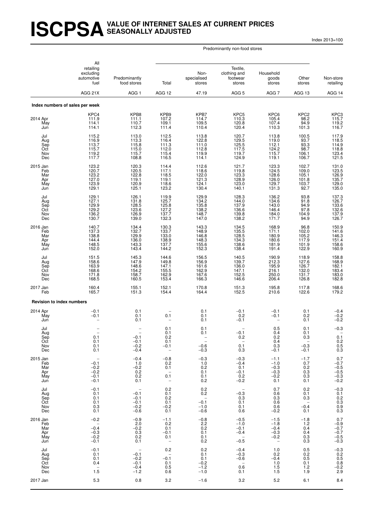### **ISCPSAVALUE OF INTERNET SALES AT CURRENT PRICES SEASONALLY ADJUSTED**

Index 2013=100

|                                             | All<br>retailing<br>excluding<br>automotive<br>fuel                        | Predominantly<br>food stores                                     | Total                                                          | Non-<br>specialised<br>stores                        | Textile,<br>clothing and<br>footwear<br>stores            | Household<br>goods<br>stores                                               | Other<br>stores                                    | Non-store<br>retailing                                                   |
|---------------------------------------------|----------------------------------------------------------------------------|------------------------------------------------------------------|----------------------------------------------------------------|------------------------------------------------------|-----------------------------------------------------------|----------------------------------------------------------------------------|----------------------------------------------------|--------------------------------------------------------------------------|
|                                             | AGG 21X                                                                    | AGG <sub>1</sub>                                                 | AGG 12                                                         | 47.19                                                | AGG <sub>5</sub>                                          | AGG 7                                                                      | AGG 13                                             | AGG 14                                                                   |
|                                             | Index numbers of sales per week                                            |                                                                  |                                                                |                                                      |                                                           |                                                                            |                                                    |                                                                          |
| 2014 Apr<br>May<br>Jun                      | KPC4<br>111.9<br>114.1<br>114.1                                            | KPB8<br>111.1<br>110.7<br>112.3                                  | KPB9<br>107.2<br>109.1<br>111.4                                | KPB7<br>114.7<br>109.5<br>110.4                      | KPC5<br>110.3<br>120.8<br>120.4                           | KPC6<br>105.4<br>107.4<br>110.3                                            | KPC <sub>2</sub><br>98.2<br>94.9<br>101.3          | KPC3<br>115.7<br>119.2<br>116.7                                          |
| Jul<br>Aug<br>Sep<br>Oct<br>Nov<br>Dec      | 115.2<br>116.9<br>113.7<br>115.7<br>119.2<br>117.7                         | 113.0<br>113.3<br>115.8<br>115.0<br>115.7<br>108.8               | 112.5<br>116.4<br>111.3<br>112.0<br>115.4<br>116.5             | 113.8<br>122.8<br>111.0<br>112.8<br>119.9<br>114.1   | 120.7<br>$\frac{129.5}{125.5}$<br>117.5<br>119.7<br>124.9 | 113.8<br>119.0<br>112.1<br>124.2<br>115.7<br>119.1                         | 100.5<br>93.7<br>93.3<br>98.7<br>106.1<br>106.7    | 117.9<br>118.5<br>114.9<br>$\frac{118.8}{123.4}$<br>121.5                |
| 2015 Jan<br>Feb<br>Mar<br>Apr<br>May<br>Jun | 123.2<br>120.7<br>123.2<br>127.0<br>123.9<br>129.1                         | 120.3<br>120.5<br>122.8<br>119.1<br>120.9<br>125.1               | 114.4<br>117.1<br>118.5<br>119.1<br>118.6<br>123.2             | 112.6<br>118.6<br>122.0<br>121.3<br>124.1<br>130.4   | 121.7<br>119.8<br>123.3<br>128.9<br>123.0<br>140.1        | 123.3<br>124.5<br>128.6<br>126.0<br>129.7<br>131.3                         | 102.7<br>109.0<br>105.1<br>101.8<br>103.7<br>92.7  | 131.0<br>123.5<br>126.9<br>135.7<br>129.0<br>135.0                       |
| Jul<br>Aug<br>Sep<br>Oct<br>Nov<br>Dec      | 129.1<br>127.1<br>129.9<br>129.2<br>136.2<br>130.7                         | 126.1<br>131.8<br>128.5<br>123.6<br>126.9<br>139.0               | 119.9<br>125.7<br>125.8<br>127.2<br>137.7<br>132.3             | 129.9<br>134.2<br>135.8<br>138.2<br>148.7<br>147.0   | 128.3<br>144.0<br>137.9<br>136.6<br>139.8<br>138.2        | 136.2<br>134.6<br>143.0<br>146.4<br>184.0<br>171.7                         | 93.8<br>91.8<br>94.9<br>97.8<br>104.9<br>94.9      | 137.3<br>126.7<br>133.6<br>132.6<br>137.9<br>126.7                       |
| 2016 Jan<br>Feb<br>Mar<br>Apr<br>May<br>Jun | 140.7<br>137.3<br>138.8<br>144.4<br>148.5<br>152.0                         | 134.4<br>132.7<br>129.9<br>136.0<br>143.3<br>143.4               | 130.3<br>133.7<br>133.0<br>138.9<br>137.7<br>144.2             | 143.3<br>148.9<br>146.8<br>148.3<br>155.6<br>152.3   | 134.5<br>135.5<br>128.5<br>134.3<br>138.6<br>138.4        | 168.9<br>171.1<br>180.9<br>180.6<br>181.9<br>191.4                         | 96.8<br>102.0<br>105.2<br>117.9<br>101.9<br>122.9  | $150.9$<br>$141.6$<br>146.3<br>151.4<br>158.6<br>160.9                   |
| Jul<br>Aug<br>Sep<br>Oct<br>Nov<br>Dec      | 151.5<br>158.6<br>163.9<br>168.6<br>171.8<br>168.5                         | 145.3<br>147.9<br>148.6<br>154.2<br>158.7<br>160.5               | 144.6<br>149.8<br>147.1<br>155.5<br>162.9<br>153.4             | 156.5<br>156.9<br>161.6<br>162.9<br>167.6<br>166.3   | 140.5<br>139.7<br>136.0<br>147.1<br>152.5<br>146.6        | 190.9<br>212.3<br>195.9<br>216.1<br>250.0<br>206.4                         | 118.9<br>127.6<br>126.7<br>132.0<br>131.7<br>126.8 | 158.8<br>168.9<br>182.1<br>183.4<br>183.0<br>182.8                       |
| 2017 Jan<br>Feb                             | 160.4<br>165.7                                                             | 155.1<br>151.3                                                   | 152.1<br>154.4                                                 | 170.8<br>164.4                                       | 151.3<br>152.5                                            | 195.8<br>210.6                                                             | 117.8<br>122.6                                     | 168.6<br>179.2                                                           |
| <b>Revision to index numbers</b>            |                                                                            |                                                                  |                                                                |                                                      |                                                           |                                                                            |                                                    |                                                                          |
| 2014 Apr<br>May<br>Jun                      | $-0.1$<br>$-0.1$                                                           | 0.1<br>0.1<br>0.1                                                | 0.1                                                            | 0.1<br>0.1<br>0.1                                    | $-0.1$<br>0.2<br>$-0.1$                                   | $-0.1$<br>$-0.1$                                                           | $0.1 \\ 0.2$<br>0.1                                | $-0.4$<br>$-0.2$<br>$-0.2$                                               |
| Jul<br>Aug<br>Sep<br>Oct<br>Nov<br>Dec      | $\overline{\phantom{m}}$<br>0.1<br>0.1<br>0.1<br>0.1                       | $-0.1$<br>$-0.1$<br>$-0.2$<br>$-0.4$                             | 0.1<br>0.1<br>0.2<br>0.1<br>$-0.1$<br>$\overline{\phantom{a}}$ | 0.1<br>0.1<br>$\bar{\mathbb{I}}$<br>$-0.6$<br>$-0.3$ | $-0.1$<br>0.2<br>$\overline{\phantom{a}}$<br>0.1<br>0.3   | 0.5<br>0.4<br>0.2<br>0.4<br>0.3<br>$-0.1$                                  | 0.1<br>0.1<br>0.3<br>$\sim$<br>$-0.3$<br>$-0.1$    | $-0.3$<br>$\overline{\phantom{0}}$<br>0.1<br>$0.2$<br>$0.5$<br>$0.3$     |
| 2015 Jan<br>Feb<br>Mar<br>Apr<br>May<br>Jun | $\overline{\phantom{0}}$<br>$-0.1$<br>$-0.2$<br>$-0.2$<br>$-0.1$<br>$-0.1$ | $-0.4$<br>1.0<br>$-0.2$<br>0.2<br>0.2<br>0.1                     | $-0.8$<br>0.2<br>0.1<br>$\sim$ $-$<br>0.1<br>$\sim$            | $-0.3$<br>1.0<br>0.2<br>0.1<br>0.1<br>0.2            | $-0.3$<br>$-0.4$<br>0.1<br>$-0.1$<br>0.2<br>$-0.2$        | $-1.1$<br>$-1.0$<br>$-0.3$<br>$-0.3$<br>$-0.2$<br>0.1                      | $-1.7$<br>0.7<br>0.2<br>0.3<br>0.3<br>0.1          | 0.7<br>$-0.7$<br>$-0.5$<br>$-0.5$<br>$-0.3$<br>$-0.2$                    |
| Jul<br>Aug<br>Sep<br>Oct<br>Nov<br>Dec      | $-0.1$<br>0.1<br>0.1<br>0.1<br>0.3<br>0.1                                  | $\overline{a}$<br>$-0.1$<br>$-0.1$<br>$-0.1$<br>$-0.2$<br>$-0.6$ | 0.2<br>0.1<br>0.2<br>0.1<br>$-0.2$<br>0.1                      | 0.2<br>0.2<br>$\sim$<br>$-0.1$<br>$-1.0$<br>$-0.6$   | $-0.3$<br>0.3<br>0.1<br>0.1<br>0.6                        | 0.7<br>0.6<br>0.3<br>0.6<br>0.6<br>$-0.2$                                  | 0.2<br>0.1<br>0.3<br>$\sim$<br>$-0.4$<br>0.1       | $-0.3$<br>0.1<br>0.2<br>$\begin{array}{c} 0.3 \\ 0.9 \\ 0.3 \end{array}$ |
| 2016 Jan<br>Feb<br>Mar<br>Apr<br>May<br>Jun | $-0.2$<br>$\sim$<br>$-0.4$<br>$-0.3$<br>$-0.2$<br>$-0.1$                   | $-0.9$<br>2.0<br>$-0.2$<br>$0.3 \\ 0.2$<br>0.1                   | $-1.1$<br>0.2<br>0.1<br>$-0.1$<br>0.1<br>$\overline{a}$        | $-0.8$<br>2.2<br>0.2<br>0.1<br>0.1<br>0.2            | $-0.5$<br>$-1.0$<br>$-0.1$<br>$-0.4$<br>$\sim$<br>$-0.5$  | $-1.5$<br>$-1.8$<br>$-0.4$<br>$-0.3$<br>$-0.2$<br>$\overline{\phantom{a}}$ | $-1.8$<br>1.2<br>0.4<br>0.4<br>0.3<br>0.3          | 0.7<br>$-0.9$<br>$-0.7$<br>$-0.7$<br>$-0.5$<br>$-0.3$                    |
| Jul<br>Aug<br>Sep<br>Oct<br>Nov<br>Dec      | $-0.1$<br>0.1<br>0.1<br>0.4<br>$\frac{-}{1.5}$                             | $\sim$<br>$-0.1$<br>$-0.2$<br>$-0.1$<br>$-0.4$<br>$-1.2$         | 0.2<br>$\sim$<br>$-0.1$<br>0.1<br>0.5<br>0.6                   | 0.2<br>0.1<br>0.1<br>$-0.2$<br>$-1.2$<br>$-1.0$      | $-0.4$<br>$-0.3$<br>$-0.6$<br>$\sim$<br>0.6<br>0.1        | 1.0<br>0.2<br>$-0.4$<br>1.0<br>1.5<br>1.5                                  | 0.5<br>$0.2 \\ 0.5$<br>0.1<br>1.2<br>1.9           | $-0.3$<br>0.2<br>0.5<br>0.8<br>0.8<br>-0.2<br>2.9                        |
| 2017 Jan                                    | 5.3                                                                        | 0.8                                                              | 3.2                                                            | $-1.6$                                               | 3.2                                                       | 5.2                                                                        | 6.1                                                | 8.4                                                                      |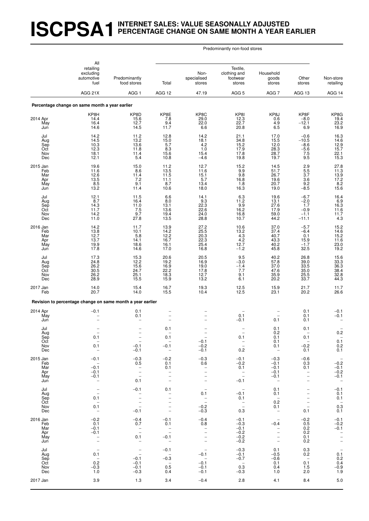## **ISCPSA1INTERNET SALES: VALUE SEASONALLY ADJUSTED PERCENTAGE CHANGE ON SAME MONTH A YEAR EARLIER**

|                                             | All                                                                      |                                                                                                            |                                                                                                                                                 |                                                                                                                        |                                                          |                                                                                    |                                                                                                                 |                                                                                        |
|---------------------------------------------|--------------------------------------------------------------------------|------------------------------------------------------------------------------------------------------------|-------------------------------------------------------------------------------------------------------------------------------------------------|------------------------------------------------------------------------------------------------------------------------|----------------------------------------------------------|------------------------------------------------------------------------------------|-----------------------------------------------------------------------------------------------------------------|----------------------------------------------------------------------------------------|
|                                             | retailing<br>excluding<br>automotive<br>fuel                             | Predominantly<br>food stores                                                                               | Total                                                                                                                                           | Non-<br>specialised<br>stores                                                                                          | Textile,<br>clothing and<br>footwear<br>stores           | Household<br>goods<br>stores                                                       | Other<br>stores                                                                                                 | Non-store<br>retailing                                                                 |
|                                             | AGG 21X                                                                  | AGG <sub>1</sub>                                                                                           | AGG 12                                                                                                                                          | 47.19                                                                                                                  | AGG <sub>5</sub>                                         | AGG 7                                                                              | AGG 13                                                                                                          | AGG 14                                                                                 |
|                                             | Percentage change on same month a year earlier                           |                                                                                                            |                                                                                                                                                 |                                                                                                                        |                                                          |                                                                                    |                                                                                                                 |                                                                                        |
| 2014 Apr<br>May<br>Jun                      | KP8H<br>14.4<br>16.4<br>14.6                                             | KP8D<br>15.6<br>12.7<br>14.5                                                                               | KP8E<br>7.8<br>9.4<br>11.7                                                                                                                      | KP8C<br>29.0<br>22.0<br>6.6                                                                                            | KP8I<br>12.3<br>22.7<br>20.8                             | KP8J<br>0.6<br>4.9<br>6.5                                                          | KP8F<br>$-8.0$<br>$-12.1$<br>6.9                                                                                | KP8G<br>19.4<br>23.2<br>16.9                                                           |
| Jul<br>Aug<br>Sep<br>Oct<br>Nov<br>Dec      | 14.2<br>14.5<br>10.3<br>12.3<br>18.1<br>12.1                             | 11.2<br>13.2<br>13.6<br>11.8<br>11.4<br>5.4                                                                | 12.8<br>15.0<br>5.7<br>8.3<br>15.6<br>10.8                                                                                                      | 14.2<br>18.1<br>4.2<br>1.0<br>15.4<br>$-4.6$                                                                           | 21.1<br>34.8<br>15.2<br>17.9<br>17.8<br>19.8             | 17.0<br>15.5<br>12.0<br>28.3<br>28.7<br>19.7                                       | $-0.6$<br>$-10.5$<br>$-8.6$<br>$-5.6$<br>7.5<br>9.5                                                             | 16.3<br>14.6<br>12.9<br>15.7<br>22.1<br>15.3                                           |
| 2015 Jan<br>Feb<br>Mar<br>Apr<br>May<br>Jun | 19.6<br>11.6<br>12.6<br>13.5<br>8.5<br>13.2                              | 15.0<br>8.6<br>11.4<br>7.2<br>9.1<br>11.4                                                                  | 11.2<br>13.5<br>11.5<br>11.1<br>8.7<br>10.6                                                                                                     | 12.7<br>11.6<br>15.1<br>5.7<br>13.4<br>18.0                                                                            | 15.2<br>9.9<br>9.8<br>16.8<br>1.8<br>16.3                | 14.5<br>51.7<br>26.7<br>19.6<br>20.7<br>19.0                                       | 2.9<br>$\frac{5.5}{3.7}$<br>3.6<br>9.2<br>$-8.5$                                                                | 27.8<br>11.3<br>13.9<br>17.2<br>8.2<br>15.6                                            |
| Jul<br>Aug<br>Sep<br>Oct<br>Nov<br>Dec      | 12.1<br>8.7<br>14.3<br>11.7<br>14.2<br>11.0                              | 11.5<br>16.4<br>11.0<br>$7.5$<br>9.7<br>27.8                                                               | 6.6<br>8.0<br>13.1<br>13.6<br>19.4<br>13.5                                                                                                      | 14.1<br>9.3<br>22.3<br>22.6<br>24.0<br>28.8                                                                            | $6.3$<br>11.2<br>9.9<br>16.2<br>16.8<br>10.7             | 19.6<br>13.1<br>27.6<br>17.9<br>59.0<br>44.2                                       | $-6.7$<br>$-2.0$<br>1.7<br>$-0.9$<br>$-1.1$<br>$-11.1$                                                          | 16.4<br>$\begin{array}{c} 6.9 \\ 16.3 \end{array}$<br>$\frac{11.6}{11.7}$<br>4.3       |
| 2016 Jan<br>Feb<br>Mar<br>Apr<br>May<br>Jun | 14.2<br>13.8<br>12.7<br>13.7<br>19.9<br>17.8                             | 11.7<br>10.1<br>5.8<br>14.1<br>18.6<br>14.6                                                                | 13.9<br>14.2<br>12.2<br>16.7<br>16.1<br>17.0                                                                                                    | 27.2<br>25.5<br>20.3<br>22.3<br>25.4<br>16.8                                                                           | 10.6<br>13.2<br>4.3<br>4.2<br>12.7<br>$-1.2$             | 37.0<br>37.4<br>40.7<br>43.3<br>40.2<br>45.8                                       | $-5.7$<br>$-6.4$<br>0.1<br>15.9<br>$-1.7$<br>32.5                                                               | 15.2<br>14.6<br>15.2<br>11.6<br>23.0<br>19.2                                           |
| Jul<br>Aug<br>Sep<br>Oct<br>Nov<br>Dec      | 17.3<br>24.8<br>26.2<br>30.5<br>26.2<br>28.9                             | 15.3<br>12.2<br>15.6<br>24.7<br>25.1<br>15.5                                                               | 20.6<br>19.2<br>16.9<br>22.2<br>18.3<br>15.9                                                                                                    | 20.5<br>16.9<br>19.0<br>17.8<br>12.7<br>13.2                                                                           | 9.5<br>$-3.0$<br>$-1.4$<br>7.7<br>9.1<br>6.1             | 40.2<br>57.8<br>37.0<br>47.6<br>35.9<br>20.2                                       | 26.8<br>39.0<br>33.5<br>35.0<br>25.5<br>33.7                                                                    | 15.6<br>33.3<br>36.3<br>38.4<br>32.8<br>44.3                                           |
| 2017 Jan<br>Feb                             | 14.0<br>20.7                                                             | 15.4<br>14.0                                                                                               | 16.7<br>15.5                                                                                                                                    | 19.3<br>10.4                                                                                                           | 12.5<br>12.5                                             | 15.9<br>23.1                                                                       | 21.7<br>20.2                                                                                                    | 11.7<br>26.6                                                                           |
|                                             | Revision to percentage change on same month a year earlier               |                                                                                                            |                                                                                                                                                 |                                                                                                                        |                                                          |                                                                                    |                                                                                                                 |                                                                                        |
| 2014 Apr<br>May<br>Jun                      | $-0.1$                                                                   | 0.1<br>0.1<br>$\overline{\phantom{0}}$                                                                     | $\overline{\phantom{a}}$                                                                                                                        | $\overline{\phantom{0}}$                                                                                               | 0.1<br>$-0.1$                                            | 0.1                                                                                | 0.1<br>0.1<br>0.1                                                                                               | $-0.1$<br>$-0.1$                                                                       |
| Jul<br>Aug<br>Sep<br>Oct<br>Nov<br>Dec      | 0.1<br>$\sim$<br>0.1<br>$\overline{\phantom{0}}$                         | $\overline{\phantom{0}}$<br>$\sim$ $-$<br>$-0.1$<br>$-0.1$                                                 | 0.1<br>0.1<br>$\overline{\phantom{0}}$<br>$-0.1$<br>$\overline{\phantom{m}}$                                                                    | $-0.1$<br>$-0.2$<br>$-0.1$                                                                                             | 0.1<br>$\sim$ $-$<br>$\overline{\phantom{0}}$<br>0.2     | 0.1<br>0.2<br>0.1<br>0.1<br>0.1<br>$\overline{\phantom{a}}$                        | 0.1<br>0.1<br>$\sim$<br>$-0.2$<br>0.1                                                                           | 0.2<br>0.1<br>0.2<br>0.1                                                               |
| 2015 Jan<br>Feb<br>Mar<br>Apr<br>May<br>Jun | $-0.1$<br>$-0.1$<br>$-0.1$<br>$-0.1$<br>$\overline{\phantom{a}}$         | $-0.3$<br>0.5<br>$\overline{\phantom{a}}$<br>$\overline{\phantom{0}}$<br>$\overline{\phantom{a}}$<br>0.1   | $-0.2$<br>0.1<br>0.1<br>$\overline{\phantom{a}}$<br>$\overline{\phantom{a}}$<br>$\overline{\phantom{a}}$                                        | $-0.3$<br>0.6<br>$\overline{\phantom{a}}$<br>$\overline{\phantom{a}}$<br>$\qquad \qquad -$<br>$\overline{\phantom{a}}$ | $-0.1$<br>$-0.2$<br>0.1<br>$\bar{\mathbb{I}}$<br>$-0.1$  | $-0.3$<br>$-0.1$<br>$-0.1$<br>$-0.1$<br>$-0.1$<br>$\overline{\phantom{a}}$         | $-0.6$<br>0.3<br>0.1<br>$\overline{\phantom{a}}$<br>$\overbrace{\phantom{1232211}}$<br>$\overline{\phantom{0}}$ | $\hspace{0.1cm} -$<br>$-0.2$<br>$-0.1$<br>$-0.2$<br>$-0.1$<br>$\overline{\phantom{a}}$ |
| Jul<br>Aug<br>Sep<br>Oct<br>Nov<br>Dec      | $\overline{a}$<br>0.1<br>$\overline{\phantom{0}}$<br>0.1<br>$\sim$       | $-0.1$<br>$\overline{\phantom{0}}$<br>$\overline{\phantom{0}}$<br>$\qquad \qquad -$<br>$\bar{a}$<br>$-0.1$ | 0.1<br>$\overline{\phantom{a}}$<br>$\overline{\phantom{a}}$<br>$\overline{\phantom{a}}$<br>$\overline{\phantom{a}}$<br>$\overline{\phantom{a}}$ | $\overline{\phantom{a}}$<br>0.1<br>$\overline{a}$<br>$-0.2$<br>$-0.3$                                                  | $-0.1$<br>0.1<br>$\overline{\phantom{a}}$<br>0.3         | 0.1<br>0.1<br>$\overline{\phantom{a}}$<br>0.2<br>0.1<br>$\overline{\phantom{a}}$   | $\bar{a}$<br>$\bar{a}$<br>$\bar{ }$<br>0.1                                                                      | $-0.1$<br>0.1<br>0.1<br>$0.\overline{3}$<br>0.1                                        |
| 2016 Jan<br>Feb<br>Mar<br>Apr<br>May<br>Jun | $-0.2$<br>0.1<br>$-0.1$<br>$-0.1$<br>$\bar{a}$                           | $-0.4$<br>0.7<br>$\overline{a}$<br>0.1<br>$\overline{\phantom{a}}$                                         | $-0.1$<br>0.1<br>$\bar{a}$<br>$-0.1$<br>$\sim$                                                                                                  | $-0.4$<br>0.8<br>$\overline{\phantom{a}}$<br>$\frac{1}{2}$<br>$\overline{\phantom{a}}$<br>$\overline{\phantom{a}}$     | $-0.1$<br>$-0.3$<br>$-0.1$<br>$-0.2$<br>$-0.2$<br>$-0.2$ | $\hspace{0.1mm}-\hspace{0.1mm}$<br>$-0.4$<br>$\bar{a}$<br>$\overline{\phantom{a}}$ | $-0.2$<br>0.5<br>0.2<br>0.2<br>0.1<br>0.2                                                                       | $-0.1$<br>$-0.2$<br>$-0.1$<br>$\overline{\phantom{a}}$<br>$\bar{\mathbb{I}}$           |
| Jul<br>Aug<br>Sep<br>Oct<br>Nov<br>Dec      | $\hspace{0.1mm}-\hspace{0.1mm}$<br>0.1<br>$\sim$<br>0.2<br>$-0.3$<br>1.0 | $\overline{\phantom{a}}$<br>$-0.1$<br>$-0.1$<br>$-0.1$<br>$-0.3$                                           | $-0.1$<br>$\sim$<br>$-0.3$<br>$\sim$<br>0.5<br>0.4                                                                                              | $\overline{\phantom{a}}$<br>$-0.1$<br>$\sim$<br>$-0.1$<br>$-0.1$<br>$-0.1$                                             | $-0.3$<br>$-0.1$<br>$-0.7$<br>$\sim$<br>0.3<br>$-0.3$    | 0.1<br>$-0.5$<br>$-0.6$<br>0.1<br>0.4<br>1.0                                       | 0.3<br>0.2<br>$\overline{\phantom{a}}$<br>0.1<br>1.5<br>2.0                                                     | $\hspace{0.1mm}-\hspace{0.1mm}$<br>0.1<br>$0.2$<br>$0.4$<br>$-0.9$<br>1.9              |
| 2017 Jan                                    | 3.9                                                                      | 1.3                                                                                                        | 3.4                                                                                                                                             | $-0.4$                                                                                                                 | 2.8                                                      | 4.1                                                                                | 8.4                                                                                                             | 5.0                                                                                    |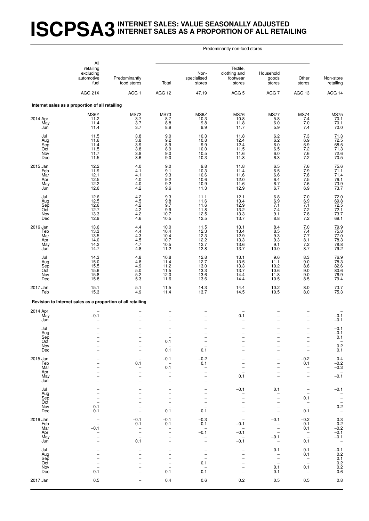### **ISCPSA3INTERNET SALES: VALUE SEASONALLY ADJUSTED INTERNET SALES AS A PROPORTION OF ALL RETAILING**

|                                             | All                                                            |                                                                |                                                                                                                        |                                                                            |                                                                                 |                                                                                                            |                                                                                                       |                                                                             |
|---------------------------------------------|----------------------------------------------------------------|----------------------------------------------------------------|------------------------------------------------------------------------------------------------------------------------|----------------------------------------------------------------------------|---------------------------------------------------------------------------------|------------------------------------------------------------------------------------------------------------|-------------------------------------------------------------------------------------------------------|-----------------------------------------------------------------------------|
|                                             | retailing<br>excluding<br>automotive<br>fuel                   | Predominantly<br>food stores                                   | Total                                                                                                                  | Non-<br>specialised<br>stores                                              | Textile,<br>clothing and<br>footwear<br>stores                                  | Household<br>goods<br>stores                                                                               | Other<br>stores                                                                                       | Non-store<br>retailing                                                      |
|                                             | AGG 21X                                                        | AGG <sub>1</sub>                                               | AGG 12                                                                                                                 | 47.19                                                                      | AGG <sub>5</sub>                                                                | AGG 7                                                                                                      | AGG 13                                                                                                | AGG 14                                                                      |
|                                             | Internet sales as a proportion of all retailing                |                                                                |                                                                                                                        |                                                                            |                                                                                 |                                                                                                            |                                                                                                       |                                                                             |
| 2014 Apr<br>May<br>Jun                      | MS6Y<br>11.2<br>11.4<br>11.4                                   | <b>MS72</b><br>3.7<br>$\frac{3.7}{3.7}$                        | <b>MS73</b><br>8.7<br>8.8<br>8.9                                                                                       | MS6Z<br>$\begin{array}{c} 10.3 \\ 9.8 \\ 9.9 \end{array}$                  | <b>MS76</b><br>10.8<br>$11.8$<br>11.7                                           | <b>MS77</b><br>5.8<br>6.0<br>5.9                                                                           | <b>MS74</b><br>7.4<br>7.0<br>7.4                                                                      | <b>MS75</b><br>70.1<br>70.1<br>70.0                                         |
| Jul<br>Aug<br>Sep<br>Oct<br>Nov<br>Dec      | 11.5<br>11.6<br>11.4<br>11.5<br>11.7<br>11.5                   | 3.8<br>3.9<br>3.8<br>3.8<br>3.6                                | 9.0<br>9.2<br>8.9<br>8.9<br>9.0<br>9.0                                                                                 | 10.3<br>10.8<br>$\begin{array}{c} 9.9 \\ 10.0 \end{array}$<br>10.5<br>10.3 | 11.8<br>12.4<br>12.4<br>11.5<br>$11.\overline{6}$<br>11.8                       | 6.2<br>6.2<br>6.0<br>6.5<br>6.0<br>6.3                                                                     | 7.3<br>6.9<br>$6.9$<br>7.2<br>7.6<br>7.2                                                              | 71.3<br>72.5<br>68.5<br>71.3<br>72.6<br>70.5                                |
| 2015 Jan<br>Feb<br>Mar<br>Apr<br>May<br>Jun | 12.2<br>11.9<br>12.1<br>12.5<br>12.2<br>12.6                   | 4.0<br>4.1<br>4.1<br>4.0<br>4.0<br>4.2                         | 9.0<br>9.1<br>9.3<br>9.2<br>9.2<br>9.6                                                                                 | 9.8<br>10.3<br>10.6<br>10.6<br>10.9<br>11.3                                | 11.8<br>11.4<br>11.6<br>12.0<br>11.6<br>12.9                                    | 6.5<br>6.5<br>6.6<br>6.4<br>6.7<br>6.7                                                                     | 7.6<br>7.9<br>7.8<br>7.5<br>7.6<br>6.9                                                                | 75.6<br>71.1<br>71.4<br>76.1<br>73.9<br>73.7                                |
| Jul<br>Aug<br>Sep<br>Oct<br>Nov<br>Dec      | 12.6<br>12.5<br>$12.\overline{6}$<br>12.7<br>13.3<br>12.9      | $4.2$<br>$4.2$<br>$4.2$<br>$4.2$<br>$4.6$                      | 9.3<br>$\frac{9.8}{9.7}$<br>9.9<br>10.7<br>10.5                                                                        | 11.1<br>11.6<br>11.6<br>11.8<br>12.5<br>12.5                               | 12.1<br>13.4<br>12.9<br>$\begin{array}{c} 13.2 \\ 13.3 \\ 13.7 \end{array}$     | 6.8<br>6.9<br>7.1<br>7.4<br>9.1<br>8.8                                                                     | 7.0<br>6.9<br>7.1<br>7.2<br>7.8<br>7.2                                                                | 72.0<br>69.8<br>72.5<br>72.1<br>73.7<br>69.1                                |
| 2016 Jan<br>Feb<br>Mar<br>Apr<br>May<br>Jun | 13.6<br>13.3<br>13.5<br>14.0<br>14.2<br>14.7                   | 4.4<br>4.4<br>4.3<br>4.5<br>4.7<br>4.8                         | 10.0<br>10.4<br>10.4<br>10.7<br>10.5<br>11.2                                                                           | 11.5<br>$12.\overline{3}$<br>12.3<br>12.2<br>12.7<br>12.8                  | $13.1$<br>$13.4$<br>$\begin{array}{c} 12.9 \\ 13.3 \\ 13.6 \end{array}$<br>13.7 | 8.4<br>8.5<br>9.3<br>9.3<br>9.1<br>10.0                                                                    | 7.0<br>7.4<br>7.7<br>8.1<br>7.2<br>8.7                                                                | 79.9<br>75.8<br>77.0<br>78.3<br>78.8<br>79.2                                |
| Jul<br>Aug<br>Sep<br>Oct<br>Nov<br>Dec      | 14.3<br>15.0<br>15.5<br>15.6<br>15.8<br>15.8                   | $4.8\,$<br>4.8<br>4.9<br>$5.\overline{0}$<br>$\frac{5.2}{5.3}$ | 10.8<br>11.4<br>11.2<br>11.5<br>12.0<br>11.6                                                                           | 12.8<br>12.7<br>13.0<br>13.3<br>13.6<br>13.6                               | 13.1<br>$\begin{array}{c} 13.5 \\ 13.3 \\ 13.7 \end{array}$<br>14.4<br>14.4     | 9.6<br>11.1<br>10.2<br>10.6<br>11.8<br>10.5                                                                | 8.3<br>9.0<br>8.8<br>9.0<br>9.0<br>8.5                                                                | 76.9<br>78.3<br>82.6<br>80.6<br>76.9<br>79.4                                |
| 2017 Jan<br>Feb                             | 15.1<br>15.3                                                   | 5.1<br>4.9                                                     | 11.5<br>11.4                                                                                                           | 14.3<br>13.7                                                               | 14.4<br>14.5                                                                    | 10.2<br>10.5                                                                                               | 8.0<br>8.0                                                                                            | 73.7<br>75.3                                                                |
|                                             | Revision to Internet sales as a proportion of all retailing    |                                                                |                                                                                                                        |                                                                            |                                                                                 |                                                                                                            |                                                                                                       |                                                                             |
| 2014 Apr<br>May<br>Jun                      | $-0.1$                                                         | $\overline{\phantom{a}}$                                       | $\overline{\phantom{0}}$                                                                                               | $\overline{\phantom{0}}$                                                   | 0.1                                                                             | $\overline{\phantom{0}}$<br>$\overline{a}$<br>$\overline{\phantom{0}}$                                     | $\overline{a}$<br>$\overline{\phantom{a}}$                                                            | $-0.1$<br>$-0.1$                                                            |
| Jul<br>Aug<br>Sep<br>Oct<br>Nov<br>Dec      |                                                                | $\overline{\phantom{0}}$                                       | $\overline{\phantom{0}}$<br>0.1<br>$\overline{\phantom{a}}$<br>0.1                                                     | $\overline{\phantom{0}}$<br>$\overline{\phantom{0}}$<br>0.1                |                                                                                 | $\overline{\phantom{0}}$<br>$\overline{\phantom{0}}$                                                       | ۳                                                                                                     | $-0.1$<br>$-0.1$<br>$0.1$<br>$0.2$<br>$0.1$                                 |
| 2015 Jan<br>Feb<br>Mar<br>Apr<br>May<br>Jun |                                                                | 0.1                                                            | $-0.1$<br>$\qquad \qquad -$<br>0.1<br>$\overline{\phantom{m}}$<br>$\overline{\phantom{0}}$<br>$\overline{\phantom{0}}$ | $-0.2$<br>0.1<br>$\qquad \qquad -$                                         | 0.1                                                                             | $\overline{\phantom{0}}$<br>$\overline{\phantom{0}}$                                                       | $-0.2$<br>0.1<br>$\overline{\phantom{0}}$<br>$\overline{\phantom{0}}$                                 | $0.4 - 0.2 - 0.3$<br>$-0.\overline{1}$<br>$\overline{\phantom{a}}$          |
| Jul<br>Aug<br>Sep<br>Oct<br>Nov<br>Dec      | 0.1<br>0.1                                                     |                                                                | $\overline{\phantom{a}}$<br>$\overline{\phantom{0}}$<br>$\overline{\phantom{0}}$<br>0.1                                | 0.1                                                                        | $-0.1$                                                                          | 0.1<br>-<br>$\overline{\phantom{0}}$<br>$\overline{\phantom{0}}$                                           | $\overline{a}$<br>0.1<br>$\bar{a}$<br>0.1                                                             | $-0.1$<br>$-$<br>$-$<br>$-$<br>$0.\overline{2}$<br>$\overline{\phantom{a}}$ |
| 2016 Jan<br>Feb<br>Mar<br>Apr<br>May<br>Jun | $\overline{\phantom{0}}$<br>$\overline{\phantom{0}}$<br>$-0.1$ | $-0.1$<br>0.1<br>$\bar{a}$<br>$\frac{1}{2}$<br>0.1             | $-0.1$<br>0.1<br>$\overline{a}$                                                                                        | $-0.3$<br>0.1<br>$\overline{\phantom{a}}$<br>$-0.1$<br>$\bar{a}$           | $-0.1$<br>$-0.1$<br>$-0.1$                                                      | -0.1<br>$\overline{\phantom{0}}$<br>$\overline{\phantom{0}}$<br>$\overline{a}$<br>$-0.1$<br>$\overline{a}$ | $-0.2$<br>0.1<br>0.1<br>$\bar{z}$<br>0.1                                                              | $0.3$<br>$0.2$<br>$-0.2$<br>$-0.1$<br>$-0.1$<br>$\overline{\phantom{a}}$    |
| Jul<br>Aug<br>Sep<br>Oct<br>Nov<br>Dec      | $\qquad \qquad -$<br>0.1                                       |                                                                | $\overline{a}$<br>$\overline{\phantom{a}}$<br>$\overline{\phantom{0}}$<br>0.1                                          | $\overline{\phantom{0}}$<br>0.1<br>$\overline{\phantom{a}}$<br>0.1         |                                                                                 | 0.1<br>$\bar{a}$<br>$\overline{\phantom{a}}$<br>0.1<br>0.1                                                 | 0.1<br>0.1<br>$\overline{\phantom{0}}$<br>$\overline{\phantom{a}}$<br>0.1<br>$\overline{\phantom{a}}$ | $\begin{array}{c} -0.1 \\ 0.2 \\ 0.1 \\ 0.2 \\ 0.2 \\ 0.6 \end{array}$      |
| 2017 Jan                                    | 0.5                                                            |                                                                | 0.4                                                                                                                    | 0.6                                                                        | 0.2                                                                             | 0.5                                                                                                        | 0.5                                                                                                   | 0.8                                                                         |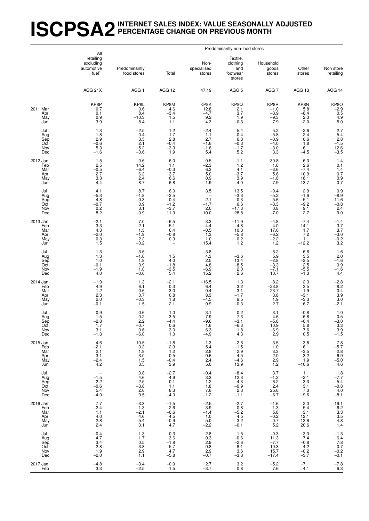### **ISCPSA2INTERNET SALES INDEX: VALUE SEASONALLY ADJUSTED PERCENTAGE CHANGE ON PREVIOUS MONTH**

|                                             |                                                                  |                                                  |                                                           |                                                      | Predominantly non-food stores                           |                                                        |                                                     |                                                                            |
|---------------------------------------------|------------------------------------------------------------------|--------------------------------------------------|-----------------------------------------------------------|------------------------------------------------------|---------------------------------------------------------|--------------------------------------------------------|-----------------------------------------------------|----------------------------------------------------------------------------|
|                                             | All<br>retailing<br>excluding<br>automotive<br>fuel <sup>1</sup> | Predominantly<br>food stores                     | Total                                                     | Non-<br>specialised<br>stores                        | Textile,<br>clothing<br>and<br>footwear<br>stores       | Household<br>goods<br>stores                           | Other<br>stores                                     | Non store<br>retailing                                                     |
|                                             | AGG 21X                                                          | AGG <sub>1</sub>                                 | AGG 12                                                    | 47.19                                                | AGG <sub>5</sub>                                        | AGG 7                                                  | AGG 13                                              | AGG 14                                                                     |
| 2011 Mar<br>Apr<br>May<br>Jun               | KP8P<br>0.7<br>0.1<br>$\frac{0.9}{3.9}$                          | KP8L<br>0.6<br>8.4<br>$-10.3$<br>8.4             | KP8M<br>4.6<br>$-3.4$<br>1.5<br>1.1                       | KP8K<br>12.8<br>$-4.7$<br>$\frac{9.2}{4.3}$          | KP8Q<br>2.1<br>3.7<br>1.9<br>$-0.3$                     | KP8R<br>$-1.0$<br>$-3.9$<br>$-9.3$<br>7.9              | KP8N<br>5.8<br>$-8.4$<br>2.3<br>$-2.0$              | KP8O<br>-2.9<br>0.5<br>$\frac{4.9}{5.0}$                                   |
| Jul<br>Aug<br>Sep<br>Oct<br>Nov<br>Dec      | 1.3<br>1.8<br>2.9<br>$-0.6$<br>5.3<br>$-1.6$                     | $^{-2.5}_{0.4}$<br>3.5<br>2.1<br>5.2<br>$-3.6$   | $1.2 - 1.7$<br>2.8<br>$-0.4$<br>$-3.3$<br>1.9             | $-2.4$<br>1.1<br>2.7<br>$-1.6$<br>$-1.6$<br>5.4      | 5.4<br>$-0.4$<br>6.8<br>$-0.3$<br>$-1.7$<br>5.2         | 5.2<br>$-5.8$<br>$-0.9$<br>$-4.0$<br>$-3.0$<br>3.3     | $^{-2.6}_{-2.4}$<br>0.6<br>1.8<br>$-6.1$<br>$-4.5$  | $2.7$<br>5.4<br>$2.8 - 1.5 - 1.5$<br>$-3.5$                                |
| 2012 Jan<br>Feb<br>Mar<br>Apr<br>May<br>Jun | 1.5<br>2.5<br>$-0.5$<br>2.7<br>3.3<br>$-4.4$                     | $-0.6$<br>14.2<br>$-6.4$<br>6.2<br>2.4<br>$-8.7$ | 6.0<br>1.1<br>$-0.3$<br>3.7<br>6.6<br>$-6.8$              | 0.5<br>$-2.3$<br>6.3<br>5.0<br>0.9<br>1.9            | $-1.1$<br>1.2<br>4.1<br>$-3.7$<br>3.9<br>$-4.0$         | 30.8<br>1.8<br>$-3.6$<br>5.8<br>$-1.8$<br>$-7.9$       | 6.3<br>2.6<br>$-7.4$<br>10.9<br>18.1<br>$-13.7$     | $-1.4$<br>0.1<br>$1.4$<br>0.7<br>0.9<br>$-0.7$                             |
| Jul<br>Aug<br>Sep<br>Oct<br>Nov<br>Dec      | 4.1<br>-5.3<br>4.8<br>$-0.7$<br>$0.2$<br>$8.2$                   | 8.7<br>$-1.8$<br>$-0.3$<br>0.9<br>3.1<br>$-0.9$  | 6.0<br>$-2.5$<br>$-0.4$<br>$-1.2$<br>$-3.7$<br>11.3       | 3.5<br>2.1<br>$-1.7$<br>2.0<br>10.0                  | 13.5<br>$-3.3$<br>$-0.3$<br>6.6<br>$-17.3$<br>28.8      | $-0.4$<br>$-5.2$<br>5.6<br>$-3.3$<br>0.8<br>$-7.0$     | 2.9<br>$-1.6$<br>$-5.1$<br>$-9.2$<br>9.1<br>2.7     | 0.9<br>$-8.9$<br>11.6<br>$-0.8$<br>$^{2.4}_{9.0}$                          |
| 2013 Jan<br>Feb<br>Mar<br>Apr<br>May<br>Jun | $-2.1$<br>3.3<br>4.3<br>$^{-2.0}_{0.3}$<br>1.5                   | 7.0<br>$-2.1$<br>1.3<br>$-1.9$<br>2.2<br>$-0.2$  | $-6.5$<br>5.1<br>6.4<br>$-0.8$<br>0.3                     | 3.3<br>$-4.4$<br>$-0.5$<br>1.3<br>1.0<br>15.4        | $-11.9$<br>4.8<br>10.3<br>$-5.8$<br>0.2<br>1.2          | $-4.8$<br>4.0<br>17.0<br>$-6.2$<br>$-2.2$<br>1.2       | $-7.4$<br>14.1<br>1.7<br>7.2<br>1.1<br>$-12.2$      | $-1.4$<br>3.7<br>3.7<br>$-3.0$<br>$-0.2$<br>$3.2$                          |
| Jul<br>Aug<br>Sep<br>Oct<br>Nov<br>Dec      | 1.3<br>1.3<br>1.0<br>$-0.1$<br>$-1.9$<br>4.0                     | 3.6<br>$-1.6$<br>1.9<br>0.9<br>1.0<br>$-0.6$     | 1.5<br>4.0<br>$-1.8$<br>$-3.5$<br>5.4                     | $-3.8$<br>4.3<br>2.5<br>4.8<br>$-6.9$<br>15.2        | $-3.6$<br>13.4<br>$-8.5$<br>2.0<br>2.6                  | $-6.2$<br>5.9<br>$-2.8$<br>$-3.3$<br>$-7.1$<br>10.7    | 6.6<br>3.5<br>$^{-2.5}_{-2.5}$<br>$-5.5$<br>$-1.3$  | 1.6<br>2.0<br>$^{-1.6}_{0.9}$<br>$-1.6$<br>4.4                             |
| 2014 Jan<br>Feb<br>Mar<br>Apr<br>May<br>Jun | $-1.9$<br>4.9<br>1.2<br>2.3<br>2.0<br>$-0.1$                     | 1.3<br>6.1<br>$-0.6$<br>0.7<br>$-0.3$<br>1.5     | $-2.1$<br>0.3<br>3.0<br>0.8<br>1.8<br>2.1                 | $-16.5$<br>6.4<br>$-0.4$<br>8.3<br>$-4.5$<br>0.9     | 1.3<br>3.2<br>3.1<br>$-1.7$<br>9.5<br>$-0.3$            | 8.2<br>$-23.8$<br>23.7<br>3.8<br>1.9<br>2.7            | 2.3<br>3.5<br>$-1.9$<br>$-3.1$<br>$-3.3$<br>6.7     | $-2.8$<br>8.2<br>0.4<br>3.9<br>3.0<br>$-2.1$                               |
| Jul<br>Aug<br>Sep<br>Oct<br>Nov<br>Dec      | 0.9<br>1.5<br>$-2.8$<br>1.7<br>3.1<br>$-1.3$                     | 0.6<br>0.2<br>2.2<br>$-0.7$<br>0.6<br>$-6.0$     | 1.0<br>3.5<br>-4.4<br>0.6<br>3.0<br>1.0                   | 3.1<br>7.9<br>-9.6<br>1.6<br>6.3<br>$-4.9$           | 0.2<br>7.3<br>-3.1<br>$-6.3$<br>1.8<br>4.3              | 3.1<br>4.6<br>$-5.8$<br>10.9<br>$-6.9$<br>2.9          | $-0.8$<br>$-6.8$<br>$-0.4$<br>5.8<br>7.6<br>0.5     | 1.0<br>0.5<br>$-3.0$<br>3.3<br>$3.9 - 1.5$                                 |
| 2015 Jan<br>Feb<br>Mar<br>Apr<br>May<br>Jun | 4.6<br>$-2.1$<br>2.1<br>3.1<br>$-2.4$<br>4.2                     | 10.5<br>0.2<br>1.9<br>$-3.0$<br>1.5<br>3.5       | $-1.8$<br>$2.\overline{3}$<br>1.2<br>0.5<br>$-0.4$<br>3.9 | $-1.3$<br>5.4<br>2.8<br>$-0.6$<br>2.4<br>5.0         | $-2.6$<br>$-1.5$<br>$\frac{2.9}{4.5}$<br>$-4.6$<br>13.9 | 3.5<br>1.0<br>3.3<br>$-2.0$<br>$\overline{2.9}$<br>1.2 | $-3.8$<br>6.1<br>$-3.5$<br>$-3.2$<br>1.9<br>$-10.6$ | $78 - 57$<br>$2.8$<br>$6.9$<br>$-5.0$<br>4.6                               |
| Jul<br>Aug<br>Sep<br>Oct<br>Nov<br>Dec      | $\qquad \qquad -$<br>$-1.5$<br>2.2<br>$-0.6$<br>5.4<br>$-4.0$    | 0.8<br>4.6<br>$-2.5$<br>$-3.8$<br>2.6<br>9.5     | $-2.7$<br>4.9<br>0.1<br>1.1<br>8.3<br>$-4.0$              | $-0.4$<br>3.3<br>$1.2$<br>1.8<br>7.6<br>$-1.2$       | $-8.4$<br>12.3<br>$-4.3$<br>$-0.9$<br>2.3<br>$-1.1$     | 3.7<br>$-1.2$<br>6.2<br>2.4<br>25.6<br>$-6.7$          | 1.1<br>$-2.1$<br>3.3<br>3.1<br>7.3<br>$-9.6$        | $\begin{array}{c} 1.8 \\ -7.7 \\ 5.4 \\ -0.8 \end{array}$<br>4.0<br>$-8.1$ |
| 2016 Jan<br>Feb<br>Mar<br>Apr<br>May<br>Jun | 7.7<br>$-2.4$<br>1.1<br>4.0<br>2.8<br>2.4                        | $-3.3$<br>$-1.3$<br>$-2.1$<br>4.6<br>5.4<br>0.1  | $-1.5$<br>2.6<br>$-0.6$<br>4.5<br>$-0.9$<br>4.7           | $\frac{-2.5}{3.9}$<br>$-1.4$<br>1.0<br>5.0<br>$-2.2$ | $-2.7$<br>0.8<br>-5.2<br>4.5<br>3.2<br>$-0.1$           | $-1.6$<br>1.3<br>5.8<br>$-0.2$<br>0.7<br>5.2           | 2.0<br>5.4<br>3.1<br>12.1<br>$-13.6$<br>20.6        | $19.1 - 6.2$<br>$3.3 - 3.3$<br>$3.5 - 4.8$<br>$1.4$                        |
| Jul<br>Aug<br>Sep<br>Oct<br>Nov<br>Dec      | $-0.4$<br>4.7<br>3.4<br>2.8<br>1.9<br>$-2.0$                     | 1.3<br>1.7<br>0.5<br>3.8<br>2.9<br>1.1           | 0.3<br>3.6<br>$-1.8$<br>5.7<br>4.7<br>$-5.8$              | 2.8<br>0.3<br>2.9<br>0.8<br>2.9<br>$-0.7$            | 1.5<br>$-0.6$<br>$-2.6$<br>8.1<br>3.6<br>$-3.8$         | $-0.3$<br>11.3<br>$-7.7$<br>10.3<br>15.7<br>$-17.4$    | $-3.3$<br>7.4<br>$-0.8$<br>$4.2 - 0.2$<br>$-3.7$    | $-1.3$<br>6.4<br>7.8<br>0.7<br>$-0.2$<br>$-0.1$                            |
| 2017 Jan<br>Feb                             | $-4.8$<br>3.3                                                    | $-3.4$<br>$-2.5$                                 | $-0.9$<br>1.5                                             | 2.7<br>$-3.7$                                        | 3.2<br>0.8                                              | $-5.2$<br>7.6                                          | $-7.1$<br>4.1                                       | $-7.8$<br>6.3                                                              |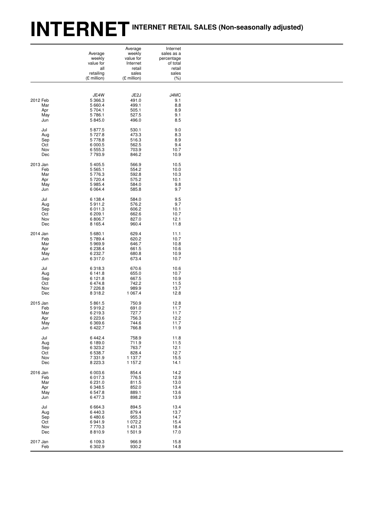# **INTERNETINTERNET RETAIL SALES (Non-seasonally adjusted)**

|            |                    | Average               | Internet           |  |
|------------|--------------------|-----------------------|--------------------|--|
|            | Average            | weekly                | sales as a         |  |
|            | weekly             | value for<br>Internet | percentage         |  |
|            | value for<br>all   | retail                | of total<br>retail |  |
|            | retailing          | sales                 | sales              |  |
|            | (£ million)        | (£ million)           | (% )               |  |
|            |                    |                       |                    |  |
|            |                    |                       |                    |  |
|            | JE4W               | JE2J                  | J4MC               |  |
| 2012 Feb   | 5 366.3            | 491.0                 | 9.1                |  |
| Mar        | 5 660.4            | 499.1                 | 8.8                |  |
| Apr        | 5 704.1            | 505.1                 | 8.9                |  |
| May        | 5786.1<br>5 845.0  | 527.5                 | 9.1<br>8.5         |  |
| Jun        |                    | 496.0                 |                    |  |
| Jul        | 5 877.5            | 530.1                 | 9.0                |  |
| Aug        | 5 7 2 7.8          | 473.3                 | 8.3                |  |
| Sep        | 5778.8             | 516.3                 | 8.9                |  |
| Oct        | 6 000.5            | 562.5                 | 9.4                |  |
| Nov        | 6 555.3            | 703.9                 | 10.7               |  |
| Dec        | 7793.9             | 846.2                 | 10.9               |  |
| 2013 Jan   | 5 4 0 5.5          | 566.9                 | 10.5               |  |
| Feb        | 5 5 6 5.1          | 554.2                 | 10.0               |  |
| Mar        | 5776.3             | 592.8                 | 10.3               |  |
| Apr        | 5 7 2 0.4          | 575.2                 | 10.1               |  |
| May        | 5 985.4            | 584.0                 | 9.8                |  |
| Jun        | 6 0 64.4           | 585.8                 | 9.7                |  |
|            |                    |                       |                    |  |
| Jul        | 6 138.4            | 584.0                 | 9.5                |  |
| Aug        | 5911.2             | 576.2                 | 9.7                |  |
| Sep        | 6 0 1 1 . 3        | 606.2                 | 10.1               |  |
| Oct        | 6 209.1            | 662.6                 | 10.7               |  |
| Nov        | 6 806.7            | 827.0                 | 12.1               |  |
| Dec        | 8 1 6 5.4          | 960.4                 | 11.8               |  |
| 2014 Jan   | 5 680.1            | 629.4                 | 11.1               |  |
| Feb        | 5 789.4            | 620.2                 | 10.7               |  |
| Mar        | 5 969.9            | 646.7                 | 10.8               |  |
| Apr        | 6 2 38.4           | 661.5                 | 10.6               |  |
| May        | 6 232.7            | 680.8                 | 10.9               |  |
| Jun        | 6317.0             | 673.4                 | 10.7               |  |
|            |                    |                       |                    |  |
| Jul        | 6318.3             | 670.6                 | 10.6               |  |
| Aug<br>Sep | 6 141.8<br>6 121.8 | 655.0<br>667.5        | 10.7<br>10.9       |  |
| Oct        | 6 474.8            | 742.2                 | 11.5               |  |
| Nov        | 7 2 2 6.8          | 989.9                 | 13.7               |  |
| Dec        | 8 3 1 8 . 2        | 1 0 6 7.4             | 12.8               |  |
|            |                    |                       |                    |  |
| 2015 Jan   | 5 861.5            | 750.9                 | 12.8               |  |
| Feb        | 5919.2             | 691.0                 | 11.7               |  |
| Mar        | 6 219.3            | 727.7                 | 11.7               |  |
| Apr        | 6 2 2 3.6          | 756.3                 | 12.2               |  |
| May        | 6 3 6 9 . 6        | 744.6                 | 11.7               |  |
| Jun        | 6 422.7            | 766.8                 | 11.9               |  |
| Jul        | 6 4 4 2.4          | 758.9                 | 11.8               |  |
| Aug        | 6 189.0            | 711.9                 | 11.5               |  |
| Sep        | 6 3 23.2           | 763.7                 | 12.1               |  |
| Oct        | 6 538.7            | 828.4                 | 12.7               |  |
| Nov        | 7 3 3 1 . 9        | 1 137.7               | 15.5               |  |
| Dec        | 8 2 2 3 . 3        | 1 157.2               | 14.1               |  |
|            |                    |                       |                    |  |
| 2016 Jan   | 6 003.6            | 854.4                 | 14.2               |  |
| Feb        | 6 017.3            | 776.5                 | 12.9               |  |
| Mar        | 6 2 3 1 . 0        | 811.5                 | 13.0               |  |
| Apr        | 6 348.5<br>6547.8  | 852.0<br>889.1        | 13.4<br>13.6       |  |
| May<br>Jun | 6 477.3            | 898.2                 | 13.9               |  |
|            |                    |                       |                    |  |
| Jul        | 6 6 6 4 . 3        | 894.5                 | 13.4               |  |
| Aug        | 6 4 4 0.3          | 879.4                 | 13.7               |  |
| Sep        | 6480.6             | 955.3                 | 14.7               |  |
| Oct        | 6941.9             | 1 072.2               | 15.4               |  |
| Nov        | 7770.3             | 1 4 3 1 . 3           | 18.4               |  |
| Dec        | 8810.9             | 1 501.9               | 17.0               |  |
| 2017 Jan   | 6 109.3            | 966.9                 | 15.8               |  |
| Feb        | 6 302.9            | 930.2                 | 14.8               |  |
|            |                    |                       |                    |  |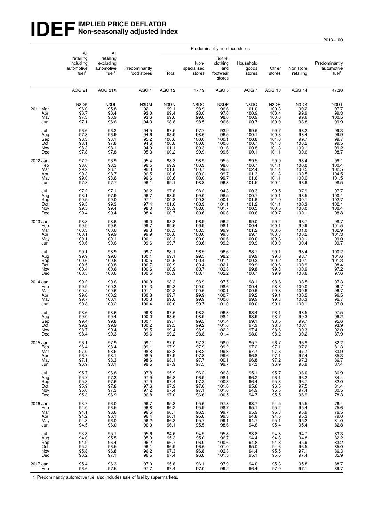### **IDEF** MPLIED PRICE DEFLATOR **Non-seasonally adjusted index**

2013=100

|                                             |                                                           | Predominantly non-food stores<br>All<br>All               |                                                    |                                                  |                                                  |                                                   |                                                     |                                                   |                                                     |                                                          |
|---------------------------------------------|-----------------------------------------------------------|-----------------------------------------------------------|----------------------------------------------------|--------------------------------------------------|--------------------------------------------------|---------------------------------------------------|-----------------------------------------------------|---------------------------------------------------|-----------------------------------------------------|----------------------------------------------------------|
|                                             | retailing<br>including<br>automotive<br>fuel <sup>1</sup> | retailing<br>excluding<br>automotive<br>fuel <sup>1</sup> | Predominantly<br>food stores                       | Total                                            | Non-<br>specialised<br>stores                    | Textile,<br>clothing<br>and<br>footwear<br>stores | Household<br>goods<br>stores                        | Other<br>stores                                   | Non store<br>retailing                              | Predominantly<br>automotive<br>fuel <sup>1</sup>         |
|                                             | AGG <sub>21</sub>                                         | AGG 21X                                                   | AGG <sub>1</sub>                                   | AGG 12                                           | 47.19                                            | AGG <sub>5</sub>                                  | AGG <sub>7</sub>                                    | AGG 13                                            | AGG 14                                              | 47.30                                                    |
| 2011 Mar<br>Apr<br>May<br>Jun               | N3DK<br>96.0<br>96.7<br>97.3<br>97.1                      | N3DL<br>95.8<br>96.4<br>96.9<br>96.6                      | N3DM<br>92.1<br>93.0<br>93.6<br>94.3               | N3DN<br>99.1<br>99.4<br>99.6<br>98.8             | N3DO<br>98.9<br>98.6<br>99.0<br>98.5             | N3DP<br>96.6<br>97.6<br>98.0<br>96.6              | N3DQ<br>101.0<br>100.9<br>100.9<br>100.7            | N3DR<br>100.3<br>100.4<br>100.6<br>100.0          | N3DS<br>99.2<br>99.9<br>99.6<br>98.8                | N3DT<br>97.7<br>$99.3$<br>$100.5$<br>$99.9$              |
| Jul<br>Aug<br>Sep<br>Oct<br>Nov<br>Dec      | 96.6<br>97.3<br>98.3<br>98.1<br>98.3<br>97.8              | 96.2<br>96.9<br>98.1<br>97.8<br>98.1<br>97.8              | 94.5<br>94.6<br>95.2<br>94.6<br>94.9<br>95.3       | 97.5<br>98.9<br>100.6<br>100.8<br>101.1<br>100.2 | 97.7<br>98.6<br>100.0<br>100.0<br>100.3<br>99.9  | 93.9<br>96.5<br>100.1<br>100.6<br>101.6<br>99.6   | 99.6<br>100.1<br>100.8<br>100.7<br>100.8<br>100.1   | 99.7<br>100.8<br>101.6<br>101.8<br>101.3<br>101.1 | 98.2<br>98.4<br>99.7<br>100.2<br>100.1<br>99.6      | 99.3<br>99.9<br>99.7<br>99.5<br>99.2<br>98.7             |
| 2012 Jan<br>Feb<br>Mar<br>Apr<br>May<br>Jun | 97.2<br>98.6<br>99.2<br>99.3<br>99.0<br>97.8              | 96.9<br>98.3<br>98.7<br>98.7<br>98.6<br>97.7              | 95.4<br>96.5<br>96.3<br>96.5<br>96.6<br>96.1       | 98.3<br>99.9<br>101.0<br>100.6<br>100.6<br>99.1  | 98.9<br>100.3<br>100.7<br>100.2<br>100.0<br>98.8 | 95.5<br>98.0<br>99.8<br>99.7<br>99.7<br>96.3      | 99.5<br>100.7<br>102.4<br>101.3<br>101.6<br>101.5   | 99.9<br>101.1<br>101.4<br>101.3<br>101.1<br>100.4 | 98.4<br>100.0<br>100.5<br>100.5<br>100.0<br>98.6    | 99.1<br>100.4<br>$102.5$<br>$104.5$<br>$101.5$<br>$98.5$ |
| Jul<br>Aug<br>Sep<br>Oct<br>Nov<br>Dec      | 97.2<br>98.1<br>99.5<br>99.5<br>99.5<br>99.4              | 97.1<br>97.9<br>99.0<br>99.3<br>99.4<br>99.4              | 96.2<br>96.7<br>97.1<br>97.4<br>98.0<br>98.4       | 97.8<br>98.9<br>100.8<br>101.0<br>100.9<br>100.7 | 98.2<br>99.0<br>100.3<br>100.3<br>100.6<br>100.6 | 94.3<br>96.5<br>100.1<br>101.1<br>101.7<br>100.8  | 100.3<br>100.7<br>101.6<br>101.2<br>100.5<br>100.6  | 99.5<br>100.1<br>101.0<br>101.1<br>100.5<br>100.7 | 97.9<br>98.5<br>100.1<br>100.3<br>100.0<br>100.1    | 97.7<br>100.1<br>102.7<br>102.1<br>100.4<br>98.8         |
| 2013 Jan<br>Feb<br>Mar<br>Apr<br>May<br>Jun | 98.8<br>99.9<br>100.3<br>100.1<br>100.1<br>99.6           | 98.6<br>99.6<br>100.0<br>99.9<br>100.1<br>99.6            | 99.0<br>99.7<br>99.3<br>99.9<br>100.1<br>99.6      | 98.3<br>99.5<br>100.5<br>100.0<br>100.3<br>99.7  | 98.9<br>99.9<br>100.5<br>100.0<br>100.0<br>99.6  | 96.2<br>98.1<br>99.9<br>99.8<br>100.6<br>99.2     | 99.0<br>100.4<br>101.2<br>99.7<br>100.0<br>99.9     | 99.2<br>100.1<br>100.6<br>100.3<br>100.3<br>100.0 | 98.7<br>99.9<br>101.0<br>100.2<br>100.1<br>99.4     | 98.7<br>101.5<br>102.9<br>101.3<br>99.0<br>99.7          |
| Jul<br>Aug<br>Sep<br>Oct<br>Nov<br>Dec      | 99.1<br>99.9<br>100.6<br>100.5<br>100.4<br>100.5          | 98.9<br>99.6<br>100.6<br>100.8<br>100.6<br>100.6          | 99.7<br>100.1<br>100.5<br>100.7<br>100.6<br>100.5  | 98.1<br>99.1<br>100.6<br>100.9<br>100.9<br>100.9 | 98.5<br>99.5<br>100.4<br>100.4<br>100.7<br>100.7 | 96.6<br>98.2<br>101.4<br>102.1<br>102.8<br>102.2  | 98.7<br>99.9<br>100.3<br>99.9<br>99.8<br>100.7      | 99.1<br>99.6<br>100.2<br>100.6<br>99.8<br>99.9    | 98.4<br>98.7<br>100.1<br>100.9<br>100.9<br>100.6    | 100.2<br>101.6<br>101.3<br>98.4<br>97.2<br>97.6          |
| 2014 Jan<br>Feb<br>Mar<br>Apr<br>May<br>Jun | 99.2<br>99.9<br>100.2<br>99.8<br>99.7<br>99.8             | 99.6<br>100.3<br>100.6<br>100.2<br>100.1<br>100.2         | 100.9<br>101.3<br>101.1<br>100.8<br>100.3<br>100.4 | 98.3<br>99.3<br>100.2<br>99.7<br>99.8<br>100.0   | 98.9<br>100.0<br>100.6<br>99.9<br>99.9<br>99.7   | 97.5<br>98.6<br>100.1<br>100.7<br>100.6<br>101.0  | 98.1<br>100.4<br>100.6<br>99.2<br>99.9<br>100.0     | 98.6<br>98.8<br>99.8<br>99.1<br>99.3<br>99.1      | $98.5$<br>100.0<br>100.6<br>100.2<br>100.3<br>100.1 | 97.3<br>96.7<br>96.7<br>96.5<br>96.7<br>97.0             |
| Jul<br>Aug<br>Sep<br>UCI<br>Nov<br>Dec      | 98.6<br>99.0<br>99.4<br>99.2<br>98.7<br>98.4              | 98.6<br>99.4<br>99.8<br>99.9<br>99.4<br>99.3              | 99.8<br>100.0<br>100.1<br>100.2<br>99.5<br>99.6    | 97.6<br>98.6<br>99.7<br>99.5<br>99.4<br>99.2     | 98.2<br>98.9<br>99.5<br>99.2<br>98.9<br>98.8     | 96.3<br>98.4<br>101.4<br>101.6<br>102.2<br>101.4  | 98.4<br>98.9<br>99.1<br>97.9<br>97.4<br>98.0        | 98.1<br>98.7<br>98.5<br>98.8<br>98.6<br>98.2      | 98.5<br>99.3<br>99.7<br>100.1<br>99.3<br>99.2       | 97.5<br>96.2<br>95.6<br>93.9<br>92.0<br>87.9             |
| 2015 Jan<br>Feb<br>Mar<br>Apr<br>May<br>Jun | 96.1<br>96.4<br>97.0<br>96.7<br>97.1<br>96.9              | 97.9<br>98.4<br>98.5<br>98.1<br>98.3<br>98.1              | 99.1<br>99.1<br>98.8<br>98.5<br>98.6<br>98.5       | 97.0<br>97.9<br>98.3<br>97.9<br>98.1<br>97.9     | 97.3<br>97.9<br>98.2<br>97.8<br>97.7<br>97.5     | 98.0<br>99.2<br>99.3<br>99.6<br>100.1<br>99.7     | 95.7<br>$\frac{97.2}{97.7}$<br>96.8<br>96.8<br>97.3 | 96.7<br>97.1<br>97.8<br>97.1<br>97.2<br>96.9      | 96.9<br>97.2<br>97.7<br>97.4<br>97.3<br>96.9        | 82.2<br>81.3<br>83.9<br>85.3<br>86.7<br>87.4             |
| Jul<br>Aug<br>Sep<br>Oct<br>Nov<br>Dec      | 95.7<br>95.7<br>95.8<br>95.9<br>95.6<br>95.3              | 96.8<br>97.3<br>97.6<br>97.8<br>97.3<br>96.9              | 97.8<br>97.9<br>97.9<br>97.6<br>97.2<br>96.8       | 95.9<br>96.8<br>97.4<br>97.9<br>97.4<br>97.0     | 96.2<br>96.9<br>97.2<br>97.6<br>97.1<br>96.6     | 96.8<br>98.1<br>100.3<br>101.6<br>101.6<br>100.5  | 95.1<br>96.2<br>96.4<br>95.6<br>94.9<br>94.7        | 95.7<br>96.1<br>95.8<br>96.5<br>95.5<br>95.5      | 96.0<br>96.2<br>96.7<br>97.5<br>97.4<br>96.9        | 86.9<br>84.4<br>82.0<br>81.4<br>80.5<br>78.3             |
| 2016 Jan<br>Feb<br>Mar<br>Apr<br>May<br>Jun | 93.7<br>94.0<br>94.1<br>94.2<br>94.3<br>94.5              | 96.0<br>96.5<br>96.6<br>96.1<br>96.0<br>96.0              | 96.7<br>96.8<br>96.5<br>96.4<br>96.2<br>96.0       | 95.3<br>96.2<br>96.7<br>96.1<br>96.3<br>96.1     | 95.6<br>95.9<br>96.3<br>95.8<br>95.7<br>95.5     | 97.8<br>98.7<br>99.7<br>99.3<br>99.1<br>98.6      | 93.7<br>95.1<br>95.9<br>94.8<br>94.7<br>94.6        | 94.5<br>95.2<br>95.3<br>94.5<br>95.1<br>95.4      | 95.5<br>95.4<br>95.9<br>95.3<br>95.2<br>95.4        | 76.4<br>75.6<br>76.5<br>79.0<br>81.0<br>82.8             |
| Jul<br>Aug<br>Sep<br>Oct<br>Nov<br>Dec      | 93.8<br>94.0<br>94.9<br>95.2<br>95.8<br>96.2              | 95.1<br>95.5<br>96.4<br>96.5<br>96.8<br>97.1              | 95.6<br>95.9<br>96.2<br>96.1<br>96.2<br>96.5       | 94.6<br>95.3<br>96.7<br>96.9<br>97.3<br>97.4     | 94.5<br>95.0<br>96.0<br>96.6<br>96.8<br>96.8     | 95.8<br>96.7<br>100.6<br>101.0<br>102.3<br>101.5  | 93.8<br>94.4<br>94.8<br>95.0<br>94.4<br>95.1        | 94.3<br>94.8<br>94.8<br>94.6<br>95.5<br>95.6      | 94.7<br>94.8<br>95.9<br>96.5<br>97.1<br>97.4        | 83.3<br>82.2<br>83.2<br>85.0<br>86.3<br>85.9             |
| 2017 Jan<br>Feb                             | 95.4<br>96.6                                              | 96.3<br>97.5                                              | 97.0<br>97.7                                       | 95.8<br>97.4                                     | 96.1<br>97.0                                     | 97.9<br>99.2                                      | 94.0<br>96.4                                        | 95.3<br>97.0                                      | 95.8<br>97.1                                        | 88.7<br>89.7                                             |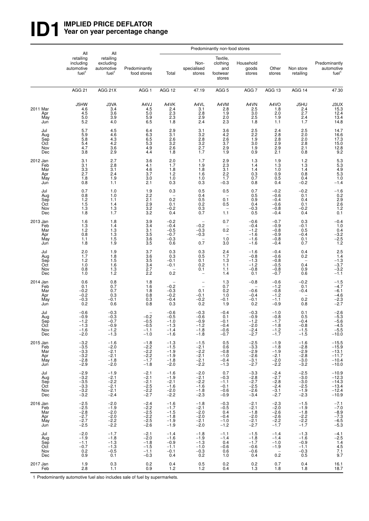### **ID1** WPLIED PRICE DEFLATOR<br>
Year on year percentage ch **Year on year percentage change**

|                                             | All                                                                 | All                                                       |                                                                     |                                                          |                                                                 | Predominantly non-food stores                         |                                                                     |                                                                                |                                                                     |                                                                      |
|---------------------------------------------|---------------------------------------------------------------------|-----------------------------------------------------------|---------------------------------------------------------------------|----------------------------------------------------------|-----------------------------------------------------------------|-------------------------------------------------------|---------------------------------------------------------------------|--------------------------------------------------------------------------------|---------------------------------------------------------------------|----------------------------------------------------------------------|
|                                             | retailing<br>including<br>automotive<br>fuel <sup>1</sup>           | retailing<br>excluding<br>automotive<br>fuel <sup>1</sup> | Predominantly<br>food stores                                        | Total                                                    | Non-<br>specialised<br>stores                                   | Textile,<br>clothing<br>and<br>footwear<br>stores     | Household<br>goods<br>stores                                        | Other<br>stores                                                                | Non store<br>retailing                                              | Predominantly<br>automotive<br>fuel <sup>1</sup>                     |
|                                             | <b>AGG 21</b>                                                       | AGG 21X                                                   | AGG <sub>1</sub>                                                    | AGG 12                                                   | 47.19                                                           | AGG <sub>5</sub>                                      | AGG <sub>7</sub>                                                    | AGG 13                                                                         | AGG 14                                                              | 47.30                                                                |
| 2011 Mar<br>Apr<br>May<br>Jun               | J5HW<br>4.6<br>4.5<br>5.0<br>5.2                                    | J3VA<br>3.4<br>3.6<br>3.9<br>4.0                          | A4VJ<br>4.5<br>5.0<br>5.9<br>6.5                                    | A4VK<br>2.4<br>2.3<br>2.3<br>1.8                         | A4VL<br>3.1<br>2.8<br>2.9<br>2.4                                | A4VM<br>2.8<br>1.9<br>2.0<br>2.3                      | A4VN<br>2.5<br>3.0<br>2.5<br>1.8                                    | A4VO<br>1.8<br>2.0<br>1.9<br>1.1                                               | J5HU<br>2.4<br>2.7<br>$^{2.4}_{1.7}$                                | J3UX<br>15.3<br>$12.4$<br>$13.4$<br>$14.8$                           |
| Jul<br>Aug<br>Sep<br>Oct<br>Nov<br>Dec      | 5.7<br>5.9<br>5.8<br>5.4<br>4.7<br>3.8                              | 4.5<br>4.6<br>$\frac{4.3}{4.2}$<br>3.6<br>2.9             | 6.4<br>6.3<br>6.5<br>5.3<br>4.9<br>4.4                              | 2.9<br>3.1<br>$2.6$<br>$3.2$<br>$2.6$<br>1.8             | 3.1<br>3.2<br>2.8<br>$\frac{3.2}{2.7}$<br>1.7                   | 3.6<br>4.2<br>2.6<br>3.7<br>2.9<br>1.9                | $^{2.5}_{2.2}$<br>1.9<br>3.0<br>1.9<br>0.9                          | 2.4<br>2.8<br>$2.8$<br>$2.9$<br>$2.9$<br>2.1                                   | 2.5<br>2.0<br>2.0<br>2.8<br>2.1<br>0.8                              | 14.7<br>16.6<br>17.3<br>15.0<br>12.8<br>9.2                          |
| 2012 Jan<br>Feb<br>Mar<br>Apr<br>May<br>Jun | 3.1<br>3.1<br>$\frac{3.3}{2.7}$<br>1.8<br>0.8                       | 2.7<br>2.8<br>3.1<br>2.4<br>1.9<br>1.1                    | 3.6<br>4.1<br>4.6<br>3.7<br>3.0<br>2.1                              | 2.0<br>1.7<br>1.8<br>$1.\overline{2}$<br>1.0<br>0.3      | 1.7<br>1.9<br>1.8<br>1.6<br>1.0<br>0.3                          | 2.9<br>2.3<br>3.1<br>2.2<br>1.7<br>$-0.3$             | 1.3<br>1.4<br>1.4<br>0.3<br>0.7<br>0.8                              | 1.9<br>1.3<br>1.0<br>$0.\overline{9}$<br>0.5<br>0.4                            | 1.2<br>1.3<br>1.4<br>0.8<br>0.4<br>$-0.2$                           | 5.3<br>5.3<br>4.9<br>5.3<br>1.0<br>$-1.4$                            |
| Jul<br>Aug<br>Sep<br>Oct<br>Nov<br>Dec      | 0.7<br>$0.8$<br>1.2<br>1.5<br>1.3<br>1.8                            | 1.0<br>1.0<br>1.1<br>1.4<br>1.3<br>1.7                    | 1.9<br>2.2<br>2.1<br>2.9<br>3.2<br>3.2                              | 0.3<br>0.2<br>0.1<br>$-0.2$<br>0.4                       | 0.5<br>0.4<br>0.5<br>0.2<br>0.3<br>0.7                          | 0.5<br>0.1<br>0.5<br>1.1                              | 0.7<br>0.5<br>0.9<br>0.4<br>$-0.3$<br>0.5                           | $-0.2$<br>$-0.6$<br>$-0.4$<br>$-0.6$<br>$-0.8$<br>$-0.4$                       | $-0.2$<br>0.1<br>0.4<br>0.1<br>$-0.2$<br>0.4                        | $-1.6$<br>0.2<br>2.9<br>2.6<br>2.6<br>1.2<br>0.1                     |
| 2013 Jan<br>Feb<br>Mar<br>Apr<br>May<br>Jun | 1.6<br>1.3<br>1.2<br>0.8<br>1.1<br>1.8                              | 1.8<br>1.4<br>1.3<br>1.3<br>1.5<br>1.9                    | 3.9<br>3.4<br>3.1<br>3.5<br>3.6<br>3.5                              | $-0.2$<br>$-0.4$<br>$-0.5$<br>$-0.7$<br>$-0.3$<br>0.6    | $-0.2$<br>$-0.3$<br>$-0.3$<br>0.7                               | 0.7<br>$\qquad \qquad -$<br>$0.2\,$<br>1.0<br>3.0     | $-0.6$<br>$-0.4$<br>$-1.2$<br>$-1.6$<br>$-1.6$<br>$-1.6$            | $-0.7$<br>$-0.9$<br>$-0.8$<br>$-0.9$<br>$-0.8$<br>$-0.4$                       | $0.3 - 0.1$<br>0.5<br>$-0.4$<br>0.1<br>0.7                          | $-0.4$<br>1.0<br>$-3.2$<br>$-2.5$<br>1.2                             |
| Jul<br>Aug<br>Sep<br>Oct<br>Nov<br>Dec      | 2.0<br>1.7<br>1.2<br>1.0<br>0.8<br>1.0                              | 1.9<br>1.8<br>1.5<br>1.6<br>1.3<br>1.2                    | 3.7<br>3.6<br>3.5<br>3.4<br>2.7<br>2.2                              | 0.3<br>0.3<br>$-0.1$<br>$-0.1$<br>0.2                    | 0.3<br>0.5<br>0.1<br>0.2<br>0.1<br>$\overline{\phantom{a}}$     | 2.4<br>1.7<br>1.3<br>1.1<br>1.1<br>1.4                | $-1.6$<br>$-0.8$<br>$-1.3$<br>$-1.2$<br>$-0.8$<br>0.1               | $-0.4$<br>$-0.6$<br>$-0.8$<br>$-0.5$<br>$-0.8$<br>$-0.7$                       | 0.4<br>0.2<br>0.4<br>0.9<br>0.6                                     | 2.5<br>$1.4 - 1.3 - 3.7$<br>$-3.2$<br>$-1.1$                         |
| 2014 Jan<br>Feb<br>Mar<br>Apr<br>May<br>Jun | 0.6<br>0.1<br>$-0.2$<br>$-0.2$<br>$-0.3$<br>0.2                     | 0.8<br>0.7<br>0.7<br>0.3<br>$-0.1$<br>0.6                 | 1.8<br>1.6<br>1.8<br>0.8<br>0.3<br>0.8                              | $-0.2$<br>$-0.3$<br>$-0.2$<br>$-0.4$<br>0.3              | -<br>$\overline{\phantom{a}}$<br>0.1<br>$-0.1$<br>$-0.2$<br>0.2 | 1.3<br>0.7<br>0.2<br>1.0<br>$-0.1$<br>1.9             | $-0.8$<br>$-0.6$<br>$-0.4$<br>$-0.1$<br>0.2                         | $-0.6$<br>$-1.2$<br>$-0.8$<br>$-1.2$<br>$-1.1$<br>$-0.9$                       | $-0.2$<br>0.1<br>$-0.4$<br>0.2<br>0.8                               | $-1.5$<br>$-4.7$<br>$-6.1$<br>$-4.6$<br>$-2.3$<br>$-2.7$             |
| Jul<br>Aug<br>Sep<br>Oct<br>Nov<br>Dec      | $-0.6$<br>$-0.9$<br>$-1.2$<br>$-1.3$<br>$-1.6$<br>$-2.0$            | $-0.3$<br>$-0.3$<br>$-0.7$<br>$-0.9$<br>$-1.2$<br>$-1.3$  | $-0.2$<br>$-0.5$<br>$-0.5$<br>$-1.1$<br>$-1.0$                      | $-0.6$<br>$-0.5$<br>$-1.0$<br>$-1.3$<br>$-1.4$<br>$-1.6$ | $-0.3$<br>$-0.6$<br>$-0.9$<br>$-1.2$<br>$-1.8$<br>$-1.8$        | $-0.4$<br>0.1<br>$-0.1$<br>$-0.4$<br>$-0.6$<br>$-0.7$ | $-0.3$<br>$-0.9$<br>$-1.2$<br>$-2.0$<br>$-2.4$<br>$-2.7$            | $-1.0$<br>$-0.8$<br>$-1.7$<br>$-1.8$<br>$-1.2$<br>$-1.7$                       | 0.1<br>0.5<br>$-0.4$<br>$-0.8$<br>$-1.5$<br>$-1.5$                  | $-2.6$<br>$-5.3$<br>$-5.6$<br>$-4.5$<br>$-5.\overline{5}$<br>$-10.0$ |
| 2015 Jan<br>Feb<br>Mar<br>Apr<br>May<br>Jun | $-3.2$<br>$-3.5$<br>$-3.3$<br>$-3.\overline{2}$<br>$-2.8$<br>$-2.9$ | $-1.6$<br>$-2.0$<br>$-2.1$<br>$-2.1$<br>$-1.8$<br>$-2.0$  | $-1.8$<br>$-2.2$<br>$-2.2$<br>$-2.2$<br>$-1.7$<br>$-1.8$            | $-1.3$<br>$-1.5$<br>$-1.9$<br>$-1.9$<br>$-1.8$<br>$-2.0$ | $-1.5$<br>$-2.1$<br>$-2.2$<br>$-2.1$<br>$-2.1$<br>$-2.2$        | 0.5<br>0.6<br>$-0.8$<br>$-1.0$<br>$-0.4$<br>$-1.3$    | $-2.5$<br>$-3.3$<br>$-2.9$<br>$-2.6$<br>$-3.1$<br>$-2.7$            | $-1.9$<br>$-1.8$<br>$-1.9$<br>$-2.1$<br>$-2.0$<br>$-2.2$                       | $-1.6$<br>$-2.8$<br>$-2.9$<br>$-2.8$<br>$-3.0$<br>$-3.2$            | $-15.5$<br>$-15.9$<br>$-13.1 - 11.7$<br>$-10.4$<br>$-10.0$           |
| Jul<br>Aug<br>Sep<br>Oct<br>Nov<br>Dec      | $-2.9$<br>$-3.2$<br>$-3.5$<br>$-3.3$<br>$-3.2$<br>$-3.2$            | $-1.9$<br>$-2.1$<br>$-2.2$<br>$-2.1$<br>$-2.1$<br>$-2.4$  | $-2.1$<br>$-2.1$<br>$-2.1$<br>$-2.5$<br>-2.2<br>$-2.7$              | $-1.6$<br>$-1.9$<br>$-2.1$<br>$-1.6$<br>$-2.0$<br>$-2.2$ | $-2.0$<br>$-2.1$<br>$-2.2$<br>$-1.6$<br>$-1.8$<br>$-2.3$        | 0.7<br>$-0.3$<br>$-1.1$<br>$-0.1$<br>$-0.6$<br>$-0.9$ | $-3.3$<br>$-2.8$<br>$-\overline{2.7}$<br>$-2.5$<br>$-2.6$<br>$-3.4$ | $-2.4$<br>$-2.7$<br>$-2.8$<br>$-2.4$<br>$-3.1$<br>$-2.7$                       | $-2.5$<br>$-3.0$<br>$-3.0$<br>$-2.5$<br>$-1.9$<br>$-2.3$            | $-10.9$<br>$-12.3$<br>$-14.3$<br>$-13.4$<br>$-12.4$<br>$-10.9$       |
| 2016 Jan<br>Feb<br>Mar<br>Apr<br>May<br>Jun | $-2.5$<br>$-2.5$<br>$-2.8$<br>$-2.7$<br>$-2.7$<br>$-2.5$            | $-2.0$<br>$-1.9$<br>$-2.0$<br>$-2.0$<br>$-2.2$<br>$-2.2$  | $-2.4$<br>$-\overline{2.2}$<br>$-2.5$<br>$-2.2$<br>$-2.5$<br>$-2.6$ | $-1.6$<br>$-1.7$<br>$-1.5$<br>$-1.8$<br>$-1.9$<br>$-1.9$ | $-1.8$<br>$-2.1$<br>$-2.0$<br>$-2.0$<br>$-2.1$<br>$-2.0$        | $-0.3$<br>$-0.5$<br>0.4<br>$-0.4$<br>$-1.0$<br>$-1.2$ | $-2.1$<br>$-\overline{2.1}$<br>$-1.8$<br>$-2.0$<br>$-2.1$<br>$-2.7$ | $-2.3$<br>$-2.0$<br>$-2.6$<br>$-2.6$<br>$-2.2$<br>$-1.7$                       | $-1.5$<br>$-1.9$<br>$-1.8$<br>$-2.2$<br>$-\overline{2.2}$<br>$-1.7$ | $-7.1$<br>$-7.0$<br>$-8.9$<br>$-7.3$<br>$-6.5$<br>$-5.3$             |
| Jul<br>Aug<br>Sep<br>Oct<br>Nov<br>Dec      | $-2.0$<br>$-1.9$<br>$-1.1$<br>$-0.7$<br>0.2<br>0.9                  | $-1.7$<br>$-1.8$<br>$-1.3$<br>$-1.3$<br>$-0.5$<br>0.1     | $-2.1$<br>$-2.0$<br>$-1.8$<br>$-1.5$<br>$-1.1$<br>$-0.3$            | $-1.4$<br>$-1.6$<br>$-0.9$<br>$-1.1$<br>$-0.1$<br>0.4    | $-1.8$<br>$-1.9$<br>$-1.3$<br>$-1.0$<br>$-0.3$<br>0.2           | $-1.1$<br>$-1.4$<br>0.4<br>$-0.6$<br>0.6<br>1.0       | $-1.5$<br>$-1.8$<br>$-1.7$<br>$-0.6$<br>$-0.6$<br>0.4               | $-1.4$<br>$-1.4$<br>$-1.0$<br>$-1.9$<br>$\hspace{0.1mm}-\hspace{0.1mm}$<br>0.2 | $-1.3$<br>$-1.6$<br>$-0.9$<br>$-1.1$<br>$-0.3$<br>0.5               | $-4.1$<br>$-2.5$<br>$1.4$<br>$4.5$<br>$7.1$<br>9.7                   |
| 2017 Jan<br>Feb                             | 1.9<br>2.8                                                          | 0.3<br>1.1                                                | 0.2<br>0.9                                                          | 0.4<br>$1.2$                                             | 0.5<br>1.2                                                      | 0.2<br>0.4                                            | 0.2<br>1.3                                                          | 0.7<br>1.8                                                                     | 0.4<br>1.8                                                          | 16.1<br>18.7                                                         |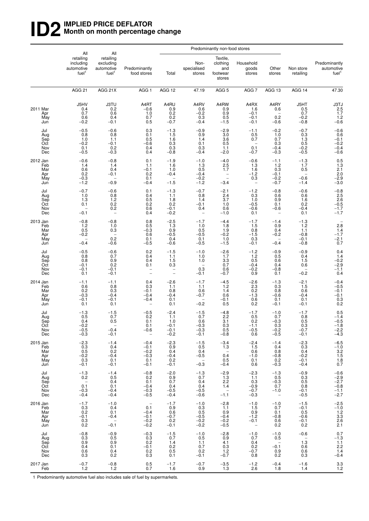## **ID2IMPLIED PRICE DEFLATOR Month on month percentage change**

|                                               | All                                                                            |                                                                   |                                                                                |                                                              |                                                                      | Predominantly non-food stores                                         |                                                                                |                                                                      |                                                    |                                                          |
|-----------------------------------------------|--------------------------------------------------------------------------------|-------------------------------------------------------------------|--------------------------------------------------------------------------------|--------------------------------------------------------------|----------------------------------------------------------------------|-----------------------------------------------------------------------|--------------------------------------------------------------------------------|----------------------------------------------------------------------|----------------------------------------------------|----------------------------------------------------------|
|                                               | retailing<br>including<br>automotive<br>fuel <sup>1</sup><br>AGG <sub>21</sub> | All<br>retailing<br>excluding<br>automotive<br>fuel <sup>1</sup>  | Predominantly<br>food stores                                                   | Total                                                        | Non-<br>specialised<br>stores                                        | Textile,<br>clothing<br>and<br>footwear<br>stores                     | Household<br>goods<br>stores                                                   | Other<br>stores                                                      | Non store<br>retailing                             | Predominantly<br>automotive<br>fuel <sup>1</sup>         |
|                                               |                                                                                | AGG 21X                                                           | AGG <sub>1</sub>                                                               | AGG 12                                                       | 47.19                                                                | AGG <sub>5</sub>                                                      | AGG7                                                                           | AGG 13                                                               | AGG 14                                             | 47.30                                                    |
| 2011 Mar<br>Apr<br>May<br>Jun                 | J5HV<br>0.4<br>0.7<br>0.6<br>$-0.2$                                            | <b>J3TU</b><br>0.2<br>0.6<br>0.4<br>$-0.1$                        | A4RT<br>$-0.6$<br>1.0<br>0.7<br>0.5                                            | A4RU<br>0.9<br>0.2<br>$0.2 - 0.7$                            | A4RV<br>0.6<br>$-0.2$<br>0.3<br>$-0.4$                               | A4RW<br>0.9<br>0.9<br>0.5<br>$-1.5$                                   | A4RX<br>1.6<br>$-0.1$<br>$-0.1$<br>$-0.1$                                      | A4RY<br>0.6<br>0.2<br>$-0.6$                                         | J5HT<br>0.5<br>0.7<br>$-0.2$<br>$-0.8$             | J3TJ<br>2.5<br>1.7<br>1.2<br>$-0.6$                      |
| Jul<br>Aug<br>Sep<br>Oct<br>Nov<br>Dec        | $-0.5$<br>0.8<br>1.0<br>$-0.2$<br>0.1<br>$-0.5$                                | $-0.6$<br>0.8<br>1.1<br>$-0.1$<br>0.2<br>$-0.3$                   | 0.3<br>0.1<br>0.5<br>$-0.6$<br>0.4<br>0.4                                      | $-1.3$<br>1.5<br>1.6<br>0.3<br>0.3<br>$-0.8$                 | $-0.9$<br>0.9<br>1.4<br>0.1<br>0.3<br>$-0.4$                         | $-2.9$<br>3.0<br>3.6<br>0.5<br>1.1<br>$-2.0$                          | $-1.1$<br>0.5<br>$0.7\,$<br>0.1<br>$-0.7$                                      | $-0.2$<br>1.0<br>0.7<br>0.3<br>$-0.4$<br>$-0.3$                      | $-0.7$<br>0.3<br>1.3<br>0.5<br>$-0.2$<br>$-0.5$    | $^{-0.6}_{0.6}$<br>$-0.1$<br>$-0.2$<br>$-0.4$<br>$-0.6$  |
| 2012 Jan<br>Feb<br>Mar<br>Apr<br>May<br>Jun   | $-0.6$<br>1.4<br>0.6<br>0.2<br>$-0.3$<br>$-1.2$                                | $-0.8$<br>1.4<br>0.4<br>$-0.1$<br>$-0.9$                          | 0.1<br>1.1<br>$-0.1$<br>0.2<br>0.1<br>$-0.4$                                   | $-1.9$<br>1.6<br>1.0<br>$-0.4$<br>-<br>$-1.5$                | $-1.0$<br>1.3<br>0.5<br>$-0.4$<br>$-0.2$<br>$-1.2$                   | $-4.0$<br>2.5<br>1.7<br>$\qquad \qquad -$<br>$\overline{a}$<br>$-3.4$ | $-0.6$<br>1.3<br>1.6<br>$-1.2$<br>0.3<br>$\qquad \qquad -$                     | $-1.1$<br>1.2<br>0.3<br>$-0.1$<br>$-0.2$<br>$-0.7$                   | $-1.3$<br>1.7<br>0.5<br>$-0.6$<br>$-1.4$           | $0.5$<br>$1.3$<br>$2.1$<br>$2.0$<br>$-2.9$<br>$-3.0$     |
| Jul<br>Aug<br>Sep<br>Oct<br>Nov<br>Dec        | $-0.7$<br>1.0<br>1.3<br>0.1<br>$-0.1$                                          | $-0.6$<br>0.8<br>1.2<br>0.2<br>0.2                                | 0.1<br>0.4<br>0.5<br>0.2<br>0.6<br>0.4                                         | $-1.3$<br>1.1<br>1.8<br>0.2<br>$-0.1$<br>$-0.2$              | $-0.7$<br>0.8<br>1.4<br>$-0.1$<br>0.4<br>$\qquad \qquad -$           | $-2.1$<br>2.4<br>3.7<br>1.0<br>0.6<br>$-1.0$                          | $-1.2$<br>0.3<br>1.0<br>$-0.5$<br>$-0.6$<br>0.1                                | $-0.8$<br>0.6<br>0.9<br>0.1<br>$-0.6$<br>$\qquad \qquad -$           | $-0.6$<br>0.6<br>1.6<br>0.2<br>$-0.4$<br>0.1       | $-0.8$<br>2.5<br>2.6<br>-0.5<br>-1.7<br>-1.7             |
| 2013 Jan<br>Feb<br>Mar<br>Apr<br>May<br>Jun   | $-0.8$<br>1.2<br>0.5<br>$-0.2$<br>$-0.4$                                       | $-0.8$<br>1.0<br>0.3<br>$\overline{\phantom{a}}$<br>0.2<br>$-0.6$ | 0.8<br>0.5<br>$-0.3$<br>0.6<br>0.1<br>$-0.5$                                   | $-2.5$<br>$1.\overline{3}$<br>0.9<br>$-0.5$<br>0.4<br>$-0.6$ | $-1.7$<br>1.0<br>0.5<br>$-0.5$<br>0.1<br>$-0.5$                      | $-4.4$<br>1.8<br>1.9<br>$-0.2$<br>1.0<br>$-1.5$                       | $-1.7$<br>1.5<br>0.8<br>$-1.5$<br>0.3<br>$-0.1$                                | $-1.4$<br>0.9<br>0.4<br>$-0.2$<br>$-0.4$                             | $-1.3$<br>1.2<br>1.1<br>$-0.8$<br>$-0.1$<br>$-0.8$ | 2.8<br>$1.4 - 1.7 - 2.1 - 2.1$<br>0.7                    |
| Jul<br>Aug<br>Sep<br>Oct<br>Nov<br>Dec        | $-0.5$<br>0.8<br>0.8<br>$-0.1$<br>$-0.1$<br>0.1                                | $-0.6$<br>0.7<br>0.9<br>0.2<br>$-0.1$<br>$-0.1$                   | 0.2<br>0.4<br>0.4<br>0.1<br>$\overline{\phantom{a}}$                           | $-1.5$<br>1.1<br>1.5<br>0.3<br>$\overline{a}$                | $-1.0$<br>1.0<br>1.0<br>0.3<br>$-0.1$                                | $-2.6$<br>1.7<br>3.3<br>0.7<br>0.6<br>$-0.7$                          | $-1.2$<br>$\begin{array}{c} 1.2 \\ 0.5 \end{array}$<br>$-0.4$<br>$-0.2$<br>0.9 | $-0.9$<br>0.5<br>0.6<br>0.4<br>$-0.8$<br>0.1                         | $-0.9$<br>0.4<br>1.5<br>0.6<br>$-0.2$              | 0.4<br>$1.4 - 0.2 - 2.9$<br>$-1.1$<br>0.4                |
| 2014 Jan<br>Feb<br>Mar<br>Apr<br>May<br>Jun   | $-1.1$<br>0.6<br>0.2<br>$-0.3$<br>$-0.1$<br>0.1                                | $-1.1$<br>0.8<br>0.3<br>$-0.4$<br>$-0.1$<br>0.1                   | 0.4<br>0.3<br>$-0.1$<br>$-0.4$<br>$-0.4$                                       | $-2.6$<br>1.1<br>0.8<br>$-0.4$<br>0.1<br>0.1                 | $-1.7$<br>1.1<br>0.6<br>$-0.7$<br>$\overline{\phantom{a}}$<br>$-0.2$ | $-4.5$<br>1.2<br>1.4<br>0.6<br>$-0.1$<br>0.5                          | $^{-2.6}_{-2.3}$<br>0.2<br>$-1.3$<br>0.6<br>0.2                                | $-1.3$<br>0.3<br>0.8<br>$-0.6$<br>0.1<br>$-0.1$                      | $-2.1$<br>1.5<br>0.6<br>$-0.4$<br>0.1<br>$-0.1$    | $-0.4$<br>$-0.5$<br>$-0.1$<br>$-0.1$<br>$0.3$<br>$0.2$   |
| Jul<br>Aug<br>Sep<br><b>OCI</b><br>Nov<br>Dec | $-1.3$<br>0.5<br>0.4<br>$-0.2$<br>$-0.5$<br>$-0.3$                             | $-1.5$<br>0.7<br>0.5<br>$-0.4$<br>$-0.1$                          | $-0.5$<br>0.2<br>0.1<br>0.1<br>$-0.6$<br>$\overline{\phantom{m}}$              | $-2.4$<br>1.1<br>1.0<br>$-0.1$<br>$-0.1$<br>$-0.2$           | $-1.5$<br>0.7<br>0.6<br>$-0.3$<br>$-0.3$<br>$-0.1$                   | $-4.8$<br>2.2<br>3.1<br>0.3<br>0.5<br>$-0.8$                          | $-1.7$<br>0.5<br>0.2<br>$-1.1$<br>$-0.5$<br>0.6                                | $-1.0$<br>0.7<br>$-0.3$<br>U.3<br>$-0.2$<br>$-0.5$                   | $-1.7$<br>0.8<br>0.5<br>- 0.3<br>$-0.7$<br>$-0.1$  | $0.5 - 1.4$<br>$-0.5$<br>$-1.8$<br>$-2.2$<br>$-4.3$      |
| 2015 Jan<br>Feb<br>Mar<br>Apr<br>May<br>Jun   | $-2.3$<br>0.3<br>0.5<br>$-0.2$<br>0.3<br>$-0.1$                                | $-1.4$<br>0.4<br>0.2<br>$-0.4$<br>0.1<br>$-0.1$                   | $-0.4$<br>$-0.1$<br>$-0.2$<br>$-0.3$<br>0.1<br>$-0.1$                          | $-2.3$<br>0.9<br>0.4<br>$-0.4$<br>0.2<br>$-0.1$              | $-1.5$<br>0.5<br>0.4<br>$-0.5$<br>$-$<br>$-0.3$                      | $-3.4$<br>1.3<br>$\overline{\phantom{0}}$<br>0.4<br>0.5<br>$-0.4$     | $-2.4$<br>1.5<br>0.6<br>$-1.0$<br>0.1<br>0.6                                   | $-1.4$<br>0.4<br>0.8<br>$-0.8$<br>0.2<br>$-0.3$                      | $-2.3$<br>0.3<br>0.4<br>$-0.2$<br>$-0.1$<br>$-0.4$ | $-6.5$<br>$-1.0$<br>$3.2$<br>$1.5$<br>$1.8$<br>0.7       |
| Jul<br>Aug<br>Sep<br>Oct<br>Nov<br>Dec        | $-1.3$<br>0.2<br>$\overline{\phantom{0}}$<br>0.1<br>$-0.3$<br>$-0.4$           | $-1.4$<br>0.5<br>0.4<br>0.1<br>$-0.4$<br>$-0.4$                   | $-0.8$<br>0.2<br>0.1<br>$-0.4$<br>$-0.3$<br>$-0.5$                             | $-2.0$<br>0.9<br>0.7<br>0.4<br>$-0.5$<br>$-0.4$              | $-1.3$<br>0.7<br>0.4<br>0.4<br>$-0.5$<br>$-0.6$                      | $-2.9$<br>1.3<br>2.2<br>1.4<br>$\sim$ $-$<br>$-1.1$                   | $-2.3$<br>1.1<br>0.3<br>$-0.9$<br>$-0.7$<br>$-0.3$                             | $-1.3$<br>0.5<br>$-0.3$<br>0.7<br>$-1.0$<br>$\overline{\phantom{0}}$ | $-0.9$<br>0.3<br>0.5<br>0.8<br>$-0.1$<br>$-0.5$    | $-0.6$<br>$-2.9$<br>$-2.7$<br>$-0.8$<br>$-1.1$<br>$-2.7$ |
| 2016 Jan<br>Feb<br>Mar<br>Apr<br>May<br>Jun   | $-1.7$<br>0.3<br>0.2<br>$-0.1$<br>0.3<br>0.2                                   | $-1.0$<br>0.4<br>0.1<br>$-0.4$<br>$\sim$<br>$-0.1$                | $\hspace{0.1mm}-\hspace{0.1mm}$<br>0.1<br>$-0.4$<br>$-0.1$<br>$-0.2$<br>$-0.2$ | $-1.7$<br>0.9<br>0.6<br>$-0.7$<br>0.2<br>$-0.1$              | $-1.0$<br>0.3<br>0.5<br>$-0.5$<br>$-0.2$<br>$-0.2$                   | $-2.8$<br>1.1<br>0.9<br>$-0.4$<br>$-0.2$<br>$-0.5$                    | $-1.0$<br>1.5<br>0.9<br>$-1.2$<br>$-0.1$<br>$\hspace{0.1mm}-\hspace{0.1mm}$    | $-1.0$<br>0.7<br>0.1<br>$-0.8$<br>0.6<br>0.2                         | $-1.5$<br>$-0.1$<br>0.5<br>$-0.6$<br>$-0.1$<br>0.2 | $-2.5$<br>$-1.0$<br>$1.2$<br>$3.3$<br>$2.6$<br>2.1       |
| Jul<br>Aug<br>Sep<br>Oct<br>Nov<br>Dec        | $-0.8$<br>0.3<br>0.9<br>0.4<br>0.6<br>0.3                                      | $-0.9$<br>0.5<br>0.9<br>0.1<br>0.4<br>0.2                         | $-0.3$<br>0.3<br>0.2<br>$-0.1$<br>0.2<br>0.3                                   | $-1.5$<br>0.7<br>1.4<br>0.2<br>0.5<br>0.1                    | $-1.0$<br>0.5<br>1.1<br>0.7<br>0.2<br>$-0.1$                         | $-2.8$<br>0.9<br>4.1<br>0.3<br>1.2<br>$-0.7$                          | $-1.0$<br>0.7<br>0.4<br>0.2<br>$-0.7$<br>0.8                                   | $-1.0$<br>0.5<br>$\sim$<br>$-0.1$<br>0.9<br>0.2                      | $-0.6$<br>$\sim$<br>1.3<br>0.6<br>0.6<br>0.3       | $-1.3$<br>$\frac{1.1}{2.2}$<br>1.4<br>$-0.4$             |
| 2017 Jan<br>Feb                               | $-0.7$<br>1.2                                                                  | $-0.8$<br>1.2                                                     | 0.5<br>0.7                                                                     | $-1.7$<br>1.6                                                | $-0.7$<br>0.9                                                        | $-3.5$<br>1.3                                                         | $-1.2$<br>2.6                                                                  | $-0.4$<br>1.8                                                        | $-1.6$<br>1.4                                      | $3.3$<br>$1.2$                                           |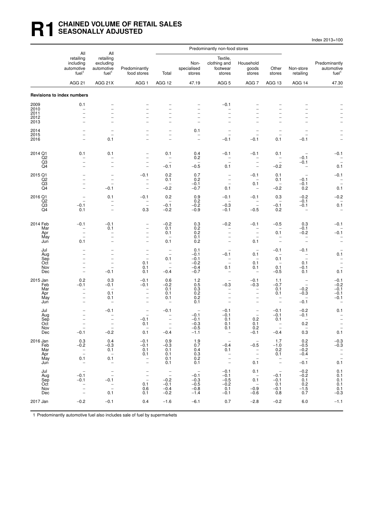### **R1** CHAINED VOLUME OF RETAIL SALES **SEASONALLY ADJUSTED**

Index 2013=100

|                                        | All                                                                              | All                                                            |                                                                    |                                                      | Predominantly non-food stores                       |                                                             |                                                      |                                               |                                                      |                                                  |
|----------------------------------------|----------------------------------------------------------------------------------|----------------------------------------------------------------|--------------------------------------------------------------------|------------------------------------------------------|-----------------------------------------------------|-------------------------------------------------------------|------------------------------------------------------|-----------------------------------------------|------------------------------------------------------|--------------------------------------------------|
|                                        | retailing<br>including<br>automotive<br>fuel <sup>1</sup>                        | retailing<br>excluding<br>automotive<br>fuel <sup>1</sup>      | Predominantly<br>food stores                                       | Total                                                | Non-<br>specialised<br>stores                       | Textile,<br>clothing and<br>footwear<br>stores              | Household<br>goods<br>stores                         | Other<br>stores                               | Non-store<br>retailing                               | Predominantly<br>automotive<br>fuel <sup>1</sup> |
|                                        | AGG <sub>21</sub>                                                                | AGG 21X                                                        | AGG <sub>1</sub>                                                   | AGG 12                                               | 47.19                                               | AGG <sub>5</sub>                                            | AGG <sub>7</sub>                                     | AGG 13                                        | AGG 14                                               | 47.30                                            |
|                                        | Revisions to index numbers                                                       |                                                                |                                                                    |                                                      |                                                     |                                                             |                                                      |                                               |                                                      |                                                  |
| 2009<br>2010                           | 0.1<br>$\overline{\phantom{0}}$                                                  |                                                                | $\overline{a}$                                                     | -                                                    |                                                     | $-0.1$                                                      |                                                      |                                               |                                                      |                                                  |
| 2011<br>2012                           | $\overline{a}$<br>$\overline{\phantom{0}}$                                       | $\overline{\phantom{0}}$<br>L.                                 | $\overline{\phantom{0}}$<br>$\equiv$                               | $\overline{a}$<br>$\overline{\phantom{0}}$           | $\overline{\phantom{0}}$                            | $\overline{a}$<br>$\overline{\phantom{a}}$                  |                                                      | $\qquad \qquad -$<br>$\overline{\phantom{0}}$ | $\overline{\phantom{0}}$<br>$\overline{\phantom{0}}$ |                                                  |
| 2013                                   | $\overline{\phantom{0}}$                                                         | $\overline{\phantom{0}}$                                       | $\overline{\phantom{0}}$                                           | $\overline{\phantom{0}}$                             | $\overline{\phantom{0}}$                            | $\overline{\phantom{0}}$                                    |                                                      | $\qquad \qquad -$                             |                                                      |                                                  |
| 2014<br>2015                           | $\overline{\phantom{0}}$<br>$\overline{\phantom{0}}$                             |                                                                | $\overline{\phantom{0}}$<br>$\overline{a}$                         | -<br>$\overline{\phantom{0}}$                        | 0.1<br>$\overline{a}$                               | $\overline{\phantom{m}}$                                    |                                                      | $\overline{\phantom{0}}$                      | $\overline{a}$                                       |                                                  |
| 2016                                   | $\overline{\phantom{0}}$                                                         | 0.1                                                            | $\equiv$                                                           | $\overline{\phantom{0}}$                             | $\overline{\phantom{0}}$                            | $-0.1$                                                      | $-0.1$                                               | 0.1                                           | $-0.1$                                               |                                                  |
| 2014 Q1<br>Q <sub>2</sub>              | 0.1<br>-                                                                         | 0.1<br>$\overline{a}$                                          | $\qquad \qquad -$<br>$\overline{\phantom{a}}$                      | 0.1<br>$\qquad \qquad -$                             | 0.4<br>0.2                                          | $-0.1$<br>$\qquad \qquad -$                                 | $-0.1$<br>$\overline{\phantom{0}}$                   | 0.1<br>$\overline{\phantom{a}}$               | $\overline{\phantom{m}}$<br>$-0.1$                   | $-0.1$                                           |
| Q3<br>Q <sub>4</sub>                   | $\overline{\phantom{0}}$<br>$\overline{\phantom{0}}$                             | $\overline{\phantom{0}}$<br>$\overline{\phantom{0}}$           | $\qquad \qquad -$<br>$\overline{\phantom{0}}$                      | $\overline{\phantom{a}}$<br>$-0.1$                   | $\overline{\phantom{0}}$<br>$-0.5$                  | 0.1                                                         | $\overline{\phantom{0}}$<br>$\overline{a}$           | $-0.2$                                        | $-0.1$<br>$\qquad \qquad -$                          | 0.1                                              |
| 2015 Q1                                | -                                                                                |                                                                | $-0.1$                                                             | 0.2                                                  | 0.7<br>0.2                                          | $\qquad \qquad -$                                           | $-0.1$                                               | 0.1                                           | $\overline{\phantom{0}}$                             | $-0.1$                                           |
| Q <sub>2</sub><br>Q3<br>Q <sub>4</sub> | $\overline{\phantom{0}}$<br>$\overline{\phantom{0}}$<br>$\overline{\phantom{0}}$ | $\overline{\phantom{0}}$<br>$\overline{\phantom{0}}$<br>$-0.1$ | $\qquad \qquad -$<br>$\qquad \qquad -$<br>$\overline{\phantom{0}}$ | 0.1<br>$\overline{\phantom{a}}$<br>$-0.2$            | $-0.1$<br>$-0.7$                                    | $\qquad \qquad -$<br>$\qquad \qquad -$<br>0.1               | 0.1<br>$\overline{\phantom{m}}$                      | 0.1<br>$\overline{\phantom{a}}$<br>$-0.2$     | $-0.1$<br>$-0.1$<br>0.2                              | 0.1                                              |
| 2016 Q1                                | $\overline{\phantom{0}}$                                                         | 0.1                                                            | $-0.1$                                                             | 0.2                                                  | 0.9                                                 | $-0.1$                                                      | $-0.1$                                               | 0.3                                           | $-0.2$                                               | $-0.2$                                           |
| Q <sub>2</sub><br>Q3                   | $\overline{a}$<br>$-0.1$                                                         | $\overline{\phantom{a}}$                                       | $\overline{\phantom{a}}$<br>$\overline{\phantom{a}}$               | $\overline{\phantom{a}}$<br>$-0.1$                   | 0.2<br>$-0.2$                                       | $\overline{\phantom{a}}$<br>$-0.3$                          | $\overline{\phantom{a}}$<br>$\overline{\phantom{m}}$ | $\overline{\phantom{a}}$<br>$-0.1$            | $-0.1$<br>$-0.1$                                     | 0.1                                              |
| Q4                                     | 0.1                                                                              | $\qquad \qquad -$                                              | 0.3                                                                | $-0.2$                                               | $-0.9$                                              | $-0.1$                                                      | $-0.5$                                               | 0.2                                           |                                                      |                                                  |
| 2014 Feb<br>Mar                        | $-0.1$                                                                           | $-0.1$<br>0.1                                                  | $\qquad \qquad -$<br>$\overline{a}$                                | $-0.2$<br>0.1                                        | 0.3<br>0.2                                          | $-0.2$<br>$\qquad \qquad -$                                 | $-0.1$                                               | $-0.5$<br>$\qquad \qquad -$                   | 0.3<br>$-0.1$                                        | $-0.1$                                           |
| Apr<br>May                             | $\overline{\phantom{0}}$<br>$\overline{\phantom{0}}$                             | $\overline{\phantom{a}}$<br>$\overline{\phantom{a}}$           | $\qquad \qquad -$<br>$\qquad \qquad -$                             | 0.1<br>$\overline{\phantom{a}}$                      | 0.2<br>0.1                                          | $\qquad \qquad -$<br>$\qquad \qquad -$                      | $\overline{\phantom{a}}$<br>$\overline{\phantom{0}}$ | 0.1                                           | $-0.2$<br>$\qquad \qquad -$                          | $-0.1$                                           |
| Jun<br>Jul                             | 0.1                                                                              | $\overline{\phantom{0}}$                                       | $\overline{\phantom{0}}$                                           | 0.1                                                  | 0.2<br>0.1                                          | $\overline{\phantom{0}}$                                    | 0.1<br>$\overline{\phantom{0}}$                      | $\qquad \qquad -$<br>$-0.1$                   | $\overline{\phantom{0}}$<br>$-0.1$                   | $\overline{\phantom{a}}$                         |
| Aug<br>Sep                             | $\overline{a}$                                                                   | $\overline{\phantom{0}}$<br>L.                                 | $\overline{a}$<br>$\overline{a}$<br>$\overline{\phantom{0}}$       | $\qquad \qquad -$<br>$\overline{\phantom{0}}$<br>0.1 | $-0.1$<br>$-0.1$                                    | $-0.1$<br>$\overline{\phantom{m}}$                          | 0.1<br>$\overline{\phantom{a}}$                      | $\overline{\phantom{0}}$<br>0.1               | $\qquad \qquad -$<br>$\equiv$                        | 0.1<br>$\overline{\phantom{a}}$                  |
| Oct<br>Nov                             | $\overline{\phantom{0}}$<br>$\overline{\phantom{0}}$                             | $\overline{\phantom{a}}$<br>$\overline{\phantom{0}}$           | 0.1<br>0.1                                                         | $\qquad \qquad -$<br>$\overline{\phantom{0}}$        | $-0.2$<br>$-0.4$                                    | $\overline{\phantom{0}}$<br>0.1                             | 0.1<br>0.1                                           | $\overline{\phantom{a}}$<br>0.1               | 0.1<br>$-0.1$                                        | $\overline{\phantom{a}}$                         |
| Dec<br>2015 Jan                        | $\overline{\phantom{0}}$<br>0.2                                                  | $-0.1$<br>0.3                                                  | 0.1<br>$-0.1$                                                      | $-0.4$<br>0.6                                        | $-0.7$<br>1.2                                       | $\overline{\phantom{0}}$<br>$\overline{\phantom{a}}$        | $\overline{\phantom{m}}$<br>$-0.1$                   | $-0.5$<br>1.1                                 | 0.1<br>$\qquad \qquad -$                             | 0.1<br>$-0.1$                                    |
| Feb<br>Mar                             | $-0.1$<br>$\overline{\phantom{0}}$                                               | $-0.1$                                                         | $-0.1$<br>$\overline{\phantom{0}}$                                 | $-0.2$<br>0.1                                        | 0.5<br>0.3                                          | $-0.3$<br>$\overline{\phantom{a}}$                          | $-0.3$<br>$\overline{\phantom{a}}$                   | $-0.7$<br>0.1                                 | $\equiv$<br>$-0.2$                                   | $-0.2$<br>$-0.1$                                 |
| Apr<br>May                             | $\overline{\phantom{0}}$<br>$\overline{\phantom{0}}$                             | 0.1<br>0.1                                                     | $\overline{\phantom{0}}$<br>$\qquad \qquad -$                      | 0.1<br>0.1                                           | 0.2<br>0.2                                          | $\overline{a}$<br>$\overline{\phantom{0}}$                  | -<br>$\overline{\phantom{0}}$                        | 0.1                                           | $-0.3$<br>$\overline{\phantom{0}}$                   | $-0.1$<br>$-0.1$                                 |
| Jun<br>Jul                             | $\overline{\phantom{0}}$                                                         | $\overline{\phantom{a}}$<br>$-0.1$                             | $\overline{\phantom{0}}$<br>$\overline{\phantom{0}}$               | $\overline{\phantom{a}}$<br>$-0.1$                   | 0.1<br>$\overline{\phantom{a}}$                     | $\overline{\phantom{0}}$<br>$-0.1$                          | $\overline{\phantom{0}}$<br>$\overline{\phantom{0}}$ | $\qquad \qquad -$<br>$-0.1$                   | $-0.1$<br>$-0.2$                                     | 0.1                                              |
| Aug<br>Sep                             | $\overline{\phantom{0}}$<br>$\overline{\phantom{0}}$                             | $\overline{\phantom{0}}$                                       | $\overline{\phantom{0}}$<br>$-0.1$                                 | -<br>$\overline{\phantom{0}}$                        | $-0.1$<br>$-0.1$                                    | $-0.1$<br>0.1                                               | $\overline{\phantom{0}}$<br>0.2                      | $-0.1$<br>0.1                                 | $-0.1$<br>$\overline{\phantom{m}}$                   |                                                  |
| Oct<br>Nov                             | $-$                                                                              | $\hspace{0.1mm}-\hspace{0.1mm}$                                | 0.1<br>$\qquad \qquad -$                                           |                                                      | $-0.3$<br>$-0.5$                                    | 0.1<br>0.1                                                  | 0.1<br>0.2                                           | $\overline{\phantom{a}}$                      | 0.2                                                  | $\overline{\phantom{a}}$                         |
| Dec<br>2016 Jan                        | $-0.1$<br>0.3                                                                    | $-0.2$<br>0.4                                                  | 0.1                                                                | $-0.4$                                               | $-1.1$                                              | $\hspace{0.1mm}-\hspace{0.1mm}$<br>$\overline{\phantom{a}}$ | $-0.1$<br>$\sim$                                     | $-0.4$                                        | 0.3<br>0.2                                           | $0.1\,$<br>$-0.3$                                |
| Feb<br>Mar                             | $-0.2$                                                                           | $-0.3$<br>0.1                                                  | $-0.1$<br>$-0.1$<br>0.1                                            | 0.9<br>$-0.3$<br>0.1                                 | 1.9<br>0.7<br>0.4                                   | $-0.4$<br>0.1                                               | $-0.5$<br>$\overline{\phantom{a}}$                   | 1.7<br>$-1.0$<br>0.2                          | $-0.5$<br>$-0.2$                                     | $-0.3$                                           |
| Apr<br>May                             | $\bar{\mathbb{I}}$<br>0.1                                                        | $\overline{a}$<br>0.1                                          | 0.1<br>$\qquad \qquad -$                                           | 0.1<br>0.1                                           | $0.3 \ 0.2$                                         | $\frac{1}{\pi}$                                             | $\bar{\mathbb{I}}$                                   | 0.1<br>$\overline{\phantom{a}}$               | $-0.4$<br>$\sim$                                     | $\frac{1}{2}$                                    |
| Jun<br>Jul                             | $\overline{\phantom{a}}$                                                         | $\hspace{0.1mm}-\hspace{0.1mm}$                                | $\overline{\phantom{a}}$                                           | 0.1                                                  | 0.1                                                 | $\overline{\phantom{a}}$                                    | 0.1<br>0.1                                           | $\overline{\phantom{a}}$                      | $-0.1$<br>$-0.2$                                     | 0.1<br>0.1                                       |
| Aug<br>Sep                             | $\overline{\phantom{a}}$<br>$-0.1$<br>$-0.1$                                     | $\overline{\phantom{a}}$<br>$\overline{\phantom{a}}$<br>$-0.1$ | $\overline{\phantom{a}}$<br>$\bar{a}$                              | $\overline{\mathbb{Z}}$<br>$-0.2$                    | $\hspace{0.1mm}-\hspace{0.1mm}$<br>$-0.1$<br>$-0.3$ | $-0.1$<br>$-0.1$<br>$-0.5$                                  | $\sim$<br>0.1                                        | $\sim$ $-$<br>$-0.1$<br>$-0.1$                | $-0.2$<br>0.1                                        | 0.1<br>0.1                                       |
| Oct<br>Nov                             | $\frac{1}{2}$                                                                    | $\bar{\mathbb{I}}$                                             | 0.1<br>0.6                                                         | $-0.1$<br>$-0.4$                                     | $-0.5$<br>$-0.8$                                    | $-0.2$<br>0.1                                               | $\sim$<br>$-0.9$                                     | 0.1<br>$-0.1$                                 | 0.2<br>$-1.5$                                        | 0.1<br>0.1                                       |
| Dec                                    |                                                                                  | 0.1                                                            | 0.1                                                                | $-0.2$                                               | $-1.4$                                              | $-0.1$                                                      | $-0.6$                                               | 0.8                                           | 0.7                                                  | $-0.3$                                           |
| 2017 Jan                               | $-0.2$                                                                           | $-0.1$                                                         | 0.4                                                                | $-1.6$                                               | $-6.1$                                              | 0.7                                                         | $-2.8$                                               | $-0.2$                                        | 6.0                                                  | $-1.1$                                           |